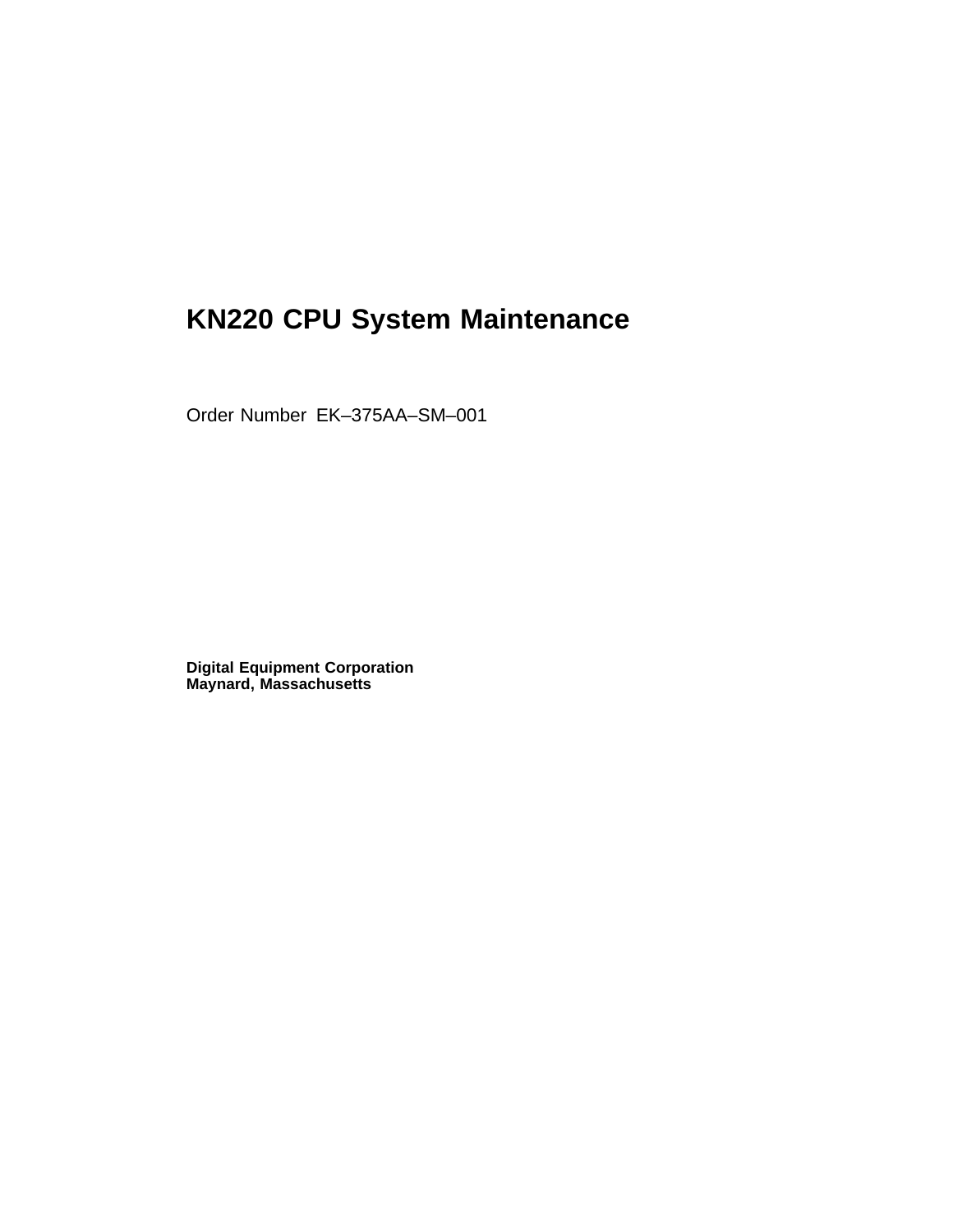# **KN220 CPU System Maintenance**

Order Number EK–375AA–SM–001

**Digital Equipment Corporation Maynard, Massachusetts**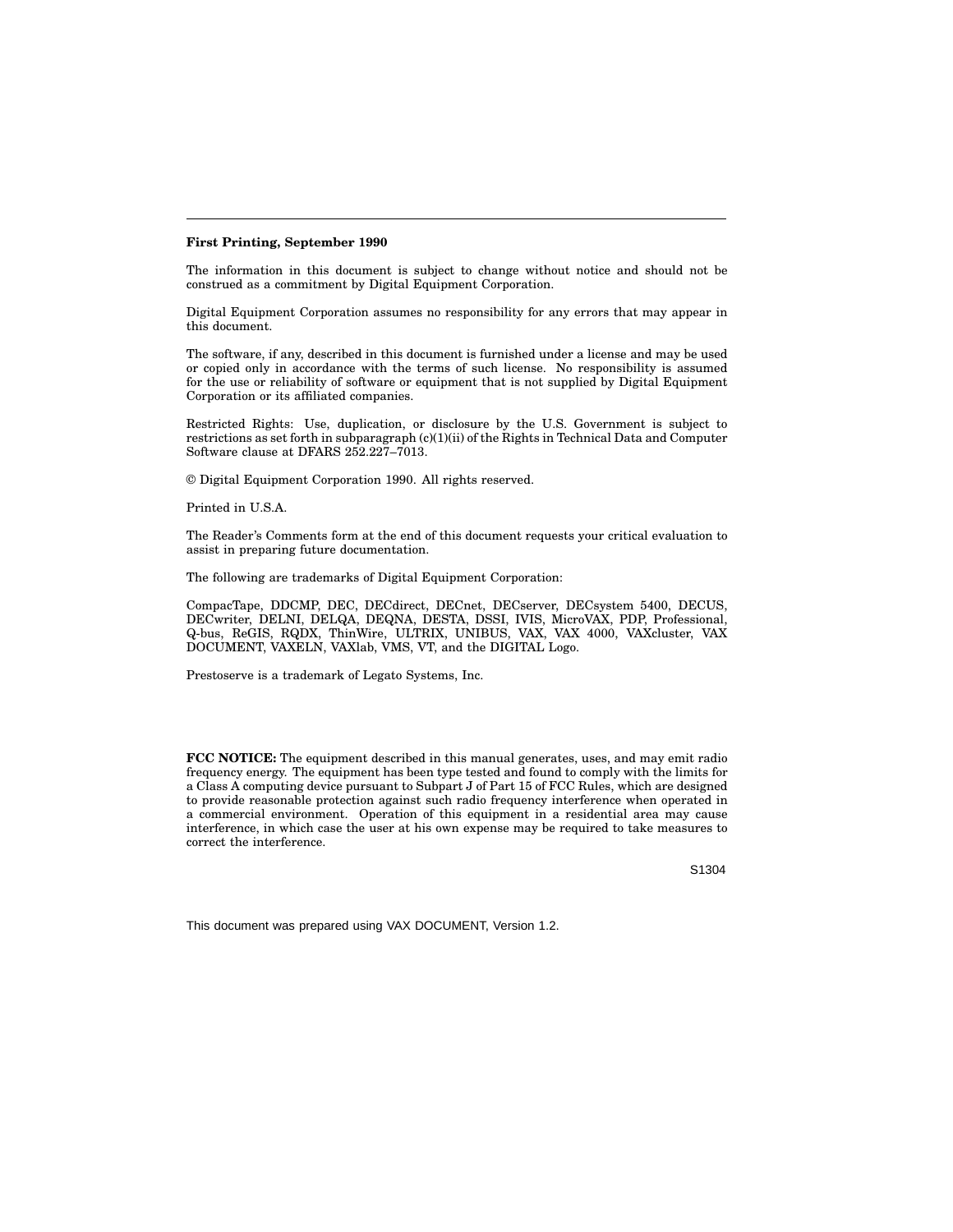#### **First Printing, September 1990**

The information in this document is subject to change without notice and should not be construed as a commitment by Digital Equipment Corporation.

Digital Equipment Corporation assumes no responsibility for any errors that may appear in this document.

The software, if any, described in this document is furnished under a license and may be used or copied only in accordance with the terms of such license. No responsibility is assumed for the use or reliability of software or equipment that is not supplied by Digital Equipment Corporation or its affiliated companies.

Restricted Rights: Use, duplication, or disclosure by the U.S. Government is subject to restrictions as set forth in subparagraph (c)(1)(ii) of the Rights in Technical Data and Computer Software clause at DFARS 252.227-7013.

© Digital Equipment Corporation 1990. All rights reserved.

Printed in U.S.A.

The Reader's Comments form at the end of this document requests your critical evaluation to assist in preparing future documentation.

The following are trademarks of Digital Equipment Corporation:

CompacTape, DDCMP, DEC, DECdirect, DECnet, DECserver, DECsystem 5400, DECUS, DECwriter, DELNI, DELQA, DEQNA, DESTA, DSSI, IVIS, MicroVAX, PDP, Professional, Q-bus, ReGIS, RQDX, ThinWire, ULTRIX, UNIBUS, VAX, VAX 4000, VAXcluster, VAX DOCUMENT, VAXELN, VAXlab, VMS, VT, and the DIGITAL Logo.

Prestoserve is a trademark of Legato Systems, Inc.

**FCC NOTICE:** The equipment described in this manual generates, uses, and may emit radio frequency energy. The equipment has been type tested and found to comply with the limits for a Class A computing device pursuant to Subpart J of Part 15 of FCC Rules, which are designed to provide reasonable protection against such radio frequency interference when operated in a commercial environment. Operation of this equipment in a residential area may cause interference, in which case the user at his own expense may be required to take measures to correct the interference.

S1304

This document was prepared using VAX DOCUMENT, Version 1.2.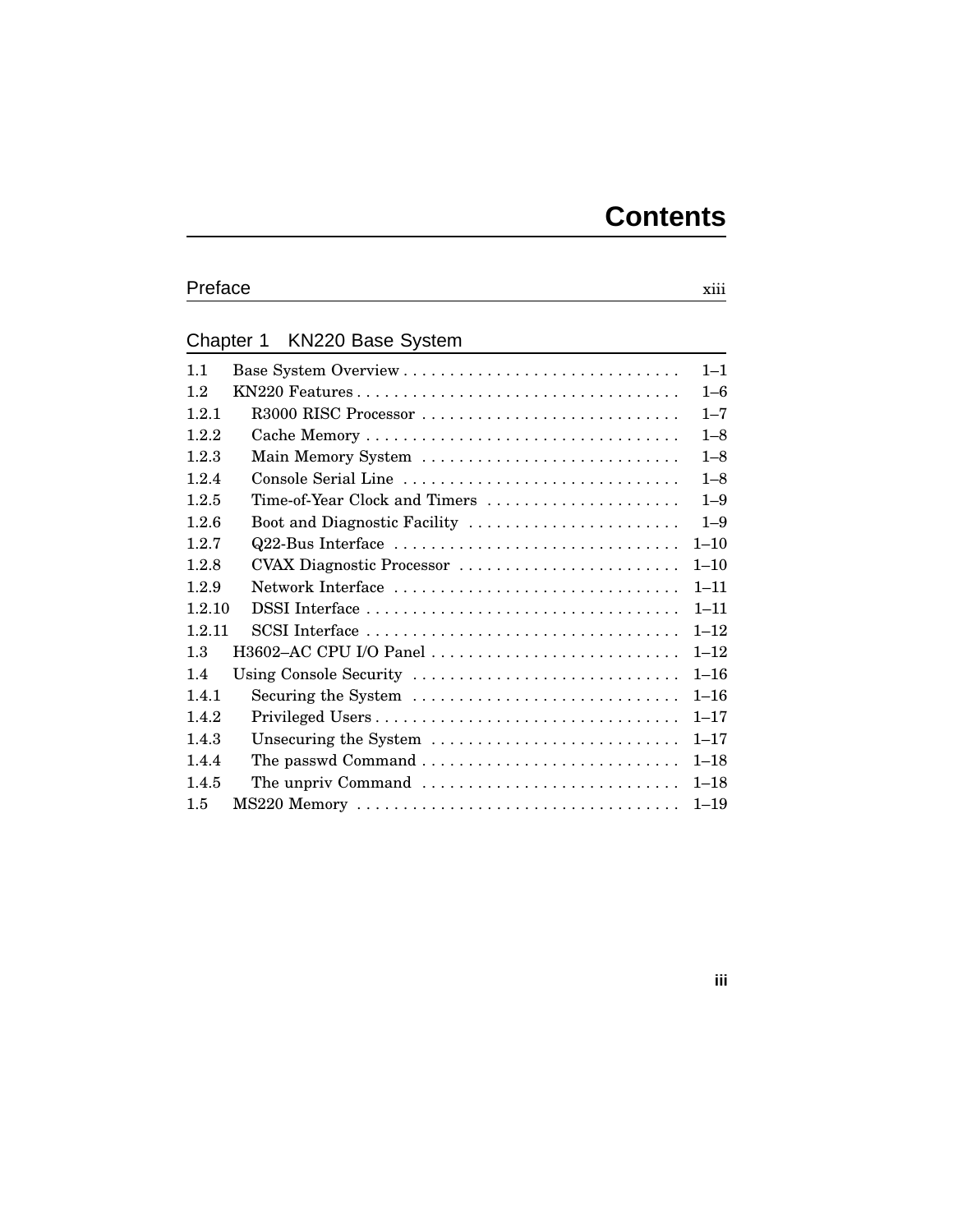# Preface xiii

### Chapter 1 KN220 Base System

| 1.1                                    | $1 - 1$  |
|----------------------------------------|----------|
| 1.2<br>KN220 Features                  | $1 - 6$  |
| 121<br>R3000 RISC Processor            | $1 - 7$  |
| 1.2.2                                  | $1 - 8$  |
| 1.2.3<br>Main Memory System            | $1 - 8$  |
| 1.2.4<br>Console Serial Line           | $1 - 8$  |
| 1.2.5<br>Time-of-Year Clock and Timers | $1 - 9$  |
| 1.2.6<br>Boot and Diagnostic Facility  | $1 - 9$  |
| Q22-Bus Interface<br>1.2.7             | $1 - 10$ |
| 1.2.8<br>CVAX Diagnostic Processor     | $1 - 10$ |
| 1.2.9<br>Network Interface             | $1 - 11$ |
| 1210                                   | $1 - 11$ |
| 1.2.11                                 | $1 - 12$ |
| 1.3<br>H3602-AC CPU I/O Panel          | $1 - 12$ |
| 1.4<br>Using Console Security          | $1 - 16$ |
| Securing the System<br>1.4.1           | $1 - 16$ |
| 1.4.2<br>Privileged Users              | $1 - 17$ |
| 1.4.3<br>Unsecuring the System         | $1 - 17$ |
| 1.4.4                                  | $1 - 18$ |
| The unpriv Command<br>1.4.5            | $1 - 18$ |
| 1.5                                    | $1 - 19$ |

#### **iii**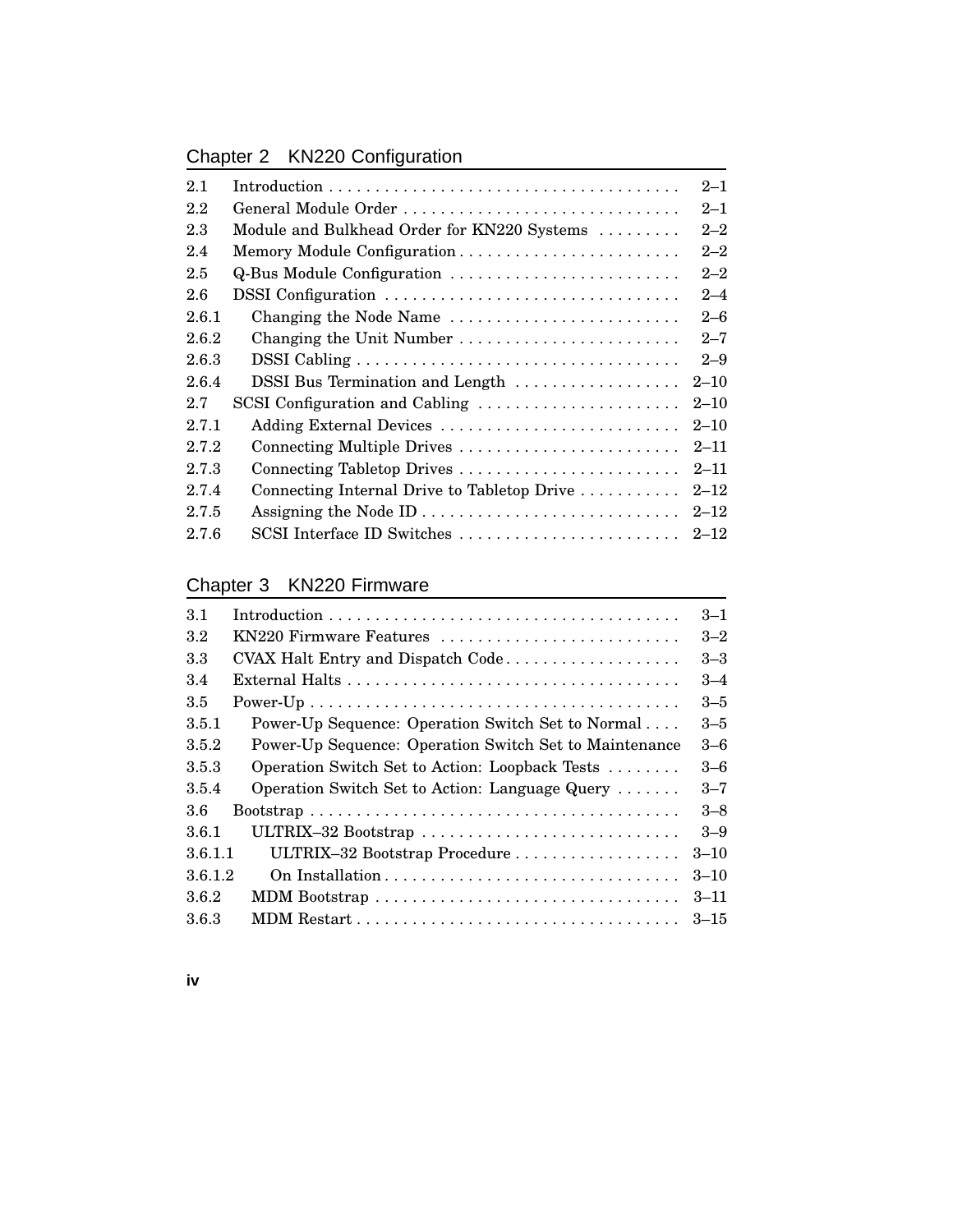# Chapter 2 KN220 Configuration

| 2.1   |                                             | $2 - 1$  |
|-------|---------------------------------------------|----------|
| 2.2   | General Module Order                        | $2 - 1$  |
| 2.3   | Module and Bulkhead Order for KN220 Systems | $2 - 2$  |
| 2.4   |                                             | $2 - 2$  |
| 2.5   | Q-Bus Module Configuration                  | $2 - 2$  |
| 2.6   | DSSI Configuration                          | $2 - 4$  |
| 2.6.1 | Changing the Node Name                      | $2 - 6$  |
| 2.6.2 | Changing the Unit Number                    | $2 - 7$  |
| 2.6.3 |                                             | $2 - 9$  |
| 2.6.4 | DSSI Bus Termination and Length             | $2 - 10$ |
| 2.7   | SCSI Configuration and Cabling              | $2 - 10$ |
| 2.7.1 | Adding External Devices                     | $2 - 10$ |
| 2.7.2 | Connecting Multiple Drives                  | $2 - 11$ |
| 2.7.3 |                                             | $2 - 11$ |
| 2.7.4 | Connecting Internal Drive to Tabletop Drive | $2 - 12$ |
| 2.7.5 |                                             | $2 - 12$ |
| 2.7.6 | SCSI Interface ID Switches                  | $2 - 12$ |

# Chapter 3 KN220 Firmware

| 3.1     |                                                        | $3 - 1$  |
|---------|--------------------------------------------------------|----------|
| 3.2     | KN220 Firmware Features                                | $3 - 2$  |
| 3.3     | CVAX Halt Entry and Dispatch Code                      | $3 - 3$  |
| 3.4     |                                                        | $3 - 4$  |
| 3.5     |                                                        | $3 - 5$  |
| 3.5.1   | Power-Up Sequence: Operation Switch Set to Normal      | $3 - 5$  |
| 3.5.2   | Power-Up Sequence: Operation Switch Set to Maintenance | $3-6$    |
| 3.5.3   | Operation Switch Set to Action: Loopback Tests         | $3-6$    |
| 3.5.4   | Operation Switch Set to Action: Language Query         | $3 - 7$  |
| 3.6     |                                                        | $3 - 8$  |
| 3.6.1   | ULTRIX-32 Bootstrap                                    | $3 - 9$  |
| 3.6.1.1 | ULTRIX-32 Bootstrap Procedure                          | $3 - 10$ |
| 3.6.1.2 |                                                        | $3 - 10$ |
| 3.6.2   |                                                        | $3 - 11$ |
| 3.6.3   |                                                        | $3 - 15$ |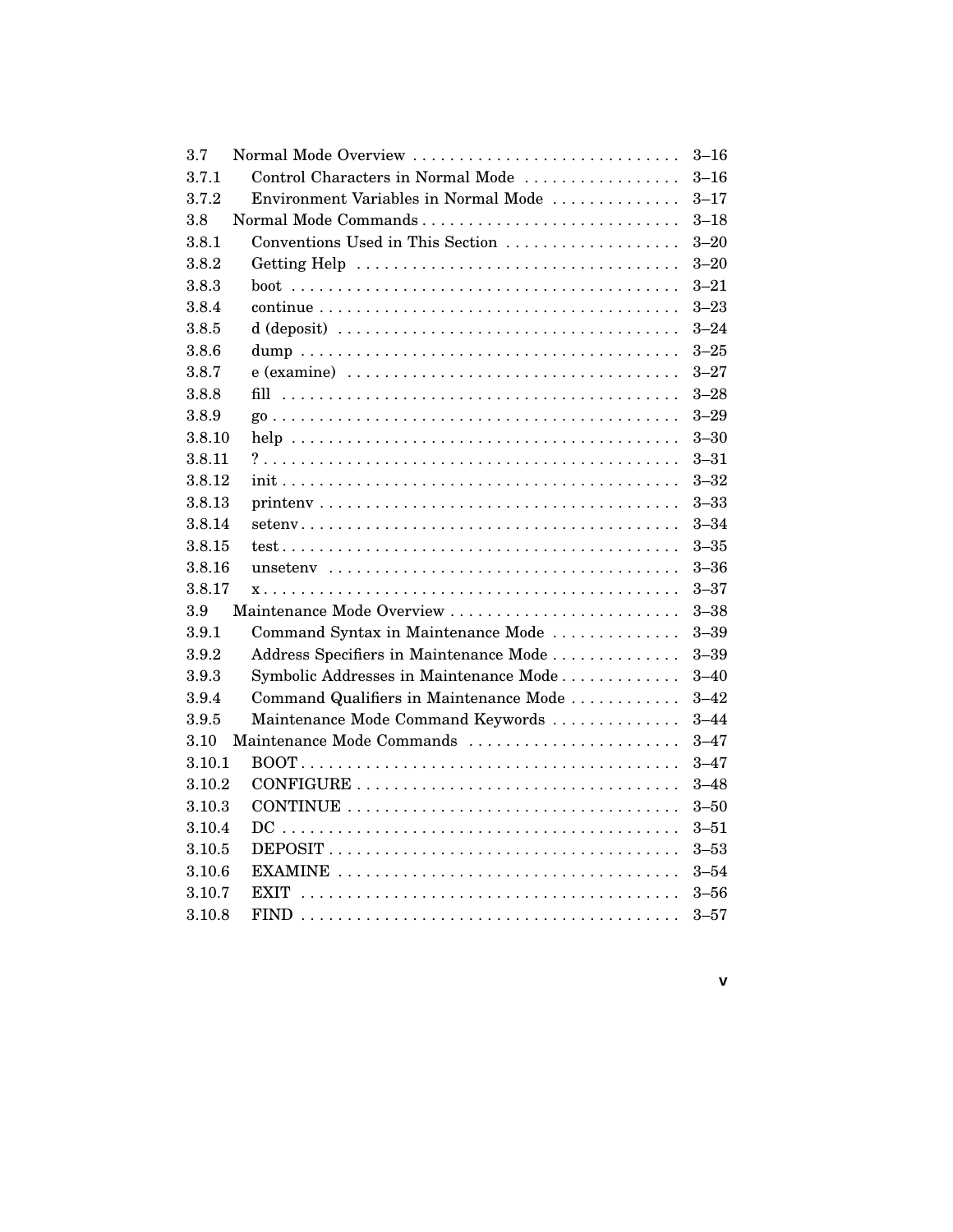| 3.7    | Normal Mode Overview                                                                      | $3 - 16$ |
|--------|-------------------------------------------------------------------------------------------|----------|
| 3.7.1  | Control Characters in Normal Mode                                                         | $3 - 16$ |
| 3.7.2  | Environment Variables in Normal Mode                                                      | $3 - 17$ |
| 3.8    |                                                                                           | $3 - 18$ |
| 3.8.1  | Conventions Used in This Section                                                          | $3 - 20$ |
| 3.8.2  |                                                                                           | $3 - 20$ |
| 3.8.3  |                                                                                           | $3 - 21$ |
| 3.8.4  |                                                                                           | $3 - 23$ |
| 3.8.5  |                                                                                           | $3 - 24$ |
| 3.8.6  |                                                                                           | $3 - 25$ |
| 3.8.7  |                                                                                           | $3 - 27$ |
| 3.8.8  |                                                                                           | $3 - 28$ |
| 3.8.9  |                                                                                           | $3 - 29$ |
| 3.8.10 |                                                                                           | $3 - 30$ |
| 3.8.11 |                                                                                           | $3 - 31$ |
| 3.8.12 |                                                                                           | $3 - 32$ |
| 3.8.13 |                                                                                           | $3 - 33$ |
| 3.8.14 |                                                                                           | $3 - 34$ |
| 3.8.15 |                                                                                           | $3 - 35$ |
| 3.8.16 | unseteny $\ldots \ldots \ldots \ldots \ldots \ldots \ldots \ldots \ldots \ldots$          | $3 - 36$ |
| 3.8.17 |                                                                                           | $3 - 37$ |
| 3.9    | Maintenance Mode Overview                                                                 | $3 - 38$ |
| 3.9.1  | Command Syntax in Maintenance Mode                                                        | $3 - 39$ |
| 3.9.2  | Address Specifiers in Maintenance Mode                                                    | $3 - 39$ |
| 3.9.3  | Symbolic Addresses in Maintenance Mode                                                    | $3 - 40$ |
| 3.9.4  | Command Qualifiers in Maintenance Mode                                                    | $3 - 42$ |
| 3.9.5  | Maintenance Mode Command Keywords                                                         | $3 - 44$ |
| 3.10   | Maintenance Mode Commands                                                                 | $3 - 47$ |
| 3.10.1 |                                                                                           | $3 - 47$ |
| 3.10.2 | $CONFIGURE \dots \dots \dots \dots \dots \dots \dots \dots \dots \dots \dots \dots \dots$ | $3 - 48$ |
| 3.10.3 | CONTINUE $\ldots \ldots \ldots \ldots \ldots \ldots \ldots \ldots \ldots \ldots$          | $3 - 50$ |
| 3.10.4 |                                                                                           | $3 - 51$ |
| 3.10.5 |                                                                                           | $3 - 53$ |
| 3.10.6 |                                                                                           | $3 - 54$ |
| 3.10.7 |                                                                                           | $3 - 56$ |
| 3.10.8 |                                                                                           | $3 - 57$ |

**v**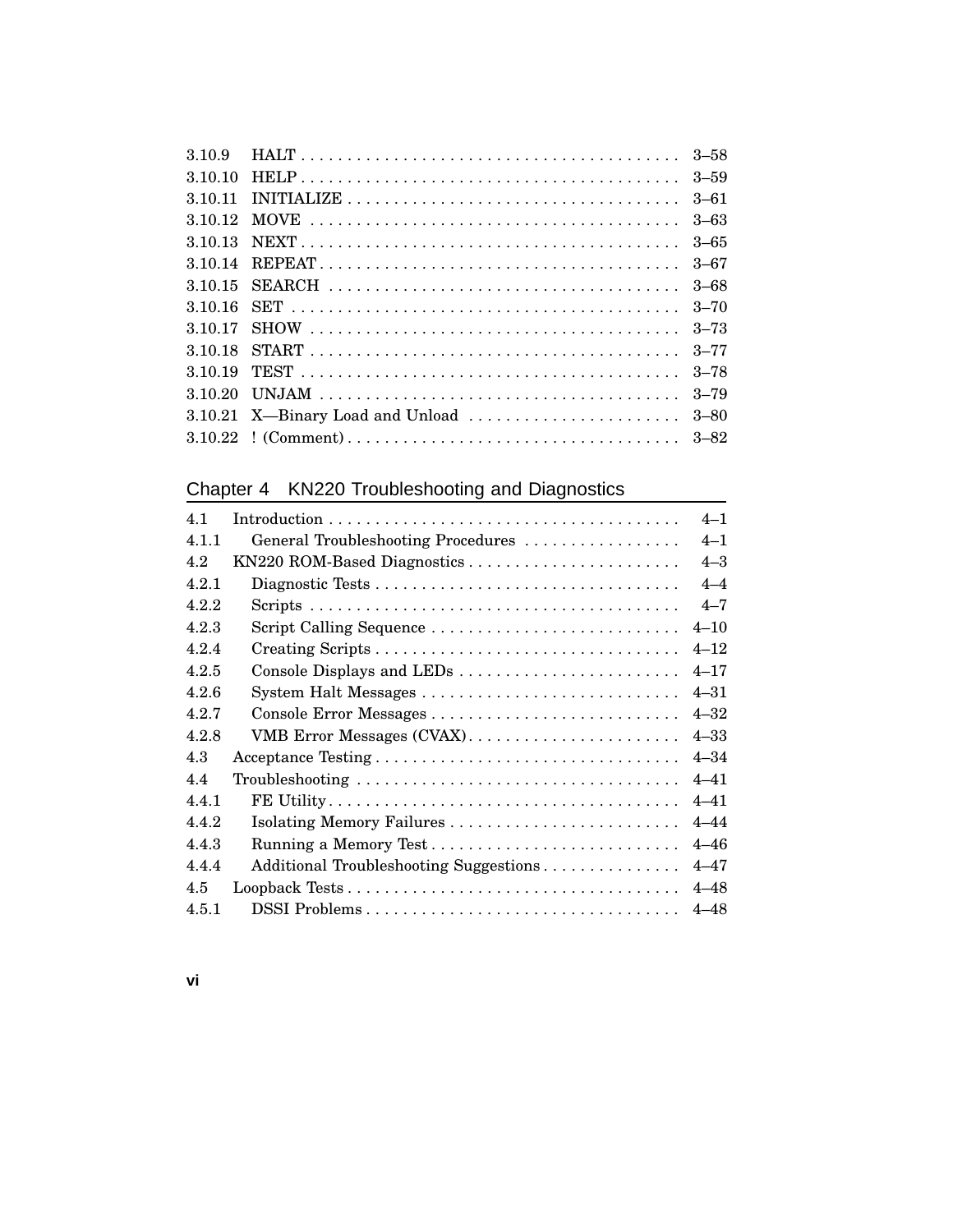# Chapter 4 KN220 Troubleshooting and Diagnostics

| 4.1   |                                        | $4 - 1$  |
|-------|----------------------------------------|----------|
| 4.1.1 | General Troubleshooting Procedures     | $4 - 1$  |
| 4.2   | KN220 ROM-Based Diagnostics            | $4 - 3$  |
| 4.2.1 |                                        | $4 - 4$  |
| 4.2.2 |                                        | $4 - 7$  |
| 4.2.3 | Script Calling Sequence                | $4 - 10$ |
| 4.2.4 |                                        | $4 - 12$ |
| 4.2.5 |                                        | $4 - 17$ |
| 4.2.6 |                                        | $4 - 31$ |
| 4.2.7 |                                        | $4 - 32$ |
| 4.2.8 | VMB Error Messages (CVAX)              | $4 - 33$ |
| 4.3   | Acceptance Testing                     | $4 - 34$ |
| 4.4   |                                        | $4 - 41$ |
| 4.4.1 |                                        | $4 - 41$ |
| 4.4.2 |                                        | $4 - 44$ |
| 4.4.3 |                                        | $4 - 46$ |
| 4.4.4 | Additional Troubleshooting Suggestions | $4 - 47$ |
| 4.5   |                                        | $4 - 48$ |
| 4.5.1 | DSSI Problems                          | $4 - 48$ |

**vi**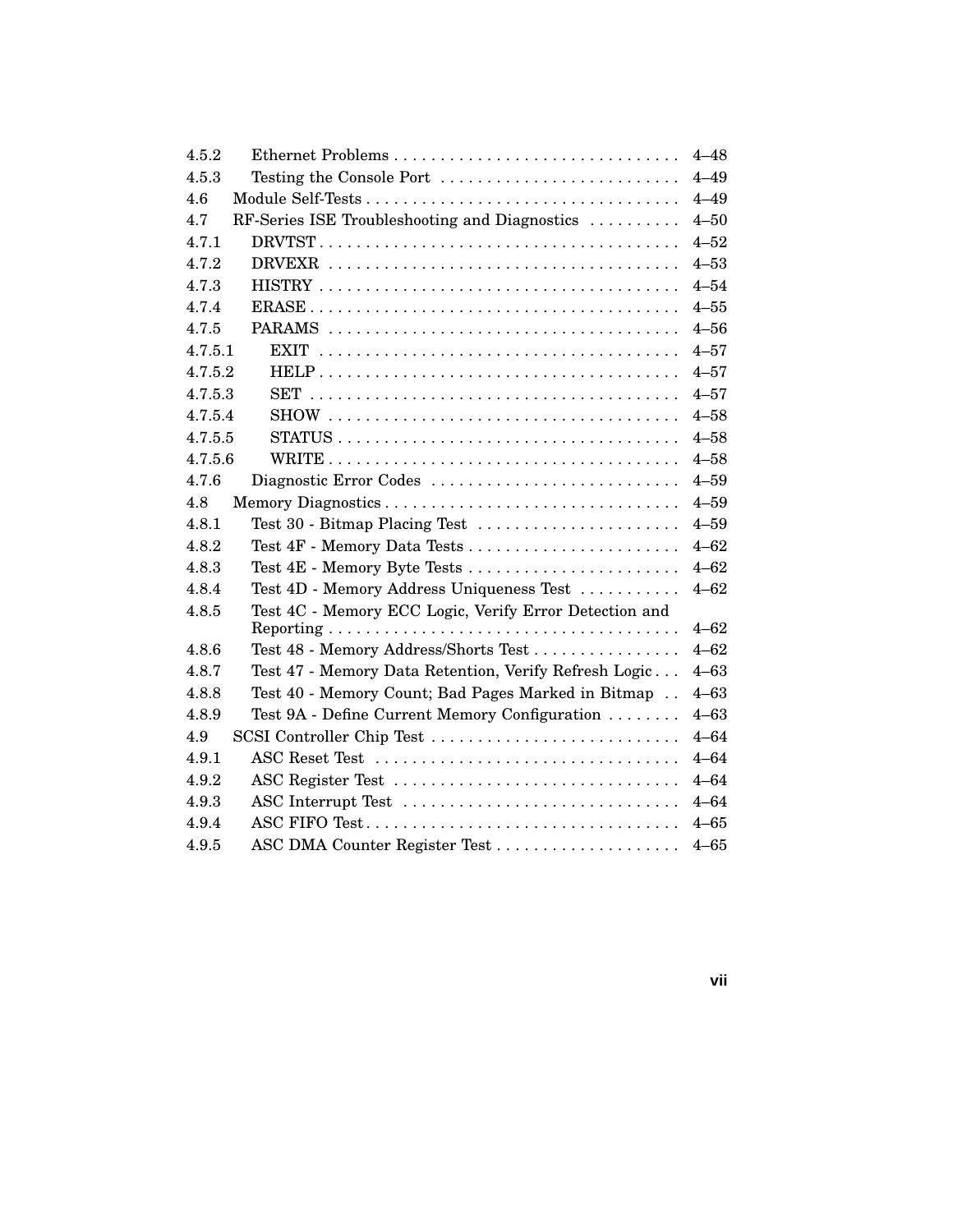| 4.5.2                                                                               | $4 - 48$ |
|-------------------------------------------------------------------------------------|----------|
| 4.5.3<br>Testing the Console Port $\dots \dots \dots \dots \dots \dots \dots \dots$ | $4 - 49$ |
| 4.6                                                                                 | $4 - 49$ |
| RF-Series ISE Troubleshooting and Diagnostics<br>4.7                                | $4 - 50$ |
| 4.7.1                                                                               | $4 - 52$ |
| 4.7.2                                                                               | $4 - 53$ |
| 4.7.3                                                                               | $4 - 54$ |
| 4.7.4                                                                               | $4 - 55$ |
| 4.7.5                                                                               | $4 - 56$ |
| 4.7.5.1                                                                             | $4 - 57$ |
| 4.7.5.2                                                                             | $4 - 57$ |
| 4.7.5.3                                                                             | $4 - 57$ |
| 4.7.5.4                                                                             | $4 - 58$ |
| 4.7.5.5                                                                             | $4 - 58$ |
| 4.7.5.6                                                                             | $4 - 58$ |
| 4.7.6<br>Diagnostic Error Codes                                                     | $4 - 59$ |
| 4.8                                                                                 | $4 - 59$ |
| Test 30 - Bitmap Placing Test<br>4.8.1                                              | $4 - 59$ |
| 4.8.2                                                                               | $4 - 62$ |
| Test 4E - Memory Byte Tests<br>4.8.3                                                | $4 - 62$ |
| Test 4D - Memory Address Uniqueness Test<br>4.8.4                                   | $4 - 62$ |
| Test 4C - Memory ECC Logic, Verify Error Detection and<br>4.8.5                     |          |
|                                                                                     | $4 - 62$ |
| Test 48 - Memory Address/Shorts Test<br>4.8.6                                       | $4 - 62$ |
| 4.8.7<br>Test 47 - Memory Data Retention, Verify Refresh Logic                      | $4 - 63$ |
| Test 40 - Memory Count; Bad Pages Marked in Bitmap<br>4.8.8                         | $4 - 63$ |
| Test 9A - Define Current Memory Configuration<br>4.8.9                              | $4 - 63$ |
| SCSI Controller Chip Test<br>4.9                                                    | $4 - 64$ |
| ASC Reset Test<br>4.9.1                                                             | $4 - 64$ |
| ASC Register Test<br>4.9.2                                                          | $4 - 64$ |
| 4.9.3<br>ASC Interrupt Test                                                         | $4 - 64$ |
| 4.9.4<br>ASC FIFO Test                                                              | $4 - 65$ |
| ASC DMA Counter Register Test<br>4.9.5                                              | $4 - 65$ |

**vii**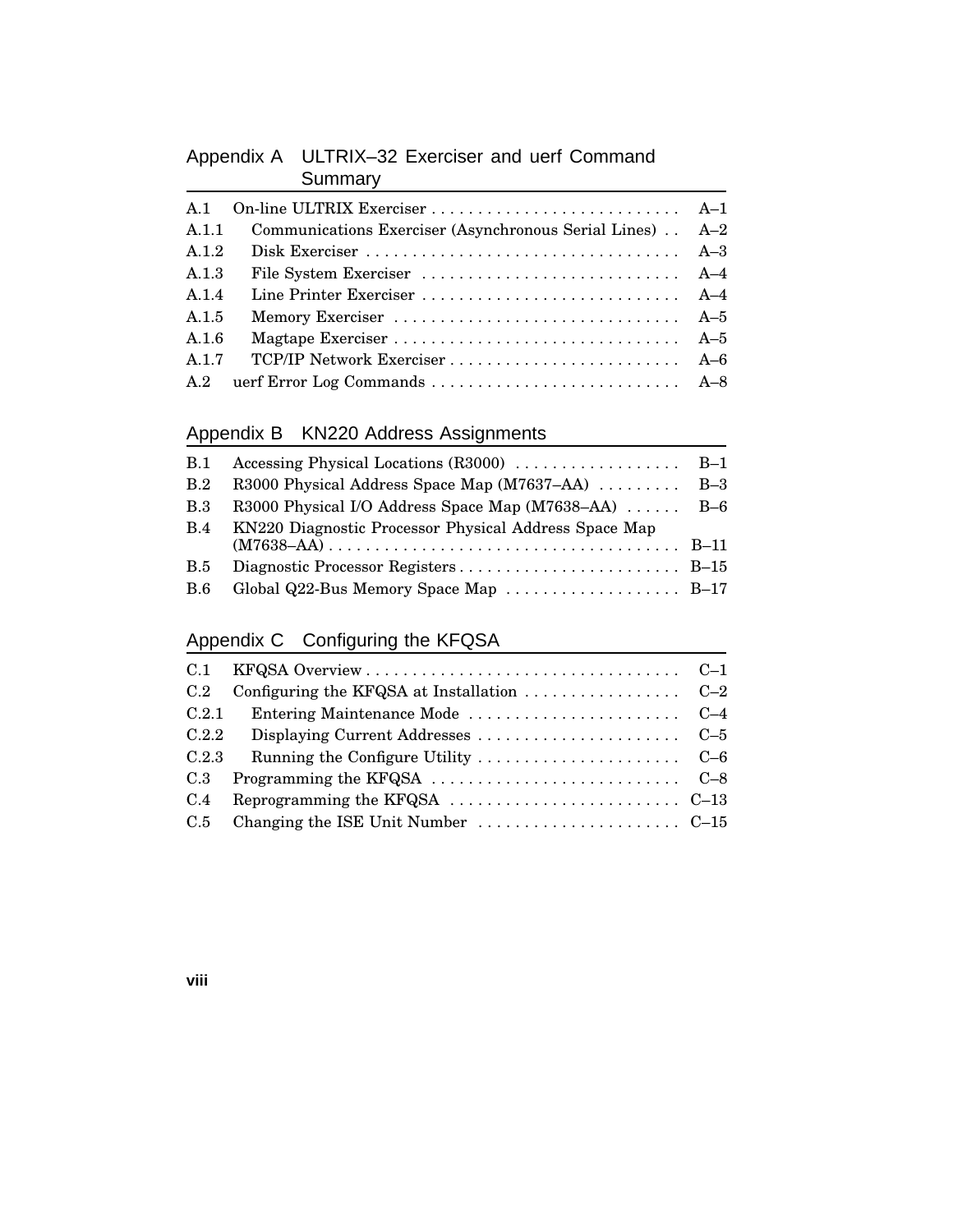# Appendix A ULTRIX–32 Exerciser and uerf Command **Summary**

| Communications Exerciser (Asynchronous Serial Lines) A-2<br>A.1.1<br>A.1.2 |  |
|----------------------------------------------------------------------------|--|
|                                                                            |  |
|                                                                            |  |
|                                                                            |  |
| A.1.3                                                                      |  |
| A.1.4                                                                      |  |
| A.1.5<br>Memory Exerciser  A-5                                             |  |
| A.1.6                                                                      |  |
| A.1.7<br>TCP/IP Network Exerciser  A-6                                     |  |
|                                                                            |  |

### Appendix B KN220 Address Assignments

| <b>B.1</b> |                                                       |  |
|------------|-------------------------------------------------------|--|
| B.2        | R3000 Physical Address Space Map (M7637–AA)  B-3      |  |
| <b>B.3</b> | R3000 Physical I/O Address Space Map (M7638–AA)  B-6  |  |
| B.4        | KN220 Diagnostic Processor Physical Address Space Map |  |
| <b>B.5</b> |                                                       |  |
| <b>B.6</b> | Global Q22-Bus Memory Space Map  B-17                 |  |

### Appendix C Configuring the KFQSA

| C.2   | Configuring the KFQSA at Installation $\ldots \ldots \ldots \ldots \ldots$ C-2 |  |
|-------|--------------------------------------------------------------------------------|--|
| C.2.1 |                                                                                |  |
| C.2.2 |                                                                                |  |
| C.2.3 |                                                                                |  |
| C.3   |                                                                                |  |
| C.4   | Reprogramming the KFQSA $\dots \dots \dots \dots \dots \dots \dots \dots$ C-13 |  |
|       |                                                                                |  |

**viii**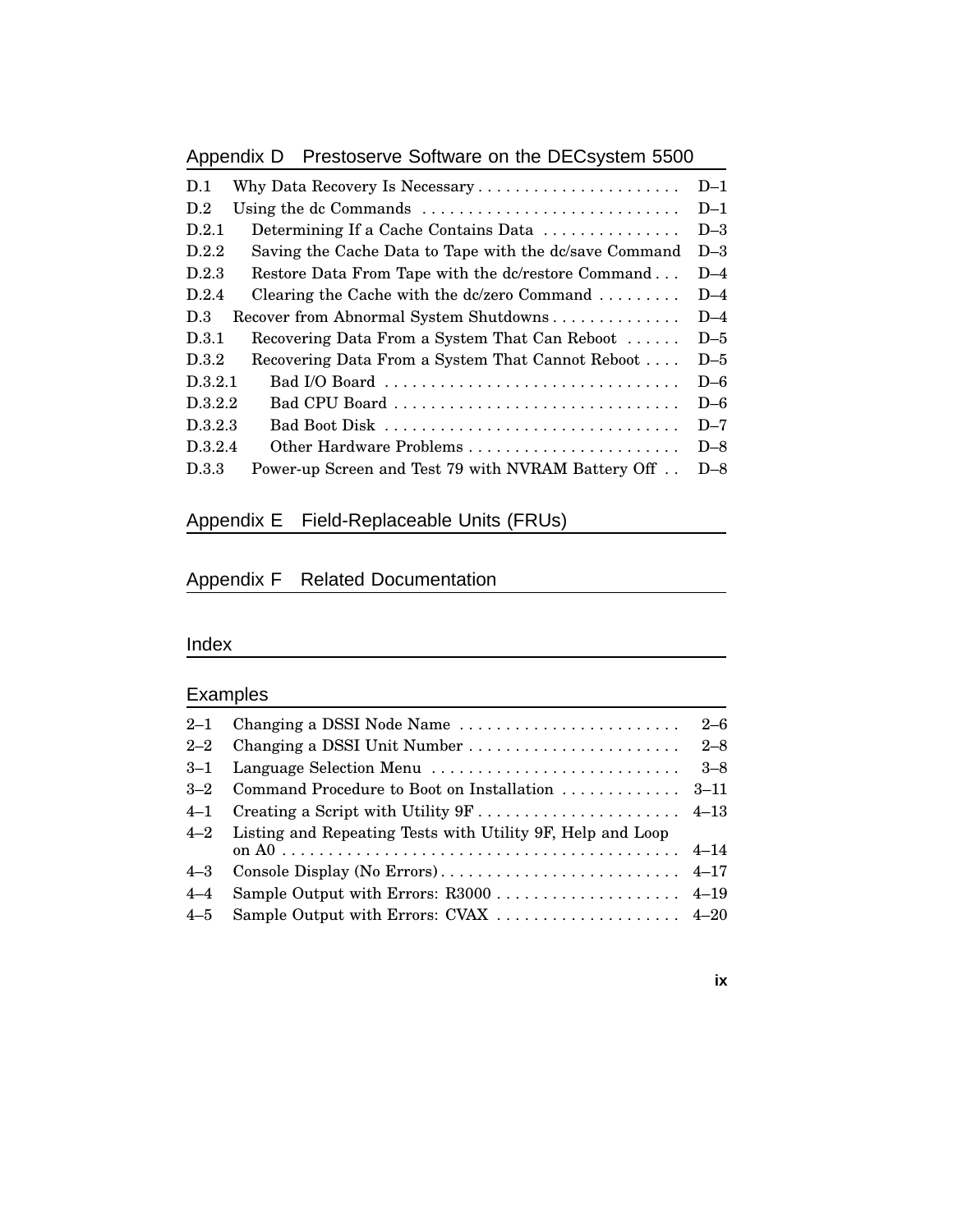# Appendix D Prestoserve Software on the DECsystem 5500

| D.1     |                                                                               | $D-1$ |
|---------|-------------------------------------------------------------------------------|-------|
| D.2     | Using the dc Commands $\dots \dots \dots \dots \dots \dots \dots \dots \dots$ | $D-1$ |
| D.2.1   | Determining If a Cache Contains Data                                          | $D-3$ |
| D.2.2   | Saving the Cache Data to Tape with the dc/save Command                        | $D-3$ |
| D.2.3   | Restore Data From Tape with the dc/restore Command                            | $D-4$ |
| D.2.4   | Clearing the Cache with the dc/zero Command $\ldots \ldots$                   | $D-4$ |
| D.3     | Recover from Abnormal System Shutdowns                                        | $D-4$ |
| D.3.1   | Recovering Data From a System That Can Reboot                                 | $D-5$ |
| D.3.2   | Recovering Data From a System That Cannot Reboot                              | $D-5$ |
| D.3.2.1 |                                                                               | $D-6$ |
| D.3.2.2 | Bad CPU Board                                                                 | $D-6$ |
| D.3.2.3 | Bad Boot Disk                                                                 | $D-7$ |
| D.3.2.4 |                                                                               | $D-8$ |
| D.3.3   | Power-up Screen and Test 79 with NVRAM Battery Off                            | $D-8$ |
|         |                                                                               |       |

### Appendix E Field-Replaceable Units (FRUs)

### Appendix F Related Documentation

#### Index

### Examples

| $3 - 1$ | Language Selection Menu                                        | $3 - 8$ |
|---------|----------------------------------------------------------------|---------|
| $3 - 2$ |                                                                |         |
| $4 - 1$ |                                                                |         |
|         | 4–2 Listing and Repeating Tests with Utility 9F, Help and Loop |         |
| $4 - 3$ |                                                                |         |
| $4 - 4$ |                                                                |         |
| $4 - 5$ | Sample Output with Errors: CVAX  4–20                          |         |
|         |                                                                |         |

#### **ix**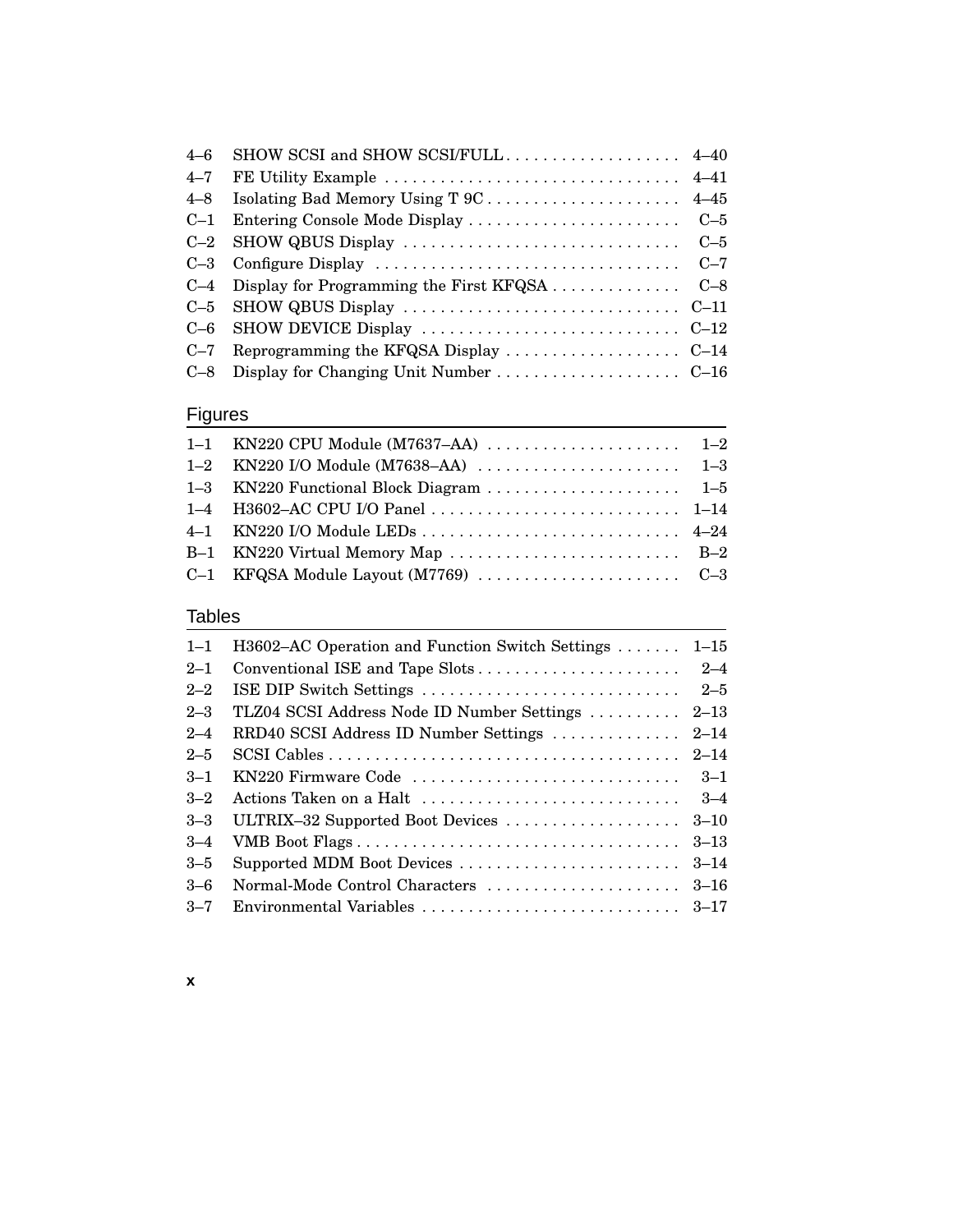| $4 - 6$ |                                                                                                     |  |
|---------|-----------------------------------------------------------------------------------------------------|--|
| $4 - 7$ |                                                                                                     |  |
| $4 - 8$ |                                                                                                     |  |
| $C-1$   |                                                                                                     |  |
|         |                                                                                                     |  |
|         | C-3 Configure Display $\dots \dots \dots \dots \dots \dots \dots \dots \dots \dots \dots \dots$ C-7 |  |
|         | $C-4$ Display for Programming the First KFQSA $C-8$                                                 |  |
| $C-5$   | SHOW QBUS Display $\dots \dots \dots \dots \dots \dots \dots \dots \dots \dots$                     |  |
| $C-6$   |                                                                                                     |  |
| $C-7$   |                                                                                                     |  |
| $C-8$   |                                                                                                     |  |

# **Figures**

#### Tables

| $1 - 1$ | H3602–AC Operation and Function Switch Settings  | $1 - 15$ |
|---------|--------------------------------------------------|----------|
| $2 - 1$ |                                                  |          |
| $2 - 2$ | ISE DIP Switch Settings                          | $2 - 5$  |
| $2 - 3$ | TLZ04 SCSI Address Node ID Number Settings  2–13 |          |
| $2 - 4$ | RRD40 SCSI Address ID Number Settings            | $2 - 14$ |
| $2 - 5$ |                                                  |          |
| $3 - 1$ | KN220 Firmware Code                              | $3 - 1$  |
| $3 - 2$ | Actions Taken on a Halt                          | $3 - 4$  |
| $3 - 3$ | ULTRIX-32 Supported Boot Devices                 | $3 - 10$ |
| $3 - 4$ | VMB Boot Flags                                   | $3 - 13$ |
| $3 - 5$ | Supported MDM Boot Devices                       | $3 - 14$ |
| $3 - 6$ | Normal-Mode Control Characters                   | $3 - 16$ |
| $3 - 7$ |                                                  |          |

#### **x**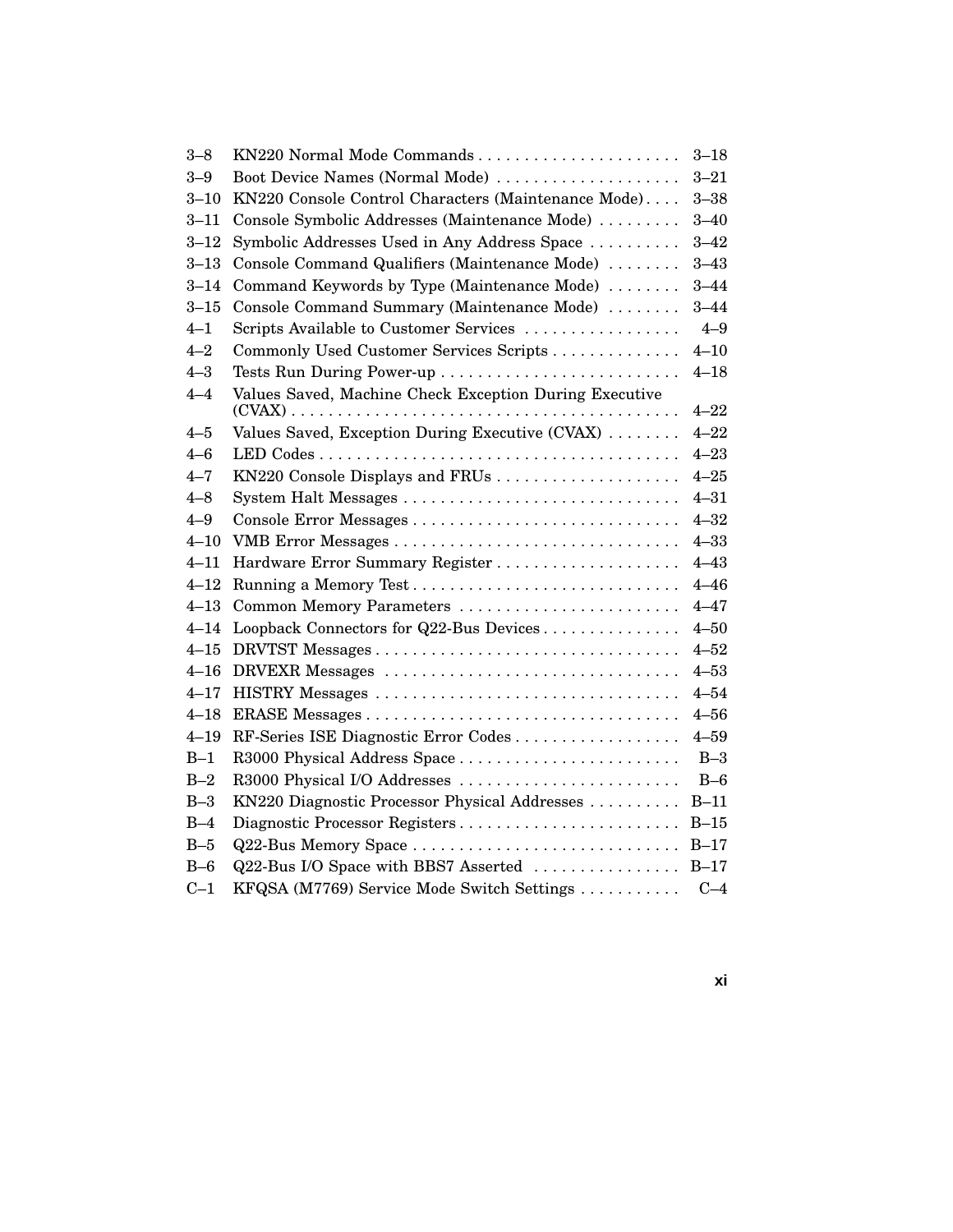| $3 - 8$  | KN220 Normal Mode Commands                             | $3 - 18$ |
|----------|--------------------------------------------------------|----------|
| $3 - 9$  | Boot Device Names (Normal Mode)                        | $3 - 21$ |
| $3 - 10$ | KN220 Console Control Characters (Maintenance Mode)    | $3 - 38$ |
| $3 - 11$ | Console Symbolic Addresses (Maintenance Mode)          | $3 - 40$ |
| $3 - 12$ | Symbolic Addresses Used in Any Address Space           | $3 - 42$ |
| $3 - 13$ | Console Command Qualifiers (Maintenance Mode)          | $3 - 43$ |
| $3 - 14$ | Command Keywords by Type (Maintenance Mode)            | $3 - 44$ |
| $3 - 15$ | Console Command Summary (Maintenance Mode)             | $3 - 44$ |
| $4 - 1$  | Scripts Available to Customer Services                 | $4 - 9$  |
| $4 - 2$  | Commonly Used Customer Services Scripts                | $4 - 10$ |
| $4 - 3$  | Tests Run During Power-up                              | $4 - 18$ |
| $4 - 4$  | Values Saved, Machine Check Exception During Executive |          |
|          |                                                        | $4 - 22$ |
| $4 - 5$  | Values Saved, Exception During Executive (CVAX)        | $4 - 22$ |
| 4–6      |                                                        | $4 - 23$ |
| $4 - 7$  | KN220 Console Displays and FRUs                        | $4 - 25$ |
| $4 - 8$  | System Halt Messages                                   | $4 - 31$ |
| $4 - 9$  | Console Error Messages                                 | $4 - 32$ |
| $4 - 10$ |                                                        | $4 - 33$ |
| $4 - 11$ | Hardware Error Summary Register                        | $4 - 43$ |
| $4 - 12$ |                                                        | $4 - 46$ |
| $4 - 13$ | Common Memory Parameters                               | $4 - 47$ |
| $4 - 14$ | Loopback Connectors for Q22-Bus Devices                | $4 - 50$ |
| $4 - 15$ |                                                        | $4 - 52$ |
| $4 - 16$ | DRVEXR Messages                                        | $4 - 53$ |
| $4 - 17$ |                                                        | $4 - 54$ |
| $4 - 18$ |                                                        | $4 - 56$ |
| $4 - 19$ | RF-Series ISE Diagnostic Error Codes                   | $4 - 59$ |
| $B-1$    | R3000 Physical Address Space                           | $B-3$    |
| $B-2$    | R3000 Physical I/O Addresses                           | $B-6$    |
| $B-3$    | KN220 Diagnostic Processor Physical Addresses          | $B-11$   |
| $B-4$    | Diagnostic Processor Registers                         | $B-15$   |
| $B-5$    | Q22-Bus Memory Space                                   | $B-17$   |
| $B-6$    | Q22-Bus I/O Space with BBS7 Asserted                   | $B-17$   |
| $C-1$    | KFQSA (M7769) Service Mode Switch Settings             | $C-4$    |
|          |                                                        |          |

**xi**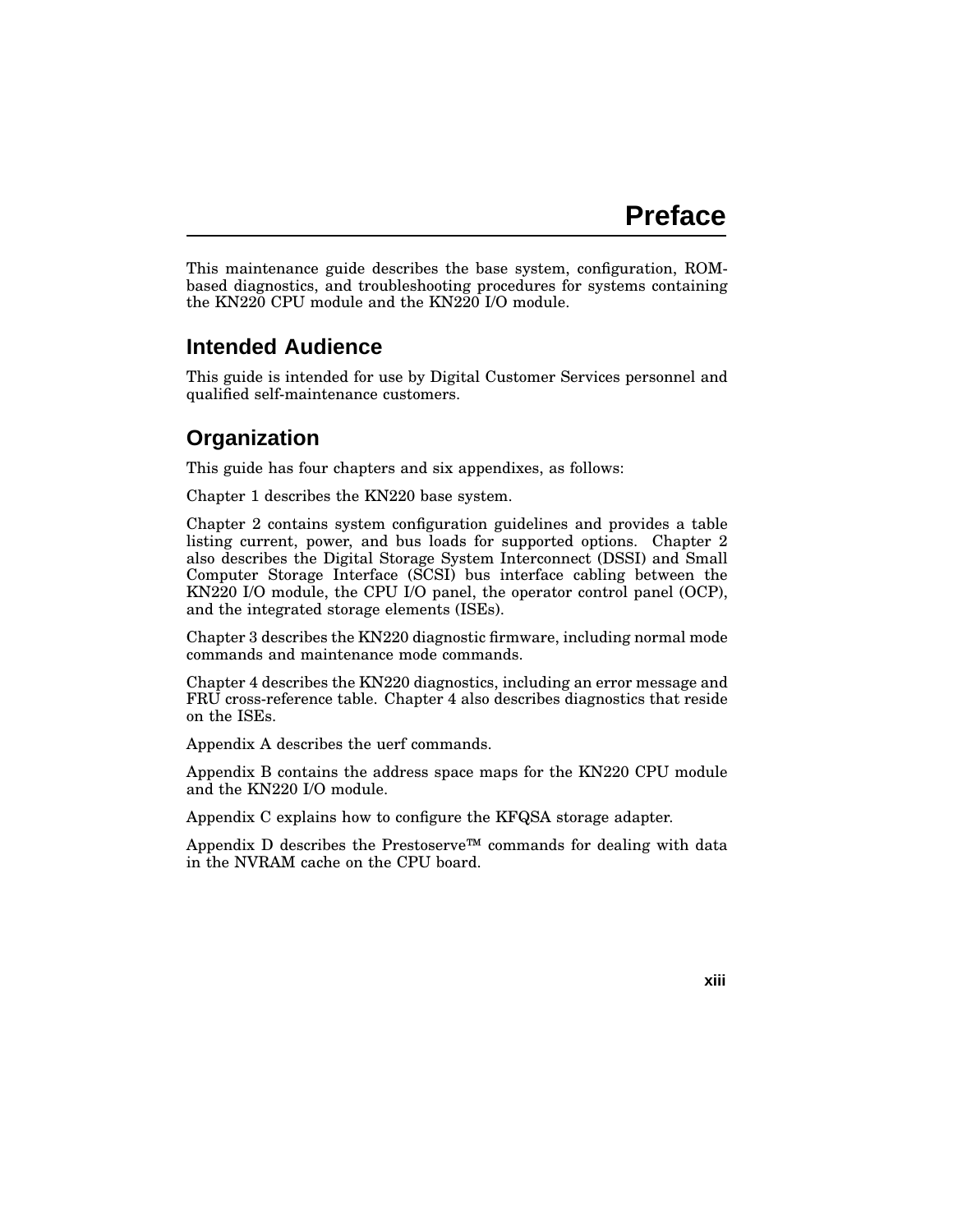This maintenance guide describes the base system, configuration, ROMbased diagnostics, and troubleshooting procedures for systems containing the KN220 CPU module and the KN220 I/O module.

#### **Intended Audience**

This guide is intended for use by Digital Customer Services personnel and qualified self-maintenance customers.

# **Organization**

This guide has four chapters and six appendixes, as follows:

Chapter 1 describes the KN220 base system.

Chapter 2 contains system configuration guidelines and provides a table listing current, power, and bus loads for supported options. Chapter 2 also describes the Digital Storage System Interconnect (DSSI) and Small Computer Storage Interface (SCSI) bus interface cabling between the KN220 I/O module, the CPU I/O panel, the operator control panel (OCP), and the integrated storage elements (ISEs).

Chapter 3 describes the KN220 diagnostic firmware, including normal mode commands and maintenance mode commands.

Chapter 4 describes the KN220 diagnostics, including an error message and FRU cross-reference table. Chapter 4 also describes diagnostics that reside on the ISEs.

Appendix A describes the uerf commands.

Appendix B contains the address space maps for the KN220 CPU module and the KN220 I/O module.

Appendix C explains how to configure the KFQSA storage adapter.

Appendix D describes the Prestoserve<sup>™</sup> commands for dealing with data in the NVRAM cache on the CPU board.

**xiii**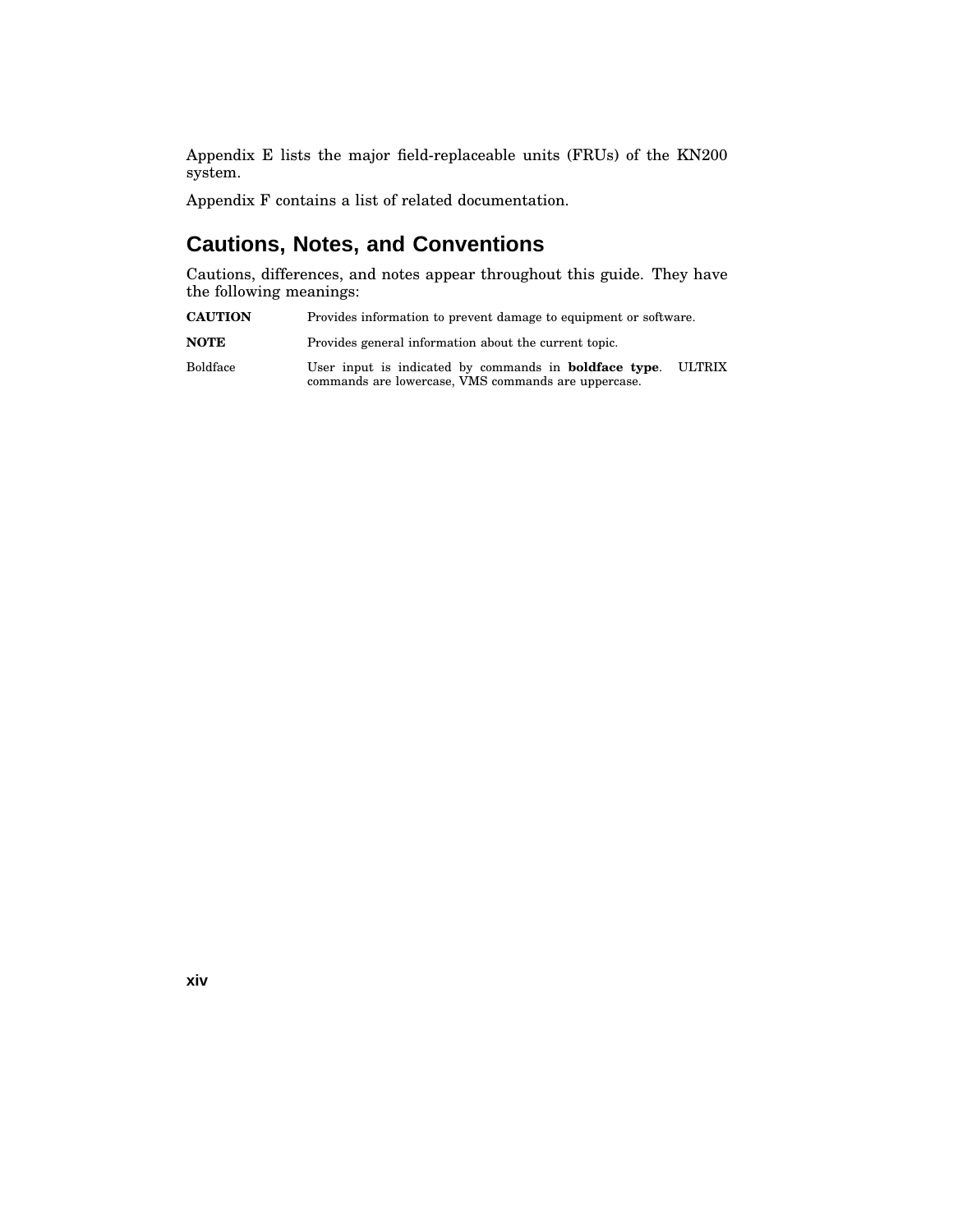Appendix E lists the major field-replaceable units (FRUs) of the KN200 system.

Appendix F contains a list of related documentation.

### **Cautions, Notes, and Conventions**

Cautions, differences, and notes appear throughout this guide. They have the following meanings:

**CAUTION** Provides information to prevent damage to equipment or software.

**NOTE** Provides general information about the current topic.

Boldface User input is indicated by commands in **boldface type**. ULTRIX commands are lowercase, VMS commands are uppercase.

**xiv**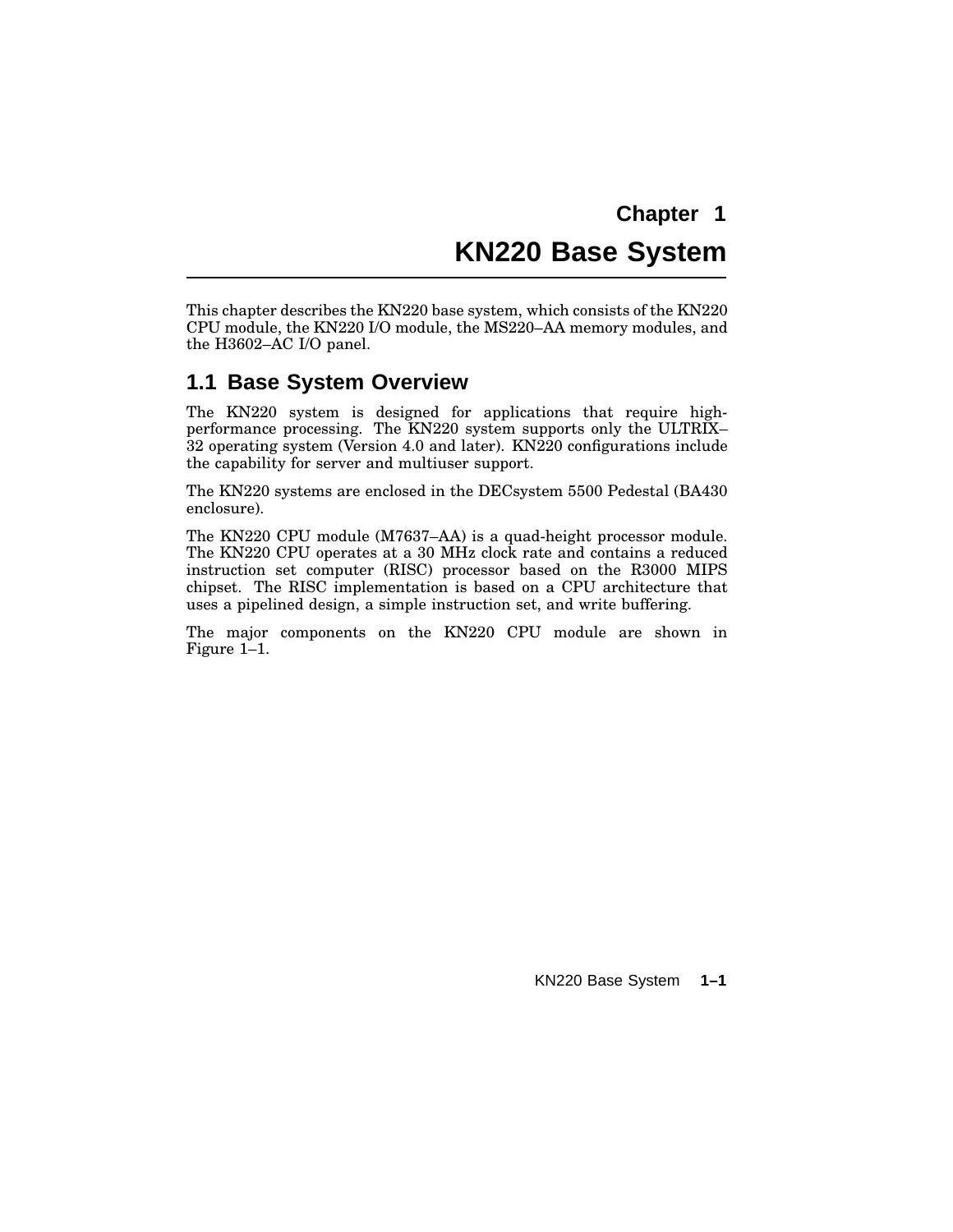# **Chapter 1 KN220 Base System**

This chapter describes the KN220 base system, which consists of the KN220 CPU module, the KN220 I/O module, the MS220–AA memory modules, and the H3602–AC I/O panel.

#### **1.1 Base System Overview**

The KN220 system is designed for applications that require highperformance processing. The KN220 system supports only the ULTRIX– 32 operating system (Version 4.0 and later). KN220 configurations include the capability for server and multiuser support.

The KN220 systems are enclosed in the DECsystem 5500 Pedestal (BA430 enclosure).

The KN220 CPU module (M7637–AA) is a quad-height processor module. The KN220 CPU operates at a 30 MHz clock rate and contains a reduced instruction set computer (RISC) processor based on the R3000 MIPS chipset. The RISC implementation is based on a CPU architecture that uses a pipelined design, a simple instruction set, and write buffering.

The major components on the KN220 CPU module are shown in Figure 1–1.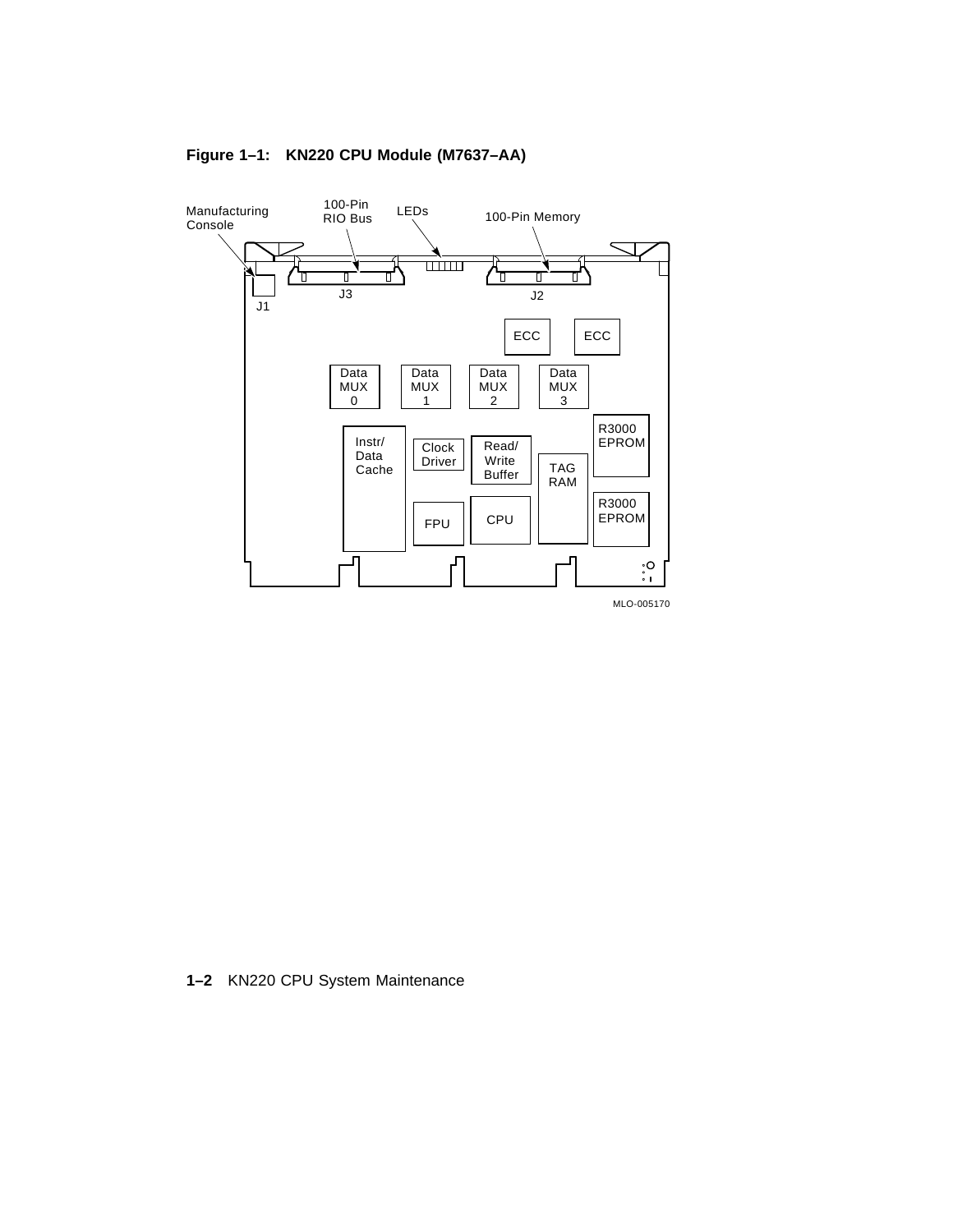

#### **Figure 1–1: KN220 CPU Module (M7637–AA)**

**1–2** KN220 CPU System Maintenance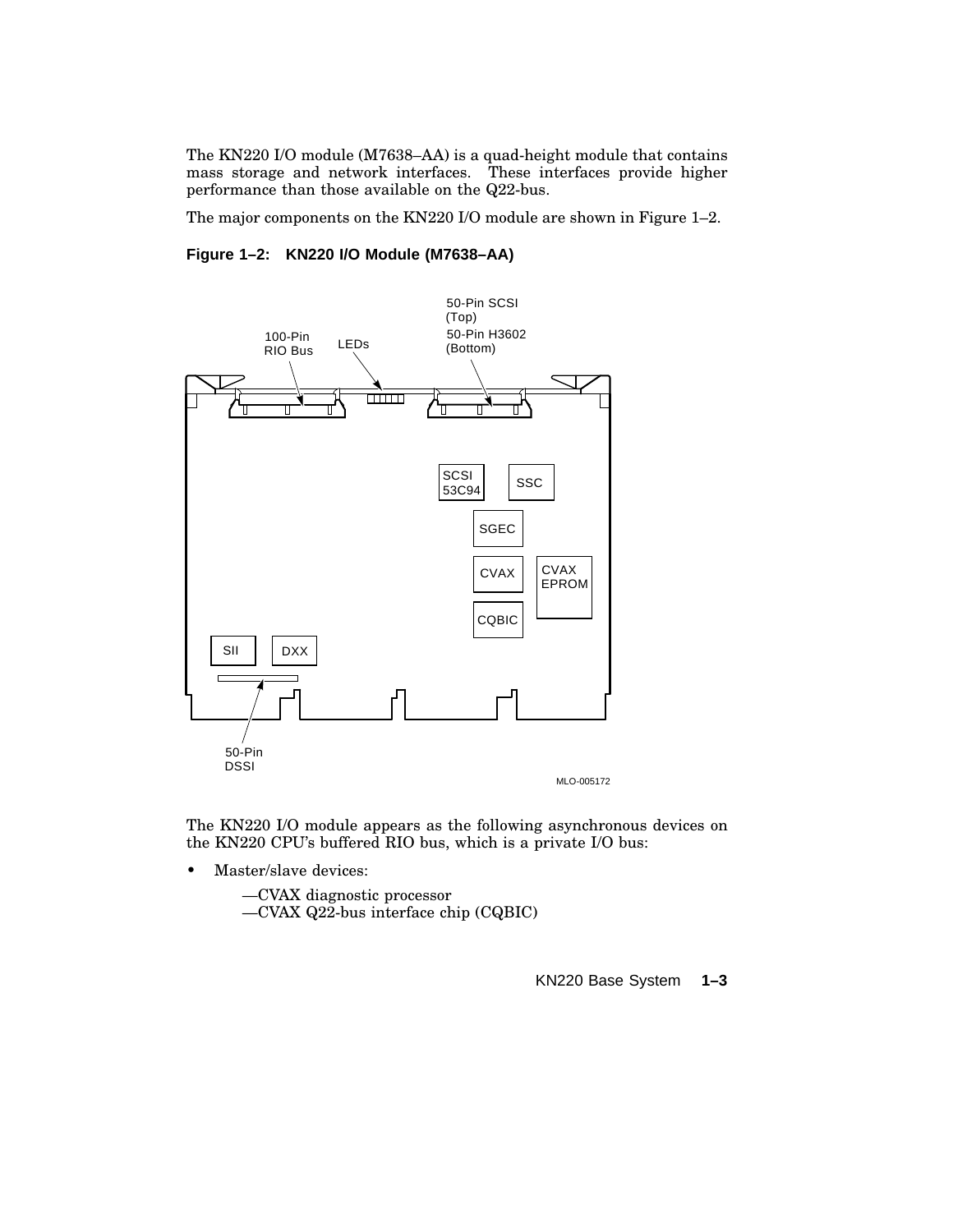The KN220 I/O module (M7638–AA) is a quad-height module that contains mass storage and network interfaces. These interfaces provide higher performance than those available on the Q22-bus.

The major components on the KN220 I/O module are shown in Figure 1–2.

#### **Figure 1–2: KN220 I/O Module (M7638–AA)**



The KN220 I/O module appears as the following asynchronous devices on the KN220 CPU's buffered RIO bus, which is a private I/O bus:

• Master/slave devices:

—CVAX diagnostic processor —CVAX Q22-bus interface chip (CQBIC)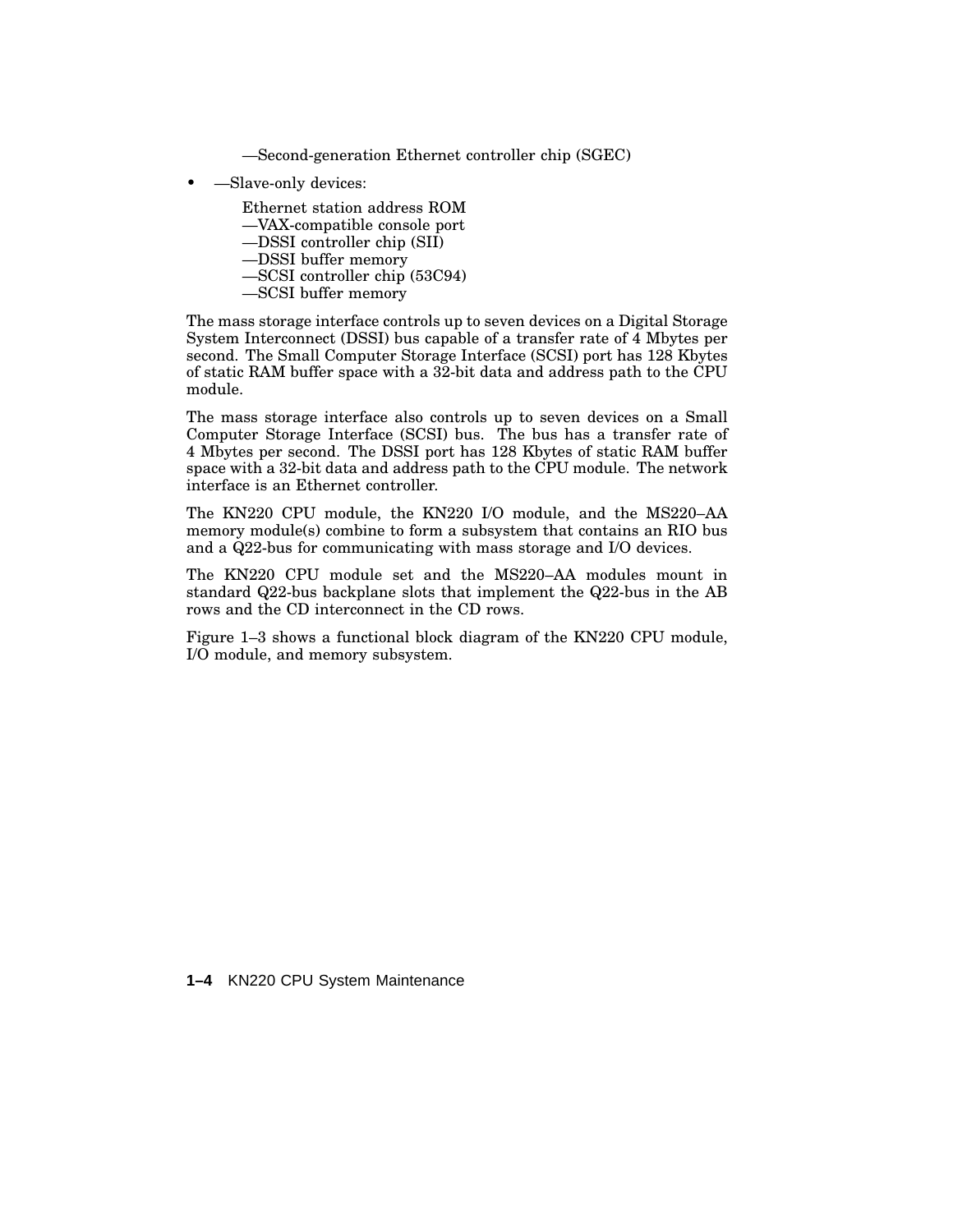—Second-generation Ethernet controller chip (SGEC)

- —Slave-only devices:
	- Ethernet station address ROM
	- —VAX-compatible console port
	- —DSSI controller chip (SII)
	- —DSSI buffer memory
	- —SCSI controller chip (53C94)
	- —SCSI buffer memory

The mass storage interface controls up to seven devices on a Digital Storage System Interconnect (DSSI) bus capable of a transfer rate of 4 Mbytes per second. The Small Computer Storage Interface (SCSI) port has 128 Kbytes of static RAM buffer space with a 32-bit data and address path to the CPU module.

The mass storage interface also controls up to seven devices on a Small Computer Storage Interface (SCSI) bus. The bus has a transfer rate of 4 Mbytes per second. The DSSI port has 128 Kbytes of static RAM buffer space with a 32-bit data and address path to the CPU module. The network interface is an Ethernet controller.

The KN220 CPU module, the KN220 I/O module, and the MS220–AA memory module(s) combine to form a subsystem that contains an RIO bus and a Q22-bus for communicating with mass storage and I/O devices.

The KN220 CPU module set and the MS220–AA modules mount in standard Q22-bus backplane slots that implement the Q22-bus in the AB rows and the CD interconnect in the CD rows.

Figure 1–3 shows a functional block diagram of the KN220 CPU module, I/O module, and memory subsystem.

**1–4** KN220 CPU System Maintenance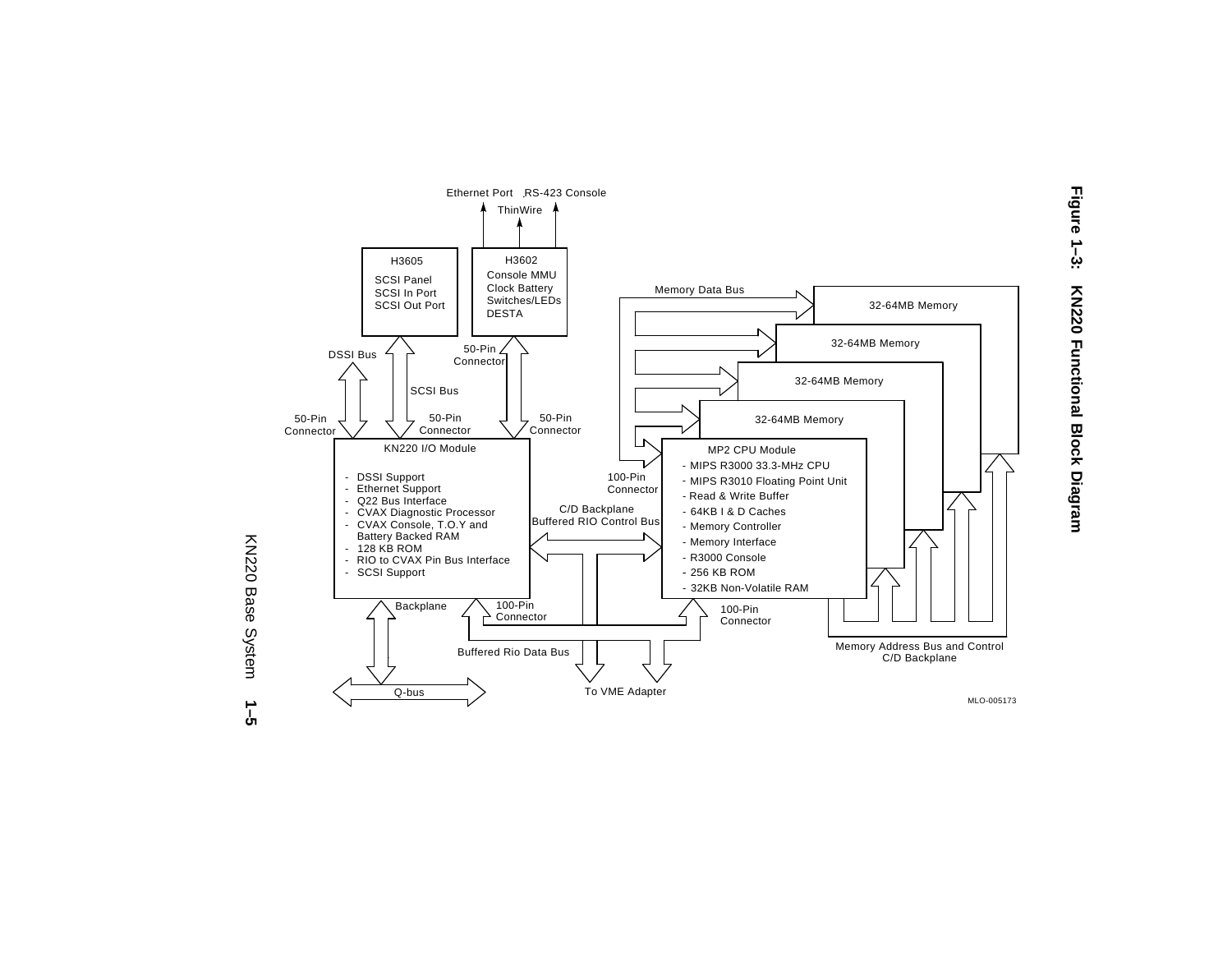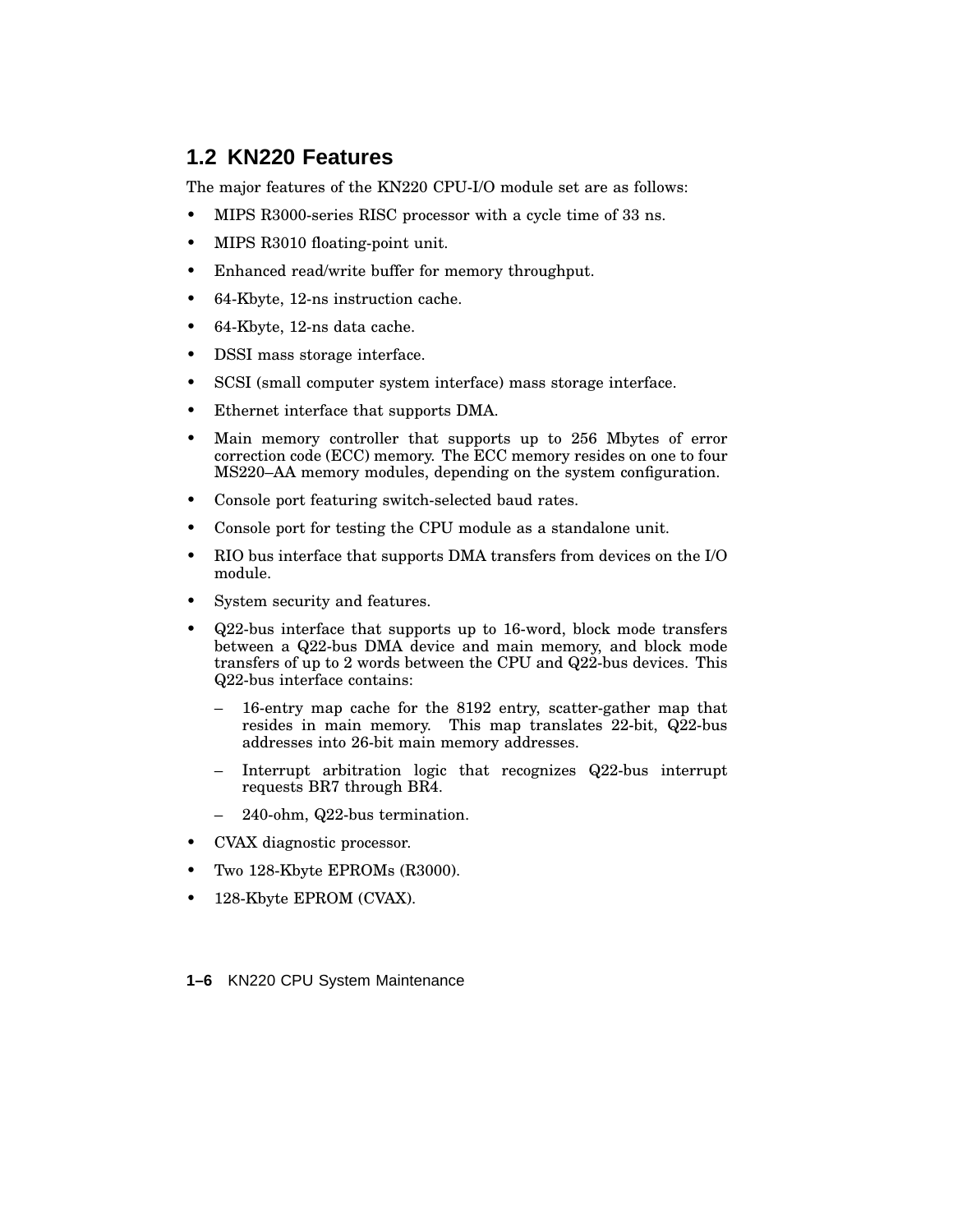### **1.2 KN220 Features**

The major features of the KN220 CPU-I/O module set are as follows:

- MIPS R3000-series RISC processor with a cycle time of 33 ns.
- MIPS R3010 floating-point unit.
- Enhanced read/write buffer for memory throughput.
- 64-Kbyte, 12-ns instruction cache.
- 64-Kbyte, 12-ns data cache.
- DSSI mass storage interface.
- SCSI (small computer system interface) mass storage interface.
- Ethernet interface that supports DMA.
- Main memory controller that supports up to 256 Mbytes of error correction code (ECC) memory. The ECC memory resides on one to four MS220–AA memory modules, depending on the system configuration.
- Console port featuring switch-selected baud rates.
- Console port for testing the CPU module as a standalone unit.
- RIO bus interface that supports DMA transfers from devices on the I/O module.
- System security and features.
- Q22-bus interface that supports up to 16-word, block mode transfers between a Q22-bus DMA device and main memory, and block mode transfers of up to 2 words between the CPU and Q22-bus devices. This Q22-bus interface contains:
	- 16-entry map cache for the 8192 entry, scatter-gather map that resides in main memory. This map translates 22-bit, Q22-bus addresses into 26-bit main memory addresses.
	- Interrupt arbitration logic that recognizes Q22-bus interrupt requests BR7 through BR4.
	- 240-ohm, Q22-bus termination.
- CVAX diagnostic processor.
- Two 128-Kbyte EPROMs (R3000).
- 128-Kbyte EPROM (CVAX).

**1–6** KN220 CPU System Maintenance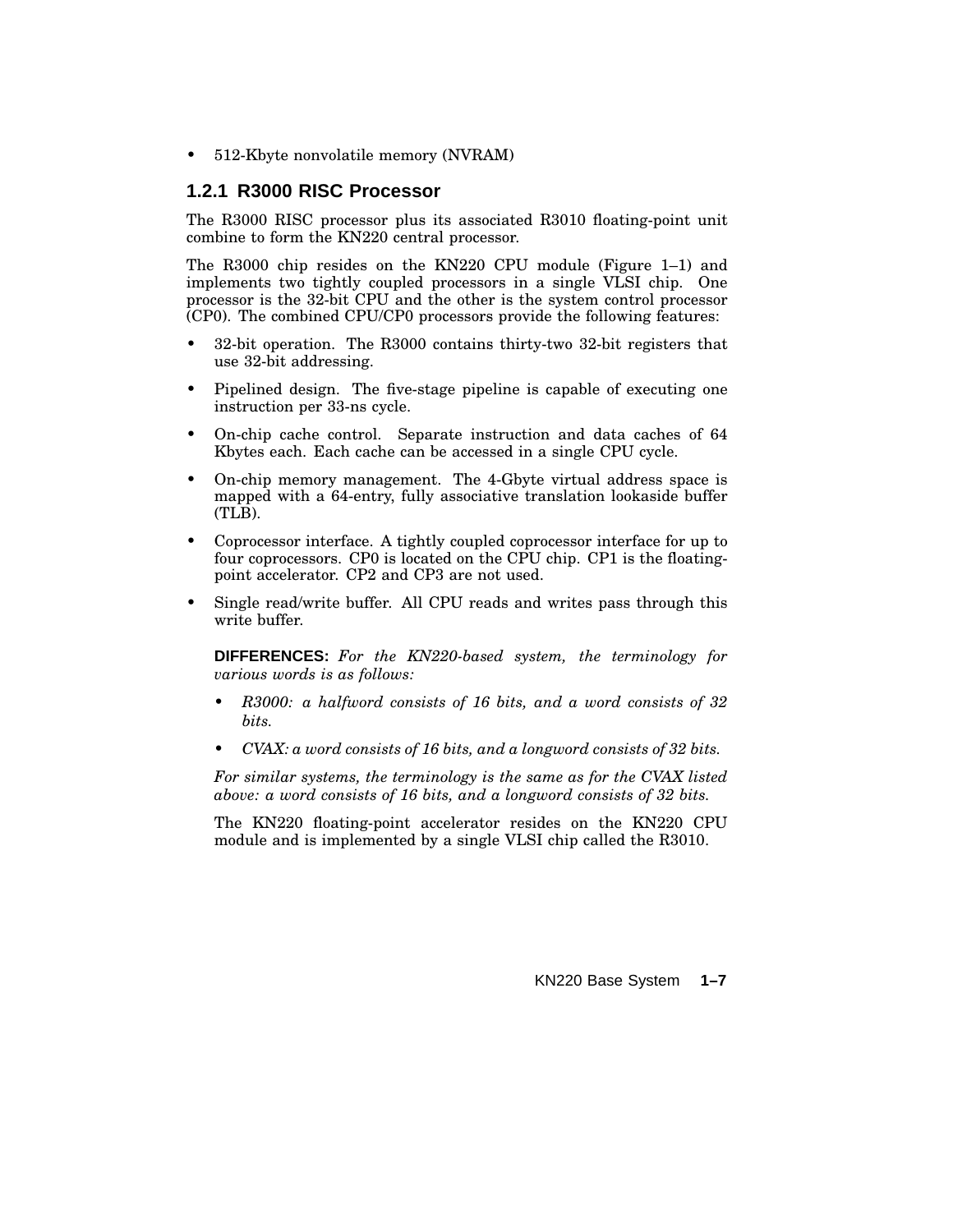• 512-Kbyte nonvolatile memory (NVRAM)

#### **1.2.1 R3000 RISC Processor**

The R3000 RISC processor plus its associated R3010 floating-point unit combine to form the KN220 central processor.

The R3000 chip resides on the KN220 CPU module (Figure 1–1) and implements two tightly coupled processors in a single VLSI chip. One processor is the 32-bit CPU and the other is the system control processor (CP0). The combined CPU/CP0 processors provide the following features:

- 32-bit operation. The R3000 contains thirty-two 32-bit registers that use 32-bit addressing.
- Pipelined design. The five-stage pipeline is capable of executing one instruction per 33-ns cycle.
- On-chip cache control. Separate instruction and data caches of 64 Kbytes each. Each cache can be accessed in a single CPU cycle.
- On-chip memory management. The 4-Gbyte virtual address space is mapped with a 64-entry, fully associative translation lookaside buffer (TLB).
- Coprocessor interface. A tightly coupled coprocessor interface for up to four coprocessors. CP0 is located on the CPU chip. CP1 is the floatingpoint accelerator. CP2 and CP3 are not used.
- Single read/write buffer. All CPU reads and writes pass through this write buffer.

**DIFFERENCES:** *For the KN220-based system, the terminology for various words is as follows:*

- *• R3000: a halfword consists of 16 bits, and a word consists of 32 bits.*
- *• CVAX: a word consists of 16 bits, and a longword consists of 32 bits.*

*For similar systems, the terminology is the same as for the CVAX listed above: a word consists of 16 bits, and a longword consists of 32 bits.*

The KN220 floating-point accelerator resides on the KN220 CPU module and is implemented by a single VLSI chip called the R3010.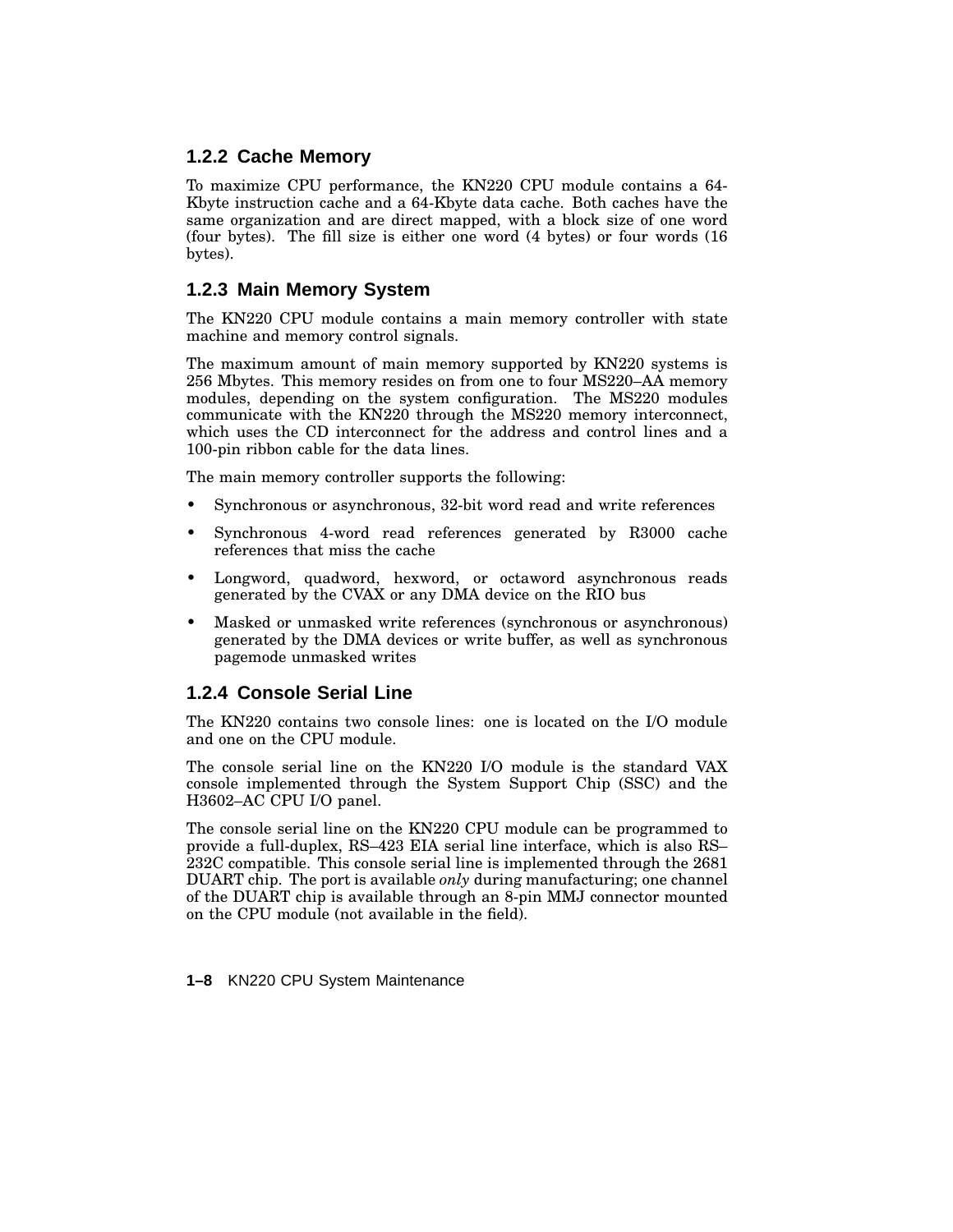#### **1.2.2 Cache Memory**

To maximize CPU performance, the KN220 CPU module contains a 64- Kbyte instruction cache and a 64-Kbyte data cache. Both caches have the same organization and are direct mapped, with a block size of one word (four bytes). The fill size is either one word (4 bytes) or four words (16 bytes).

#### **1.2.3 Main Memory System**

The KN220 CPU module contains a main memory controller with state machine and memory control signals.

The maximum amount of main memory supported by KN220 systems is 256 Mbytes. This memory resides on from one to four MS220–AA memory modules, depending on the system configuration. The MS220 modules communicate with the KN220 through the MS220 memory interconnect, which uses the CD interconnect for the address and control lines and a 100-pin ribbon cable for the data lines.

The main memory controller supports the following:

- Synchronous or asynchronous, 32-bit word read and write references
- Synchronous 4-word read references generated by R3000 cache references that miss the cache
- Longword, quadword, hexword, or octaword asynchronous reads generated by the CVAX or any DMA device on the RIO bus
- Masked or unmasked write references (synchronous or asynchronous) generated by the DMA devices or write buffer, as well as synchronous pagemode unmasked writes

#### **1.2.4 Console Serial Line**

The KN220 contains two console lines: one is located on the I/O module and one on the CPU module.

The console serial line on the KN220 I/O module is the standard VAX console implemented through the System Support Chip (SSC) and the H3602–AC CPU I/O panel.

The console serial line on the KN220 CPU module can be programmed to provide a full-duplex, RS–423 EIA serial line interface, which is also RS– 232C compatible. This console serial line is implemented through the 2681 DUART chip. The port is available *only* during manufacturing; one channel of the DUART chip is available through an 8-pin MMJ connector mounted on the CPU module (not available in the field).

**1–8** KN220 CPU System Maintenance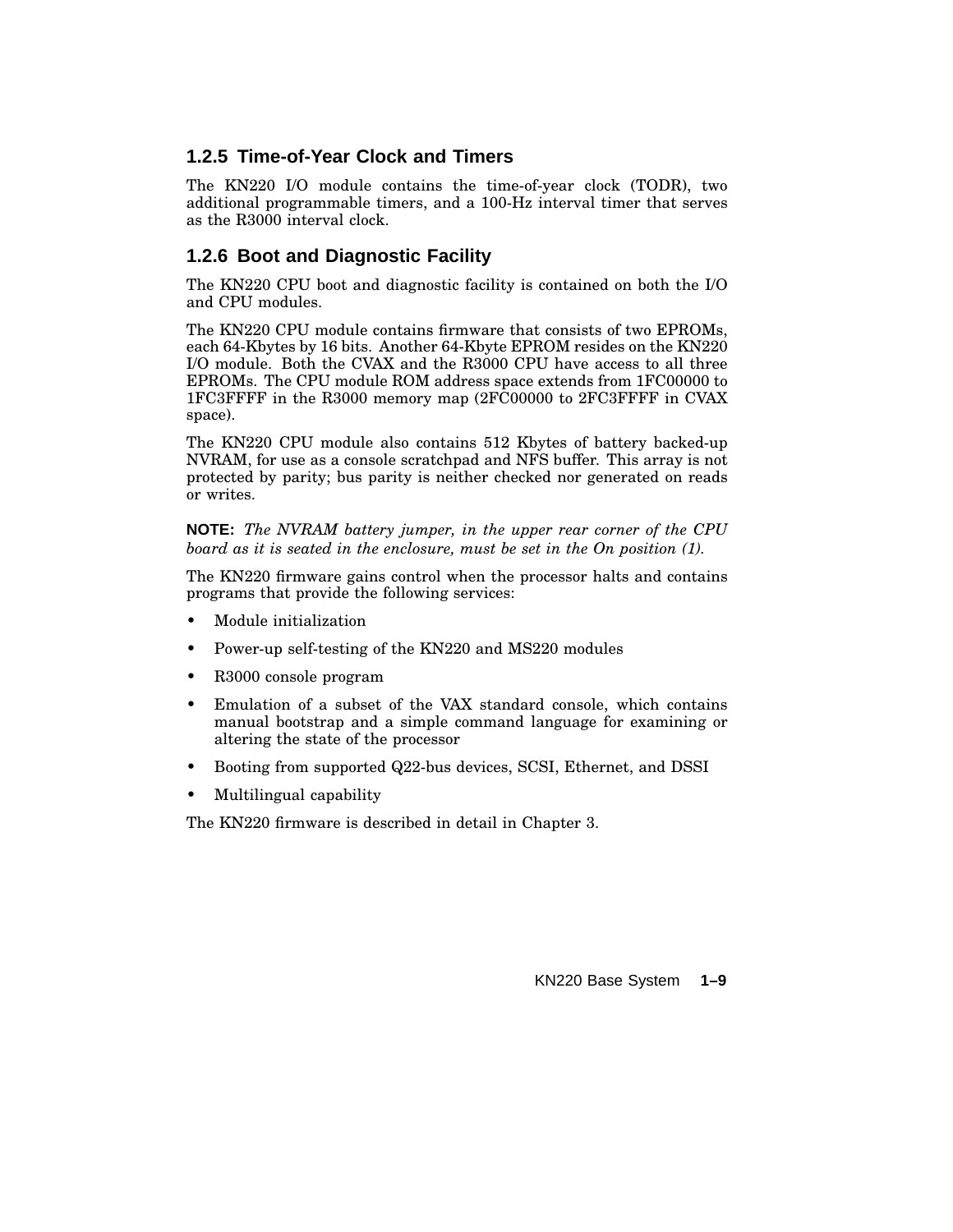#### **1.2.5 Time-of-Year Clock and Timers**

The KN220 I/O module contains the time-of-year clock (TODR), two additional programmable timers, and a 100-Hz interval timer that serves as the R3000 interval clock.

#### **1.2.6 Boot and Diagnostic Facility**

The KN220 CPU boot and diagnostic facility is contained on both the I/O and CPU modules.

The KN220 CPU module contains firmware that consists of two EPROMs, each 64-Kbytes by 16 bits. Another 64-Kbyte EPROM resides on the KN220 I/O module. Both the CVAX and the R3000 CPU have access to all three EPROMs. The CPU module ROM address space extends from 1FC00000 to 1FC3FFFF in the R3000 memory map (2FC00000 to 2FC3FFFF in CVAX space).

The KN220 CPU module also contains 512 Kbytes of battery backed-up NVRAM, for use as a console scratchpad and NFS buffer. This array is not protected by parity; bus parity is neither checked nor generated on reads or writes.

**NOTE:** *The NVRAM battery jumper, in the upper rear corner of the CPU board as it is seated in the enclosure, must be set in the On position (1).*

The KN220 firmware gains control when the processor halts and contains programs that provide the following services:

- Module initialization
- Power-up self-testing of the KN220 and MS220 modules
- R3000 console program
- Emulation of a subset of the VAX standard console, which contains manual bootstrap and a simple command language for examining or altering the state of the processor
- Booting from supported Q22-bus devices, SCSI, Ethernet, and DSSI
- Multilingual capability

The KN220 firmware is described in detail in Chapter 3.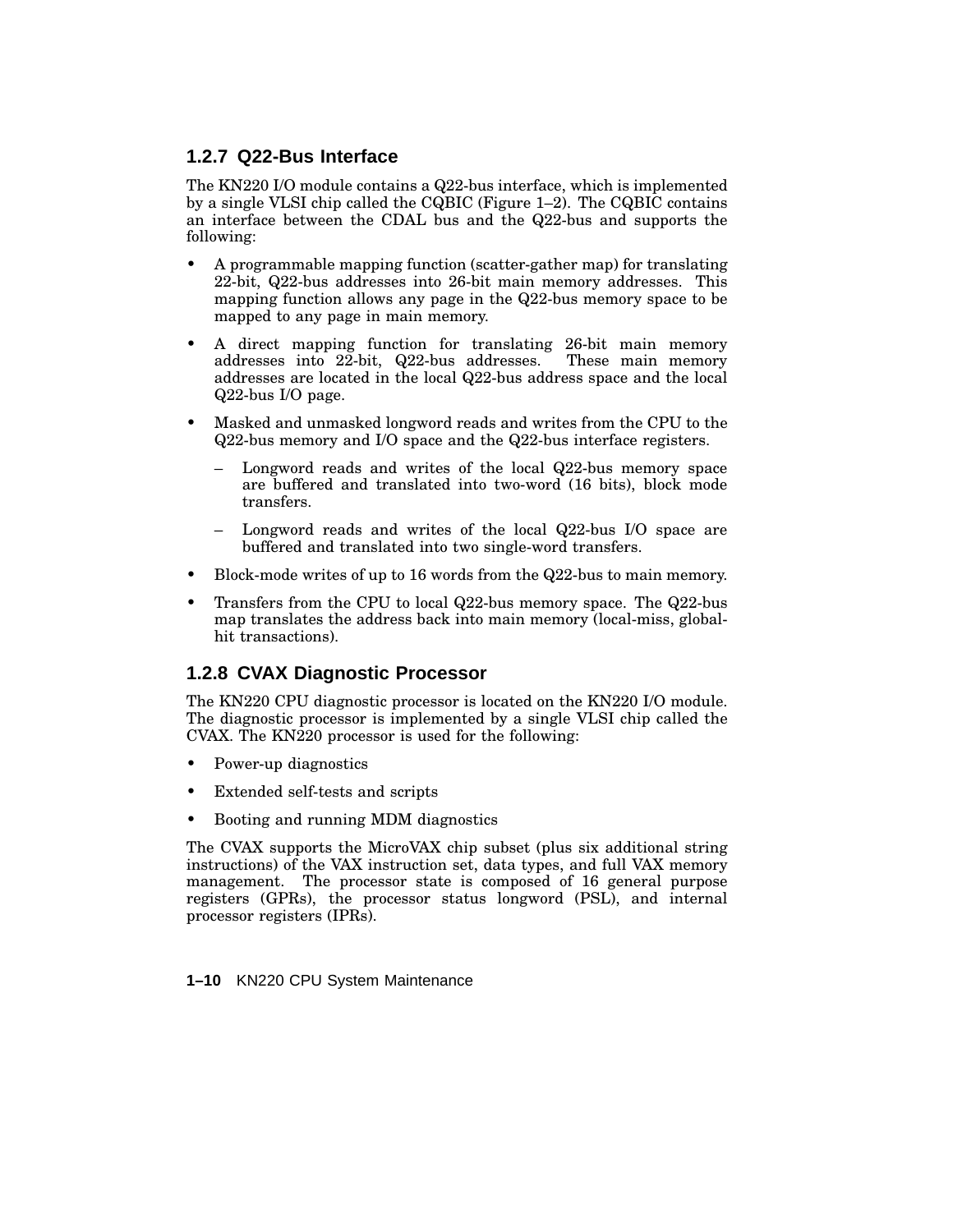#### **1.2.7 Q22-Bus Interface**

The KN220 I/O module contains a Q22-bus interface, which is implemented by a single VLSI chip called the CQBIC (Figure 1–2). The CQBIC contains an interface between the CDAL bus and the Q22-bus and supports the following:

- A programmable mapping function (scatter-gather map) for translating 22-bit, Q22-bus addresses into 26-bit main memory addresses. This mapping function allows any page in the Q22-bus memory space to be mapped to any page in main memory.
- A direct mapping function for translating 26-bit main memory addresses into 22-bit, Q22-bus addresses. These main memory addresses into  $22$ -bit,  $Q22$ -bus addresses. addresses are located in the local Q22-bus address space and the local Q22-bus I/O page.
- Masked and unmasked longword reads and writes from the CPU to the Q22-bus memory and I/O space and the Q22-bus interface registers.
	- Longword reads and writes of the local Q22-bus memory space are buffered and translated into two-word (16 bits), block mode transfers.
	- Longword reads and writes of the local Q22-bus I/O space are buffered and translated into two single-word transfers.
- Block-mode writes of up to 16 words from the Q22-bus to main memory.
- Transfers from the CPU to local Q22-bus memory space. The Q22-bus map translates the address back into main memory (local-miss, globalhit transactions).

#### **1.2.8 CVAX Diagnostic Processor**

The KN220 CPU diagnostic processor is located on the KN220 I/O module. The diagnostic processor is implemented by a single VLSI chip called the CVAX. The KN220 processor is used for the following:

- Power-up diagnostics
- Extended self-tests and scripts
- Booting and running MDM diagnostics

The CVAX supports the MicroVAX chip subset (plus six additional string instructions) of the VAX instruction set, data types, and full VAX memory management. The processor state is composed of 16 general purpose registers (GPRs), the processor status longword (PSL), and internal processor registers (IPRs).

**1–10** KN220 CPU System Maintenance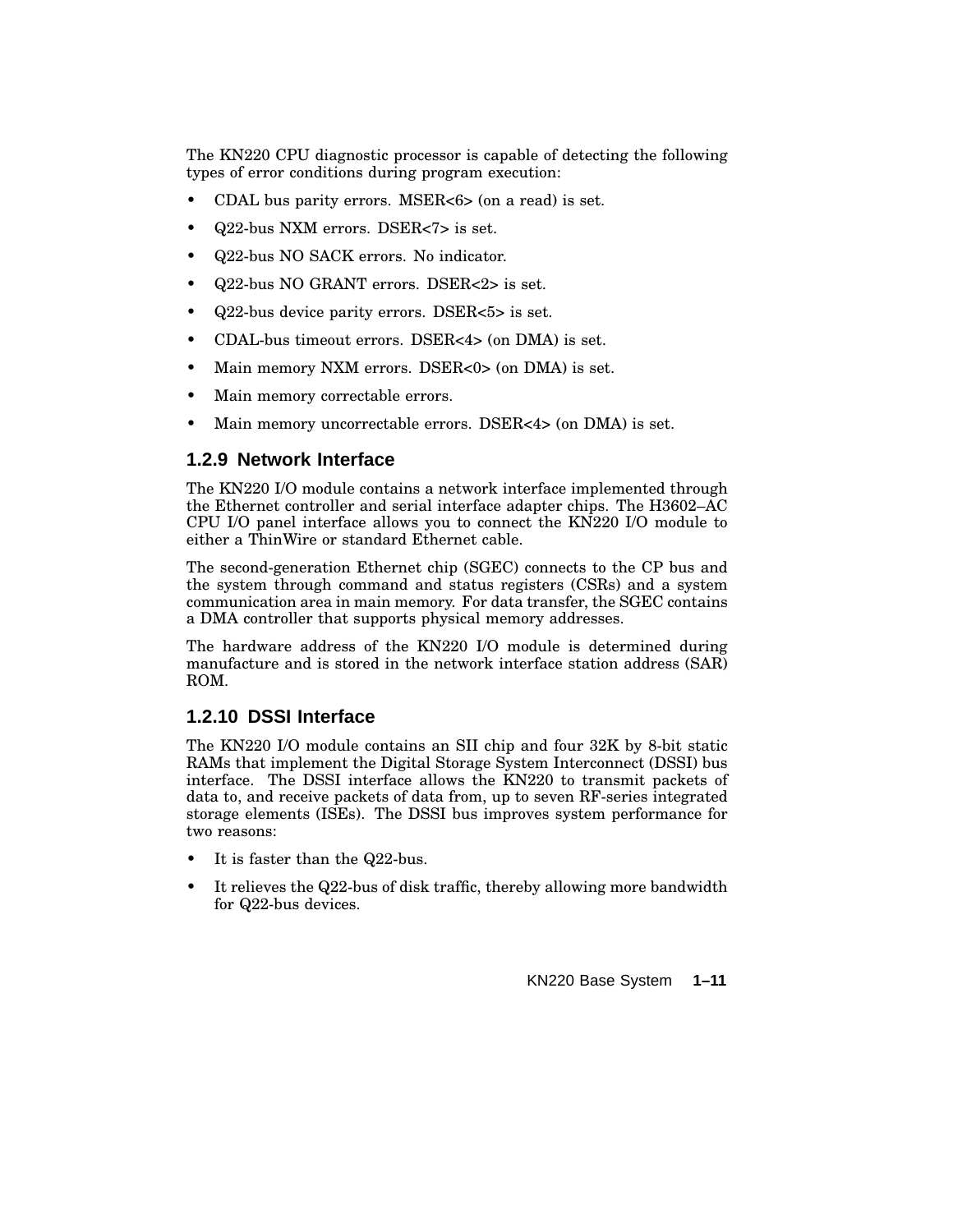The KN220 CPU diagnostic processor is capable of detecting the following types of error conditions during program execution:

- CDAL bus parity errors. MSER<6> (on a read) is set.
- Q22-bus NXM errors. DSER<7> is set.
- Q22-bus NO SACK errors. No indicator.
- Q22-bus NO GRANT errors. DSER<2> is set.
- Q22-bus device parity errors. DSER<5> is set.
- CDAL-bus timeout errors. DSER<4> (on DMA) is set.
- Main memory NXM errors. DSER<0> (on DMA) is set.
- Main memory correctable errors.
- Main memory uncorrectable errors. DSER<4>>>>>> (on DMA) is set.

#### **1.2.9 Network Interface**

The KN220 I/O module contains a network interface implemented through the Ethernet controller and serial interface adapter chips. The H3602–AC CPU I/O panel interface allows you to connect the KN220 I/O module to either a ThinWire or standard Ethernet cable.

The second-generation Ethernet chip (SGEC) connects to the CP bus and the system through command and status registers (CSRs) and a system communication area in main memory. For data transfer, the SGEC contains a DMA controller that supports physical memory addresses.

The hardware address of the KN220 I/O module is determined during manufacture and is stored in the network interface station address  $(SAR)$ ROM.

#### **1.2.10 DSSI Interface**

The KN220 I/O module contains an SII chip and four 32K by 8-bit static RAMs that implement the Digital Storage System Interconnect (DSSI) bus interface. The DSSI interface allows the KN220 to transmit packets of data to, and receive packets of data from, up to seven RF-series integrated storage elements (ISEs). The DSSI bus improves system performance for two reasons:

- It is faster than the Q22-bus.
- It relieves the Q22-bus of disk traffic, thereby allowing more bandwidth for Q22-bus devices.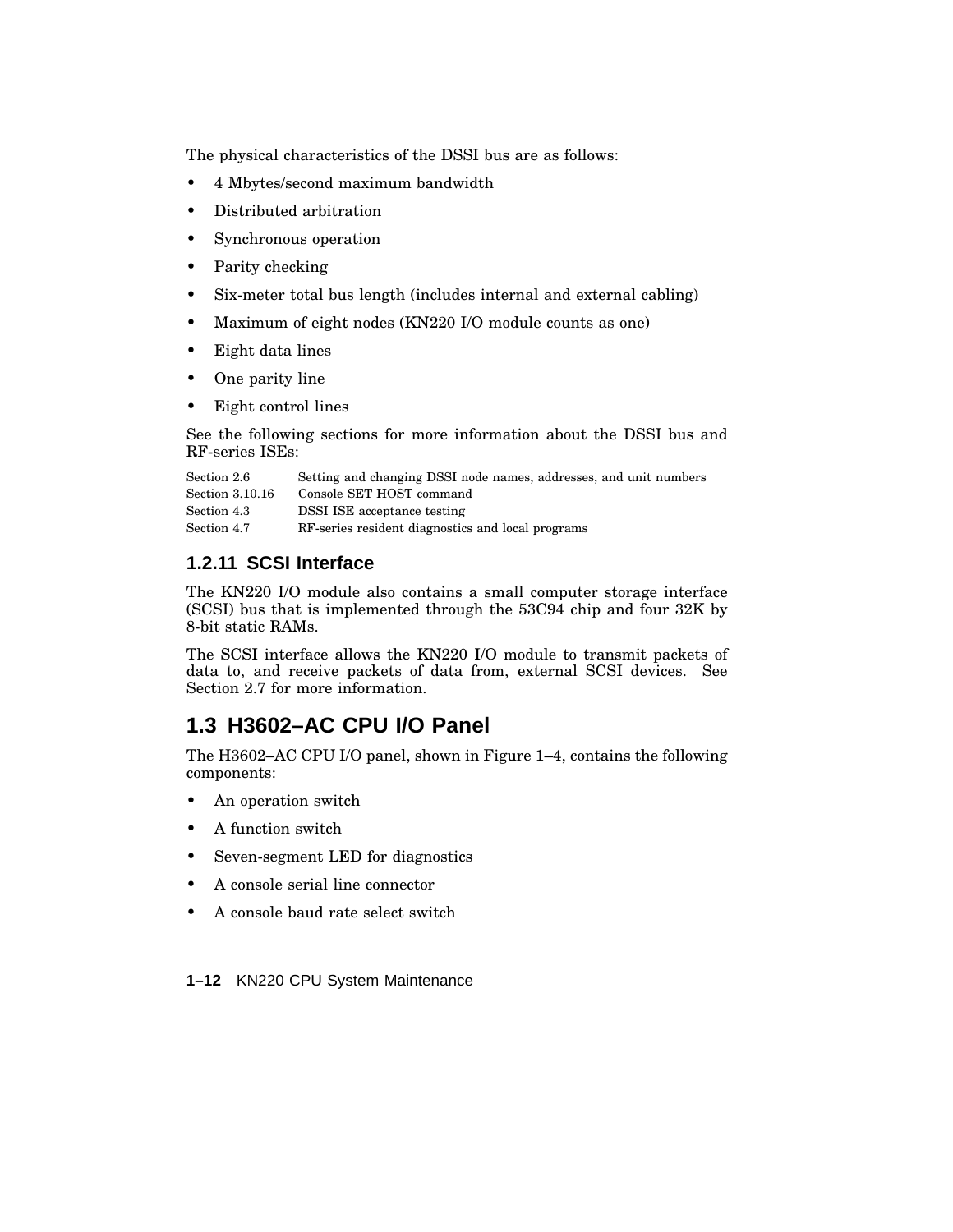The physical characteristics of the DSSI bus are as follows:

- 4 Mbytes/second maximum bandwidth
- Distributed arbitration
- Synchronous operation
- Parity checking
- Six-meter total bus length (includes internal and external cabling)
- Maximum of eight nodes (KN220 I/O module counts as one)
- Eight data lines
- One parity line
- Eight control lines

See the following sections for more information about the DSSI bus and RF-series ISEs:

| Section 2.6     | Setting and changing DSSI node names, addresses, and unit numbers |
|-----------------|-------------------------------------------------------------------|
| Section 3.10.16 | Console SET HOST command                                          |
| Section 4.3     | <b>DSSI ISE</b> acceptance testing                                |
| Section 4.7     | RF-series resident diagnostics and local programs                 |

#### **1.2.11 SCSI Interface**

The KN220 I/O module also contains a small computer storage interface (SCSI) bus that is implemented through the 53C94 chip and four 32K by 8-bit static RAMs.

The SCSI interface allows the KN220 I/O module to transmit packets of data to, and receive packets of data from, external SCSI devices. See Section 2.7 for more information.

### **1.3 H3602–AC CPU I/O Panel**

The H3602–AC CPU I/O panel, shown in Figure 1–4, contains the following components:

- An operation switch
- A function switch
- Seven-segment LED for diagnostics
- A console serial line connector
- A console baud rate select switch

**1–12** KN220 CPU System Maintenance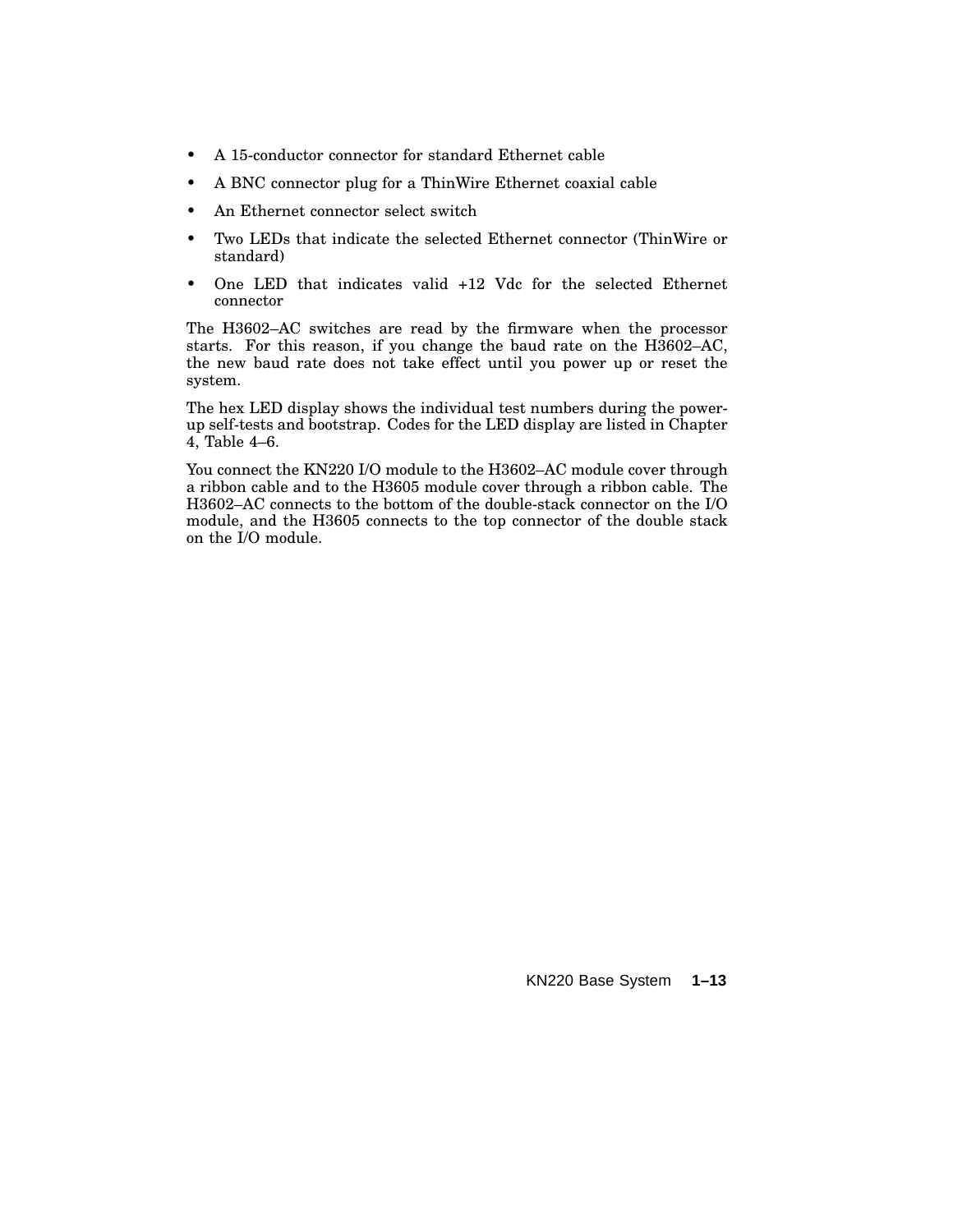- A 15-conductor connector for standard Ethernet cable
- A BNC connector plug for a ThinWire Ethernet coaxial cable
- An Ethernet connector select switch
- Two LEDs that indicate the selected Ethernet connector (ThinWire or standard)
- One LED that indicates valid +12 Vdc for the selected Ethernet connector

The H3602–AC switches are read by the firmware when the processor starts. For this reason, if you change the baud rate on the H3602–AC, the new baud rate does not take effect until you power up or reset the system.

The hex LED display shows the individual test numbers during the powerup self-tests and bootstrap. Codes for the LED display are listed in Chapter 4, Table 4–6.

You connect the KN220 I/O module to the H3602–AC module cover through a ribbon cable and to the H3605 module cover through a ribbon cable. The H3602–AC connects to the bottom of the double-stack connector on the I/O module, and the H3605 connects to the top connector of the double stack on the I/O module.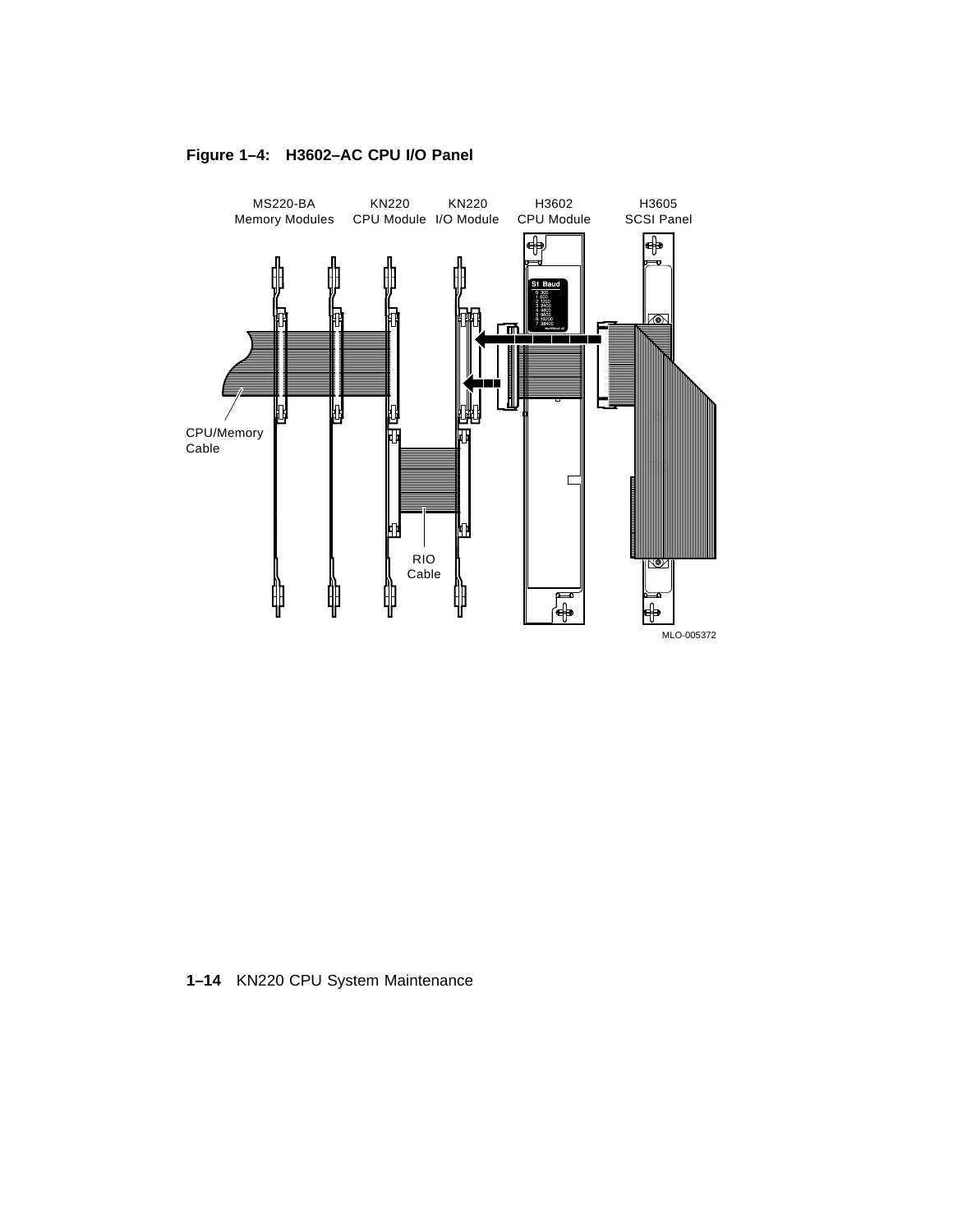

#### **Figure 1–4: H3602–AC CPU I/O Panel**

**1–14** KN220 CPU System Maintenance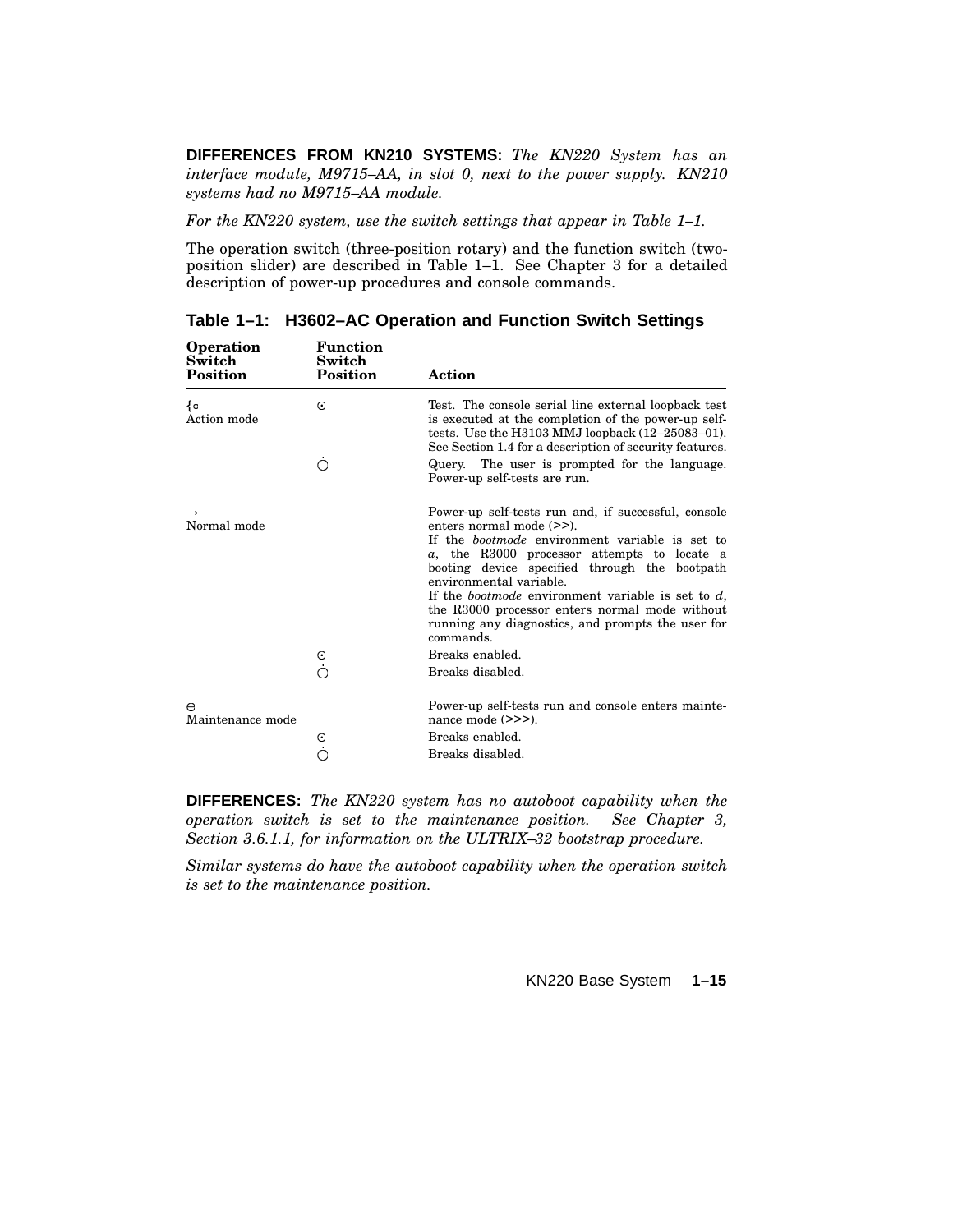**DIFFERENCES FROM KN210 SYSTEMS:** *The KN220 System has an interface module, M9715–AA, in slot 0, next to the power supply. KN210 systems had no M9715–AA module.*

*For the KN220 system, use the switch settings that appear in Table 1–1.*

The operation switch (three-position rotary) and the function switch (twoposition slider) are described in Table 1–1. See Chapter 3 for a detailed description of power-up procedures and console commands.

| <b>Operation</b><br>Switch<br><b>Position</b> | <b>Function</b><br>Switch<br><b>Position</b> | Action                                                                                                                                                                                                                                                                                                                                                                                                                                                    |
|-----------------------------------------------|----------------------------------------------|-----------------------------------------------------------------------------------------------------------------------------------------------------------------------------------------------------------------------------------------------------------------------------------------------------------------------------------------------------------------------------------------------------------------------------------------------------------|
| ₹o<br>Action mode                             | $_{\odot}$                                   | Test. The console serial line external loopback test<br>is executed at the completion of the power-up self-<br>tests. Use the H3103 MMJ loopback $(12-25083-01)$ .<br>See Section 1.4 for a description of security features.                                                                                                                                                                                                                             |
|                                               | ◯                                            | Query. The user is prompted for the language.<br>Power-up self-tests are run.                                                                                                                                                                                                                                                                                                                                                                             |
| Normal mode                                   |                                              | Power-up self-tests run and, if successful, console<br>enters normal mode (>>).<br>If the <i>bootmode</i> environment variable is set to<br>$a$ , the R3000 processor attempts to locate a<br>booting device specified through the bootpath<br>environmental variable.<br>If the <i>bootmode</i> environment variable is set to $d$ ,<br>the R3000 processor enters normal mode without<br>running any diagnostics, and prompts the user for<br>commands. |
|                                               | $_{\odot}$                                   | Breaks enabled.<br>Breaks disabled.                                                                                                                                                                                                                                                                                                                                                                                                                       |
| Æ<br>Maintenance mode                         |                                              | Power-up self-tests run and console enters mainte-<br>nance mode $(\gg)$ ).                                                                                                                                                                                                                                                                                                                                                                               |
|                                               | ⊙                                            | Breaks enabled.<br>Breaks disabled.                                                                                                                                                                                                                                                                                                                                                                                                                       |
|                                               |                                              |                                                                                                                                                                                                                                                                                                                                                                                                                                                           |

**Table 1–1: H3602–AC Operation and Function Switch Settings**

**DIFFERENCES:** *The KN220 system has no autoboot capability when the operation switch is set to the maintenance position. See Chapter 3, Section 3.6.1.1, for information on the ULTRIX–32 bootstrap procedure.*

*Similar systems do have the autoboot capability when the operation switch is set to the maintenance position.*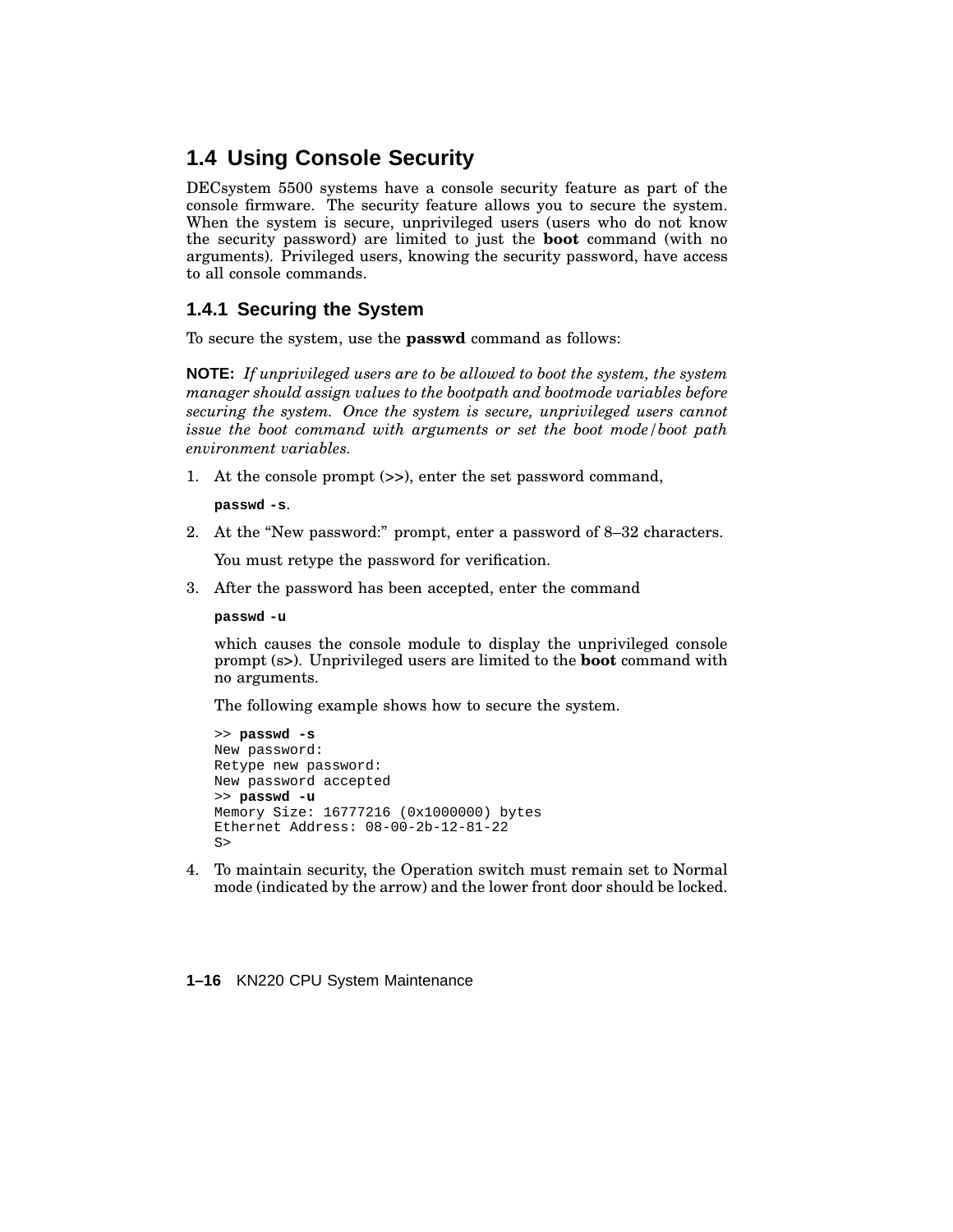## **1.4 Using Console Security**

DECsystem 5500 systems have a console security feature as part of the console firmware. The security feature allows you to secure the system. When the system is secure, unprivileged users (users who do not know the security password) are limited to just the **boot** command (with no arguments). Privileged users, knowing the security password, have access to all console commands.

#### **1.4.1 Securing the System**

To secure the system, use the **passwd** command as follows:

**NOTE:** *If unprivileged users are to be allowed to boot the system, the system manager should assign values to the bootpath and bootmode variables before securing the system. Once the system is secure, unprivileged users cannot issue the boot command with arguments or set the boot mode/boot path environment variables.*

1. At the console prompt (>>), enter the set password command,

**passwd -s**.

2. At the ''New password:'' prompt, enter a password of 8–32 characters.

You must retype the password for verification.

3. After the password has been accepted, enter the command

**passwd -u**

which causes the console module to display the unprivileged console prompt (s>). Unprivileged users are limited to the **boot** command with no arguments.

The following example shows how to secure the system.

```
>> passwd -s
New password:
Retype new password:
New password accepted
>> passwd -u
Memory Size: 16777216 (0x1000000) bytes
Ethernet Address: 08-00-2b-12-81-22
S
```
4. To maintain security, the Operation switch must remain set to Normal mode (indicated by the arrow) and the lower front door should be locked.

**1–16** KN220 CPU System Maintenance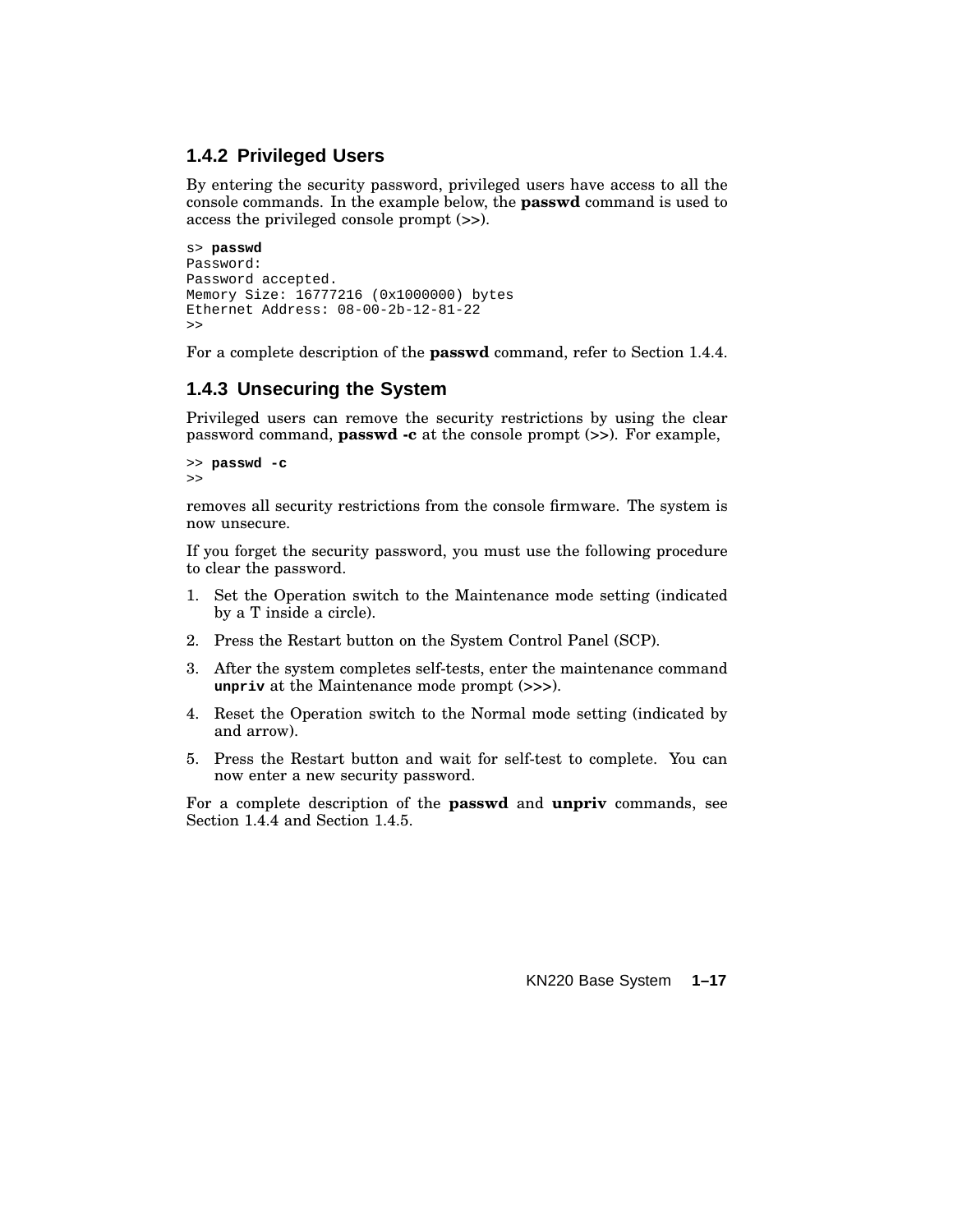#### **1.4.2 Privileged Users**

By entering the security password, privileged users have access to all the console commands. In the example below, the **passwd** command is used to access the privileged console prompt (>>).

```
s> passwd
Password:
Password accepted.
Memory Size: 16777216 (0x1000000) bytes
Ethernet Address: 08-00-2b-12-81-22
>>
```
For a complete description of the **passwd** command, refer to Section 1.4.4.

#### **1.4.3 Unsecuring the System**

Privileged users can remove the security restrictions by using the clear password command, **passwd -c** at the console prompt (>>). For example,

```
>> passwd -c
>>
```
removes all security restrictions from the console firmware. The system is now unsecure.

If you forget the security password, you must use the following procedure to clear the password.

- 1. Set the Operation switch to the Maintenance mode setting (indicated by a T inside a circle).
- 2. Press the Restart button on the System Control Panel (SCP).
- 3. After the system completes self-tests, enter the maintenance command **unpriv** at the Maintenance mode prompt (>>>).
- 4. Reset the Operation switch to the Normal mode setting (indicated by and arrow).
- 5. Press the Restart button and wait for self-test to complete. You can now enter a new security password.

For a complete description of the **passwd** and **unpriv** commands, see Section 1.4.4 and Section 1.4.5.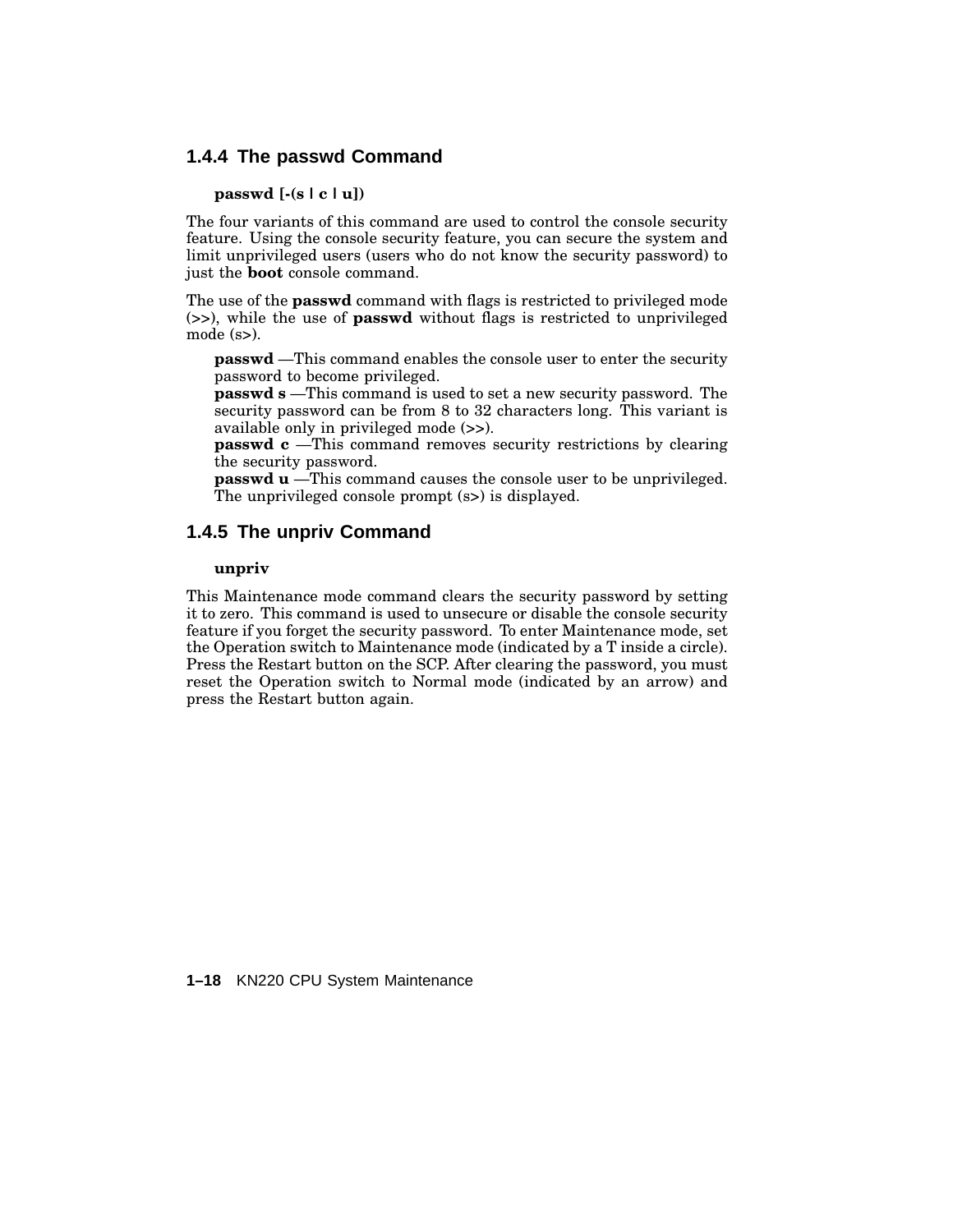#### **1.4.4 The passwd Command**

#### **passwd [-(s | c |u])**

The four variants of this command are used to control the console security feature. Using the console security feature, you can secure the system and limit unprivileged users (users who do not know the security password) to just the **boot** console command.

The use of the **passwd** command with flags is restricted to privileged mode (>>), while the use of **passwd** without flags is restricted to unprivileged mode (s>).

**passwd** —This command enables the console user to enter the security password to become privileged.

**passwd s** —This command is used to set a new security password. The security password can be from 8 to 32 characters long. This variant is available only in privileged mode (>>).

**passwd c** —This command removes security restrictions by clearing the security password.

**passwd u** —This command causes the console user to be unprivileged. The unprivileged console prompt (s>) is displayed.

#### **1.4.5 The unpriv Command**

#### **unpriv**

This Maintenance mode command clears the security password by setting it to zero. This command is used to unsecure or disable the console security feature if you forget the security password. To enter Maintenance mode, set the Operation switch to Maintenance mode (indicated by a T inside a circle). Press the Restart button on the SCP. After clearing the password, you must reset the Operation switch to Normal mode (indicated by an arrow) and press the Restart button again.

**1–18** KN220 CPU System Maintenance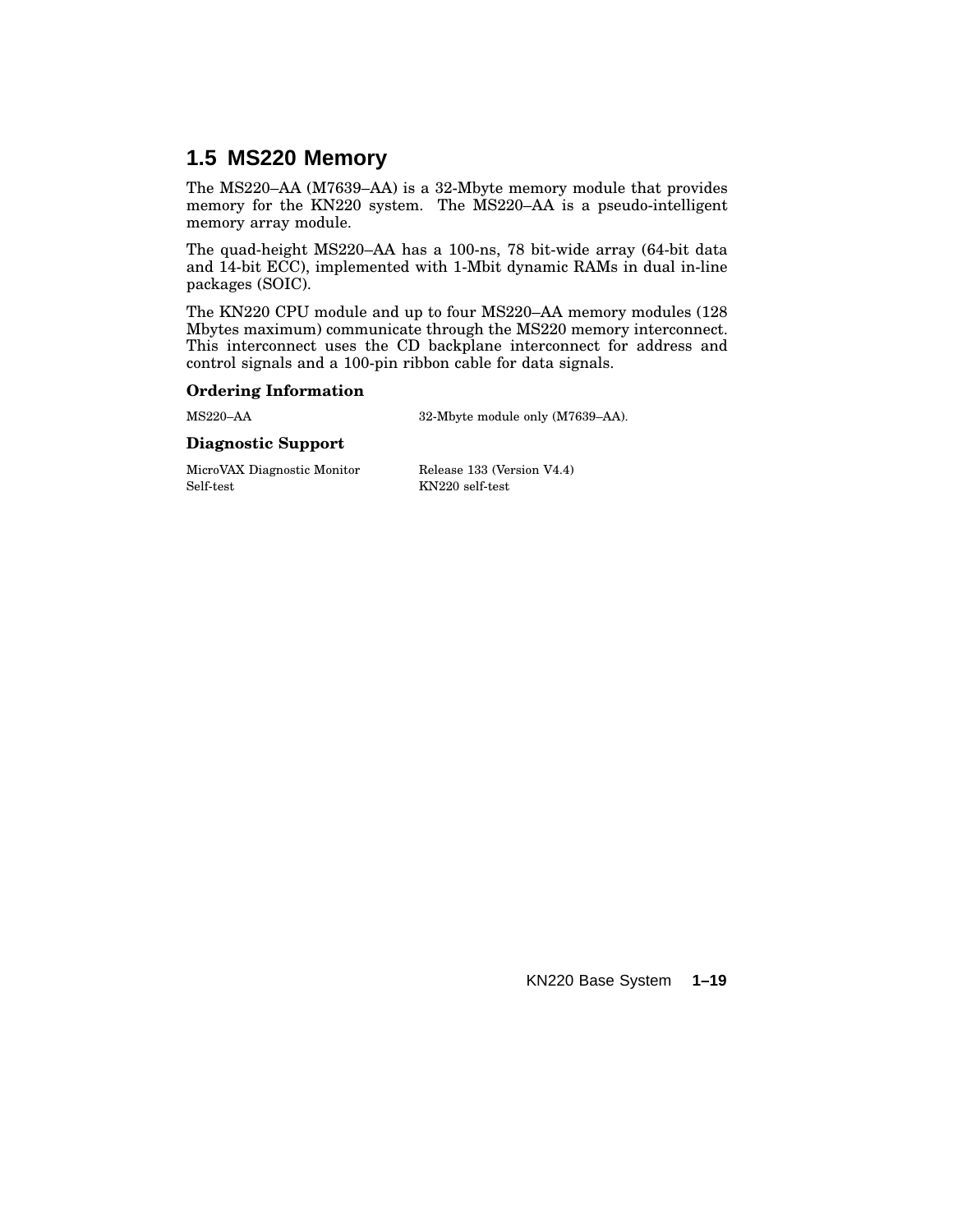### **1.5 MS220 Memory**

The MS220–AA (M7639–AA) is a 32-Mbyte memory module that provides memory for the KN220 system. The MS220–AA is a pseudo-intelligent memory array module.

The quad-height MS220–AA has a 100-ns, 78 bit-wide array (64-bit data and 14-bit ECC), implemented with 1-Mbit dynamic RAMs in dual in-line packages (SOIC).

The KN220 CPU module and up to four MS220–AA memory modules (128 Mbytes maximum) communicate through the MS220 memory interconnect. This interconnect uses the CD backplane interconnect for address and control signals and a 100-pin ribbon cable for data signals.

#### **Ordering Information**

MS220–AA 32-Mbyte module only (M7639–AA).

#### **Diagnostic Support**

MicroVAX Diagnostic Monitor Release 133 (Version V4.4) Self-test KN220 self-test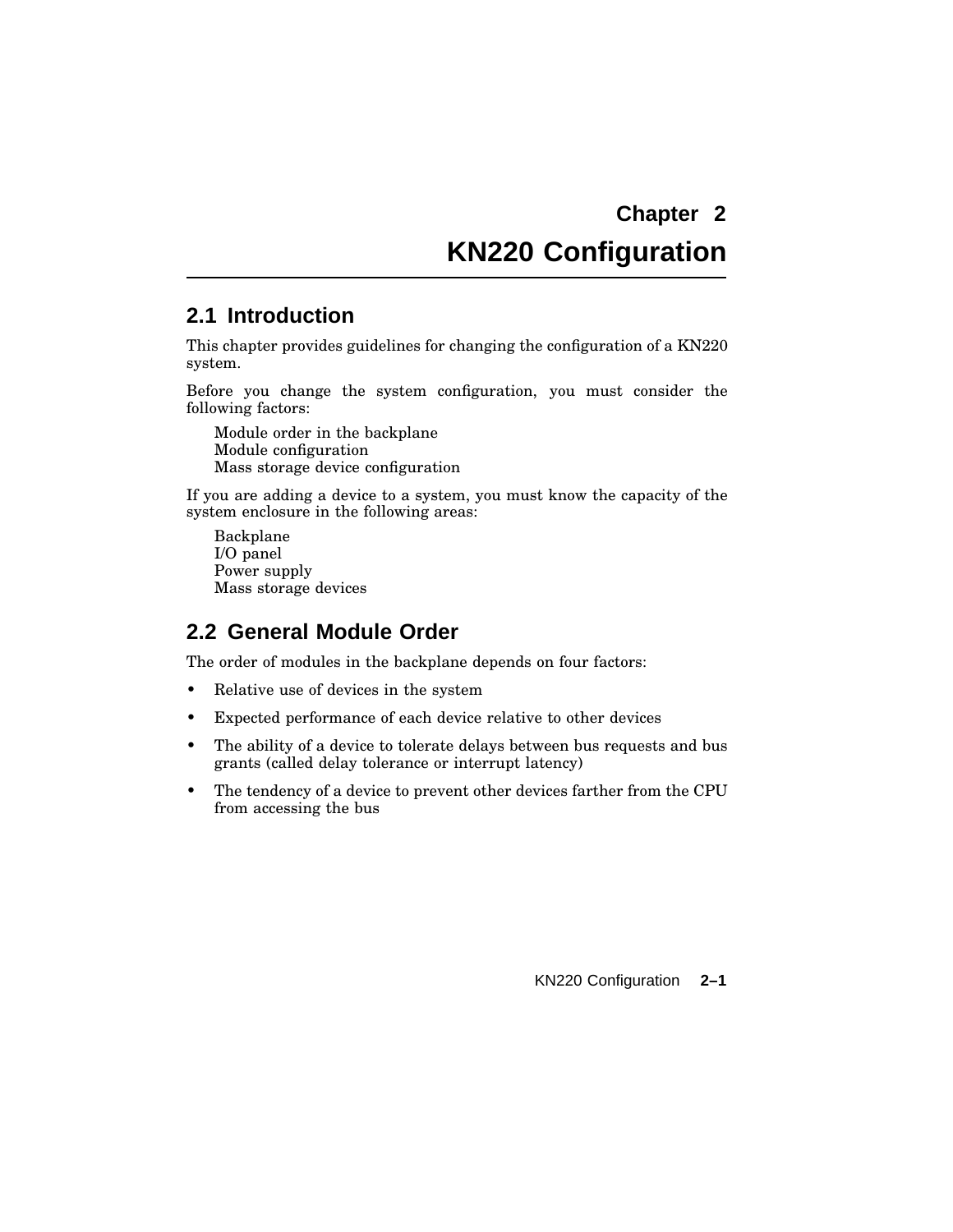# **KN220 Configuration**

#### **2.1 Introduction**

This chapter provides guidelines for changing the configuration of a KN220 system.

Before you change the system configuration, you must consider the following factors:

Module order in the backplane Module configuration Mass storage device configuration

If you are adding a device to a system, you must know the capacity of the system enclosure in the following areas:

Backplane I/O panel Power supply Mass storage devices

#### **2.2 General Module Order**

The order of modules in the backplane depends on four factors:

- Relative use of devices in the system
- Expected performance of each device relative to other devices
- The ability of a device to tolerate delays between bus requests and bus grants (called delay tolerance or interrupt latency)
- The tendency of a device to prevent other devices farther from the CPU from accessing the bus

KN220 Configuration **2–1**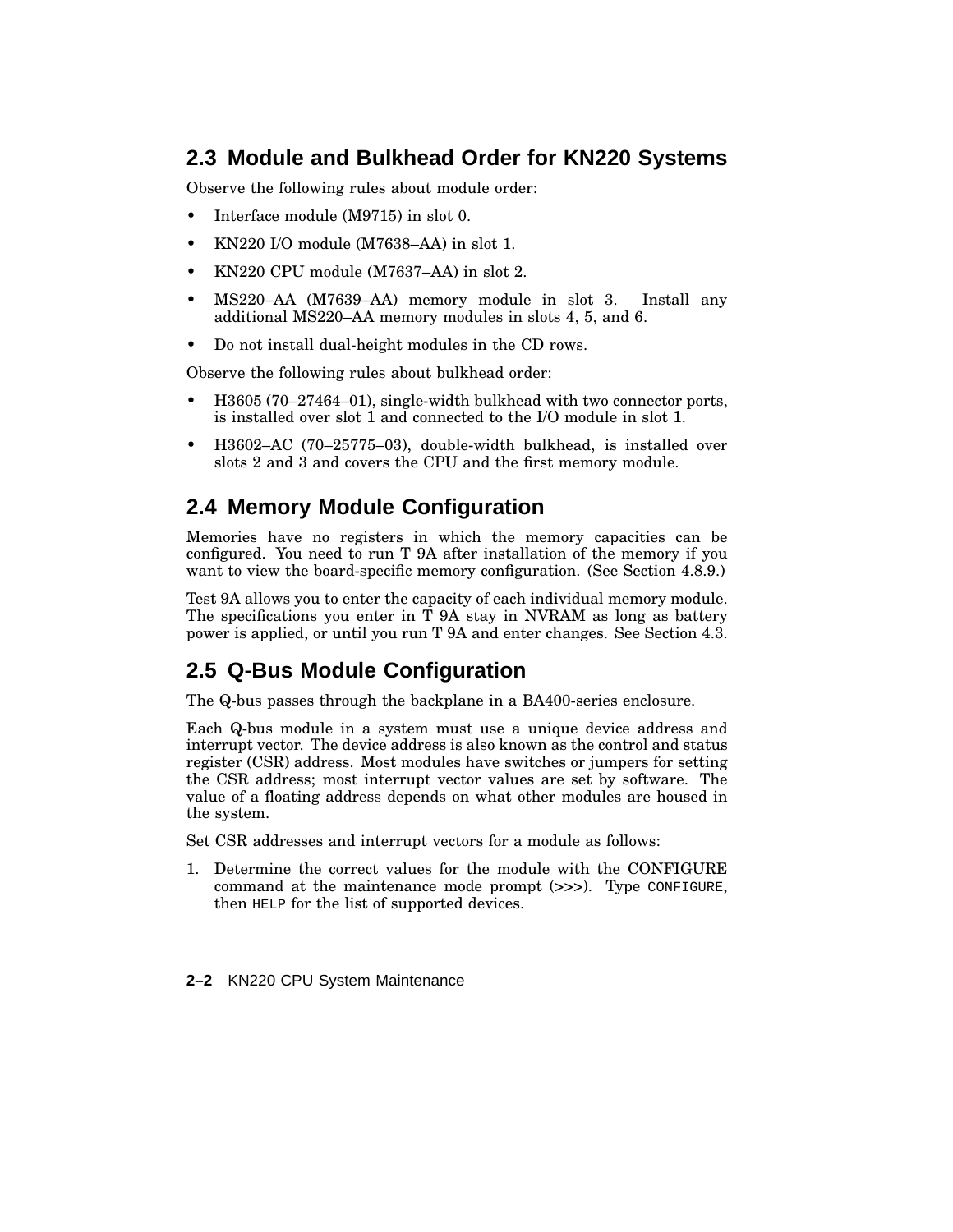## **2.3 Module and Bulkhead Order for KN220 Systems**

Observe the following rules about module order:

- Interface module (M9715) in slot 0.
- KN220 I/O module (M7638–AA) in slot 1.
- KN220 CPU module (M7637–AA) in slot 2.
- MS220–AA (M7639–AA) memory module in slot 3. Install any additional MS220–AA memory modules in slots 4, 5, and 6.
- Do not install dual-height modules in the CD rows.

Observe the following rules about bulkhead order:

- H3605 (70–27464–01), single-width bulkhead with two connector ports, is installed over slot 1 and connected to the I/O module in slot 1.
- H3602–AC (70–25775–03), double-width bulkhead, is installed over slots 2 and 3 and covers the CPU and the first memory module.

# **2.4 Memory Module Configuration**

Memories have no registers in which the memory capacities can be configured. You need to run T 9A after installation of the memory if you want to view the board-specific memory configuration. (See Section 4.8.9.)

Test 9A allows you to enter the capacity of each individual memory module. The specifications you enter in  $\overline{T}$  9A stay in NVRAM as long as battery power is applied, or until you run T 9A and enter changes. See Section 4.3.

# **2.5 Q-Bus Module Configuration**

The Q-bus passes through the backplane in a BA400-series enclosure.

Each Q-bus module in a system must use a unique device address and interrupt vector. The device address is also known as the control and status register (CSR) address. Most modules have switches or jumpers for setting the CSR address; most interrupt vector values are set by software. The value of a floating address depends on what other modules are housed in the system.

Set CSR addresses and interrupt vectors for a module as follows:

- 1. Determine the correct values for the module with the CONFIGURE command at the maintenance mode prompt (>>>). Type CONFIGURE, then HELP for the list of supported devices.
- **2–2** KN220 CPU System Maintenance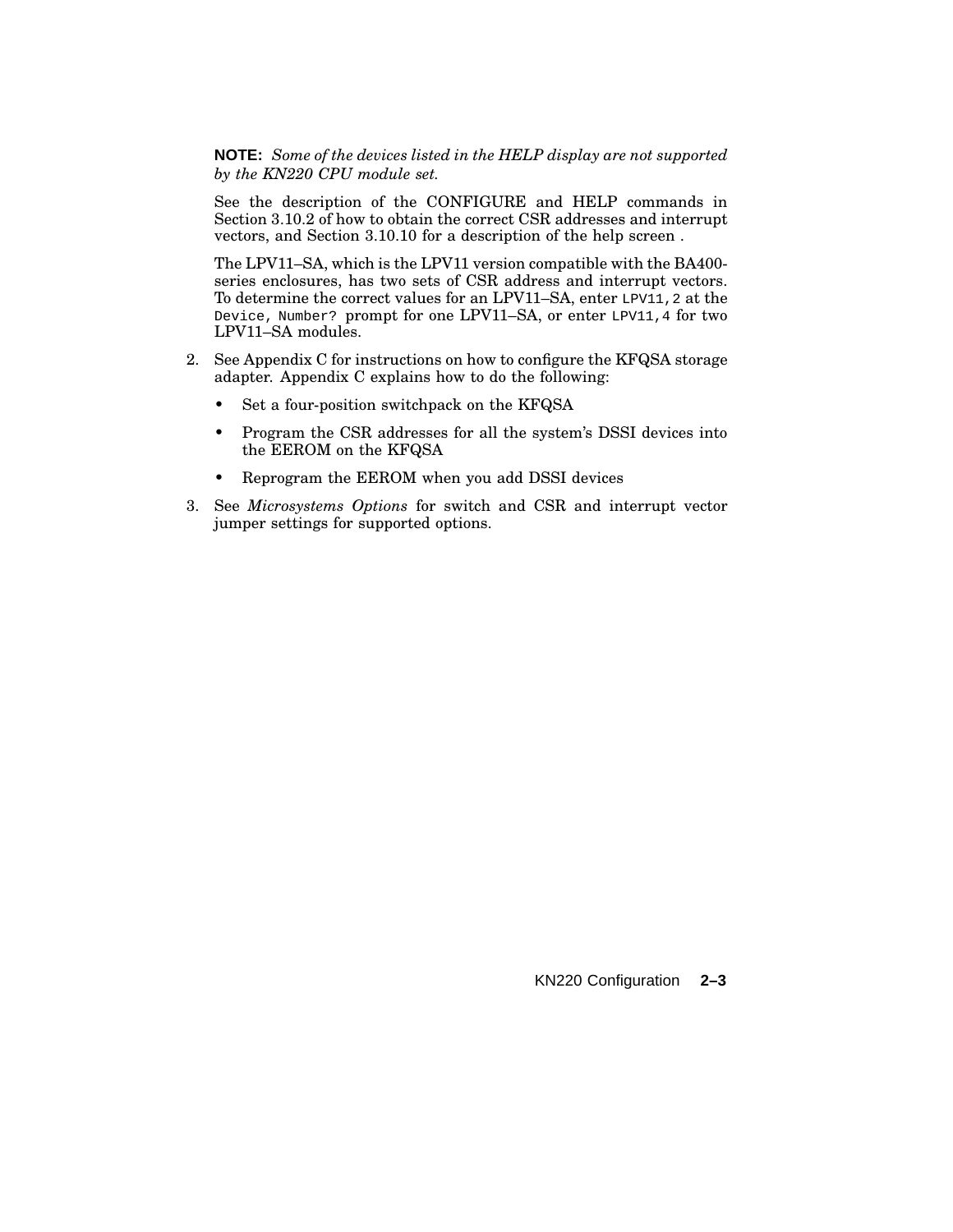#### **NOTE:** *Some of the devices listed in the HELP display are not supported by the KN220 CPU module set.*

See the description of the CONFIGURE and HELP commands in Section 3.10.2 of how to obtain the correct CSR addresses and interrupt vectors, and Section 3.10.10 for a description of the help screen .

The LPV11–SA, which is the LPV11 version compatible with the BA400 series enclosures, has two sets of CSR address and interrupt vectors. To determine the correct values for an LPV11–SA, enter LPV11, 2 at the Device, Number? prompt for one LPV11–SA, or enter LPV11,4 for two LPV11–SA modules.

- 2. See Appendix C for instructions on how to configure the KFQSA storage adapter. Appendix C explains how to do the following:
	- Set a four-position switchpack on the KFQSA
	- Program the CSR addresses for all the system's DSSI devices into the EEROM on the KFQSA
	- Reprogram the EEROM when you add DSSI devices
- 3. See *Microsystems Options* for switch and CSR and interrupt vector jumper settings for supported options.

#### KN220 Configuration **2–3**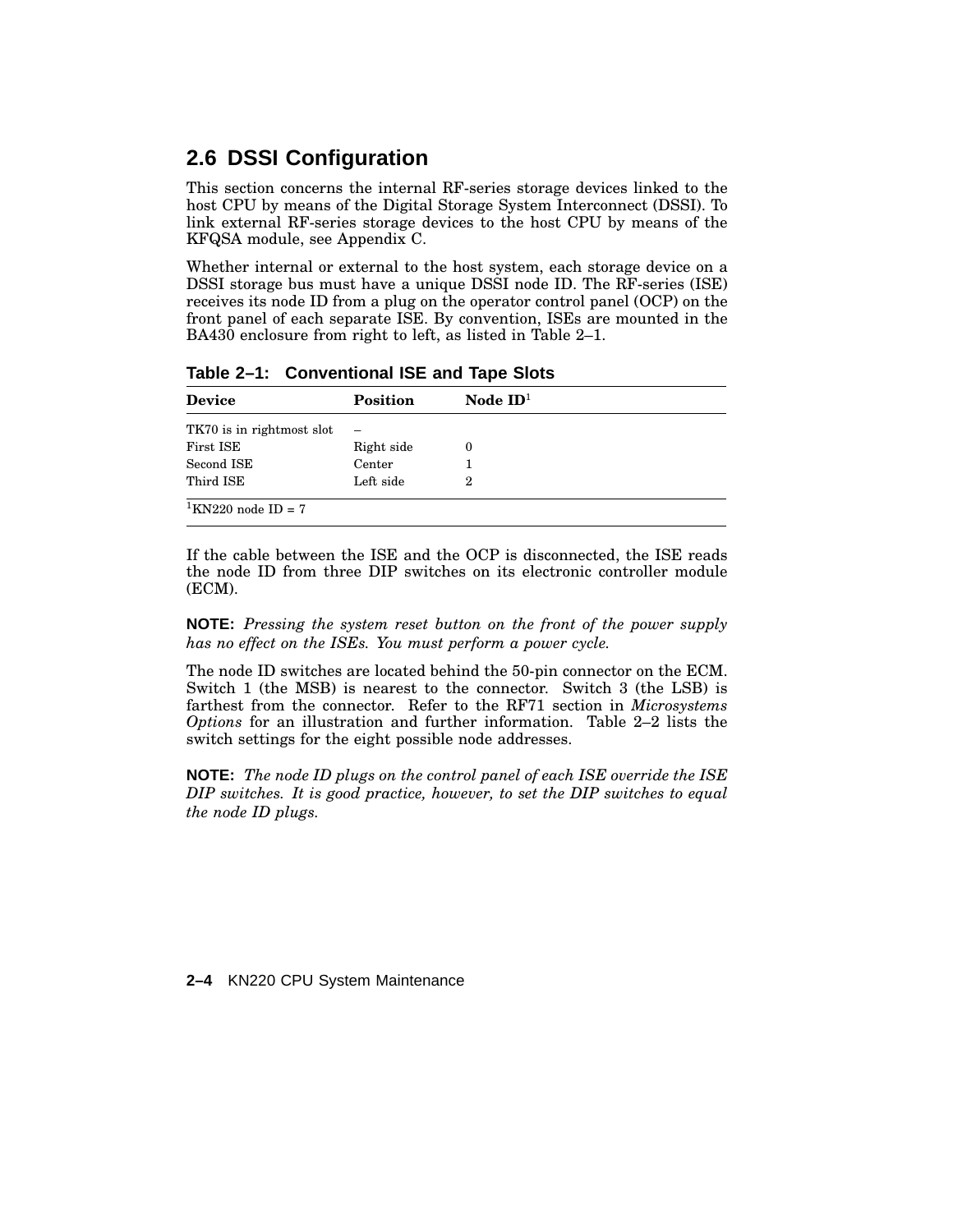### **2.6 DSSI Configuration**

This section concerns the internal RF-series storage devices linked to the host CPU by means of the Digital Storage System Interconnect (DSSI). To link external RF-series storage devices to the host CPU by means of the KFQSA module, see Appendix C.

Whether internal or external to the host system, each storage device on a DSSI storage bus must have a unique DSSI node ID. The RF-series (ISE) receives its node ID from a plug on the operator control panel (OCP) on the front panel of each separate ISE. By convention, ISEs are mounted in the BA430 enclosure from right to left, as listed in Table 2–1.

| <b>Device</b>                  | <b>Position</b> | Node $ID1$ |  |
|--------------------------------|-----------------|------------|--|
| TK70 is in rightmost slot      | $\equiv$        |            |  |
| First ISE                      | Right side      | $\theta$   |  |
| Second ISE                     | Center          |            |  |
| Third ISE                      | Left side       | 2          |  |
| <sup>1</sup> KN220 node ID = 7 |                 |            |  |

**Table 2–1: Conventional ISE and Tape Slots**

If the cable between the ISE and the OCP is disconnected, the ISE reads the node ID from three DIP switches on its electronic controller module (ECM).

**NOTE:** *Pressing the system reset button on the front of the power supply has no effect on the ISEs. You must perform a power cycle.*

The node ID switches are located behind the 50-pin connector on the ECM. Switch 1 (the MSB) is nearest to the connector. Switch 3 (the LSB) is farthest from the connector. Refer to the RF71 section in *Microsystems Options* for an illustration and further information. Table 2–2 lists the switch settings for the eight possible node addresses.

**NOTE:** *The node ID plugs on the control panel of each ISE override the ISE DIP switches. It is good practice, however, to set the DIP switches to equal the node ID plugs.*

**2–4** KN220 CPU System Maintenance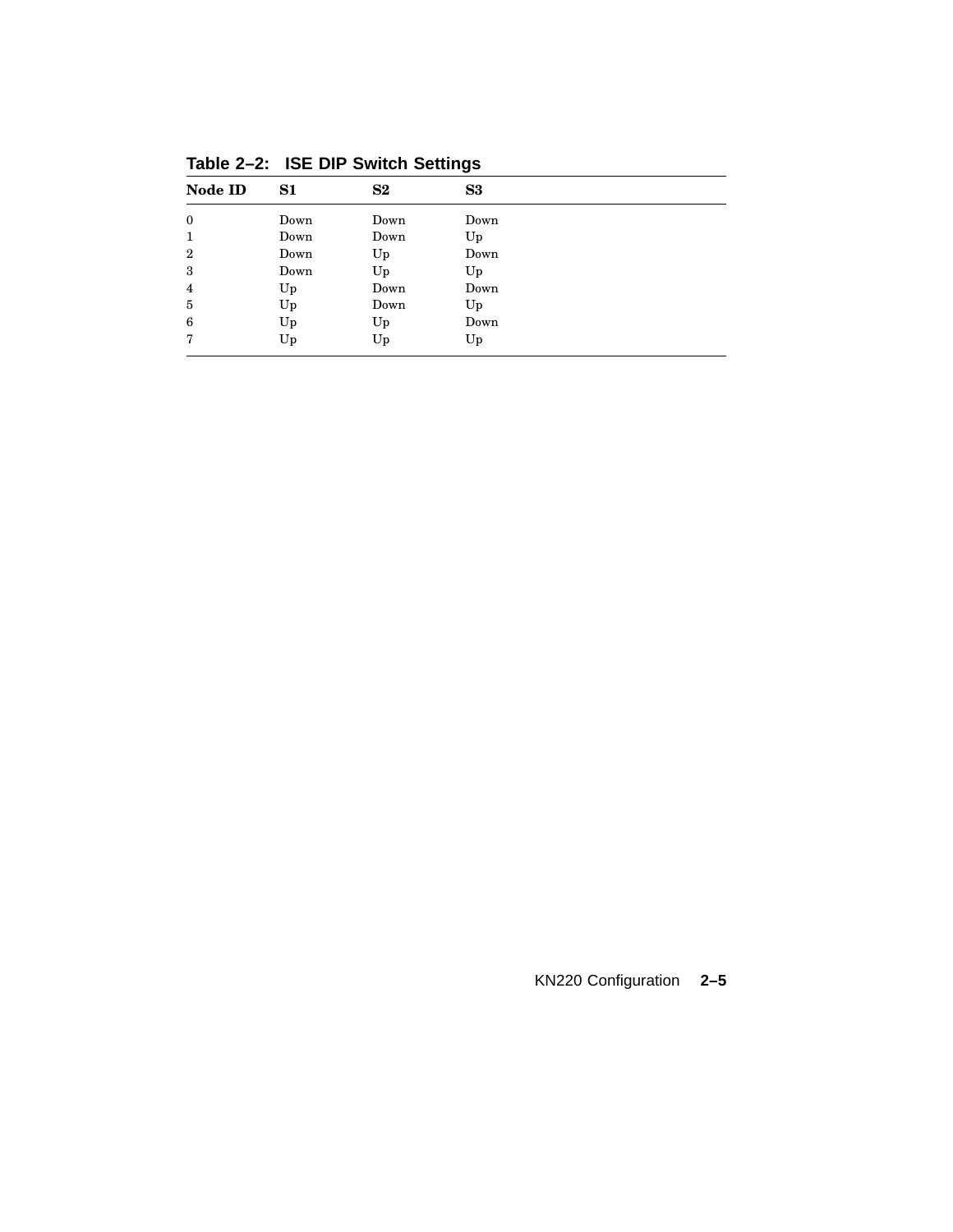| Node ID        | S1   | S <sub>2</sub> | S3   |  |
|----------------|------|----------------|------|--|
| $\bf{0}$       | Down | Down           | Down |  |
| 1              | Down | Down           | Up   |  |
| $\overline{2}$ | Down | Up             | Down |  |
| 3              | Down | Up             | Up   |  |
| $\overline{4}$ | Up   | Down           | Down |  |
| 5              | Up   | Down           | Up   |  |
| 6              | Up   | Up             | Down |  |
| 7              | Up   | Up             | Up   |  |

**Table 2–2: ISE DIP Switch Settings**

## KN220 Configuration **2–5**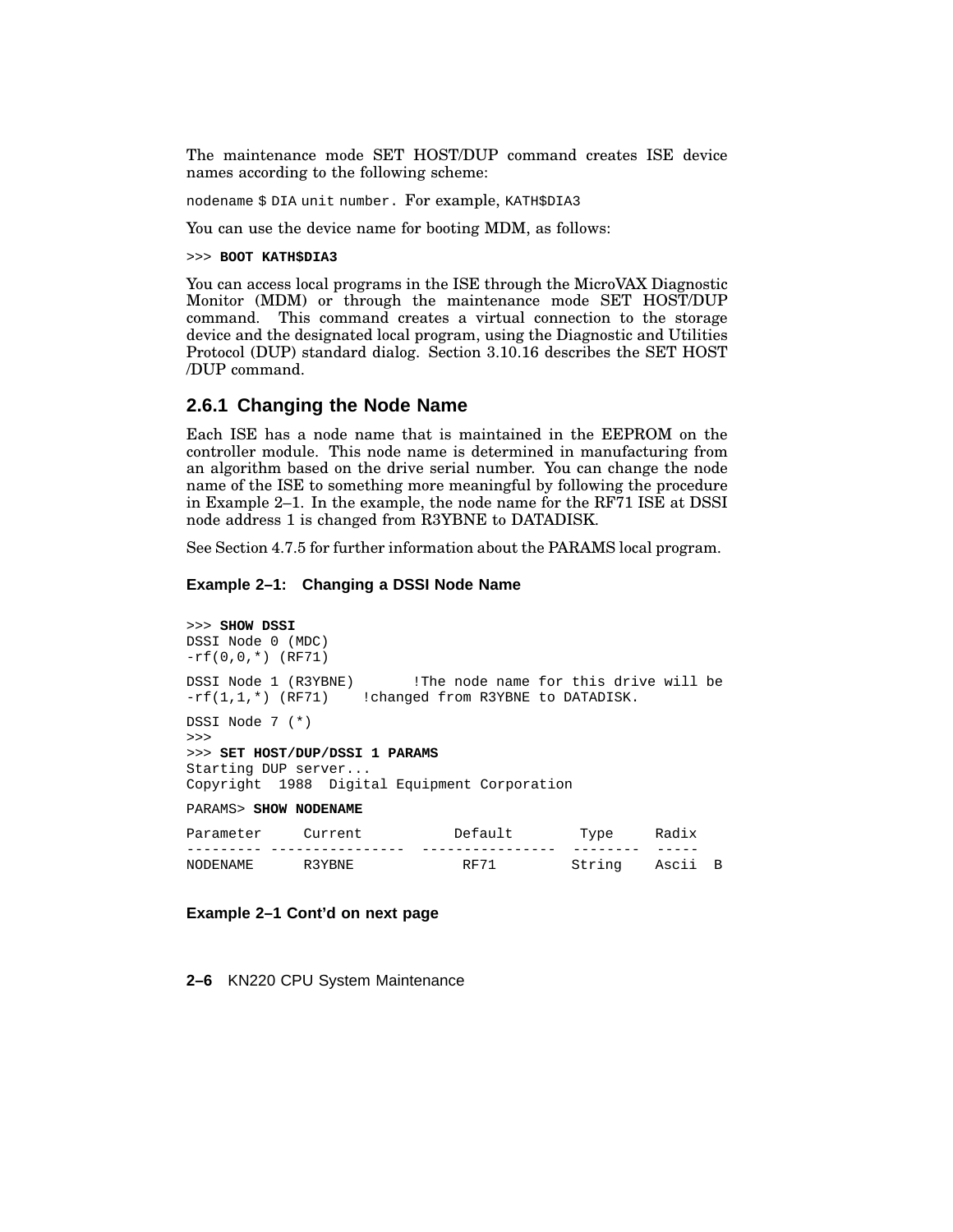The maintenance mode SET HOST/DUP command creates ISE device names according to the following scheme:

nodename \$ DIA unit number. For example, KATH\$DIA3

You can use the device name for booting MDM, as follows:

>>> **BOOT KATH\$DIA3**

You can access local programs in the ISE through the MicroVAX Diagnostic Monitor (MDM) or through the maintenance mode SET HOST/DUP command. This command creates a virtual connection to the storage device and the designated local program, using the Diagnostic and Utilities Protocol (DUP) standard dialog. Section 3.10.16 describes the SET HOST /DUP command.

#### **2.6.1 Changing the Node Name**

Each ISE has a node name that is maintained in the EEPROM on the controller module. This node name is determined in manufacturing from an algorithm based on the drive serial number. You can change the node name of the ISE to something more meaningful by following the procedure in Example 2–1. In the example, the node name for the RF71 ISE at DSSI node address 1 is changed from R3YBNE to DATADISK.

See Section 4.7.5 for further information about the PARAMS local program.

#### **Example 2–1: Changing a DSSI Node Name**

```
>>> SHOW DSSI
DSSI Node 0 (MDC)
-rf(0,0,*) (RF71)
DSSI Node 1 (R3YBNE) !The node name for this drive will be
-rf(1,1,*) (RF71) !changed from R3YBNE to DATADISK.
DSSI Node 7 (*)
>>>
>>> SET HOST/DUP/DSSI 1 PARAMS
Starting DUP server...
Copyright 1988 Digital Equipment Corporation
PARAMS> SHOW NODENAME
```

| Parameter | Current | Default | Type   | Radix |                |
|-----------|---------|---------|--------|-------|----------------|
|           |         |         |        |       |                |
| NODENAME  | R3YBNE  | RF71    | String | Ascii | $\overline{B}$ |

**Example 2–1 Cont'd on next page**

**2–6** KN220 CPU System Maintenance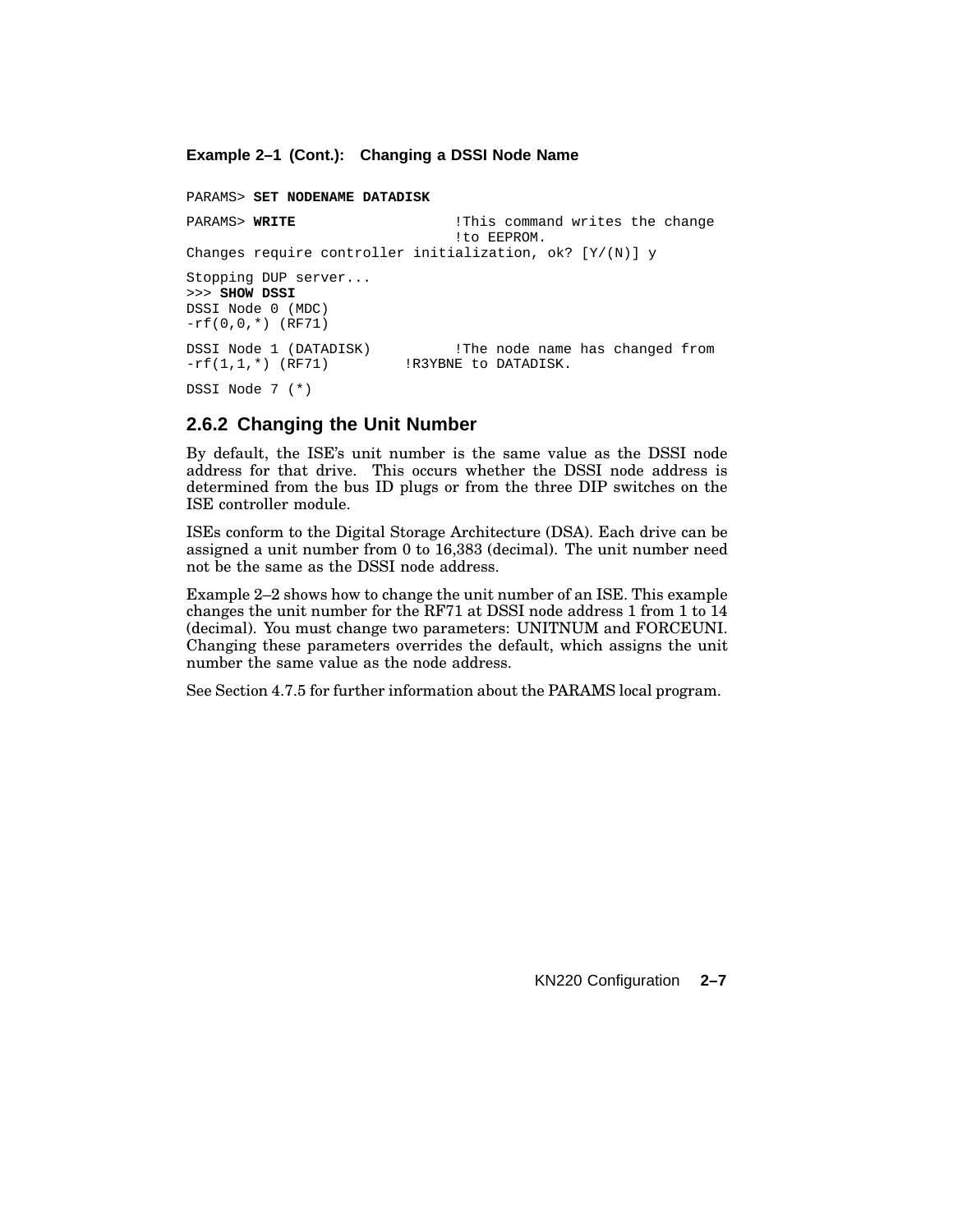#### **Example 2–1 (Cont.): Changing a DSSI Node Name**

```
PARAMS> SET NODENAME DATADISK
PARAMS> WRITE 1200 Interval in the command writes the change
                              !to EEPROM.
Changes require controller initialization, ok? [Y/(N)] y
Stopping DUP server...
>>> SHOW DSSI
DSSI Node 0 (MDC)
-rf(0,0,*) (RF71)
DSSI Node 1 (DATADISK) !The node name has changed from
-rf(1,1,*) (RF71) !R3YBNE to DATADISK.
DSSI Node 7 (*)
```
#### **2.6.2 Changing the Unit Number**

By default, the ISE's unit number is the same value as the DSSI node address for that drive. This occurs whether the DSSI node address is determined from the bus ID plugs or from the three DIP switches on the ISE controller module.

ISEs conform to the Digital Storage Architecture (DSA). Each drive can be assigned a unit number from 0 to 16,383 (decimal). The unit number need not be the same as the DSSI node address.

Example 2–2 shows how to change the unit number of an ISE. This example changes the unit number for the RF71 at DSSI node address 1 from 1 to 14 (decimal). You must change two parameters: UNITNUM and FORCEUNI. Changing these parameters overrides the default, which assigns the unit number the same value as the node address.

See Section 4.7.5 for further information about the PARAMS local program.

KN220 Configuration **2–7**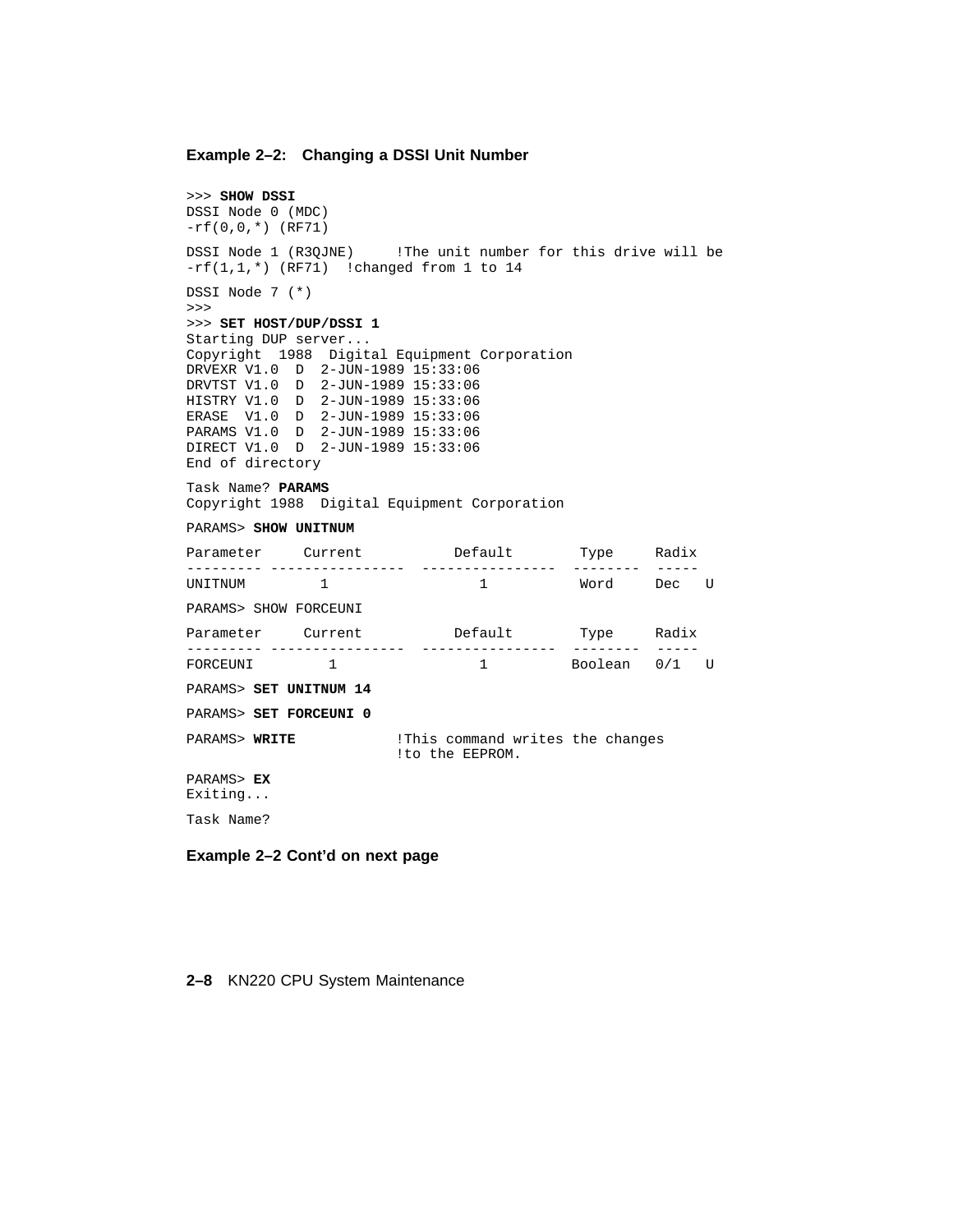#### **Example 2–2: Changing a DSSI Unit Number**

```
>>> SHOW DSSI
DSSI Node 0 (MDC)
-rf(0,0,*) (RF71)
DSSI Node 1 (R3QJNE) !The unit number for this drive will be
-rf(1,1,*) (RF71) !changed from 1 to 14
DSSI Node 7 (*)
>>>
>>> SET HOST/DUP/DSSI 1
Starting DUP server...
Copyright 1988 Digital Equipment Corporation
DRVEXR V1.0 D 2-JUN-1989 15:33:06
DRVTST V1.0 D 2-JUN-1989 15:33:06
HISTRY V1.0 D 2-JUN-1989 15:33:06
ERASE V1.0 D 2-JUN-1989 15:33:06
PARAMS V1.0 D 2-JUN-1989 15:33:06
DIRECT V1.0 D 2-JUN-1989 15:33:06
End of directory
Task Name? PARAMS
Copyright 1988 Digital Equipment Corporation
PARAMS> SHOW UNITNUM
Parameter Current Default Type Radix
--------- ---------------- ---------------- -------- -----
                                        Word Dec U
PARAMS> SHOW FORCEUNI
Parameter Current Default Type Radix
--------- ---------------- ---------------- -------- -----
FORCEUNI 1 1 Boolean 0/1 U
PARAMS> SET UNITNUM 14
PARAMS> SET FORCEUNI 0
PARAMS> WRITE : IThis command writes the changes
                      !to the EEPROM.
PARAMS> EX
Exiting...
Task Name?
```
#### **Example 2–2 Cont'd on next page**

#### **2–8** KN220 CPU System Maintenance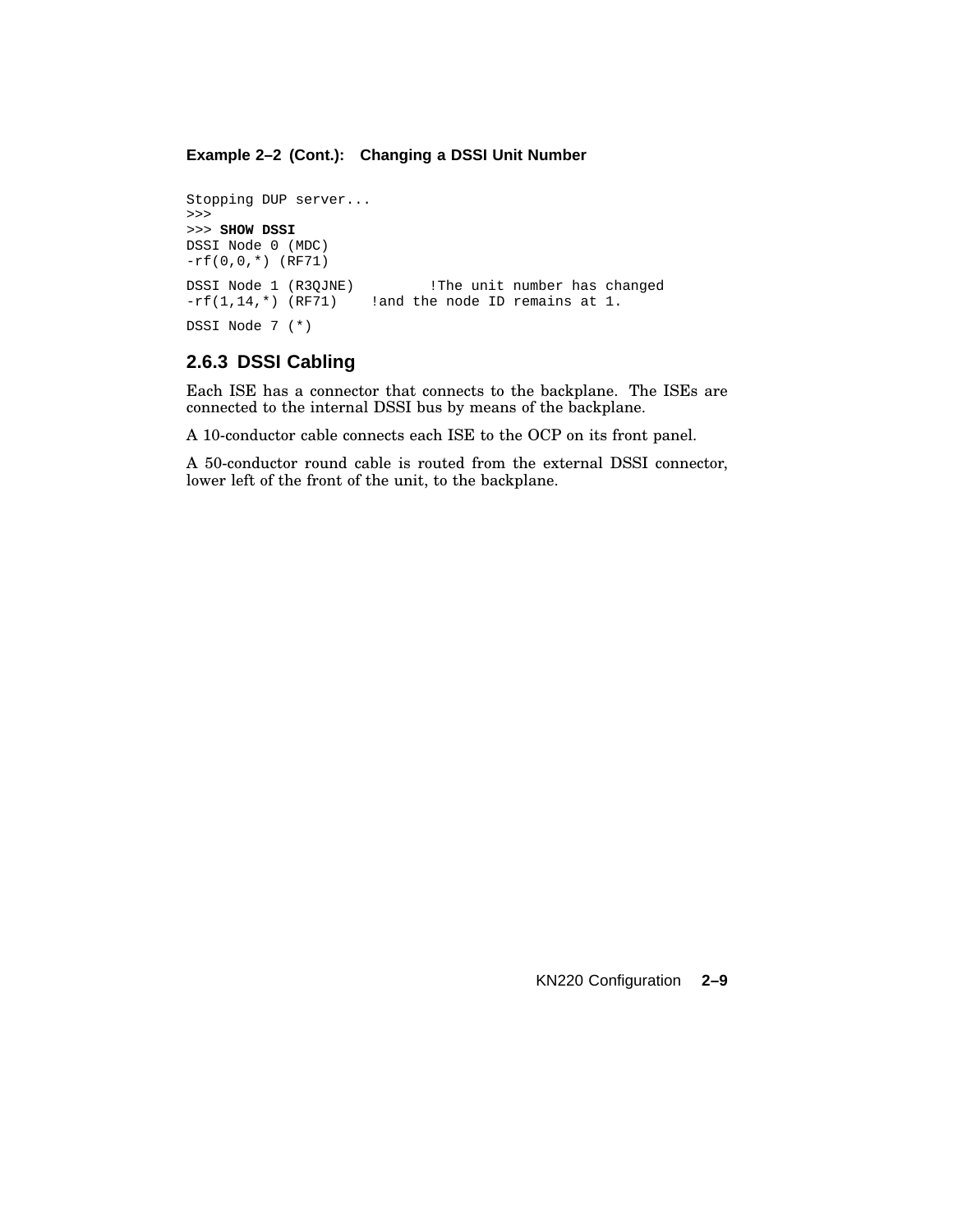#### **Example 2–2 (Cont.): Changing a DSSI Unit Number**

```
Stopping DUP server...
>>>
>>> SHOW DSSI
DSSI Node 0 (MDC)
-rf(0,0,*) (RF71)
DSSI Node 1 (R3QJNE) !The unit number has changed -rf(1,14,*) (RF71) !and the node ID remains at 1.
                        !and the node ID remains at 1.
DSSI Node 7 (*)
```
#### **2.6.3 DSSI Cabling**

Each ISE has a connector that connects to the backplane. The ISEs are connected to the internal DSSI bus by means of the backplane.

A 10-conductor cable connects each ISE to the OCP on its front panel.

A 50-conductor round cable is routed from the external DSSI connector, lower left of the front of the unit, to the backplane.

KN220 Configuration **2–9**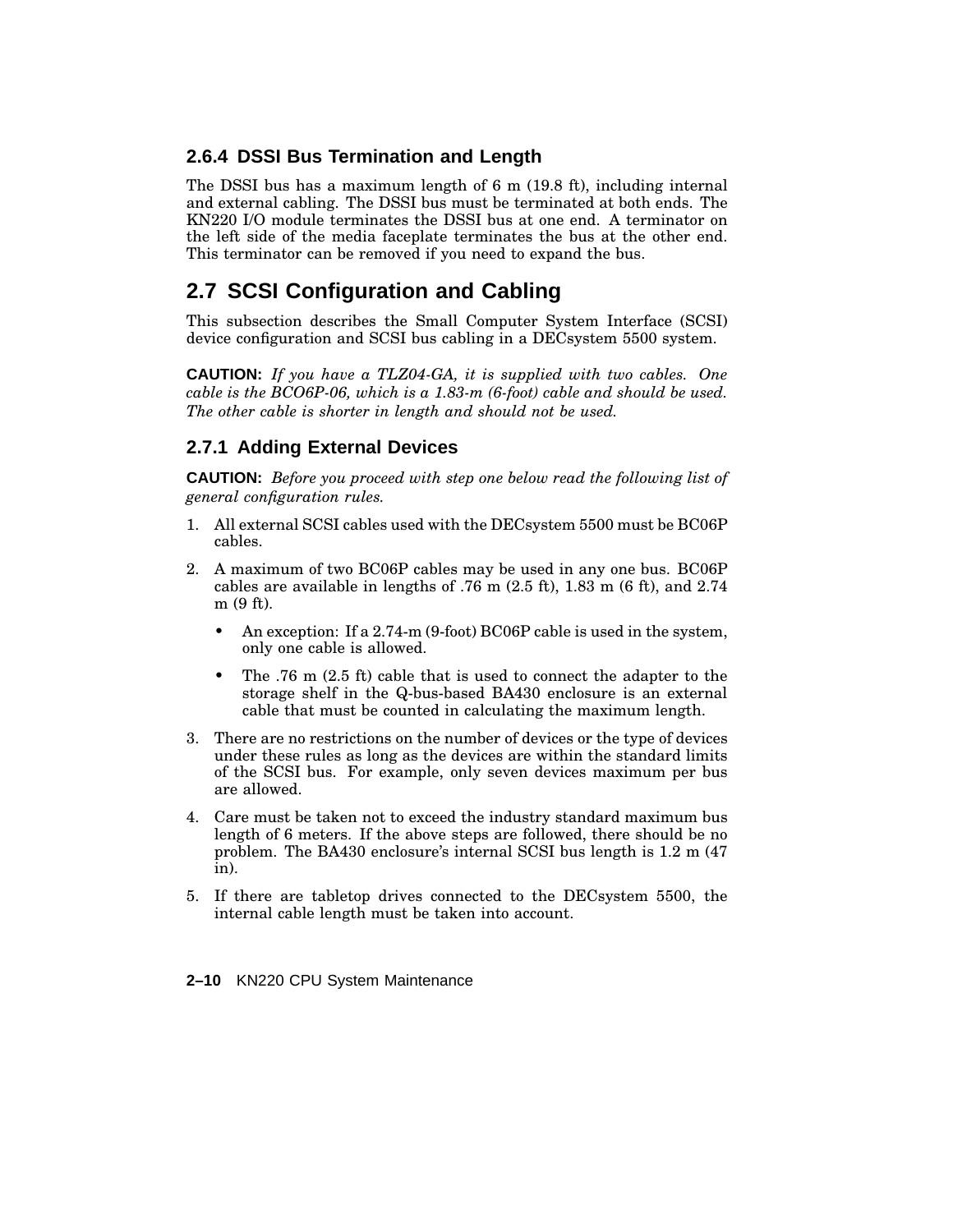## **2.6.4 DSSI Bus Termination and Length**

The DSSI bus has a maximum length of 6 m (19.8 ft), including internal and external cabling. The DSSI bus must be terminated at both ends. The KN220 I/O module terminates the DSSI bus at one end. A terminator on the left side of the media faceplate terminates the bus at the other end. This terminator can be removed if you need to expand the bus.

## **2.7 SCSI Configuration and Cabling**

This subsection describes the Small Computer System Interface (SCSI) device configuration and SCSI bus cabling in a DECsystem 5500 system.

**CAUTION:** *If you have a TLZ04-GA, it is supplied with two cables. One cable is the BCO6P-06, which is a 1.83-m (6-foot) cable and should be used. The other cable is shorter in length and should not be used.*

## **2.7.1 Adding External Devices**

**CAUTION:** *Before you proceed with step one below read the following list of general configuration rules.*

- 1. All external SCSI cables used with the DECsystem 5500 must be BC06P cables.
- 2. A maximum of two BC06P cables may be used in any one bus. BC06P cables are available in lengths of .76 m (2.5 ft), 1.83 m (6 ft), and 2.74 m (9 ft).
	- An exception: If a 2.74-m (9-foot) BC06P cable is used in the system, only one cable is allowed.
	- The .76 m (2.5 ft) cable that is used to connect the adapter to the storage shelf in the Q-bus-based BA430 enclosure is an external cable that must be counted in calculating the maximum length.
- 3. There are no restrictions on the number of devices or the type of devices under these rules as long as the devices are within the standard limits of the SCSI bus. For example, only seven devices maximum per bus are allowed.
- 4. Care must be taken not to exceed the industry standard maximum bus length of 6 meters. If the above steps are followed, there should be no problem. The BA430 enclosure's internal SCSI bus length is 1.2 m (47 in).
- 5. If there are tabletop drives connected to the DECsystem 5500, the internal cable length must be taken into account.

**2–10** KN220 CPU System Maintenance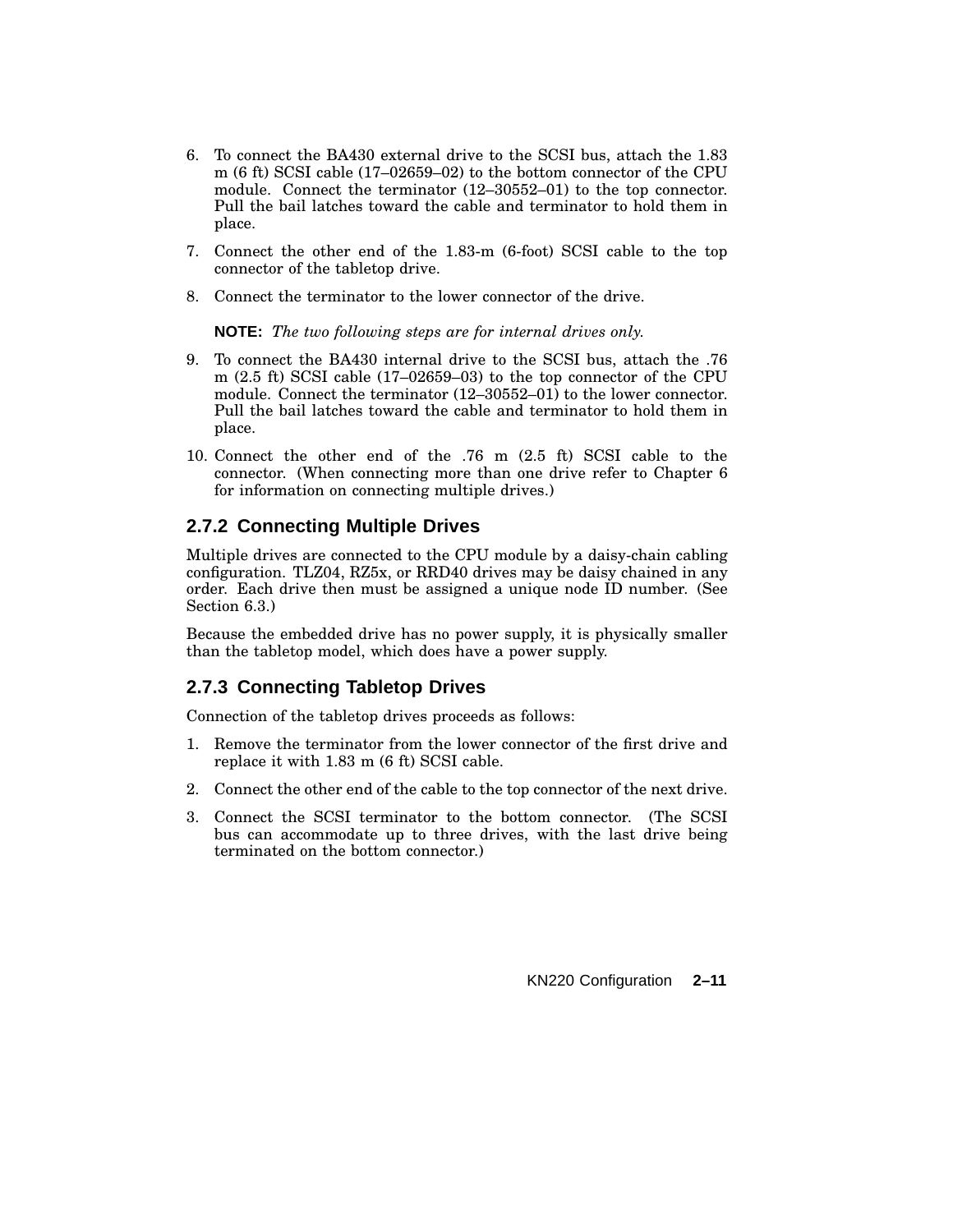- 6. To connect the BA430 external drive to the SCSI bus, attach the 1.83 m (6 ft) SCSI cable (17–02659–02) to the bottom connector of the CPU module. Connect the terminator (12–30552–01) to the top connector. Pull the bail latches toward the cable and terminator to hold them in place.
- 7. Connect the other end of the 1.83-m (6-foot) SCSI cable to the top connector of the tabletop drive.
- 8. Connect the terminator to the lower connector of the drive.

**NOTE:** *The two following steps are for internal drives only.*

- 9. To connect the BA430 internal drive to the SCSI bus, attach the .76 m (2.5 ft) SCSI cable (17–02659–03) to the top connector of the CPU module. Connect the terminator (12–30552–01) to the lower connector. Pull the bail latches toward the cable and terminator to hold them in place.
- 10. Connect the other end of the .76 m (2.5 ft) SCSI cable to the connector. (When connecting more than one drive refer to Chapter 6 for information on connecting multiple drives.)

## **2.7.2 Connecting Multiple Drives**

Multiple drives are connected to the CPU module by a daisy-chain cabling configuration. TLZ04, RZ5x, or RRD40 drives may be daisy chained in any order. Each drive then must be assigned a unique node ID number. (See Section 6.3.)

Because the embedded drive has no power supply, it is physically smaller than the tabletop model, which does have a power supply.

## **2.7.3 Connecting Tabletop Drives**

Connection of the tabletop drives proceeds as follows:

- 1. Remove the terminator from the lower connector of the first drive and replace it with 1.83 m (6 ft) SCSI cable.
- 2. Connect the other end of the cable to the top connector of the next drive.
- 3. Connect the SCSI terminator to the bottom connector. (The SCSI bus can accommodate up to three drives, with the last drive being terminated on the bottom connector.)

KN220 Configuration **2–11**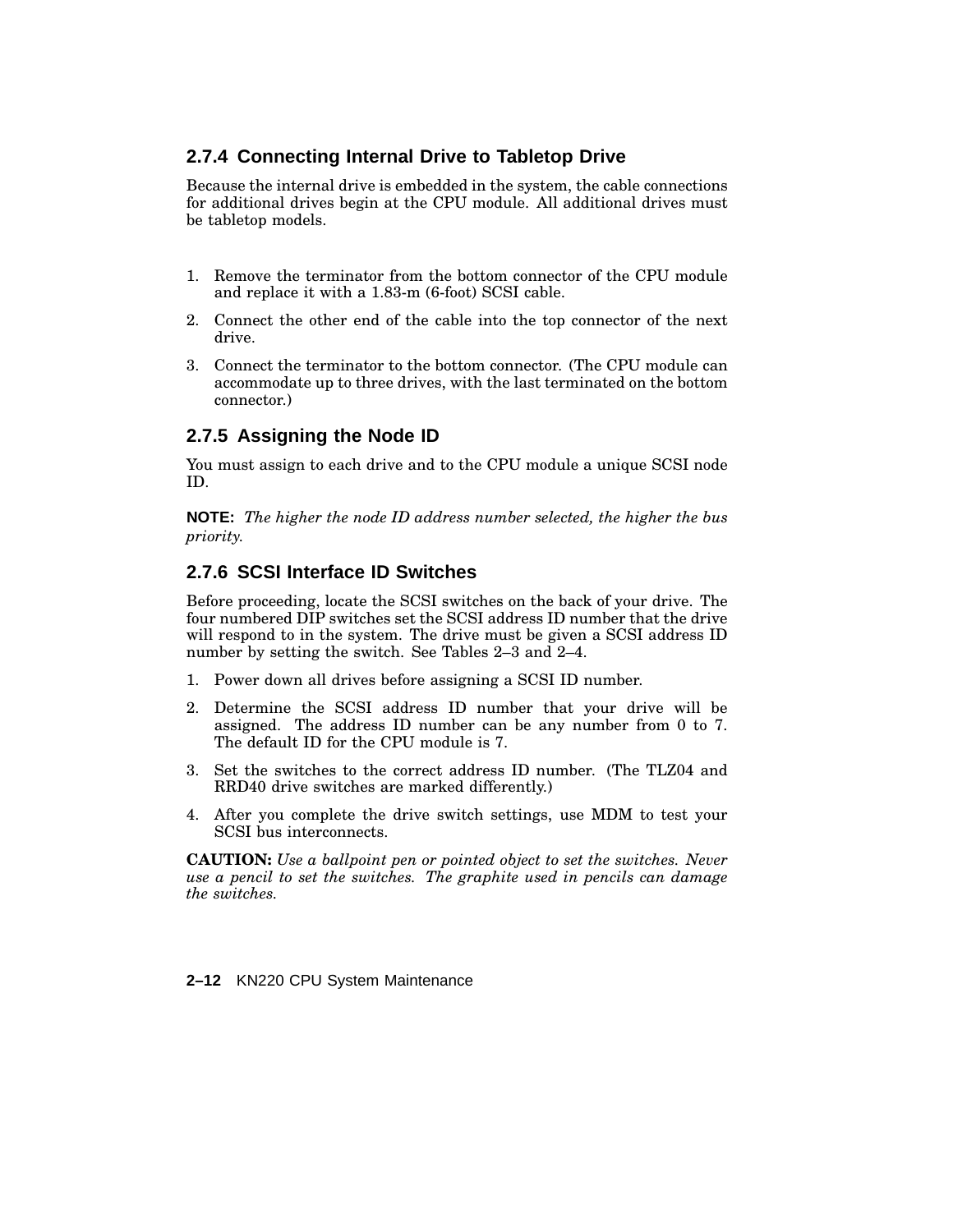## **2.7.4 Connecting Internal Drive to Tabletop Drive**

Because the internal drive is embedded in the system, the cable connections for additional drives begin at the CPU module. All additional drives must be tabletop models.

- 1. Remove the terminator from the bottom connector of the CPU module and replace it with a 1.83-m (6-foot) SCSI cable.
- 2. Connect the other end of the cable into the top connector of the next drive.
- 3. Connect the terminator to the bottom connector. (The CPU module can accommodate up to three drives, with the last terminated on the bottom connector.)

## **2.7.5 Assigning the Node ID**

You must assign to each drive and to the CPU module a unique SCSI node ID.

**NOTE:** *The higher the node ID address number selected, the higher the bus priority.*

## **2.7.6 SCSI Interface ID Switches**

Before proceeding, locate the SCSI switches on the back of your drive. The four numbered DIP switches set the SCSI address ID number that the drive will respond to in the system. The drive must be given a SCSI address ID number by setting the switch. See Tables 2–3 and 2–4.

- 1. Power down all drives before assigning a SCSI ID number.
- 2. Determine the SCSI address ID number that your drive will be assigned. The address ID number can be any number from 0 to 7. The default ID for the CPU module is 7.
- 3. Set the switches to the correct address ID number. (The TLZ04 and RRD40 drive switches are marked differently.)
- 4. After you complete the drive switch settings, use MDM to test your SCSI bus interconnects.

**CAUTION:** *Use a ballpoint pen or pointed object to set the switches. Never use a pencil to set the switches. The graphite used in pencils can damage the switches.*

**2–12** KN220 CPU System Maintenance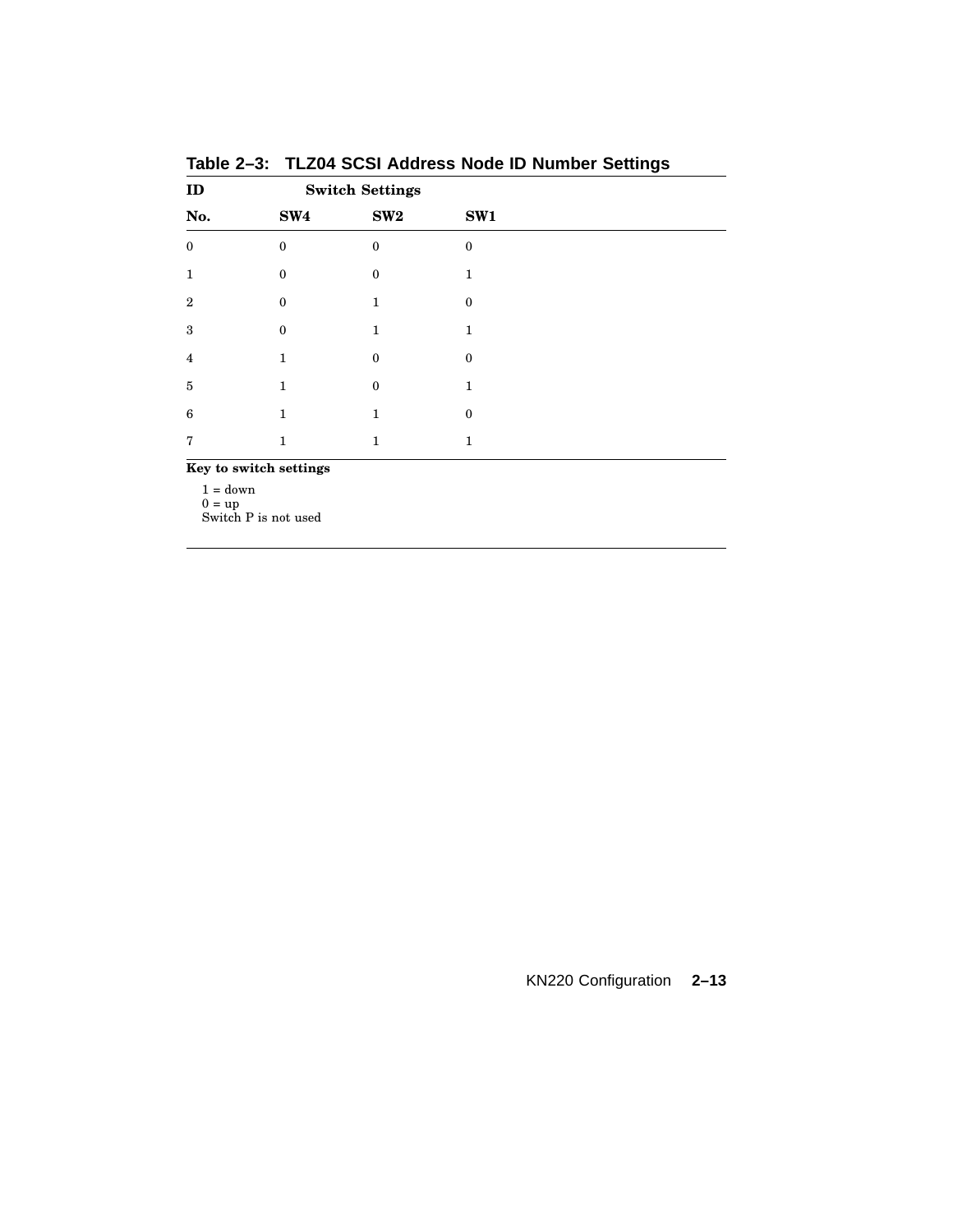| ID                     | <b>Switch Settings</b> |                  |              |  |
|------------------------|------------------------|------------------|--------------|--|
| No.                    | SW4                    | SW2              | SW1          |  |
| $\mathbf{0}$           | $\theta$               | $\mathbf{0}$     | $\mathbf{0}$ |  |
| 1                      | $\mathbf{0}$           | $\boldsymbol{0}$ | 1            |  |
| $\overline{2}$         | $\theta$               | 1                | $\theta$     |  |
| 3                      | $\mathbf{0}$           | 1                | 1            |  |
| $\overline{4}$         | 1                      | $\theta$         | $\theta$     |  |
| $\bf 5$                | 1                      | $\boldsymbol{0}$ | 1            |  |
| 6                      | 1                      | 1                | $\theta$     |  |
| 7                      | 1                      | 1                | 1            |  |
| Key to switch settings |                        |                  |              |  |

**Table 2–3: TLZ04 SCSI Address Node ID Number Settings**

 $1 = \text{down}$ 

 $0 = \text{up}$ Switch P is not used

KN220 Configuration **2–13**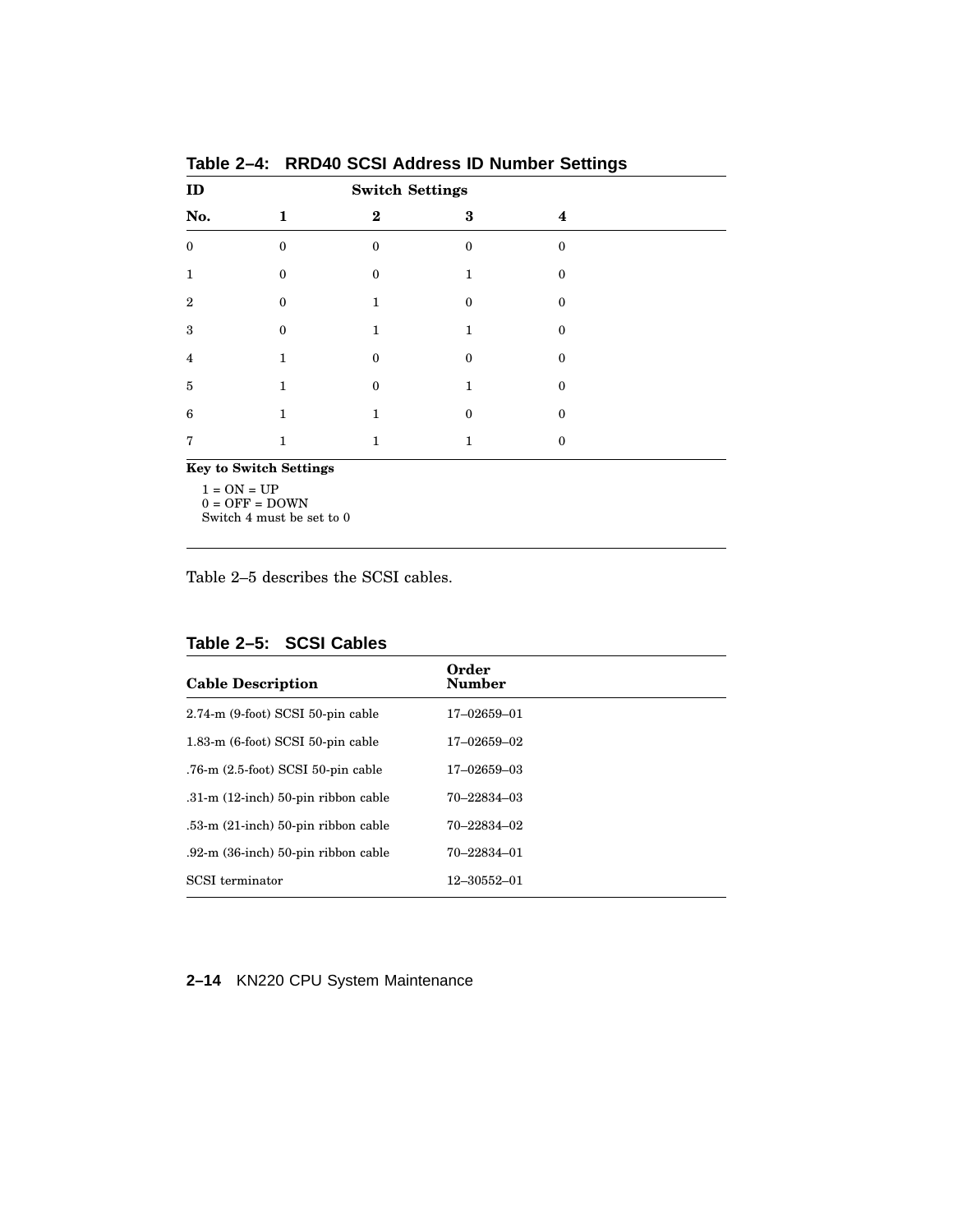| ID                            |                  | <b>Switch Settings</b> |          |              |  |
|-------------------------------|------------------|------------------------|----------|--------------|--|
| No.                           | 1                | $\bf{2}$               | 3        | 4            |  |
| $\mathbf{0}$                  | $\Omega$         | $\Omega$               | $\Omega$ | $\theta$     |  |
| 1                             | $\bf{0}$         | $\mathbf{0}$           | 1        | $\mathbf{0}$ |  |
| $\mathbf{2}$                  | $\theta$         | 1                      | $\Omega$ | $\Omega$     |  |
| 3                             | $\boldsymbol{0}$ | 1                      | 1        | $\mathbf{0}$ |  |
| 4                             | 1                | $\Omega$               | $\Omega$ | $\Omega$     |  |
| 5                             | 1                | $\boldsymbol{0}$       | 1        | $\mathbf{0}$ |  |
| 6                             | 1                | 1                      | $\Omega$ | $\mathbf{0}$ |  |
| 7                             | 1                | 1                      | 1        | $\mathbf{0}$ |  |
| <b>Key to Switch Settings</b> |                  |                        |          |              |  |

**Table 2–4: RRD40 SCSI Address ID Number Settings**

1 = ON = UP  $0 = \mathrm{OFF} = \mathrm{DOWN}$ Switch 4 must be set to 0

Table 2–5 describes the SCSI cables.

**Table 2–5: SCSI Cables**

| <b>Cable Description</b>                     | Order<br><b>Number</b> |
|----------------------------------------------|------------------------|
| $2.74 \text{ -m}$ (9-foot) SCSI 50-pin cable | 17-02659-01            |
| $1.83 \text{ m}$ (6-foot) SCSI 50-pin cable  | 17-02659-02            |
| .76-m $(2.5\text{-}foot)$ SCSI 50-pin cable  | 17-02659-03            |
| $.31\text{-m}$ (12-inch) 50-pin ribbon cable | 70–22834–03            |
| $.53\text{-}m$ (21-inch) 50-pin ribbon cable | 70–22834–02            |
| $.92\text{-}m$ (36-inch) 50-pin ribbon cable | 70-22834-01            |
| SCSI terminator                              | 12-30552-01            |

**2–14** KN220 CPU System Maintenance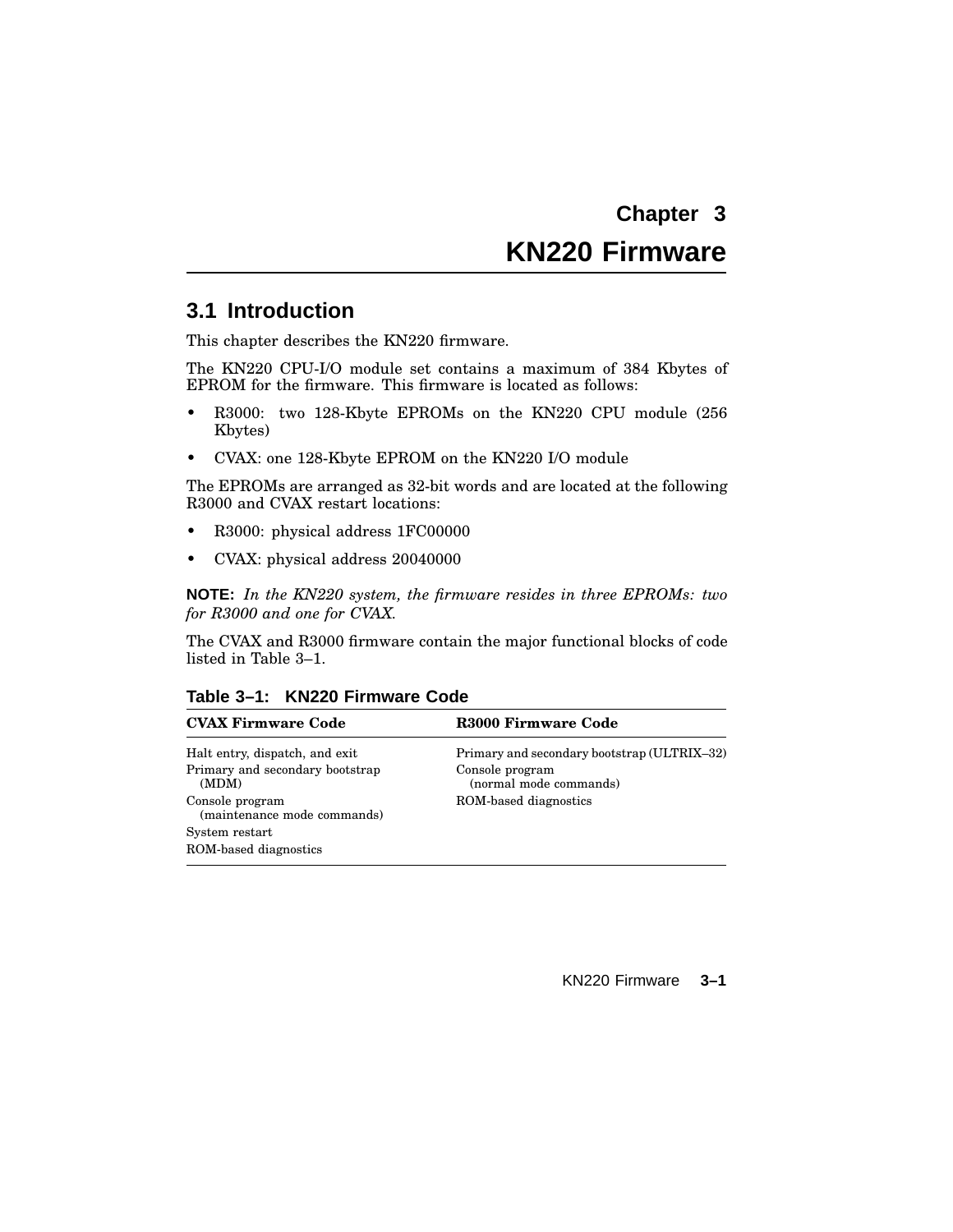# **KN220 Firmware**

## **3.1 Introduction**

This chapter describes the KN220 firmware.

The KN220 CPU-I/O module set contains a maximum of 384 Kbytes of EPROM for the firmware. This firmware is located as follows:

- R3000: two 128-Kbyte EPROMs on the KN220 CPU module (256 Kbytes)
- CVAX: one 128-Kbyte EPROM on the KN220 I/O module

The EPROMs are arranged as 32-bit words and are located at the following R3000 and CVAX restart locations:

- R3000: physical address 1FC00000
- CVAX: physical address 20040000

**NOTE:** *In the KN220 system, the firmware resides in three EPROMs: two for R3000 and one for CVAX.*

The CVAX and R3000 firmware contain the major functional blocks of code listed in Table 3–1.

| Table 3-1: KN220 Firmware Code |  |  |  |
|--------------------------------|--|--|--|
|--------------------------------|--|--|--|

| <b>CVAX Firmware Code</b>                      | R3000 Firmware Code                         |
|------------------------------------------------|---------------------------------------------|
| Halt entry, dispatch, and exit                 | Primary and secondary bootstrap (ULTRIX-32) |
| Primary and secondary bootstrap<br>(MDM)       | Console program<br>(normal mode commands)   |
| Console program<br>(maintenance mode commands) | ROM-based diagnostics                       |
| System restart                                 |                                             |
| ROM-based diagnostics                          |                                             |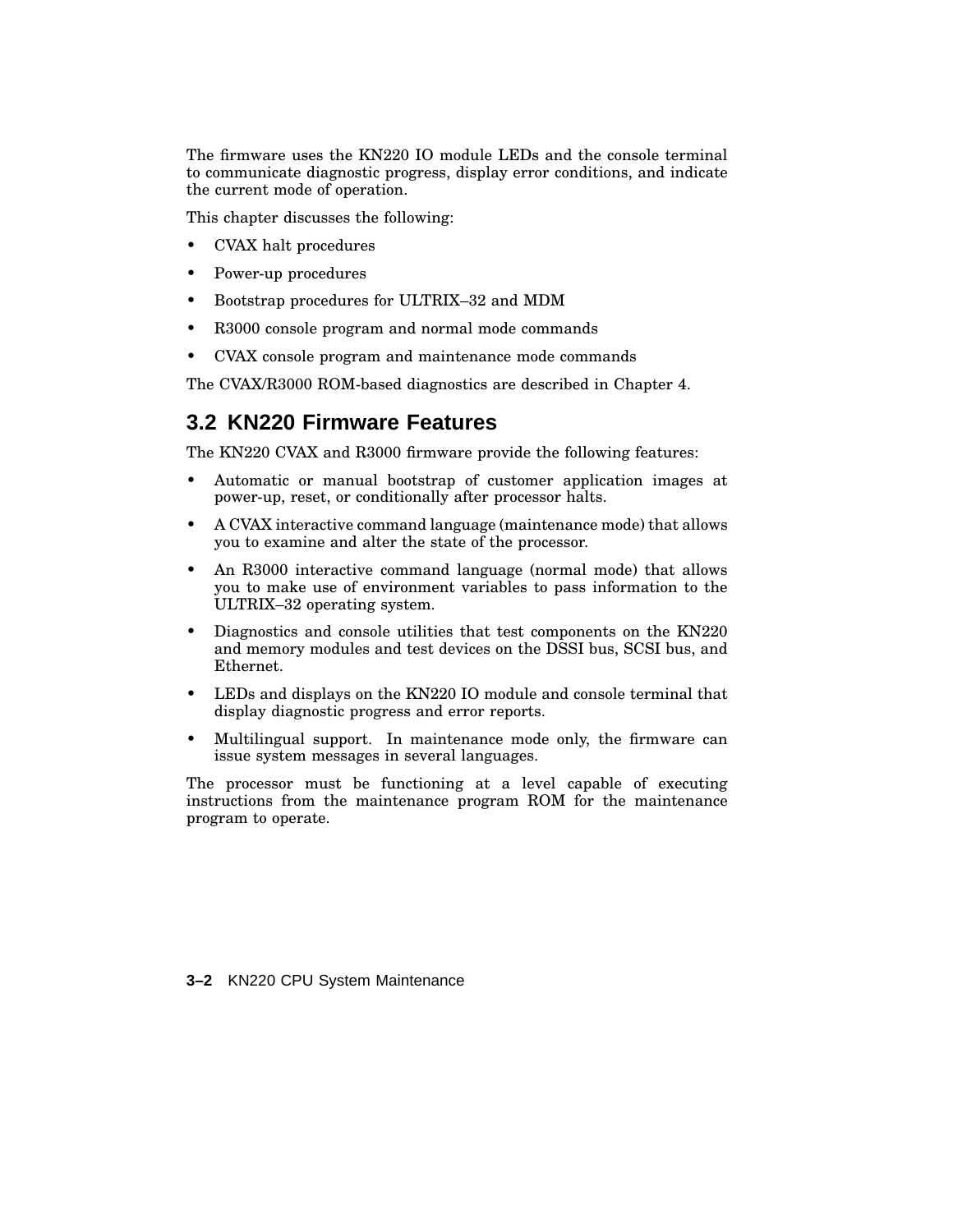The firmware uses the KN220 IO module LEDs and the console terminal to communicate diagnostic progress, display error conditions, and indicate the current mode of operation.

This chapter discusses the following:

- CVAX halt procedures
- Power-up procedures
- Bootstrap procedures for ULTRIX–32 and MDM
- R3000 console program and normal mode commands
- CVAX console program and maintenance mode commands

The CVAX/R3000 ROM-based diagnostics are described in Chapter 4.

## **3.2 KN220 Firmware Features**

The KN220 CVAX and R3000 firmware provide the following features:

- Automatic or manual bootstrap of customer application images at power-up, reset, or conditionally after processor halts.
- A CVAX interactive command language (maintenance mode) that allows you to examine and alter the state of the processor.
- An R3000 interactive command language (normal mode) that allows you to make use of environment variables to pass information to the ULTRIX–32 operating system.
- Diagnostics and console utilities that test components on the KN220 and memory modules and test devices on the DSSI bus, SCSI bus, and Ethernet.
- LEDs and displays on the KN220 IO module and console terminal that display diagnostic progress and error reports.
- Multilingual support. In maintenance mode only, the firmware can issue system messages in several languages.

The processor must be functioning at a level capable of executing instructions from the maintenance program ROM for the maintenance program to operate.

**3–2** KN220 CPU System Maintenance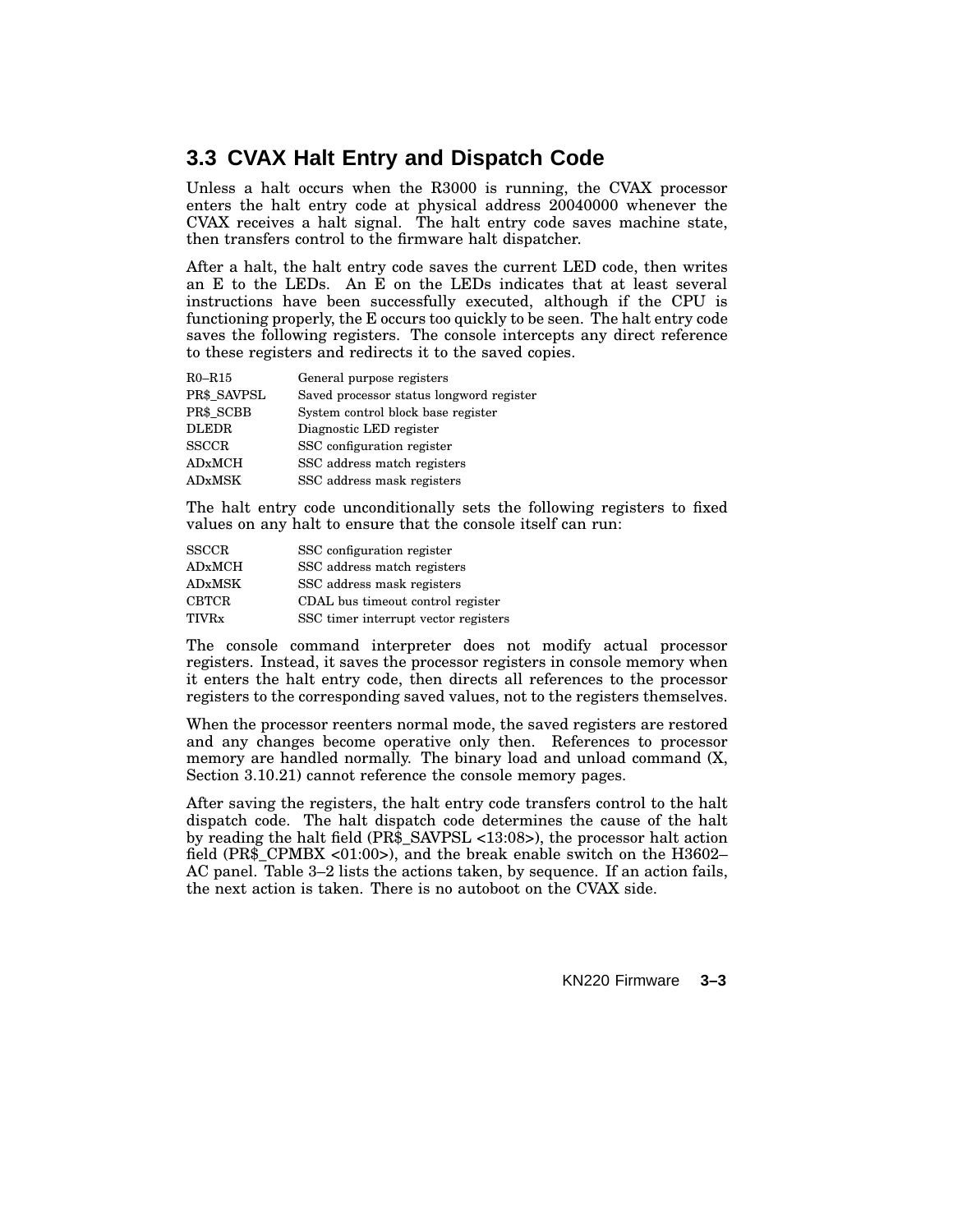## **3.3 CVAX Halt Entry and Dispatch Code**

Unless a halt occurs when the R3000 is running, the CVAX processor enters the halt entry code at physical address 20040000 whenever the CVAX receives a halt signal. The halt entry code saves machine state, then transfers control to the firmware halt dispatcher.

After a halt, the halt entry code saves the current LED code, then writes an E to the LEDs. An E on the LEDs indicates that at least several instructions have been successfully executed, although if the CPU is functioning properly, the E occurs too quickly to be seen. The halt entry code saves the following registers. The console intercepts any direct reference to these registers and redirects it to the saved copies.

| $R0 - R15$    | General purpose registers                |
|---------------|------------------------------------------|
| PR\$ SAVPSL   | Saved processor status longword register |
| PR\$ SCBB     | System control block base register       |
| <b>DLEDR</b>  | Diagnostic LED register                  |
| <b>SSCCR</b>  | SSC configuration register               |
| <b>ADxMCH</b> | SSC address match registers              |
| <b>ADxMSK</b> | SSC address mask registers               |

The halt entry code unconditionally sets the following registers to fixed values on any halt to ensure that the console itself can run:

| <b>SSCCR</b>  | SSC configuration register           |
|---------------|--------------------------------------|
| <b>ADxMCH</b> | SSC address match registers          |
| <b>ADxMSK</b> | SSC address mask registers           |
| <b>CBTCR</b>  | CDAL bus timeout control register    |
| TIVRx         | SSC timer interrupt vector registers |

The console command interpreter does not modify actual processor registers. Instead, it saves the processor registers in console memory when it enters the halt entry code, then directs all references to the processor registers to the corresponding saved values, not to the registers themselves.

When the processor reenters normal mode, the saved registers are restored and any changes become operative only then. References to processor memory are handled normally. The binary load and unload command (X, Section 3.10.21) cannot reference the console memory pages.

After saving the registers, the halt entry code transfers control to the halt dispatch code. The halt dispatch code determines the cause of the halt by reading the halt field (PR\$\_SAVPSL <13:08>), the processor halt action field (PR\$\_CPMBX <01:00>), and the break enable switch on the H3602– AC panel. Table 3–2 lists the actions taken, by sequence. If an action fails, the next action is taken. There is no autoboot on the CVAX side.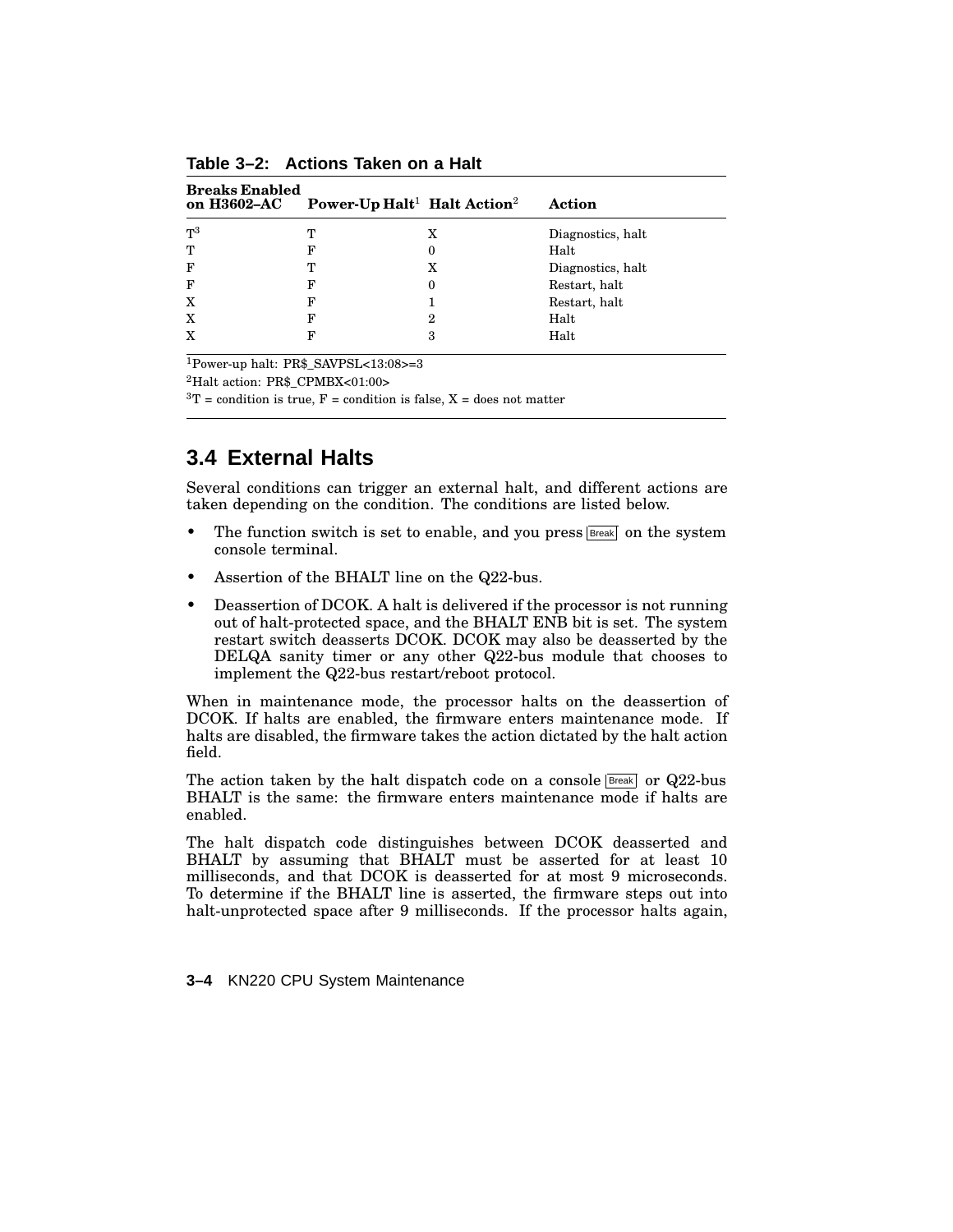| <b>Breaks Enabled</b><br>on H3602-AC | Power-Up Halt <sup>1</sup> Halt Action <sup>2</sup> |   | Action            |
|--------------------------------------|-----------------------------------------------------|---|-------------------|
| $T^3$                                | т                                                   | x | Diagnostics, halt |
| т                                    | F                                                   | 0 | Halt              |
| F                                    | т                                                   | x | Diagnostics, halt |
| F                                    | F                                                   | 0 | Restart, halt     |
| X                                    | F                                                   |   | Restart, halt     |
| X                                    | F                                                   | 2 | Halt              |
| X                                    | F                                                   | 3 | Halt              |

**Table 3–2: Actions Taken on a Halt**

<sup>1</sup>Power-up halt: PR\$\_SAVPSL<13:08>=3

<sup>2</sup>Halt action: PR\$\_CPMBX<01:00>

 ${}^{3}T$  = condition is true, F = condition is false, X = does not matter

## **3.4 External Halts**

Several conditions can trigger an external halt, and different actions are taken depending on the condition. The conditions are listed below.

- The function switch is set to enable, and you press  $B_{\text{peak}}$  on the system console terminal.
- Assertion of the BHALT line on the Q22-bus.
- Deassertion of DCOK. A halt is delivered if the processor is not running out of halt-protected space, and the BHALT ENB bit is set. The system restart switch deasserts DCOK. DCOK may also be deasserted by the DELQA sanity timer or any other Q22-bus module that chooses to implement the Q22-bus restart/reboot protocol.

When in maintenance mode, the processor halts on the deassertion of DCOK. If halts are enabled, the firmware enters maintenance mode. If halts are disabled, the firmware takes the action dictated by the halt action field.

The action taken by the halt dispatch code on a console  $Breat$  or  $Q22$ -bus BHALT is the same: the firmware enters maintenance mode if halts are enabled.

The halt dispatch code distinguishes between DCOK deasserted and BHALT by assuming that BHALT must be asserted for at least 10 milliseconds, and that DCOK is deasserted for at most 9 microseconds. To determine if the BHALT line is asserted, the firmware steps out into halt-unprotected space after 9 milliseconds. If the processor halts again,

**3–4** KN220 CPU System Maintenance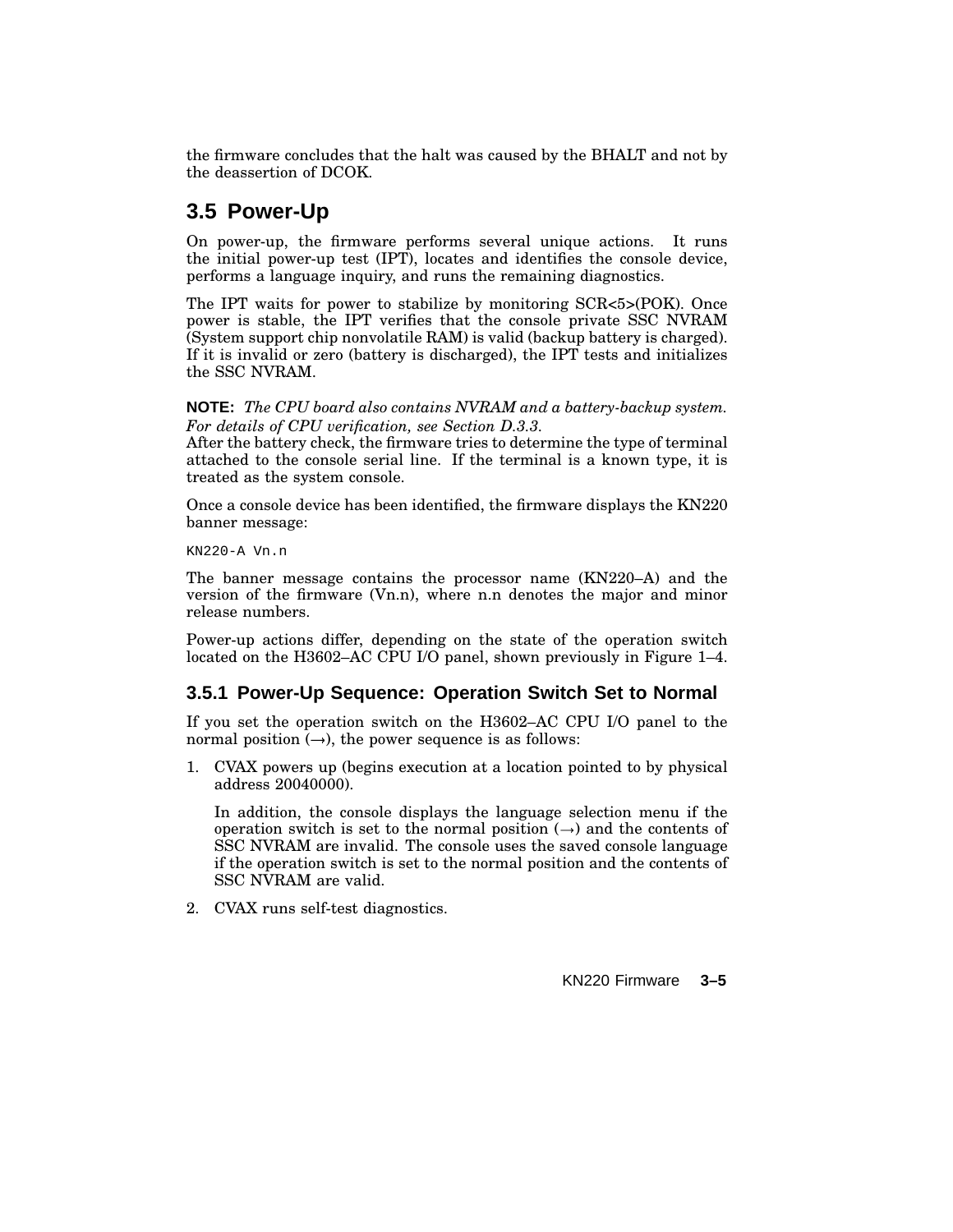the firmware concludes that the halt was caused by the BHALT and not by the deassertion of DCOK.

## **3.5 Power-Up**

On power-up, the firmware performs several unique actions. It runs the initial power-up test (IPT), locates and identifies the console device, performs a language inquiry, and runs the remaining diagnostics.

The IPT waits for power to stabilize by monitoring SCR<5>(POK). Once power is stable, the IPT verifies that the console private SSC NVRAM (System support chip nonvolatile RAM) is valid (backup battery is charged). If it is invalid or zero (battery is discharged), the IPT tests and initializes the SSC NVRAM.

#### **NOTE:** *The CPU board also contains NVRAM and a battery-backup system. For details of CPU verification, see Section D.3.3.*

After the battery check, the firmware tries to determine the type of terminal attached to the console serial line. If the terminal is a known type, it is treated as the system console.

Once a console device has been identified, the firmware displays the KN220 banner message:

KN220-A Vn.n

The banner message contains the processor name (KN220–A) and the version of the firmware (Vn.n), where n.n denotes the major and minor release numbers.

Power-up actions differ, depending on the state of the operation switch located on the H3602–AC CPU I/O panel, shown previously in Figure 1–4.

## **3.5.1 Power-Up Sequence: Operation Switch Set to Normal**

If you set the operation switch on the H3602–AC CPU I/O panel to the normal position  $(\rightarrow)$ , the power sequence is as follows:

1. CVAX powers up (begins execution at a location pointed to by physical address 20040000).

In addition, the console displays the language selection menu if the operation switch is set to the normal position  $(\rightarrow)$  and the contents of SSC NVRAM are invalid. The console uses the saved console language if the operation switch is set to the normal position and the contents of SSC NVRAM are valid.

2. CVAX runs self-test diagnostics.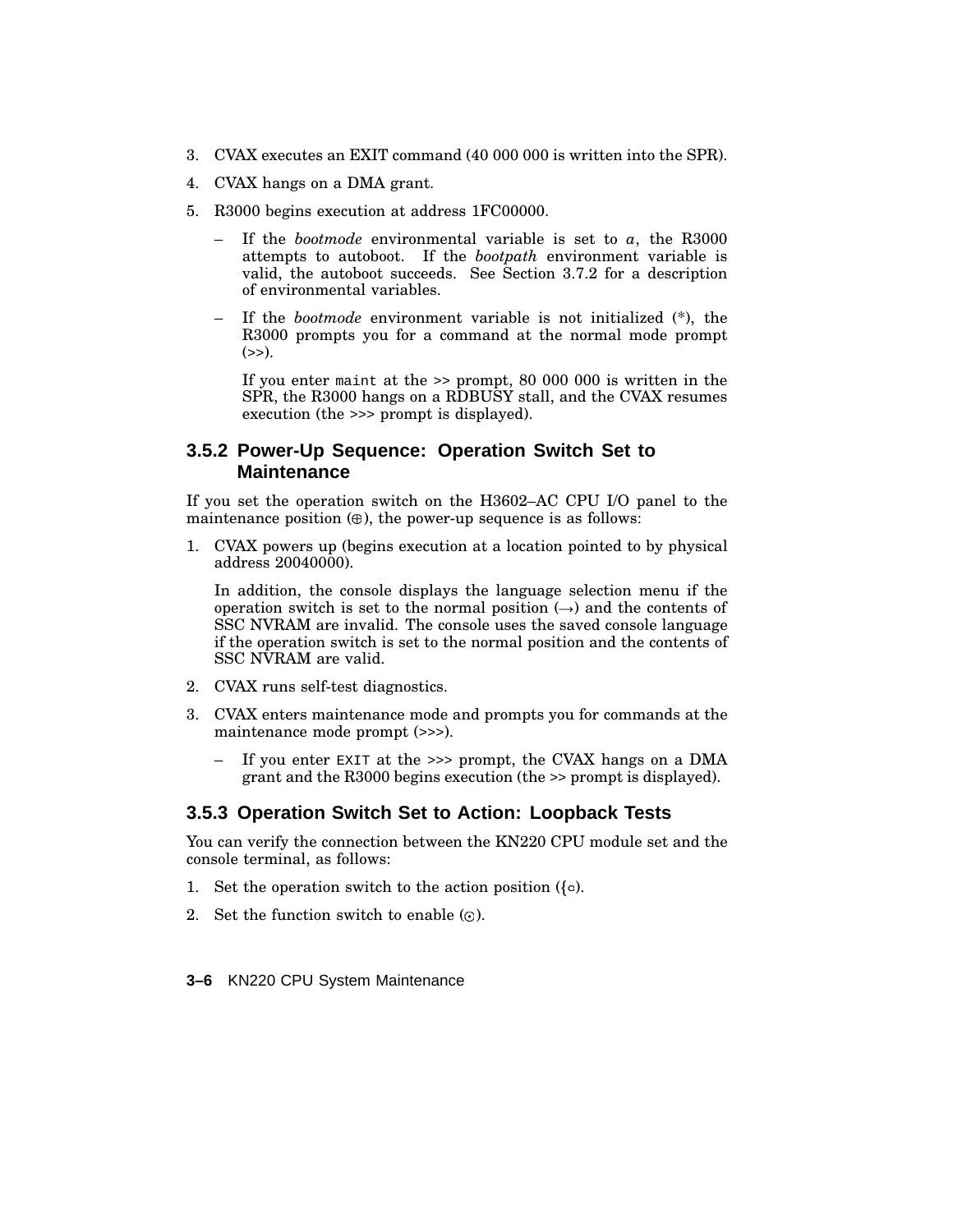- 3. CVAX executes an EXIT command (40 000 000 is written into the SPR).
- 4. CVAX hangs on a DMA grant.
- 5. R3000 begins execution at address 1FC00000.
	- If the *bootmode* environmental variable is set to  $a$ , the R3000 attempts to autoboot. If the *bootpath* environment variable is valid, the autoboot succeeds. See Section 3.7.2 for a description of environmental variables.
	- If the *bootmode* environment variable is not initialized (\*), the R3000 prompts you for a command at the normal mode prompt  $(\gg)$ .

If you enter maint at the >> prompt, 80 000 000 is written in the SPR, the R3000 hangs on a RDBUSY stall, and the CVAX resumes execution (the >>> prompt is displayed).

### **3.5.2 Power-Up Sequence: Operation Switch Set to Maintenance**

If you set the operation switch on the H3602–AC CPU I/O panel to the maintenance position  $(\oplus)$ , the power-up sequence is as follows:

1. CVAX powers up (begins execution at a location pointed to by physical address 20040000).

In addition, the console displays the language selection menu if the operation switch is set to the normal position  $(\rightarrow)$  and the contents of SSC NVRAM are invalid. The console uses the saved console language if the operation switch is set to the normal position and the contents of SSC NVRAM are valid.

- 2. CVAX runs self-test diagnostics.
- 3. CVAX enters maintenance mode and prompts you for commands at the maintenance mode prompt (>>>).
	- If you enter  $EXIT$  at the  $\gg$  prompt, the CVAX hangs on a DMA grant and the R3000 begins execution (the >> prompt is displayed).

### **3.5.3 Operation Switch Set to Action: Loopback Tests**

You can verify the connection between the KN220 CPU module set and the console terminal, as follows:

- 1. Set the operation switch to the action position  $({\circ})$ .
- 2. Set the function switch to enable  $(\odot)$ .
- **3–6** KN220 CPU System Maintenance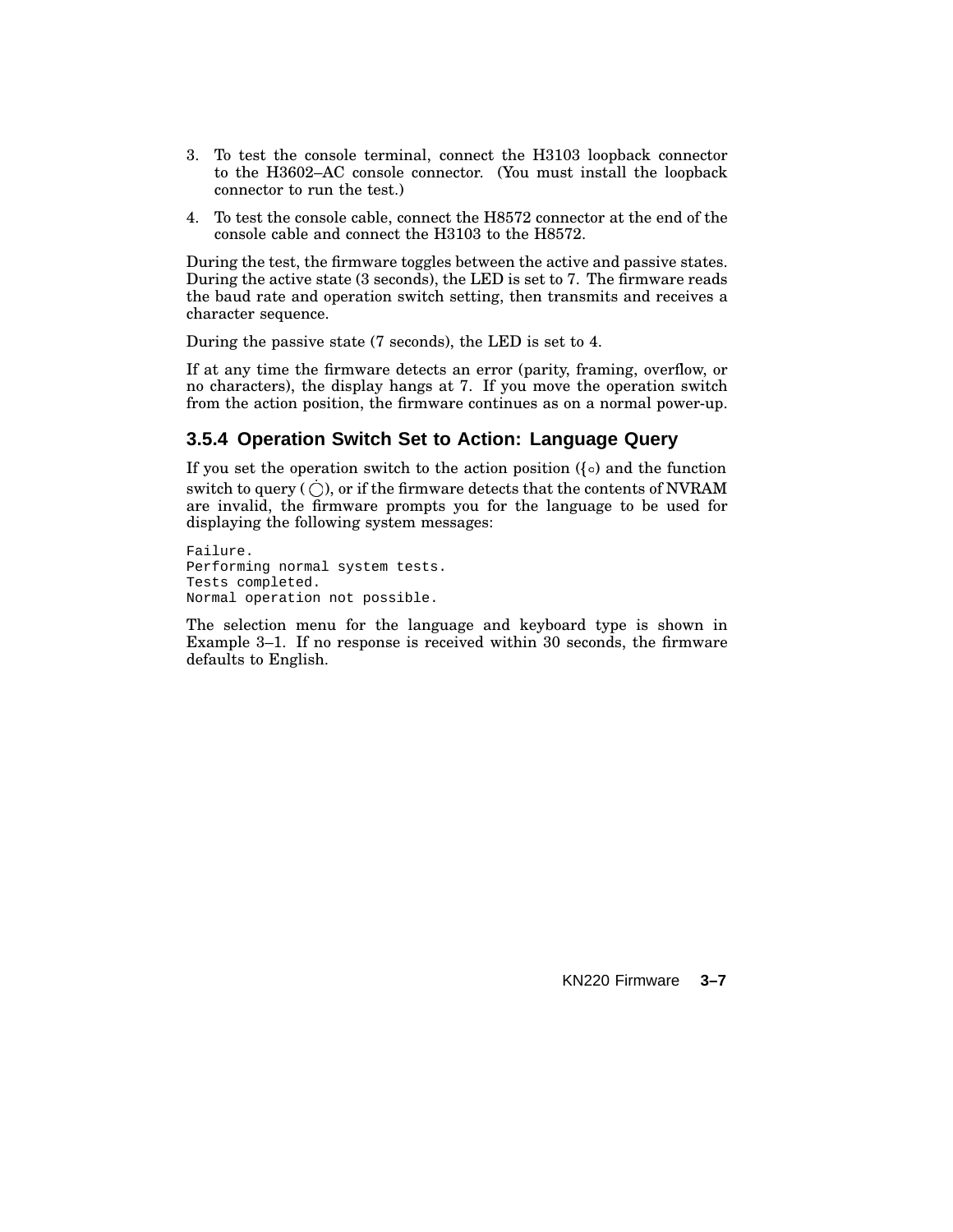- 3. To test the console terminal, connect the H3103 loopback connector to the H3602–AC console connector. (You must install the loopback connector to run the test.)
- 4. To test the console cable, connect the H8572 connector at the end of the console cable and connect the H3103 to the H8572.

During the test, the firmware toggles between the active and passive states. During the active state (3 seconds), the LED is set to 7. The firmware reads the baud rate and operation switch setting, then transmits and receives a character sequence.

During the passive state (7 seconds), the LED is set to 4.

If at any time the firmware detects an error (parity, framing, overflow, or no characters), the display hangs at 7. If you move the operation switch from the action position, the firmware continues as on a normal power-up.

## **3.5.4 Operation Switch Set to Action: Language Query**

If you set the operation switch to the action position ( $\{\circ\}$ ) and the function switch to query (  $\bigcirc$  ), or if the firmware detects that the contents of NVRAM are invalid, the firmware prompts you for the language to be used for displaying the following system messages:

Failure. Performing normal system tests. Tests completed. Normal operation not possible.

The selection menu for the language and keyboard type is shown in Example 3–1. If no response is received within 30 seconds, the firmware defaults to English.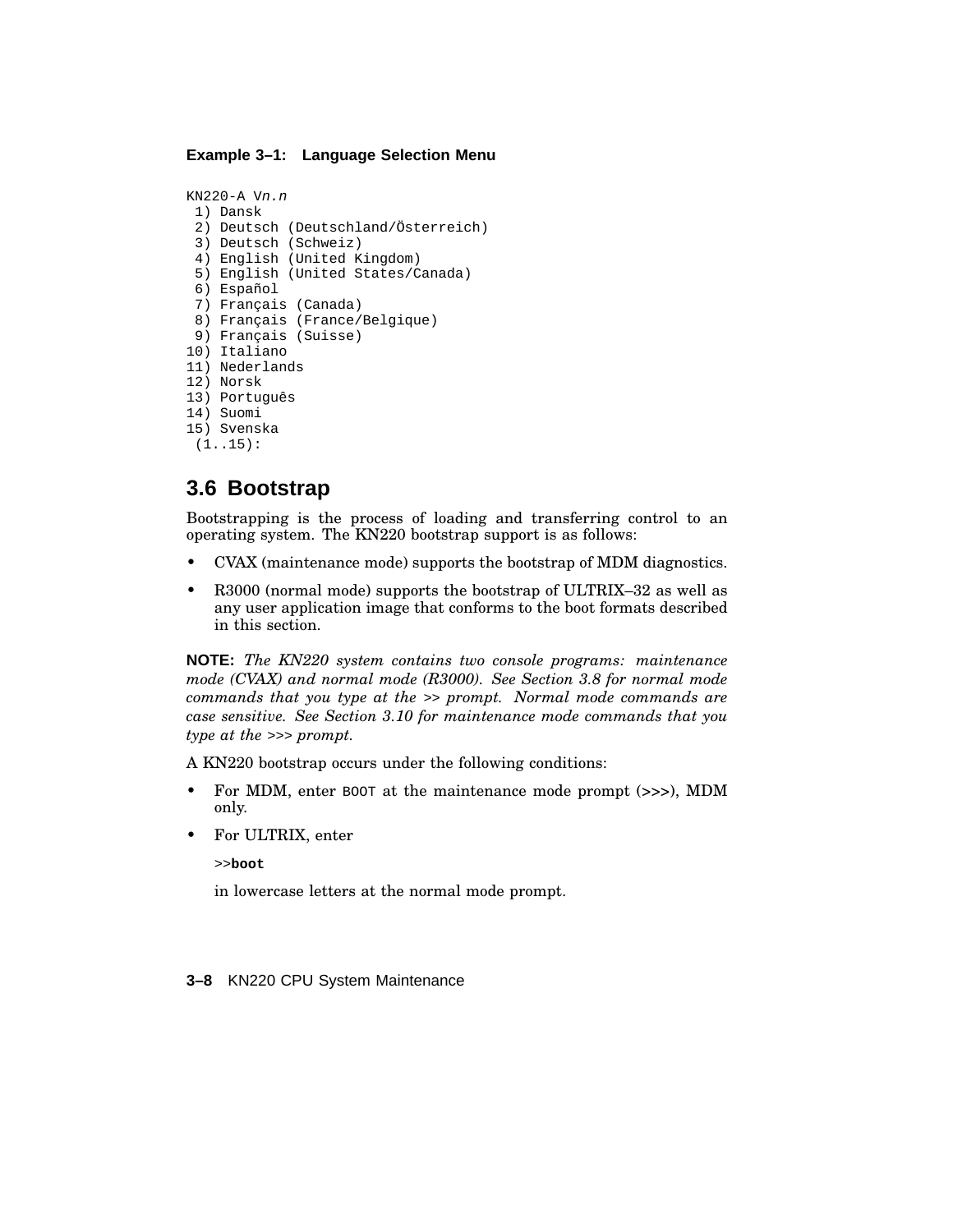#### **Example 3–1: Language Selection Menu**

```
KN220-A Vn.n
 1) Dansk
 2) Deutsch (Deutschland/Österreich)
 3) Deutsch (Schweiz)
 4) English (United Kingdom)
 5) English (United States/Canada)
 6) Español
 7) Français (Canada)
 8) Français (France/Belgique)
 9) Français (Suisse)
10) Italiano
11) Nederlands
12) Norsk
13) Português
14) Suomi
15) Svenska
 (1..15):
```
## **3.6 Bootstrap**

Bootstrapping is the process of loading and transferring control to an operating system. The KN220 bootstrap support is as follows:

- CVAX (maintenance mode) supports the bootstrap of MDM diagnostics.
- R3000 (normal mode) supports the bootstrap of ULTRIX–32 as well as any user application image that conforms to the boot formats described in this section.

**NOTE:** *The KN220 system contains two console programs: maintenance mode (CVAX) and normal mode (R3000). See Section 3.8 for normal mode commands that you type at the* >> *prompt. Normal mode commands are case sensitive. See Section 3.10 for maintenance mode commands that you type at the* >>> *prompt.*

A KN220 bootstrap occurs under the following conditions:

- For MDM, enter BOOT at the maintenance mode prompt (>>>), MDM only.
- For ULTRIX, enter

>>**boot**

in lowercase letters at the normal mode prompt.

**3–8** KN220 CPU System Maintenance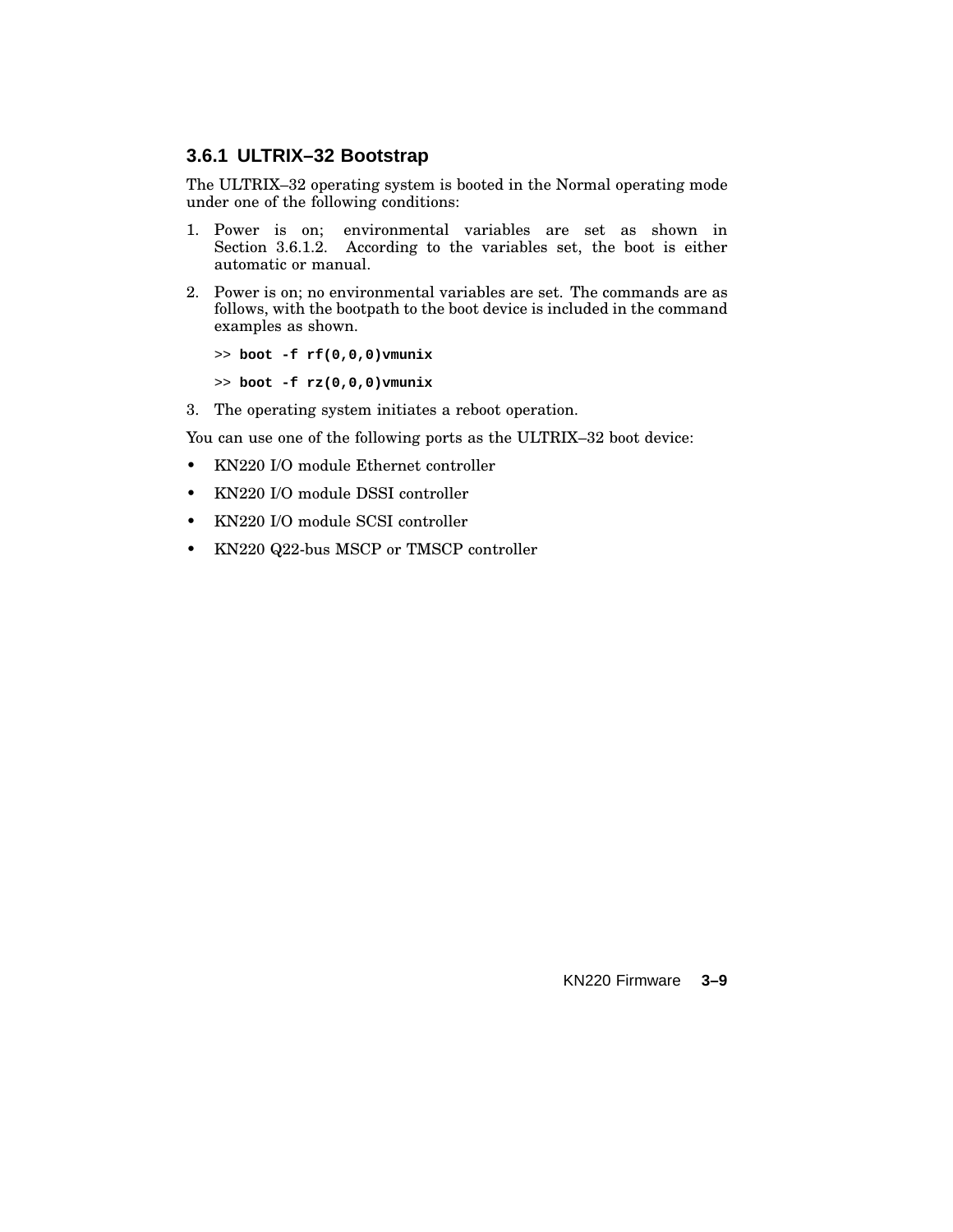### **3.6.1 ULTRIX–32 Bootstrap**

The ULTRIX–32 operating system is booted in the Normal operating mode under one of the following conditions:

- 1. Power is on; environmental variables are set as shown in Section 3.6.1.2. According to the variables set, the boot is either automatic or manual.
- 2. Power is on; no environmental variables are set. The commands are as follows, with the bootpath to the boot device is included in the command examples as shown.

>> **boot -f rf(0,0,0)vmunix**

>> **boot -f rz(0,0,0)vmunix**

3. The operating system initiates a reboot operation.

You can use one of the following ports as the ULTRIX–32 boot device:

- KN220 I/O module Ethernet controller
- KN220 I/O module DSSI controller
- KN220 I/O module SCSI controller
- KN220 Q22-bus MSCP or TMSCP controller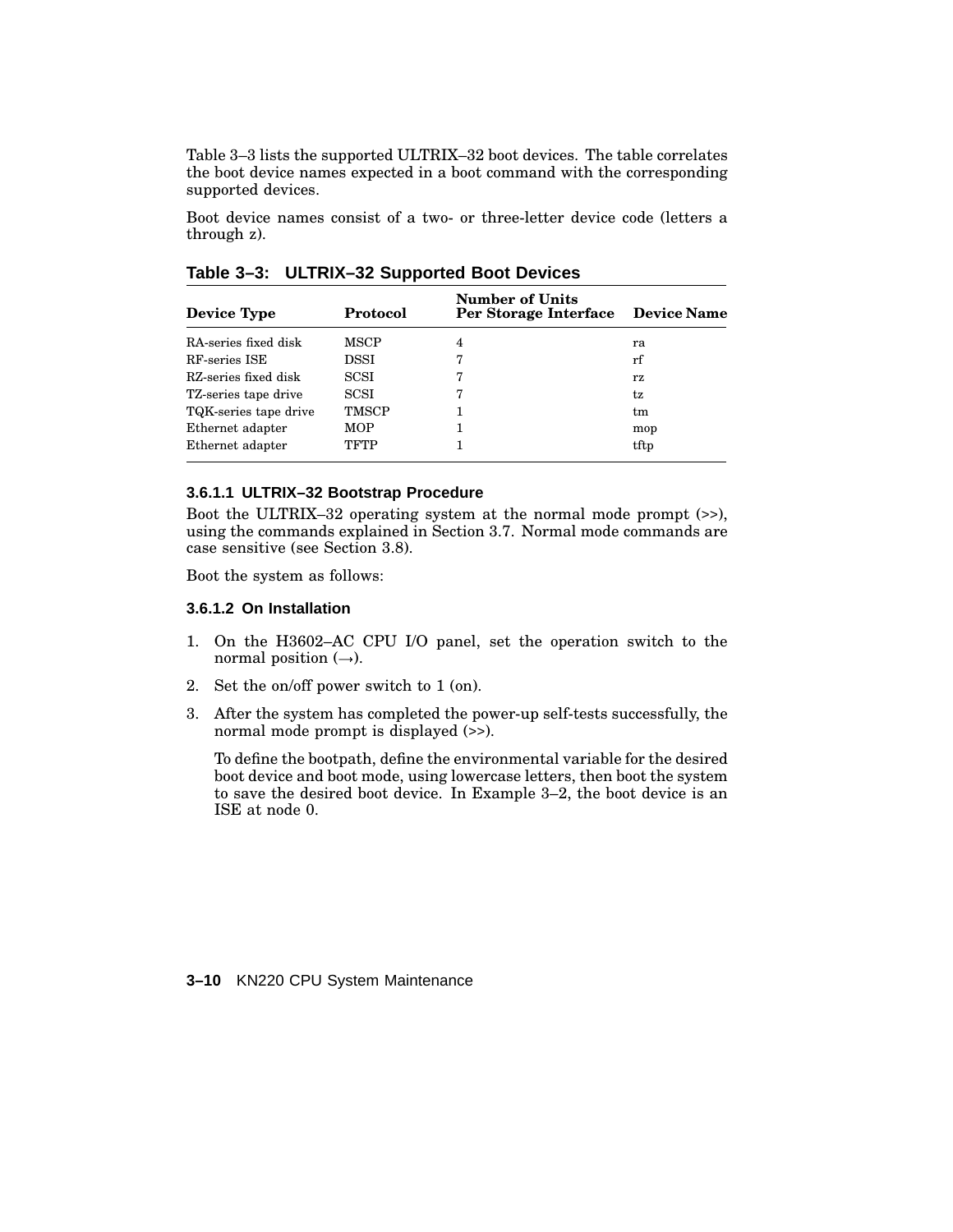Table 3–3 lists the supported ULTRIX–32 boot devices. The table correlates the boot device names expected in a boot command with the corresponding supported devices.

Boot device names consist of a two- or three-letter device code (letters a through z).

| Device Type           | Protocol | <b>Number of Units</b><br>Per Storage Interface Device Name |      |
|-----------------------|----------|-------------------------------------------------------------|------|
| RA-series fixed disk  | MSCP     | 4                                                           | ra   |
| RF-series ISE         | DSSI     | 7                                                           | rf   |
| RZ-series fixed disk  | SCSI     | 7                                                           | rz   |
| TZ-series tape drive  | SCSI     | 7                                                           | tz   |
| TQK-series tape drive | TMSCP    |                                                             | tm   |
| Ethernet adapter      | MOP      |                                                             | mop  |
| Ethernet adapter      | TFTP     |                                                             | tftp |
|                       |          |                                                             |      |

**Table 3–3: ULTRIX–32 Supported Boot Devices**

#### **3.6.1.1 ULTRIX–32 Bootstrap Procedure**

Boot the ULTRIX–32 operating system at the normal mode prompt (>>), using the commands explained in Section 3.7. Normal mode commands are case sensitive (see Section 3.8).

Boot the system as follows:

#### **3.6.1.2 On Installation**

- 1. On the H3602–AC CPU I/O panel, set the operation switch to the normal position  $(\rightarrow)$ .
- 2. Set the on/off power switch to 1 (on).
- 3. After the system has completed the power-up self-tests successfully, the normal mode prompt is displayed (>>).

To define the bootpath, define the environmental variable for the desired boot device and boot mode, using lowercase letters, then boot the system to save the desired boot device. In Example 3–2, the boot device is an ISE at node 0.

**3–10** KN220 CPU System Maintenance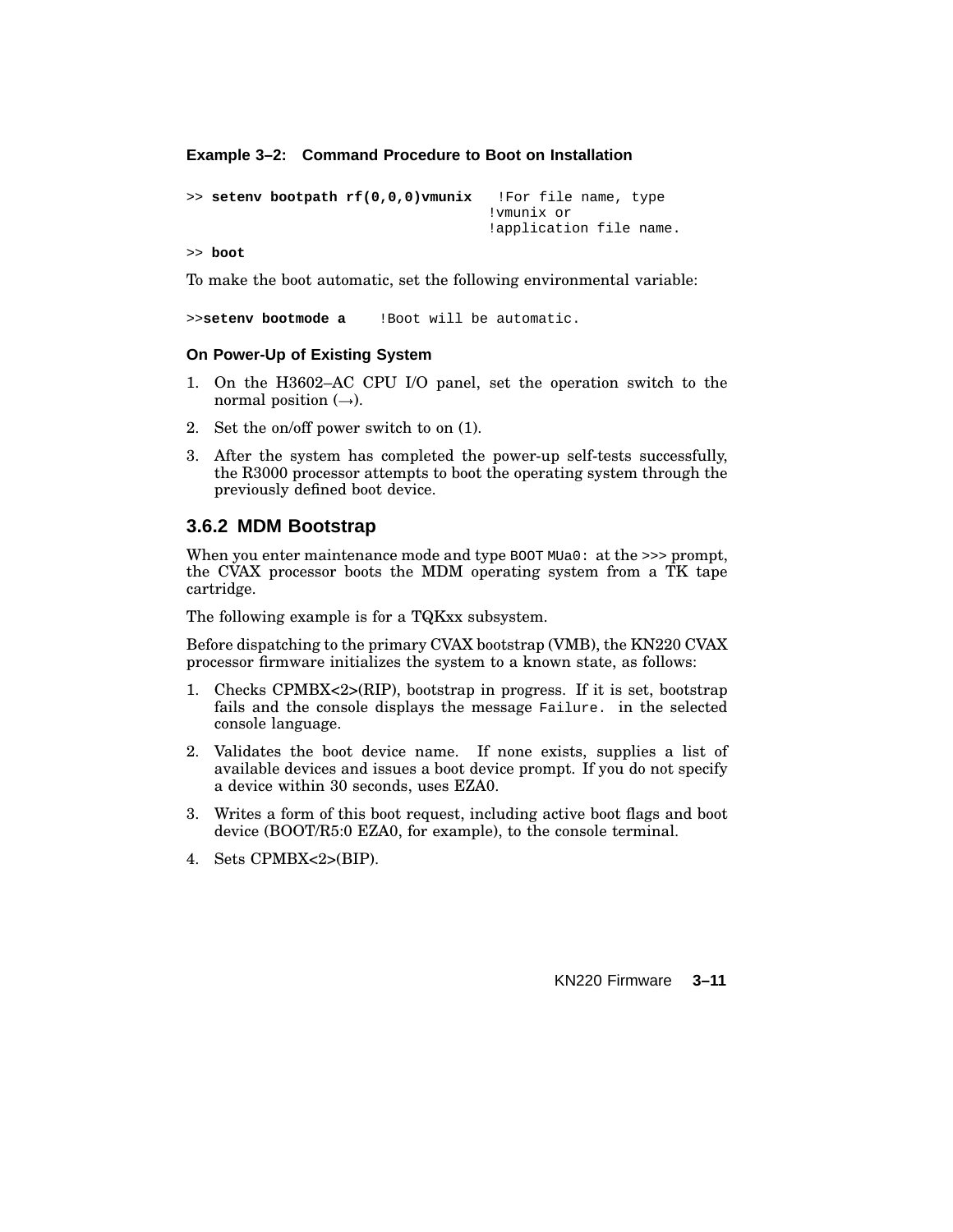**Example 3–2: Command Procedure to Boot on Installation**

```
>> setenv bootpath rf(0,0,0)vmunix !For file name, type
                                    !vmunix or
                                    !application file name.
```
>> **boot**

To make the boot automatic, set the following environmental variable:

>>**setenv bootmode a** !Boot will be automatic.

#### **On Power-Up of Existing System**

- 1. On the H3602–AC CPU I/O panel, set the operation switch to the normal position  $(\rightarrow)$ .
- 2. Set the on/off power switch to on (1).
- 3. After the system has completed the power-up self-tests successfully, the R3000 processor attempts to boot the operating system through the previously defined boot device.

#### **3.6.2 MDM Bootstrap**

When you enter maintenance mode and type BOOT MUa0: at the >>> prompt, the CVAX processor boots the MDM operating system from a TK tape cartridge.

The following example is for a TQKxx subsystem.

Before dispatching to the primary CVAX bootstrap (VMB), the KN220 CVAX processor firmware initializes the system to a known state, as follows:

- 1. Checks CPMBX<2>(RIP), bootstrap in progress. If it is set, bootstrap fails and the console displays the message Failure. in the selected console language.
- 2. Validates the boot device name. If none exists, supplies a list of available devices and issues a boot device prompt. If you do not specify a device within 30 seconds, uses EZA0.
- 3. Writes a form of this boot request, including active boot flags and boot device (BOOT/R5:0 EZA0, for example), to the console terminal.
- 4. Sets CPMBX<2>(BIP).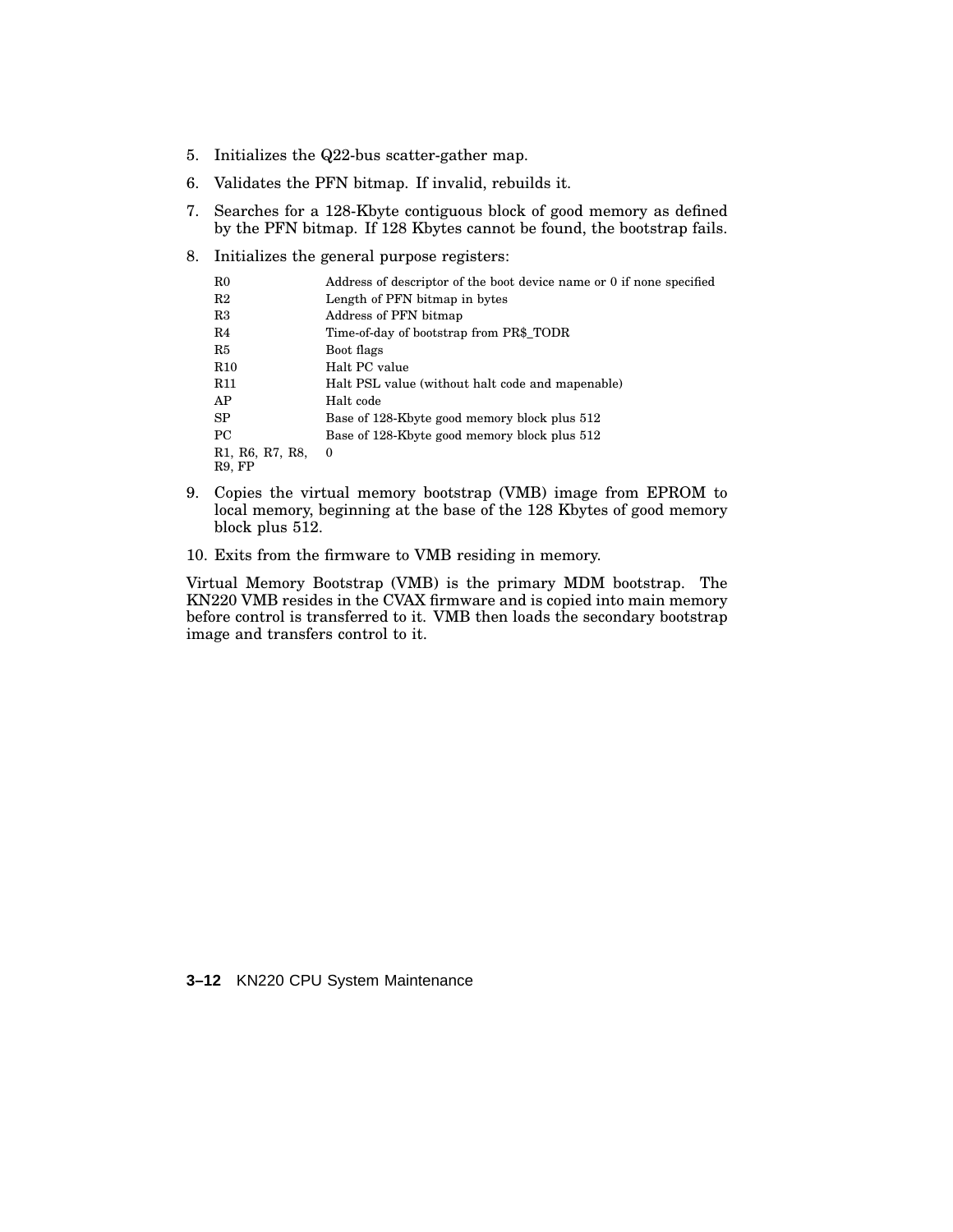- 5. Initializes the Q22-bus scatter-gather map.
- 6. Validates the PFN bitmap. If invalid, rebuilds it.
- 7. Searches for a 128-Kbyte contiguous block of good memory as defined by the PFN bitmap. If 128 Kbytes cannot be found, the bootstrap fails.
- 8. Initializes the general purpose registers:

| Address of descriptor of the boot device name or 0 if none specified |
|----------------------------------------------------------------------|
| Length of PFN bitmap in bytes                                        |
|                                                                      |
| Time-of-day of bootstrap from PR\$_TODR                              |
|                                                                      |
|                                                                      |
| Halt PSL value (without halt code and mapenable)                     |
|                                                                      |
| Base of 128-Kbyte good memory block plus 512                         |
| Base of 128-Kbyte good memory block plus 512                         |
|                                                                      |
|                                                                      |

- 9. Copies the virtual memory bootstrap (VMB) image from EPROM to local memory, beginning at the base of the 128 Kbytes of good memory block plus 512.
- 10. Exits from the firmware to VMB residing in memory.

Virtual Memory Bootstrap (VMB) is the primary MDM bootstrap. The KN220 VMB resides in the CVAX firmware and is copied into main memory before control is transferred to it. VMB then loads the secondary bootstrap image and transfers control to it.

**3–12** KN220 CPU System Maintenance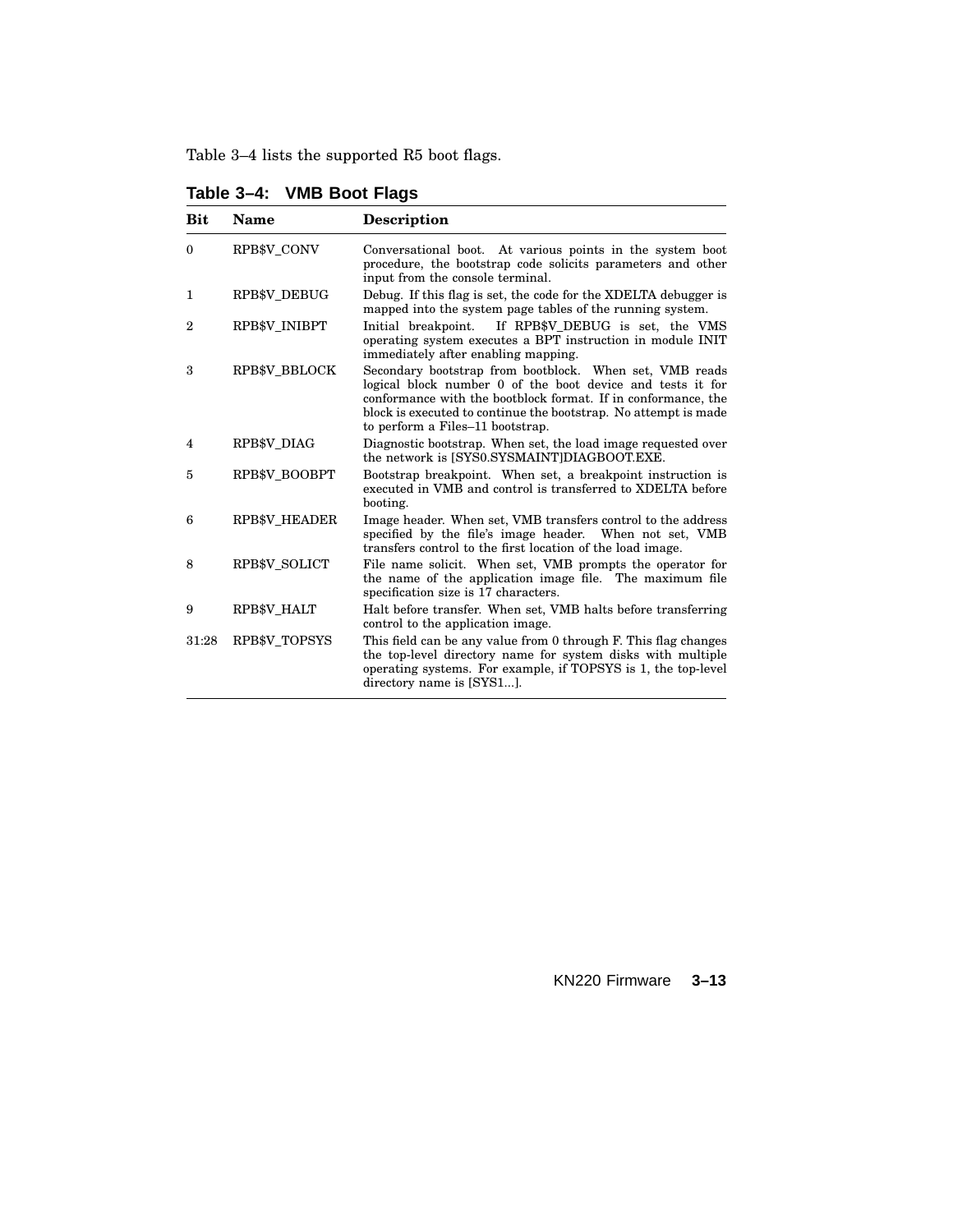Table 3–4 lists the supported R5 boot flags.

| <b>Bit</b>     | <b>Name</b>          | <b>Description</b>                                                                                                                                                                                                                                                                            |
|----------------|----------------------|-----------------------------------------------------------------------------------------------------------------------------------------------------------------------------------------------------------------------------------------------------------------------------------------------|
| $\theta$       | RPB\$V_CONV          | Conversational boot. At various points in the system boot<br>procedure, the bootstrap code solicits parameters and other<br>input from the console terminal.                                                                                                                                  |
| 1              | RPB\$V DEBUG         | Debug. If this flag is set, the code for the XDELTA debugger is<br>mapped into the system page tables of the running system.                                                                                                                                                                  |
| $\overline{2}$ | RPB\$V INIBPT        | If RPB\$V_DEBUG is set, the VMS<br>Initial breakpoint.<br>operating system executes a BPT instruction in module INIT<br>immediately after enabling mapping.                                                                                                                                   |
| 3              | RPB\$V BBLOCK        | Secondary bootstrap from bootblock. When set, VMB reads<br>logical block number 0 of the boot device and tests it for<br>conformance with the bootblock format. If in conformance, the<br>block is executed to continue the bootstrap. No attempt is made<br>to perform a Files-11 bootstrap. |
| 4              | <b>RPB\$V DIAG</b>   | Diagnostic bootstrap. When set, the load image requested over<br>the network is [SYS0.SYSMAINT]DIAGBOOT.EXE.                                                                                                                                                                                  |
| 5              | RPB\$V BOOBPT        | Bootstrap breakpoint. When set, a breakpoint instruction is<br>executed in VMB and control is transferred to XDELTA before<br>booting.                                                                                                                                                        |
| 6              | <b>RPB\$V HEADER</b> | Image header. When set, VMB transfers control to the address<br>specified by the file's image header. When not set, VMB<br>transfers control to the first location of the load image.                                                                                                         |
| 8              | RPB\$V SOLICT        | File name solicit. When set, VMB prompts the operator for<br>the name of the application image file. The maximum file<br>specification size is 17 characters.                                                                                                                                 |
| 9              | RPB\$V HALT          | Halt before transfer. When set, VMB halts before transferring<br>control to the application image.                                                                                                                                                                                            |
| 31:28          | RPB\$V TOPSYS        | This field can be any value from 0 through F. This flag changes<br>the top-level directory name for system disks with multiple<br>operating systems. For example, if TOPSYS is 1, the top-level<br>directory name is [SYS1].                                                                  |

**Table 3–4: VMB Boot Flags**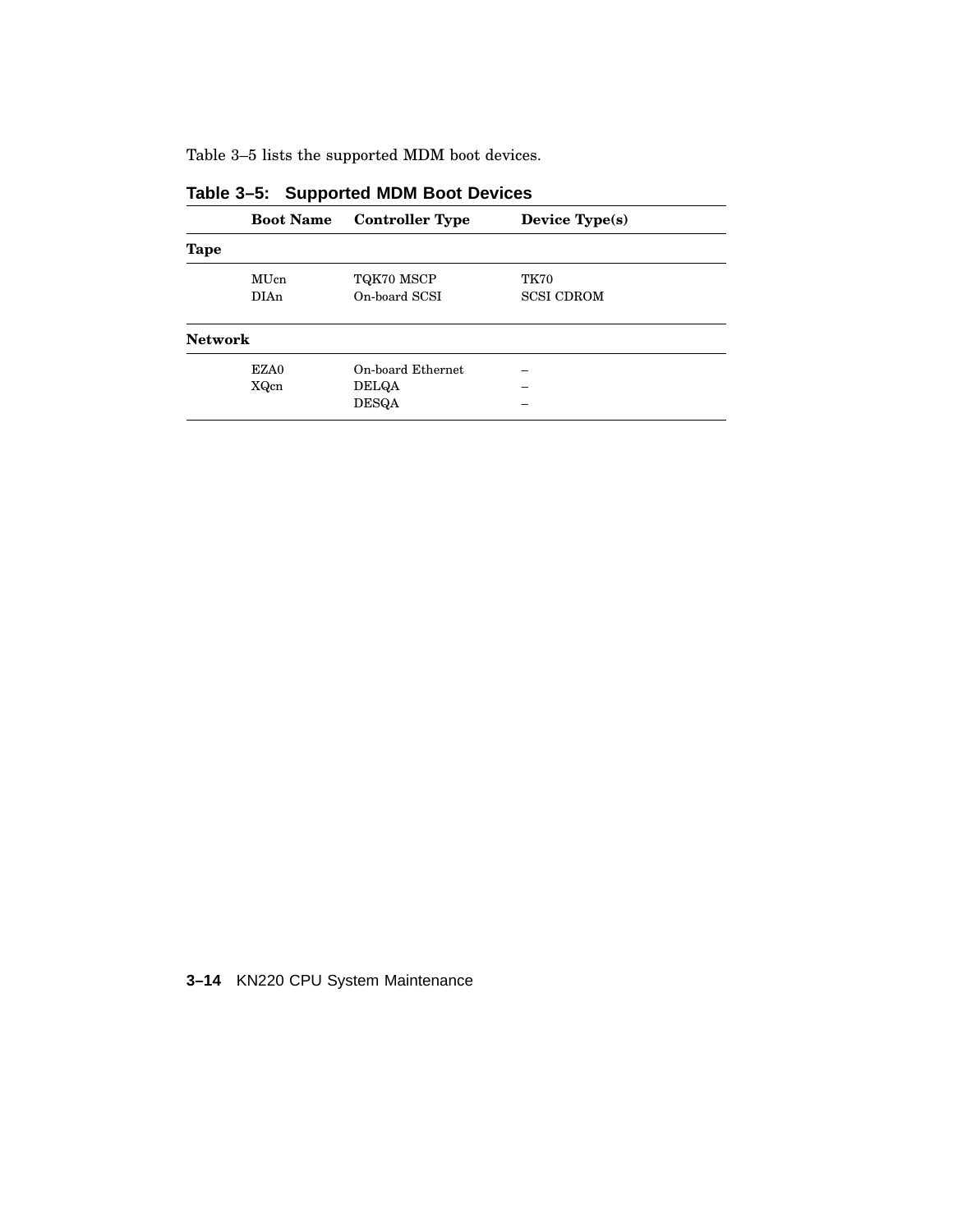Table 3–5 lists the supported MDM boot devices.

|                | <b>Boot Name</b> | <b>Controller Type</b> | Device Type(s)    |  |
|----------------|------------------|------------------------|-------------------|--|
| Tape           |                  |                        |                   |  |
|                | MUcn             | TQK70 MSCP             | <b>TK70</b>       |  |
|                | <b>DIAn</b>      | On-board SCSI          | <b>SCSI CDROM</b> |  |
| <b>Network</b> |                  |                        |                   |  |
|                | EZA0             | On-board Ethernet      |                   |  |
|                | XQcn             | <b>DELQA</b>           |                   |  |
|                |                  | <b>DESQA</b>           |                   |  |

**Table 3–5: Supported MDM Boot Devices**

**3–14** KN220 CPU System Maintenance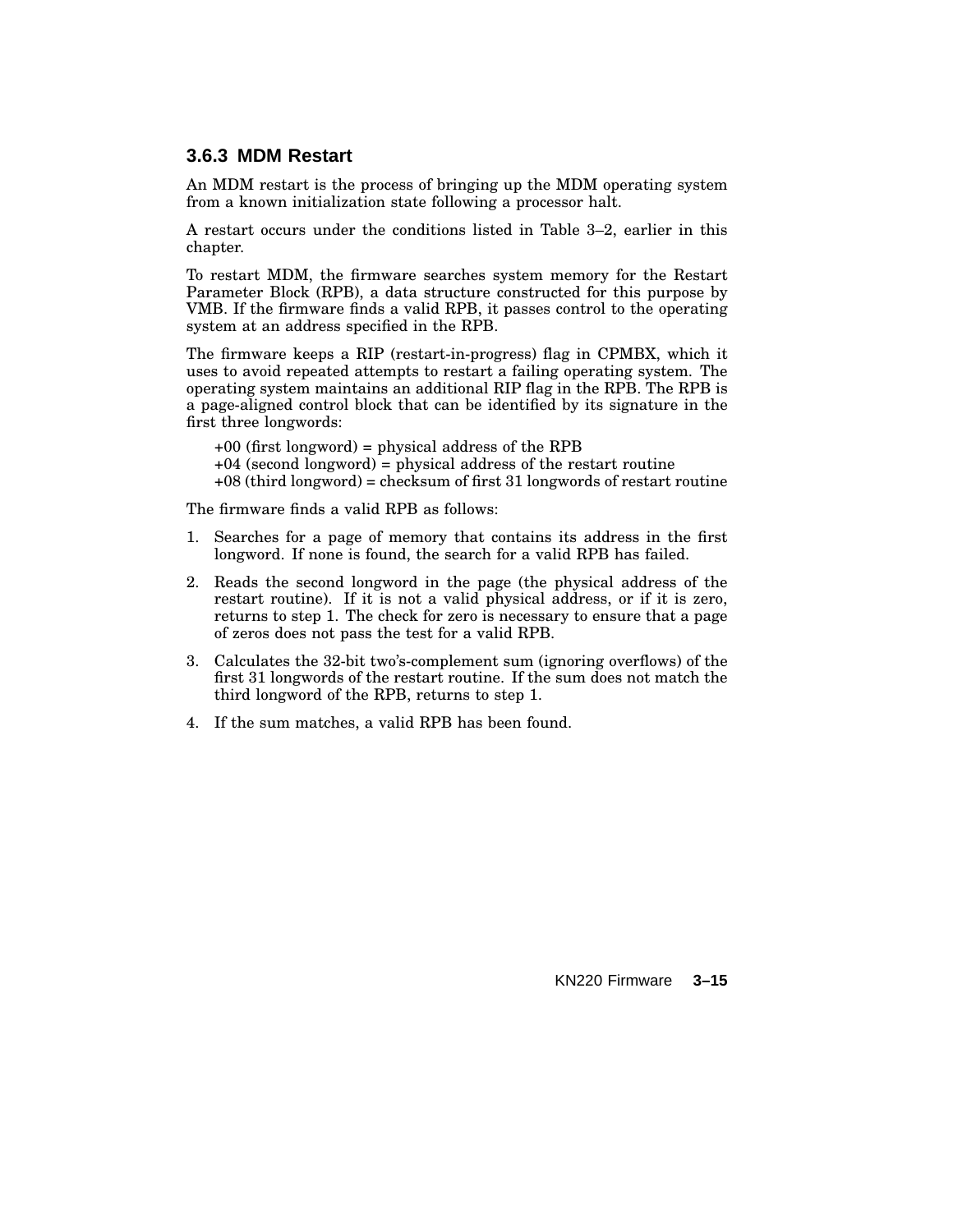### **3.6.3 MDM Restart**

An MDM restart is the process of bringing up the MDM operating system from a known initialization state following a processor halt.

A restart occurs under the conditions listed in Table 3–2, earlier in this chapter.

To restart MDM, the firmware searches system memory for the Restart Parameter Block (RPB), a data structure constructed for this purpose by VMB. If the firmware finds a valid RPB, it passes control to the operating system at an address specified in the RPB.

The firmware keeps a RIP (restart-in-progress) flag in CPMBX, which it uses to avoid repeated attempts to restart a failing operating system. The operating system maintains an additional RIP flag in the RPB. The RPB is a page-aligned control block that can be identified by its signature in the first three longwords:

+00 (first longword) = physical address of the RPB  $+04$  (second longword) = physical address of the restart routine +08 (third longword) = checksum of first 31 longwords of restart routine

The firmware finds a valid RPB as follows:

- 1. Searches for a page of memory that contains its address in the first longword. If none is found, the search for a valid RPB has failed.
- 2. Reads the second longword in the page (the physical address of the restart routine). If it is not a valid physical address, or if it is zero, returns to step 1. The check for zero is necessary to ensure that a page of zeros does not pass the test for a valid RPB.
- 3. Calculates the 32-bit two's-complement sum (ignoring overflows) of the first 31 longwords of the restart routine. If the sum does not match the third longword of the RPB, returns to step 1.
- 4. If the sum matches, a valid RPB has been found.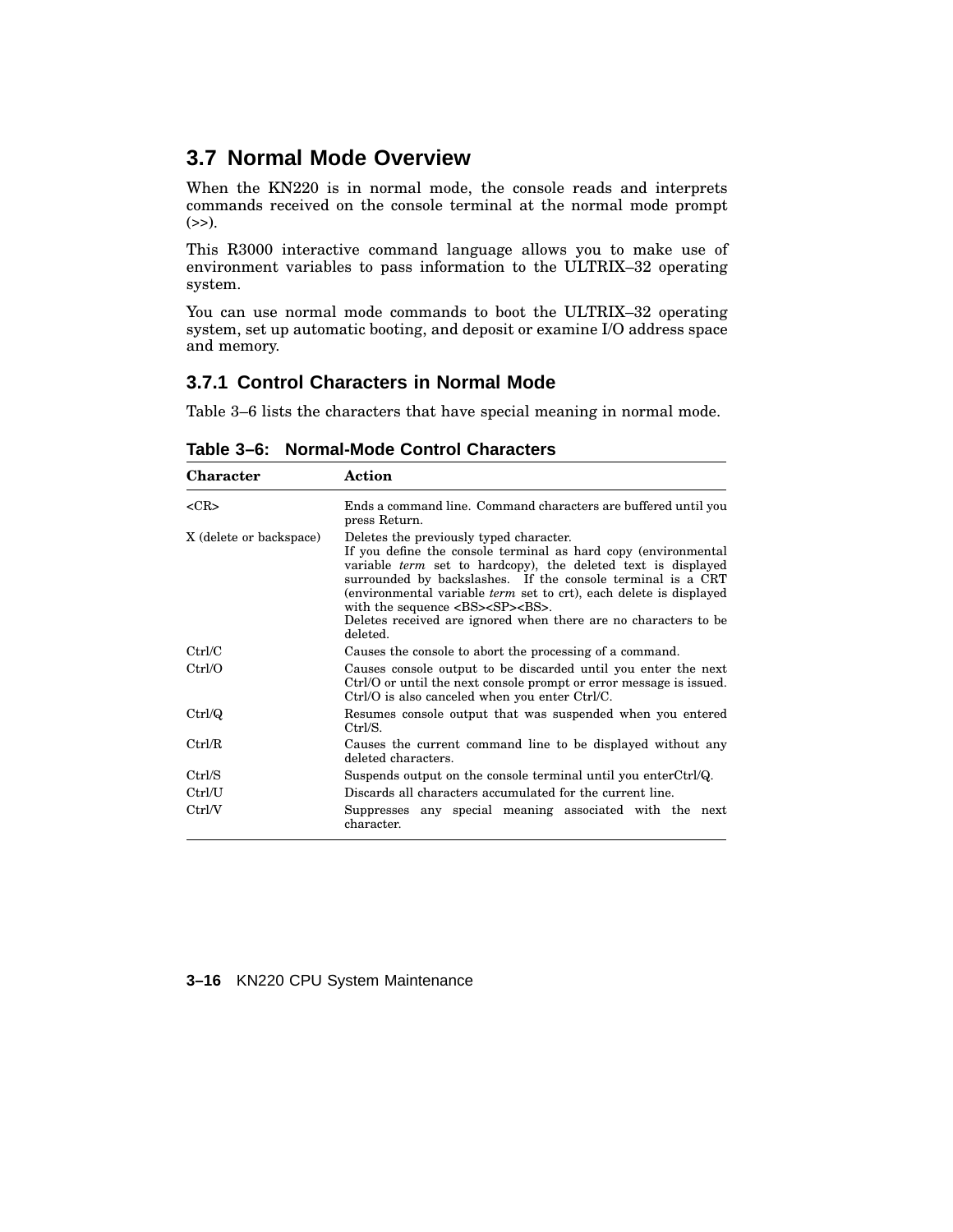## **3.7 Normal Mode Overview**

When the KN220 is in normal mode, the console reads and interprets commands received on the console terminal at the normal mode prompt  $(\gg).$ 

This R3000 interactive command language allows you to make use of environment variables to pass information to the ULTRIX–32 operating system.

You can use normal mode commands to boot the ULTRIX–32 operating system, set up automatic booting, and deposit or examine I/O address space and memory.

## **3.7.1 Control Characters in Normal Mode**

Table 3–6 lists the characters that have special meaning in normal mode.

| <b>Character</b>        | Action                                                                                                                                                                                                                                                                                                                                                                                                                                                    |  |  |
|-------------------------|-----------------------------------------------------------------------------------------------------------------------------------------------------------------------------------------------------------------------------------------------------------------------------------------------------------------------------------------------------------------------------------------------------------------------------------------------------------|--|--|
| $<$ CR $>$              | Ends a command line. Command characters are buffered until you<br>press Return.                                                                                                                                                                                                                                                                                                                                                                           |  |  |
| X (delete or backspace) | Deletes the previously typed character.<br>If you define the console terminal as hard copy (environmental<br>variable term set to hardcopy), the deleted text is displayed<br>surrounded by backslashes. If the console terminal is a CRT<br>(environmental variable <i>term</i> set to crt), each delete is displayed<br>with the sequence <bs><sp><bs>.<br/>Deletes received are ignored when there are no characters to be<br/>deleted.</bs></sp></bs> |  |  |
| Ctrl/C                  | Causes the console to abort the processing of a command.                                                                                                                                                                                                                                                                                                                                                                                                  |  |  |
| Ctrl/O                  | Causes console output to be discarded until you enter the next<br>Ctrl/O or until the next console prompt or error message is issued.<br>Ctrl/O is also canceled when you enter Ctrl/C.                                                                                                                                                                                                                                                                   |  |  |
| Ctrl/Q                  | Resumes console output that was suspended when you entered<br>Ctrl/S.                                                                                                                                                                                                                                                                                                                                                                                     |  |  |
| Ctrl/R                  | Causes the current command line to be displayed without any<br>deleted characters.                                                                                                                                                                                                                                                                                                                                                                        |  |  |
| Ctrl/S                  | Suspends output on the console terminal until you enterCtrlQ.                                                                                                                                                                                                                                                                                                                                                                                             |  |  |
| Ctrl/U                  | Discards all characters accumulated for the current line.                                                                                                                                                                                                                                                                                                                                                                                                 |  |  |
| Ctrl/V                  | Suppresses any special meaning associated with the next<br>character.                                                                                                                                                                                                                                                                                                                                                                                     |  |  |

**Table 3–6: Normal-Mode Control Characters**

#### **3–16** KN220 CPU System Maintenance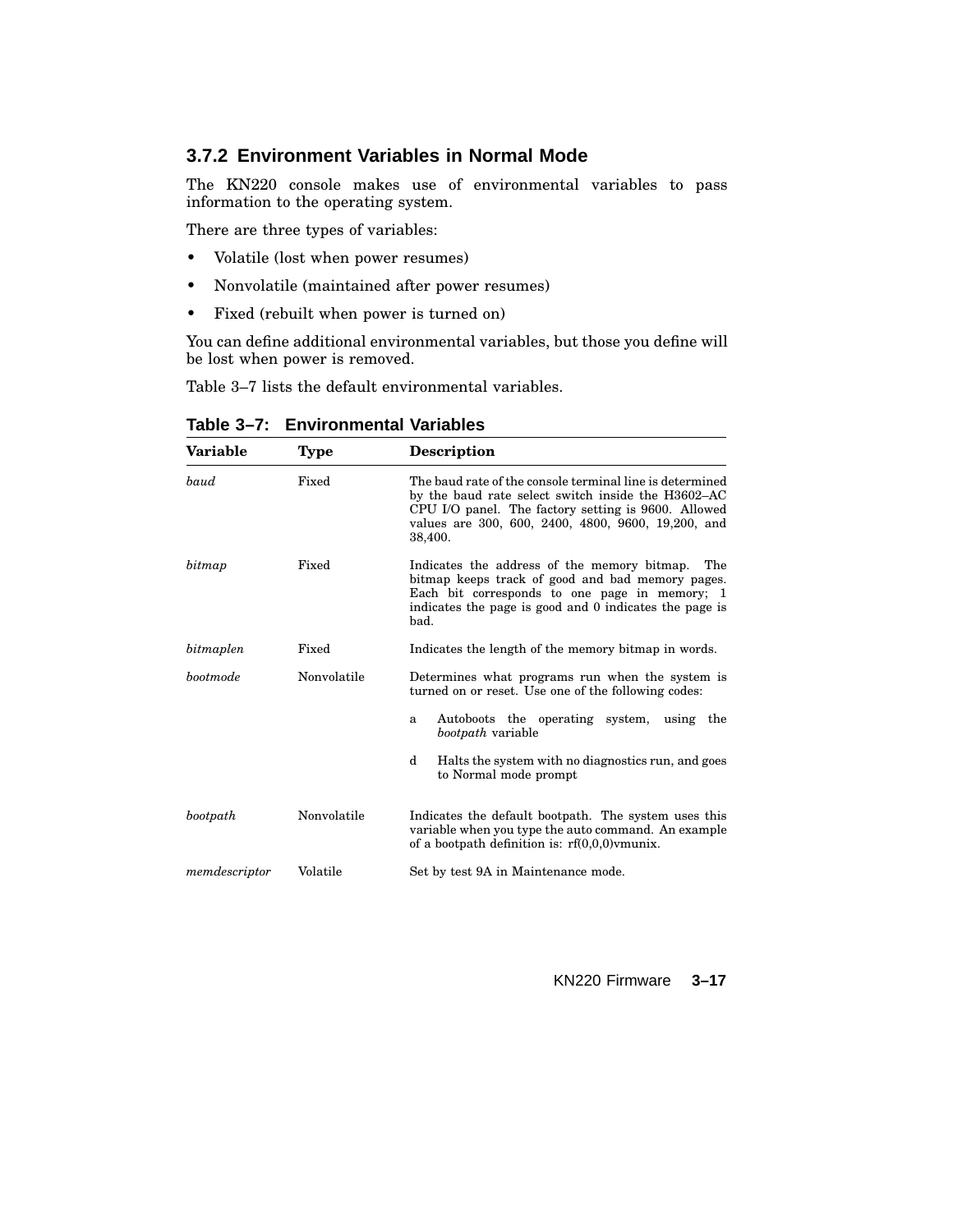## **3.7.2 Environment Variables in Normal Mode**

The KN220 console makes use of environmental variables to pass information to the operating system.

There are three types of variables:

- Volatile (lost when power resumes)
- Nonvolatile (maintained after power resumes)
- Fixed (rebuilt when power is turned on)

You can define additional environmental variables, but those you define will be lost when power is removed.

Table 3–7 lists the default environmental variables.

| Variable      | <b>Type</b> | <b>Description</b>                                                                                                                                                                                                                     |  |
|---------------|-------------|----------------------------------------------------------------------------------------------------------------------------------------------------------------------------------------------------------------------------------------|--|
| baud          | Fixed       | The baud rate of the console terminal line is determined<br>by the baud rate select switch inside the H3602–AC<br>CPU I/O panel. The factory setting is 9600. Allowed<br>values are 300, 600, 2400, 4800, 9600, 19,200, and<br>38,400. |  |
| bitmap        | Fixed       | Indicates the address of the memory bitmap.<br>The<br>bitmap keeps track of good and bad memory pages.<br>Each bit corresponds to one page in memory; 1<br>indicates the page is good and 0 indicates the page is<br>bad.              |  |
| bitmaplen     | Fixed       | Indicates the length of the memory bitmap in words.                                                                                                                                                                                    |  |
| bootmode      | Nonvolatile | Determines what programs run when the system is<br>turned on or reset. Use one of the following codes:                                                                                                                                 |  |
|               |             | Autoboots the operating system,<br>using the<br>a<br><i>bootpath</i> variable                                                                                                                                                          |  |
|               |             | d<br>Halts the system with no diagnostics run, and goes<br>to Normal mode prompt                                                                                                                                                       |  |
| bootpath      | Nonvolatile | Indicates the default bootpath. The system uses this<br>variable when you type the auto command. An example<br>of a bootpath definition is: $rf(0,0,0)$ vmunix.                                                                        |  |
| memdescriptor | Volatile    | Set by test 9A in Maintenance mode.                                                                                                                                                                                                    |  |

**Table 3–7: Environmental Variables**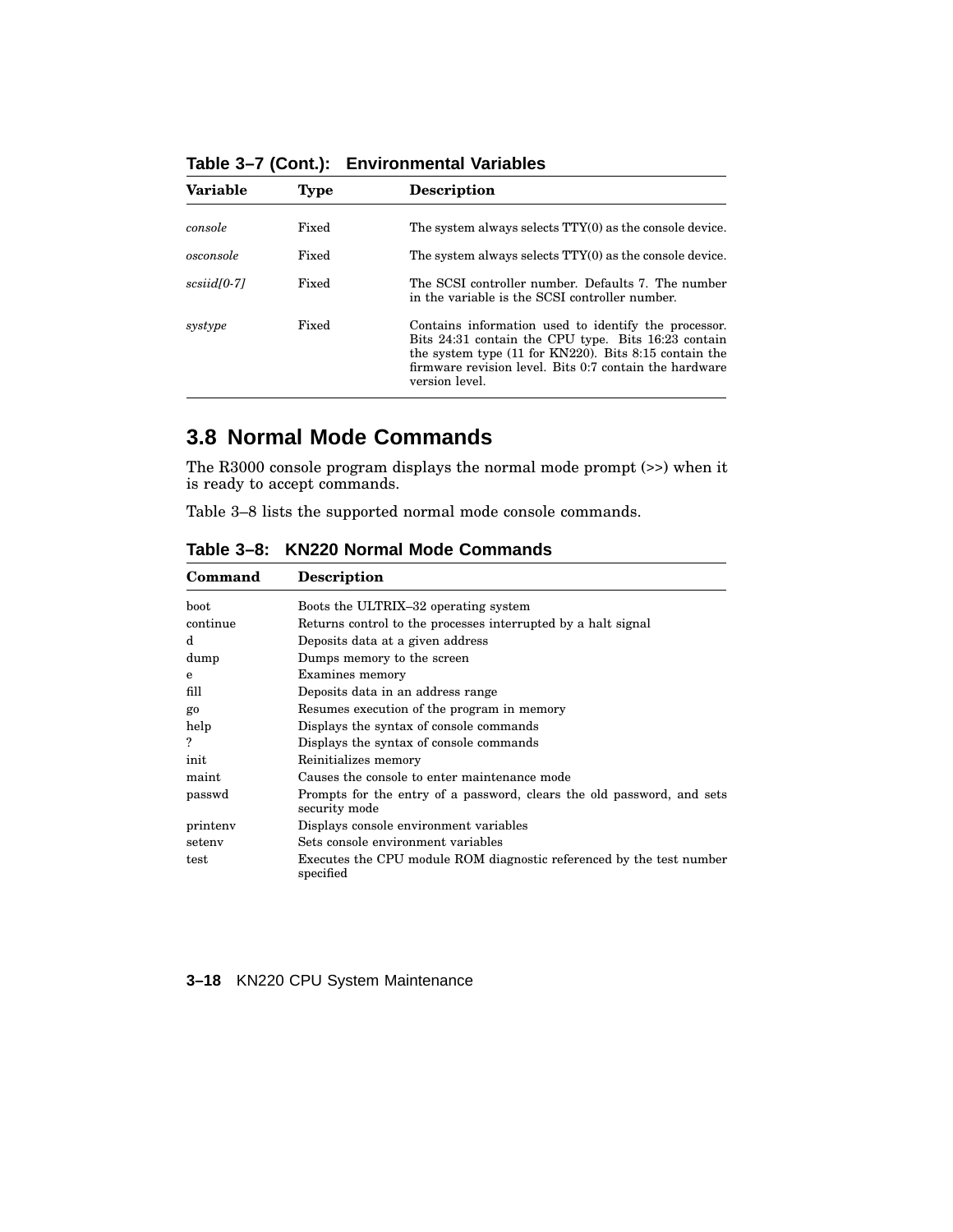| <b>Variable</b>         | Type  | <b>Description</b>                                                                                                                                                                                                                                 |
|-------------------------|-------|----------------------------------------------------------------------------------------------------------------------------------------------------------------------------------------------------------------------------------------------------|
| console                 | Fixed | The system always selects TTY(0) as the console device.                                                                                                                                                                                            |
| osconsole               | Fixed | The system always selects TTY(0) as the console device.                                                                                                                                                                                            |
| scsiid <sub>[0-7]</sub> | Fixed | The SCSI controller number. Defaults 7. The number<br>in the variable is the SCSI controller number.                                                                                                                                               |
| systype                 | Fixed | Contains information used to identify the processor.<br>Bits 24:31 contain the CPU type. Bits 16:23 contain<br>the system type $(11$ for KN220). Bits 8:15 contain the<br>firmware revision level. Bits 0:7 contain the hardware<br>version level. |

**Table 3–7 (Cont.): Environmental Variables**

## **3.8 Normal Mode Commands**

The R3000 console program displays the normal mode prompt (>>) when it is ready to accept commands.

Table 3–8 lists the supported normal mode console commands.

| Command     | <b>Description</b>                                                                      |
|-------------|-----------------------------------------------------------------------------------------|
| <b>boot</b> | Boots the ULTRIX-32 operating system                                                    |
| continue    | Returns control to the processes interrupted by a halt signal                           |
| d.          | Deposits data at a given address                                                        |
| dump        | Dumps memory to the screen                                                              |
| e           | Examines memory                                                                         |
| fill        | Deposits data in an address range                                                       |
| go          | Resumes execution of the program in memory                                              |
| help        | Displays the syntax of console commands                                                 |
| ?           | Displays the syntax of console commands                                                 |
| init        | Reinitializes memory                                                                    |
| maint       | Causes the console to enter maintenance mode                                            |
| passwd      | Prompts for the entry of a password, clears the old password, and sets<br>security mode |
| printeny    | Displays console environment variables                                                  |
| seteny      | Sets console environment variables                                                      |
| test        | Executes the CPU module ROM diagnostic referenced by the test number<br>specified       |

**Table 3–8: KN220 Normal Mode Commands**

**3–18** KN220 CPU System Maintenance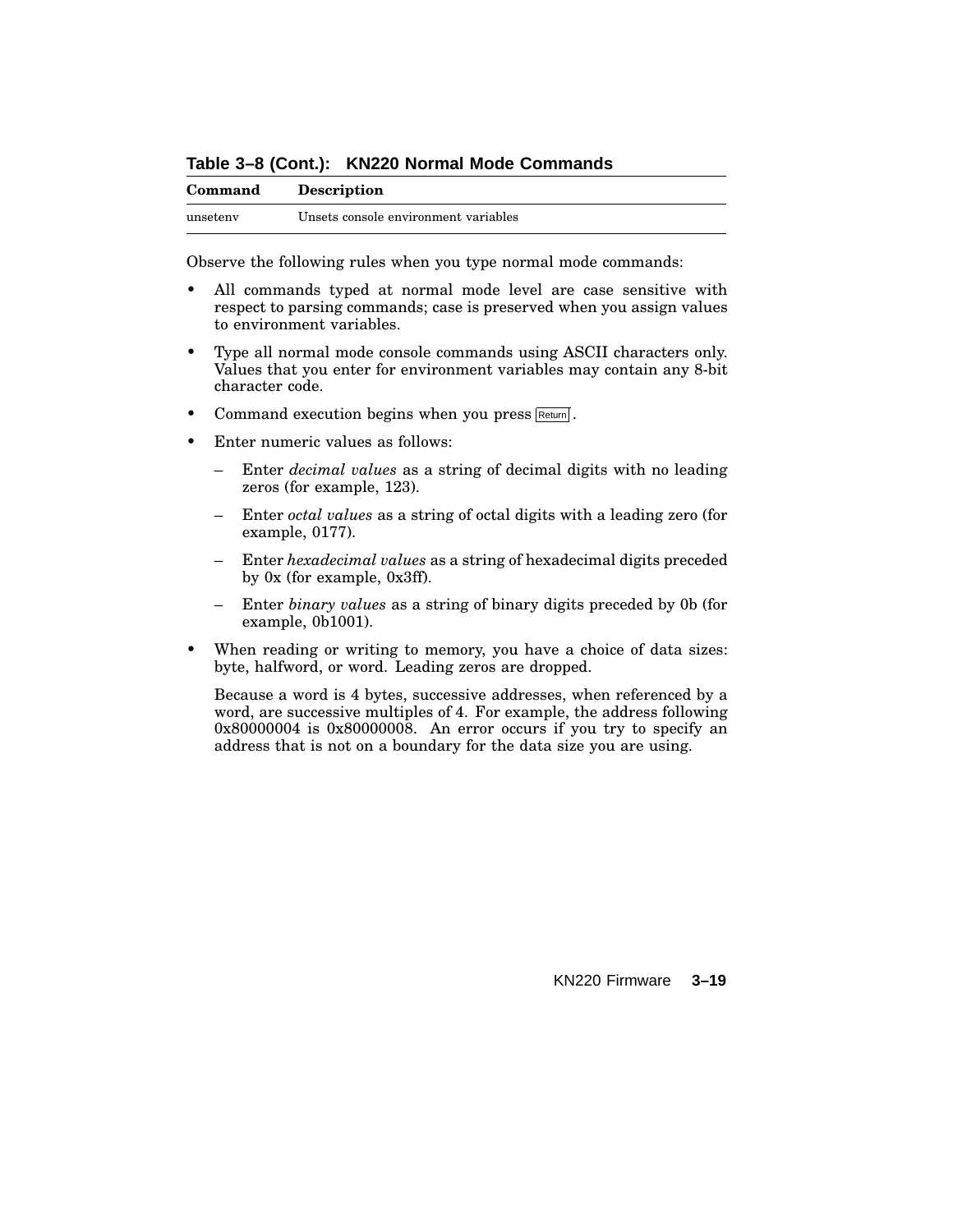**Table 3–8 (Cont.): KN220 Normal Mode Commands**

| Command  | <b>Description</b>                   |
|----------|--------------------------------------|
| unseteny | Unsets console environment variables |

Observe the following rules when you type normal mode commands:

- All commands typed at normal mode level are case sensitive with respect to parsing commands; case is preserved when you assign values to environment variables.
- Type all normal mode console commands using ASCII characters only. Values that you enter for environment variables may contain any 8-bit character code.
- Command execution begins when you press Return.
- Enter numeric values as follows:
	- Enter *decimal values* as a string of decimal digits with no leading zeros (for example, 123).
	- Enter *octal values* as a string of octal digits with a leading zero (for example, 0177).
	- Enter *hexadecimal values* as a string of hexadecimal digits preceded by 0x (for example, 0x3ff).
	- Enter *binary values* as a string of binary digits preceded by 0b (for example, 0b1001).
- When reading or writing to memory, you have a choice of data sizes: byte, halfword, or word. Leading zeros are dropped.

Because a word is 4 bytes, successive addresses, when referenced by a word, are successive multiples of 4. For example, the address following 0x80000004 is 0x80000008. An error occurs if you try to specify an address that is not on a boundary for the data size you are using.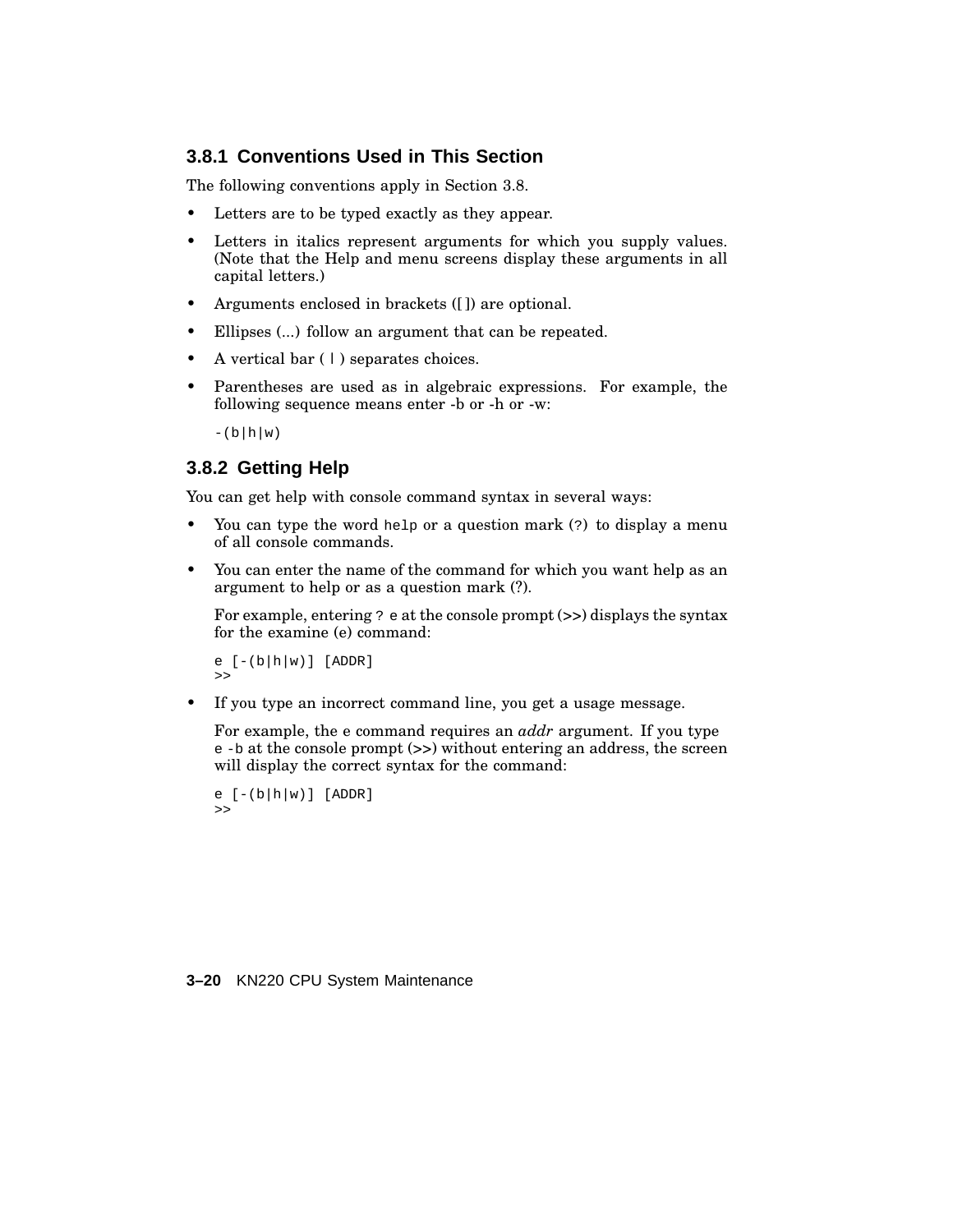### **3.8.1 Conventions Used in This Section**

The following conventions apply in Section 3.8.

- Letters are to be typed exactly as they appear.
- Letters in italics represent arguments for which you supply values. (Note that the Help and menu screens display these arguments in all capital letters.)
- Arguments enclosed in brackets ([]) are optional.
- Ellipses (...) follow an argument that can be repeated.
- A vertical bar ( | ) separates choices.
- Parentheses are used as in algebraic expressions. For example, the following sequence means enter -b or -h or -w:

 $-(b|h|w)$ 

## **3.8.2 Getting Help**

You can get help with console command syntax in several ways:

- You can type the word help or a question mark (?) to display a menu of all console commands.
- You can enter the name of the command for which you want help as an argument to help or as a question mark (?).

For example, entering  $?$  e at the console prompt  $(>)$  displays the syntax for the examine (e) command:

```
e [-(b|h|w)] [ADDR]
>>
```
If you type an incorrect command line, you get a usage message.

For example, the e command requires an *addr* argument. If you type e -b at the console prompt (>>) without entering an address, the screen will display the correct syntax for the command:

```
e [-(b|h|w)] [ADDR]
>>
```
#### **3–20** KN220 CPU System Maintenance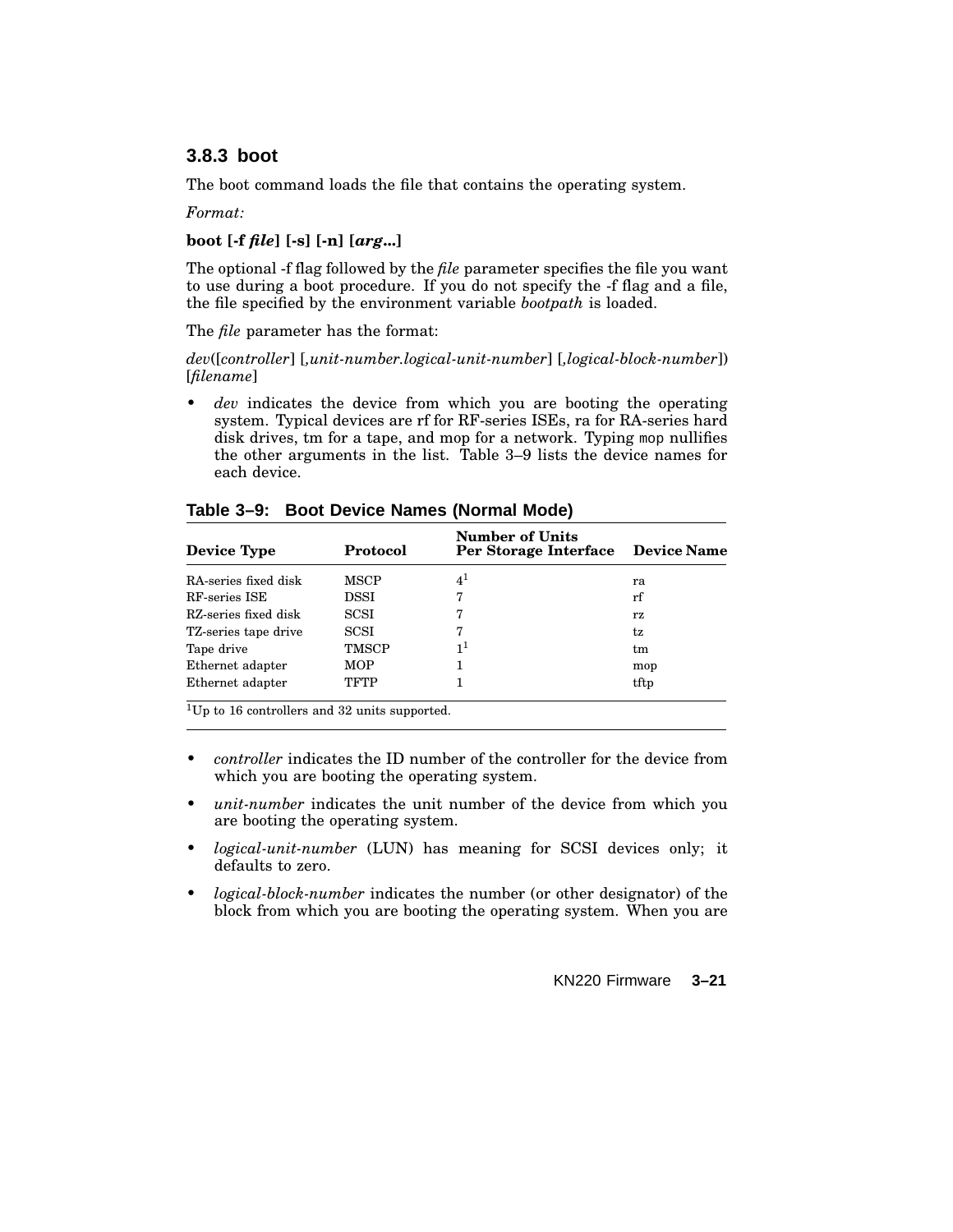## **3.8.3 boot**

The boot command loads the file that contains the operating system.

#### *Format:*

### **boot [-f** *file***] [-s] [-n] [***arg***...]**

The optional -f flag followed by the *file* parameter specifies the file you want to use during a boot procedure. If you do not specify the -f flag and a file, the file specified by the environment variable *bootpath* is loaded.

The *file* parameter has the format:

*dev*([*controller*] [*,unit-number.logical-unit-number*] [*,logical-block-number*]) [*filename*]

dev indicates the device from which you are booting the operating system. Typical devices are rf for RF-series ISEs, ra for RA-series hard disk drives, tm for a tape, and mop for a network. Typing mop nullifies the other arguments in the list. Table 3–9 lists the device names for each device.

| <b>Protocol</b> | <b>Number of Units</b> |                                   |
|-----------------|------------------------|-----------------------------------|
| MSCP            | $4^1$                  | ra                                |
| DSSI            | 7                      | rf                                |
| SCSI            | 7                      | rz                                |
| SCSI            |                        | tz                                |
| TMSCP           | 1 <sup>1</sup>         | tm                                |
| <b>MOP</b>      |                        | mop                               |
| TFTP            |                        | tftp                              |
|                 |                        | Per Storage Interface Device Name |

**Table 3–9: Boot Device Names (Normal Mode)**

<sup>1</sup>Up to 16 controllers and 32 units supported.

- *controller* indicates the ID number of the controller for the device from which you are booting the operating system.
- *unit-number* indicates the unit number of the device from which you are booting the operating system.
- *logical-unit-number* (LUN) has meaning for SCSI devices only; it defaults to zero.
- *logical-block-number* indicates the number (or other designator) of the block from which you are booting the operating system. When you are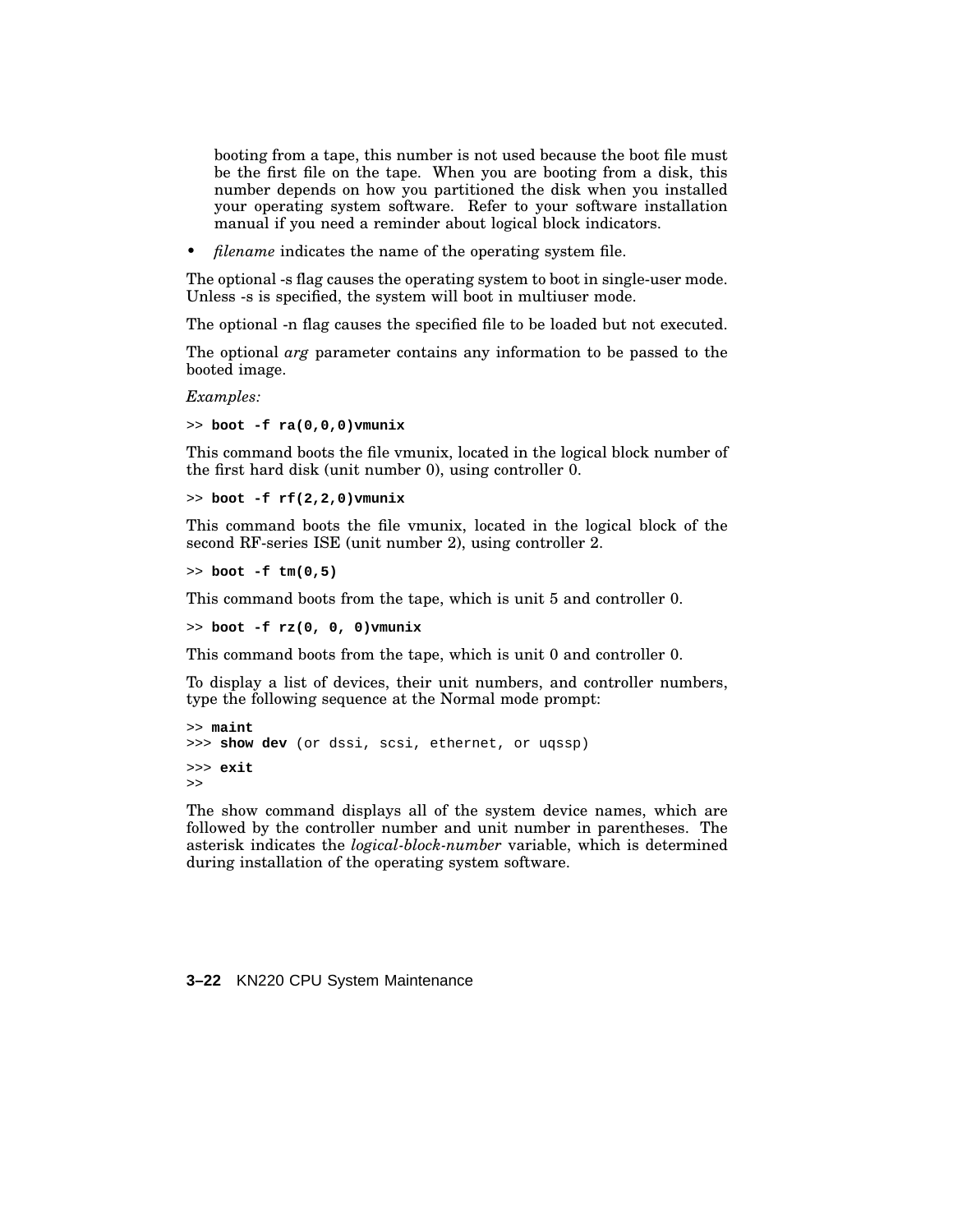booting from a tape, this number is not used because the boot file must be the first file on the tape. When you are booting from a disk, this number depends on how you partitioned the disk when you installed your operating system software. Refer to your software installation manual if you need a reminder about logical block indicators.

• *filename* indicates the name of the operating system file.

The optional -s flag causes the operating system to boot in single-user mode. Unless -s is specified, the system will boot in multiuser mode.

The optional -n flag causes the specified file to be loaded but not executed.

The optional *arg* parameter contains any information to be passed to the booted image.

*Examples:*

>> **boot -f ra(0,0,0)vmunix**

This command boots the file vmunix, located in the logical block number of the first hard disk (unit number 0), using controller  $\overline{0}$ .

>> **boot -f rf(2,2,0)vmunix**

This command boots the file vmunix, located in the logical block of the second RF-series ISE (unit number 2), using controller 2.

>> **boot -f tm(0,5)**

This command boots from the tape, which is unit 5 and controller 0.

>> **boot -f rz(0, 0, 0)vmunix**

This command boots from the tape, which is unit 0 and controller 0.

To display a list of devices, their unit numbers, and controller numbers, type the following sequence at the Normal mode prompt:

```
>> maint
>>> show dev (or dssi, scsi, ethernet, or uqssp)
>>> exit
>>
```
The show command displays all of the system device names, which are followed by the controller number and unit number in parentheses. The asterisk indicates the *logical-block-number* variable, which is determined during installation of the operating system software.

#### **3–22** KN220 CPU System Maintenance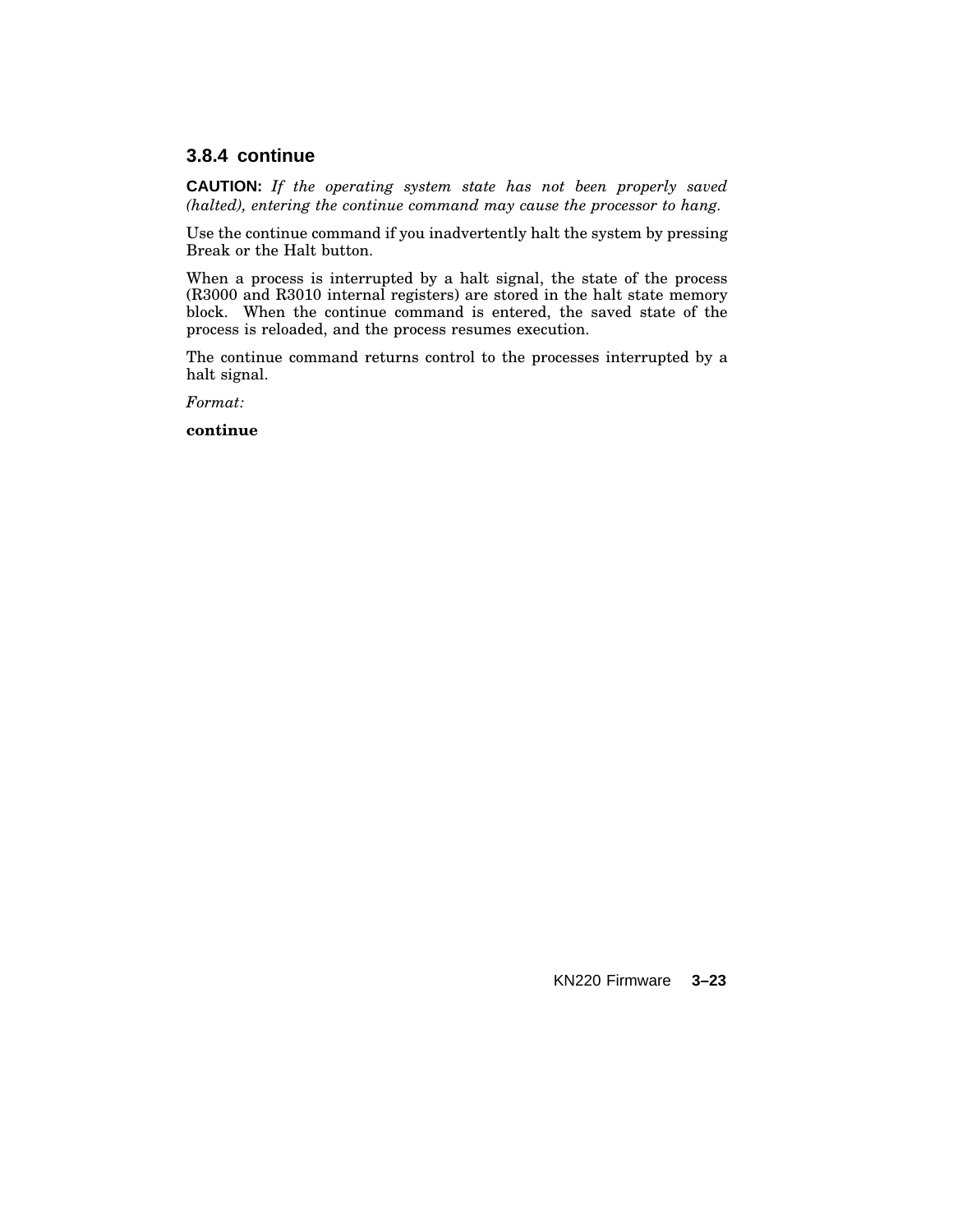## **3.8.4 continue**

**CAUTION:** *If the operating system state has not been properly saved (halted), entering the continue command may cause the processor to hang.*

Use the continue command if you inadvertently halt the system by pressing Break or the Halt button.

When a process is interrupted by a halt signal, the state of the process (R3000 and R3010 internal registers) are stored in the halt state memory block. When the continue command is entered, the saved state of the process is reloaded, and the process resumes execution.

The continue command returns control to the processes interrupted by a halt signal.

*Format:*

**continue**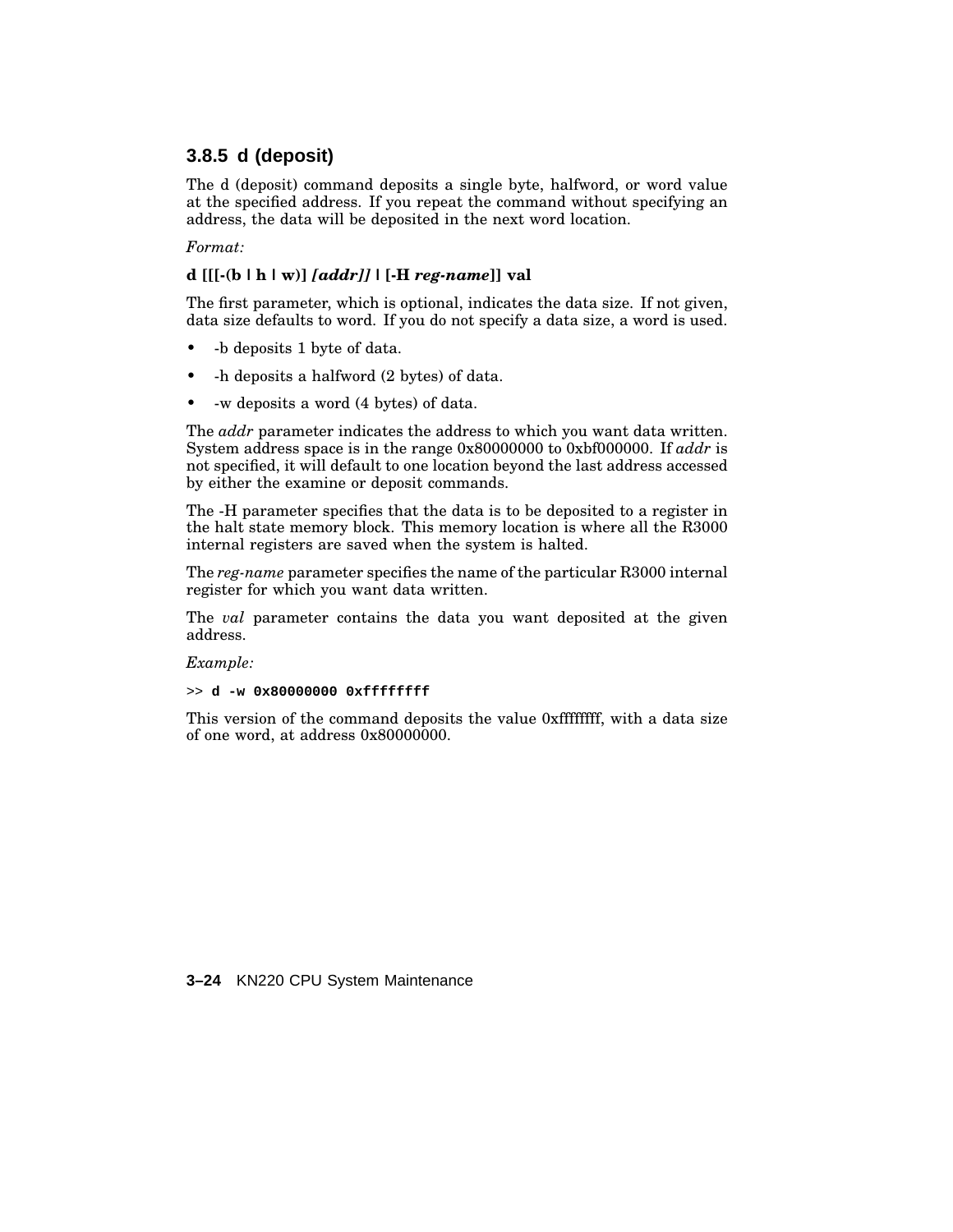## **3.8.5 d (deposit)**

The d (deposit) command deposits a single byte, halfword, or word value at the specified address. If you repeat the command without specifying an address, the data will be deposited in the next word location.

#### *Format:*

### **d [[[-(b |h| w)]** *[addr]]* **| [-H** *reg-name***]] val**

The first parameter, which is optional, indicates the data size. If not given, data size defaults to word. If you do not specify a data size, a word is used.

- -b deposits 1 byte of data.
- -h deposits a halfword (2 bytes) of data.
- -w deposits a word (4 bytes) of data.

The *addr* parameter indicates the address to which you want data written. System address space is in the range 0x80000000 to 0xbf000000. If *addr* is not specified, it will default to one location beyond the last address accessed by either the examine or deposit commands.

The -H parameter specifies that the data is to be deposited to a register in the halt state memory block. This memory location is where all the R3000 internal registers are saved when the system is halted.

The *reg-name* parameter specifies the name of the particular R3000 internal register for which you want data written.

The *val* parameter contains the data you want deposited at the given address.

*Example:*

>> **d -w 0x80000000 0xffffffff**

This version of the command deposits the value 0xffffffff, with a data size of one word, at address 0x80000000.

**3–24** KN220 CPU System Maintenance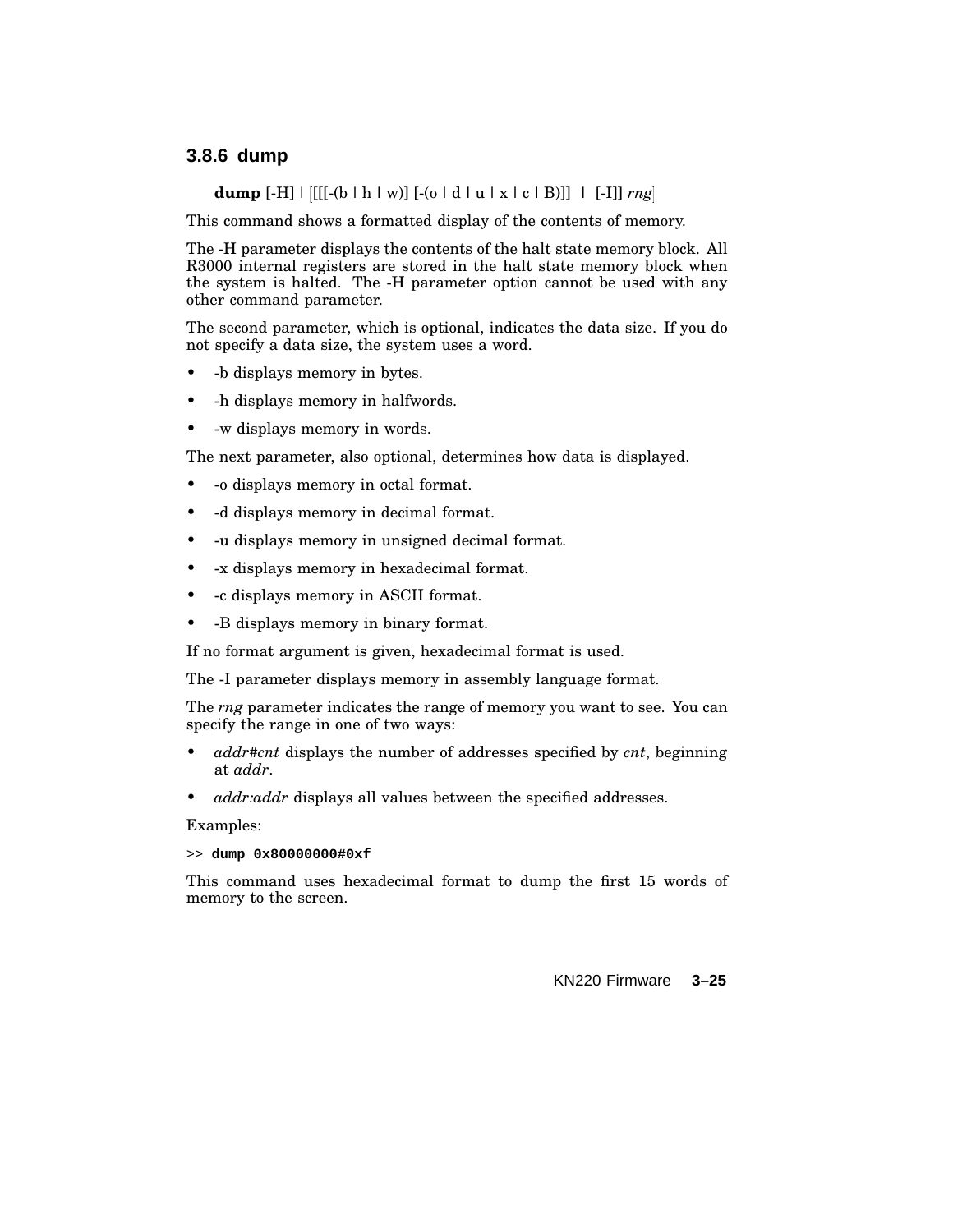### **3.8.6 dump**

**dump** [-H] | [[[-(b | h | w)] [-(o | d | u | x | c | B)]] | [-I]] *rng*

This command shows a formatted display of the contents of memory.

The -H parameter displays the contents of the halt state memory block. All R3000 internal registers are stored in the halt state memory block when the system is halted. The -H parameter option cannot be used with any other command parameter.

The second parameter, which is optional, indicates the data size. If you do not specify a data size, the system uses a word.

- -b displays memory in bytes.
- -h displays memory in halfwords.
- -w displays memory in words.

The next parameter, also optional, determines how data is displayed.

- -o displays memory in octal format.
- -d displays memory in decimal format.
- -u displays memory in unsigned decimal format.
- -x displays memory in hexadecimal format.
- -c displays memory in ASCII format.
- -B displays memory in binary format.

If no format argument is given, hexadecimal format is used.

The -I parameter displays memory in assembly language format.

The *rng* parameter indicates the range of memory you want to see. You can specify the range in one of two ways:

- *addr#cnt* displays the number of addresses specified by *cnt*, beginning at *addr*.
- *addr:addr* displays all values between the specified addresses.

Examples:

>> **dump 0x80000000#0xf**

This command uses hexadecimal format to dump the first 15 words of memory to the screen.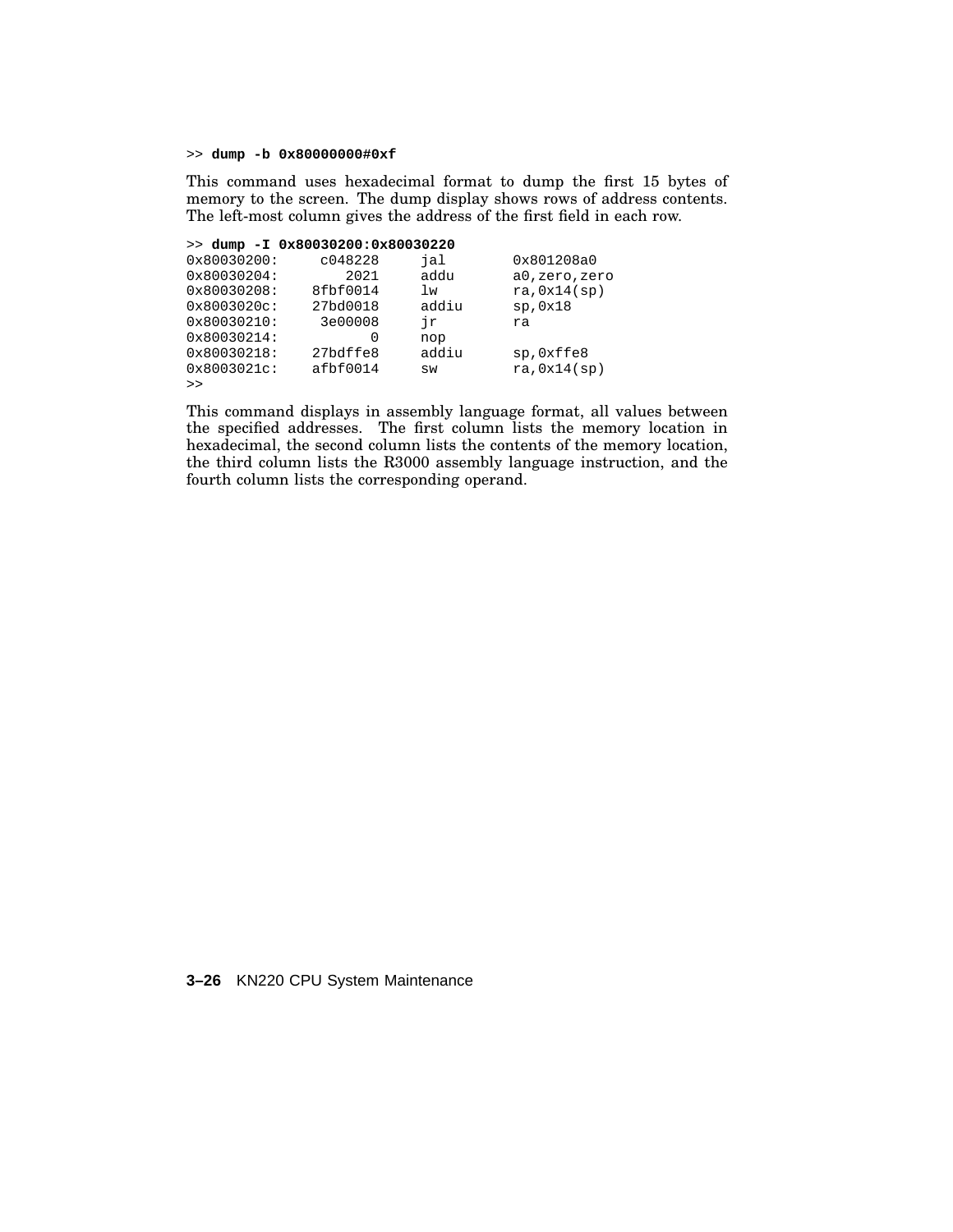>> **dump -b 0x80000000#0xf**

This command uses hexadecimal format to dump the first 15 bytes of memory to the screen. The dump display shows rows of address contents. The left-most column gives the address of the first field in each row.

|                | $>>$ dump $-I$ 0x80030200:0x80030220 |       |                |
|----------------|--------------------------------------|-------|----------------|
| 0x80030200:    | c048228                              | jal   | 0x801208a0     |
| 0x80030204:    | 2021                                 | addu  | a0, zero, zero |
| 0x80030208:    | 8fbf0014                             | lw    | ra, 0x14(sp)   |
| $0x8003020c$ : | 27bd0018                             | addiu | sp,0x18        |
| 0x80030210:    | 3e00008                              | ήr    | ra             |
| 0x80030214:    | O                                    | nop   |                |
| 0x80030218:    | 27bdffe8                             | addiu | sp, Oxffe8     |
| $0x8003021c$ : | afbf0014                             | SW    | ra, 0x14(sp)   |
| >              |                                      |       |                |

This command displays in assembly language format, all values between the specified addresses. The first column lists the memory location in hexadecimal, the second column lists the contents of the memory location, the third column lists the R3000 assembly language instruction, and the fourth column lists the corresponding operand.

#### **3–26** KN220 CPU System Maintenance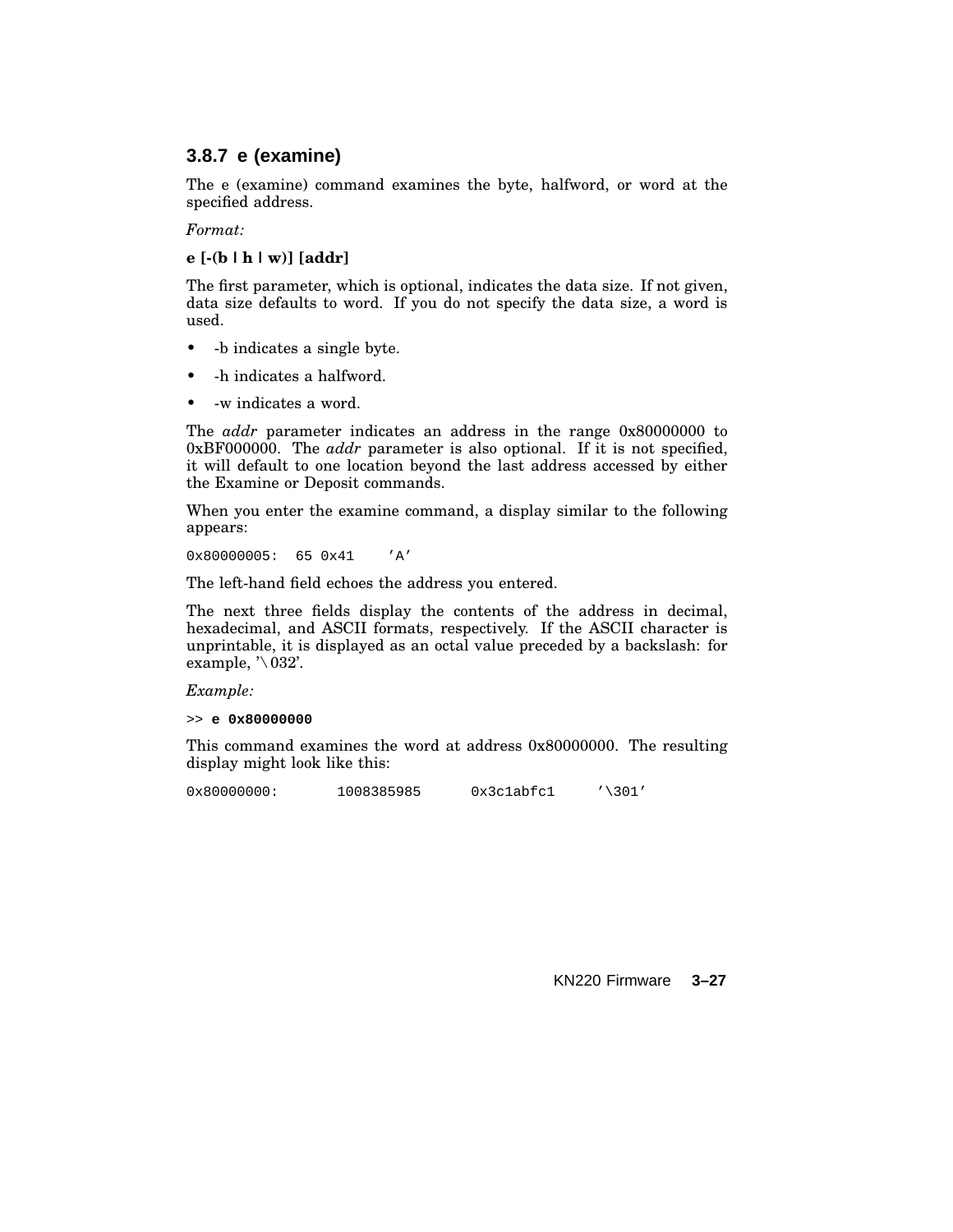## **3.8.7 e (examine)**

The e (examine) command examines the byte, halfword, or word at the specified address.

*Format:*

#### **e [-(b |h| w)] [addr]**

The first parameter, which is optional, indicates the data size. If not given, data size defaults to word. If you do not specify the data size, a word is used.

- -b indicates a single byte.
- -h indicates a halfword.
- -w indicates a word.

The *addr* parameter indicates an address in the range 0x80000000 to 0xBF000000. The *addr* parameter is also optional. If it is not specified, it will default to one location beyond the last address accessed by either the Examine or Deposit commands.

When you enter the examine command, a display similar to the following appears:

0x80000005: 65 0x41 'A'

The left-hand field echoes the address you entered.

The next three fields display the contents of the address in decimal, hexadecimal, and ASCII formats, respectively. If the ASCII character is unprintable, it is displayed as an octal value preceded by a backslash: for example,  $\sqrt[3]{032}$ .

*Example:*

>> **e 0x80000000**

This command examines the word at address 0x80000000. The resulting display might look like this:

0x800000000: 1008385985 0x3c1abfc1 '\301'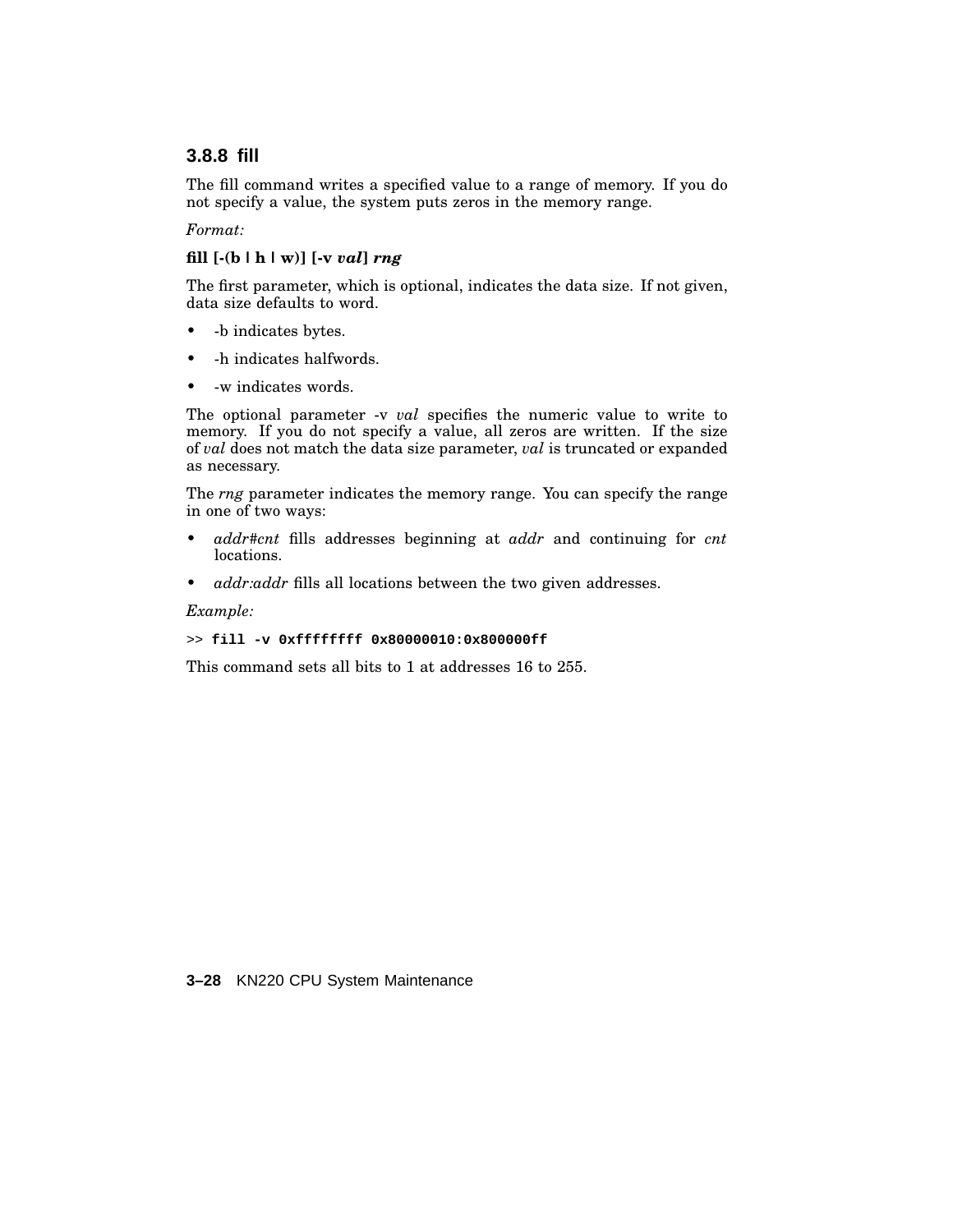# **3.8.8 fill**

The fill command writes a specified value to a range of memory. If you do not specify a value, the system puts zeros in the memory range.

### *Format:*

## **fill [-(b |h| w)] [-v** *val***]** *rng*

The first parameter, which is optional, indicates the data size. If not given, data size defaults to word.

- -b indicates bytes.
- -h indicates halfwords.
- -w indicates words.

The optional parameter -v *val* specifies the numeric value to write to memory. If you do not specify a value, all zeros are written. If the size of *val* does not match the data size parameter, *val* is truncated or expanded as necessary.

The *rng* parameter indicates the memory range. You can specify the range in one of two ways:

- *addr#cnt* fills addresses beginning at *addr* and continuing for *cnt* locations.
- *addr:addr* fills all locations between the two given addresses.

#### *Example:*

#### >> **fill -v 0xffffffff 0x80000010:0x800000ff**

This command sets all bits to 1 at addresses 16 to 255.

**3–28** KN220 CPU System Maintenance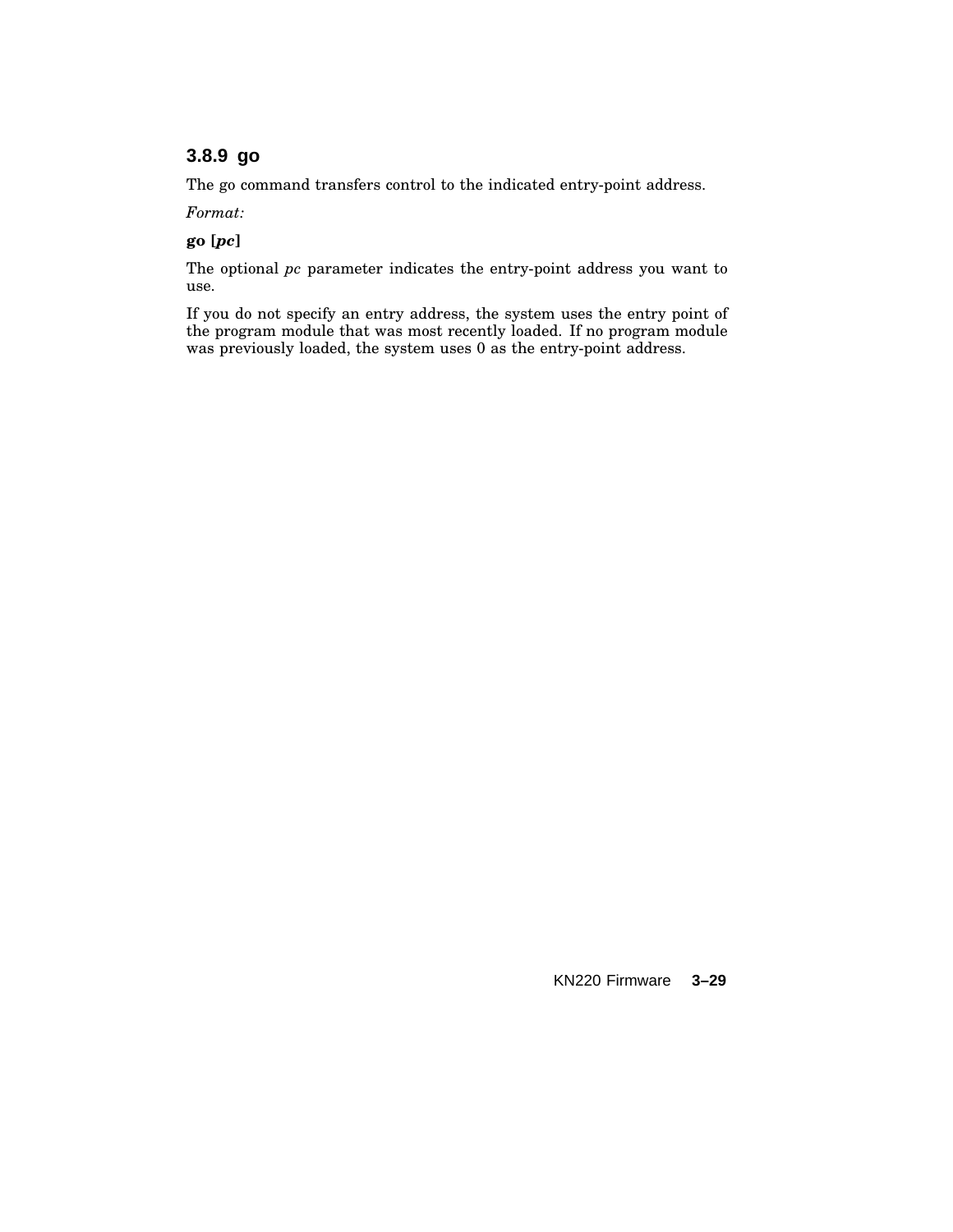# **3.8.9 go**

The go command transfers control to the indicated entry-point address.

*Format:*

**go [***pc***]**

The optional *pc* parameter indicates the entry-point address you want to use.

If you do not specify an entry address, the system uses the entry point of the program module that was most recently loaded. If no program module was previously loaded, the system uses 0 as the entry-point address.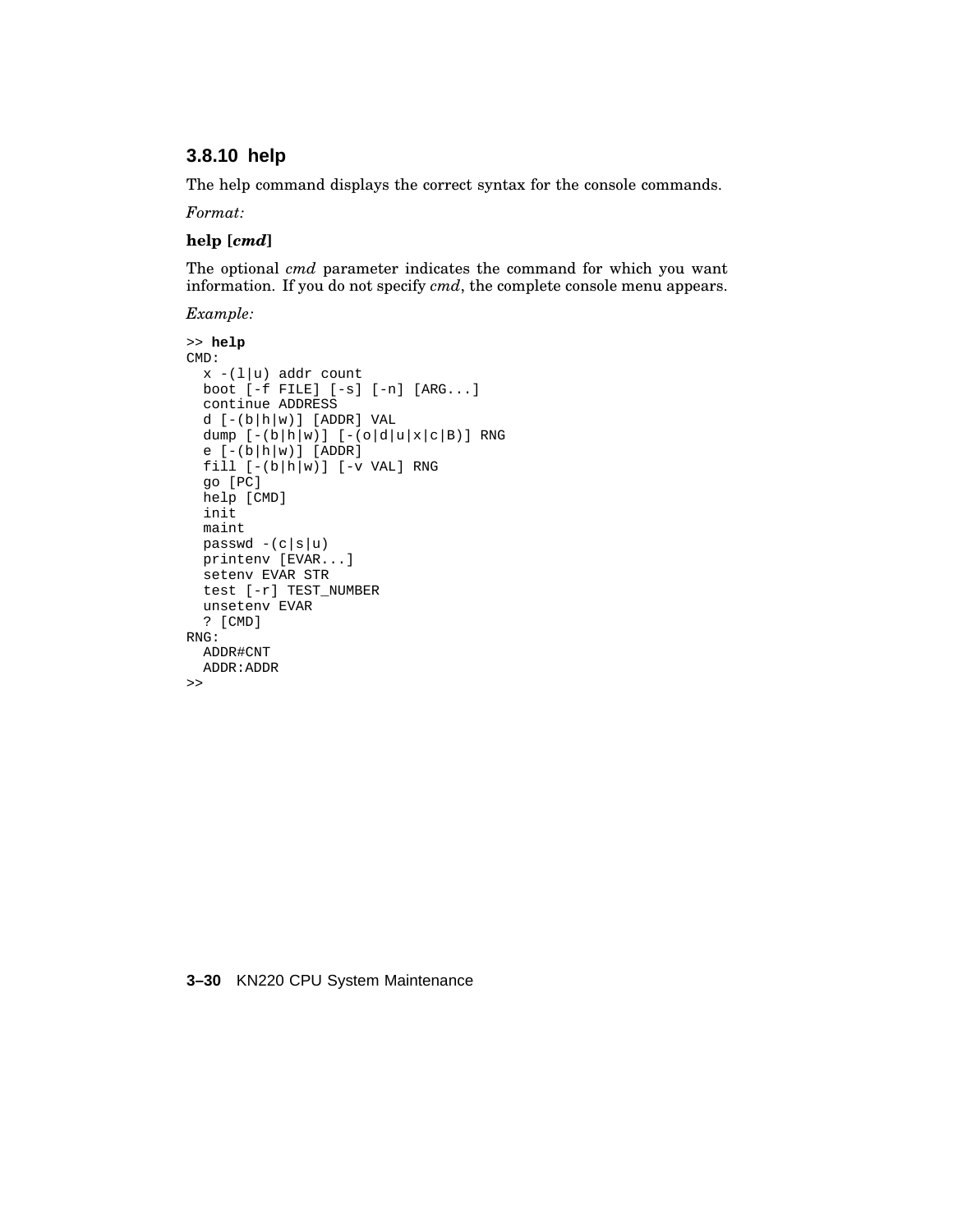## **3.8.10 help**

The help command displays the correct syntax for the console commands.

*Format:*

### **help [***cmd***]**

The optional *cmd* parameter indicates the command for which you want information. If you do not specify *cmd*, the complete console menu appears.

*Example:*

```
>> help
CMD:
 x - (1|u) addr count
 boot [-f FILE] [-s] [-n] [ARG...]
 continue ADDRESS
  d [-(b|h|w)] [ADDR] VAL
 dump [-(b|h|w)] [-(o|d|u|x|c|B)] RNG
  e [-(b|h|w)] [ADDR]
  fill [-(b|h|w)] [-v VAL] RNGgo [PC]
 help [CMD]
 init
 maint
 passwd -(c|s|u)printenv [EVAR...]
 setenv EVAR STR
  test [-r] TEST_NUMBER
 unsetenv EVAR
 ? [CMD]
RNG:
 ADDR#CNT
 ADDR:ADDR
\gt
```
#### **3–30** KN220 CPU System Maintenance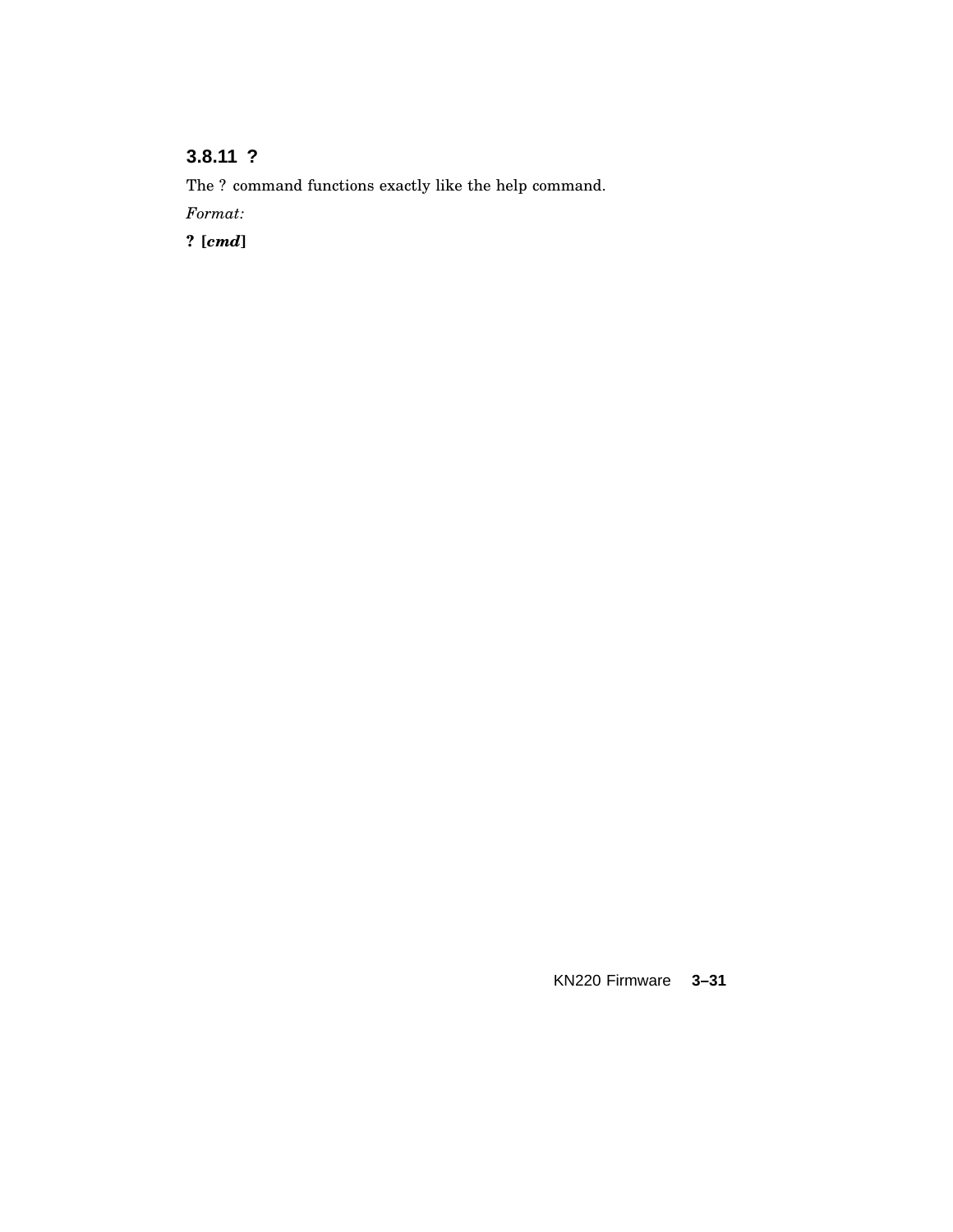# **3.8.11 ?**

The ? command functions exactly like the help command.

*Format:*

**? [***cmd***]**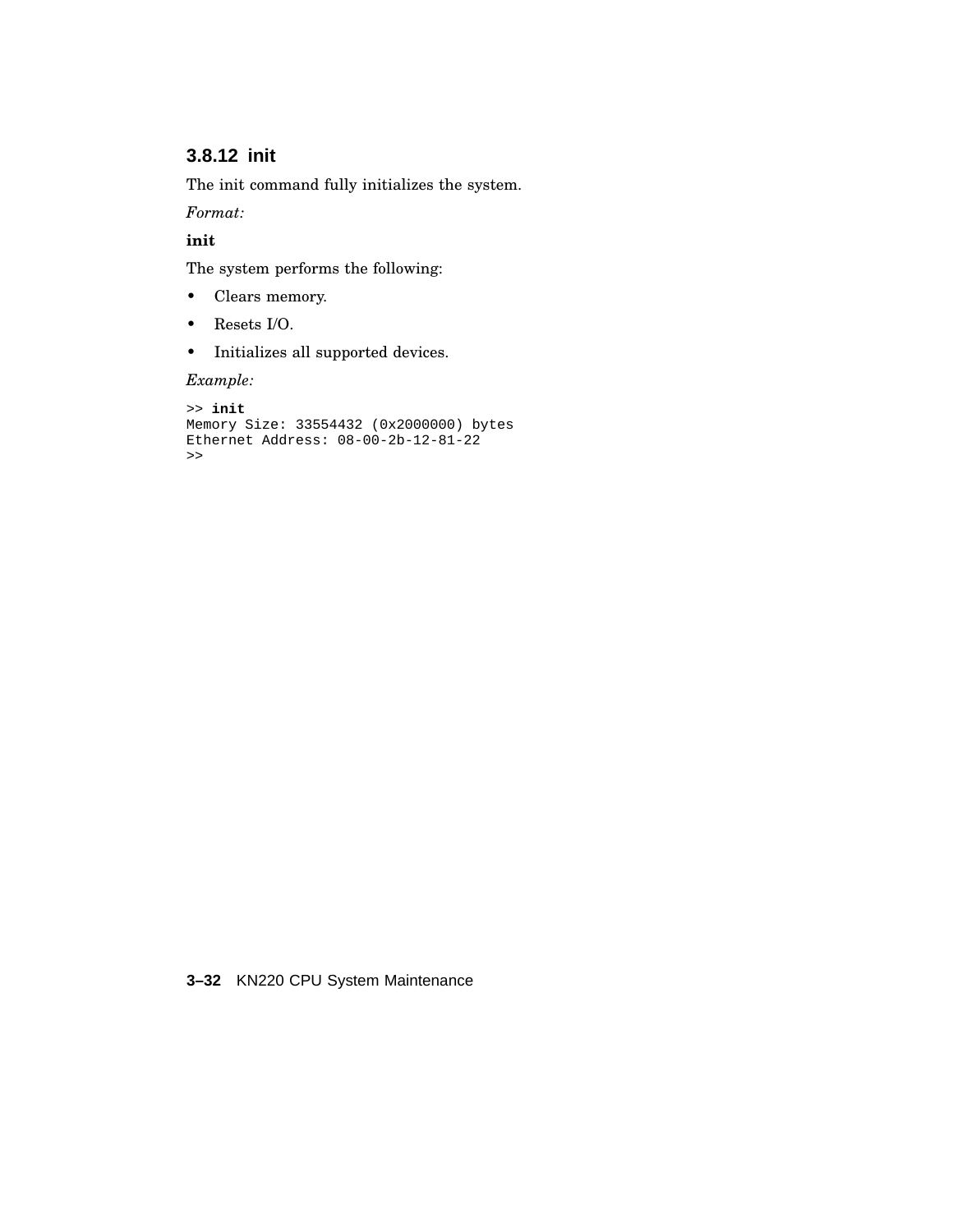# **3.8.12 init**

The init command fully initializes the system.

*Format:*

**init**

The system performs the following:

- Clears memory.
- Resets I/O.
- Initializes all supported devices.

*Example:*

```
>> init
Memory Size: 33554432 (0x2000000) bytes
Ethernet Address: 08-00-2b-12-81-22
\rightarrow
```
**3–32** KN220 CPU System Maintenance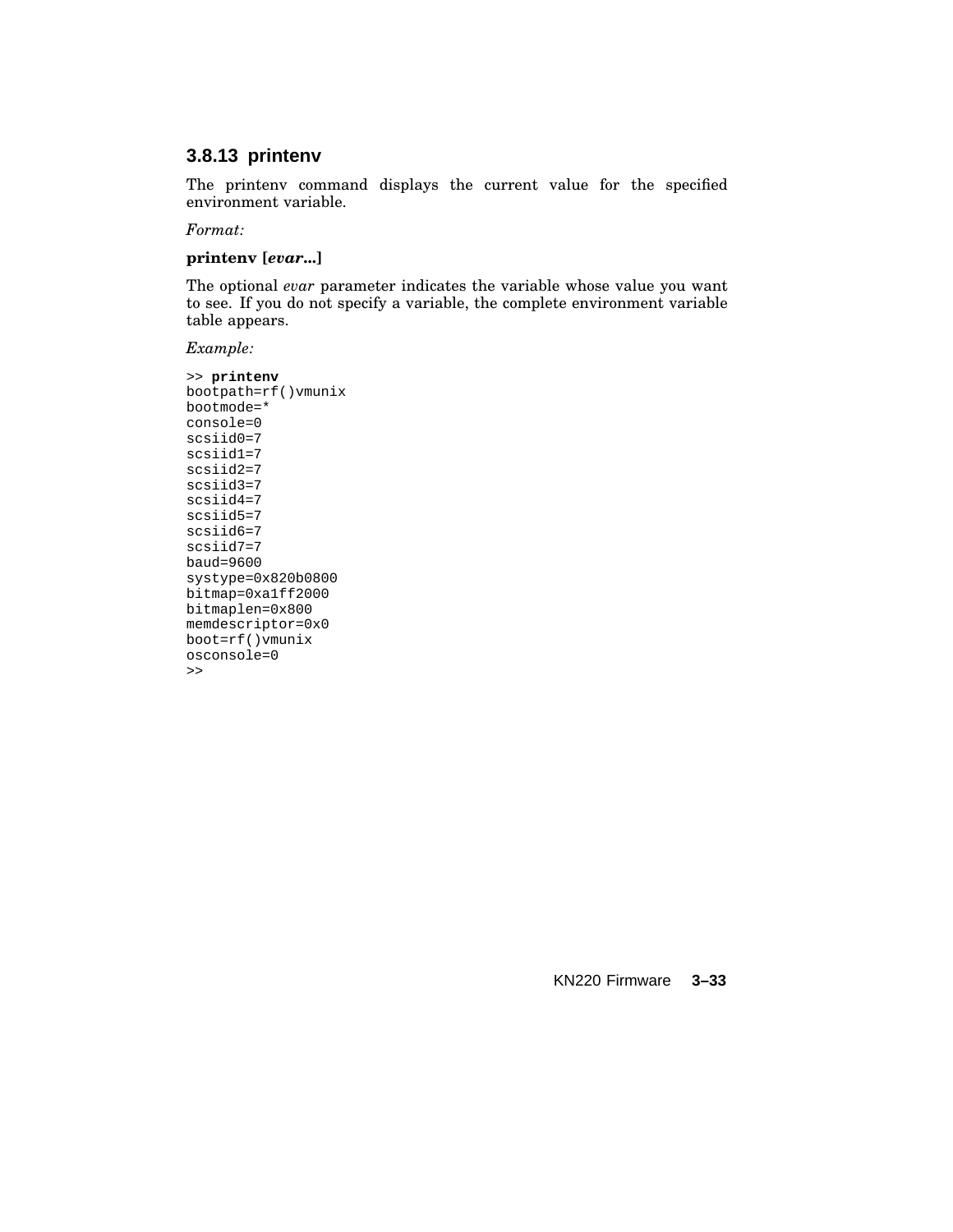## **3.8.13 printenv**

The printenv command displays the current value for the specified environment variable.

*Format:*

#### **printenv [***evar***...]**

The optional *evar* parameter indicates the variable whose value you want to see. If you do not specify a variable, the complete environment variable table appears.

*Example:*

```
>> printenv
bootpath=rf()vmunix
bootmode=*
console=0
scsiid0=7
scsiid1=7
scsiid2=7
scsiid3=7
scsiid4=7
scsiid5=7
scsiid6=7
scsiid7=7
baud=9600
systype=0x820b0800
bitmap=0xa1ff2000
bitmaplen=0x800
memdescriptor=0x0
boot=rf()vmunix
osconsole=0
\rightarrow
```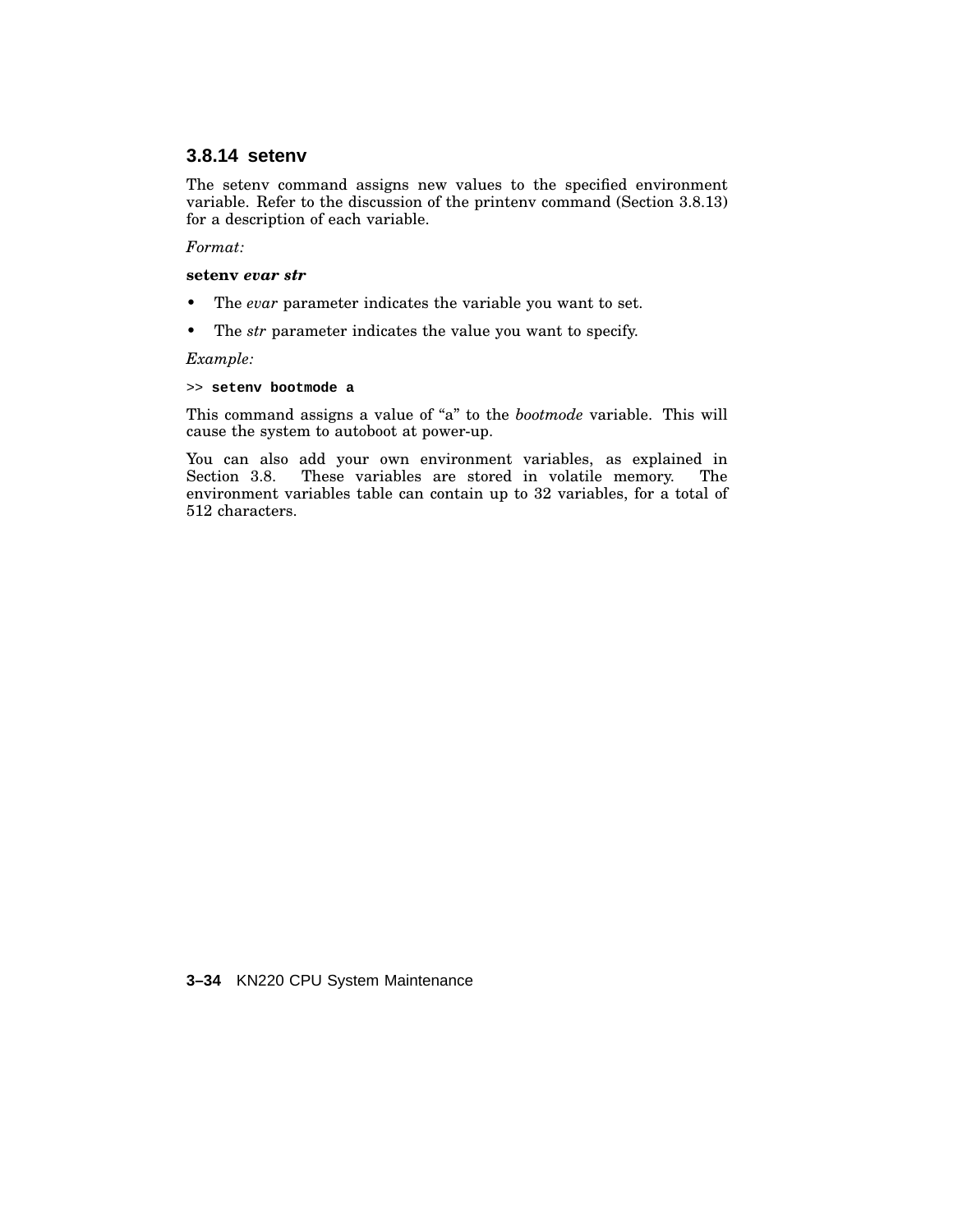# **3.8.14 setenv**

The setenv command assigns new values to the specified environment variable. Refer to the discussion of the printenv command (Section 3.8.13) for a description of each variable.

#### *Format:*

#### **setenv** *evar str*

- The *evar* parameter indicates the variable you want to set.
- The *str* parameter indicates the value you want to specify.

*Example:*

## >> **setenv bootmode a**

This command assigns a value of "a" to the *bootmode* variable. This will cause the system to autoboot at power-up.

You can also add your own environment variables, as explained in Section 3.8. These variables are stored in volatile memory. The environment variables table can contain up to 32 variables, for a total of 512 characters.

#### **3–34** KN220 CPU System Maintenance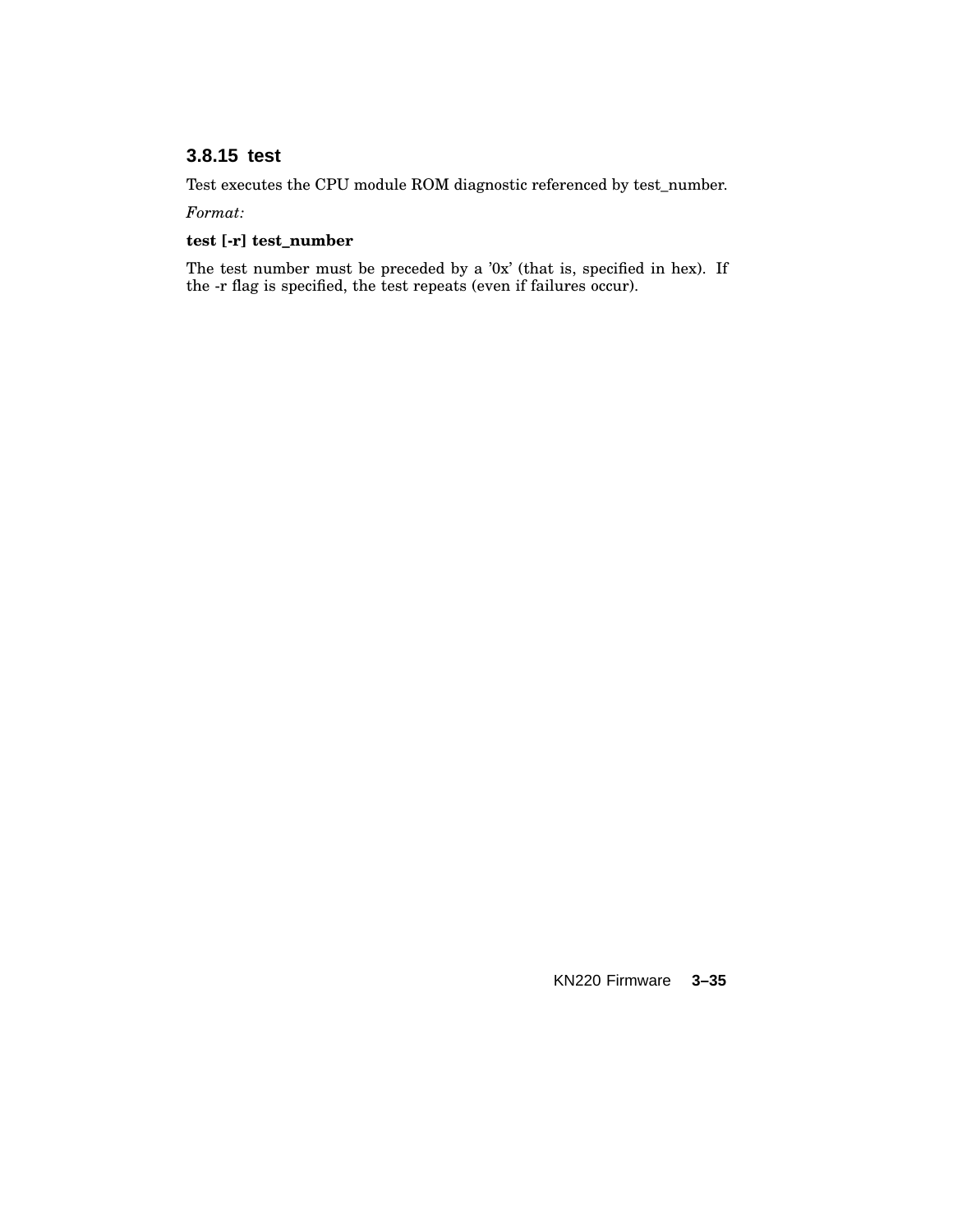# **3.8.15 test**

Test executes the CPU module ROM diagnostic referenced by test\_number.

*Format:*

## **test [-r] test\_number**

The test number must be preceded by a '0x' (that is, specified in hex). If the -r flag is specified, the test repeats (even if failures occur).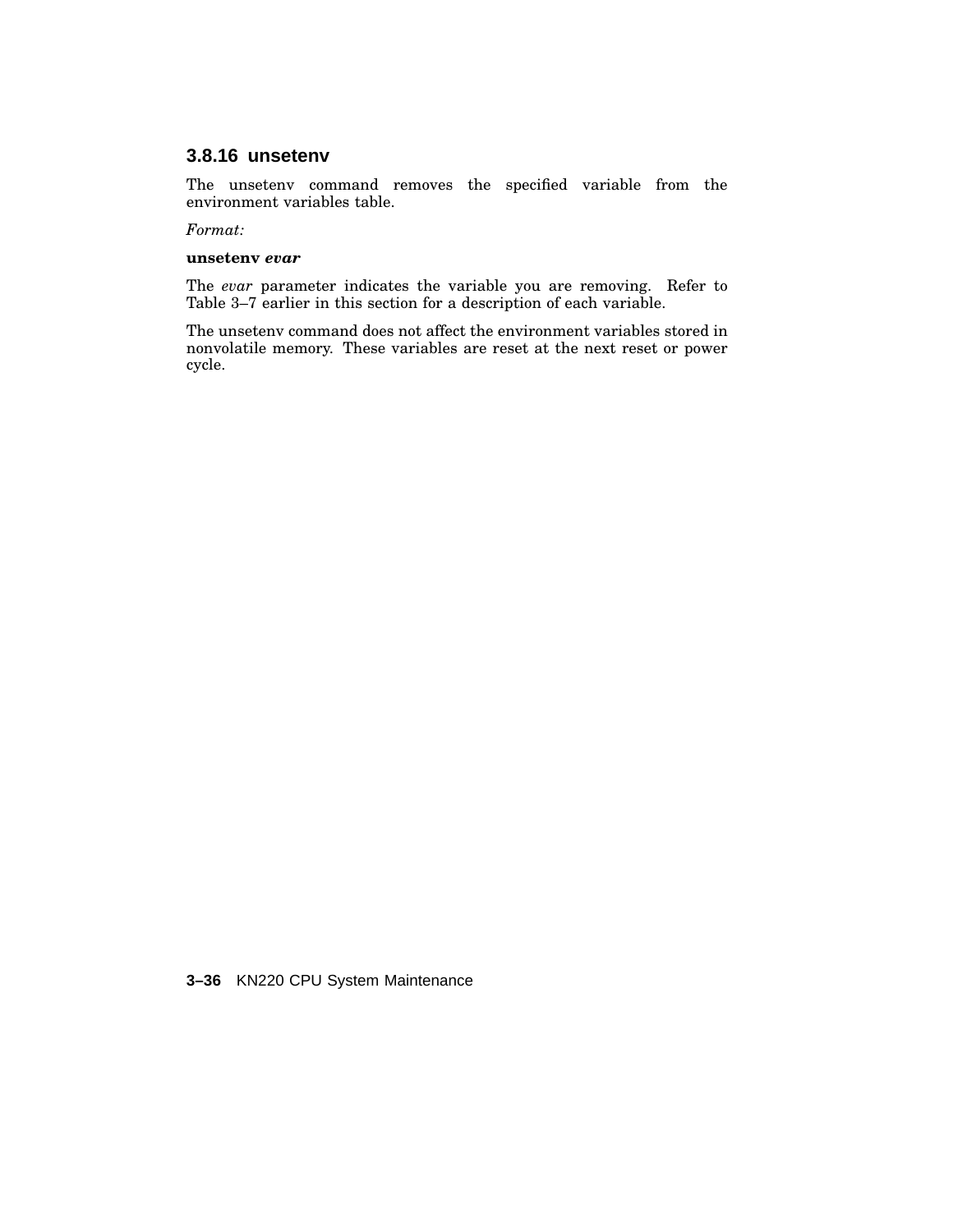## **3.8.16 unsetenv**

The unsetenv command removes the specified variable from the environment variables table.

*Format:*

#### **unsetenv** *evar*

The *evar* parameter indicates the variable you are removing. Refer to Table 3–7 earlier in this section for a description of each variable.

The unsetenv command does not affect the environment variables stored in nonvolatile memory. These variables are reset at the next reset or power cycle.

**3–36** KN220 CPU System Maintenance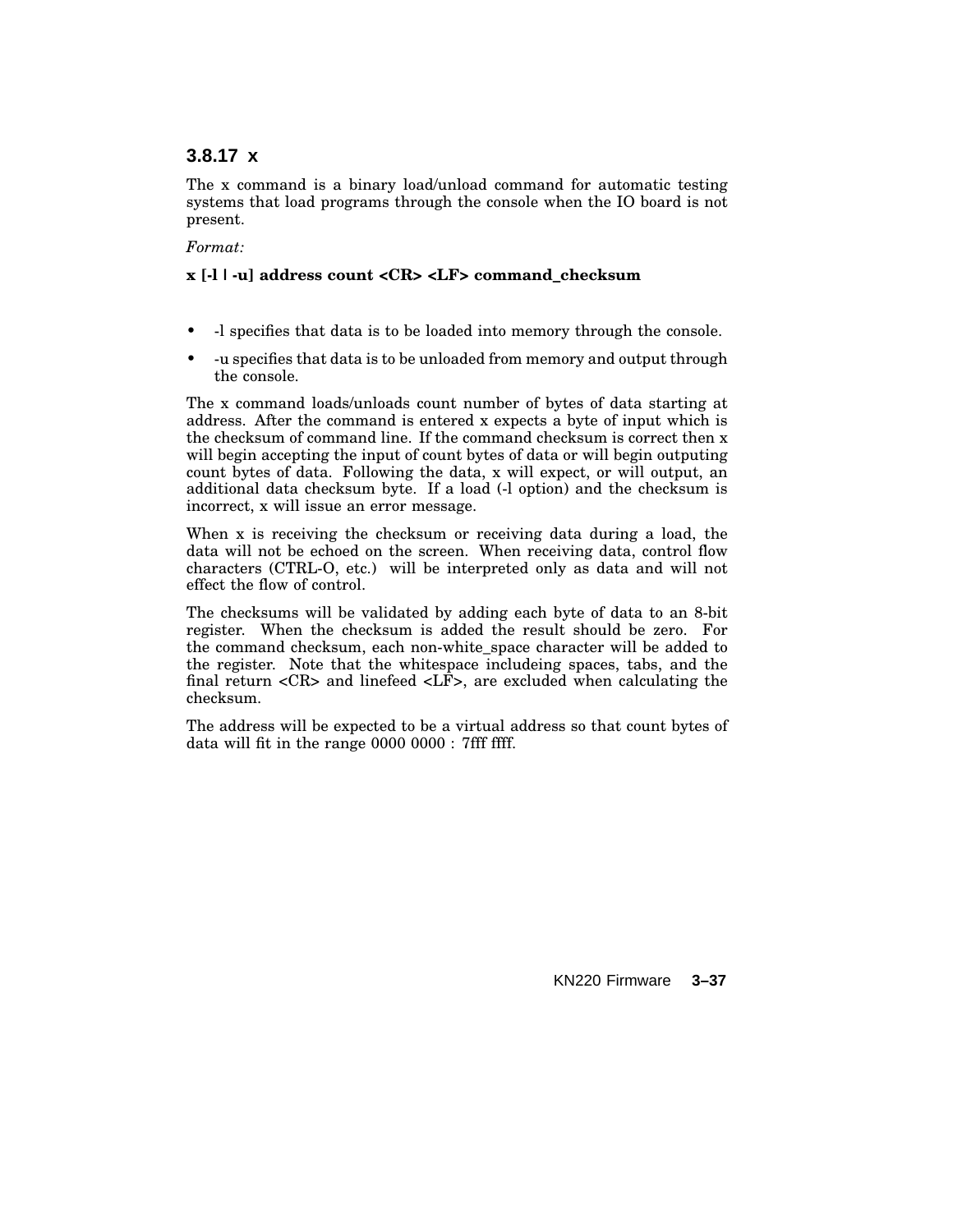## **3.8.17 x**

The x command is a binary load/unload command for automatic testing systems that load programs through the console when the IO board is not present.

### *Format:*

## **x [-l | -u] address count <CR> <LF> command\_checksum**

- -l specifies that data is to be loaded into memory through the console.
- -u specifies that data is to be unloaded from memory and output through the console.

The x command loads/unloads count number of bytes of data starting at address. After the command is entered x expects a byte of input which is the checksum of command line. If the command checksum is correct then x will begin accepting the input of count bytes of data or will begin outputing count bytes of data. Following the data, x will expect, or will output, an additional data checksum byte. If a load (-l option) and the checksum is incorrect, x will issue an error message.

When x is receiving the checksum or receiving data during a load, the data will not be echoed on the screen. When receiving data, control flow characters (CTRL-O, etc.) will be interpreted only as data and will not effect the flow of control.

The checksums will be validated by adding each byte of data to an 8-bit register. When the checksum is added the result should be zero. For the command checksum, each non-white\_space character will be added to the register. Note that the whitespace includeing spaces, tabs, and the final return  $\langle CR \rangle$  and linefeed  $\langle LF \rangle$ , are excluded when calculating the checksum.

The address will be expected to be a virtual address so that count bytes of data will fit in the range 0000 0000 : 7fff ffff.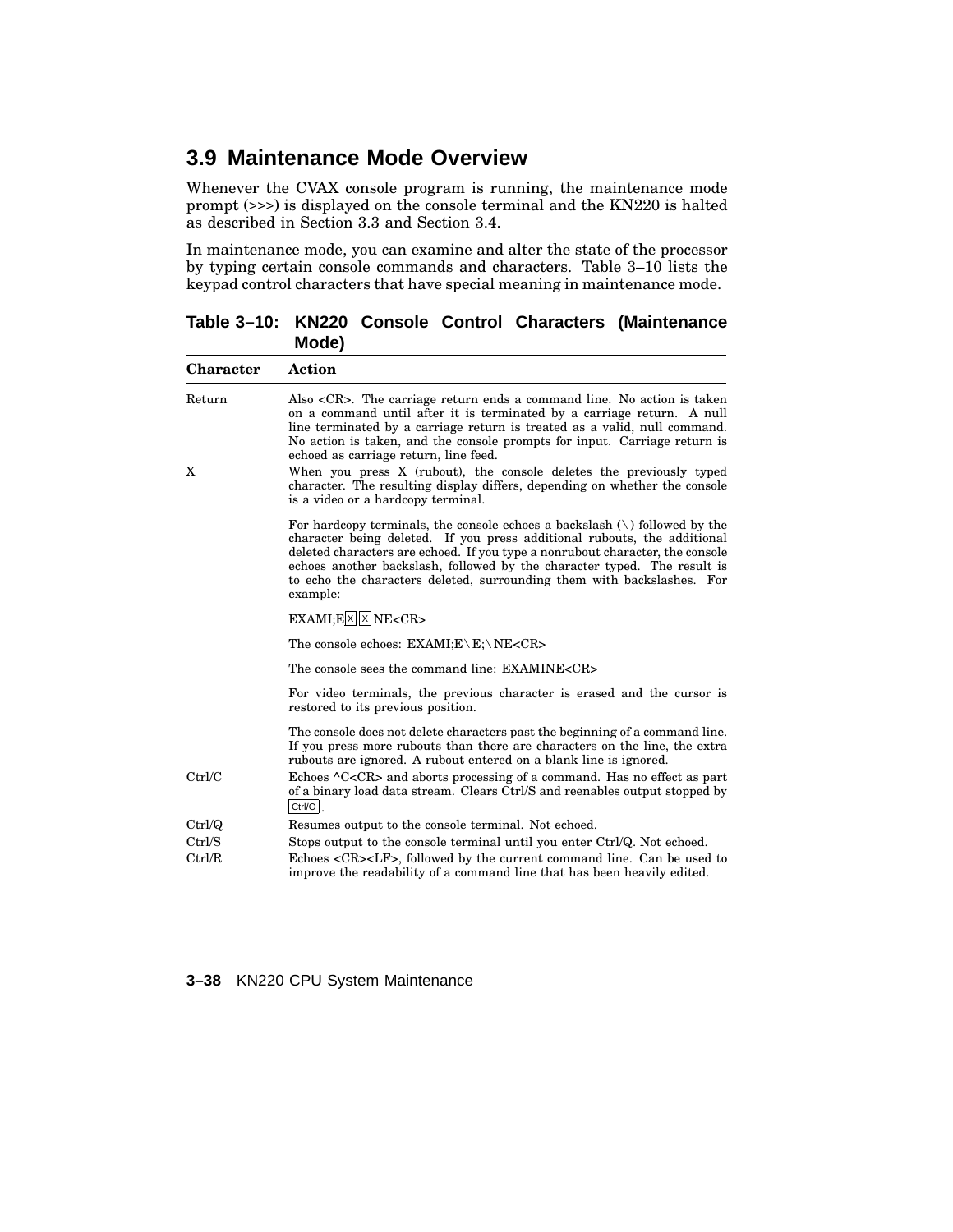# **3.9 Maintenance Mode Overview**

Whenever the CVAX console program is running, the maintenance mode prompt (>>>) is displayed on the console terminal and the KN220 is halted as described in Section 3.3 and Section 3.4.

In maintenance mode, you can examine and alter the state of the processor by typing certain console commands and characters. Table 3–10 lists the keypad control characters that have special meaning in maintenance mode.

**Table 3–10: KN220 Console Control Characters (Maintenance Mode)**

| Character   | Action                                                                                                                                                                                                                                                                                                                                                                                                                                      |
|-------------|---------------------------------------------------------------------------------------------------------------------------------------------------------------------------------------------------------------------------------------------------------------------------------------------------------------------------------------------------------------------------------------------------------------------------------------------|
| Return<br>X | Also $\langle CR \rangle$ . The carriage return ends a command line. No action is taken<br>on a command until after it is terminated by a carriage return. A null<br>line terminated by a carriage return is treated as a valid, null command.<br>No action is taken, and the console prompts for input. Carriage return is<br>echoed as carriage return, line feed.<br>When you press X (rubout), the console deletes the previously typed |
|             | character. The resulting display differs, depending on whether the console<br>is a video or a hardcopy terminal.                                                                                                                                                                                                                                                                                                                            |
|             | For hardcopy terminals, the console echoes a backslash $\langle \cdot \rangle$ followed by the<br>character being deleted. If you press additional rubouts, the additional<br>deleted characters are echoed. If you type a nonrubout character, the console<br>echoes another backslash, followed by the character typed. The result is<br>to echo the characters deleted, surrounding them with backslashes. For<br>example:               |
|             | $EXAMI; E[X]$ NE <cr></cr>                                                                                                                                                                                                                                                                                                                                                                                                                  |
|             | The console echoes: $EXAMPLE \ E: \NE < CR$                                                                                                                                                                                                                                                                                                                                                                                                 |
|             | The console sees the command line: EXAMINE <cr></cr>                                                                                                                                                                                                                                                                                                                                                                                        |
|             | For video terminals, the previous character is erased and the cursor is<br>restored to its previous position.                                                                                                                                                                                                                                                                                                                               |
|             | The console does not delete characters past the beginning of a command line.<br>If you press more rubouts than there are characters on the line, the extra<br>rubouts are ignored. A rubout entered on a blank line is ignored.                                                                                                                                                                                                             |
| Ctrl/C      | Echoes $\Lambda$ C <cr> and aborts processing of a command. Has no effect as part<br/>of a binary load data stream. Clears Ctrl/S and reenables output stopped by<br/>Ctrl/O</cr>                                                                                                                                                                                                                                                           |
| Ctrl/Q      | Resumes output to the console terminal. Not echoed.                                                                                                                                                                                                                                                                                                                                                                                         |
| Ctrl/S      | Stops output to the console terminal until you enter Ctrl/Q. Not echoed.                                                                                                                                                                                                                                                                                                                                                                    |
| Ctrl/R      | Echoes <cr><lf>, followed by the current command line. Can be used to<br/>improve the readability of a command line that has been heavily edited.</lf></cr>                                                                                                                                                                                                                                                                                 |

**3–38** KN220 CPU System Maintenance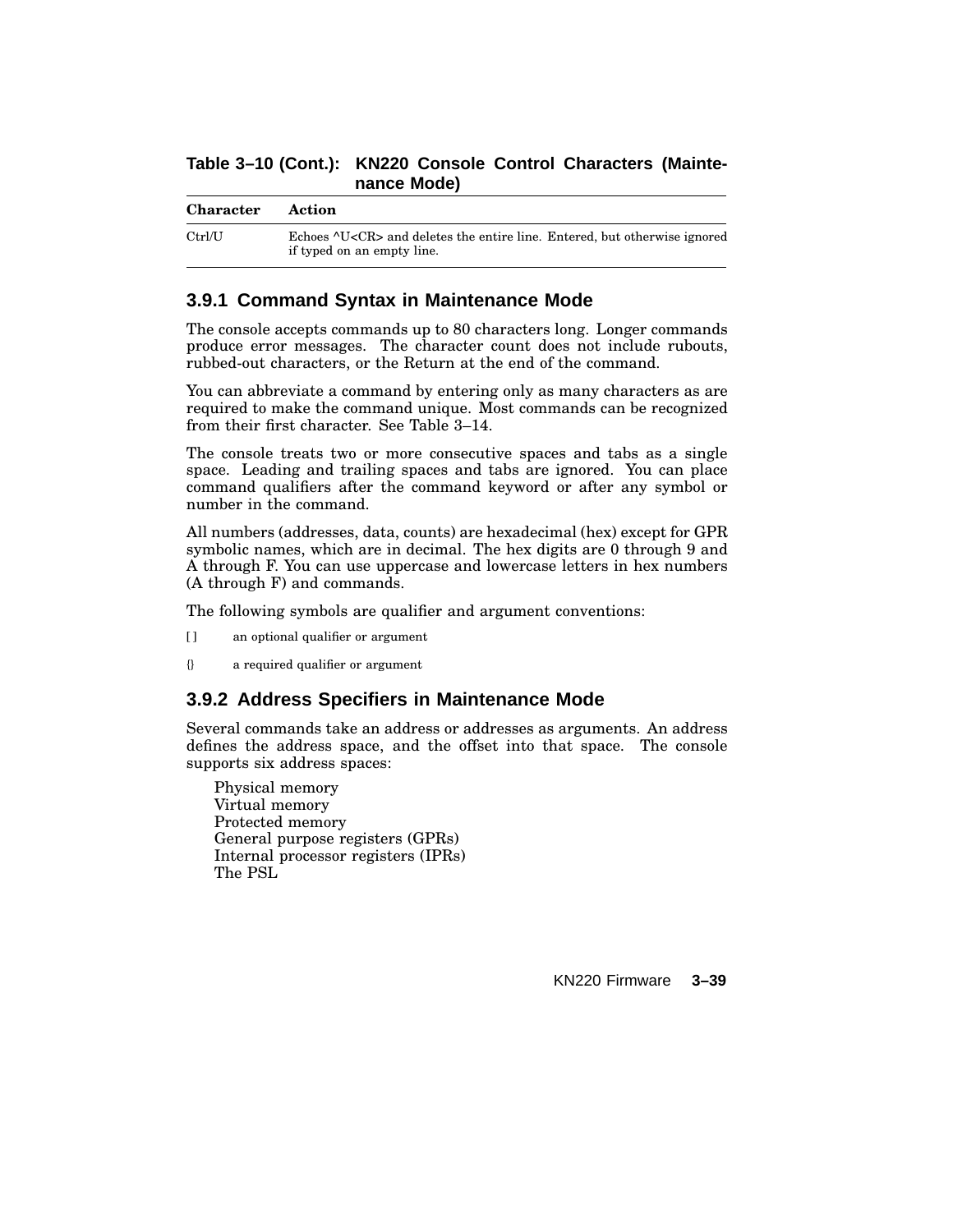## **Table 3–10 (Cont.): KN220 Console Control Characters (Maintenance Mode)**

| <b>Character</b> | Action                                                                                                         |
|------------------|----------------------------------------------------------------------------------------------------------------|
| Ctrl/J           | Echoes ^U <cr> and deletes the entire line. Entered, but otherwise ignored<br/>if typed on an empty line.</cr> |

## **3.9.1 Command Syntax in Maintenance Mode**

The console accepts commands up to 80 characters long. Longer commands produce error messages. The character count does not include rubouts, rubbed-out characters, or the Return at the end of the command.

You can abbreviate a command by entering only as many characters as are required to make the command unique. Most commands can be recognized from their first character. See Table 3–14.

The console treats two or more consecutive spaces and tabs as a single space. Leading and trailing spaces and tabs are ignored. You can place command qualifiers after the command keyword or after any symbol or number in the command.

All numbers (addresses, data, counts) are hexadecimal (hex) except for GPR symbolic names, which are in decimal. The hex digits are 0 through 9 and A through F. You can use uppercase and lowercase letters in hex numbers (A through F) and commands.

The following symbols are qualifier and argument conventions:

- [ ] an optional qualifier or argument
- {} a required qualifier or argument

## **3.9.2 Address Specifiers in Maintenance Mode**

Several commands take an address or addresses as arguments. An address defines the address space, and the offset into that space. The console supports six address spaces:

Physical memory Virtual memory Protected memory General purpose registers (GPRs) Internal processor registers (IPRs) The PSL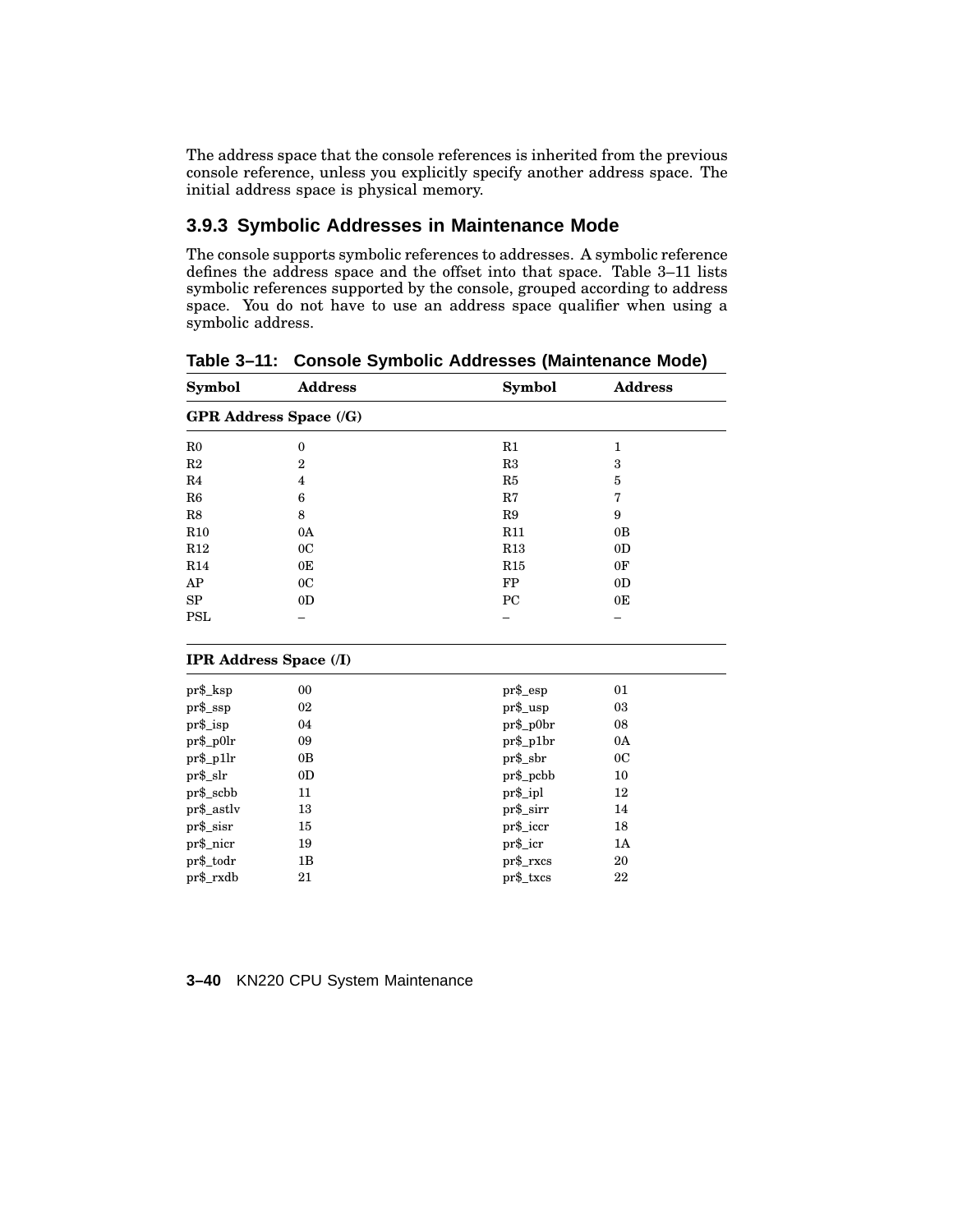The address space that the console references is inherited from the previous console reference, unless you explicitly specify another address space. The initial address space is physical memory.

# **3.9.3 Symbolic Addresses in Maintenance Mode**

The console supports symbolic references to addresses. A symbolic reference defines the address space and the offset into that space. Table 3–11 lists symbolic references supported by the console, grouped according to address space. You do not have to use an address space qualifier when using a symbolic address.

| Symbol         | <b>Address</b>                | Symbol      | <b>Address</b> |
|----------------|-------------------------------|-------------|----------------|
|                | <b>GPR Address Space (/G)</b> |             |                |
| R <sub>0</sub> | $\boldsymbol{0}$              | R1          | 1              |
| R2             | $\overline{2}$                | R3          | 3              |
| R <sub>4</sub> | 4                             | R5          | $\bf 5$        |
| R6             | 6                             | R7          | 7              |
| R8             | 8                             | R9          | 9              |
| R10            | 0A                            | R11         | 0B             |
| R12            | 0 <sub>C</sub>                | R13         | 0 <sub>D</sub> |
| R14            | 0 <sub>E</sub>                | R15         | 0F             |
| AP             | 0 <sub>C</sub>                | FP          | 0 <sub>D</sub> |
| SP             | 0 <sub>D</sub>                | PC          | 0E             |
| <b>PSL</b>     |                               |             |                |
|                | <b>IPR Address Space (/I)</b> |             |                |
| pr\$_ksp       | 00                            | pr\$_esp    | 01             |
| $pr$ \$_ssp    | 02                            | pr\$_usp    | 03             |
| pr\$_isp       | 04                            | pr\$_p0br   | 08             |
| pr\$_p0lr      | 09                            | $pr\$ _p1br | 0A             |
| pr\$_p1lr      | 0B                            | $pr$ \$_sbr | 0 <sup>C</sup> |
| pr\$_slr       | 0 <sub>D</sub>                | pr\$_pcbb   | 10             |
| pr\$_scbb      | 11                            | pr\$_ipl    | 12             |
| pr\$_astlv     | 13                            | pr\$_sirr   | 14             |
| pr\$_sisr      | 15                            | pr\$_iccr   | 18             |
| pr\$_nicr      | 19                            | pr\$_icr    | 1A             |
| pr\$_todr      | 1B                            | $pr\$ _rxcs | 20             |
| pr\$_rxdb      | 21                            | pr\$_txcs   | 22             |

**Table 3–11: Console Symbolic Addresses (Maintenance Mode)**

|  |  |  |  | 3-40 KN220 CPU System Maintenance |
|--|--|--|--|-----------------------------------|
|--|--|--|--|-----------------------------------|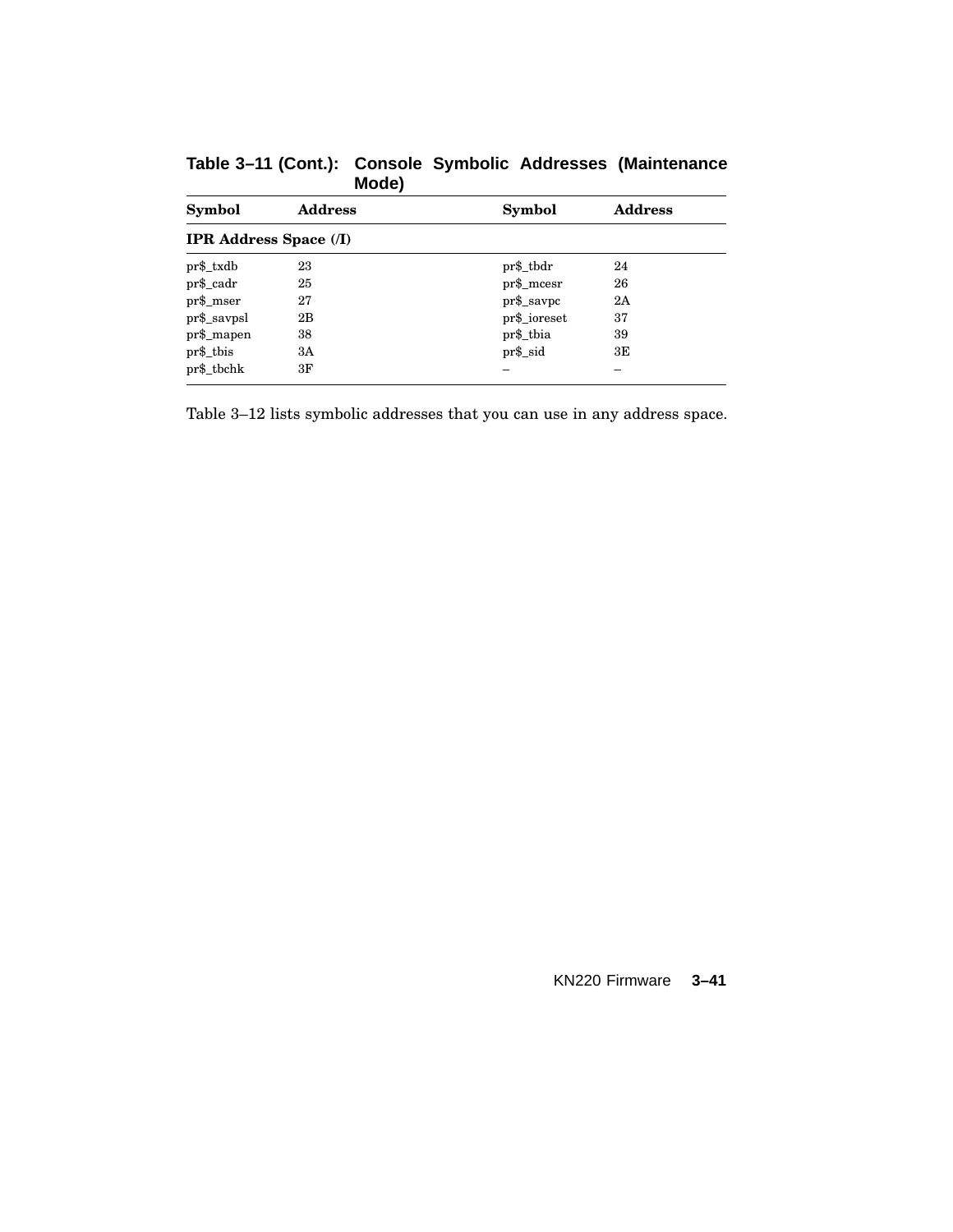| Symbol                        | <b>Address</b> | <b>Symbol</b> | <b>Address</b> |
|-------------------------------|----------------|---------------|----------------|
| <b>IPR Address Space (/I)</b> |                |               |                |
| pr\$_txdb                     | 23             | pr\$_tbdr     | 24             |
| pr\$_cadr                     | 25             | $pr\$ _mcesr  | 26             |
| $pr\$ _mser                   | 27             | $pr\$ _savpc  | 2A             |
| $pr\$ _savpsl                 | 2B             | pr\$_ioreset  | 37             |
| $pr\$ _mapen                  | 38             | pr\$_tbia     | 39             |
| pr\$_tbis                     | 3A             | $pr$ \$_sid   | 3E             |
| pr\$_tbchk                    | 3F             |               |                |

**Table 3–11 (Cont.): Console Symbolic Addresses (Maintenance Mode)**

Table 3–12 lists symbolic addresses that you can use in any address space.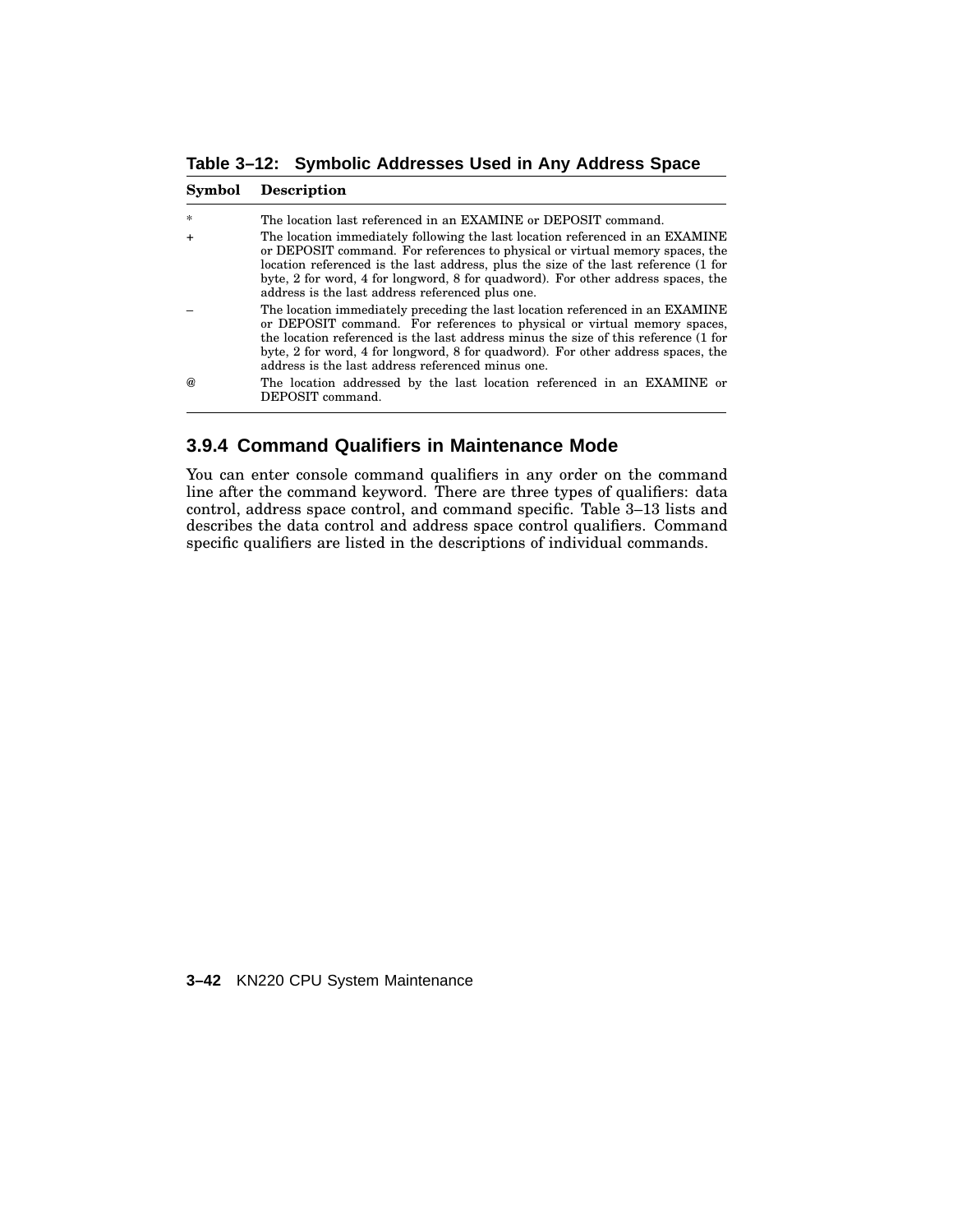**Table 3–12: Symbolic Addresses Used in Any Address Space**

#### **Symbol Description**

| $\star$       | The location last referenced in an EXAMINE or DEPOSIT command.                                                                                                                                                                                                                                                                                                                               |
|---------------|----------------------------------------------------------------------------------------------------------------------------------------------------------------------------------------------------------------------------------------------------------------------------------------------------------------------------------------------------------------------------------------------|
|               | The location immediately following the last location referenced in an EXAMINE<br>or DEPOSIT command. For references to physical or virtual memory spaces, the<br>location referenced is the last address, plus the size of the last reference (1 for<br>byte, 2 for word, 4 for longword, 8 for quadword). For other address spaces, the<br>address is the last address referenced plus one. |
|               | The location immediately preceding the last location referenced in an EXAMINE<br>or DEPOSIT command. For references to physical or virtual memory spaces,<br>the location referenced is the last address minus the size of this reference (1 for<br>byte, 2 for word, 4 for longword, 8 for quadword). For other address spaces, the<br>address is the last address referenced minus one.    |
| $\mathcal{a}$ | The location addressed by the last location referenced in an EXAMINE or<br>DEPOSIT command.                                                                                                                                                                                                                                                                                                  |

# **3.9.4 Command Qualifiers in Maintenance Mode**

You can enter console command qualifiers in any order on the command line after the command keyword. There are three types of qualifiers: data control, address space control, and command specific. Table 3–13 lists and describes the data control and address space control qualifiers. Command specific qualifiers are listed in the descriptions of individual commands.

#### **3–42** KN220 CPU System Maintenance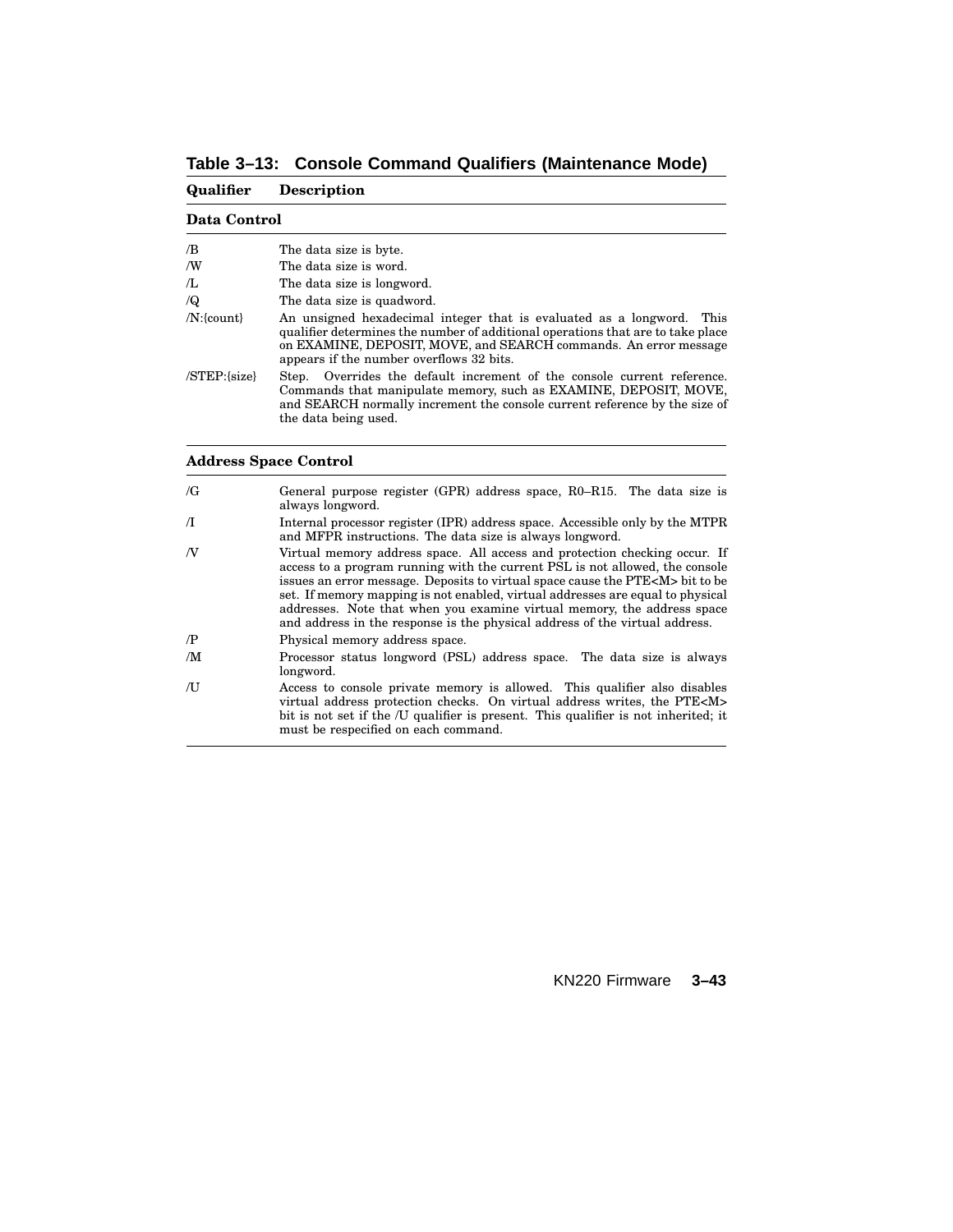**Table 3–13: Console Command Qualifiers (Maintenance Mode)**

| Qualifier        | <b>Description</b>                                                                                                                                                                                                                                                       |
|------------------|--------------------------------------------------------------------------------------------------------------------------------------------------------------------------------------------------------------------------------------------------------------------------|
| Data Control     |                                                                                                                                                                                                                                                                          |
| /B               | The data size is byte.                                                                                                                                                                                                                                                   |
| ΛW               | The data size is word.                                                                                                                                                                                                                                                   |
| Æ,               | The data size is longword.                                                                                                                                                                                                                                               |
| $\sqrt{Q}$       | The data size is quadword.                                                                                                                                                                                                                                               |
| $/N$ : {count}   | An unsigned hexadecimal integer that is evaluated as a longword. This<br>qualifier determines the number of additional operations that are to take place<br>on EXAMINE, DEPOSIT, MOVE, and SEARCH commands. An error message<br>appears if the number overflows 32 bits. |
| $/STEP$ : {size} | Overrides the default increment of the console current reference.<br>Step.<br>Commands that manipulate memory, such as EXAMINE, DEPOSIT, MOVE,<br>and SEARCH normally increment the console current reference by the size of<br>the data being used.                     |

## **Address Space Control**

| $\sqrt{G}$ | General purpose register $(GPR)$ address space, $R0-R15$ . The data size is<br>always longword.                                                                                                                                                                                                                                                                                                                                                                                                 |
|------------|-------------------------------------------------------------------------------------------------------------------------------------------------------------------------------------------------------------------------------------------------------------------------------------------------------------------------------------------------------------------------------------------------------------------------------------------------------------------------------------------------|
| $\sqrt{1}$ | Internal processor register (IPR) address space. Accessible only by the MTPR<br>and MFPR instructions. The data size is always longword.                                                                                                                                                                                                                                                                                                                                                        |
| N          | Virtual memory address space. All access and protection checking occur. If<br>access to a program running with the current PSL is not allowed, the console<br>issues an error message. Deposits to virtual space cause the PTE <m> bit to be<br/>set. If memory mapping is not enabled, virtual addresses are equal to physical<br/>addresses. Note that when you examine virtual memory, the address space<br/>and address in the response is the physical address of the virtual address.</m> |
| $\sqrt{P}$ | Physical memory address space.                                                                                                                                                                                                                                                                                                                                                                                                                                                                  |
| /M         | Processor status longword (PSL) address space. The data size is always<br>longword.                                                                                                                                                                                                                                                                                                                                                                                                             |
| ΛJ         | Access to console private memory is allowed. This qualifier also disables<br>virtual address protection checks. On virtual address writes, the PTE <m><br/>bit is not set if the /U qualifier is present. This qualifier is not inherited; it<br/>must be respecified on each command.</m>                                                                                                                                                                                                      |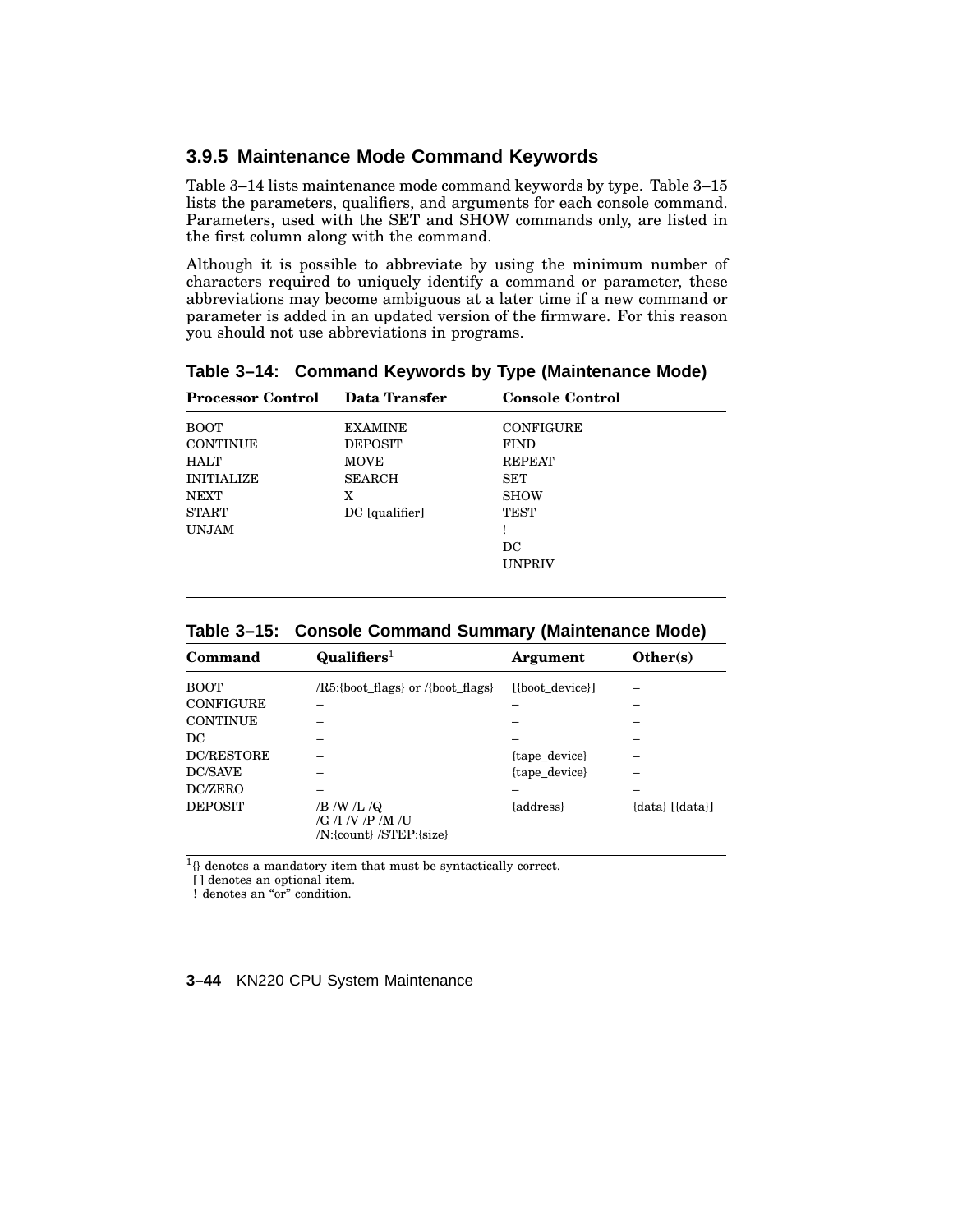## **3.9.5 Maintenance Mode Command Keywords**

Table 3–14 lists maintenance mode command keywords by type. Table 3–15 lists the parameters, qualifiers, and arguments for each console command. Parameters, used with the SET and SHOW commands only, are listed in the first column along with the command.

Although it is possible to abbreviate by using the minimum number of characters required to uniquely identify a command or parameter, these abbreviations may become ambiguous at a later time if a new command or parameter is added in an updated version of the firmware. For this reason you should not use abbreviations in programs.

**Table 3–14: Command Keywords by Type (Maintenance Mode) Processor Control Data Transfer Console Control**

| 1 TOCCBBOT COMMON | Dava 11 ansiyi | Console Control  |  |
|-------------------|----------------|------------------|--|
| <b>BOOT</b>       | <b>EXAMINE</b> | <b>CONFIGURE</b> |  |
| <b>CONTINUE</b>   | <b>DEPOSIT</b> | <b>FIND</b>      |  |
| <b>HALT</b>       | <b>MOVE</b>    | <b>REPEAT</b>    |  |
| <b>INITIALIZE</b> | <b>SEARCH</b>  | SET              |  |
| <b>NEXT</b>       | X              | <b>SHOW</b>      |  |
| <b>START</b>      | DC [qualifier] | TEST             |  |
| <b>UNJAM</b>      |                |                  |  |
|                   |                | DC               |  |
|                   |                | <b>UNPRIV</b>    |  |
|                   |                |                  |  |

**Table 3–15: Console Command Summary (Maintenance Mode)**

| Command           | $\mathbf{Qualifiers}^1$                                     | Argument        | Other(s)                |
|-------------------|-------------------------------------------------------------|-----------------|-------------------------|
| BOOT              | /R5:{boot_flags} or /{boot_flags}                           | [{boot device}] |                         |
| <b>CONFIGURE</b>  |                                                             |                 |                         |
| <b>CONTINUE</b>   |                                                             |                 |                         |
| DС                |                                                             |                 |                         |
| <b>DC/RESTORE</b> |                                                             | {tape_device}   |                         |
| DC/SAVE           |                                                             | {tape_device}   |                         |
| DC/ZERO           |                                                             |                 |                         |
| <b>DEPOSIT</b>    | /B /W /L /Q<br>/G /I /V /P /M /U<br>/N:{count} /STEP:{size} | {address}       | $\{data\}$ $[\{data\}]$ |

1 {} denotes a mandatory item that must be syntactically correct.

[] denotes an optional item.

! denotes an "or" condition.

#### **3–44** KN220 CPU System Maintenance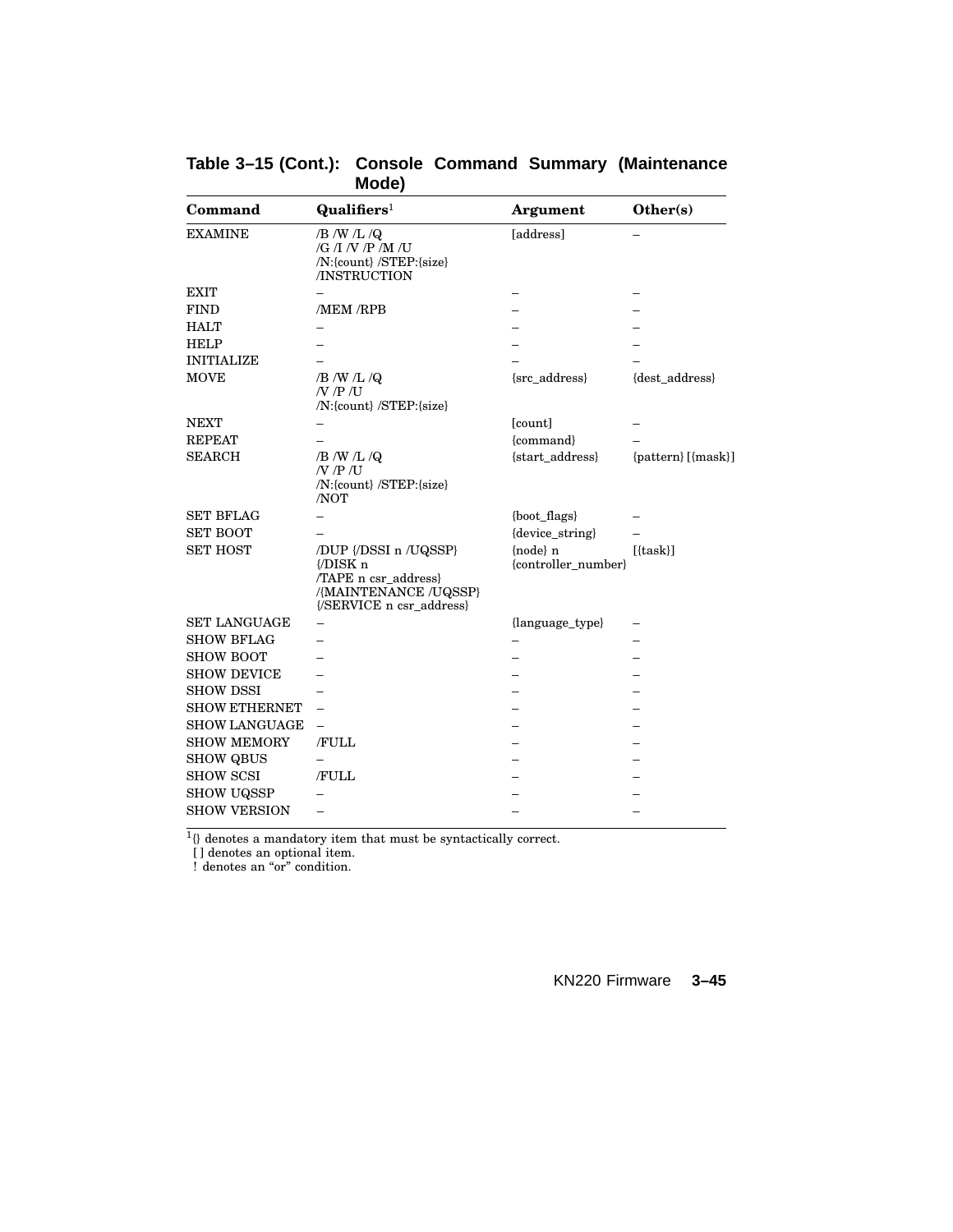| Command              | $\mathbf{Qualifiers}^1$                                                                                        | <b>Argument</b>                   | Other(s)           |
|----------------------|----------------------------------------------------------------------------------------------------------------|-----------------------------------|--------------------|
| <b>EXAMINE</b>       | $/B$ /W /L /Q<br>$/G$ /I /V /P /M /U<br>/N:{count} /STEP:{size}<br>/INSTRUCTION                                | [address]                         |                    |
| <b>EXIT</b>          |                                                                                                                |                                   |                    |
| <b>FIND</b>          | /MEM /RPB                                                                                                      |                                   |                    |
| <b>HALT</b>          |                                                                                                                |                                   |                    |
| <b>HELP</b>          |                                                                                                                |                                   |                    |
| <b>INITIALIZE</b>    |                                                                                                                |                                   |                    |
| <b>MOVE</b>          | $/B$ /W /L /Q<br>$/$ $/$ $P$ $/$ $U$<br>/N:{count} /STEP:{size}                                                | {src_address}                     | {dest_address}     |
| <b>NEXT</b>          |                                                                                                                | [count]                           |                    |
| <b>REPEAT</b>        |                                                                                                                | {command}                         |                    |
| <b>SEARCH</b>        | $/B$ /W /L /Q<br>$/$ $/$ $P$ $/$ $U$<br>/N:{count} /STEP:{size}<br>/NOT                                        | {start_address}                   | {pattern} [{mask}] |
| <b>SET BFLAG</b>     |                                                                                                                | {boot_flags}                      |                    |
| <b>SET BOOT</b>      |                                                                                                                | {device_string}                   |                    |
| <b>SET HOST</b>      | /DUP {/DSSI n /UQSSP}<br>{/DISK n<br>/TAPE n csr_address}<br>/{MAINTENANCE /UQSSP}<br>{/SERVICE n csr_address} | ${node}$ n<br>{controller_number} | $[{\text{task}}]$  |
| <b>SET LANGUAGE</b>  |                                                                                                                | {language_type}                   |                    |
| <b>SHOW BFLAG</b>    |                                                                                                                |                                   |                    |
| <b>SHOW BOOT</b>     |                                                                                                                |                                   |                    |
| <b>SHOW DEVICE</b>   |                                                                                                                |                                   |                    |
| <b>SHOW DSSI</b>     |                                                                                                                |                                   |                    |
| <b>SHOW ETHERNET</b> |                                                                                                                |                                   |                    |
| <b>SHOW LANGUAGE</b> |                                                                                                                |                                   |                    |
| <b>SHOW MEMORY</b>   | /FULL                                                                                                          |                                   |                    |
| <b>SHOW QBUS</b>     |                                                                                                                |                                   |                    |
| <b>SHOW SCSI</b>     | /FULL                                                                                                          |                                   |                    |
| <b>SHOW UQSSP</b>    |                                                                                                                |                                   |                    |
| <b>SHOW VERSION</b>  | $\overline{\phantom{0}}$                                                                                       |                                   |                    |

**Table 3–15 (Cont.): Console Command Summary (Maintenance Mode)**

<sup>1</sup>{} denotes a mandatory item that must be syntactically correct.

[ ] denotes an optional item.

! denotes an "or" condition.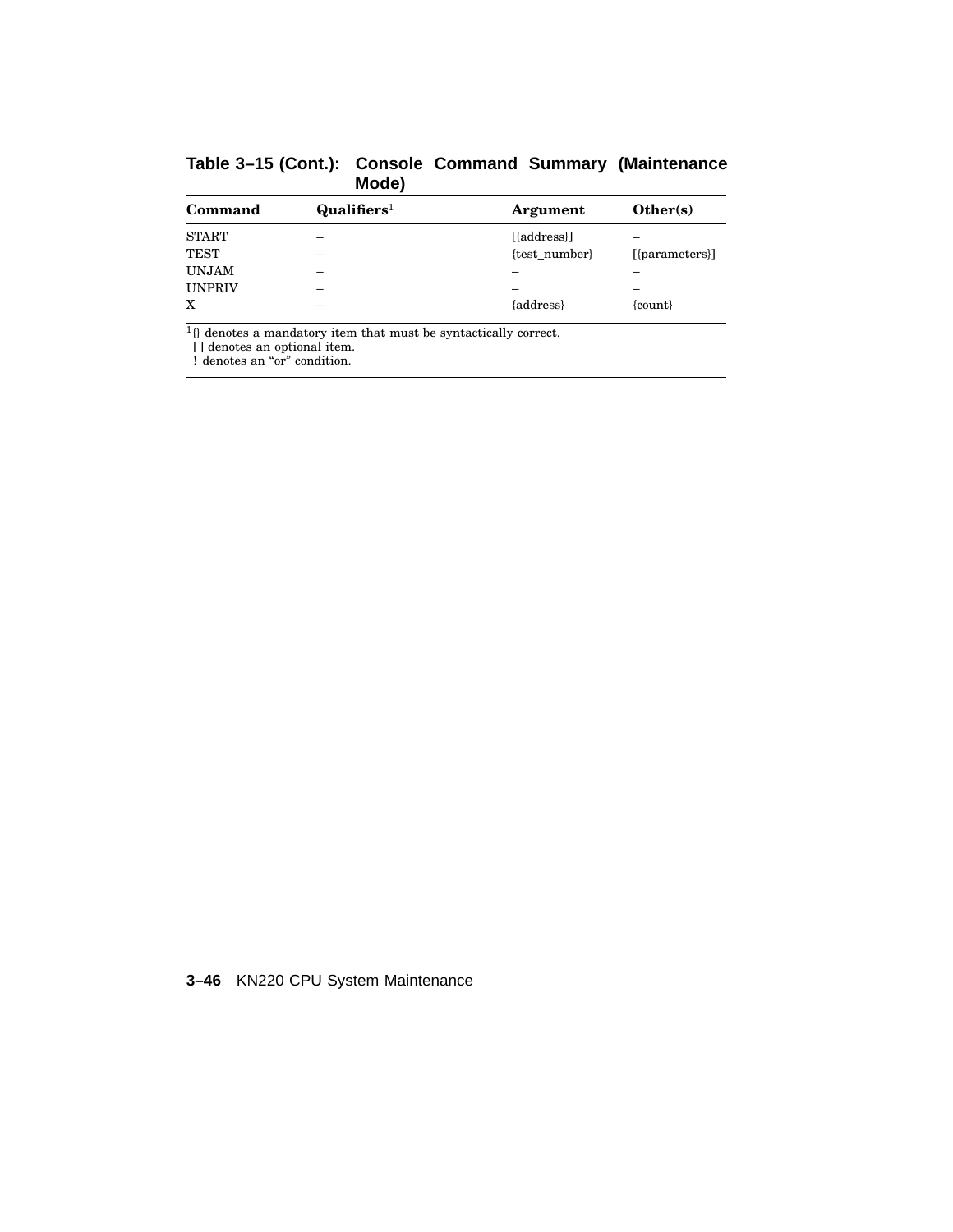| Command       | $\mathbf{Qualifiers}^1$ | Argument      | Other(s)         |
|---------------|-------------------------|---------------|------------------|
| <b>START</b>  |                         | [{address}]   | -                |
| <b>TEST</b>   |                         | {test number} | $[{parameters}]$ |
| <b>UNJAM</b>  |                         |               |                  |
| <b>UNPRIV</b> |                         |               |                  |
| X             |                         | {address}     | ${count}$        |

**Table 3–15 (Cont.): Console Command Summary (Maintenance Mode)**

<sup>1</sup>{} denotes a mandatory item that must be syntactically correct.

[ ] denotes an optional item.

! denotes an "or" condition.

**3–46** KN220 CPU System Maintenance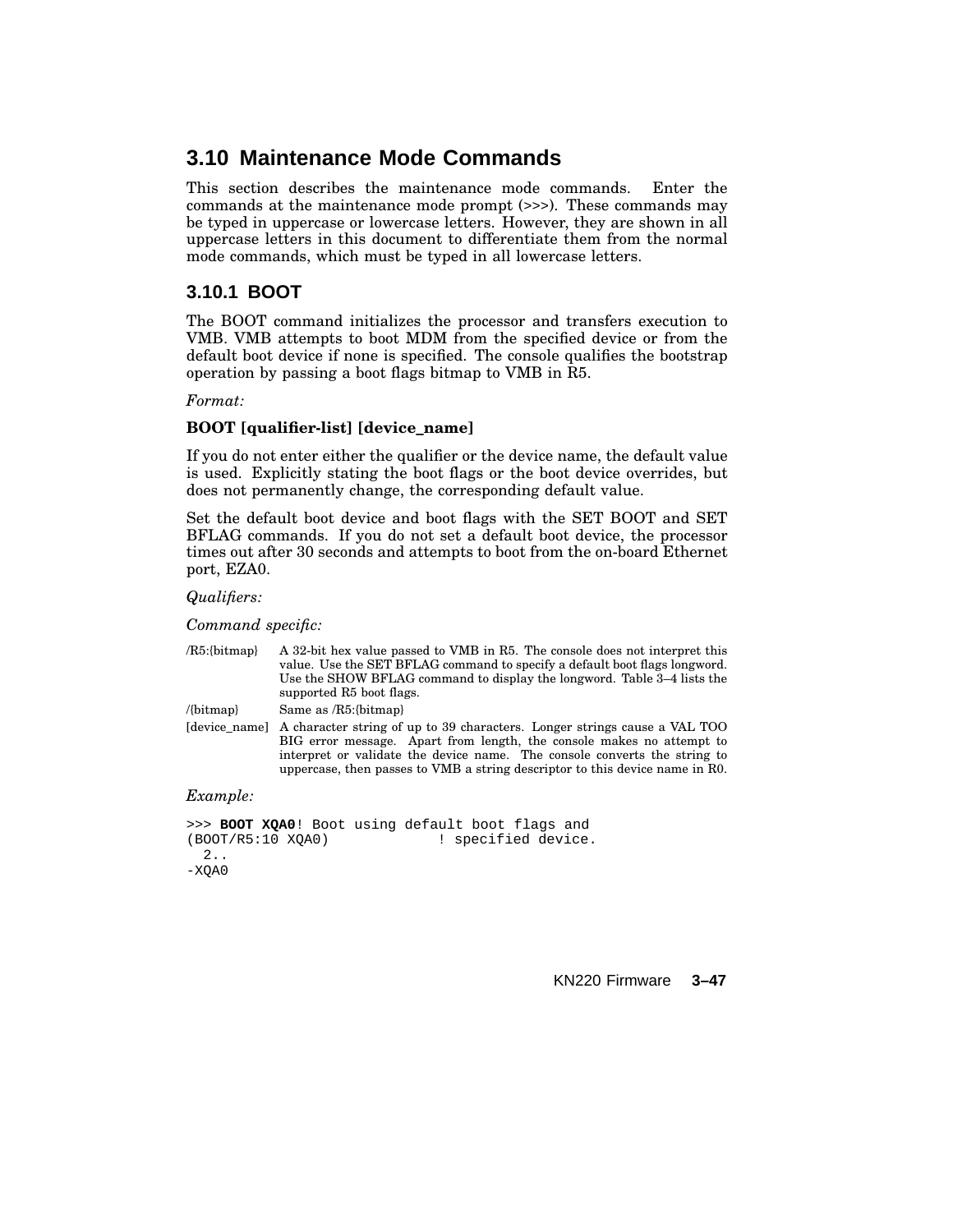# **3.10 Maintenance Mode Commands**

This section describes the maintenance mode commands. Enter the commands at the maintenance mode prompt (>>>). These commands may be typed in uppercase or lowercase letters. However, they are shown in all uppercase letters in this document to differentiate them from the normal mode commands, which must be typed in all lowercase letters.

# **3.10.1 BOOT**

The BOOT command initializes the processor and transfers execution to VMB. VMB attempts to boot MDM from the specified device or from the default boot device if none is specified. The console qualifies the bootstrap operation by passing a boot flags bitmap to VMB in R5.

### *Format:*

## **BOOT [qualifier-list] [device\_name]**

If you do not enter either the qualifier or the device name, the default value is used. Explicitly stating the boot flags or the boot device overrides, but does not permanently change, the corresponding default value.

Set the default boot device and boot flags with the SET BOOT and SET BFLAG commands. If you do not set a default boot device, the processor times out after 30 seconds and attempts to boot from the on-board Ethernet port, EZA0.

#### *Qualifiers:*

*Command specific:*

| $\langle$ R5:{bitmap} | A 32-bit hex value passed to VMB in R5. The console does not interpret this<br>value. Use the SET BFLAG command to specify a default boot flags longword.<br>Use the SHOW BFLAG command to display the longword. Table 3–4 lists the<br>supported R5 boot flags.                                                |
|-----------------------|-----------------------------------------------------------------------------------------------------------------------------------------------------------------------------------------------------------------------------------------------------------------------------------------------------------------|
| $\{bitmap\}$          | Same as $/R5$ : {bitmap}                                                                                                                                                                                                                                                                                        |
| Idevice namel         | A character string of up to 39 characters. Longer strings cause a VAL TOO<br>BIG error message. Apart from length, the console makes no attempt to<br>interpret or validate the device name. The console converts the string to<br>uppercase, then passes to VMB a string descriptor to this device name in R0. |

### *Example:*

```
>>> BOOT XQA0! Boot using default boot flags and (BOOT/R5:10 XQA0) | specified device
                                          ! specified device.
  2..
-XOAO
```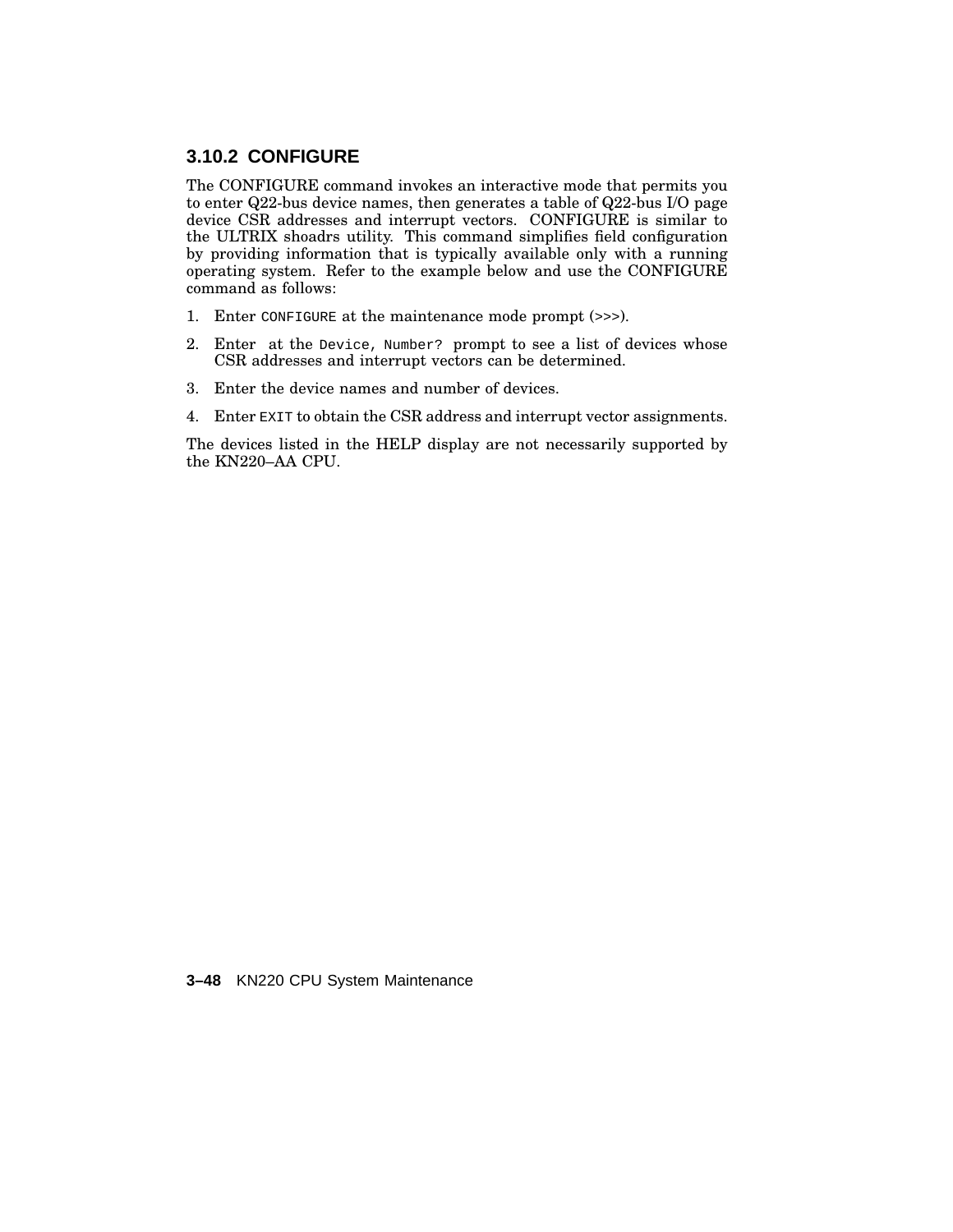## **3.10.2 CONFIGURE**

The CONFIGURE command invokes an interactive mode that permits you to enter Q22-bus device names, then generates a table of Q22-bus I/O page device CSR addresses and interrupt vectors. CONFIGURE is similar to the ULTRIX shoadrs utility. This command simplifies field configuration by providing information that is typically available only with a running operating system. Refer to the example below and use the CONFIGURE command as follows:

- 1. Enter CONFIGURE at the maintenance mode prompt (>>>).
- 2. Enter at the Device, Number? prompt to see a list of devices whose CSR addresses and interrupt vectors can be determined.
- 3. Enter the device names and number of devices.
- 4. Enter EXIT to obtain the CSR address and interrupt vector assignments.

The devices listed in the HELP display are not necessarily supported by the KN220–AA CPU.

**3–48** KN220 CPU System Maintenance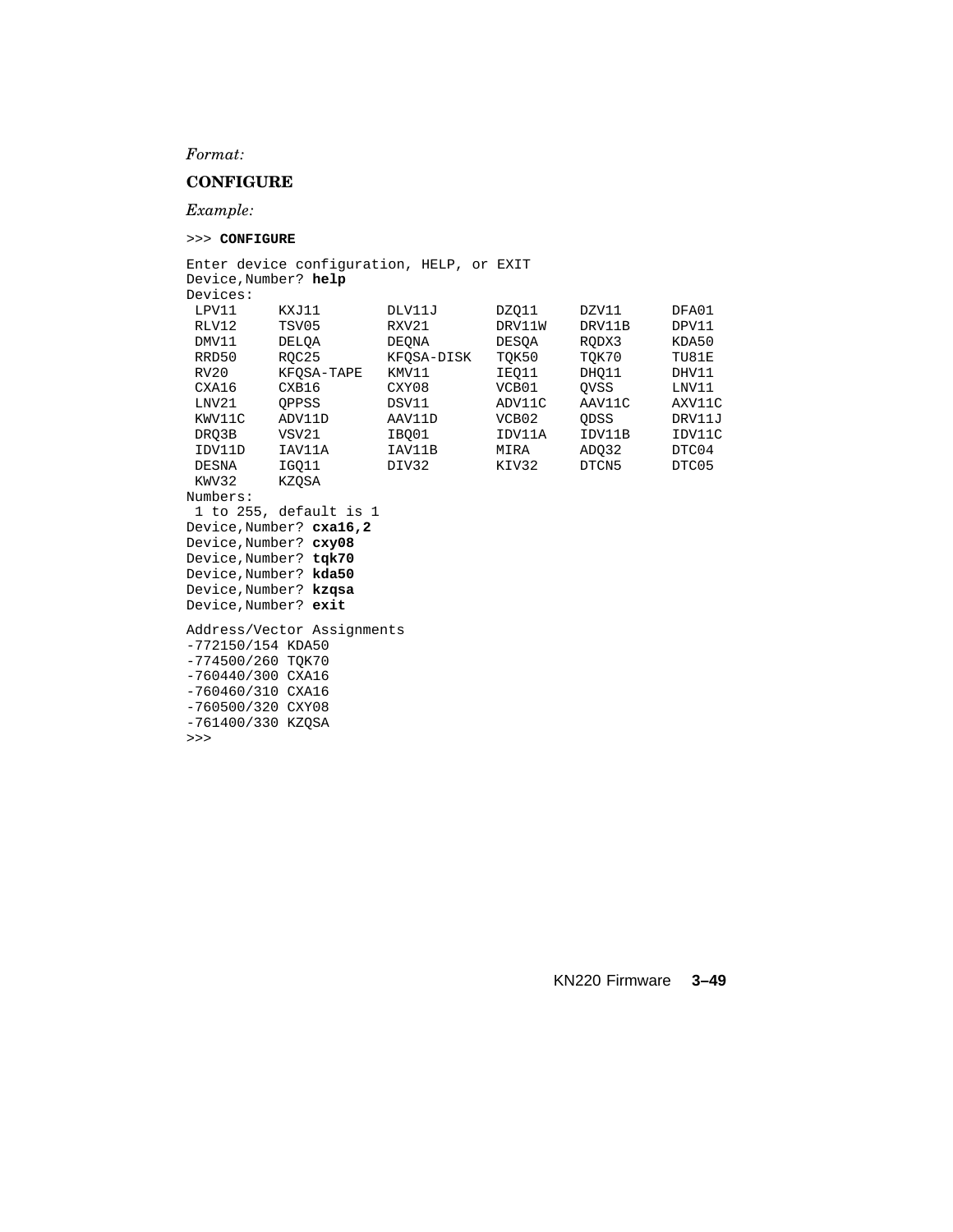*Format:*

#### **CONFIGURE**

*Example:*

>>> **CONFIGURE**

Enter device configuration, HELP, or EXIT Device,Number? **help** Devices: LPV11 KXJ11 DLV11J DZQ11 DZV11 DFA01<br>RLV12 TSV05 RXV21 DRV11W DRV11B DPV11 RLV12 TSV05 RXV21 DRV11W DRV11B DPV11<br>DMV11 DELQA DEQNA DESQA RQDX3 KDA50 DMV11 DELQA DEQNA DESQA RQDX3 KDA50 RRD50 RQC25 KFQSA-DISK TQK50 TQK70 TU81E RV20 KFQSA-TAPE KMV11 IEQ11 DHQ11 DHV11 CXA16 CXB16 CXY08 VCB01 QVSS LNV11<br>
LNV21 QPPSS DSV11 ADV11C AAV11C AXV11C<br>
KWV11C ADV11D AAV11D VCB02 QDSS DRV11J<br>
DRQ3B VSV21 IBQ01 IDV11A IDV11B IDV11C CXY08 VCB01 QVSS LNV11<br>
DSV11 ADV11C AAV11C AXV11C<br>
AAV11D VCB02 QDSS DRV11J<br>
IBQ01 IDV11A IDV11B IDV11C KWV11C ADV11D AAV11D VCB02 QDSS DRV11J DRQ3B VSV21 IBQ01 IDV11A IDV11B IDV11C IDV11D IAV11A IAV11B MIRA ADQ32 DTC04 DESNA IGQ11 DIV32 KIV32 DTCN5 DTC05 KWV32 KZQSA Numbers: 1 to 255, default is 1 Device,Number? **cxa16,2** Device,Number? **cxy08** Device,Number? **tqk70** Device,Number? **kda50** Device,Number? **kzqsa** Device,Number? **exit** Address/Vector Assignments -772150/154 KDA50 -774500/260 TQK70 -760440/300 CXA16 -760460/310 CXA16 -760500/320 CXY08 -761400/330 KZQSA >>>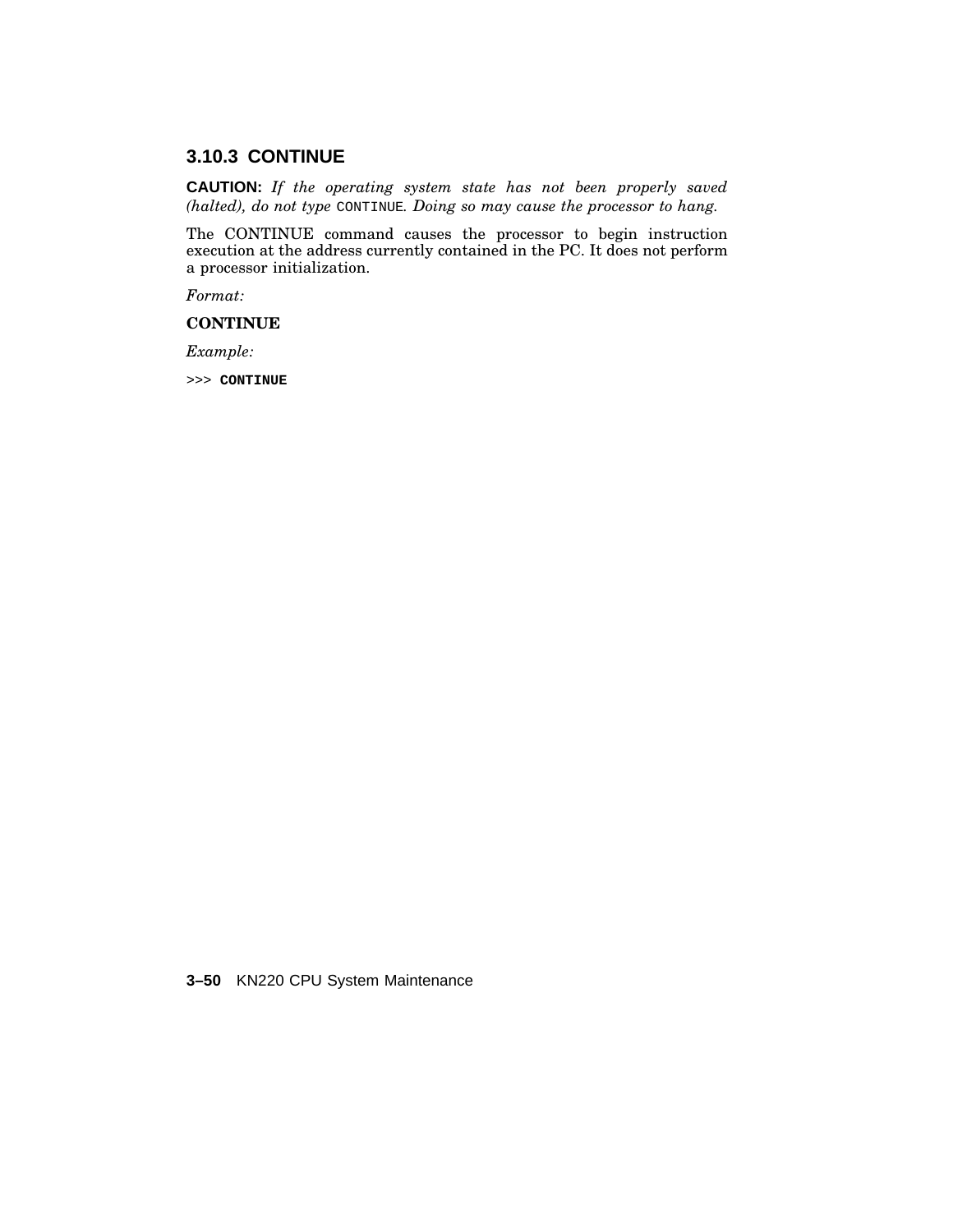# **3.10.3 CONTINUE**

**CAUTION:** *If the operating system state has not been properly saved (halted), do not type* CONTINUE*. Doing so may cause the processor to hang.*

The CONTINUE command causes the processor to begin instruction execution at the address currently contained in the PC. It does not perform a processor initialization.

*Format:*

**CONTINUE**

*Example:*

>>> **CONTINUE**

**3–50** KN220 CPU System Maintenance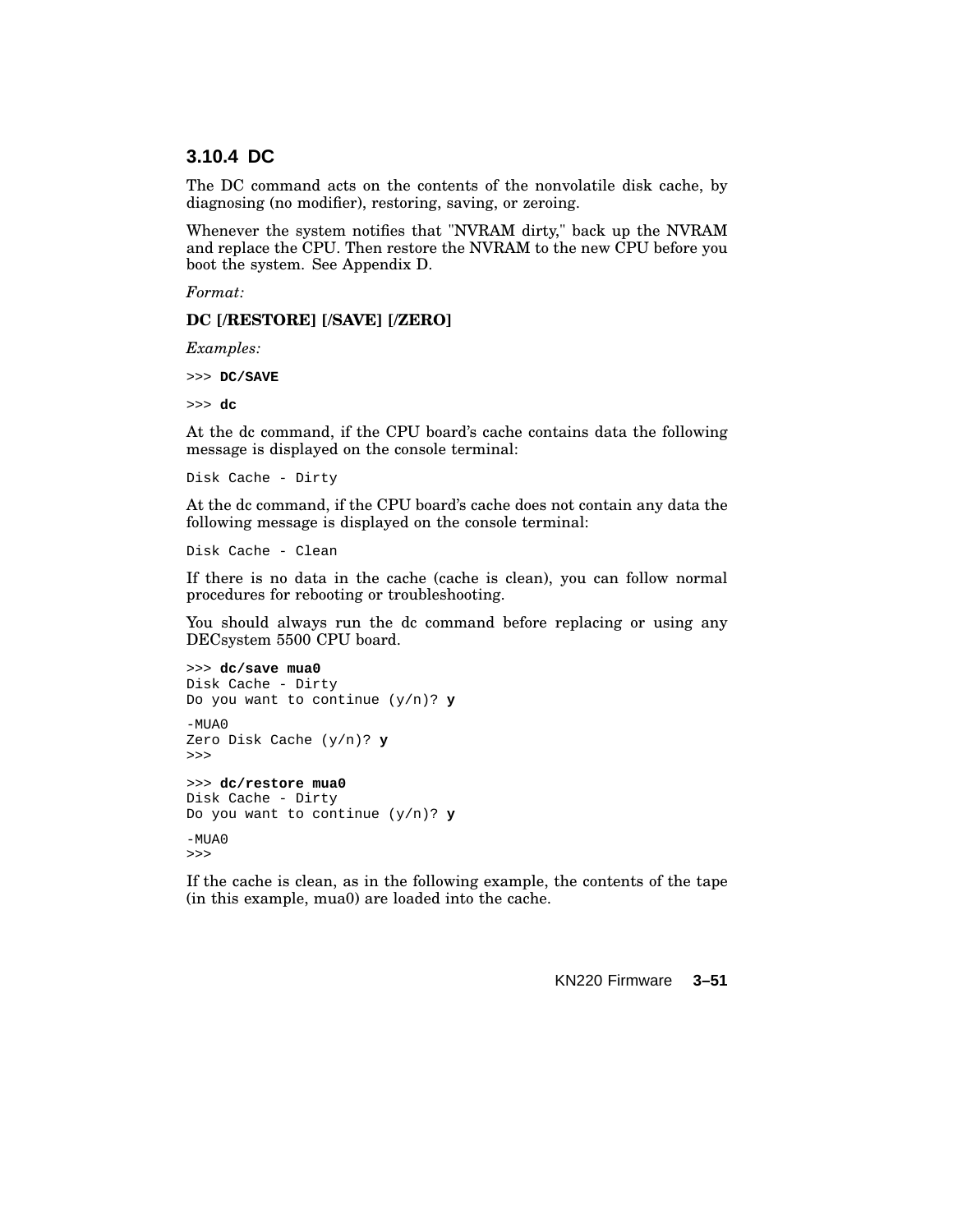## **3.10.4 DC**

The DC command acts on the contents of the nonvolatile disk cache, by diagnosing (no modifier), restoring, saving, or zeroing.

Whenever the system notifies that "NVRAM dirty," back up the NVRAM and replace the CPU. Then restore the NVRAM to the new CPU before you boot the system. See Appendix D.

*Format:*

#### **DC [/RESTORE] [/SAVE] [/ZERO]**

*Examples:*

>>> **DC/SAVE**

>>> **dc**

At the dc command, if the CPU board's cache contains data the following message is displayed on the console terminal:

Disk Cache - Dirty

At the dc command, if the CPU board's cache does not contain any data the following message is displayed on the console terminal:

Disk Cache - Clean

If there is no data in the cache (cache is clean), you can follow normal procedures for rebooting or troubleshooting.

You should always run the dc command before replacing or using any DECsystem 5500 CPU board.

```
>>> dc/save mua0
Disk Cache - Dirty
Do you want to continue (y/n)? y
-MUAOZero Disk Cache (y/n)? y
>>>
>>> dc/restore mua0
Disk Cache - Dirty
Do you want to continue (y/n)? y
-MUAO>>>
```
If the cache is clean, as in the following example, the contents of the tape (in this example, mua0) are loaded into the cache.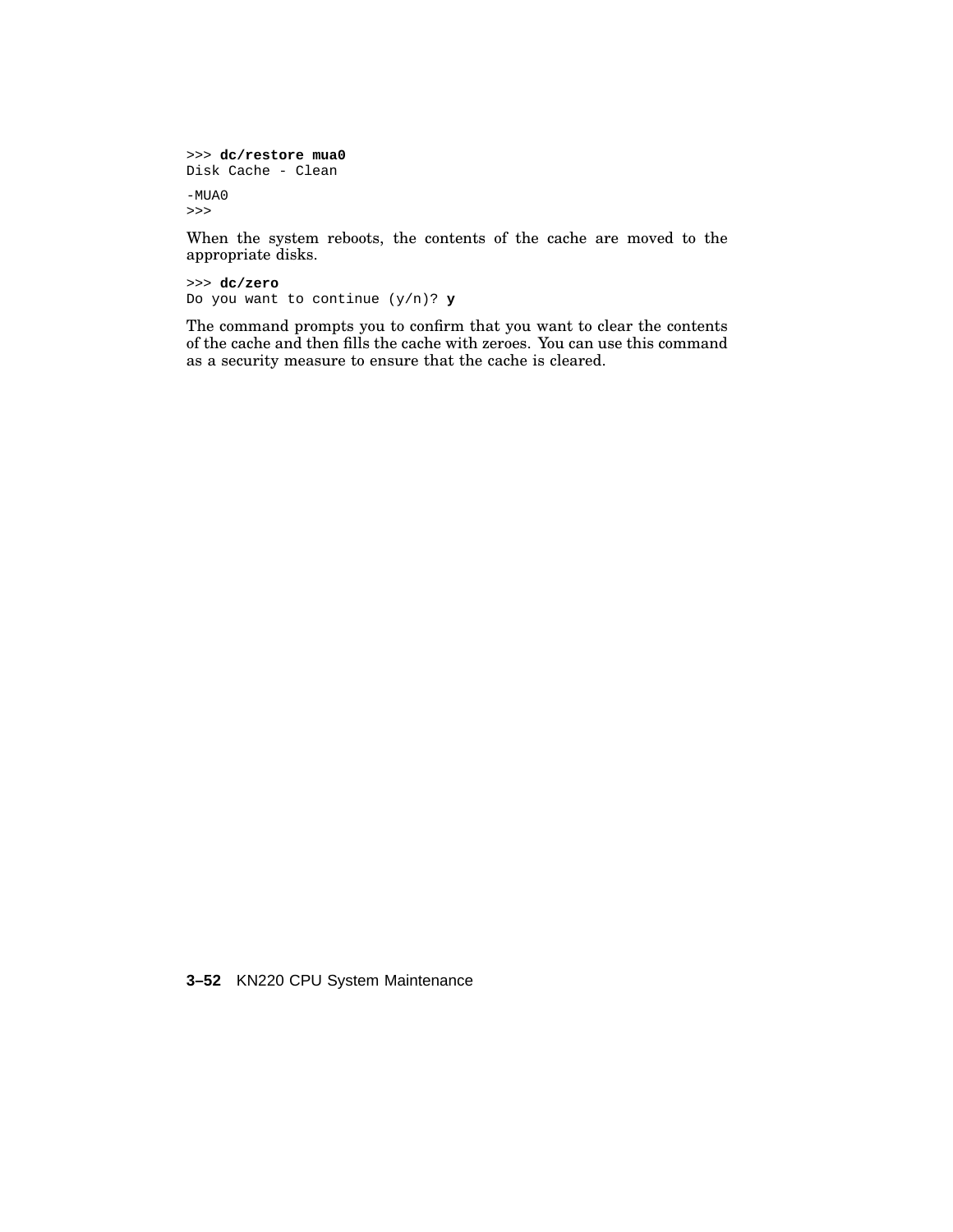```
>>> dc/restore mua0
Disk Cache - Clean
-MUA0
>>>
```
When the system reboots, the contents of the cache are moved to the appropriate disks.

>>> **dc/zero** Do you want to continue (y/n)? **y**

The command prompts you to confirm that you want to clear the contents of the cache and then fills the cache with zeroes. You can use this command as a security measure to ensure that the cache is cleared.

**3–52** KN220 CPU System Maintenance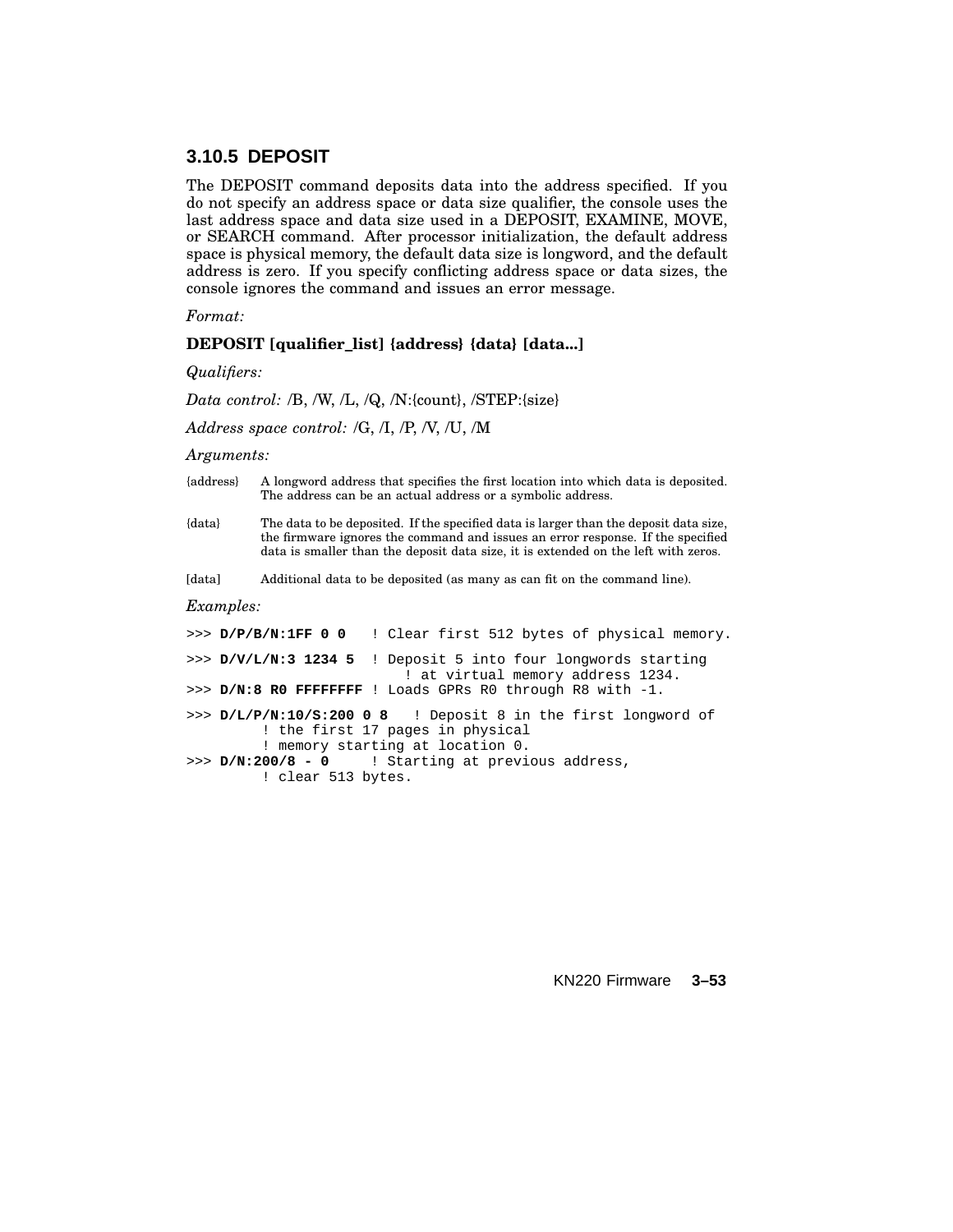## **3.10.5 DEPOSIT**

The DEPOSIT command deposits data into the address specified. If you do not specify an address space or data size qualifier, the console uses the last address space and data size used in a DEPOSIT, EXAMINE, MOVE, or SEARCH command. After processor initialization, the default address space is physical memory, the default data size is longword, and the default address is zero. If you specify conflicting address space or data sizes, the console ignores the command and issues an error message.

*Format:*

#### **DEPOSIT [qualifier\_list] {address} {data} [data...]**

*Qualifiers:*

*Data control:* /B, /W, /L, /Q, /N:{count}, /STEP:{size}

*Address space control:* /G, /I, /P, /V, /U, /M

*Arguments:*

- {address} A longword address that specifies the first location into which data is deposited. The address can be an actual address or a symbolic address.
- {data} The data to be deposited. If the specified data is larger than the deposit data size, the firmware ignores the command and issues an error response. If the specified data is smaller than the deposit data size, it is extended on the left with zeros.

[data] Additional data to be deposited (as many as can fit on the command line).

#### *Examples:*

|                    | >>> D/P/B/N:1FF 0 0 ! Clear first 512 bytes of physical memory.                                                                       |
|--------------------|---------------------------------------------------------------------------------------------------------------------------------------|
|                    | >>> $D/V/L/N:3$ 1234 5 ! Deposit 5 into four longwords starting<br>! at virtual memory address 1234.                                  |
|                    | >>> $D/N:8$ RO FFFFFFFF ! Loads GPRs RO through R8 with $-1$ .                                                                        |
|                    | >>> D/L/P/N:10/S:200 0 8 ! Deposit 8 in the first longword of<br>! the first 17 pages in physical<br>! memory starting at location 0. |
| ! clear 513 bytes. | $>> D/N: 200/8 - 0$ ! Starting at previous address,                                                                                   |
|                    |                                                                                                                                       |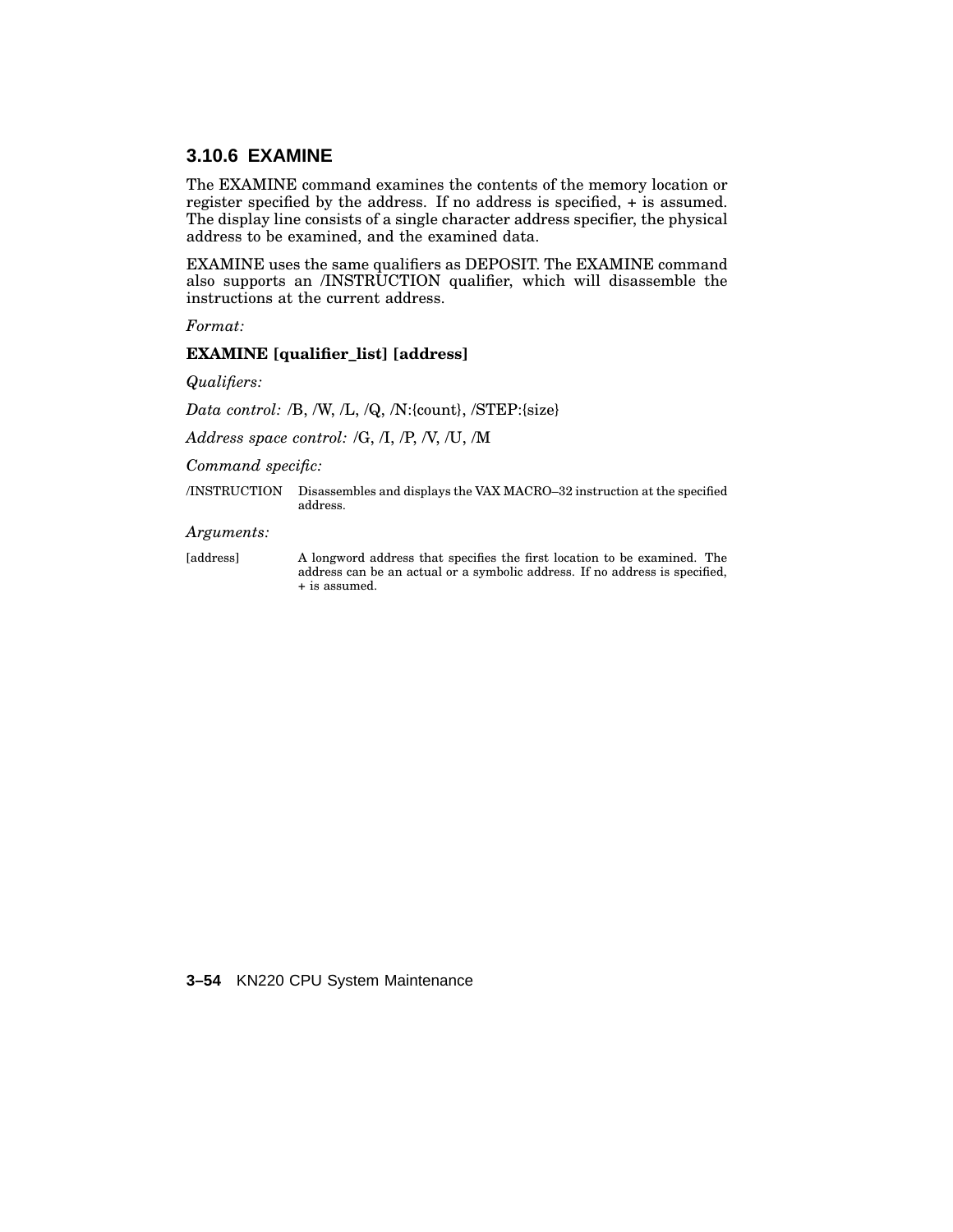## **3.10.6 EXAMINE**

The EXAMINE command examines the contents of the memory location or register specified by the address. If no address is specified, + is assumed. The display line consists of a single character address specifier, the physical address to be examined, and the examined data.

EXAMINE uses the same qualifiers as DEPOSIT. The EXAMINE command also supports an /INSTRUCTION qualifier, which will disassemble the instructions at the current address.

*Format:*

#### **EXAMINE [qualifier\_list] [address]**

*Qualifiers:*

*Data control:* /B, /W, /L, /Q, /N:{count}, /STEP:{size}

*Address space control:* /G, /I, /P, /V, /U, /M

*Command specific:*

/INSTRUCTION Disassembles and displays the VAX MACRO–32 instruction at the specified address.

*Arguments:*

[address] A longword address that specifies the first location to be examined. The address can be an actual or a symbolic address. If no address is specified, + is assumed.

**3–54** KN220 CPU System Maintenance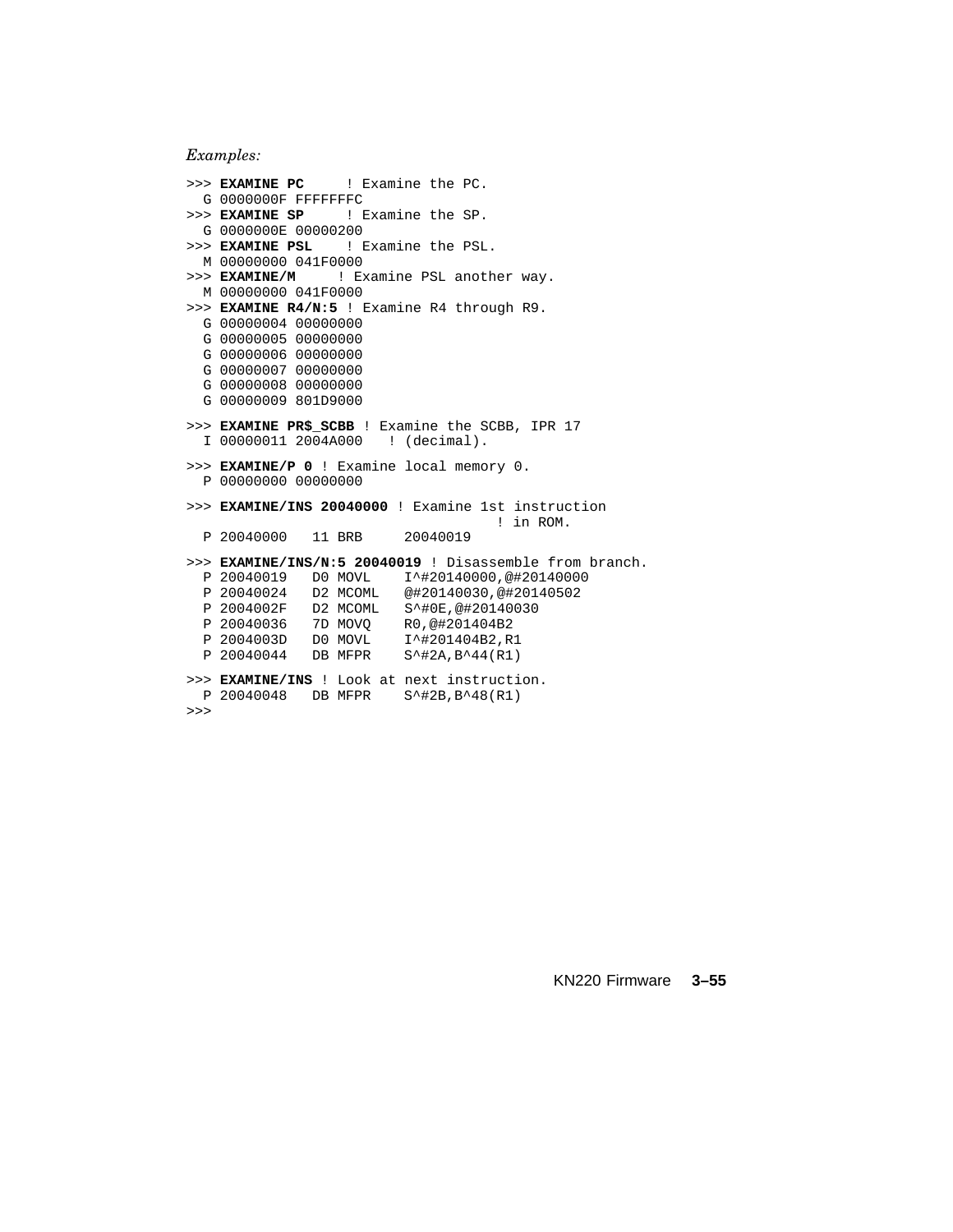*Examples:*

```
>>> EXAMINE PC ! Examine the PC.
 G 0000000F FFFFFFFC
>>> EXAMINE SP ! Examine the SP.
G 0000000E 00000200<br>>>> EXAMINE PSL !!
                  >>> EXAMINE PSL ! Examine the PSL.
 M 00000000 041F0000
>>> EXAMINE/M ! Examine PSL another way.
 M 00000000 041F0000
>>> EXAMINE R4/N:5 ! Examine R4 through R9.
 G 00000004 00000000
 G 00000005 00000000
 G 00000006 00000000
 G 00000007 00000000
 G 00000008 00000000
 G 00000009 801D9000
>>> EXAMINE PR$_SCBB ! Examine the SCBB, IPR 17
 I 00000011 2004A000 ! (decimal).
>>> EXAMINE/P 0 ! Examine local memory 0.
  P 00000000 00000000
>>> EXAMINE/INS 20040000 ! Examine 1st instruction
                                       ! in ROM.
 P 20040000 11 BRB 20040019
>>> EXAMINE/INS/N:5 20040019 ! Disassemble from branch.
 P 20040019 D0 MOVL I^#20140000,@#20140000
                          @#20140030,@#20140502
 P 2004002F D2 MCOML S<sup>*</sup>#0E,@#20140030<br>P 20040036 7D MOVO R0,@#201404B2
 P 20040036 7D MOVQ R0,@#201404B2
              D0 MOVL I^#201404B2,R1<br>DB MFPR S^#2A,B^44(R1)
 P 20040044 DB MFPR S^#2A,B^44(R1)
>>> EXAMINE/INS ! Look at next instruction.
 P 20040048 DB MFPR S^#2B,B^48(R1)
>>>
```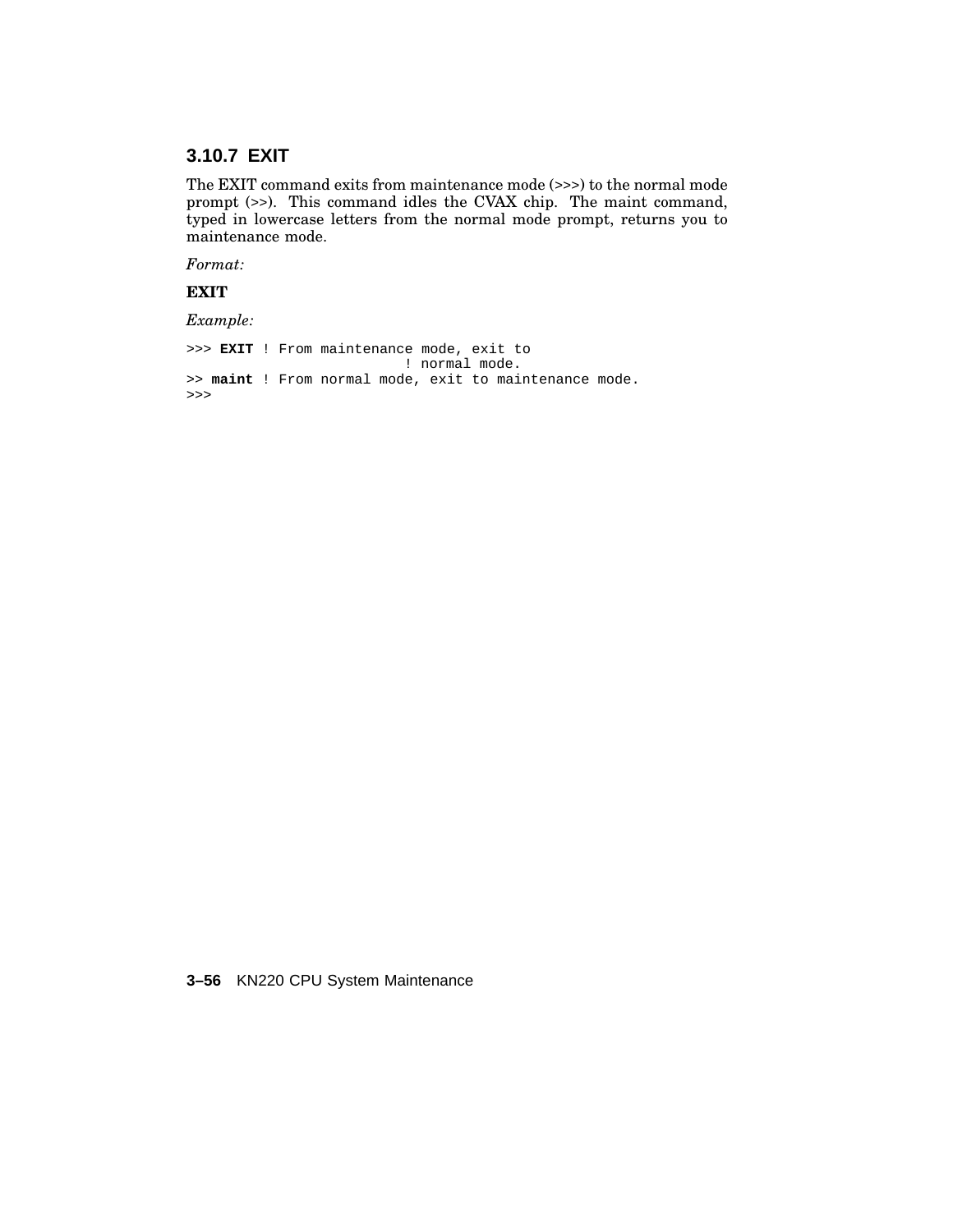# **3.10.7 EXIT**

The EXIT command exits from maintenance mode (>>>) to the normal mode prompt (>>). This command idles the CVAX chip. The maint command, typed in lowercase letters from the normal mode prompt, returns you to maintenance mode.

*Format:*

**EXIT**

*Example:*

>>> **EXIT** ! From maintenance mode, exit to ! normal mode. >> **maint** ! From normal mode, exit to maintenance mode. >>>

**3–56** KN220 CPU System Maintenance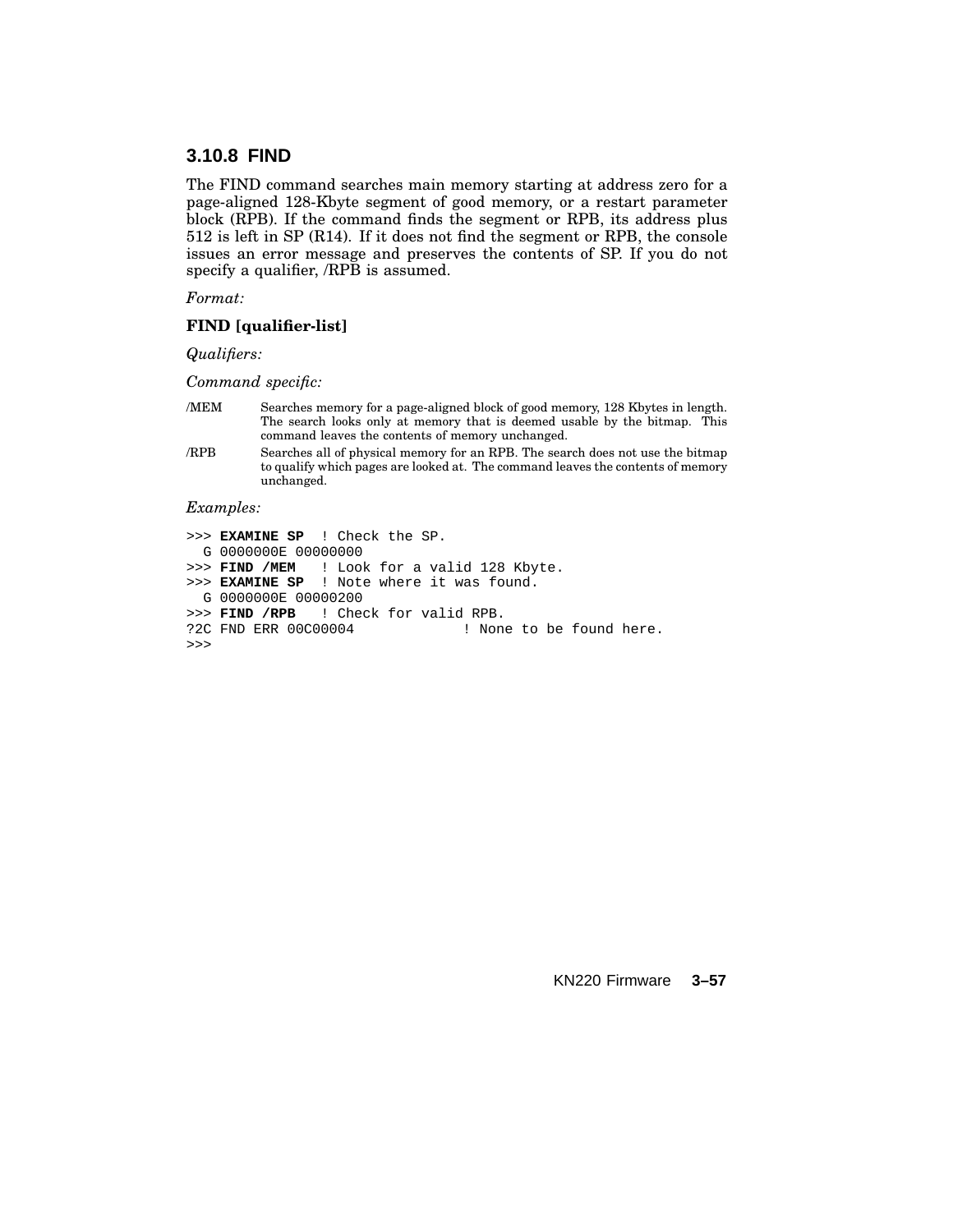## **3.10.8 FIND**

The FIND command searches main memory starting at address zero for a page-aligned 128-Kbyte segment of good memory, or a restart parameter block (RPB). If the command finds the segment or RPB, its address plus 512 is left in SP (R14). If it does not find the segment or RPB, the console issues an error message and preserves the contents of SP. If you do not specify a qualifier, /RPB is assumed.

*Format:*

#### **FIND [qualifier-list]**

*Qualifiers:*

*Command specific:*

- /MEM Searches memory for a page-aligned block of good memory, 128 Kbytes in length. The search looks only at memory that is deemed usable by the bitmap. This command leaves the contents of memory unchanged.
- /RPB Searches all of physical memory for an RPB. The search does not use the bitmap to qualify which pages are looked at. The command leaves the contents of memory unchanged.

#### *Examples:*

```
>>> EXAMINE SP ! Check the SP.
 G 0000000E 00000000
>>> FIND /MEM ! Look for a valid 128 Kbyte.
>>> EXAMINE SP ! Note where it was found.
 G 0000000E 00000200
>>> FIND /RPB ! Check for valid RPB.
?2C FND ERR 00C00004 ! None to be found here.
>>>
```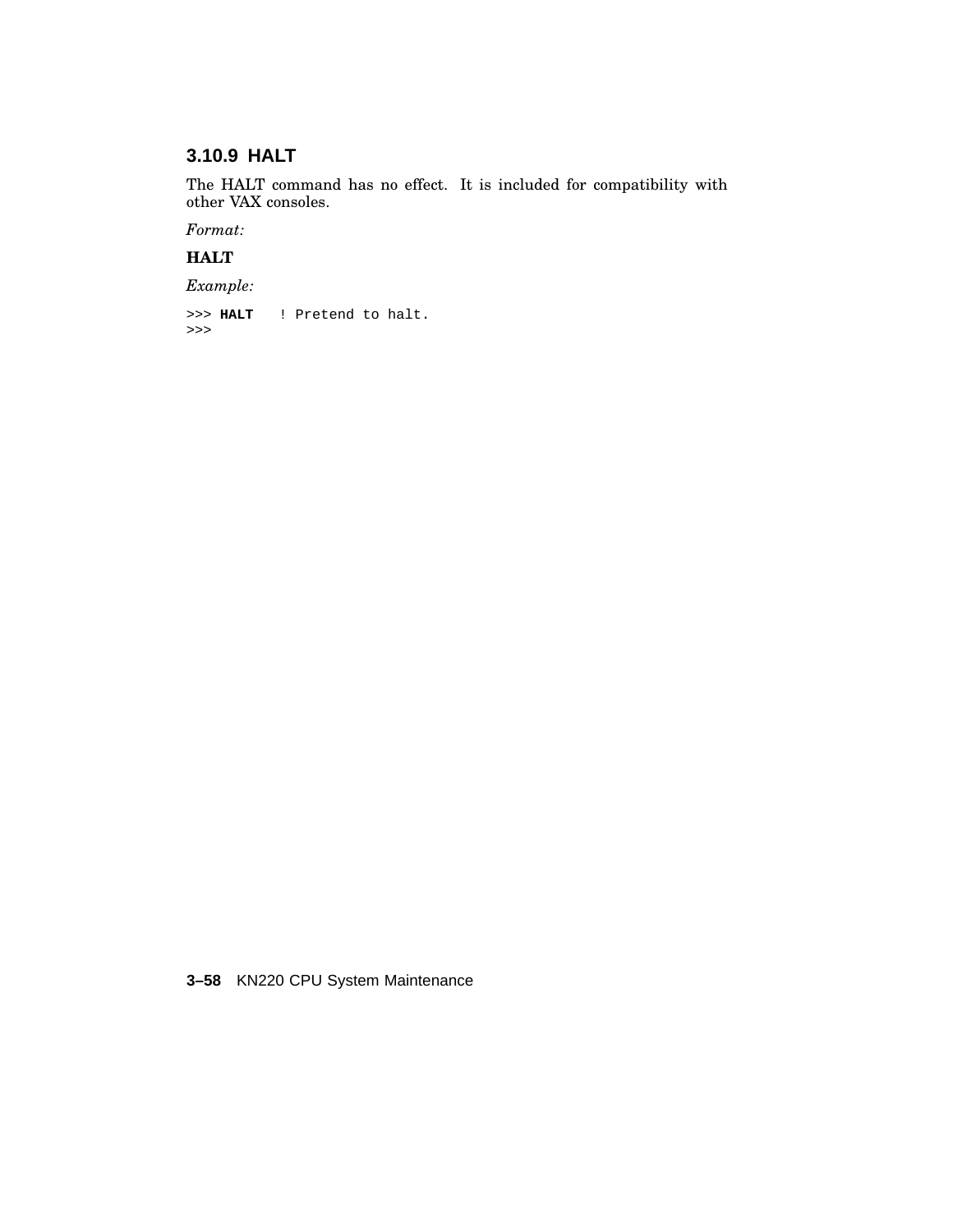# **3.10.9 HALT**

The HALT command has no effect. It is included for compatibility with other VAX consoles.

*Format:*

**HALT**

*Example:*

>>> **HALT** ! Pretend to halt. >>>

**3–58** KN220 CPU System Maintenance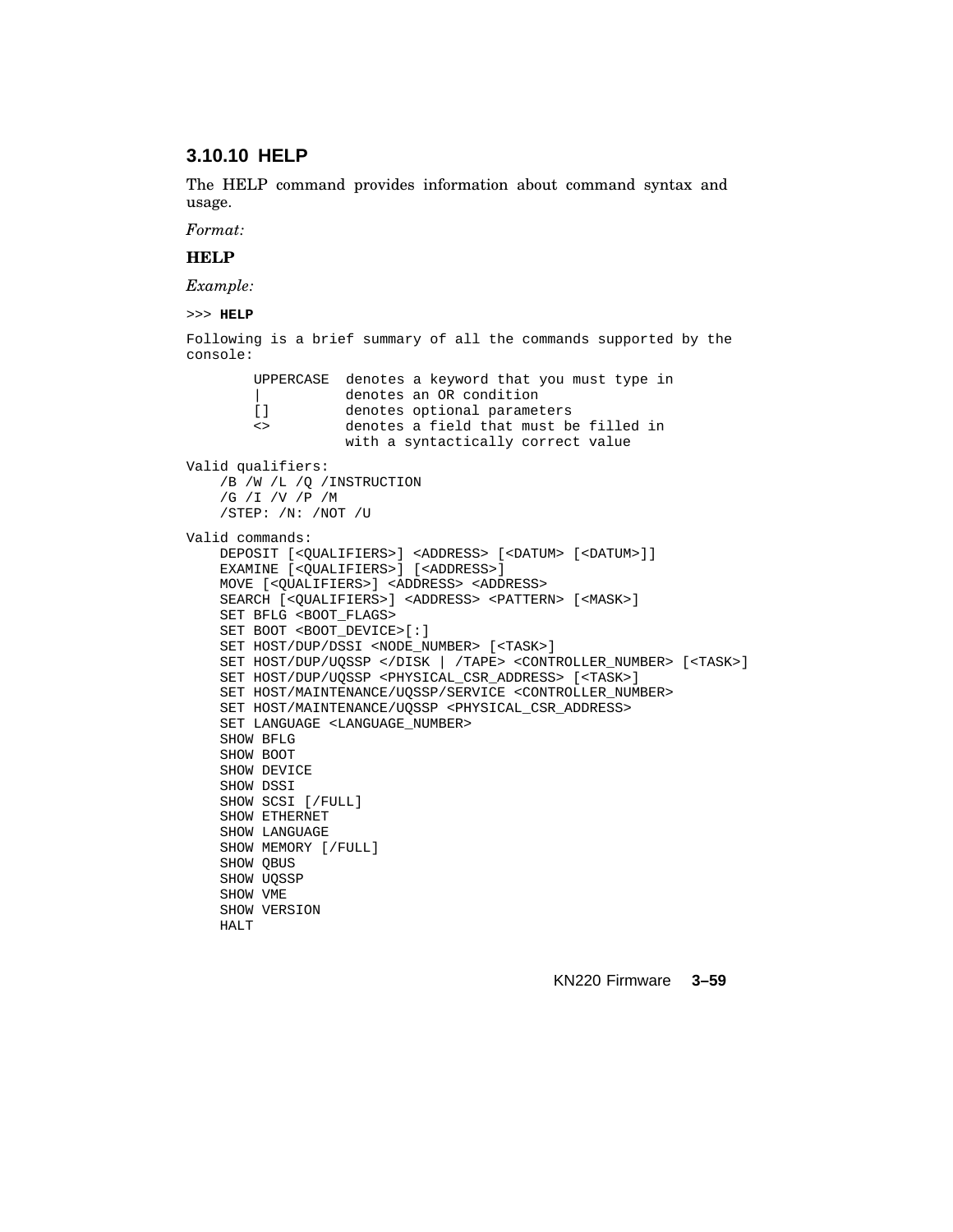# **3.10.10 HELP**

The HELP command provides information about command syntax and usage.

*Format:*

### **HELP**

*Example:*

```
>>> HELP
```
Following is a brief summary of all the commands supported by the console:

UPPERCASE denotes a keyword that you must type in denotes an OR condition [] denotes optional parameters <> denotes a field that must be filled in with a syntactically correct value Valid qualifiers: /B /W /L /Q /INSTRUCTION /G /I /V /P /M /STEP: /N: /NOT /U Valid commands: DEPOSIT [<QUALIFIERS>] <ADDRESS> [<DATUM> [<DATUM>]]

EXAMINE [<QUALIFIERS>] [<ADDRESS>] MOVE [<QUALIFIERS>] <ADDRESS> <ADDRESS> SEARCH [<QUALIFIERS>] <ADDRESS> <PATTERN> [<MASK>] SET BFLG <BOOT\_FLAGS> SET BOOT <BOOT\_DEVICE>[:] SET HOST/DUP/DSSI <NODE\_NUMBER> [<TASK>] SET HOST/DUP/UQSSP </DISK | /TAPE> <CONTROLLER\_NUMBER> [<TASK>] SET HOST/DUP/UQSSP <PHYSICAL\_CSR\_ADDRESS> [<TASK>] SET HOST/MAINTENANCE/UQSSP/SERVICE <CONTROLLER\_NUMBER> SET HOST/MAINTENANCE/UQSSP <PHYSICAL\_CSR\_ADDRESS> SET LANGUAGE <LANGUAGE\_NUMBER> SHOW BFLG SHOW BOOT SHOW DEVICE SHOW DSSI SHOW SCSI [/FULL] SHOW ETHERNET SHOW LANGUAGE SHOW MEMORY [/FULL] SHOW QBUS SHOW UQSSP SHOW VME SHOW VERSION HALT<sub>T</sub>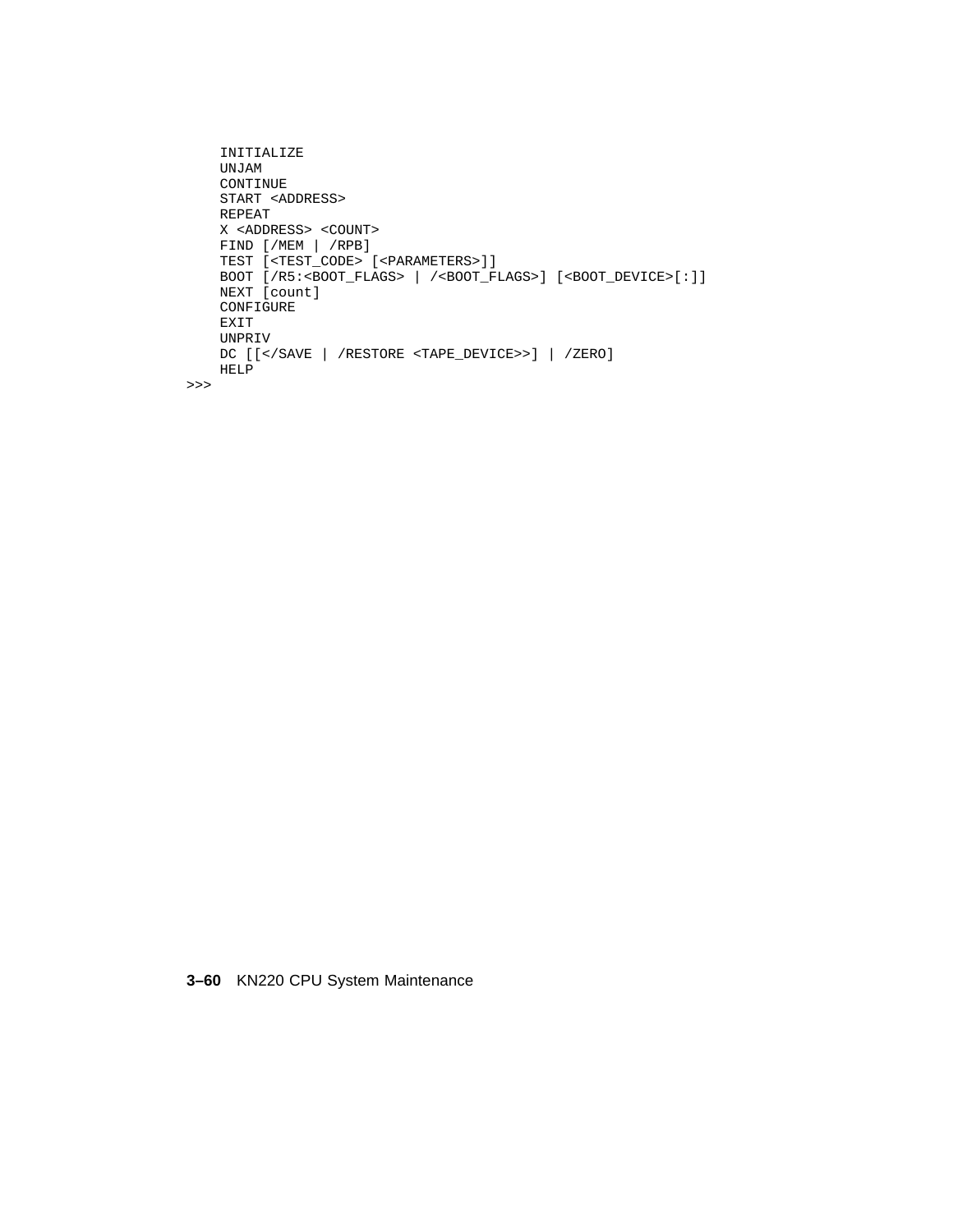```
INITIALIZE
   UNJAM
   CONTINUE
   START <ADDRESS>
   REPEAT
   X <ADDRESS> <COUNT>
    FIND [/MEM | /RPB]
    TEST [<TEST_CODE> [<PARAMETERS>]]
   BOOT [/R5:<BOOT_FLAGS> | /<BOOT_FLAGS>] [<BOOT_DEVICE>[:]]
   NEXT [count]
   CONFIGURE
   EXIT
   UNPRIV
   DC [[</SAVE | /RESTORE <TAPE_DEVICE>>] | /ZERO]
   HELP
>>>
```
**3–60** KN220 CPU System Maintenance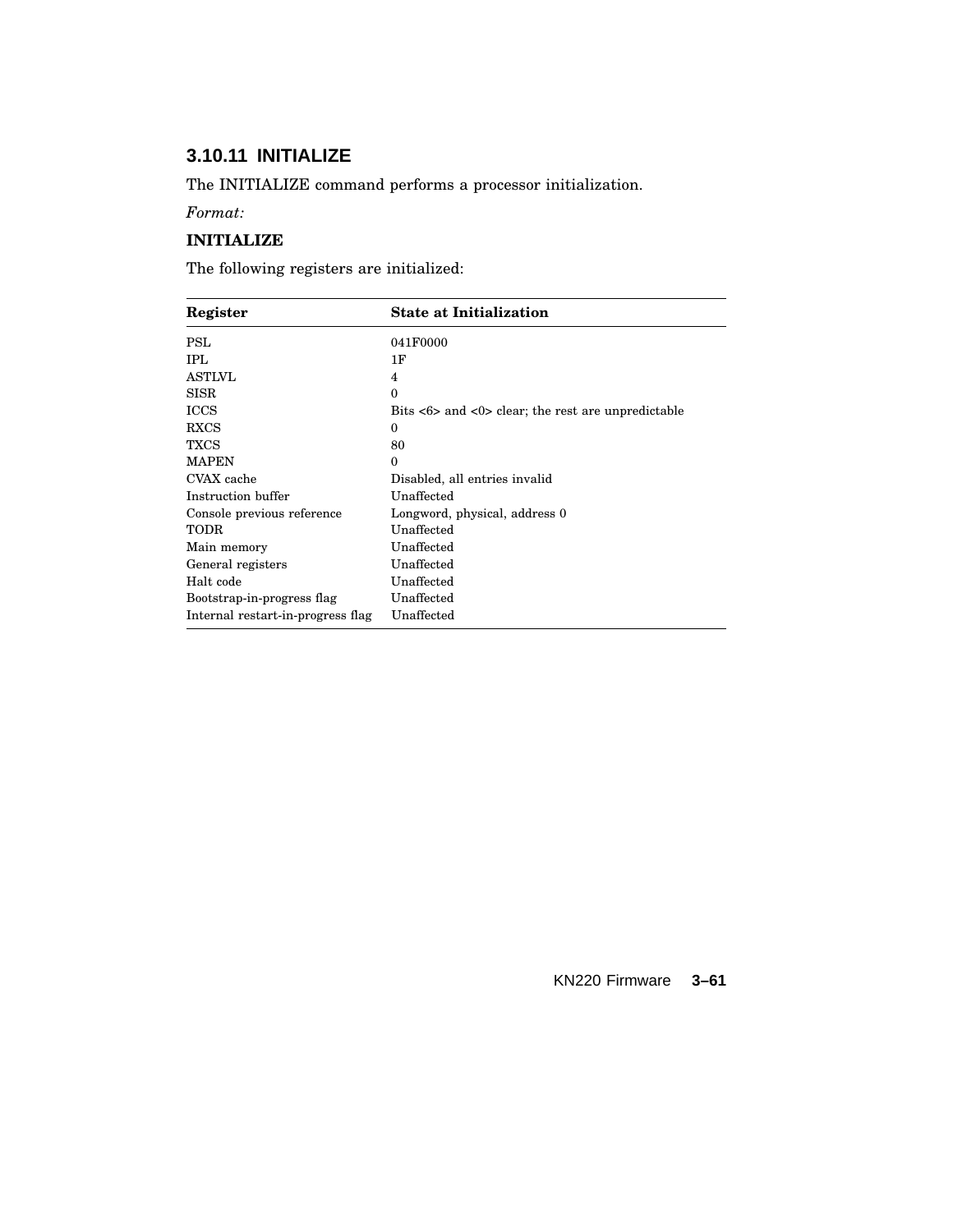# **3.10.11 INITIALIZE**

The INITIALIZE command performs a processor initialization.

*Format:*

## **INITIALIZE**

The following registers are initialized:

| Register                          | <b>State at Initialization</b>                                                     |  |
|-----------------------------------|------------------------------------------------------------------------------------|--|
| PSL                               | 041F0000                                                                           |  |
| IPL.                              | 1F                                                                                 |  |
| ASTLVL                            | 4                                                                                  |  |
| <b>SISR</b>                       | $\theta$                                                                           |  |
| <b>ICCS</b>                       | Bits $\langle 6 \rangle$ and $\langle 0 \rangle$ clear; the rest are unpredictable |  |
| <b>RXCS</b>                       | $\theta$                                                                           |  |
| TXCS                              | 80                                                                                 |  |
| <b>MAPEN</b>                      | $\theta$                                                                           |  |
| CVAX cache                        | Disabled, all entries invalid                                                      |  |
| Instruction buffer                | Unaffected                                                                         |  |
| Console previous reference        | Longword, physical, address 0                                                      |  |
| TODR                              | Unaffected                                                                         |  |
| Main memory                       | Unaffected                                                                         |  |
| General registers                 | Unaffected                                                                         |  |
| Halt code                         | Unaffected                                                                         |  |
| Bootstrap-in-progress flag        | Unaffected                                                                         |  |
| Internal restart-in-progress flag | Unaffected                                                                         |  |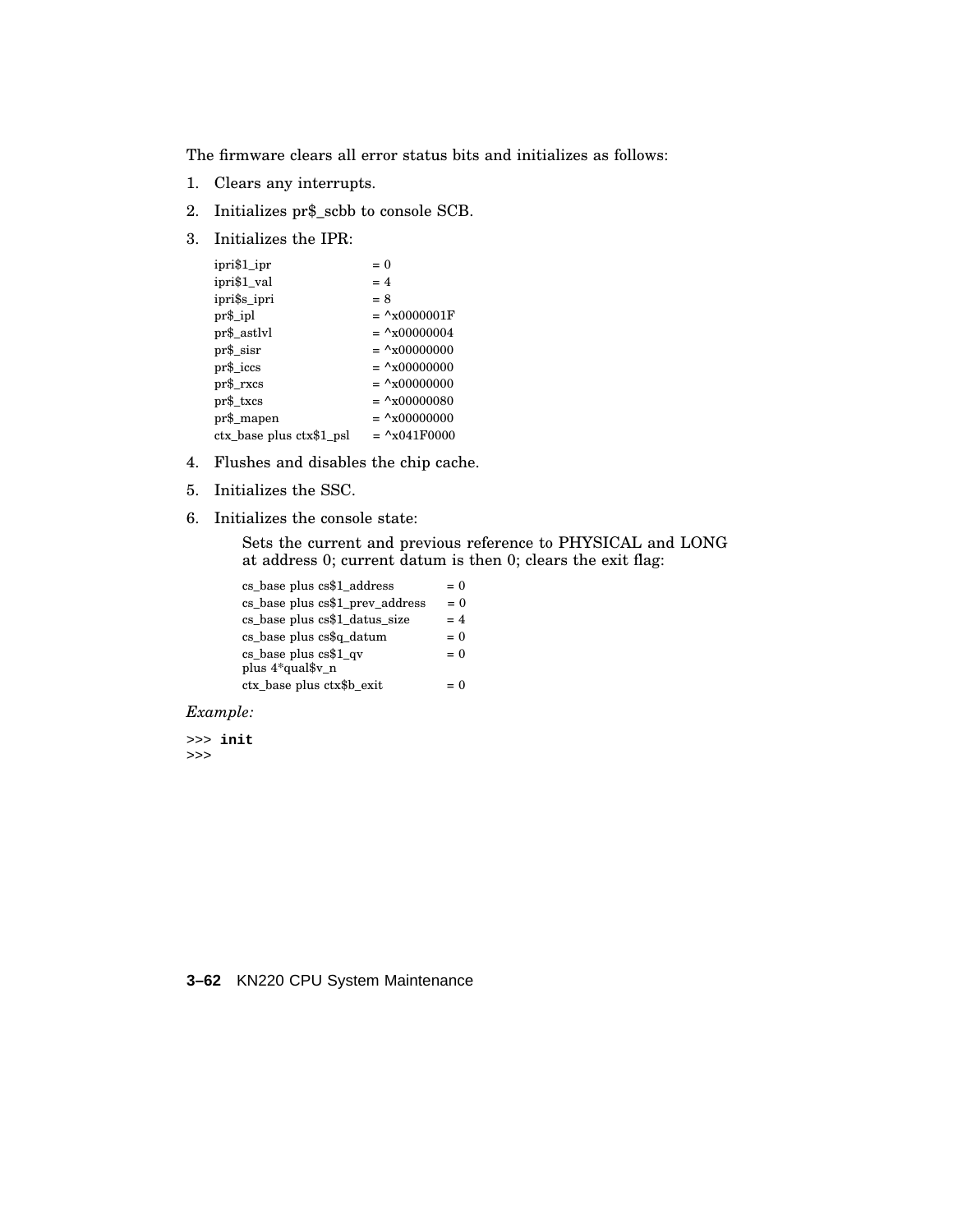The firmware clears all error status bits and initializes as follows:

- 1. Clears any interrupts.
- 2. Initializes pr\$\_scbb to console SCB.
- 3. Initializes the IPR:

| ipri\$1_ipr              | $= 0$                          |
|--------------------------|--------------------------------|
| ipri\$1_val              | $= 4$                          |
| ipri\$s_ipri             | $= 8$                          |
| pr\$_ipl                 | $= \frac{\Delta x}{0000001}$ F |
| pr\$_astlvl              | $= \frac{\lambda}{1000000004}$ |
| $pr\$ sisr               | $= \frac{\Delta x}{000000000}$ |
| $pr\$ <sub>iccs</sub>    | $= \frac{\Delta x}{000000000}$ |
| $pr\$ rxcs               | $= \frac{\Delta x}{000000000}$ |
| pr\$_txcs                | $=$ ^x00000080                 |
| pr\$_mapen               | $=$ ^x00000000                 |
| ctx_base plus ctx\$1_psl | $=$ $^{\circ}x041F0000$        |

- 4. Flushes and disables the chip cache.
- 5. Initializes the SSC.
- 6. Initializes the console state:

Sets the current and previous reference to PHYSICAL and LONG at address 0; current datum is then 0; clears the exit flag:

| cs_base plus cs\$1_address      | $= 0$ |
|---------------------------------|-------|
| cs_base plus cs\$1_prev_address | $= 0$ |
| cs_base plus cs\$1_datus_size   | $= 4$ |
| cs_base plus cs\$q_datum        | $= 0$ |
| $cs_{base}$ plus $cs$1_{qv}$    | $= 0$ |
| plus 4*qual\$v n                |       |
| ctx_base plus ctx\$b_exit       | $= 0$ |

### *Example:*

>>> **init** >>>

**3–62** KN220 CPU System Maintenance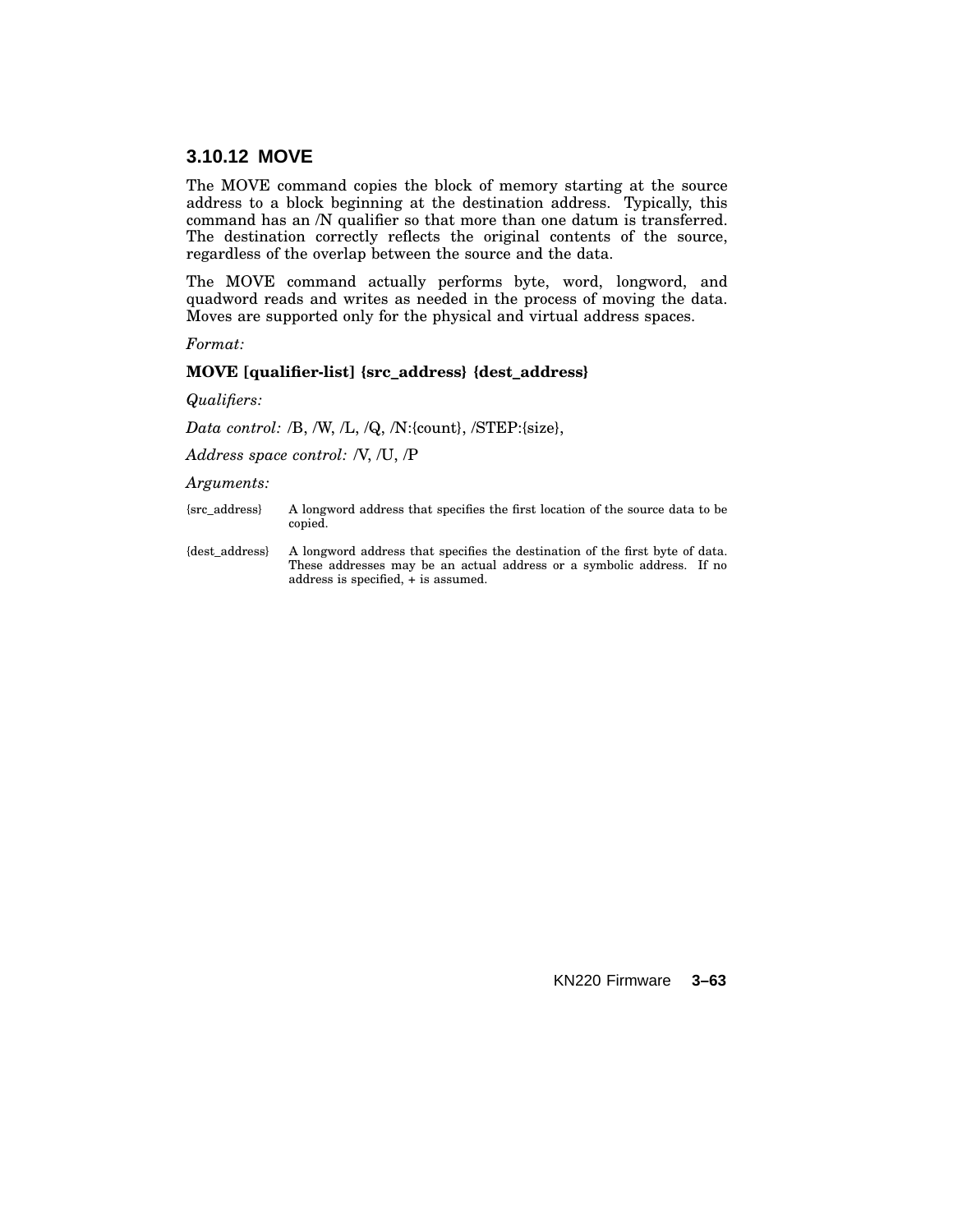# **3.10.12 MOVE**

The MOVE command copies the block of memory starting at the source address to a block beginning at the destination address. Typically, this command has an /N qualifier so that more than one datum is transferred. The destination correctly reflects the original contents of the source, regardless of the overlap between the source and the data.

The MOVE command actually performs byte, word, longword, and quadword reads and writes as needed in the process of moving the data. Moves are supported only for the physical and virtual address spaces.

*Format:*

#### **MOVE [qualifier-list] {src\_address} {dest\_address}**

*Qualifiers:*

*Data control:* /B, /W, /L, /Q, /N:{count}, /STEP:{size},

*Address space control:* /V, /U, /P

*Arguments:*

{src\_address} A longword address that specifies the first location of the source data to be copied.

{dest\_address} A longword address that specifies the destination of the first byte of data. These addresses may be an actual address or a symbolic address. If no address is specified, + is assumed.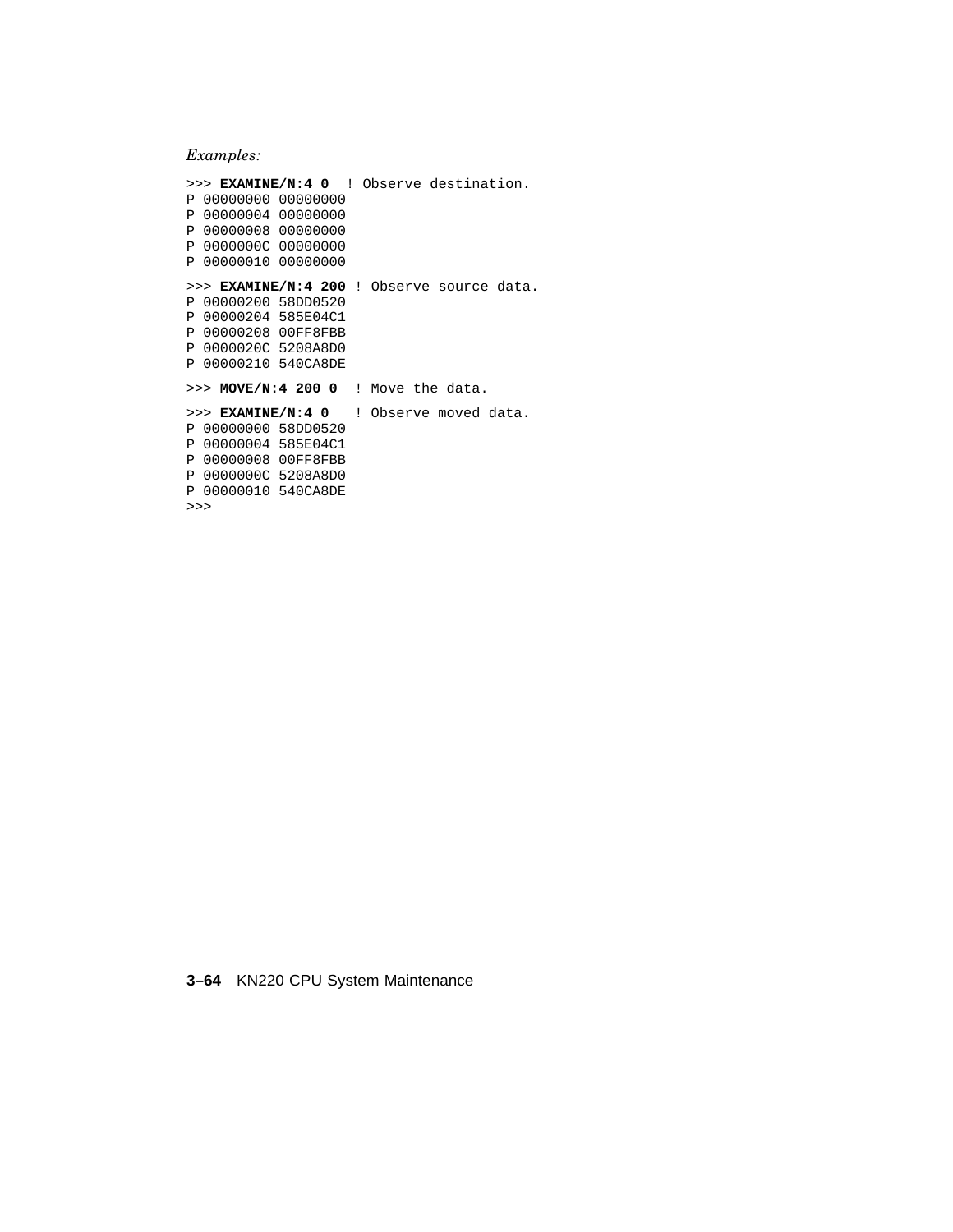## *Examples:*

>>> **EXAMINE/N:4 0** ! Observe destination. P 00000000 00000000 P 00000004 00000000 P 00000008 00000000 P 0000000C 00000000 P 00000010 00000000 >>> **EXAMINE/N:4 200** ! Observe source data. P 00000200 58DD0520 P 00000204 585E04C1 P 00000208 00FF8FBB P 0000020C 5208A8D0 P 00000210 540CA8DE >>> **MOVE/N:4 200 0** ! Move the data. >>> **EXAMINE/N:4 0** ! Observe moved data. P 00000000 58DD0520 P 00000004 585E04C1 P 00000008 00FF8FBB P 0000000C 5208A8D0 P 00000010 540CA8DE

>>>

**3–64** KN220 CPU System Maintenance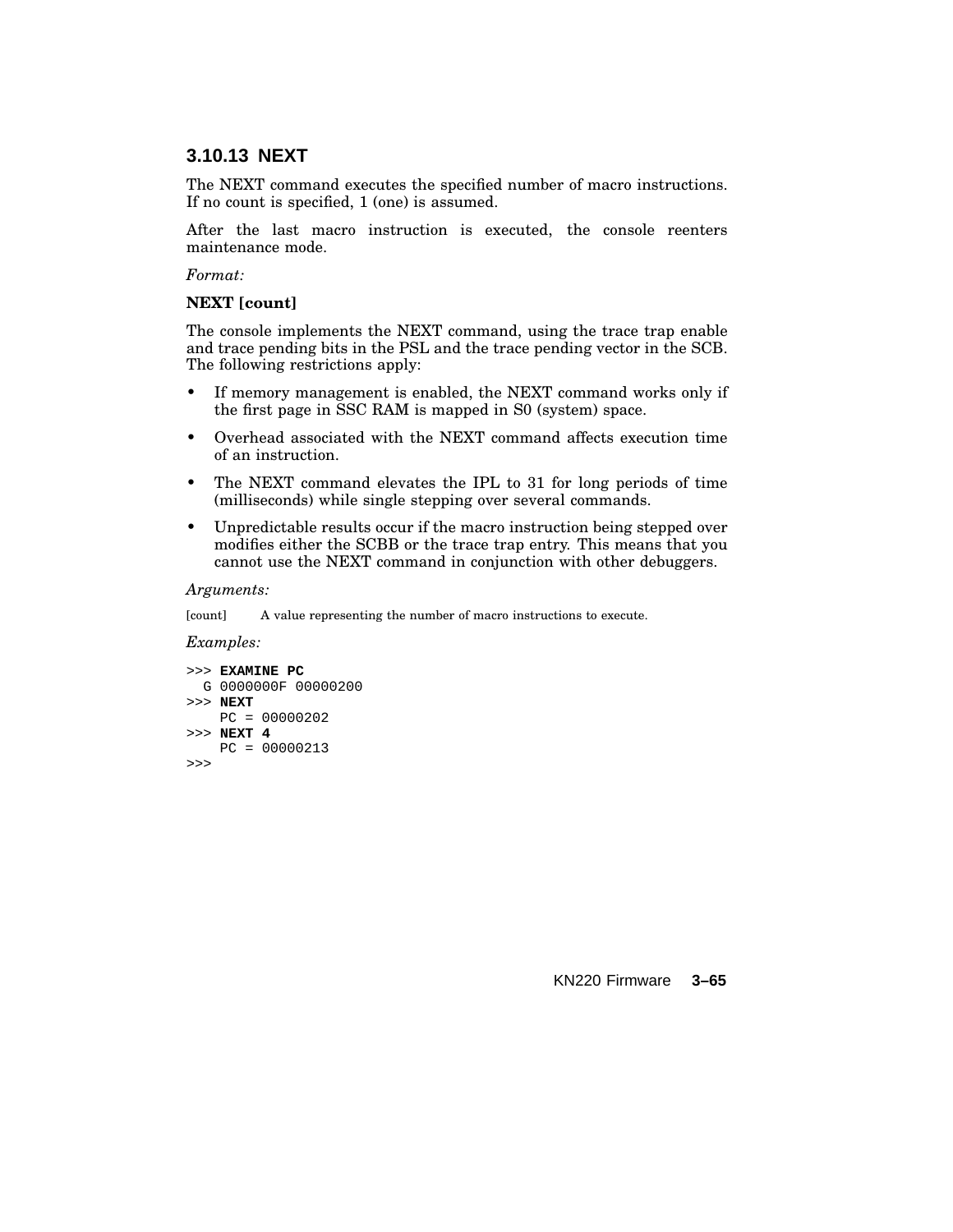# **3.10.13 NEXT**

The NEXT command executes the specified number of macro instructions. If no count is specified, 1 (one) is assumed.

After the last macro instruction is executed, the console reenters maintenance mode.

#### *Format:*

#### **NEXT [count]**

The console implements the NEXT command, using the trace trap enable and trace pending bits in the PSL and the trace pending vector in the SCB. The following restrictions apply:

- If memory management is enabled, the NEXT command works only if the first page in SSC RAM is mapped in S0 (system) space.
- Overhead associated with the NEXT command affects execution time of an instruction.
- The NEXT command elevates the IPL to 31 for long periods of time (milliseconds) while single stepping over several commands.
- Unpredictable results occur if the macro instruction being stepped over modifies either the SCBB or the trace trap entry. This means that you cannot use the NEXT command in conjunction with other debuggers.

#### *Arguments:*

[count] A value representing the number of macro instructions to execute.

#### *Examples:*

```
>>> EXAMINE PC
 G 0000000F 00000200
>>> NEXT
   PC = 00000202
>>> NEXT 4
   PC = 00000213
>>>
```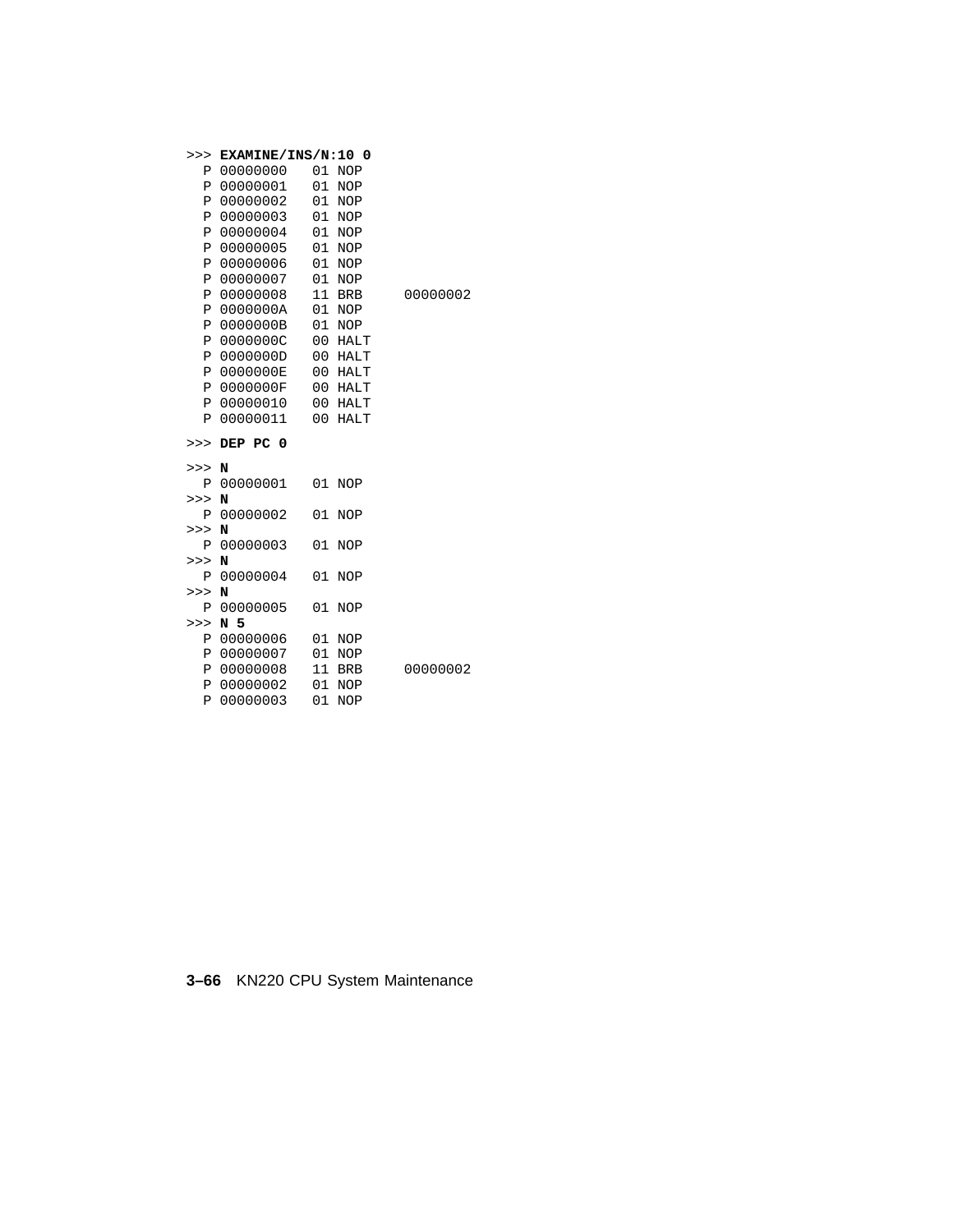| >>>                 | EXAMINE/INS/N:10 0   |                |                          |          |
|---------------------|----------------------|----------------|--------------------------|----------|
| Ρ                   | 00000000             | 01             | <b>NOP</b>               |          |
| $\, {\bf P}$        | 00000001             | 01             | <b>NOP</b>               |          |
| Ρ                   | 00000002             | 01             | <b>NOP</b>               |          |
| $\, {\bf P}$        | 00000003             | 01             | <b>NOP</b>               |          |
| Ρ                   | 00000004             | 01             | <b>NOP</b>               |          |
| P                   | 00000005             | 01             | <b>NOP</b>               |          |
| Ρ                   | 00000006             | 01             | <b>NOP</b>               |          |
| P                   | 00000007             | 01             | <b>NOP</b>               |          |
| Ρ                   | 00000008             | 11             | <b>BRB</b>               | 00000002 |
| Ρ                   | 0000000A             | 01             | <b>NOP</b>               |          |
| Ρ                   | 0000000B             | 01             | <b>NOP</b>               |          |
| Ρ                   | 0000000C             | 00             | <b>HALT</b>              |          |
| P                   | 0000000D             | 00             | <b>HALT</b>              |          |
| Ρ                   | 0000000E             | 00             | <b>HALT</b>              |          |
| Ρ                   | 0000000F             | 0 <sub>0</sub> | <b>HALT</b>              |          |
| Ρ                   | 00000010             | 00             | <b>HALT</b>              |          |
| P                   | 00000011             | 00             | <b>HALT</b>              |          |
|                     |                      |                |                          |          |
| >>>                 | DEP PC 0             |                |                          |          |
| >>>                 | N                    |                |                          |          |
| Ρ                   | 00000001             | 01             | <b>NOP</b>               |          |
| >>                  | N                    |                |                          |          |
| Ρ                   | 00000002             | 01             | <b>NOP</b>               |          |
| >>                  | N                    |                |                          |          |
| Ρ                   | 00000003             | 01             | <b>NOP</b>               |          |
| >>>                 | N                    |                |                          |          |
| Ρ                   | 00000004             | 01             | <b>NOP</b>               |          |
| >>>                 | N                    |                |                          |          |
| Ρ                   | 00000005             | 01             | <b>NOP</b>               |          |
| >>                  | N 5                  |                |                          |          |
| Ρ                   | 00000006             | 01             | <b>NOP</b>               |          |
| Ρ                   | 00000007             | 01             | <b>NOP</b>               |          |
| Ρ                   | 00000008             | 11             | <b>BRB</b>               | 00000002 |
| P<br>$\overline{P}$ | 00000002<br>00000003 | 01<br>01       | <b>NOP</b><br><b>NOP</b> |          |

**3–66** KN220 CPU System Maintenance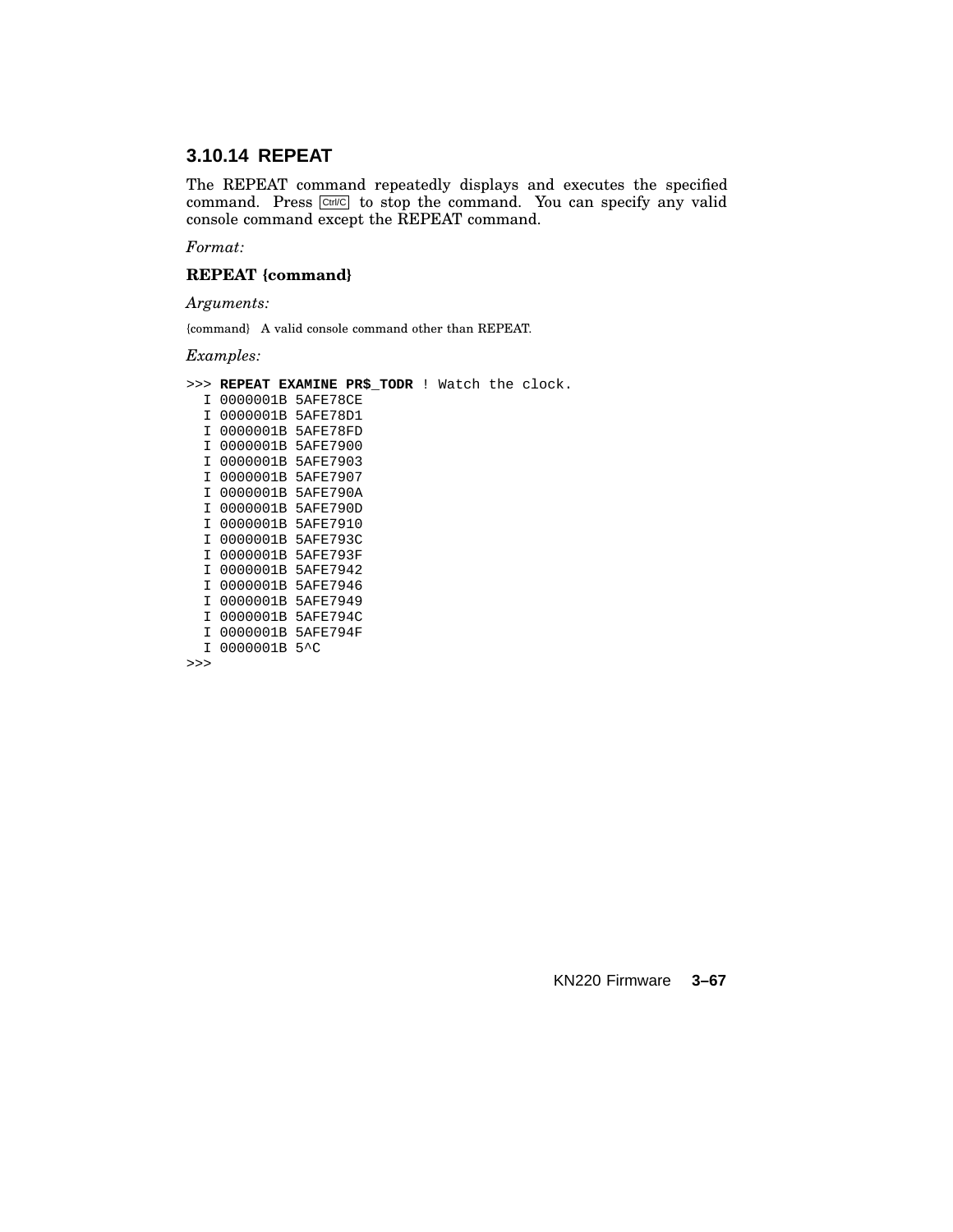# **3.10.14 REPEAT**

The REPEAT command repeatedly displays and executes the specified command. Press Ctrl/C to stop the command. You can specify any valid console command except the REPEAT command.

*Format:*

### **REPEAT {command}**

*Arguments:*

{command} A valid console command other than REPEAT.

*Examples:*

>>> **REPEAT EXAMINE PR\$\_TODR** ! Watch the clock.

I 0000001B 5AFE78CE I 0000001B 5AFE78D1 I 0000001B 5AFE78FD I 0000001B 5AFE7900 I 0000001B 5AFE7903 I 0000001B 5AFE7907 I 0000001B 5AFE790A I 0000001B 5AFE790D I 0000001B 5AFE7910 I 0000001B 5AFE793C I 0000001B 5AFE793F I 0000001B 5AFE7942 I 0000001B 5AFE7946 I 0000001B 5AFE7949 I 0000001B 5AFE794C I 0000001B 5AFE794F I 0000001B 5^C

>>>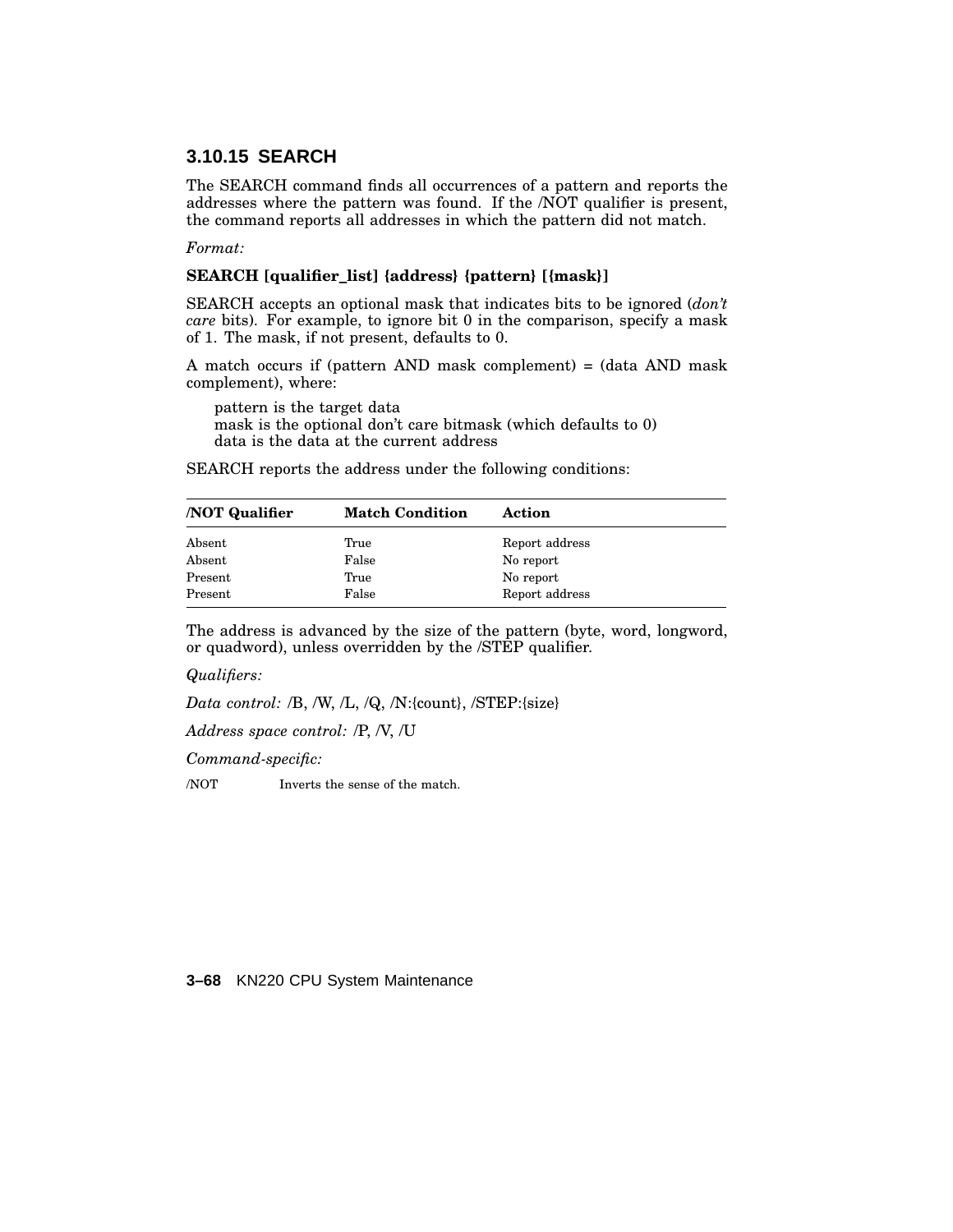# **3.10.15 SEARCH**

The SEARCH command finds all occurrences of a pattern and reports the addresses where the pattern was found. If the /NOT qualifier is present, the command reports all addresses in which the pattern did not match.

*Format:*

#### **SEARCH [qualifier\_list] {address} {pattern} [{mask}]**

SEARCH accepts an optional mask that indicates bits to be ignored (*don't care* bits). For example, to ignore bit 0 in the comparison, specify a mask of 1. The mask, if not present, defaults to 0.

A match occurs if (pattern AND mask complement) = (data AND mask complement), where:

pattern is the target data mask is the optional don't care bitmask (which defaults to 0) data is the data at the current address

SEARCH reports the address under the following conditions:

| <b>NOT Qualifier</b> | <b>Match Condition</b> | Action         |
|----------------------|------------------------|----------------|
| Absent               | True                   | Report address |
| Absent               | False                  | No report      |
| Present              | True                   | No report      |
| Present              | False                  | Report address |

The address is advanced by the size of the pattern (byte, word, longword, or quadword), unless overridden by the /STEP qualifier.

*Qualifiers:*

*Data control:* /B, /W, /L, /Q, /N:{count}, /STEP:{size}

*Address space control:* /P, /V, /U

*Command-specific:*

/NOT Inverts the sense of the match.

**3–68** KN220 CPU System Maintenance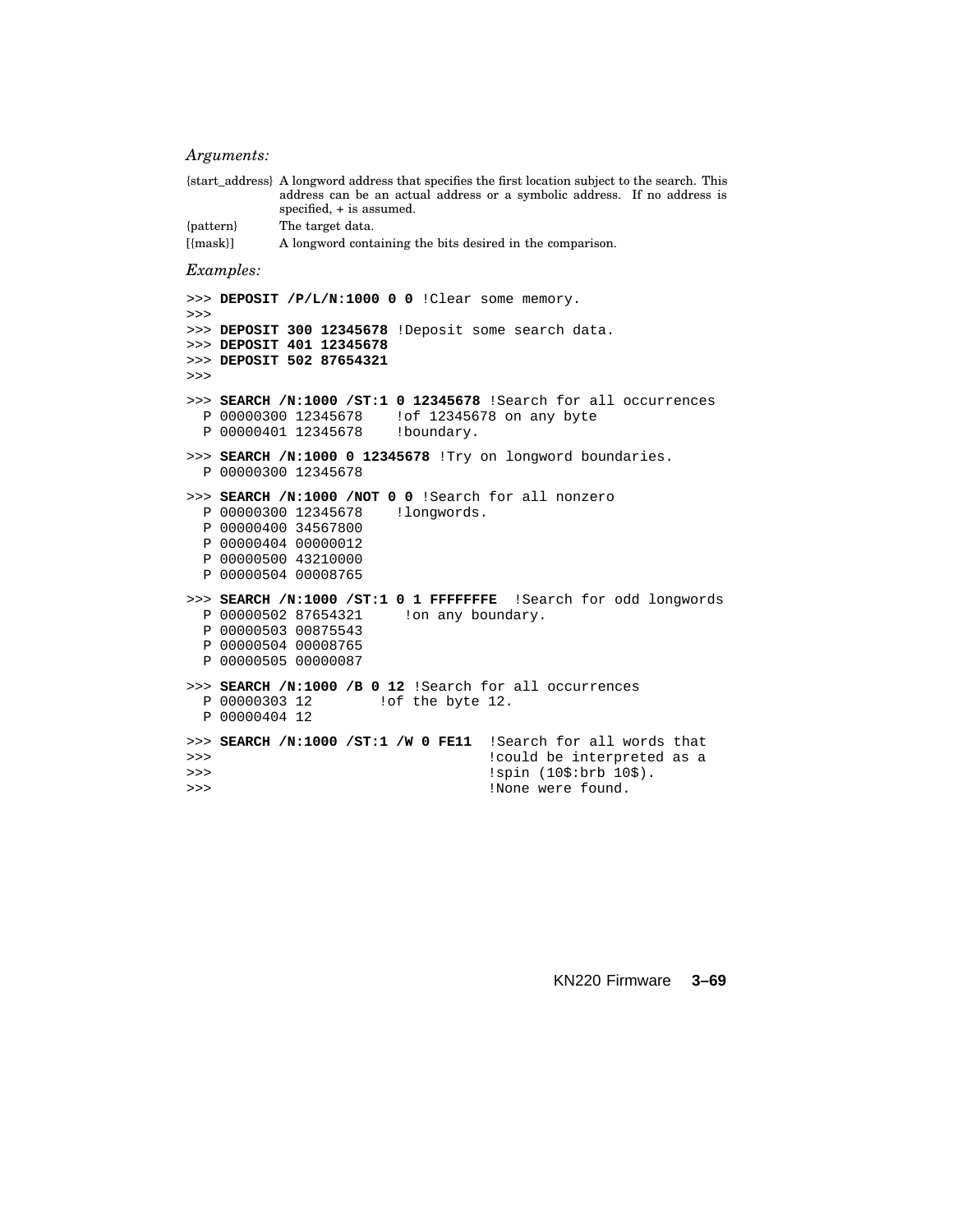#### *Arguments:*

```
{start_address} A longword address that specifies the first location subject to the search. This
               address can be an actual address or a symbolic address. If no address is
               specified, + is assumed.
{pattern} The target data.
[{mask}] A longword containing the bits desired in the comparison.
```
#### *Examples:*

```
>>> DEPOSIT /P/L/N:1000 0 0 !Clear some memory.
>>>
>>> DEPOSIT 300 12345678 !Deposit some search data.
>>> DEPOSIT 401 12345678
>>> DEPOSIT 502 87654321
\rightarrow>>> SEARCH /N:1000 /ST:1 0 12345678 !Search for all occurrences
 P 00000300 12345678 !of 12345678 on any byte
 P 00000401 12345678 !boundary.
>>> SEARCH /N:1000 0 12345678 !Try on longword boundaries.
 P 00000300 12345678
>>> SEARCH /N:1000 /NOT 0 0 !Search for all nonzero
 P 00000300 12345678 !longwords.
 P 00000400 34567800
 P 00000404 00000012
 P 00000500 43210000
 P 00000504 00008765
>>> SEARCH /N:1000 /ST:1 0 1 FFFFFFFE !Search for odd longwords
 P 00000502 87654321 !on any boundary.
 P 00000503 00875543
 P 00000504 00008765
 P 00000505 00000087
>>> SEARCH /N:1000 /B 0 12 !Search for all occurrences
 P 00000303 12 !of the byte 12.
 P 00000404 12
>>> SEARCH /N:1000 /ST:1 /W 0 FE11 !Search for all words that
>>> !could be interpreted as a
                                  !spin (10$:brb 10$).
>>> !None were found.
```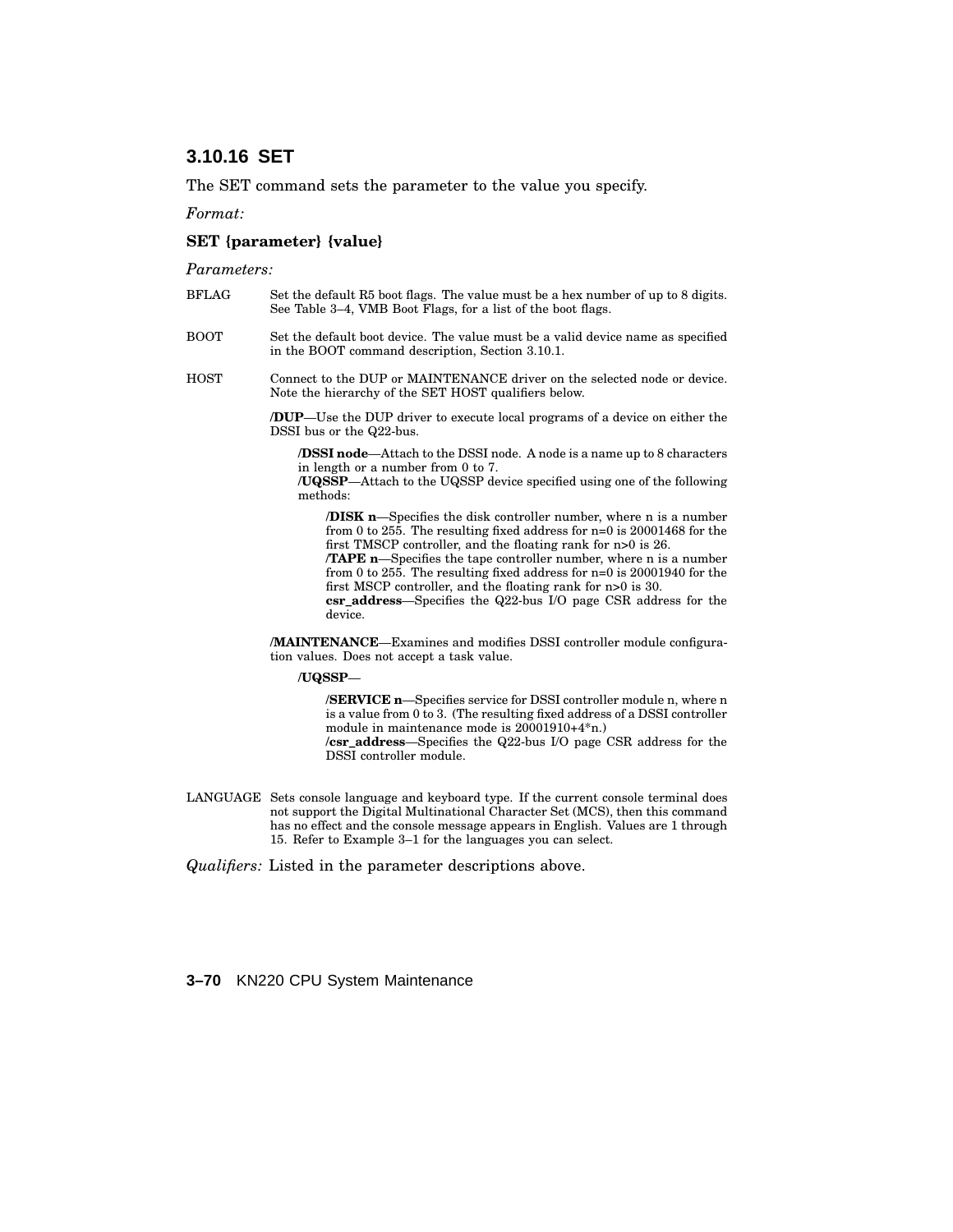# **3.10.16 SET**

The SET command sets the parameter to the value you specify.

*Format:*

#### **SET {parameter} {value}**

*Parameters:*

- BFLAG Set the default R5 boot flags. The value must be a hex number of up to 8 digits. See Table 3–4, VMB Boot Flags, for a list of the boot flags.
- BOOT Set the default boot device. The value must be a valid device name as specified in the BOOT command description, Section 3.10.1.
- HOST Connect to the DUP or MAINTENANCE driver on the selected node or device. Note the hierarchy of the SET HOST qualifiers below.

**/DUP**—Use the DUP driver to execute local programs of a device on either the DSSI bus or the Q22-bus.

**/DSSI node**—Attach to the DSSI node. A node is a name up to 8 characters in length or a number from 0 to 7.

**/UQSSP**—Attach to the UQSSP device specified using one of the following methods:

**/DISK n**—Specifies the disk controller number, where n is a number from 0 to 255. The resulting fixed address for n=0 is 20001468 for the first TMSCP controller, and the floating rank for n>0 is 26.

**/TAPE n**—Specifies the tape controller number, where n is a number from 0 to 255. The resulting fixed address for n=0 is 20001940 for the first MSCP controller, and the floating rank for n>0 is 30.

**csr\_address**—Specifies the Q22-bus I/O page CSR address for the device.

**/MAINTENANCE**—Examines and modifies DSSI controller module configuration values. Does not accept a task value.

**/UQSSP**—

**/SERVICE n**—Specifies service for DSSI controller module n, where n is a value from 0 to 3. (The resulting fixed address of a DSSI controller module in maintenance mode is 20001910+4\*n.) **/csr\_address**—Specifies the Q22-bus I/O page CSR address for the DSSI controller module.

LANGUAGE Sets console language and keyboard type. If the current console terminal does not support the Digital Multinational Character Set (MCS), then this command has no effect and the console message appears in English. Values are 1 through 15. Refer to Example 3–1 for the languages you can select.

*Qualifiers:* Listed in the parameter descriptions above.

**3–70** KN220 CPU System Maintenance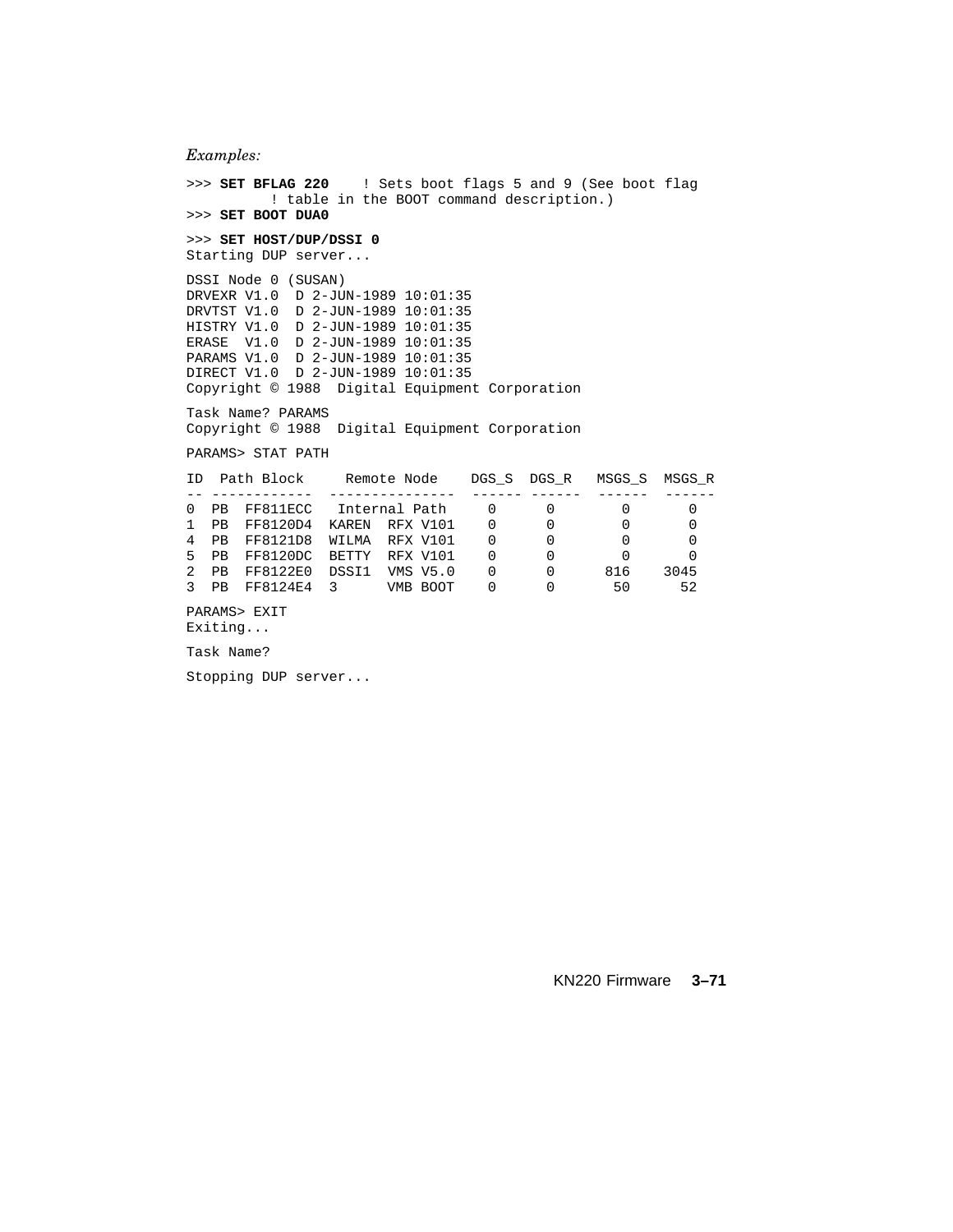*Examples:*

```
>>> SET BFLAG 220 ! Sets boot flags 5 and 9 (See boot flag
        ! table in the BOOT command description.)
>>> SET BOOT DUA0
>>> SET HOST/DUP/DSSI 0
Starting DUP server...
DSSI Node 0 (SUSAN)
DRVEXR V1.0 D 2-JUN-1989 10:01:35
DRVTST V1.0 D 2-JUN-1989 10:01:35
HISTRY V1.0 D 2-JUN-1989 10:01:35
ERASE V1.0 D 2-JUN-1989 10:01:35
PARAMS V1.0 D 2-JUN-1989 10:01:35
DIRECT V1.0 D 2-JUN-1989 10:01:35
Copyright © 1988 Digital Equipment Corporation
Task Name? PARAMS
Copyright © 1988 Digital Equipment Corporation
PARAMS> STAT PATH
ID Path Block Remote Node DGS_S DGS_R MSGS_S MSGS_R
-- ------------ --------------- ------ ------ ------ ------
0 PB FF811ECC Internal Path 0 0 0 0 0
1 PB FF8120D4 KAREN RFX V101 0 0 0 0 0
4 PB FF8121D8 WILMA RFX V101 0 0 0 0
5 PB FF8120DC BETTY RFX V101 0 0 0 0
2 PB FF8122E0 DSSI1 VMS V5.0 0 0 816 3045
3 PB FF8124E4 3 VMB BOOT 0 0 50 52
PARAMS> EXIT
Exiting...
Task Name?
```
Stopping DUP server...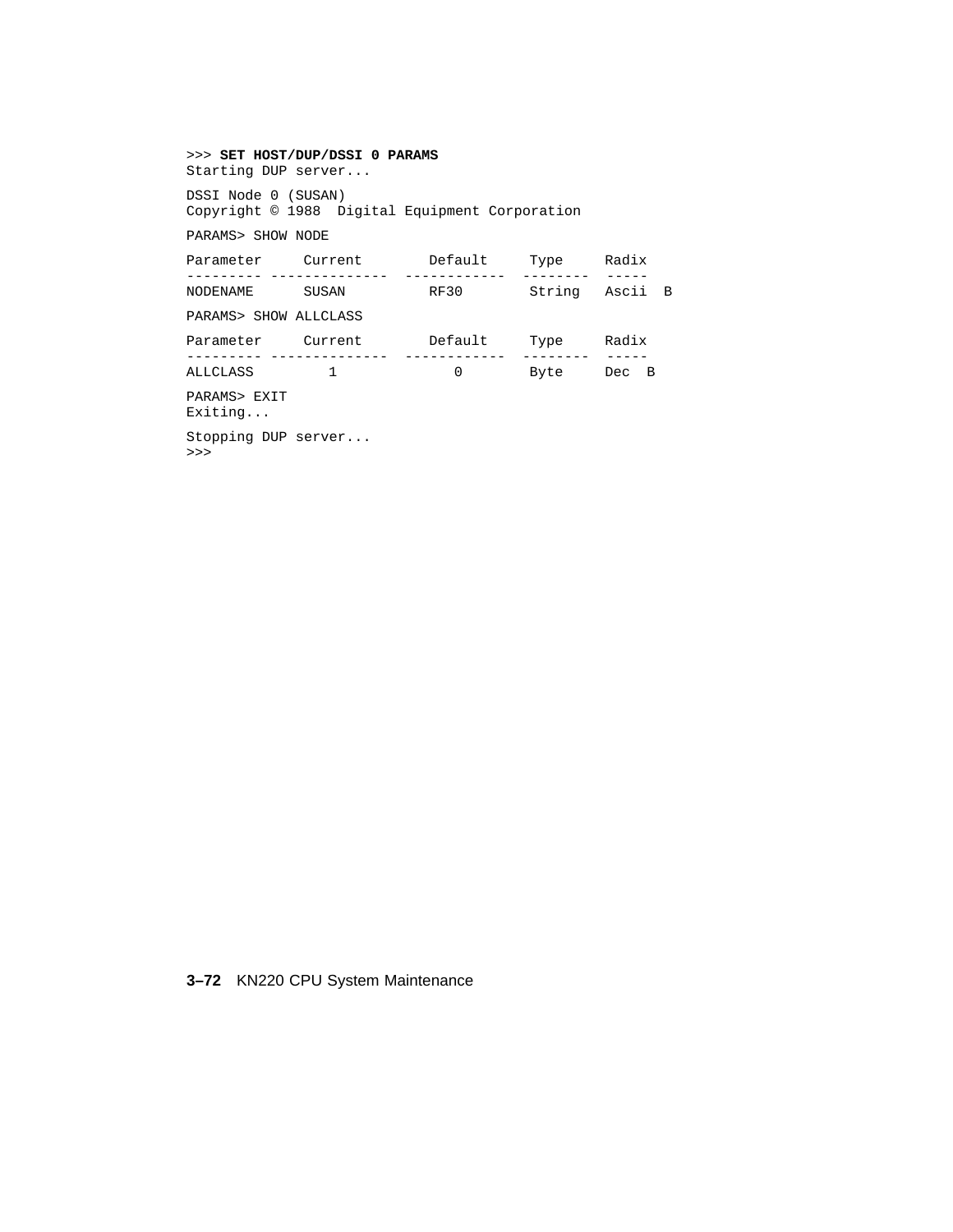## >>> **SET HOST/DUP/DSSI 0 PARAMS** Starting DUP server... DSSI Node 0 (SUSAN) Copyright © 1988 Digital Equipment Corporation PARAMS> SHOW NODE Parameter Current Default Type Radix --------- -------------- ------------ -------- ----- NODENAME SUSAN RF30 String Ascii B PARAMS> SHOW ALLCLASS Parameter Current Default Type Radix --------- -------------- ------------ -------- ----- ALLCLASS 1 0 Byte Dec B PARAMS> EXIT Exiting... Stopping DUP server... >>>

## **3–72** KN220 CPU System Maintenance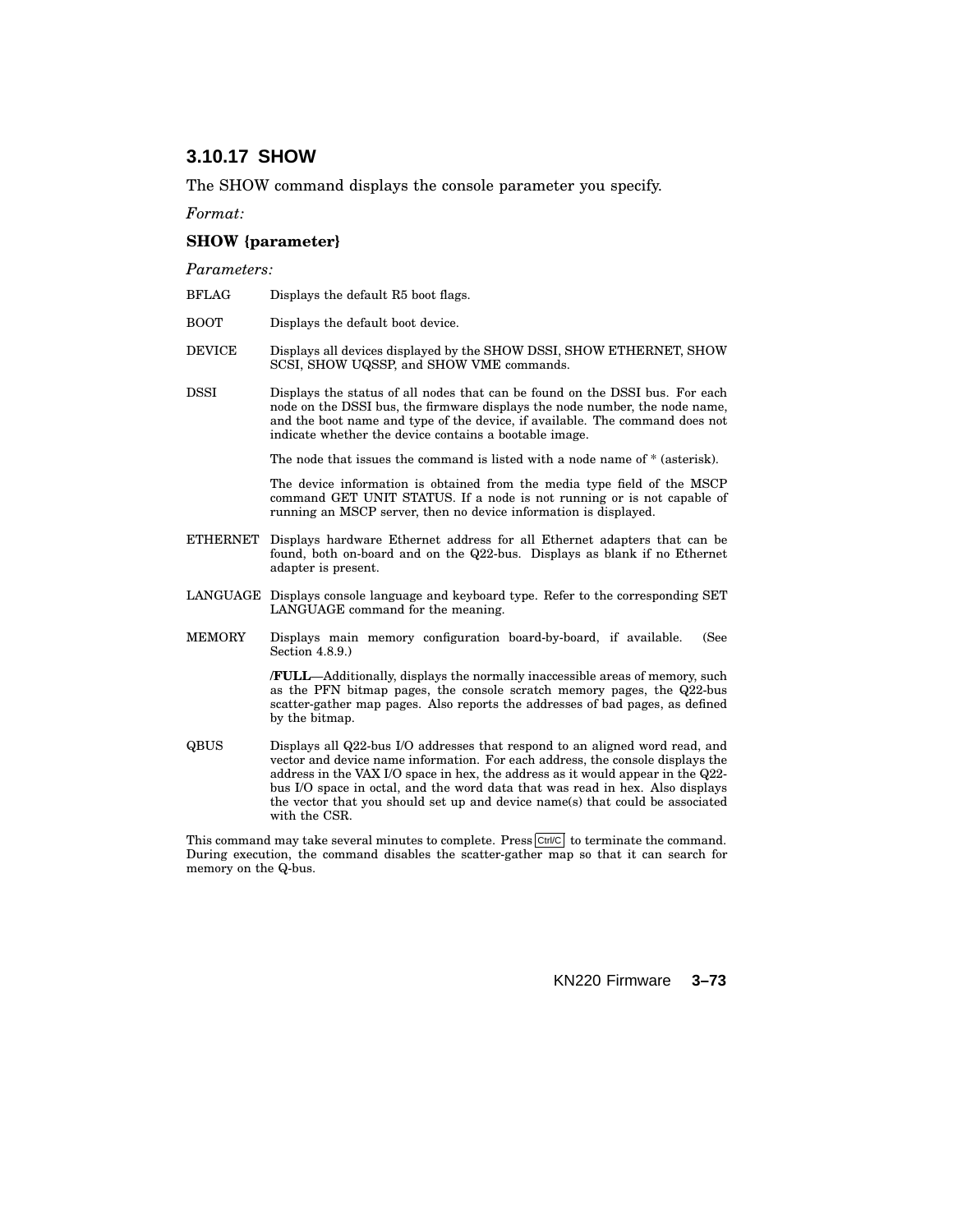# **3.10.17 SHOW**

The SHOW command displays the console parameter you specify.

*Format:*

#### **SHOW {parameter}**

*Parameters:*

- BFLAG Displays the default R5 boot flags.
- BOOT Displays the default boot device.
- DEVICE Displays all devices displayed by the SHOW DSSI, SHOW ETHERNET, SHOW SCSI, SHOW UQSSP, and SHOW VME commands.
- DSSI Displays the status of all nodes that can be found on the DSSI bus. For each node on the DSSI bus, the firmware displays the node number, the node name, and the boot name and type of the device, if available. The command does not indicate whether the device contains a bootable image.

The node that issues the command is listed with a node name of \* (asterisk).

The device information is obtained from the media type field of the MSCP command GET UNIT STATUS. If a node is not running or is not capable of running an MSCP server, then no device information is displayed.

- ETHERNET Displays hardware Ethernet address for all Ethernet adapters that can be found, both on-board and on the Q22-bus. Displays as blank if no Ethernet adapter is present.
- LANGUAGE Displays console language and keyboard type. Refer to the corresponding SET LANGUAGE command for the meaning.
- MEMORY Displays main memory configuration board-by-board, if available. (See Section 4.8.9.)

**/FULL**—Additionally, displays the normally inaccessible areas of memory, such as the PFN bitmap pages, the console scratch memory pages, the Q22-bus scatter-gather map pages. Also reports the addresses of bad pages, as defined by the bitmap.

QBUS Displays all Q22-bus I/O addresses that respond to an aligned word read, and vector and device name information. For each address, the console displays the address in the VAX I/O space in hex, the address as it would appear in the Q22 bus I/O space in octal, and the word data that was read in hex. Also displays the vector that you should set up and device name(s) that could be associated with the CSR.

This command may take several minutes to complete. Press  $\boxed{\text{Ctrl/C}}$  to terminate the command. During execution, the command disables the scatter-gather map so that it can search for memory on the Q-bus.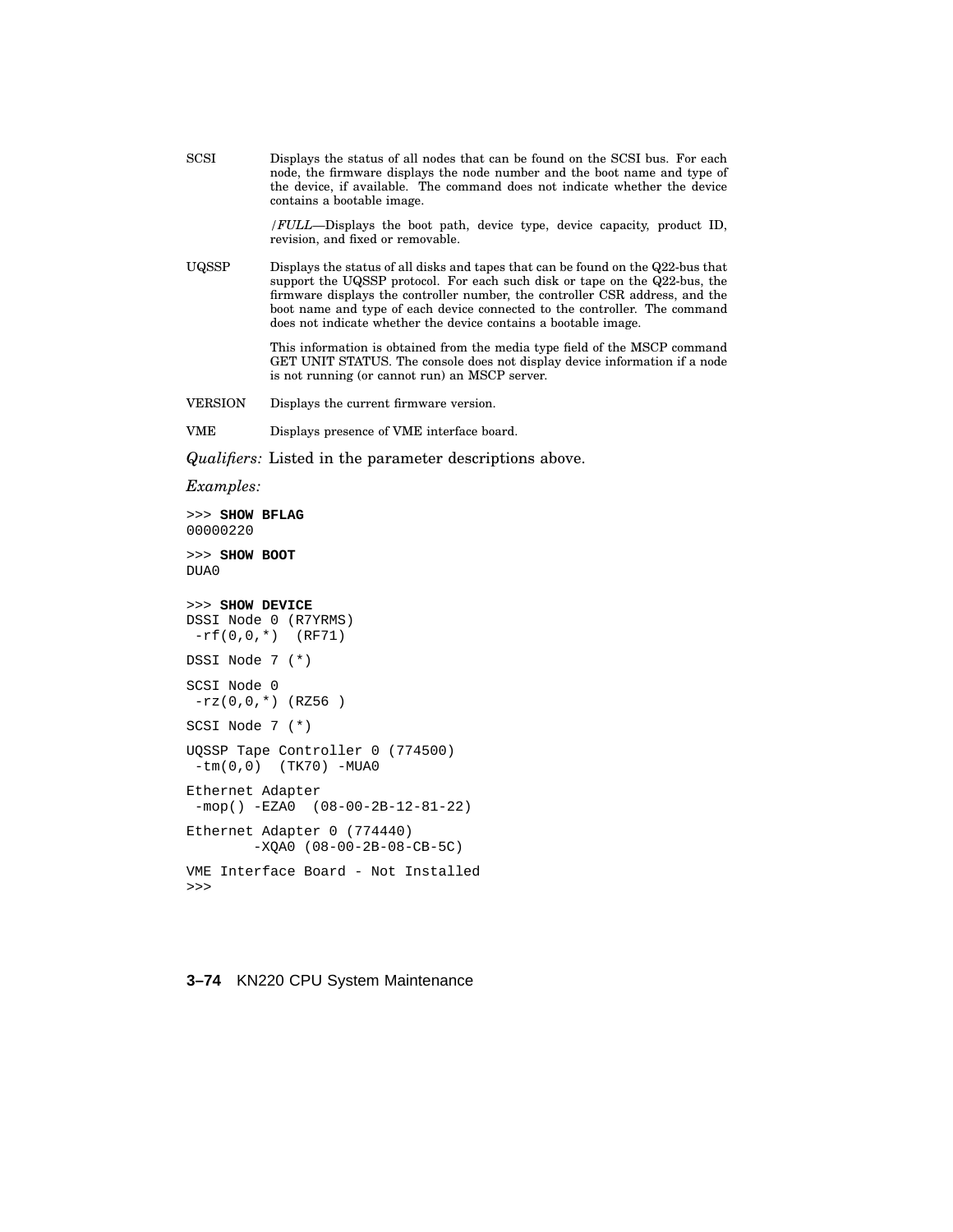SCSI Displays the status of all nodes that can be found on the SCSI bus. For each node, the firmware displays the node number and the boot name and type of the device, if available. The command does not indicate whether the device contains a bootable image.

> */FULL*—Displays the boot path, device type, device capacity, product ID, revision, and fixed or removable.

UQSSP Displays the status of all disks and tapes that can be found on the Q22-bus that support the UQSSP protocol. For each such disk or tape on the Q22-bus, the firmware displays the controller number, the controller CSR address, and the boot name and type of each device connected to the controller. The command does not indicate whether the device contains a bootable image.

> This information is obtained from the media type field of the MSCP command GET UNIT STATUS. The console does not display device information if a node is not running (or cannot run) an MSCP server.

VERSION Displays the current firmware version.

VME Displays presence of VME interface board.

*Qualifiers:* Listed in the parameter descriptions above.

*Examples:*

```
>>> SHOW BFLAG
00000220
>>> SHOW BOOT
DUA0
>>> SHOW DEVICE
DSSI Node 0 (R7YRMS)
 -rf(0,0,*) (RF71)
DSSI Node 7 (*)
SCSI Node 0
 -rz(0,0,*) (RZ56)
SCSI Node 7 (*)
UQSSP Tape Controller 0 (774500)
 -tm(0,0) (TK70) -MUA0
Ethernet Adapter
 -mop() -EZA0 (08-00-2B-12-81-22)
Ethernet Adapter 0 (774440)
        -XQA0 (08-00-2B-08-CB-5C)
VME Interface Board - Not Installed
>>>
```
#### **3–74** KN220 CPU System Maintenance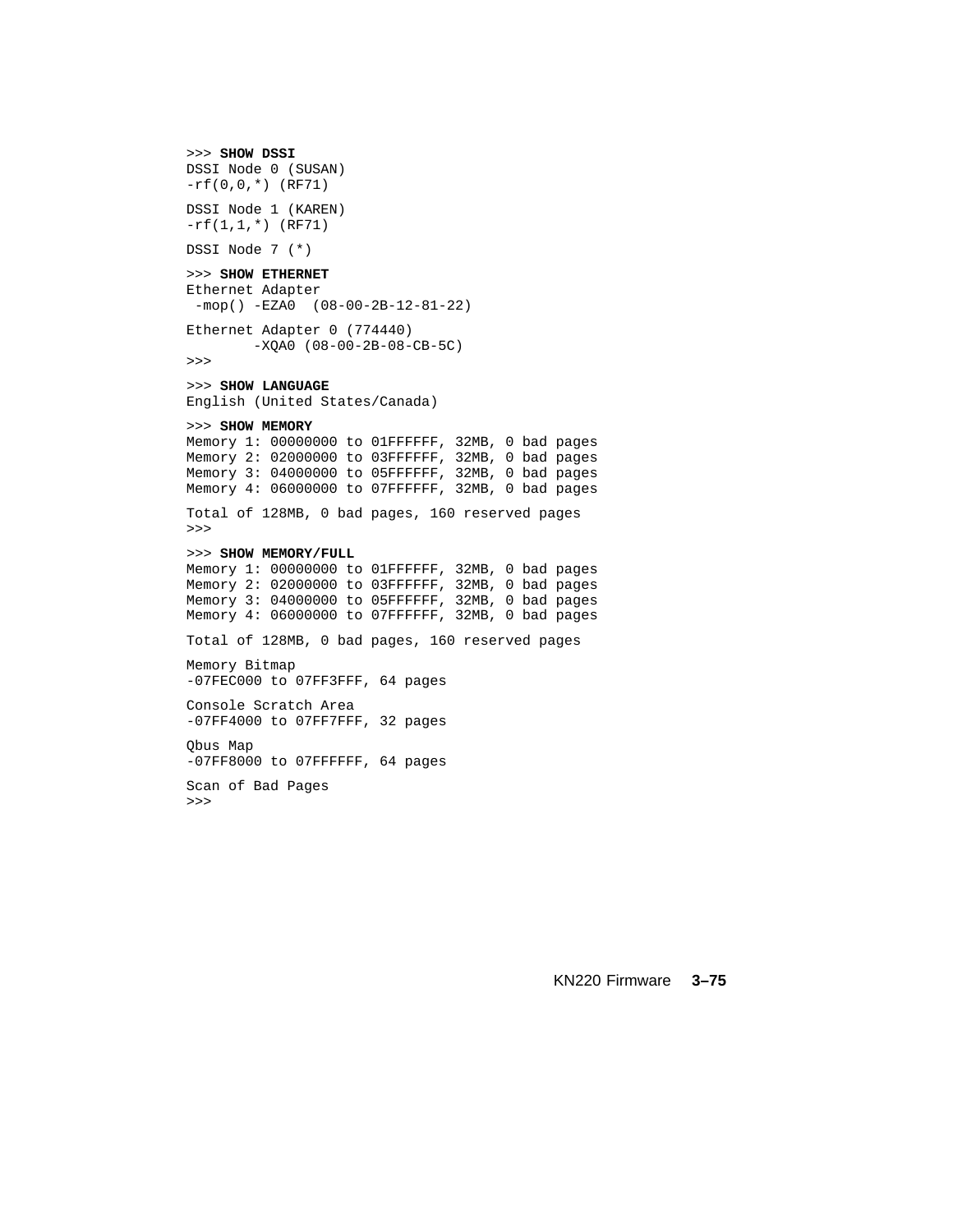```
>>> SHOW DSSI
DSSI Node 0 (SUSAN)
-rf(0,0,*) (RF71)
DSSI Node 1 (KAREN)
-rf(1,1,*) (RF71)
DSSI Node 7 (*)
>>> SHOW ETHERNET
Ethernet Adapter
-mop() -EZA0 (08-00-2B-12-81-22)
Ethernet Adapter 0 (774440)
       -XQA0 (08-00-2B-08-CB-5C)
>>>
>>> SHOW LANGUAGE
English (United States/Canada)
>>> SHOW MEMORY
Memory 1: 00000000 to 01FFFFFF, 32MB, 0 bad pages
Memory 2: 02000000 to 03FFFFFF, 32MB, 0 bad pages
Memory 3: 04000000 to 05FFFFFF, 32MB, 0 bad pages
Memory 4: 06000000 to 07FFFFFF, 32MB, 0 bad pages
Total of 128MB, 0 bad pages, 160 reserved pages
>>>
>>> SHOW MEMORY/FULL
Memory 1: 00000000 to 01FFFFFF, 32MB, 0 bad pages
Memory 2: 02000000 to 03FFFFFF, 32MB, 0 bad pages
Memory 3: 04000000 to 05FFFFFF, 32MB, 0 bad pages
Memory 4: 06000000 to 07FFFFFF, 32MB, 0 bad pages
Total of 128MB, 0 bad pages, 160 reserved pages
Memory Bitmap
-07FEC000 to 07FF3FFF, 64 pages
Console Scratch Area
-07FF4000 to 07FF7FFF, 32 pages
Qbus Map
-07FF8000 to 07FFFFFF, 64 pages
Scan of Bad Pages
```
>>>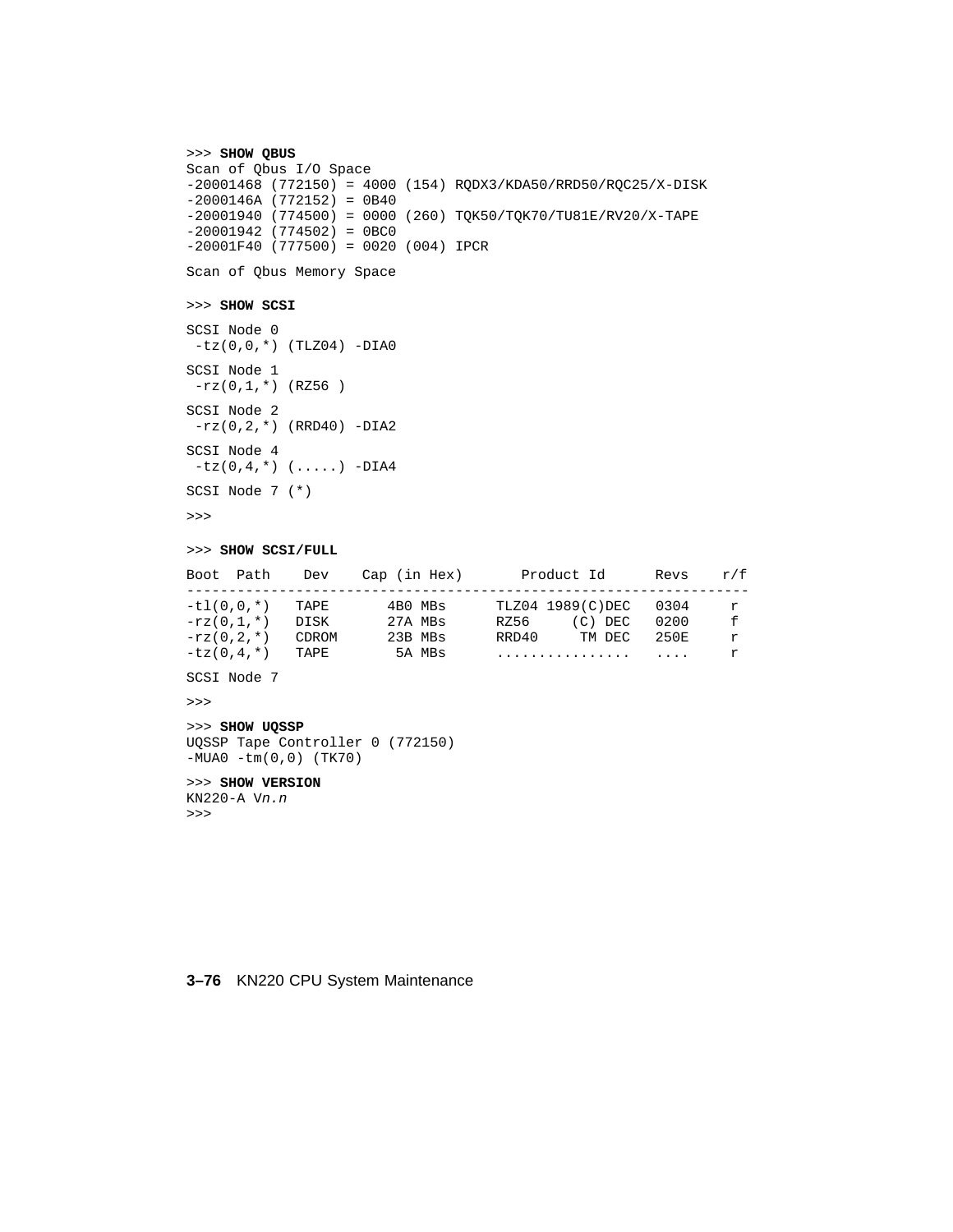```
>>> SHOW QBUS
Scan of Qbus I/O Space
-20001468 (772150) = 4000 (154) RQDX3/KDA50/RRD50/RQC25/X-DISK
-2000146A (772152) = 0B40
-20001940 (774500) = 0000 (260) TQK50/TQK70/TU81E/RV20/X-TAPE
-20001942 (774502) = 0BC0
-20001F40 (777500) = 0020 (004) IPCR
```

```
Scan of Qbus Memory Space
```
#### >>> **SHOW SCSI**

SCSI Node 0  $-tz(0,0,*)$  (TLZ04) -DIA0 SCSI Node 1  $-rz(0,1,*)$  (RZ56) SCSI Node 2  $-rz(0,2,*)$  (RRD40) -DIA2 SCSI Node 4  $-tz(0,4,*)$  (.....) -DIA4 SCSI Node 7 (\*)

>>>

#### >>> **SHOW SCSI/FULL**

|              | Boot Path    | Dev   | Cap (in Hex) | Product Id        | Revs    | r/f |
|--------------|--------------|-------|--------------|-------------------|---------|-----|
|              |              |       |              |                   |         |     |
|              | $-t1(0.0.*)$ | TAPE  | 4BO MBs      | TLZ04 1989(C)DEC  | 0304    | r   |
| $-rz(0.1.*)$ |              | DISK  | 27A MBs      | $(C)$ DEC<br>RZ56 | 0200    | f   |
| $-rz(0.2.*)$ |              | CDROM | 23B MBs      | RRD40<br>TM DEC   | 250円    | r   |
| $-tz(0.4.*)$ |              | TAPE  | 5A MBs       | .                 | $\cdot$ |     |

SCSI Node 7

>>>

#### >>> **SHOW UQSSP** UQSSP Tape Controller 0 (772150) -MUA0 -tm(0,0) (TK70)

>>> **SHOW VERSION**

KN220-A Vn.n >>>

#### **3–76** KN220 CPU System Maintenance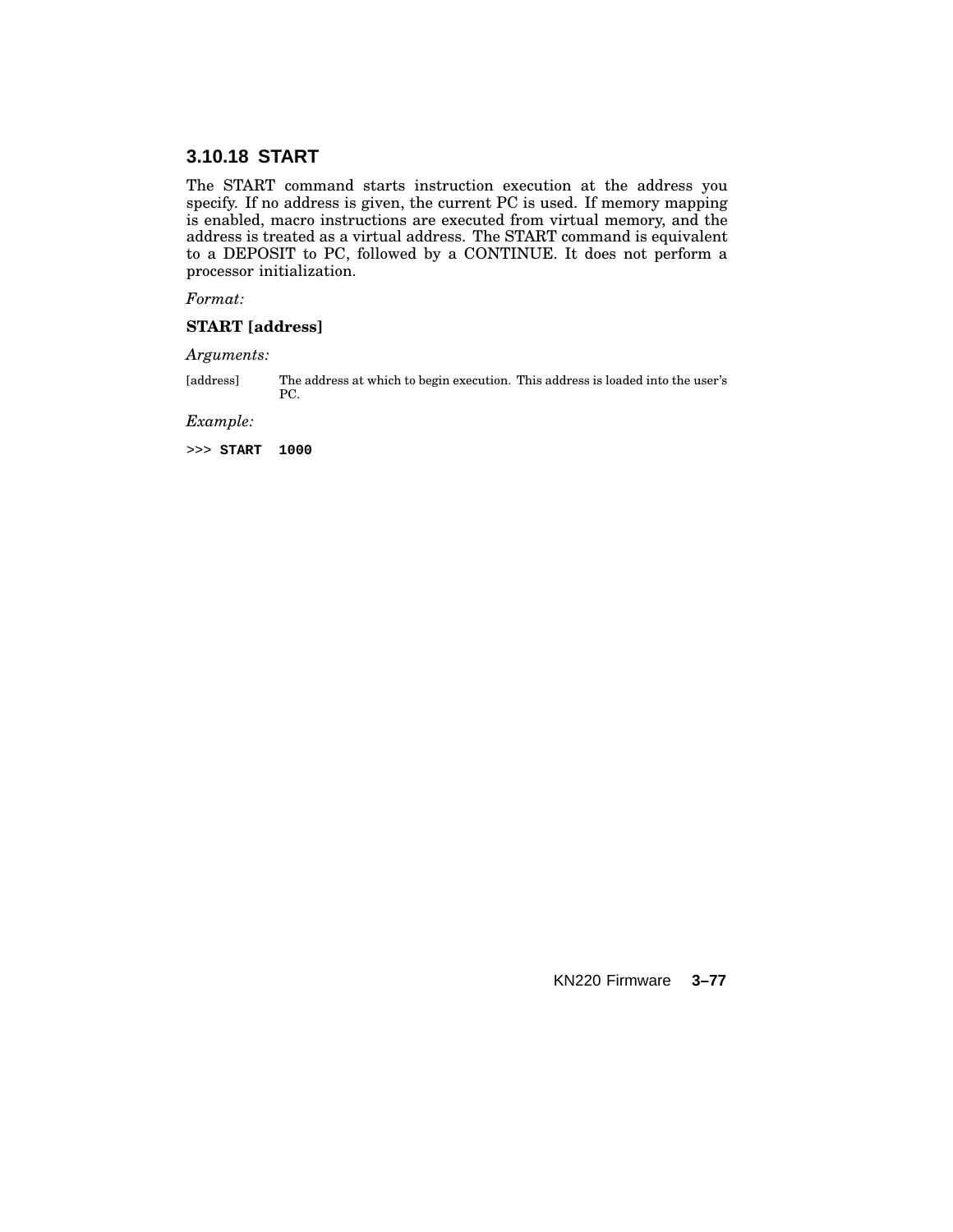# **3.10.18 START**

The START command starts instruction execution at the address you specify. If no address is given, the current PC is used. If memory mapping is enabled, macro instructions are executed from virtual memory, and the address is treated as a virtual address. The START command is equivalent to a DEPOSIT to PC, followed by a CONTINUE. It does not perform a processor initialization.

*Format:*

#### **START [address]**

*Arguments:*

[address] The address at which to begin execution. This address is loaded into the user's PC.

*Example:*

>>> **START 1000**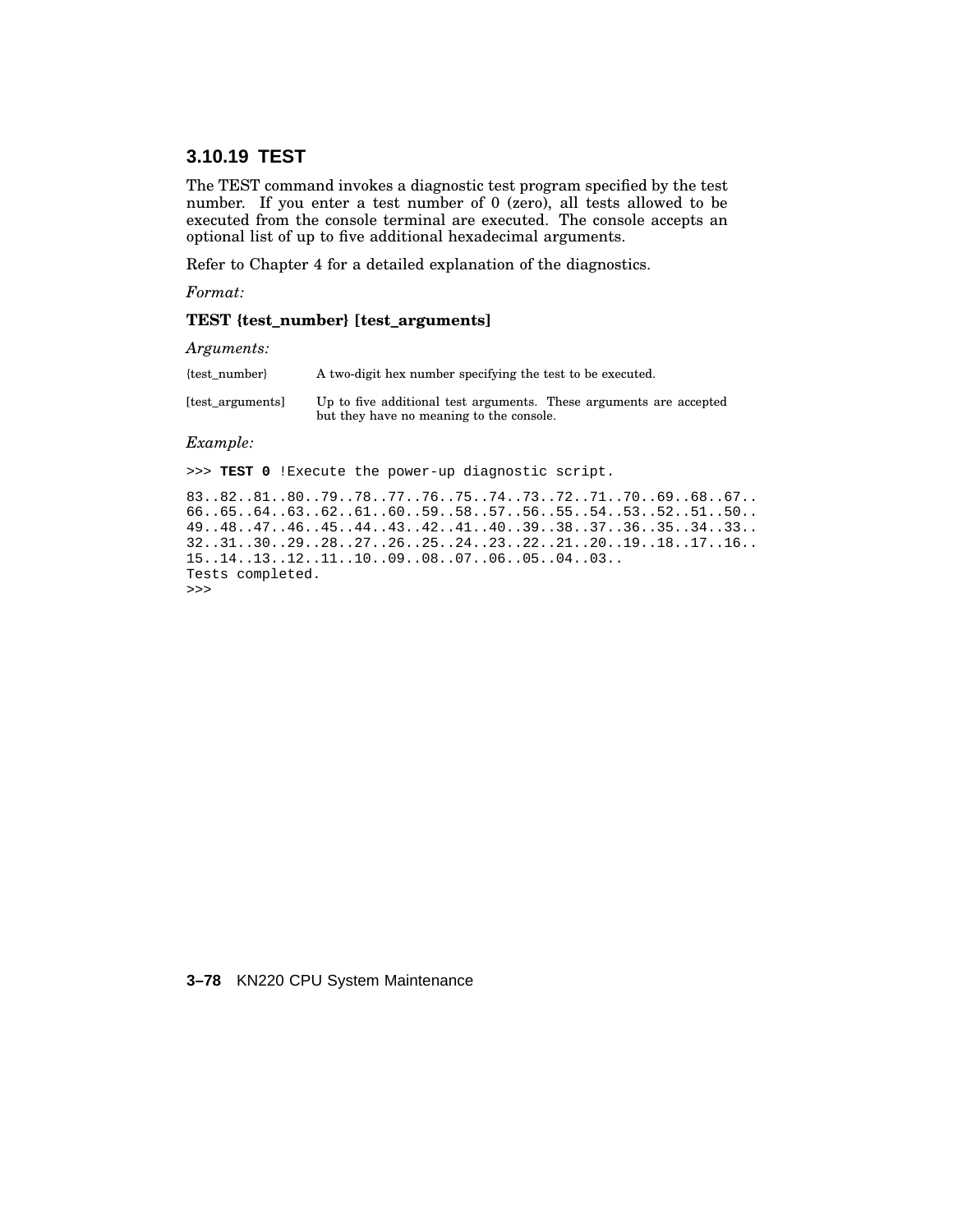# **3.10.19 TEST**

The TEST command invokes a diagnostic test program specified by the test number. If you enter a test number of 0 (zero), all tests allowed to be executed from the console terminal are executed. The console accepts an optional list of up to five additional hexadecimal arguments.

Refer to Chapter 4 for a detailed explanation of the diagnostics.

*Format:*

#### **TEST {test\_number} [test\_arguments]**

*Arguments:*

| {test number}    | A two-digit hex number specifying the test to be executed.                                                     |
|------------------|----------------------------------------------------------------------------------------------------------------|
| [test arguments] | Up to five additional test arguments. These arguments are accepted<br>but they have no meaning to the console. |

#### *Example:*

>>> **TEST 0** !Execute the power-up diagnostic script.

83..82..81..80..79..78..77..76..75..74..73..72..71..70..69..68..67.. 66..65..64..63..62..61..60..59..58..57..56..55..54..53..52..51..50.. 49..48..47..46..45..44..43..42..41..40..39..38..37..36..35..34..33.. 32..31..30..29..28..27..26..25..24..23..22..21..20..19..18..17..16.. 15..14..13..12..11..10..09..08..07..06..05..04..03.. Tests completed. >>>

#### **3–78** KN220 CPU System Maintenance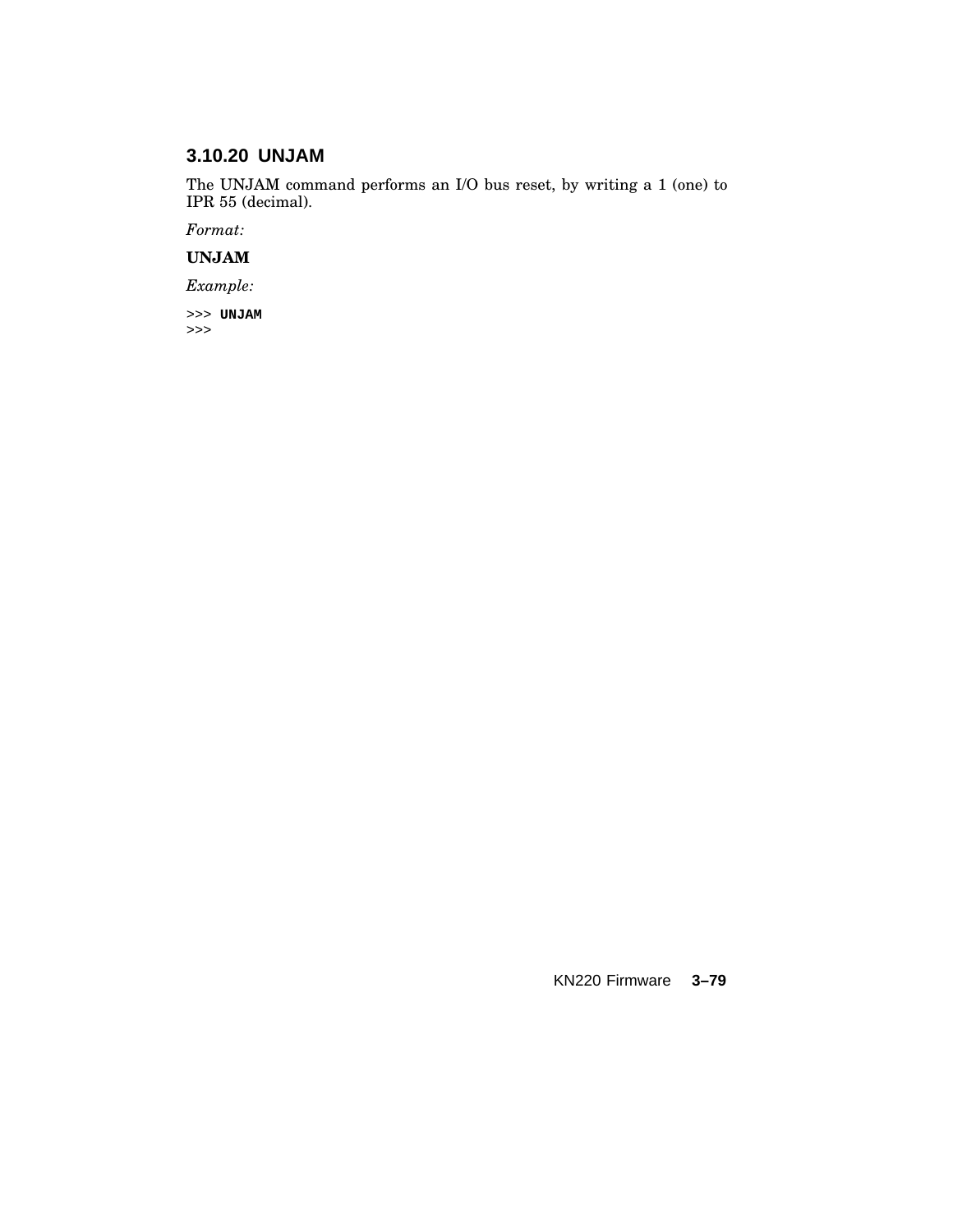# **3.10.20 UNJAM**

The UNJAM command performs an I/O bus reset, by writing a 1 (one) to IPR 55 (decimal).

*Format:*

# **UNJAM**

*Example:*

>>> **UNJAM** >>>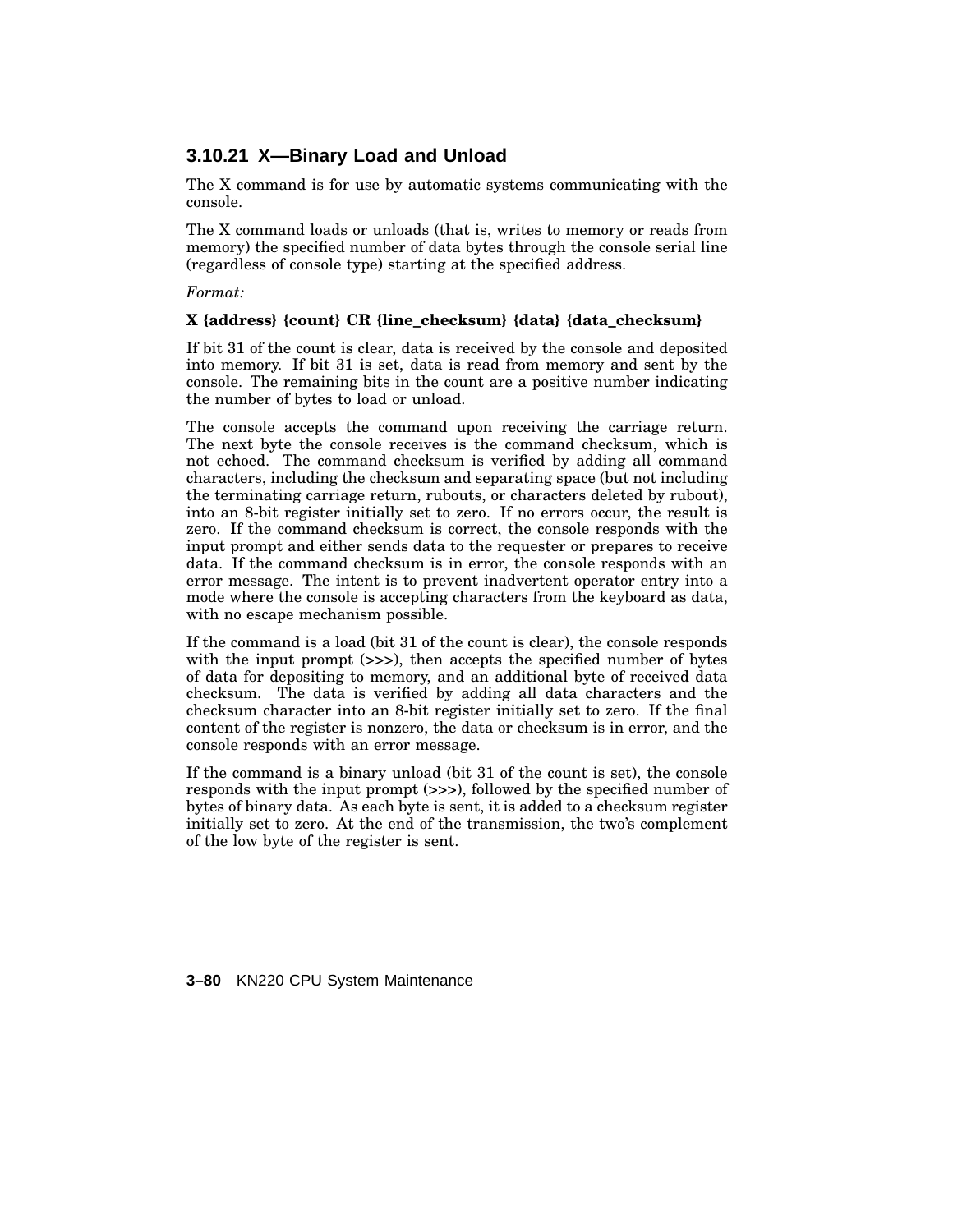# **3.10.21 X—Binary Load and Unload**

The X command is for use by automatic systems communicating with the console.

The X command loads or unloads (that is, writes to memory or reads from memory) the specified number of data bytes through the console serial line (regardless of console type) starting at the specified address.

*Format:*

#### **X {address} {count} CR {line\_checksum} {data} {data\_checksum}**

If bit 31 of the count is clear, data is received by the console and deposited into memory. If bit 31 is set, data is read from memory and sent by the console. The remaining bits in the count are a positive number indicating the number of bytes to load or unload.

The console accepts the command upon receiving the carriage return. The next byte the console receives is the command checksum, which is not echoed. The command checksum is verified by adding all command characters, including the checksum and separating space (but not including the terminating carriage return, rubouts, or characters deleted by rubout), into an 8-bit register initially set to zero. If no errors occur, the result is zero. If the command checksum is correct, the console responds with the input prompt and either sends data to the requester or prepares to receive data. If the command checksum is in error, the console responds with an error message. The intent is to prevent inadvertent operator entry into a mode where the console is accepting characters from the keyboard as data, with no escape mechanism possible.

If the command is a load (bit 31 of the count is clear), the console responds with the input prompt (>>>), then accepts the specified number of bytes of data for depositing to memory, and an additional byte of received data checksum. The data is verified by adding all data characters and the checksum character into an 8-bit register initially set to zero. If the final content of the register is nonzero, the data or checksum is in error, and the console responds with an error message.

If the command is a binary unload (bit 31 of the count is set), the console responds with the input prompt (>>>), followed by the specified number of bytes of binary data. As each byte is sent, it is added to a checksum register initially set to zero. At the end of the transmission, the two's complement of the low byte of the register is sent.

**3–80** KN220 CPU System Maintenance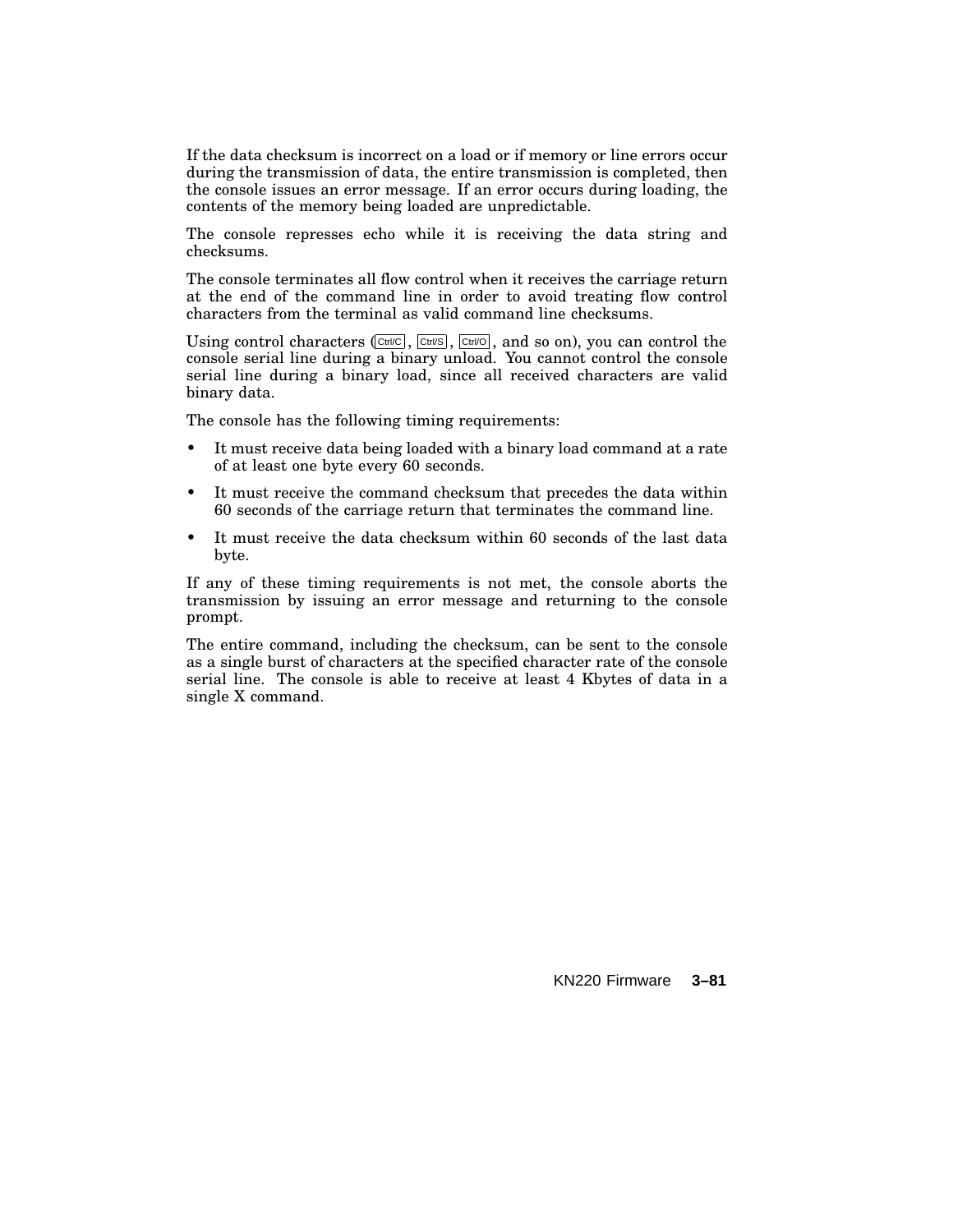If the data checksum is incorrect on a load or if memory or line errors occur during the transmission of data, the entire transmission is completed, then the console issues an error message. If an error occurs during loading, the contents of the memory being loaded are unpredictable.

The console represses echo while it is receiving the data string and checksums.

The console terminates all flow control when it receives the carriage return at the end of the command line in order to avoid treating flow control characters from the terminal as valid command line checksums.

Using control characters  $(CtH/C)$ ,  $(CtH/C)$ ,  $(CtH/C)$ , and so on), you can control the console serial line during a binary unload. You cannot control the console serial line during a binary load, since all received characters are valid binary data.

The console has the following timing requirements:

- It must receive data being loaded with a binary load command at a rate of at least one byte every 60 seconds.
- It must receive the command checksum that precedes the data within 60 seconds of the carriage return that terminates the command line.
- It must receive the data checksum within 60 seconds of the last data byte.

If any of these timing requirements is not met, the console aborts the transmission by issuing an error message and returning to the console prompt.

The entire command, including the checksum, can be sent to the console as a single burst of characters at the specified character rate of the console serial line. The console is able to receive at least 4 Kbytes of data in a single X command.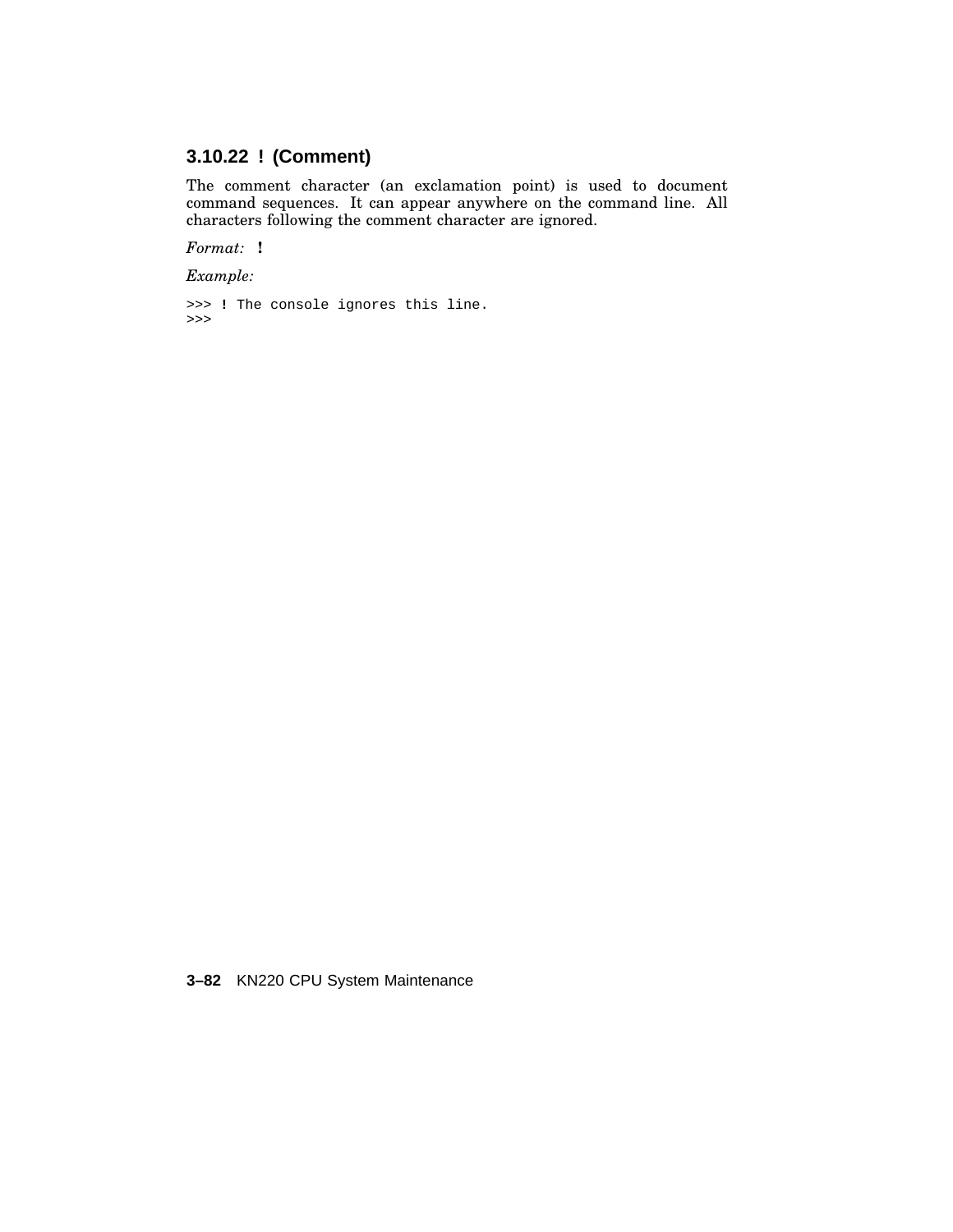# **3.10.22 ! (Comment)**

The comment character (an exclamation point) is used to document command sequences. It can appear anywhere on the command line. All characters following the comment character are ignored.

*Format:* **!**

*Example:*

```
>>> ! The console ignores this line.
>>>
```
**3–82** KN220 CPU System Maintenance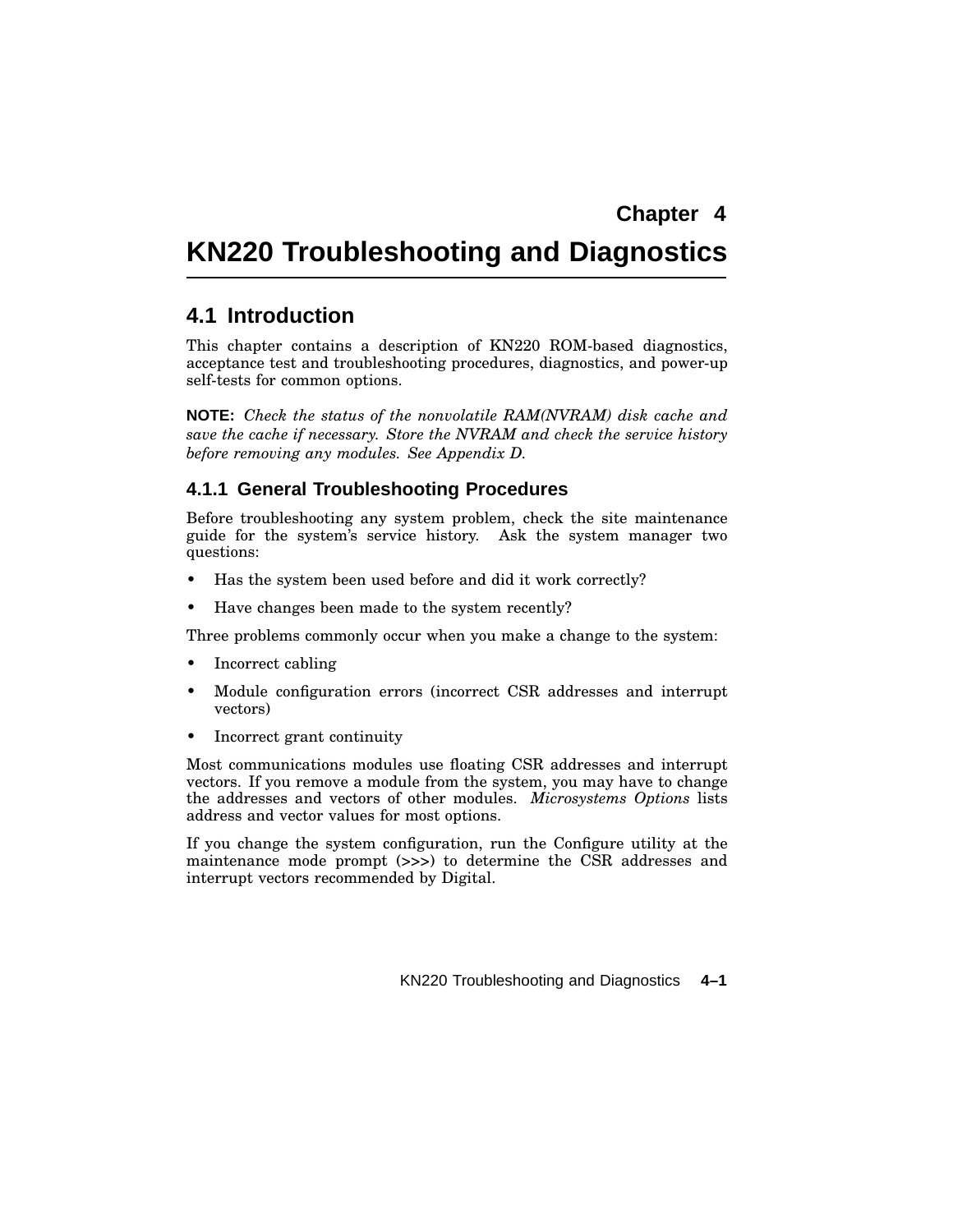# **KN220 Troubleshooting and Diagnostics**

# **4.1 Introduction**

This chapter contains a description of KN220 ROM-based diagnostics, acceptance test and troubleshooting procedures, diagnostics, and power-up self-tests for common options.

**NOTE:** *Check the status of the nonvolatile RAM(NVRAM) disk cache and save the cache if necessary. Store the NVRAM and check the service history before removing any modules. See Appendix D.*

# **4.1.1 General Troubleshooting Procedures**

Before troubleshooting any system problem, check the site maintenance guide for the system's service history. Ask the system manager two questions:

- Has the system been used before and did it work correctly?
- Have changes been made to the system recently?

Three problems commonly occur when you make a change to the system:

- Incorrect cabling
- Module configuration errors (incorrect CSR addresses and interrupt vectors)
- Incorrect grant continuity

Most communications modules use floating CSR addresses and interrupt vectors. If you remove a module from the system, you may have to change the addresses and vectors of other modules. *Microsystems Options* lists address and vector values for most options.

If you change the system configuration, run the Configure utility at the maintenance mode prompt (>>>) to determine the CSR addresses and interrupt vectors recommended by Digital.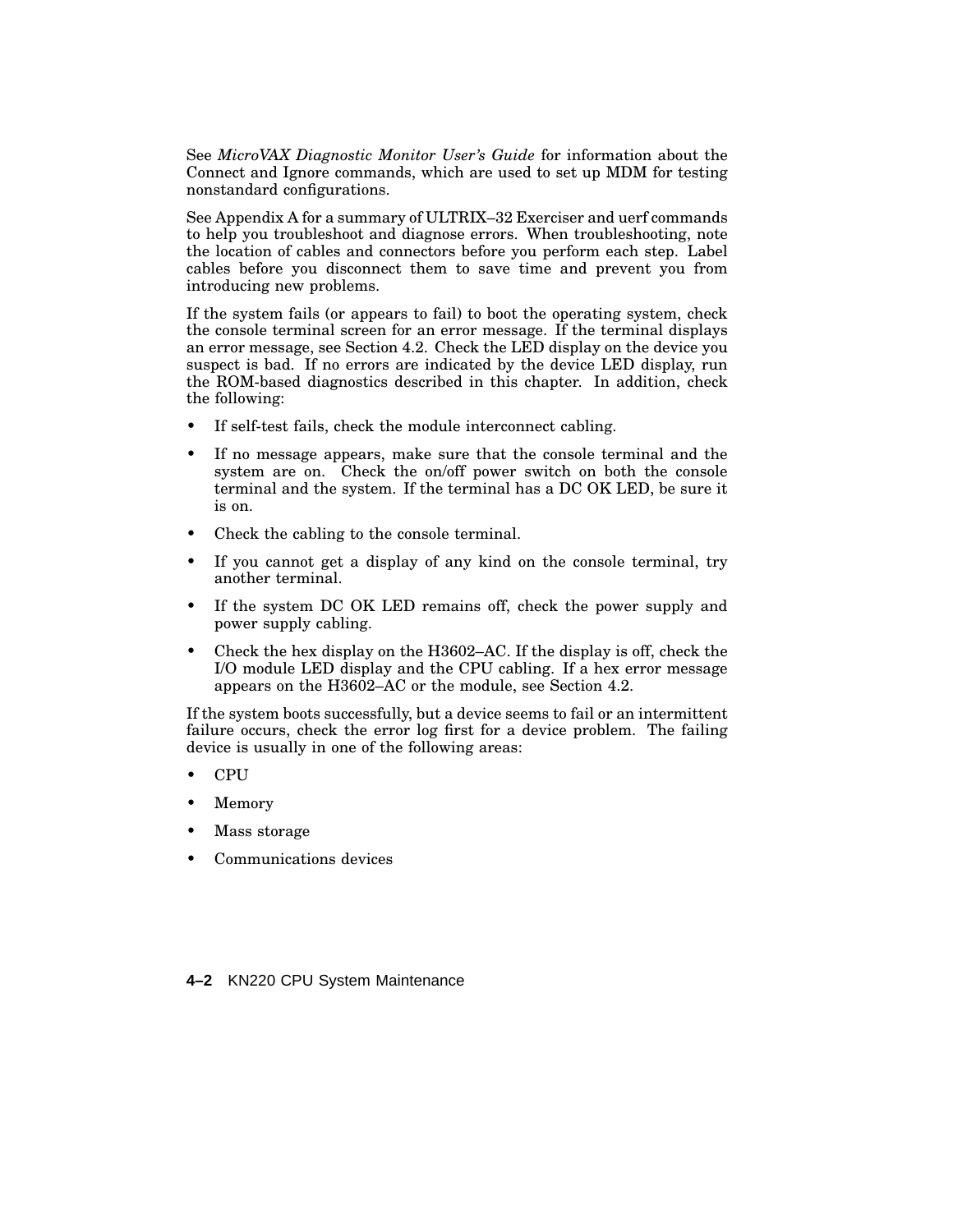See *MicroVAX Diagnostic Monitor User's Guide* for information about the Connect and Ignore commands, which are used to set up MDM for testing nonstandard configurations.

See Appendix A for a summary of ULTRIX–32 Exerciser and uerf commands to help you troubleshoot and diagnose errors. When troubleshooting, note the location of cables and connectors before you perform each step. Label cables before you disconnect them to save time and prevent you from introducing new problems.

If the system fails (or appears to fail) to boot the operating system, check the console terminal screen for an error message. If the terminal displays an error message, see Section 4.2. Check the LED display on the device you suspect is bad. If no errors are indicated by the device LED display, run the ROM-based diagnostics described in this chapter. In addition, check the following:

- If self-test fails, check the module interconnect cabling.
- If no message appears, make sure that the console terminal and the system are on. Check the on/off power switch on both the console terminal and the system. If the terminal has a DC OK LED, be sure it is on.
- Check the cabling to the console terminal.
- If you cannot get a display of any kind on the console terminal, try another terminal.
- If the system DC OK LED remains off, check the power supply and power supply cabling.
- Check the hex display on the H3602–AC. If the display is off, check the I/O module LED display and the CPU cabling. If a hex error message appears on the H3602–AC or the module, see Section 4.2.

If the system boots successfully, but a device seems to fail or an intermittent failure occurs, check the error log first for a device problem. The failing device is usually in one of the following areas:

- CPU
- **Memory**
- Mass storage
- Communications devices
- **4–2** KN220 CPU System Maintenance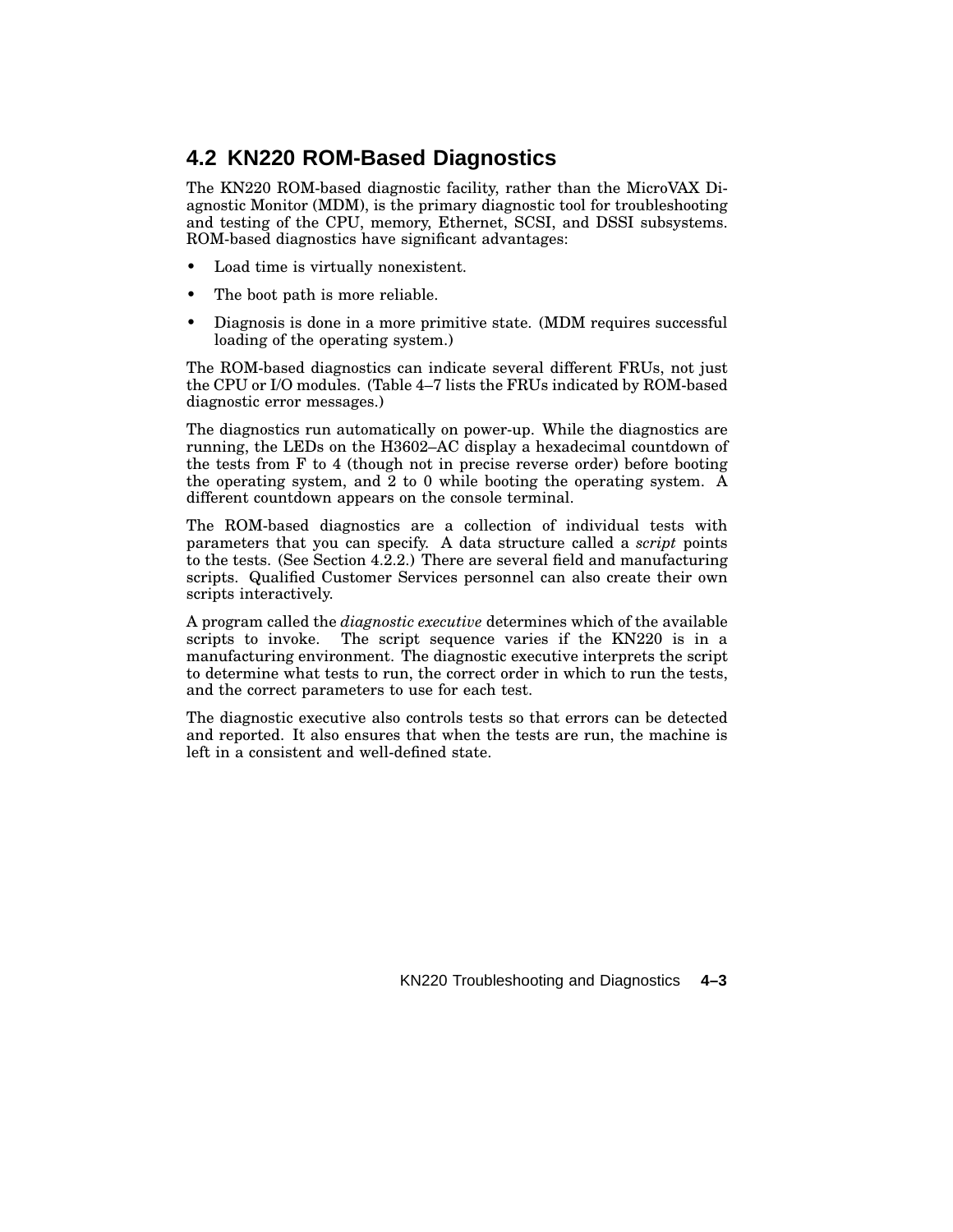# **4.2 KN220 ROM-Based Diagnostics**

The KN220 ROM-based diagnostic facility, rather than the MicroVAX Diagnostic Monitor (MDM), is the primary diagnostic tool for troubleshooting and testing of the CPU, memory, Ethernet, SCSI, and DSSI subsystems. ROM-based diagnostics have significant advantages:

- Load time is virtually nonexistent.
- The boot path is more reliable.
- Diagnosis is done in a more primitive state. (MDM requires successful loading of the operating system.)

The ROM-based diagnostics can indicate several different FRUs, not just the CPU or I/O modules. (Table 4–7 lists the FRUs indicated by ROM-based diagnostic error messages.)

The diagnostics run automatically on power-up. While the diagnostics are running, the LEDs on the H3602–AC display a hexadecimal countdown of the tests from F to 4 (though not in precise reverse order) before booting the operating system, and 2 to 0 while booting the operating system. A different countdown appears on the console terminal.

The ROM-based diagnostics are a collection of individual tests with parameters that you can specify. A data structure called a *script* points to the tests. (See Section 4.2.2.) There are several field and manufacturing scripts. Qualified Customer Services personnel can also create their own scripts interactively.

A program called the *diagnostic executive* determines which of the available scripts to invoke. The script sequence varies if the KN220 is in a manufacturing environment. The diagnostic executive interprets the script to determine what tests to run, the correct order in which to run the tests, and the correct parameters to use for each test.

The diagnostic executive also controls tests so that errors can be detected and reported. It also ensures that when the tests are run, the machine is left in a consistent and well-defined state.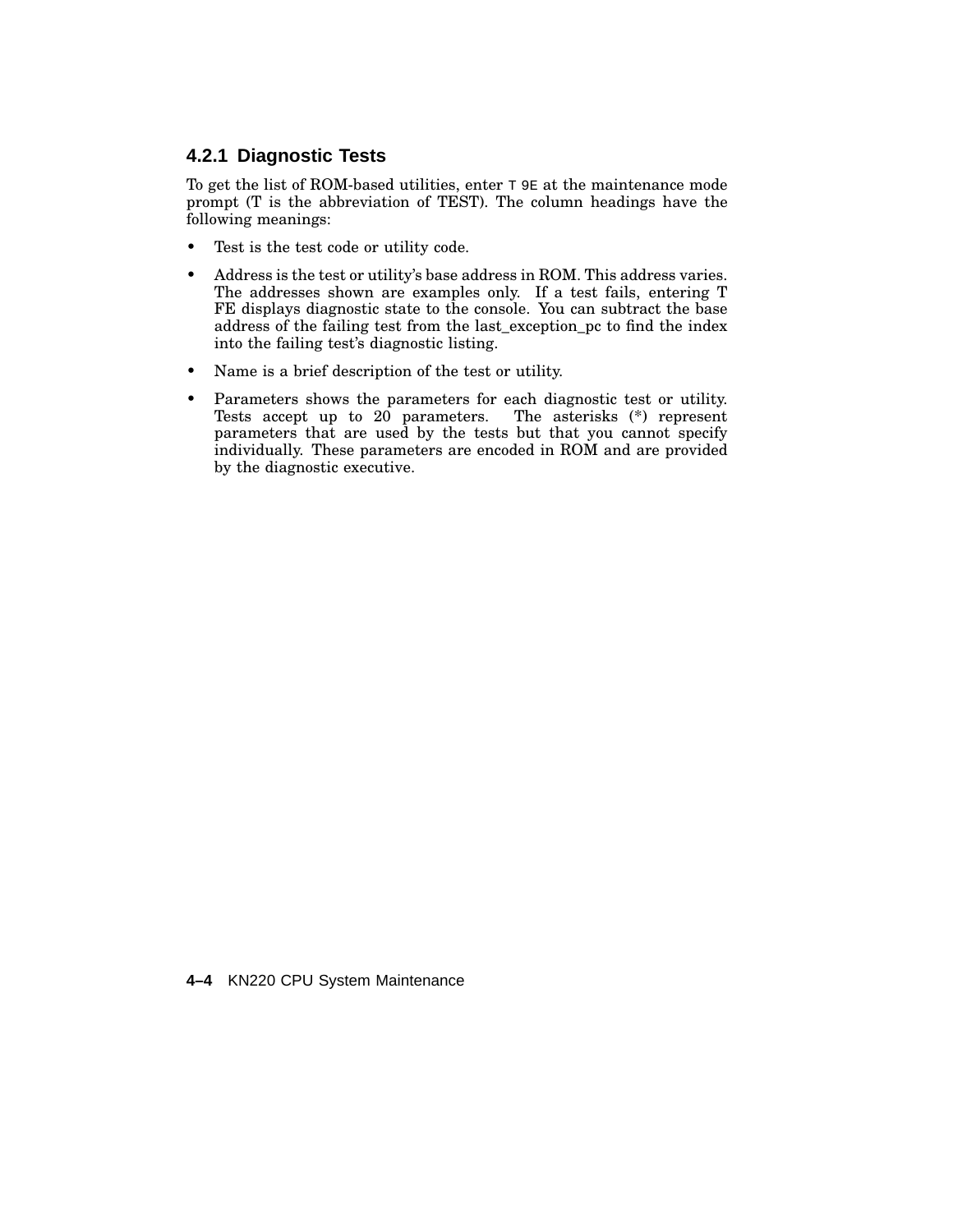# **4.2.1 Diagnostic Tests**

To get the list of ROM-based utilities, enter  $T$  9E at the maintenance mode prompt (T is the abbreviation of TEST). The column headings have the following meanings:

- Test is the test code or utility code.
- Address is the test or utility's base address in ROM. This address varies. The addresses shown are examples only. If a test fails, entering T FE displays diagnostic state to the console. You can subtract the base address of the failing test from the last\_exception\_pc to find the index into the failing test's diagnostic listing.
- Name is a brief description of the test or utility.
- Parameters shows the parameters for each diagnostic test or utility.<br>Tests accept up to 20 parameters. The asterisks (\*) represent Tests accept up to  $20$  parameters. parameters that are used by the tests but that you cannot specify individually. These parameters are encoded in ROM and are provided by the diagnostic executive.

**4–4** KN220 CPU System Maintenance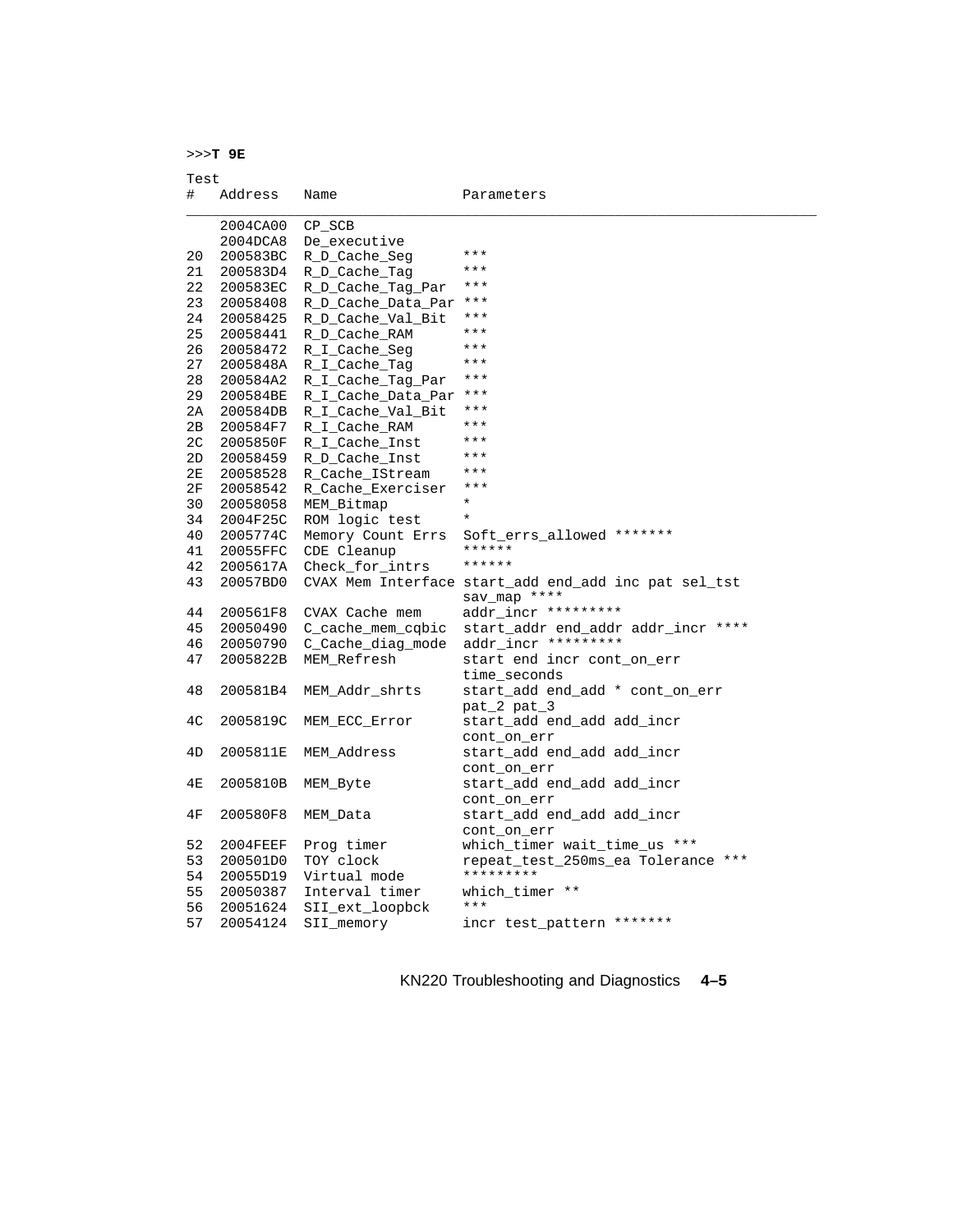>>>**T 9E**

Test

| #  | Address  | Name                   | Parameters                                           |
|----|----------|------------------------|------------------------------------------------------|
|    | 2004CA00 | CP_SCB                 |                                                      |
|    | 2004DCA8 | De_executive           |                                                      |
| 20 | 200583BC | R D Cache Seg          | ***                                                  |
| 21 | 200583D4 | R D Cache Tag          | ***                                                  |
| 22 | 200583EC | R D Cache Tag Par      | ***                                                  |
| 23 | 20058408 | R D Cache Data Par     | ***                                                  |
| 24 | 20058425 | R D Cache Val Bit      | ***                                                  |
| 25 | 20058441 | R D Cache RAM          | ***                                                  |
| 26 | 20058472 | R_I_Cache_Seq          | ***                                                  |
| 27 | 2005848A | R_I_Cache_Taq          | $***$                                                |
| 28 | 200584A2 | R_I_Cache_Tag_Par      | $***$                                                |
| 29 | 200584BE | R I Cache Data Par *** |                                                      |
| 2A | 200584DB | R_I_Cache_Val_Bit      | ***                                                  |
| 2B | 200584F7 | R_I_Cache_RAM          | ***                                                  |
| 2C | 2005850F | R_I_Cache_Inst         | $***$                                                |
| 2D | 20058459 | R D Cache Inst         | ***                                                  |
| 2Е | 20058528 | R Cache IStream        | ***                                                  |
| 2F | 20058542 | R Cache Exerciser      | $***$                                                |
| 30 | 20058058 | MEM Bitmap             | $\star$                                              |
| 34 | 2004F25C | ROM logic test         | $\star$                                              |
| 40 | 2005774C | Memory Count Errs      | Soft_errs_allowed *******                            |
| 41 | 20055FFC | CDE Cleanup            | ******                                               |
| 42 | 2005617A | Check for intrs        | ******                                               |
| 43 | 20057BD0 |                        | CVAX Mem Interface start_add end_add inc pat sel_tst |
|    |          |                        | sav_map ****                                         |
| 44 | 200561F8 | CVAX Cache mem         | addr incr *********                                  |
| 45 | 20050490 | C_cache_mem_cqbic      | start_addr end_addr addr_incr ****                   |
| 46 | 20050790 | C_Cache_diag_mode      | addr incr *********                                  |
| 47 | 2005822B | MEM Refresh            | start end incr cont_on_err                           |
|    |          |                        | time seconds                                         |
| 48 | 200581B4 | MEM Addr shrts         | start_add end_add * cont_on_err                      |
|    |          |                        | pat_2 pat_3                                          |
| 4C | 2005819C | MEM ECC Error          | start_add end_add_add_incr                           |
|    |          |                        | cont on err                                          |
| 4D | 2005811E | MEM Address            | start_add end_add_add_incr                           |
|    |          |                        | cont on err                                          |
| 4E | 2005810B | MEM Byte               | start_add end_add add_incr                           |
|    |          |                        | cont_on_err                                          |
| 4F | 200580F8 | MEM Data               | start_add end_add_add_incr                           |
|    |          |                        | cont on err                                          |
| 52 | 2004FEEF | Prog timer             | which timer wait time us ***                         |
| 53 | 200501D0 | TOY clock              | repeat_test_250ms_ea Tolerance ***                   |
| 54 | 20055D19 | Virtual mode           | *********                                            |
| 55 | 20050387 | Interval timer         | which timer **                                       |
| 56 | 20051624 | SII_ext_loopbck        | $***$                                                |
| 57 | 20054124 | SII_memory             | incr test_pattern *******                            |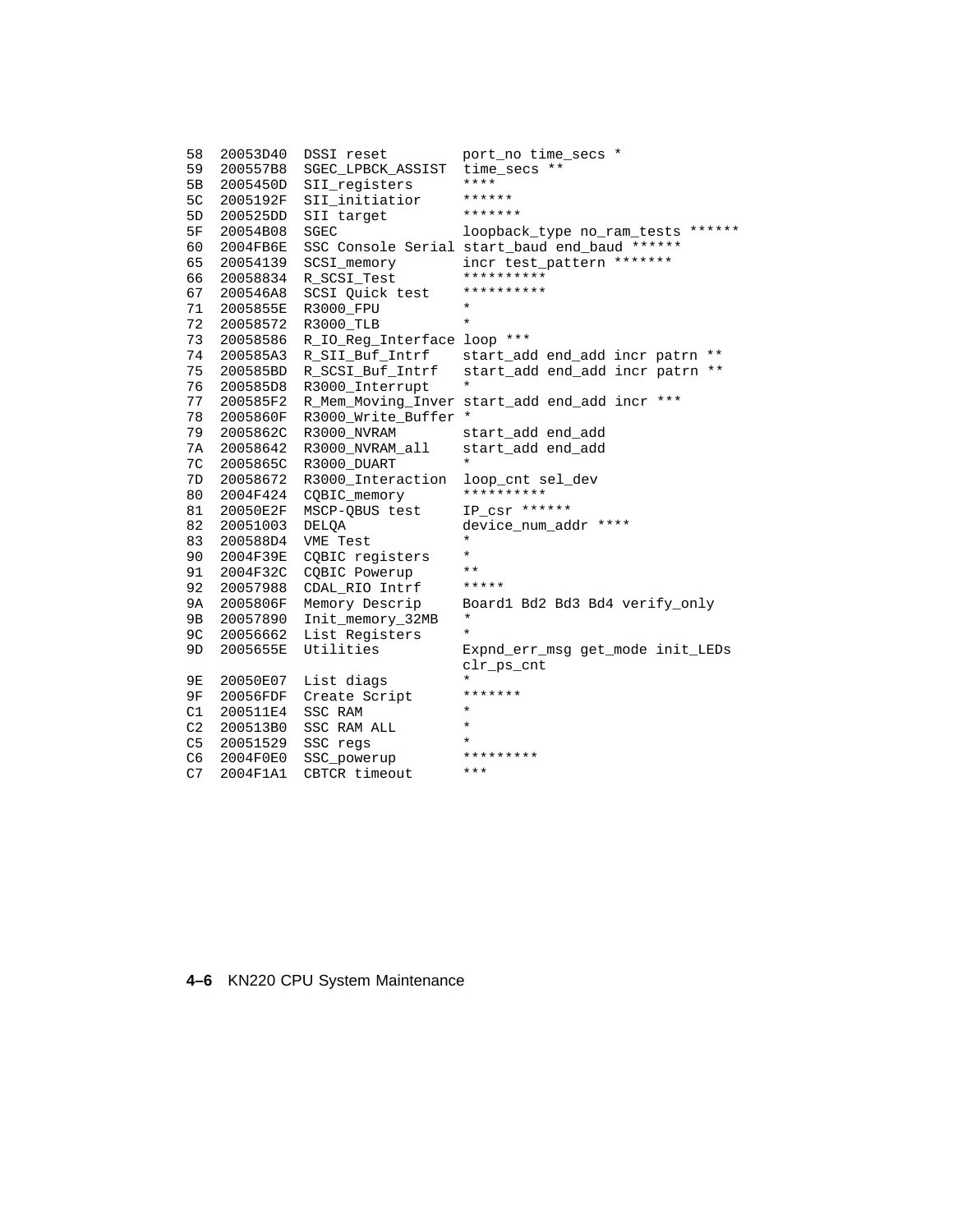```
58 20053D40 DSSI reset port_no time_secs *
59 200557B8 SGEC_LPBCK_ASSIST time_secs **
5B 2005450D SII_registers ****
5C 2005192F SII_initiatior ******
5D 200525DD SII target<br>5F 20054B08 SGEC
                                loopback_type no_ram_tests ******
60 2004FB6E SSC Console Serial start_baud end_baud ******
65 20054139 SCSI_memory incr test_pattern *******
66 20058834 R_SCSI_Test **********
67 200546A8 SCSI Quick test **********
71 2005855E R3000_FPU *
72 20058572 R3000_TLB *
73 20058586 R_IO_Reg_Interface loop ***
74 200585A3 R_SII_Buf_Intrf start_add end_add incr patrn **
75 200585BD R_SCSI_Buf_Intrf start_add end_add incr patrn **
76 200585D8 R3000_Interrupt *
77 200585F2 R_Mem_Moving_Inver start_add end_add incr ***
78 2005860F R3000_Write_Buffer *
79 2005862C R3000_NVRAM start_add end_add
7A 20058642 R3000_NVRAM_all start_add end_add
7C 2005865C R3000_DUART *
7D 20058672 R3000_Interaction loop_cnt sel_dev
80  2004F424  CQBIC_memory ***********
81 20050E2F MSCP-QBUS test IP_csr ******
82 20051003 DELQA device_num_addr ****
83 200588D4 VME Test *
90 2004F39E CQBIC registers *
91 2004F32C CQBIC Powerup **<br>92 20057988 CDAL RIO Intrf *****
92 20057988 CDAL_RIO Intrf *****
9A 2005806F Memory Descrip Board1 Bd2 Bd3 Bd4 verify_only
9B 20057890 Init_memory_32MB *
9C 20056662 List Registers<br>9D 2005655E Utilities
                                Expnd_err_msg get_mode init_LEDs
                                clr_ps_cnt
9E  20050E07    List diags    *
9F 20056FDF Create Script *******
C1 200511E4 SSC RAM * * *
C2 200513B0 SSC RAM ALL *<br>C5 20051529 SSC recs *
\begin{array}{cc}\n\text{C5} & 20051529 & \text{SSC} \text{regs} \\
\text{C6} & 2004 \text{F0F0} & \text{SSC} \text{nonvarum} \\
\end{array}C6 2004F0E0 SSC_powerup *********
C7 2004F1A1 CBTCR timeout ***
```
#### **4–6** KN220 CPU System Maintenance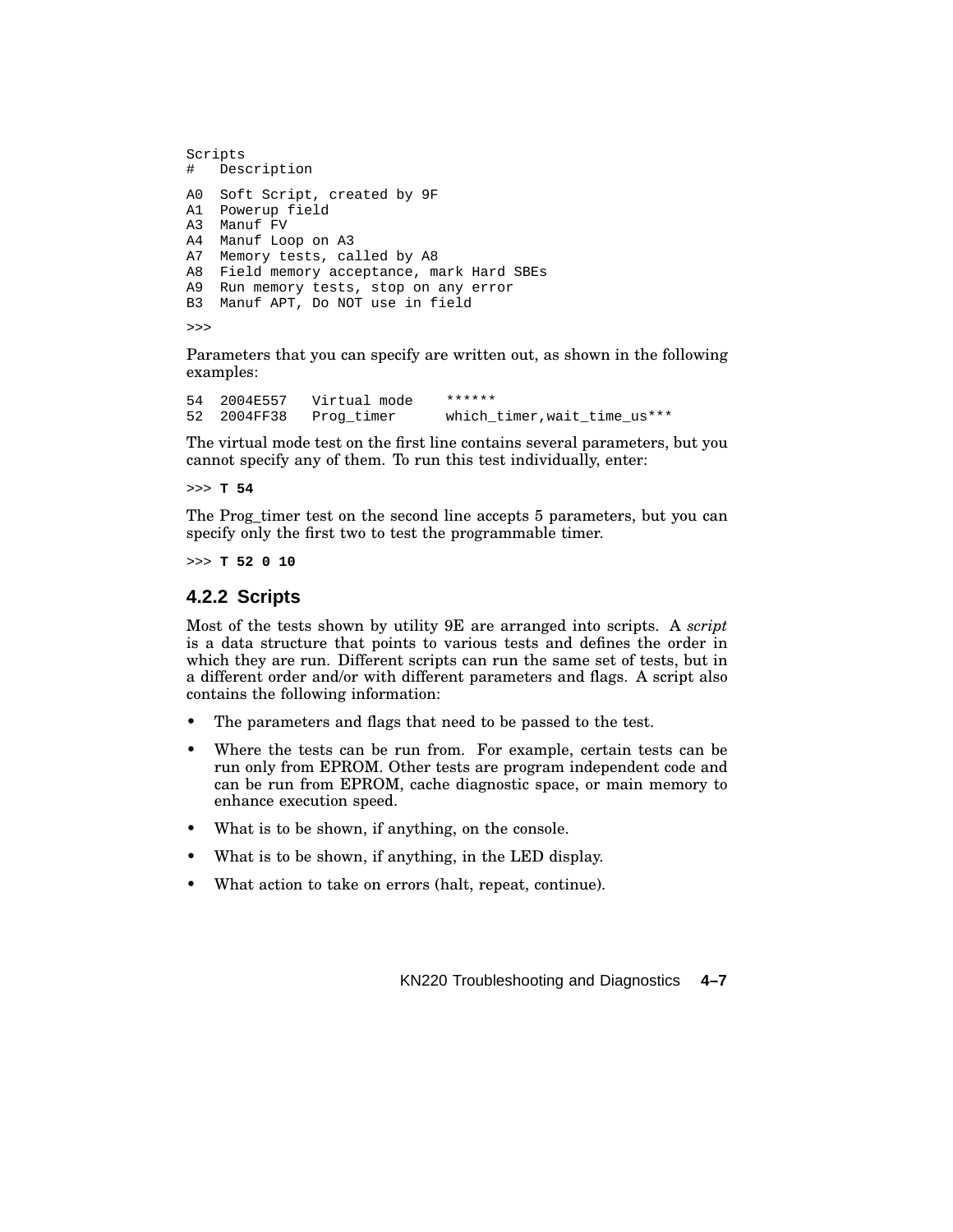```
Scripts
# Description
A0 Soft Script, created by 9F
A1 Powerup field
A3 Manuf FV
A4 Manuf Loop on A3
A7 Memory tests, called by A8
A8 Field memory acceptance, mark Hard SBEs
A9 Run memory tests, stop on any error
B3 Manuf APT, Do NOT use in field
```
>>>

Parameters that you can specify are written out, as shown in the following examples:

54 2004E557 Virtual mode \*\*\*\*\*\* 52 2004FF38 Prog\_timer which\_timer, wait\_time\_us\*\*\*

The virtual mode test on the first line contains several parameters, but you cannot specify any of them. To run this test individually, enter:

>>> **T 54**

The Prog timer test on the second line accepts 5 parameters, but you can specify only the first two to test the programmable timer.

>>> **T 52 0 10**

#### **4.2.2 Scripts**

Most of the tests shown by utility 9E are arranged into scripts. A *script* is a data structure that points to various tests and defines the order in which they are run. Different scripts can run the same set of tests, but in a different order and/or with different parameters and flags. A script also contains the following information:

- The parameters and flags that need to be passed to the test.
- Where the tests can be run from. For example, certain tests can be run only from EPROM. Other tests are program independent code and can be run from EPROM, cache diagnostic space, or main memory to enhance execution speed.
- What is to be shown, if anything, on the console.
- What is to be shown, if anything, in the LED display.
- What action to take on errors (halt, repeat, continue).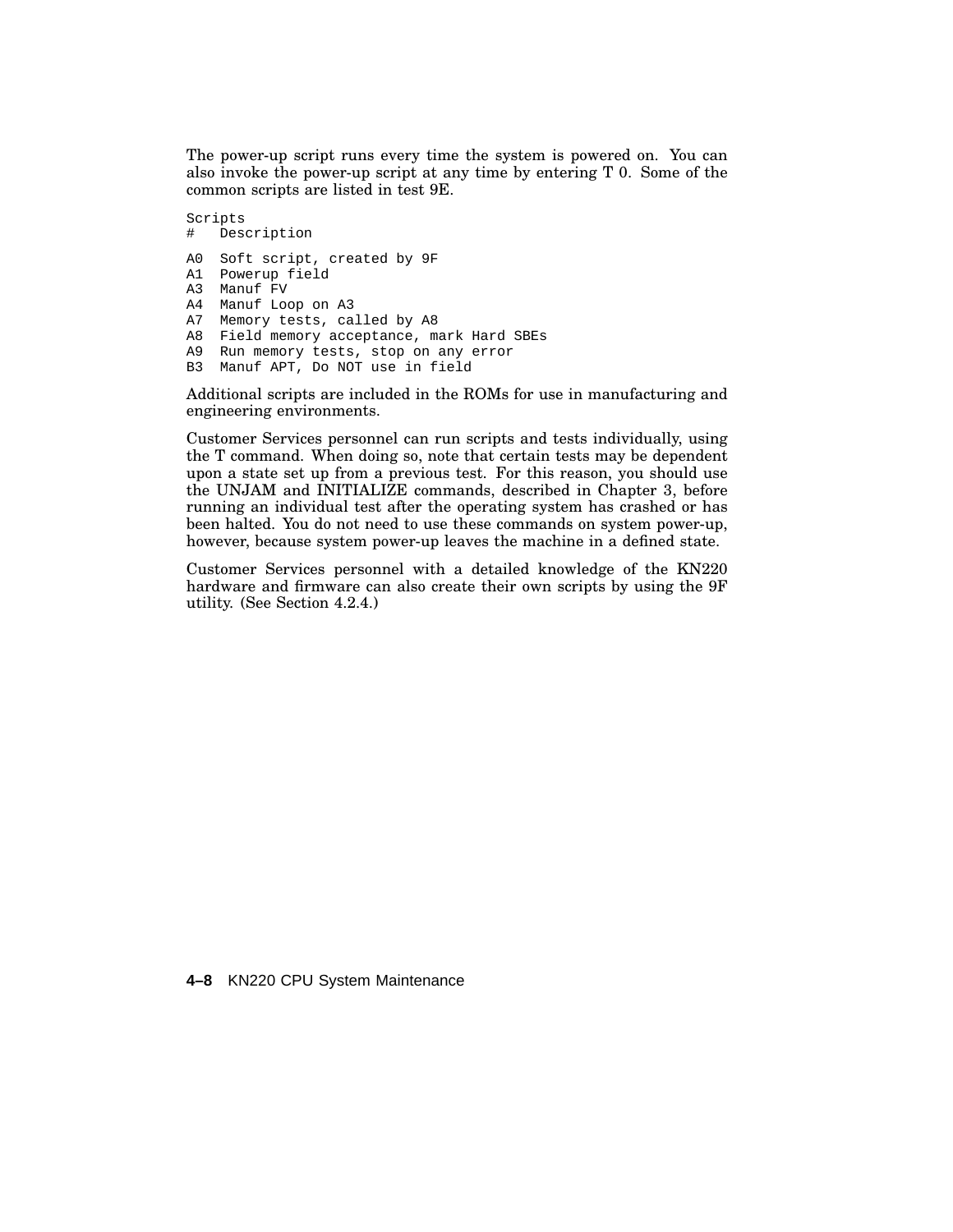The power-up script runs every time the system is powered on. You can also invoke the power-up script at any time by entering T 0. Some of the common scripts are listed in test 9E.

```
Scripts
# Description
A0 Soft script, created by 9F
A1 Powerup field
A3 Manuf FV
A4 Manuf Loop on A3
A7 Memory tests, called by A8
A8 Field memory acceptance, mark Hard SBEs
A9 Run memory tests, stop on any error
B3 Manuf APT, Do NOT use in field
```
Additional scripts are included in the ROMs for use in manufacturing and engineering environments.

Customer Services personnel can run scripts and tests individually, using the T command. When doing so, note that certain tests may be dependent upon a state set up from a previous test. For this reason, you should use the UNJAM and INITIALIZE commands, described in Chapter 3, before running an individual test after the operating system has crashed or has been halted. You do not need to use these commands on system power-up, however, because system power-up leaves the machine in a defined state.

Customer Services personnel with a detailed knowledge of the KN220 hardware and firmware can also create their own scripts by using the 9F utility. (See Section 4.2.4.)

**4–8** KN220 CPU System Maintenance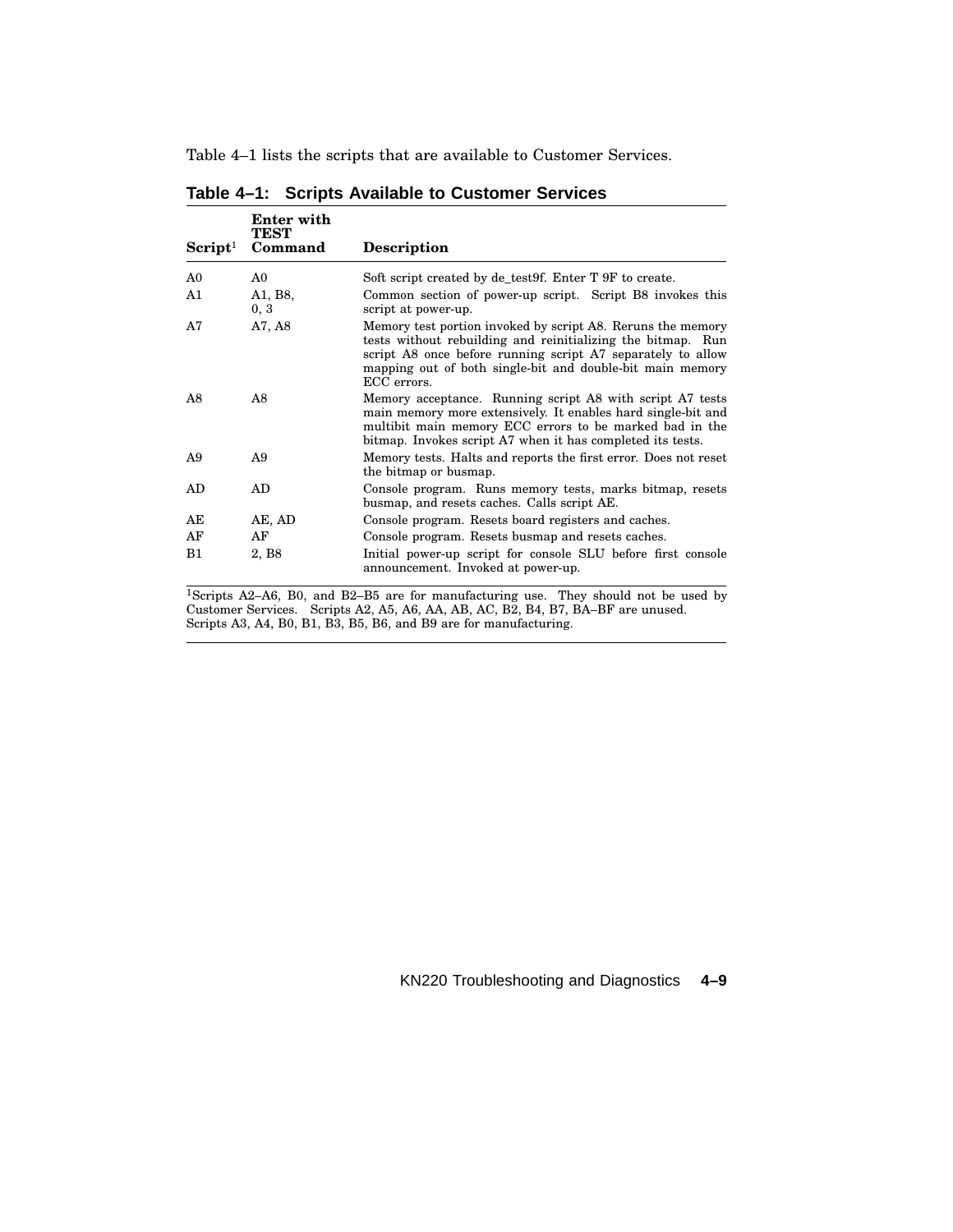Table 4–1 lists the scripts that are available to Customer Services.

|                        | Enter with<br>TEST |                                                                                                                                                                                                                                                                       |
|------------------------|--------------------|-----------------------------------------------------------------------------------------------------------------------------------------------------------------------------------------------------------------------------------------------------------------------|
| $S$ cript <sup>1</sup> | Command            | <b>Description</b>                                                                                                                                                                                                                                                    |
| A <sub>0</sub>         | A0                 | Soft script created by de_test9f. Enter T 9F to create.                                                                                                                                                                                                               |
| A1                     | A1, B8,<br>0, 3    | Common section of power-up script. Script B8 invokes this<br>script at power-up.                                                                                                                                                                                      |
| A7                     | A7, A8             | Memory test portion invoked by script A8. Reruns the memory<br>tests without rebuilding and reinitializing the bitmap. Run<br>script A8 once before running script A7 separately to allow<br>mapping out of both single-bit and double-bit main memory<br>ECC errors. |
| A8                     | A8                 | Memory acceptance. Running script A8 with script A7 tests<br>main memory more extensively. It enables hard single-bit and<br>multibit main memory ECC errors to be marked bad in the<br>bitmap. Invokes script A7 when it has completed its tests.                    |
| A <sub>9</sub>         | A9                 | Memory tests. Halts and reports the first error. Does not reset<br>the bitmap or busmap.                                                                                                                                                                              |
| AD                     | AD                 | Console program. Runs memory tests, marks bitmap, resets<br>busmap, and resets caches. Calls script AE.                                                                                                                                                               |
| AE                     | AE, AD             | Console program. Resets board registers and caches.                                                                                                                                                                                                                   |
| AF                     | AF                 | Console program. Resets busmap and resets caches.                                                                                                                                                                                                                     |
| B1                     | 2, B <sub>8</sub>  | Initial power-up script for console SLU before first console<br>announcement. Invoked at power-up.                                                                                                                                                                    |

**Table 4–1: Scripts Available to Customer Services**

<sup>1</sup>Scripts A2–A6, B0, and B2–B5 are for manufacturing use. They should not be used by Customer Services. Scripts A2, A5, A6, AA, AB, AC, B2, B4, B7, BA–BF are unused. Scripts A3, A4, B0, B1, B3, B5, B6, and B9 are for manufacturing.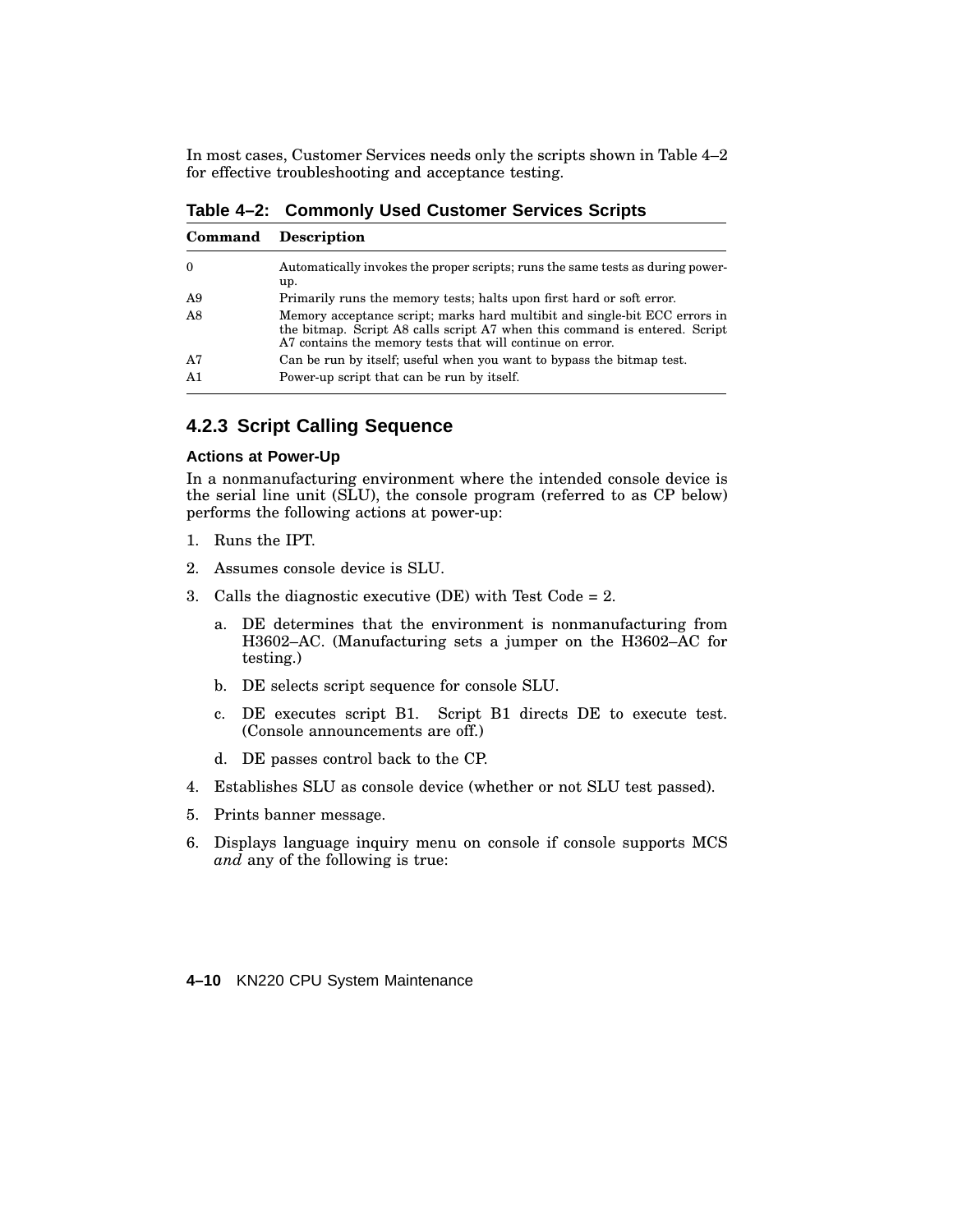In most cases, Customer Services needs only the scripts shown in Table 4–2 for effective troubleshooting and acceptance testing.

**Table 4–2: Commonly Used Customer Services Scripts**

| Command        | <b>Description</b>                                                                                                                                                                                                    |
|----------------|-----------------------------------------------------------------------------------------------------------------------------------------------------------------------------------------------------------------------|
| $\Omega$       | Automatically invokes the proper scripts; runs the same tests as during power-<br>up.                                                                                                                                 |
| A <sub>9</sub> | Primarily runs the memory tests; halts upon first hard or soft error.                                                                                                                                                 |
| A8             | Memory acceptance script; marks hard multibit and single-bit ECC errors in<br>the bitmap. Script A8 calls script A7 when this command is entered. Script<br>A7 contains the memory tests that will continue on error. |
| A7             | Can be run by itself; useful when you want to bypass the bitmap test.                                                                                                                                                 |
| A1             | Power-up script that can be run by itself.                                                                                                                                                                            |

## **4.2.3 Script Calling Sequence**

#### **Actions at Power-Up**

In a nonmanufacturing environment where the intended console device is the serial line unit (SLU), the console program (referred to as CP below) performs the following actions at power-up:

- 1. Runs the IPT.
- 2. Assumes console device is SLU.
- 3. Calls the diagnostic executive (DE) with Test Code = 2.
	- a. DE determines that the environment is nonmanufacturing from H3602–AC. (Manufacturing sets a jumper on the H3602–AC for testing.)
	- b. DE selects script sequence for console SLU.
	- c. DE executes script B1. Script B1 directs DE to execute test. (Console announcements are off.)
	- d. DE passes control back to the CP.
- 4. Establishes SLU as console device (whether or not SLU test passed).
- 5. Prints banner message.
- 6. Displays language inquiry menu on console if console supports MCS *and* any of the following is true:

**4–10** KN220 CPU System Maintenance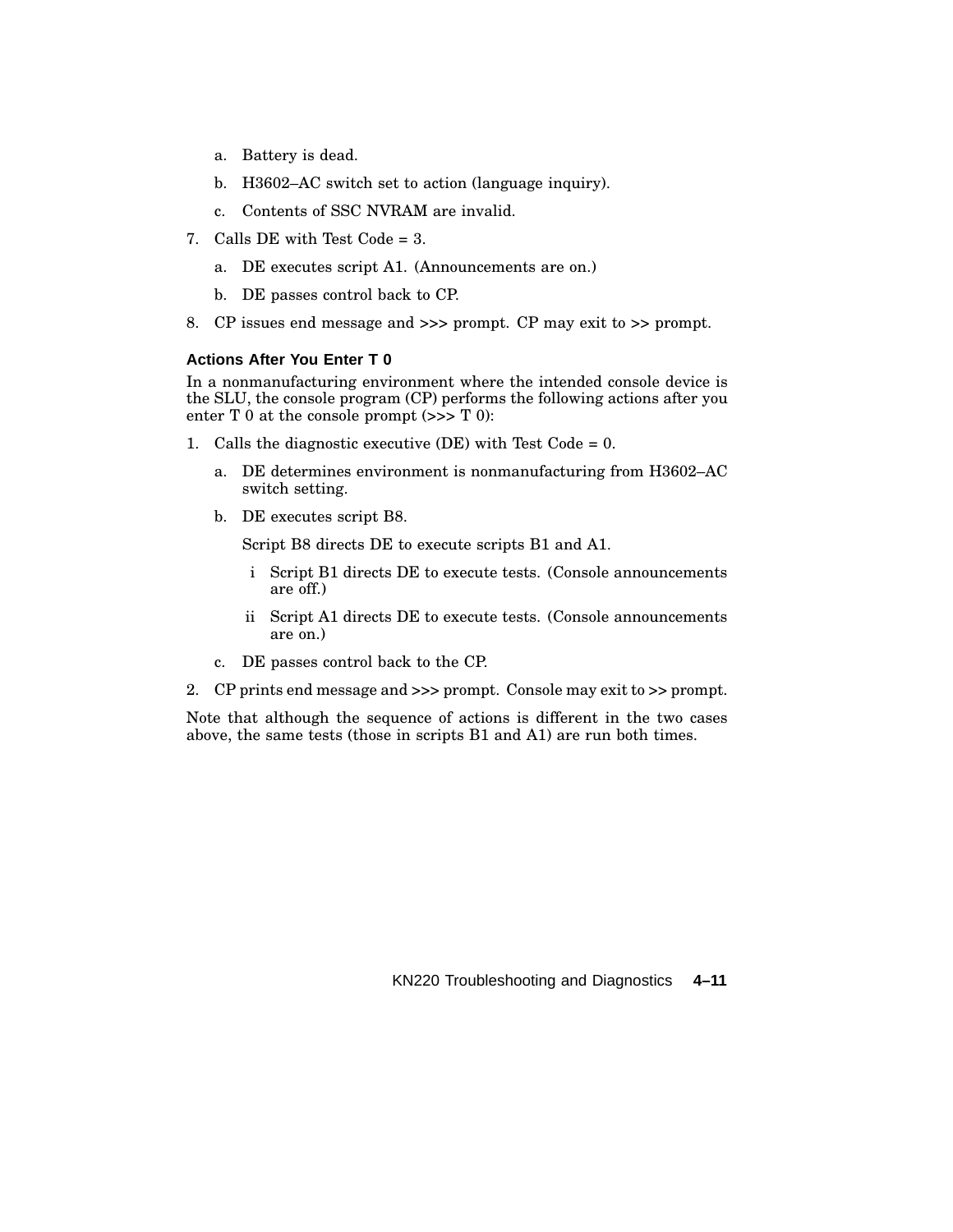- a. Battery is dead.
- b. H3602–AC switch set to action (language inquiry).
- c. Contents of SSC NVRAM are invalid.
- 7. Calls DE with Test Code  $= 3$ .
	- a. DE executes script A1. (Announcements are on.)
	- b. DE passes control back to CP.
- 8. CP issues end message and >>> prompt. CP may exit to >> prompt.

#### **Actions After You Enter T 0**

In a nonmanufacturing environment where the intended console device is the SLU, the console program (CP) performs the following actions after you enter  $T$  0 at the console prompt  $(\gg > T 0)$ :

- 1. Calls the diagnostic executive (DE) with Test Code =  $0$ .
	- a. DE determines environment is nonmanufacturing from H3602–AC switch setting.
	- b. DE executes script B8.

Script B8 directs DE to execute scripts B1 and A1.

- i Script B1 directs DE to execute tests. (Console announcements are off.)
- ii Script A1 directs DE to execute tests. (Console announcements are on.)
- c. DE passes control back to the CP.
- 2. CP prints end message and >>> prompt. Console may exit to >> prompt.

Note that although the sequence of actions is different in the two cases above, the same tests (those in scripts B1 and A1) are run both times.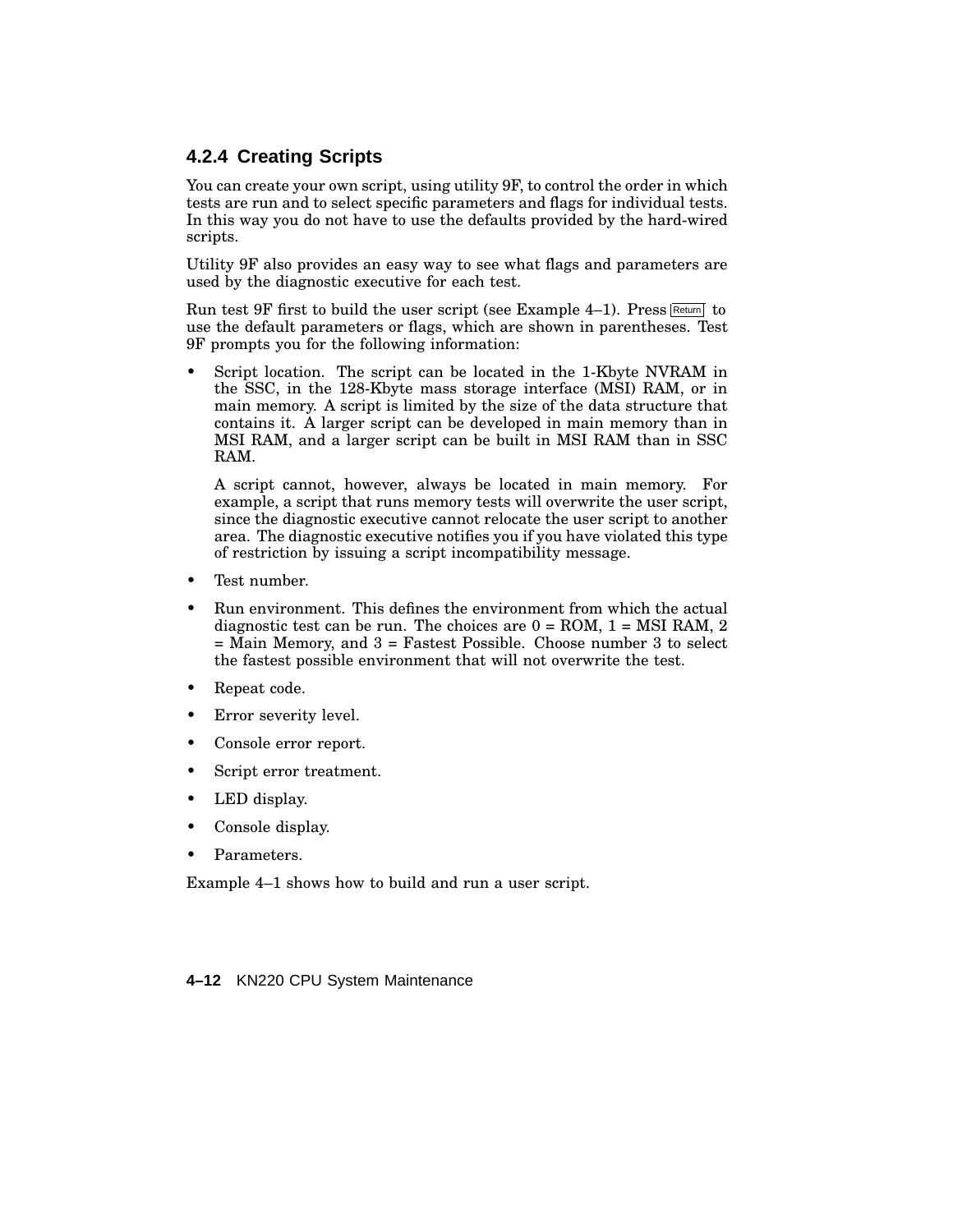# **4.2.4 Creating Scripts**

You can create your own script, using utility 9F, to control the order in which tests are run and to select specific parameters and flags for individual tests. In this way you do not have to use the defaults provided by the hard-wired scripts.

Utility 9F also provides an easy way to see what flags and parameters are used by the diagnostic executive for each test.

Run test  $9F$  first to build the user script (see Example 4–1). Press Return to use the default parameters or flags, which are shown in parentheses. Test 9F prompts you for the following information:

Script location. The script can be located in the 1-Kbyte NVRAM in the SSC, in the 128-Kbyte mass storage interface (MSI) RAM, or in main memory. A script is limited by the size of the data structure that contains it. A larger script can be developed in main memory than in MSI RAM, and a larger script can be built in MSI RAM than in SSC RAM.

A script cannot, however, always be located in main memory. For example, a script that runs memory tests will overwrite the user script, since the diagnostic executive cannot relocate the user script to another area. The diagnostic executive notifies you if you have violated this type of restriction by issuing a script incompatibility message.

- Test number.
- Run environment. This defines the environment from which the actual diagnostic test can be run. The choices are  $0 = \text{ROM}$ ,  $1 = \text{MSI RAM}$ ,  $2$ = Main Memory, and 3 = Fastest Possible. Choose number 3 to select the fastest possible environment that will not overwrite the test.
- Repeat code.
- Error severity level.
- Console error report.
- Script error treatment.
- LED display.
- Console display.
- Parameters.

Example 4–1 shows how to build and run a user script.

**4–12** KN220 CPU System Maintenance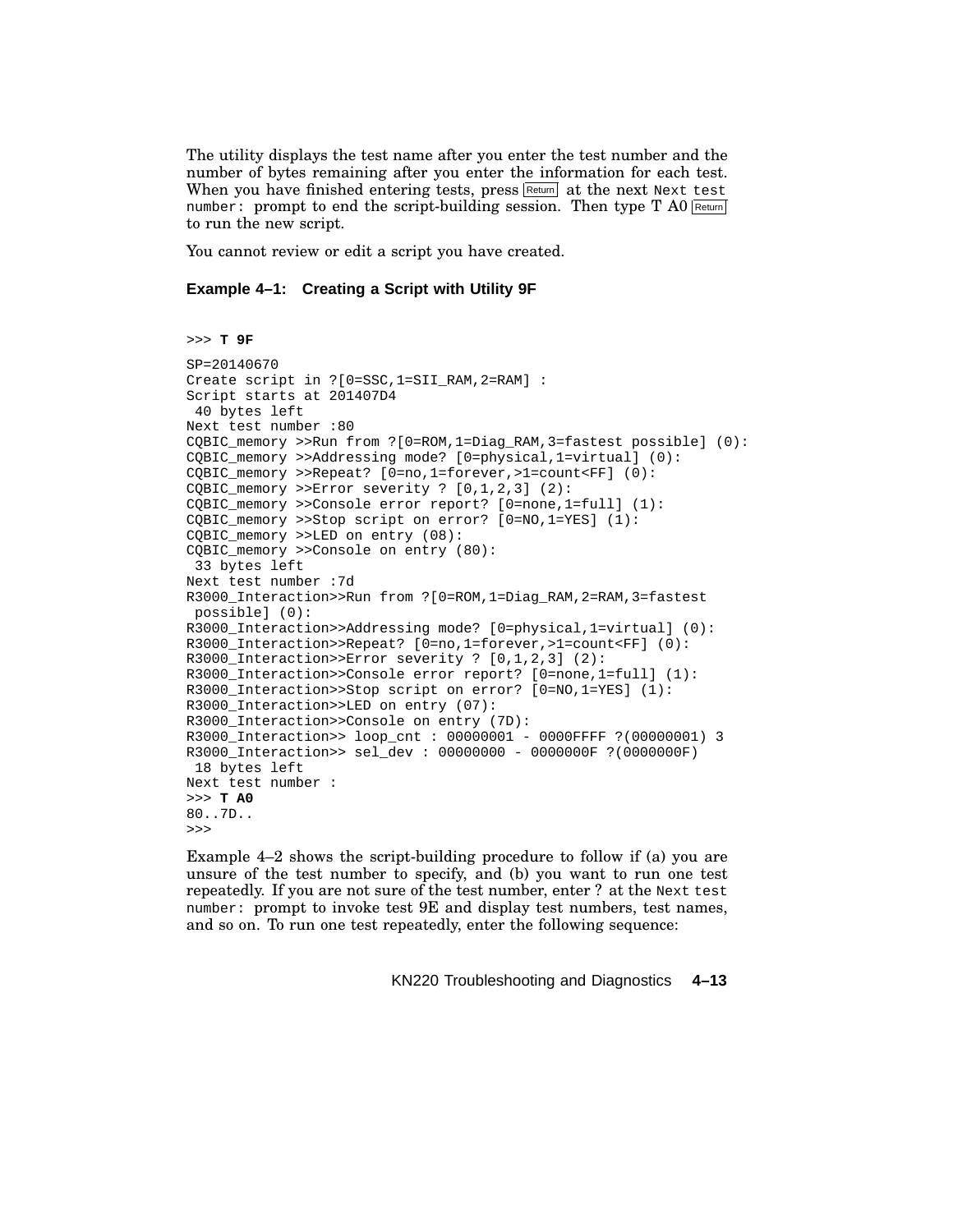The utility displays the test name after you enter the test number and the number of bytes remaining after you enter the information for each test. When you have finished entering tests, press Return at the next Next test number: prompt to end the script-building session. Then type  $T$  A0 Return to run the new script.

You cannot review or edit a script you have created.

#### **Example 4–1: Creating a Script with Utility 9F**

```
>>> T 9F
SP=20140670
Create script in ?[0=SSC,1=SII_RAM,2=RAM] :
Script starts at 201407D4
40 bytes left
Next test number :80
CQBIC_memory >>Run from ?[0=ROM,1=Diag_RAM,3=fastest possible] (0):
CQBIC_memory >>Addressing mode? [0=physical,1=virtual] (0):
COBIC memory >>Repeat? [0=no,1=forever,>1=count<br>[0]:CQBIC_memory >>Error severity ? [0,1,2,3] (2):
CQBIC_memory >>Console error report? [0=none,1=full] (1):
CQBIC_memory >>Stop script on error? [0=NO,1=YES] (1):
CQBIC_memory >>LED on entry (08):
CQBIC_memory >>Console on entry (80):
 33 bytes left
Next test number :7d
R3000_Interaction>>Run from ?[0=ROM,1=Diag_RAM,2=RAM,3=fastest
possible] (0):
R3000_Interaction>>Addressing mode? [0=physical,1=virtual] (0):
R3000_Interaction>>Repeat? [0=no,1=forever,>1=count<FF] (0):
R3000_Interaction>>Error severity ? [0,1,2,3] (2):
R3000_Interaction>>Console error report? [0=none,1=full] (1):
R3000 Interaction>>Stop script on error? [0=NO,1=YES] (1):
R3000_Interaction>>LED on entry (07):
R3000_Interaction>>Console on entry (7D):
R3000_Interaction>> loop_cnt : 00000001 - 0000FFFF ?(00000001) 3
R3000_Interaction>> sel_dev : 00000000 - 0000000F ?(0000000F)
18 bytes left
Next test number :
>>> T A0
80..7D..
>>>
Example 4–2 shows the script-building procedure to follow if (a) you are
unsure of the test number to specify, and (b) you want to run one test
```
repeatedly. If you are not sure of the test number, enter ? at the Next test number: prompt to invoke test 9E and display test numbers, test names, and so on. To run one test repeatedly, enter the following sequence: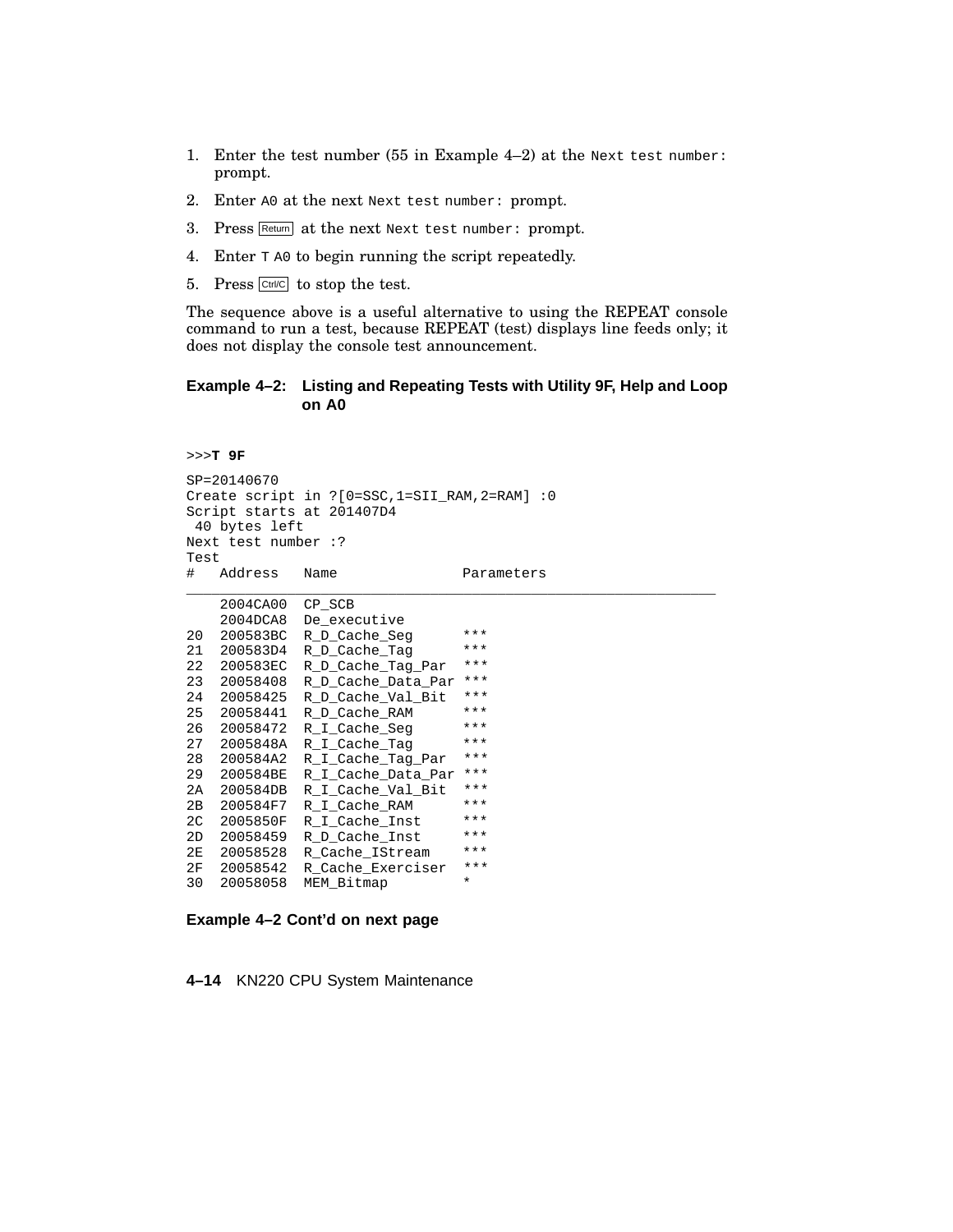- 1. Enter the test number (55 in Example 4–2) at the Next test number: prompt.
- 2. Enter A0 at the next Next test number: prompt.
- 3. Press Return at the next Next test number: prompt.
- 4. Enter T A0 to begin running the script repeatedly.
- 5. Press  $\boxed{\text{Ctrl/C}}$  to stop the test.

The sequence above is a useful alternative to using the REPEAT console command to run a test, because REPEAT (test) displays line feeds only; it does not display the console test announcement.

#### **Example 4–2: Listing and Repeating Tests with Utility 9F, Help and Loop on A0**

```
>>>T 9F
SP=20140670
Create script in ?[0=SSC,1=SII_RAM,2=RAM] :0
Script starts at 201407D4
 40 bytes left
Next test number :?
Test
# Address Name Parameters
\_ , \_ , \_ , \_ , \_ , \_ , \_ , \_ , \_ , \_ , \_ , \_ , \_ , \_ , \_ , \_ , \_ , \_ , \_ , \_ , \_ , \_ , \_ , \_ , \_ , \_ , \_ , \_ , \_ , \_ , \_ , \_ , \_ , \_ , \_ , \_ , \_ ,
    2004CA00 CP_SCB
    2004DCA8 De_executive
20 200583BC R<sub>_</sub>D_Cache_Seg ***<br>21 200583D4 R_D_Cache_Tag ***
21 200583D4 R_D_Cache_Tag ***
22 200583EC R_D_Cache_Tag_Par ***
23 20058408 R_D_Cache_Data_Par ***
24 20058425 R_D_Cache_Val_Bit ***
25 20058441 R_D_Cache_RAM ***
26 20058472 R_I_Cache_Seg ***
27 2005848A R_I_Cache_Tag ***
28 200584A2 R_I_Cache_Tag_Par ***
29 200584BE R_I_Cache_Data_Par ***
2A 200584DB R_I_Cache_Val_Bit ***<br>2B 200584F7 R I Cache RAM ***
2B 200584F7 R_I_Cache_RAM ***<br>2C 2005850F B I Cache Inst ***
2C 2005850F R_I_Cache_Inst ***
2D 20058459 R_D_Cache_Inst ***
2E 20058528 R_Cache_IStream ***
2F 20058542 R_Cache_Exerciser ***
30 20058058 MEM_Bitmap *
```
#### **Example 4–2 Cont'd on next page**

**4–14** KN220 CPU System Maintenance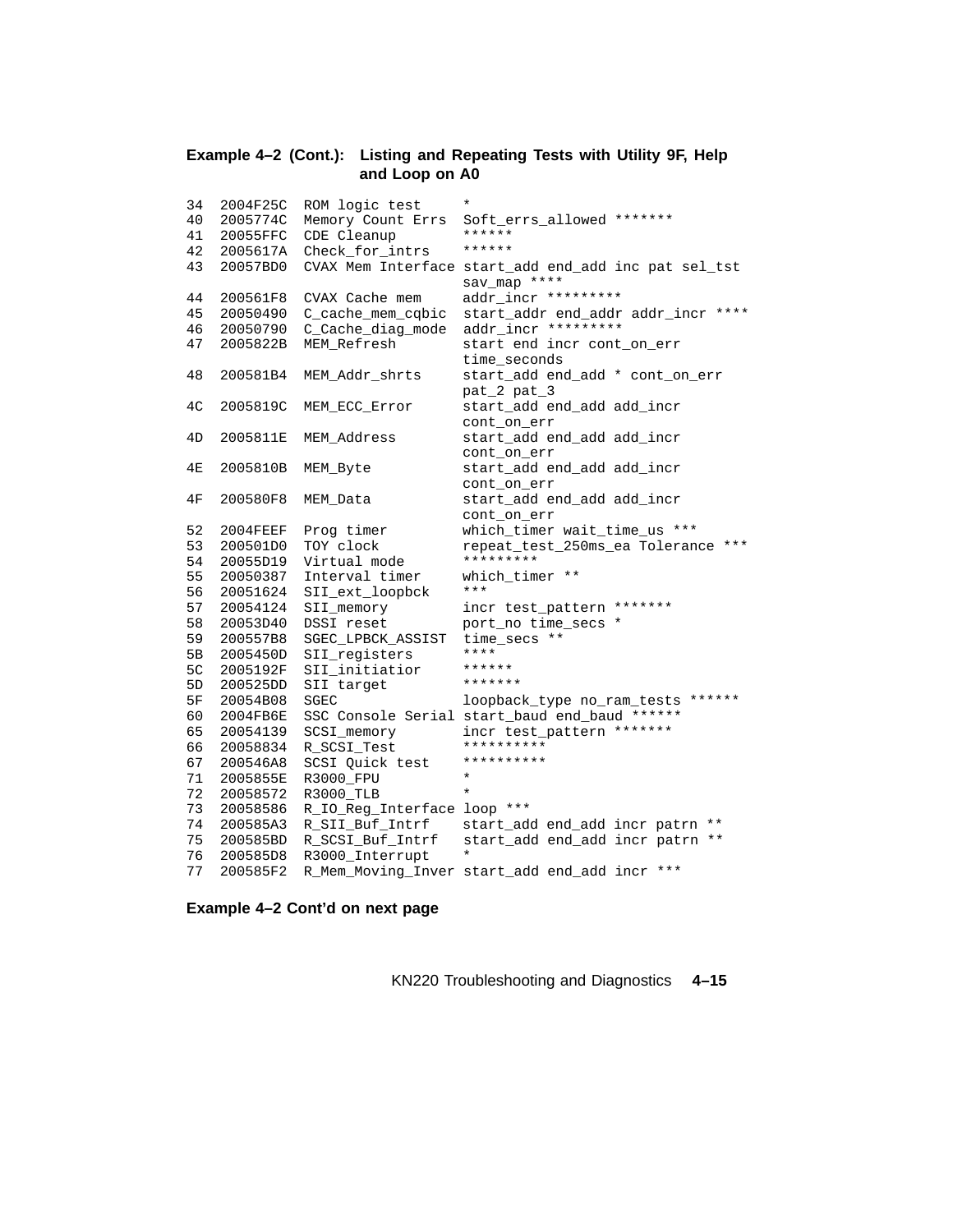#### **Example 4–2 (Cont.): Listing and Repeating Tests with Utility 9F, Help and Loop on A0**

| 34             | 2004F25C | ROM logic test              | $^\star$                                      |
|----------------|----------|-----------------------------|-----------------------------------------------|
| 40             | 2005774C | Memory Count Errs           | Soft_errs_allowed *******                     |
| 41             | 20055FFC | CDE Cleanup                 | ******                                        |
| 42             | 2005617A | Check_for_intrs             | ******                                        |
| 43             | 20057BD0 | CVAX Mem Interface          | start_add end_add inc pat sel_tst             |
|                |          |                             | sav map ****                                  |
| 44             | 200561F8 | CVAX Cache mem              | addr incr *********                           |
| 45             | 20050490 | C_cache_mem_cqbic           | start_addr end_addr addr_incr ****            |
| 46             | 20050790 | C_Cache_diag_mode           | addr_incr *********                           |
| 47             | 2005822B | MEM Refresh                 | start end incr cont_on_err                    |
|                |          |                             | time_seconds                                  |
| 48             | 200581B4 | MEM Addr shrts              | start_add end_add * cont_on_err               |
|                |          |                             | pat_2 pat_3                                   |
| 4 <sup>C</sup> | 2005819C | MEM ECC Error               | start_add end_add add_incr                    |
|                |          |                             | cont_on_err                                   |
| 4D             | 2005811E | MEM Address                 | start_add end_add add_incr                    |
|                |          |                             | cont_on_err                                   |
| 4Ε             | 2005810B | MEM Byte                    | start_add end_add add_incr                    |
|                |          |                             | cont on err                                   |
| 4F             | 200580F8 | MEM Data                    | start_add end_add add_incr                    |
|                |          |                             | cont_on_err                                   |
| 52             | 2004FEEF | Prog timer                  | which_timer_wait_time_us ***                  |
| 53             | 200501D0 | TOY clock                   | repeat_test_250ms_ea Tolerance ***            |
| 54             | 20055D19 | Virtual mode                | *********                                     |
| 55             | 20050387 | Interval timer              | which timer **                                |
| 56             | 20051624 | SII_ext_loopbck             | $***$                                         |
| 57             | 20054124 | SII_memory                  | incr test_pattern *******                     |
| 58             | 20053D40 | DSSI reset                  | port no time secs *                           |
| 59             | 200557B8 | SGEC LPBCK ASSIST           | time secs **                                  |
| 5 <sub>B</sub> | 2005450D | SII registers               | ****                                          |
| 5C             | 2005192F | SII_initiatior              | ******                                        |
| 5D             | 200525DD | SII target                  | *******                                       |
| 5F             | 20054B08 | SGEC                        | loopback_type no_ram_tests ******             |
| 60             | 2004FB6E |                             | SSC Console Serial start_baud end_baud ****** |
| 65             | 20054139 | SCSI_memory                 | incr test_pattern *******                     |
| 66             | 20058834 | R SCSI Test                 | **********                                    |
| 67             | 200546A8 | SCSI Quick test             | **********                                    |
| 71             | 2005855E | R3000_FPU                   | $\ast$                                        |
| 72             | 20058572 | R3000 TLB                   | $\star$                                       |
| 73             | 20058586 | R_IO_Reg_Interface loop *** |                                               |
| 74             | 200585A3 | R SII Buf Intrf             | start_add end_add incr patrn **               |
| 75             | 200585BD | R SCSI Buf Intrf            | start_add end_add incr patrn **               |
| 76             | 200585D8 | R3000 Interrupt             | $^\star$                                      |
| 77             | 200585F2 |                             | R_Mem_Moving_Inver start_add end_add incr *** |

**Example 4–2 Cont'd on next page**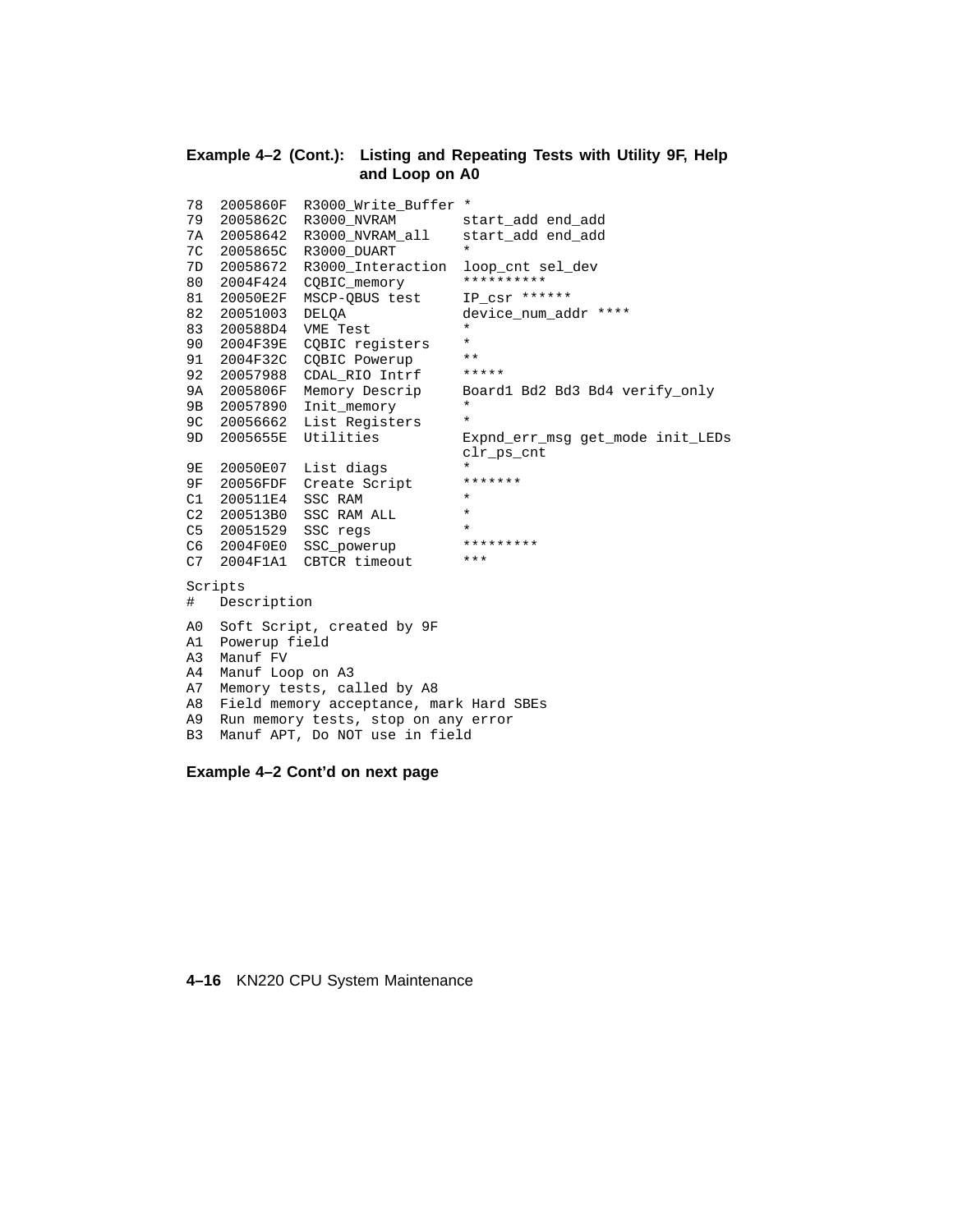#### **Example 4–2 (Cont.): Listing and Repeating Tests with Utility 9F, Help and Loop on A0**

```
78 2005860F R3000_Write_Buffer *
79 2005862C R3000_NVRAM start_add end_add
7A 20058642 R3000_NVRAM_all start_add end_add
7C 2005865C R3000_DUART *
7D 20058672 R3000_Interaction loop_cnt sel_dev
80 2004F424 CQBIC_memory **********
81 20050E2F MSCP-QBUS test IP_csr ******
82 20051003 DELQA device_num_addr ****
83 200588D4 VME Test *
    2004F39E CQBIC registers *<br>2004F32C COBIC Powerup **
91 2004F32C CQBIC Powerup **<br>92 20057988 CDAL RIO Intrf *****
92 20057988 CDAL_RIO Intrf *****
9A 2005806F Memory Descrip Board1 Bd2 Bd3 Bd4 verify_only
9B 20057890 Init memory *
9C 20056662 List Registers
9D 2005655E Utilities Expnd_err_msg get_mode init_LEDs
                                clr_ps_cnt
9E 20050E07 List diags *
9F 20056FDF Create Script *******
C1 200511E4 SSC RAM *
C2 200513B0 SSC RAM ALL *
C5 20051529 SSC regs *<br>C6 2004F0E0 SSC powerup **********
C6 2004F0E0 SSC_powerup ***<br>C7 2004F1A1 CBTCR timeout ***
C6 2004F0E0 SSC_powerup<br>C7 2004F1A1 CBTCR timeout
Scripts
# Description
A0 Soft Script, created by 9F
A1 Powerup field
A3 Manuf FV
A4 Manuf Loop on A3
A7 Memory tests, called by A8
A8 Field memory acceptance, mark Hard SBEs
A9 Run memory tests, stop on any error
B3 Manuf APT, Do NOT use in field
```
**Example 4–2 Cont'd on next page**

#### **4–16** KN220 CPU System Maintenance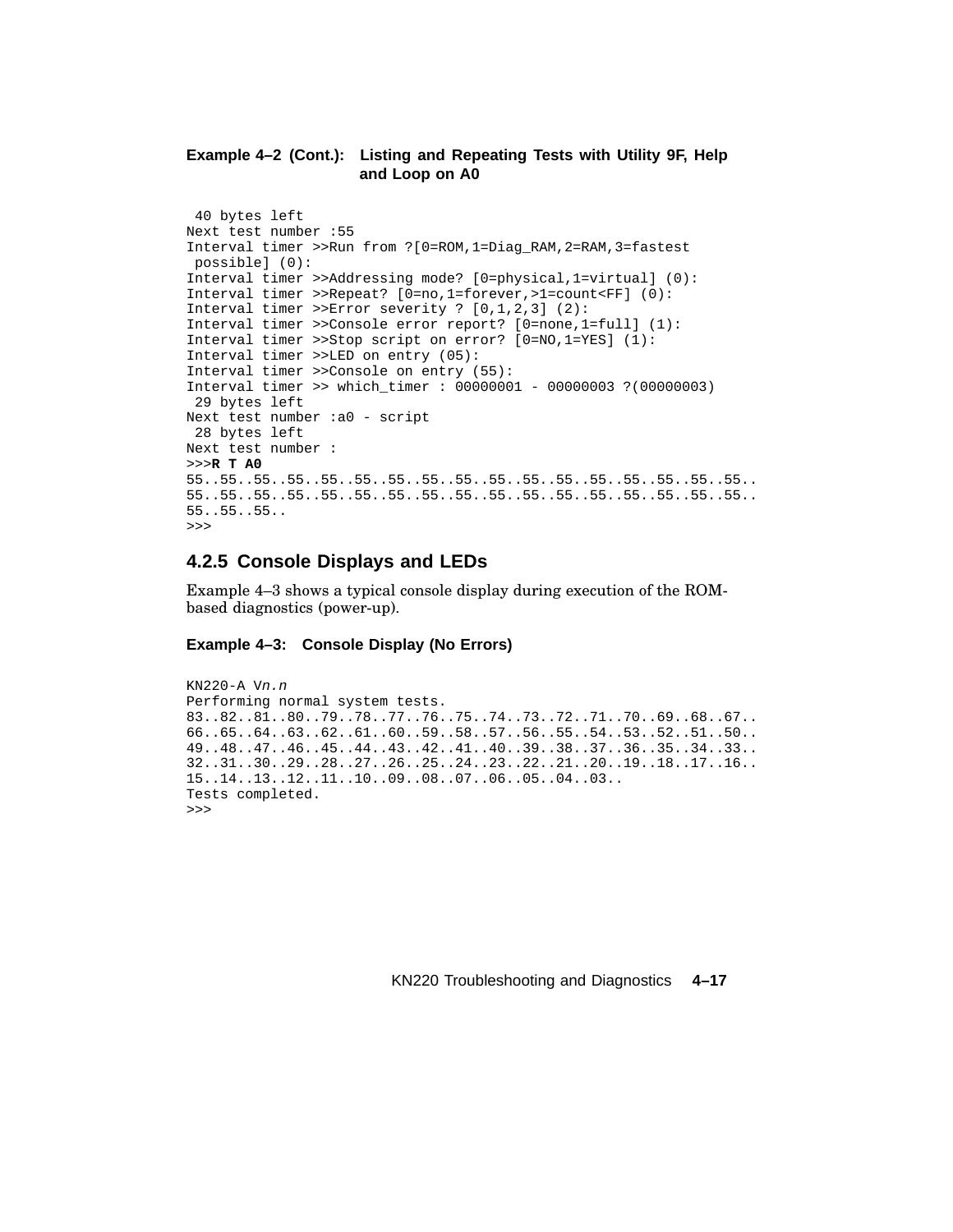## **Example 4–2 (Cont.): Listing and Repeating Tests with Utility 9F, Help and Loop on A0**

```
40 bytes left
Next test number :55
Interval timer >>Run from ?[0=ROM,1=Diag_RAM,2=RAM,3=fastest
possible] (0):
Interval timer >>Addressing mode? [0=physical,1=virtual] (0):
Interval timer >>Repeat? [0=no,1=forever,>1=count<FF] (0):
Interval timer >>Error severity ? [0,1,2,3] (2):
Interval timer >>Console error report? [0=none,1=full] (1):
Interval timer >>Stop script on error? [0=NO,1=YES] (1):
Interval timer >>LED on entry (05):
Interval timer >>Console on entry (55):
Interval timer >> which_timer : 00000001 - 00000003 ?(00000003)
29 bytes left
Next test number :a0 - script
28 bytes left
Next test number :
>>>R T A0
55..55..55..55..55..55..55..55..55..55..55..55..55..55..55..55..55..
55..55..55..55..55..55..55..55..55..55..55..55..55..55..55..55..55..
55..55..55..
>>>
```
# **4.2.5 Console Displays and LEDs**

Example 4–3 shows a typical console display during execution of the ROMbased diagnostics (power-up).

# **Example 4–3: Console Display (No Errors)**

```
KN220-A Vn.n
Performing normal system tests.
83..82..81..80..79..78..77..76..75..74..73..72..71..70..69..68..67..
66..65..64..63..62..61..60..59..58..57..56..55..54..53..52..51..50..
49..48..47..46..45..44..43..42..41..40..39..38..37..36..35..34..33..
32..31..30..29..28..27..26..25..24..23..22..21..20..19..18..17..16..
15..14..13..12..11..10..09..08..07..06..05..04..03..
Tests completed.
>>>
```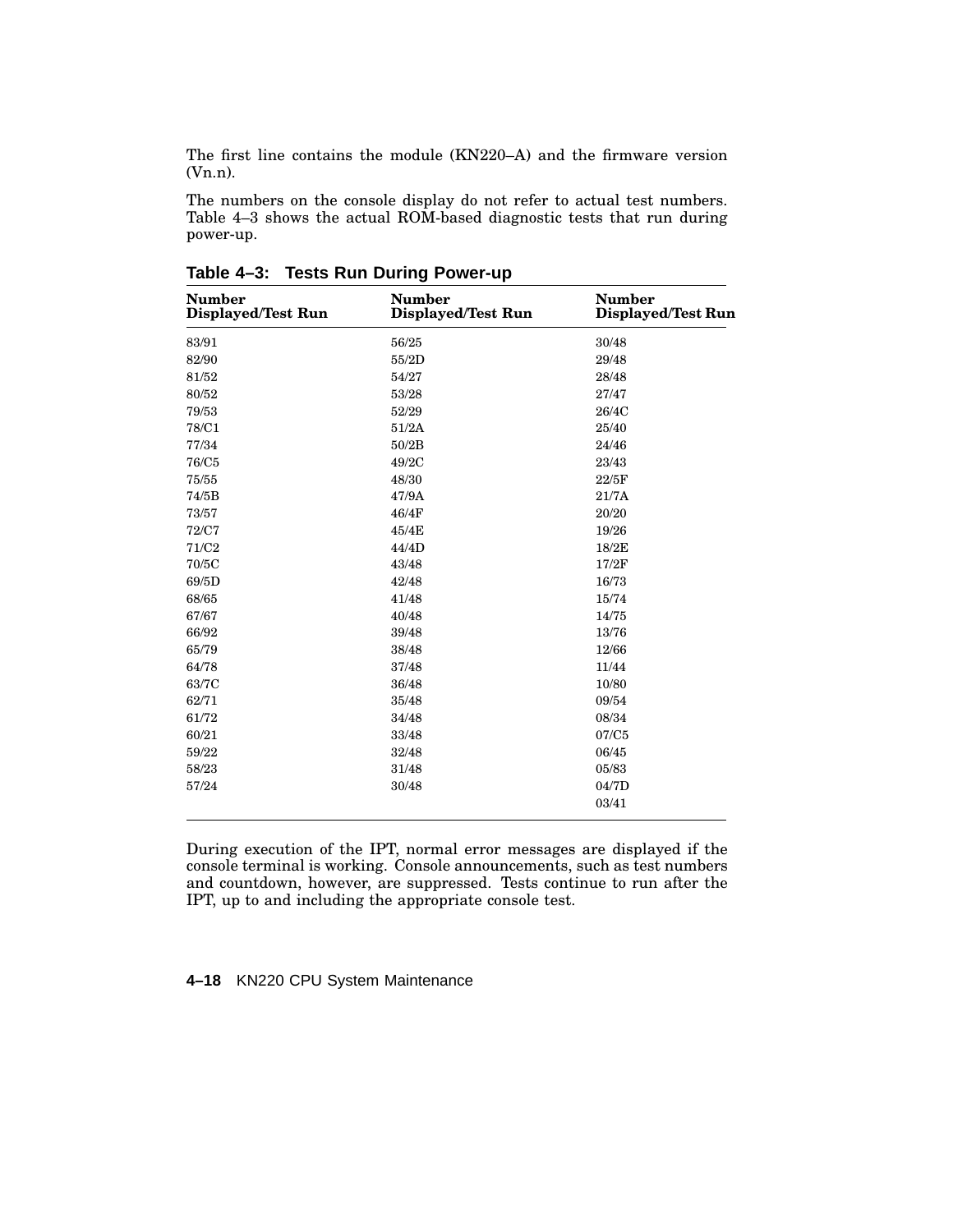The first line contains the module (KN220–A) and the firmware version (Vn.n).

The numbers on the console display do not refer to actual test numbers. Table 4–3 shows the actual ROM-based diagnostic tests that run during power-up.

| <b>Number</b><br><b>Displayed/Test Run</b> | <b>Number</b><br><b>Displayed/Test Run</b> | <b>Number</b><br>Displayed/Test Run |
|--------------------------------------------|--------------------------------------------|-------------------------------------|
| 83/91                                      | 56/25                                      | 30/48                               |
| 82/90                                      | 55/2D                                      | 29/48                               |
| 81/52                                      | 54/27                                      | 28/48                               |
| 80/52                                      | 53/28                                      | 27/47                               |
| 79/53                                      | 52/29                                      | 26/4C                               |
| 78/C1                                      | 51/2A                                      | 25/40                               |
| 77/34                                      | 50/2B                                      | 24/46                               |
| 76/C5                                      | 49/2C                                      | 23/43                               |
| 75/55                                      | 48/30                                      | 22/5F                               |
| 74/5B                                      | 47/9A                                      | 21/7A                               |
| 73/57                                      | 46/4F                                      | 20/20                               |
| 72/C7                                      | 45/4E                                      | 19/26                               |
| 71/C <sub>2</sub>                          | 44/4D                                      | 18/2E                               |
| 70/5C                                      | 43/48                                      | 17/2F                               |
| 69/5D                                      | 42/48                                      | 16/73                               |
| 68/65                                      | 41/48                                      | 15/74                               |
| 67/67                                      | 40/48                                      | 14/75                               |
| 66/92                                      | 39/48                                      | 13/76                               |
| 65/79                                      | 38/48                                      | 12/66                               |
| 64/78                                      | 37/48                                      | 11/44                               |
| 63/7C                                      | 36/48                                      | 10/80                               |
| 62/71                                      | 35/48                                      | 09/54                               |
| 61/72                                      | 34/48                                      | 08/34                               |
| 60/21                                      | 33/48                                      | 07/C5                               |
| 59/22                                      | 32/48                                      | 06/45                               |
| 58/23                                      | 31/48                                      | 05/83                               |
| 57/24                                      | 30/48                                      | 04/7D                               |
|                                            |                                            | 03/41                               |

**Table 4–3: Tests Run During Power-up**

During execution of the IPT, normal error messages are displayed if the console terminal is working. Console announcements, such as test numbers and countdown, however, are suppressed. Tests continue to run after the IPT, up to and including the appropriate console test.

**4–18** KN220 CPU System Maintenance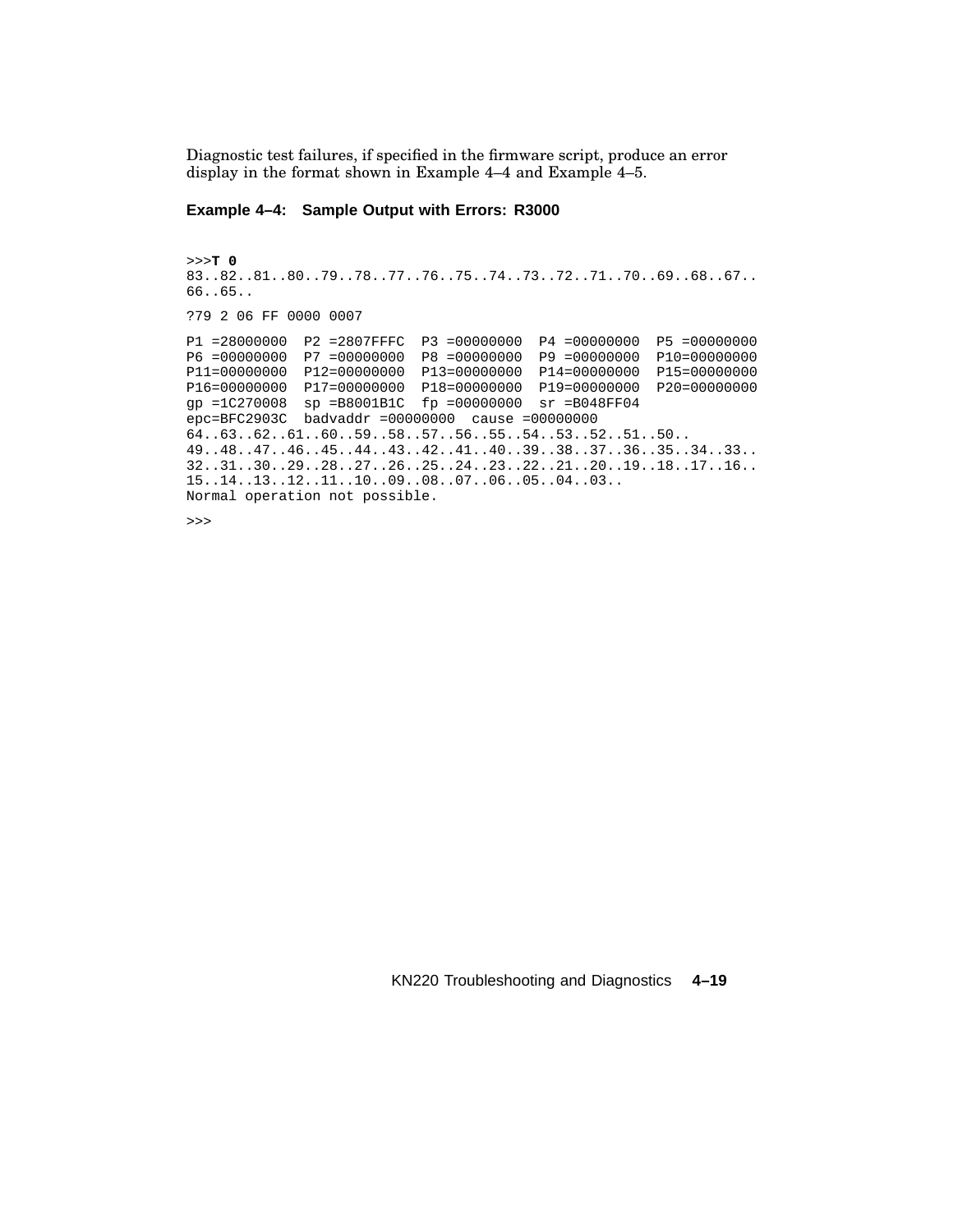Diagnostic test failures, if specified in the firmware script, produce an error display in the format shown in Example 4–4 and Example 4–5.

### **Example 4–4: Sample Output with Errors: R3000**

```
>>>T 0
83..82..81..80..79..78..77..76..75..74..73..72..71..70..69..68..67..
66..65..
?79 2 06 FF 0000 0007
P1 =28000000 P2 =2807FFFC P3 =00000000 P4 =00000000 P5 =00000000
P6 =00000000 P7 =00000000 P8 =00000000 P9 =00000000 P10=00000000
P11=00000000 P12=00000000 P13=00000000 P14=00000000 P15=00000000
P16=00000000 P17=00000000 P18=00000000 P19=00000000 P20=00000000
gp =1C270008 sp =B8001B1C fp =00000000 sr =B048FF04
epc=BFC2903C badvaddr =00000000 cause =00000000
64..63..62..61..60..59..58..57..56..55..54..53..52..51..50..
49..48..47..46..45..44..43..42..41..40..39..38..37..36..35..34..33..
32..31..30..29..28..27..26..25..24..23..22..21..20..19..18..17..16..
15..14..13..12..11..10..09..08..07..06..05..04..03..
Normal operation not possible.
```
>>>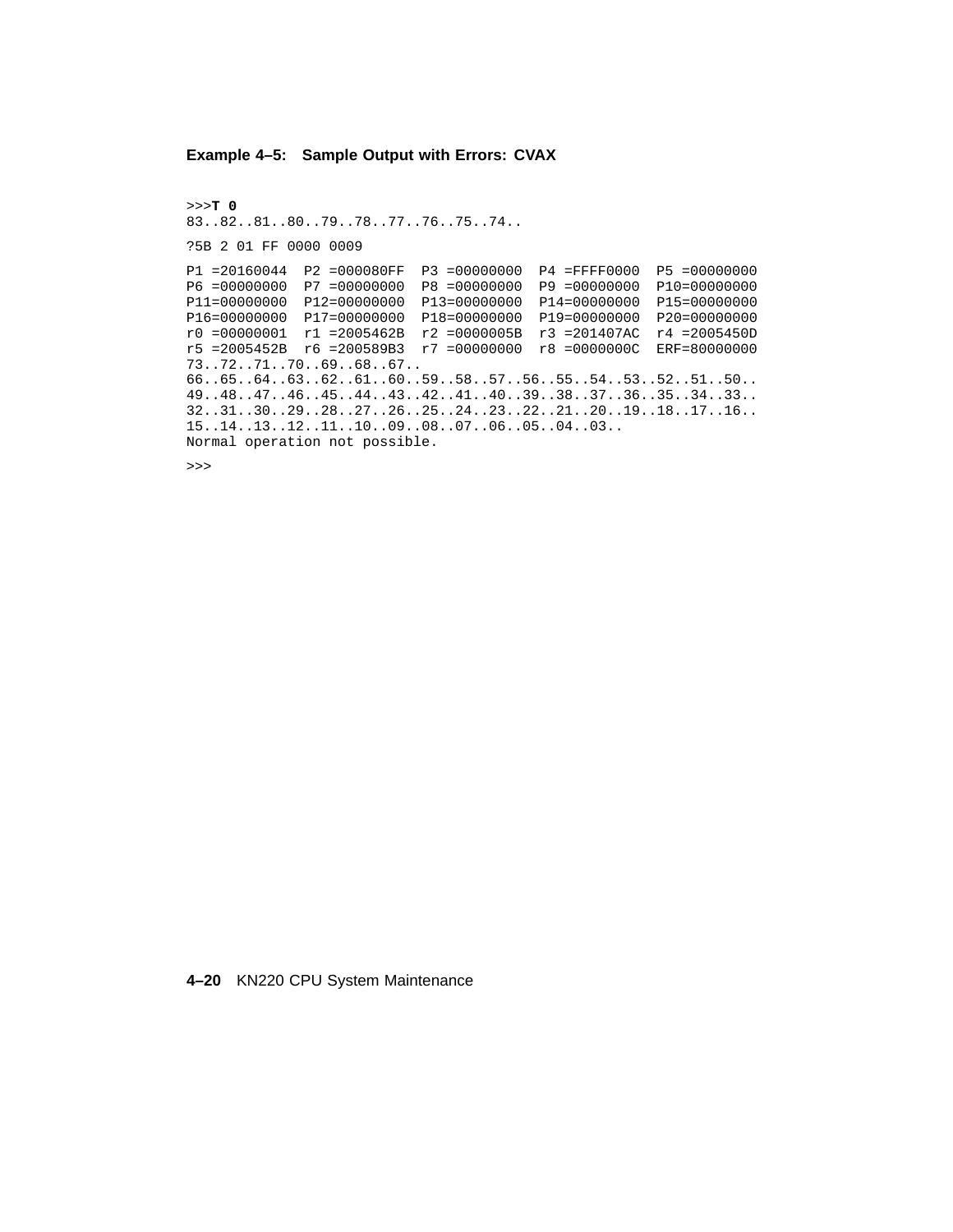### **Example 4–5: Sample Output with Errors: CVAX**

>>>**T 0** 83..82..81..80..79..78..77..76..75..74.. ?5B 2 01 FF 0000 0009 P1 =20160044 P2 =000080FF P3 =00000000 P4 =FFFF0000 P5 =00000000 P6 =00000000 P7 =00000000 P8 =00000000 P9 =00000000 P10=00000000 P11=00000000 P12=00000000 P13=00000000 P14=00000000 P15=00000000 P16=00000000 P17=00000000 P18=00000000 P19=00000000 P20=00000000 r0 =00000001 r1 =2005462B r2 =0000005B r3 =201407AC r4 =2005450D r5 =2005452B r6 =200589B3 r7 =00000000 r8 =0000000C ERF=80000000 73..72..71..70..69..68..67.. 66..65..64..63..62..61..60..59..58..57..56..55..54..53..52..51..50.. 49..48..47..46..45..44..43..42..41..40..39..38..37..36..35..34..33.. 32..31..30..29..28..27..26..25..24..23..22..21..20..19..18..17..16.. 15..14..13..12..11..10..09..08..07..06..05..04..03.. Normal operation not possible.

>>>

**4–20** KN220 CPU System Maintenance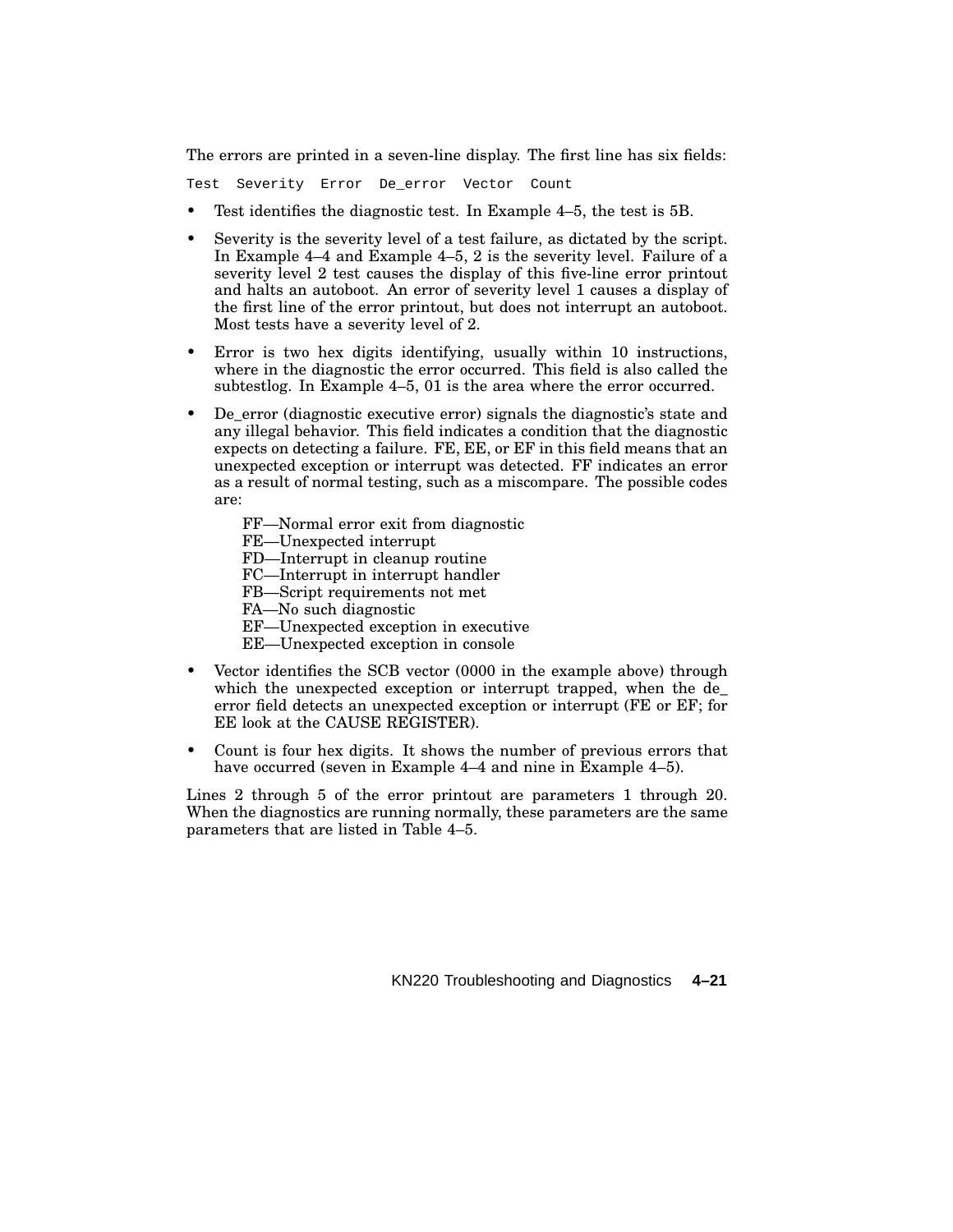The errors are printed in a seven-line display. The first line has six fields:

Test Severity Error De\_error Vector Count

- Test identifies the diagnostic test. In Example 4–5, the test is 5B.
- Severity is the severity level of a test failure, as dictated by the script. In Example 4–4 and Example 4–5, 2 is the severity level. Failure of a severity level 2 test causes the display of this five-line error printout and halts an autoboot. An error of severity level 1 causes a display of the first line of the error printout, but does not interrupt an autoboot. Most tests have a severity level of 2.
- Error is two hex digits identifying, usually within 10 instructions, where in the diagnostic the error occurred. This field is also called the subtestlog. In Example 4–5, 01 is the area where the error occurred.
- De error (diagnostic executive error) signals the diagnostic's state and any illegal behavior. This field indicates a condition that the diagnostic expects on detecting a failure. FE, EE, or EF in this field means that an unexpected exception or interrupt was detected. FF indicates an error as a result of normal testing, such as a miscompare. The possible codes are:
	- FF—Normal error exit from diagnostic
	- FE—Unexpected interrupt
	- FD—Interrupt in cleanup routine
	- FC—Interrupt in interrupt handler
	- FB—Script requirements not met
	- FA—No such diagnostic
	- EF—Unexpected exception in executive
	- EE—Unexpected exception in console
- Vector identifies the SCB vector (0000 in the example above) through which the unexpected exception or interrupt trapped, when the de\_ error field detects an unexpected exception or interrupt (FE or EF; for EE look at the CAUSE REGISTER).
- Count is four hex digits. It shows the number of previous errors that have occurred (seven in Example 4–4 and nine in Example 4–5).

Lines 2 through 5 of the error printout are parameters 1 through 20. When the diagnostics are running normally, these parameters are the same parameters that are listed in Table 4–5.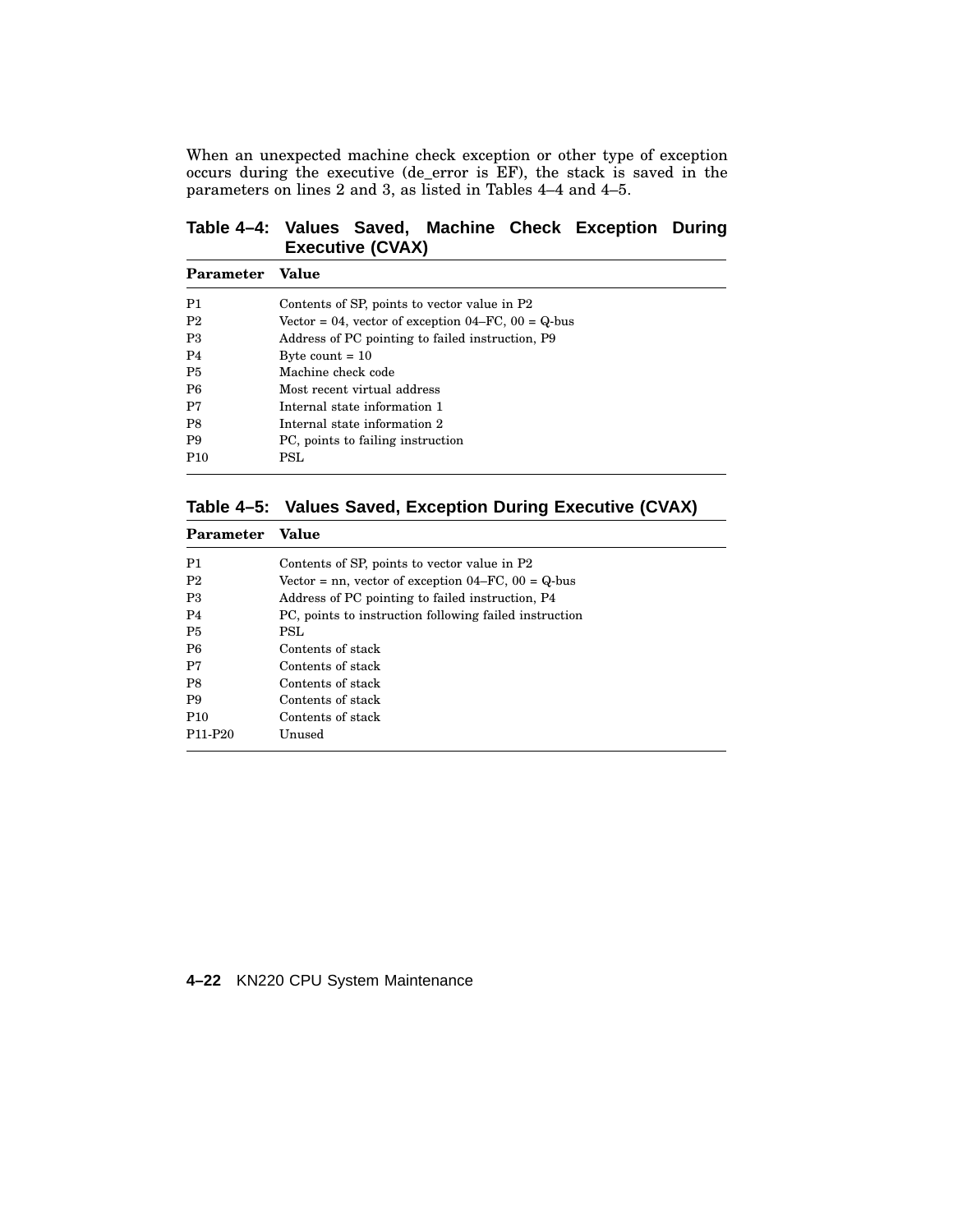When an unexpected machine check exception or other type of exception occurs during the executive (de\_error is EF), the stack is saved in the parameters on lines 2 and 3, as listed in Tables 4–4 and 4–5.

# **Table 4–4: Values Saved, Machine Check Exception During Executive (CVAX)**

| Parameter       | Value                                                      |
|-----------------|------------------------------------------------------------|
| P1              | Contents of SP, points to vector value in P2               |
| P <sub>2</sub>  | Vector = 04, vector of exception $04 - FC$ , $00 = Q$ -bus |
| P3              | Address of PC pointing to failed instruction, P9           |
| P <sub>4</sub>  | Byte count $= 10$                                          |
| P <sub>5</sub>  | Machine check code                                         |
| P <sub>6</sub>  | Most recent virtual address                                |
| P7              | Internal state information 1                               |
| P <sub>8</sub>  | Internal state information 2                               |
| P <sub>9</sub>  | PC, points to failing instruction                          |
| P <sub>10</sub> | <b>PSL</b>                                                 |

|  | Table 4-5: Values Saved, Exception During Executive (CVAX) |  |  |  |  |
|--|------------------------------------------------------------|--|--|--|--|
|--|------------------------------------------------------------|--|--|--|--|

| Parameter                        | Value                                                      |
|----------------------------------|------------------------------------------------------------|
| P1                               | Contents of SP, points to vector value in P2               |
| P <sub>2</sub>                   | Vector = nn, vector of exception $04 - FC$ , $00 = Q$ -bus |
| P <sub>3</sub>                   | Address of PC pointing to failed instruction, P4           |
| P <sub>4</sub>                   | PC, points to instruction following failed instruction     |
| P <sub>5</sub>                   | PSL                                                        |
| P <sub>6</sub>                   | Contents of stack                                          |
| P7                               | Contents of stack                                          |
| P <sub>8</sub>                   | Contents of stack                                          |
| P <sub>9</sub>                   | Contents of stack                                          |
| P <sub>10</sub>                  | Contents of stack                                          |
| P <sub>11</sub> -P <sub>20</sub> | Unused                                                     |

# **4–22** KN220 CPU System Maintenance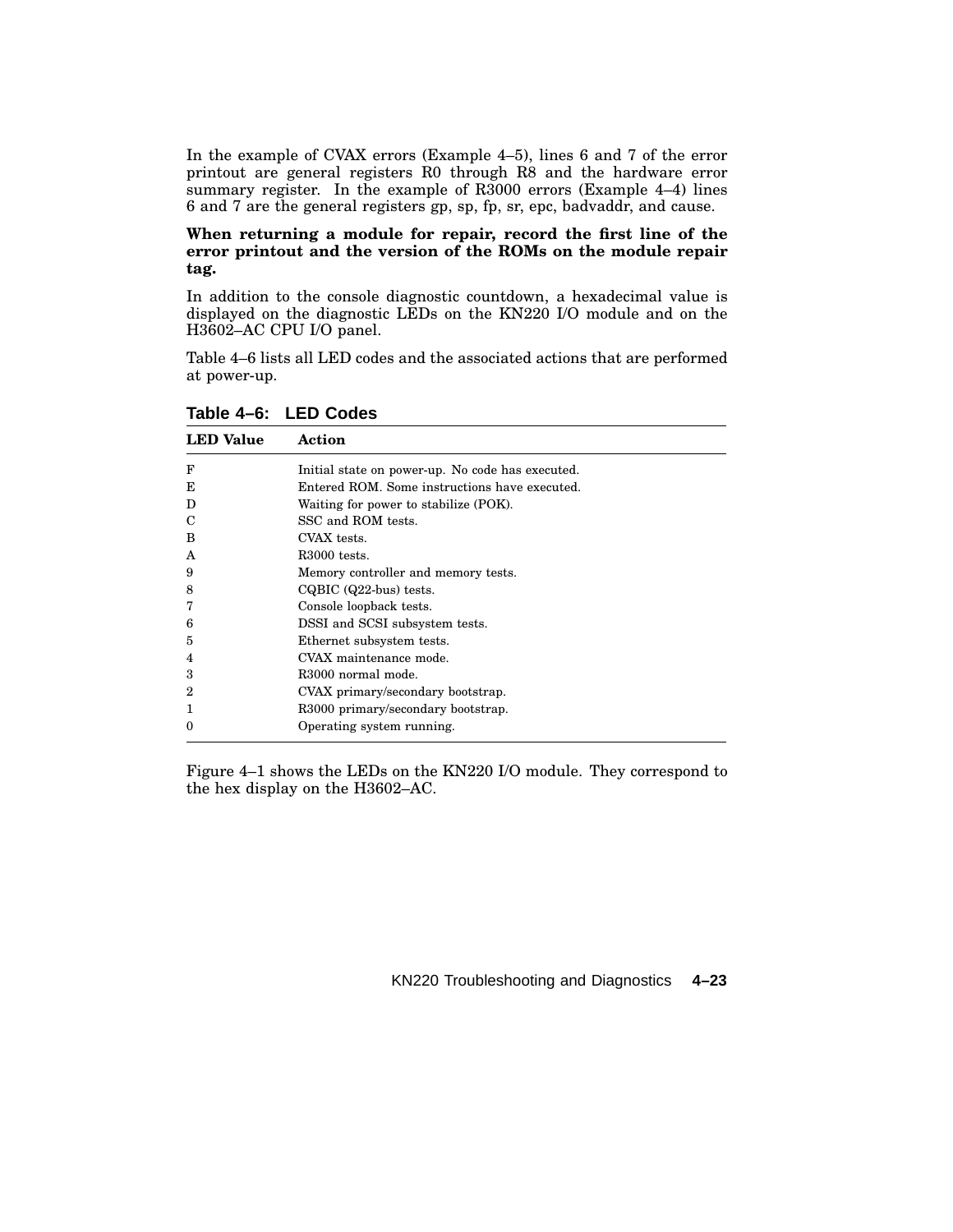In the example of CVAX errors (Example 4–5), lines 6 and 7 of the error printout are general registers R0 through R8 and the hardware error summary register. In the example of R3000 errors (Example 4-4) lines 6 and 7 are the general registers gp, sp, fp, sr, epc, badvaddr, and cause.

## **When returning a module for repair, record the first line of the error printout and the version of the ROMs on the module repair tag.**

In addition to the console diagnostic countdown, a hexadecimal value is displayed on the diagnostic LEDs on the KN220 I/O module and on the H3602–AC CPU I/O panel.

Table 4–6 lists all LED codes and the associated actions that are performed at power-up.

| <b>LED</b> Value | Action                                           |
|------------------|--------------------------------------------------|
| F                | Initial state on power-up. No code has executed. |
| E                | Entered ROM. Some instructions have executed.    |
| D                | Waiting for power to stabilize (POK).            |
| C                | SSC and ROM tests.                               |
| B                | CVAX tests.                                      |
| A                | R <sub>3000</sub> tests.                         |
| 9                | Memory controller and memory tests.              |
| 8                | $CQBIC$ $(Q22-bus)$ tests.                       |
| 7                | Console loopback tests.                          |
| 6                | DSSI and SCSI subsystem tests.                   |
| 5                | Ethernet subsystem tests.                        |
| 4                | CVAX maintenance mode.                           |
| 3                | R <sub>3000</sub> normal mode.                   |
| $\boldsymbol{2}$ | CVAX primary/secondary bootstrap.                |
|                  | R3000 primary/secondary bootstrap.               |
| 0                | Operating system running.                        |
|                  |                                                  |

**Table 4–6: LED Codes**

Figure 4–1 shows the LEDs on the KN220 I/O module. They correspond to the hex display on the H3602–AC.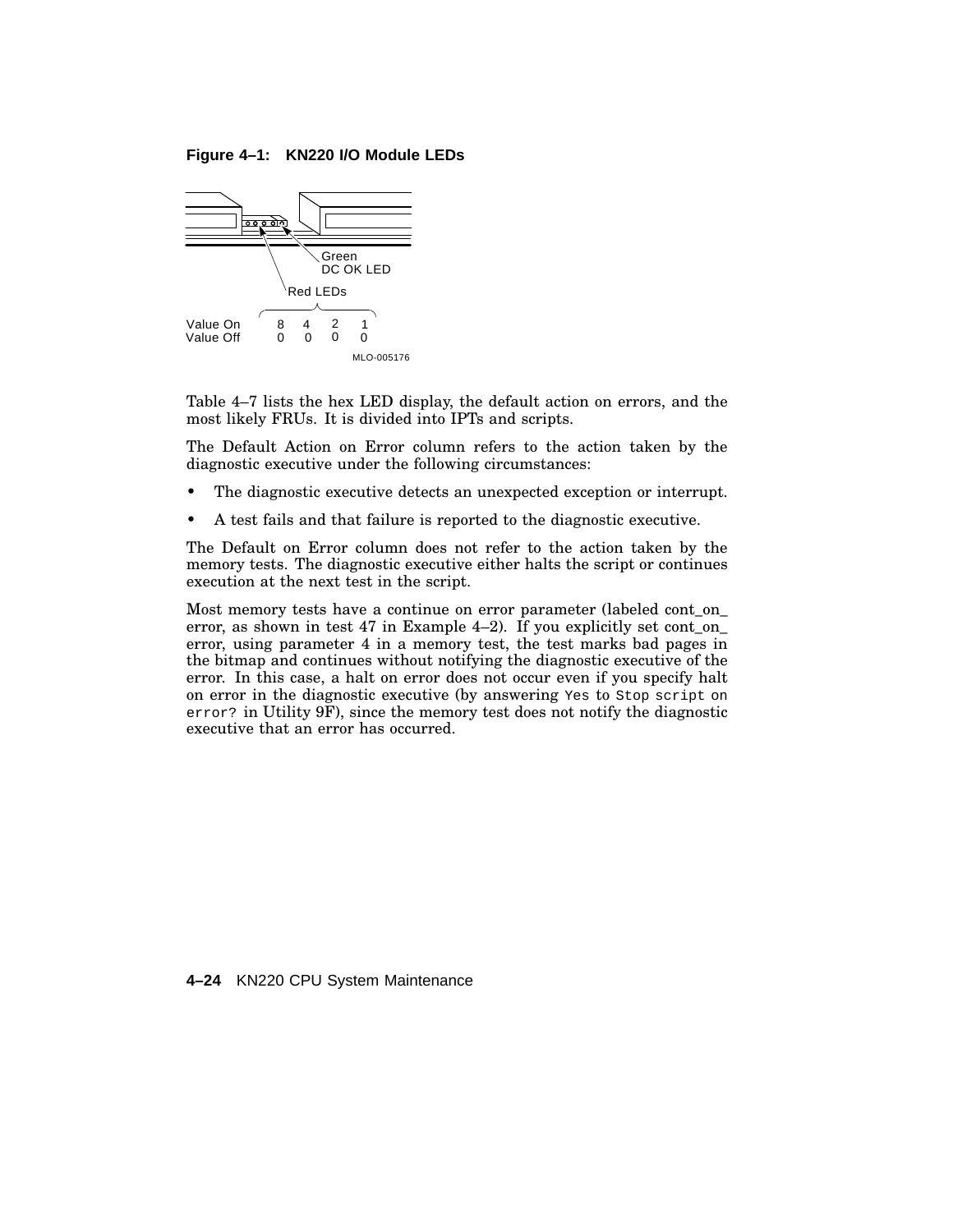**Figure 4–1: KN220 I/O Module LEDs**



Table 4–7 lists the hex LED display, the default action on errors, and the most likely FRUs. It is divided into IPTs and scripts.

The Default Action on Error column refers to the action taken by the diagnostic executive under the following circumstances:

- The diagnostic executive detects an unexpected exception or interrupt.
- A test fails and that failure is reported to the diagnostic executive.

The Default on Error column does not refer to the action taken by the memory tests. The diagnostic executive either halts the script or continues execution at the next test in the script.

Most memory tests have a continue on error parameter (labeled cont\_on\_ error, as shown in test 47 in Example 4–2). If you explicitly set cont\_on\_ error, using parameter 4 in a memory test, the test marks bad pages in the bitmap and continues without notifying the diagnostic executive of the error. In this case, a halt on error does not occur even if you specify halt on error in the diagnostic executive (by answering Yes to Stop script on error? in Utility 9F), since the memory test does not notify the diagnostic executive that an error has occurred.

**4–24** KN220 CPU System Maintenance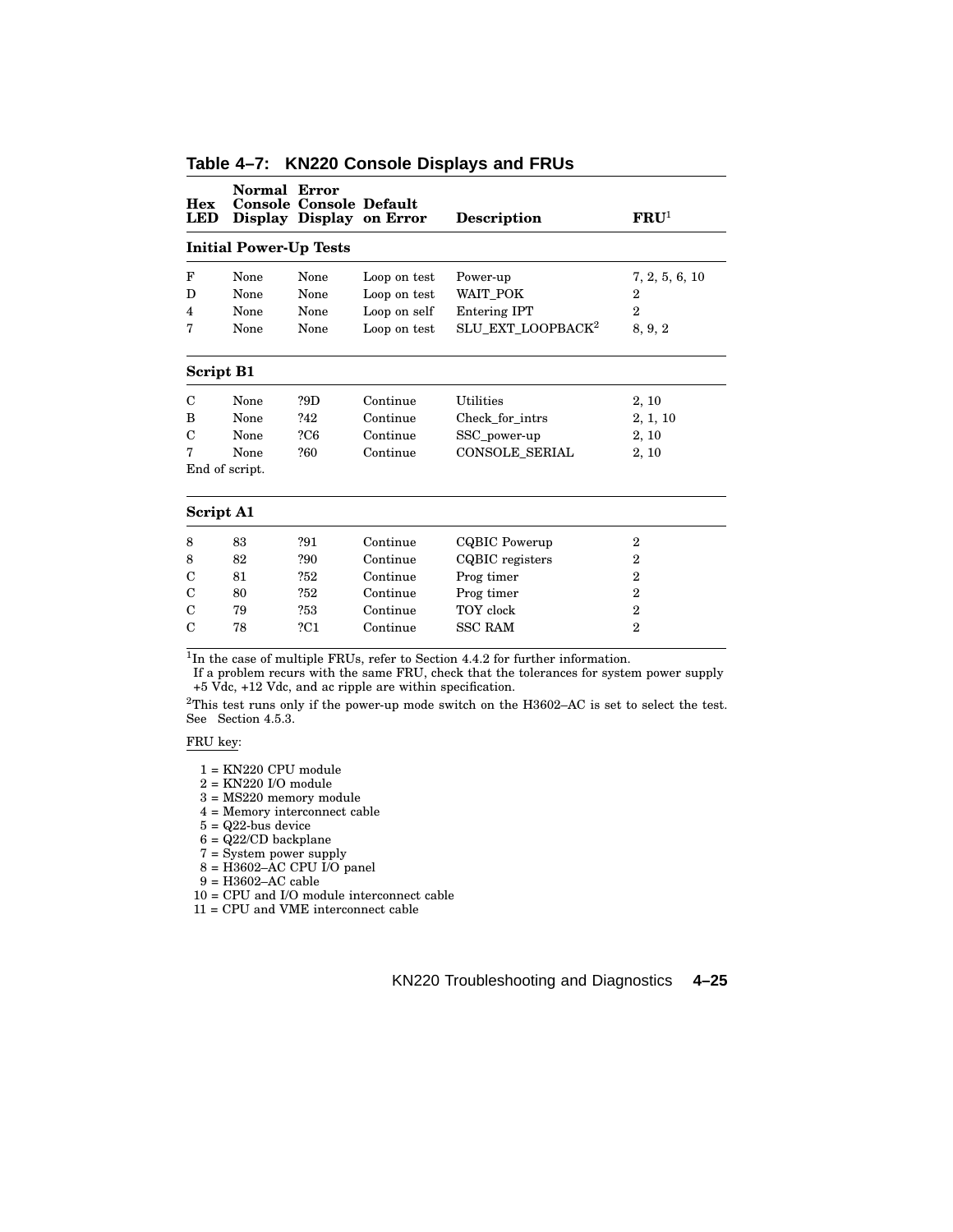| <b>Hex</b><br>LED | <b>Normal Error</b>           | <b>Console Console Default</b> | Display Display on Error | <b>Description</b>            | $\mathbf{FRU}^1$ |
|-------------------|-------------------------------|--------------------------------|--------------------------|-------------------------------|------------------|
|                   | <b>Initial Power-Up Tests</b> |                                |                          |                               |                  |
| F                 | None                          | None                           | Loop on test             | Power-up                      | 7, 2, 5, 6, 10   |
| D                 | None                          | None                           | Loop on test             | WAIT POK                      | 2                |
| 4                 | None                          | None                           | Loop on self             | <b>Entering IPT</b>           | $\overline{2}$   |
| 7                 | None                          | None                           | Loop on test             | SLU_EXT_LOOPBACK <sup>2</sup> | 8, 9, 2          |
| Script B1         |                               |                                |                          |                               |                  |
| C                 | None                          | ?9D                            | Continue                 | Utilities                     | 2, 10            |
| B                 | None                          | ?42                            | Continue                 | Check for intrs               | 2, 1, 10         |
| C                 | None                          | 2C6                            | Continue                 | SSC_power-up                  | 2, 10            |
| 7                 | None                          | ?60                            | Continue                 | <b>CONSOLE SERIAL</b>         | 2, 10            |
|                   | End of script.                |                                |                          |                               |                  |
| <b>Script A1</b>  |                               |                                |                          |                               |                  |
| 8                 | 83                            | ?91                            | Continue                 | CQBIC Powerup                 | $\overline{2}$   |
| 8                 | 82                            | ?90                            | Continue                 | CQBIC registers               | 2                |
| C                 | 81                            | ?52                            | Continue                 | Prog timer                    | $\overline{2}$   |
| C                 | 80                            | ?52                            | Continue                 | Prog timer                    | $\overline{2}$   |
| С                 | 79                            | ?53                            | Continue                 | TOY clock                     | $\overline{2}$   |
| С                 | 78                            | ?C1                            | Continue                 | <b>SSC RAM</b>                | $\overline{2}$   |

# **Table 4–7: KN220 Console Displays and FRUs**

<sup>1</sup>In the case of multiple FRUs, refer to Section 4.4.2 for further information.

If a problem recurs with the same FRU, check that the tolerances for system power supply +5 Vdc, +12 Vdc, and ac ripple are within specification.

 $^{2}\mathrm{This}$  test runs only if the power-up mode switch on the H3602–AC is set to select the test. See Section 4.5.3.

FRU key:

 $1 = \mathrm{KN220}$  CPU module

2 = KN220 I/O module

3 = MS220 memory module

4 = Memory interconnect cable

 $5 = Q22$ -bus device

 $6 = \frac{Q22}{CD}$  backplane

7 = System power supply

 $8 = \text{H}3602 - \text{AC CPU }1/\text{O}$  panel

 $9 = H3602 - AC$  cable

10 = CPU and I/O module interconnect cable

11 = CPU and VME interconnect cable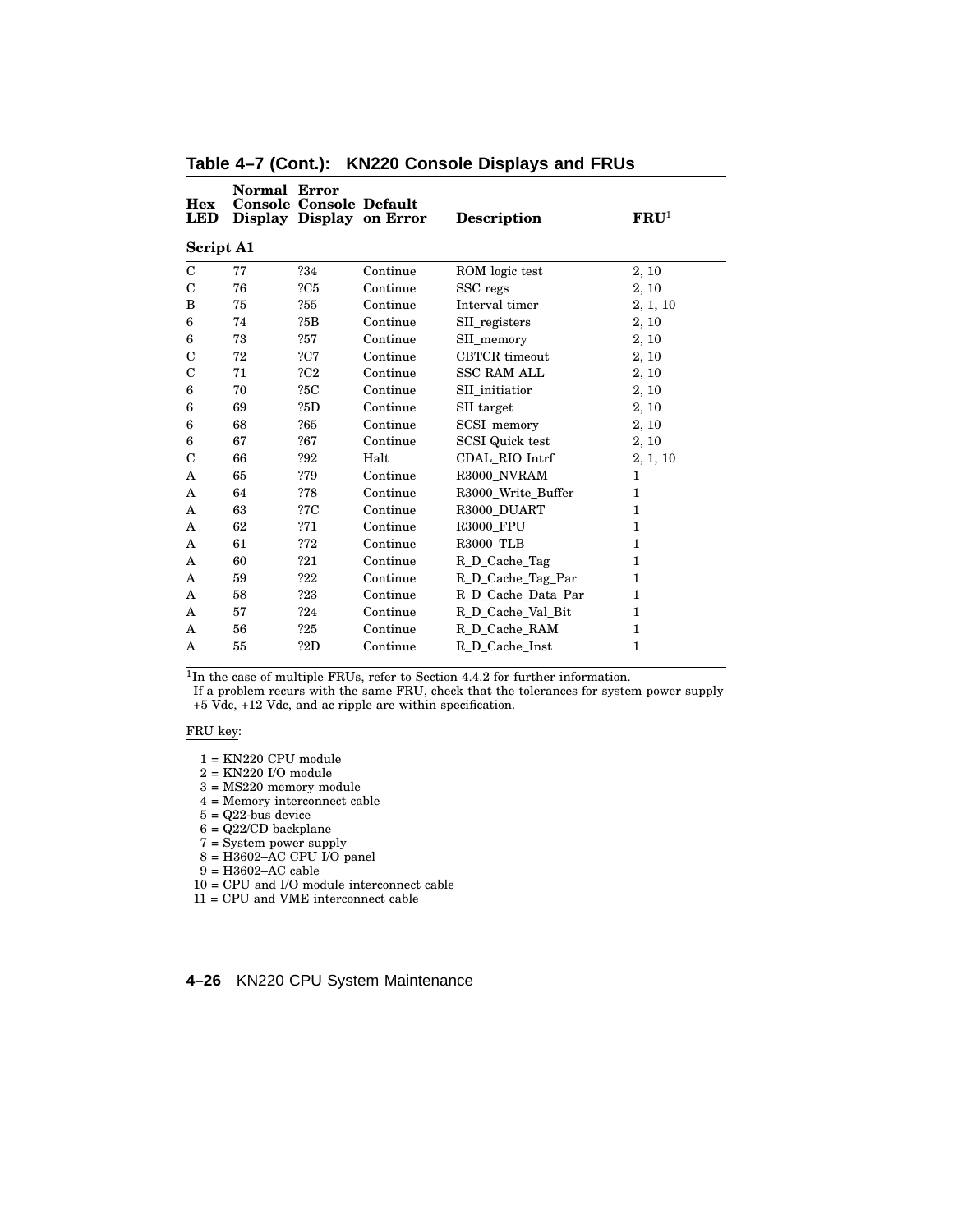| Hex<br><b>LED</b> | Normal Error | <b>Console Console Default</b> | Display Display on Error | <b>Description</b>     | $\mathbf{FRU}^1$ |
|-------------------|--------------|--------------------------------|--------------------------|------------------------|------------------|
| <b>Script A1</b>  |              |                                |                          |                        |                  |
| $\mathcal{C}$     | 77           | ?34                            | Continue                 | ROM logic test         | 2, 10            |
| $\mathbf C$       | 76           | 2C5                            | Continue                 | SSC regs               | 2, 10            |
| B                 | 75           | ?55                            | Continue                 | Interval timer         | 2, 1, 10         |
| 6                 | 74           | ?5B                            | Continue                 | SII_registers          | 2, 10            |
| 6                 | 73           | ?57                            | Continue                 | SII memory             | 2, 10            |
| $\mathbf C$       | 72           | 2C7                            | Continue                 | <b>CBTCR</b> timeout   | 2, 10            |
| $\mathbf C$       | 71           | 2C2                            | Continue                 | <b>SSC RAM ALL</b>     | 2, 10            |
| 6                 | 70           | ?5C                            | Continue                 | SII initiatior         | 2, 10            |
| 6                 | 69           | ?5D                            | Continue                 | SII target             | 2, 10            |
| 6                 | 68           | ?65                            | Continue                 | SCSI_memory            | 2, 10            |
| 6                 | 67           | ?67                            | Continue                 | <b>SCSI</b> Quick test | 2, 10            |
| C                 | 66           | ?92                            | Halt                     | CDAL RIO Intrf         | 2, 1, 10         |
| A                 | 65           | ?79                            | Continue                 | R3000 NVRAM            | 1                |
| A                 | 64           | ?78                            | Continue                 | R3000 Write Buffer     | $\mathbf{1}$     |
| A                 | 63           | ?7C                            | Continue                 | R3000 DUART            | 1                |
| A                 | 62           | 271                            | Continue                 | <b>R3000 FPU</b>       | 1                |
| A                 | 61           | ?72                            | Continue                 | <b>R3000 TLB</b>       | 1                |
| A                 | 60           | ?21                            | Continue                 | R_D_Cache_Tag          | 1                |
| A                 | 59           | ?22                            | Continue                 | R_D_Cache_Tag_Par      | 1                |
| A                 | 58           | ?23                            | Continue                 | R_D_Cache_Data_Par     | 1                |
| A                 | 57           | ?24                            | Continue                 | R D Cache Val Bit      | 1                |
| A                 | 56           | ?25                            | Continue                 | R_D_Cache_RAM          | $\mathbf{1}$     |
| A                 | 55           | ?2D                            | Continue                 | R_D_Cache_Inst         | 1                |
|                   |              |                                |                          |                        |                  |

**Table 4–7 (Cont.): KN220 Console Displays and FRUs**

If a problem recurs with the same FRU, check that the tolerances for system power supply +5 Vdc, +12 Vdc, and ac ripple are within specification.

### FRU key:

- 1 = KN220 CPU module
- 2 = KN220 I/O module
- 3 = MS220 memory module
- 4 = Memory interconnect cable
- $5 = Q22$ -bus device
- $6 = \frac{Q22}{CD}$  backplane
- 7 = System power supply
- $8 = H3602 AC CPU I/O panel$
- $9 =$  H3602–AC cable
- 10 = CPU and I/O module interconnect cable
- 11 = CPU and VME interconnect cable

## **4–26** KN220 CPU System Maintenance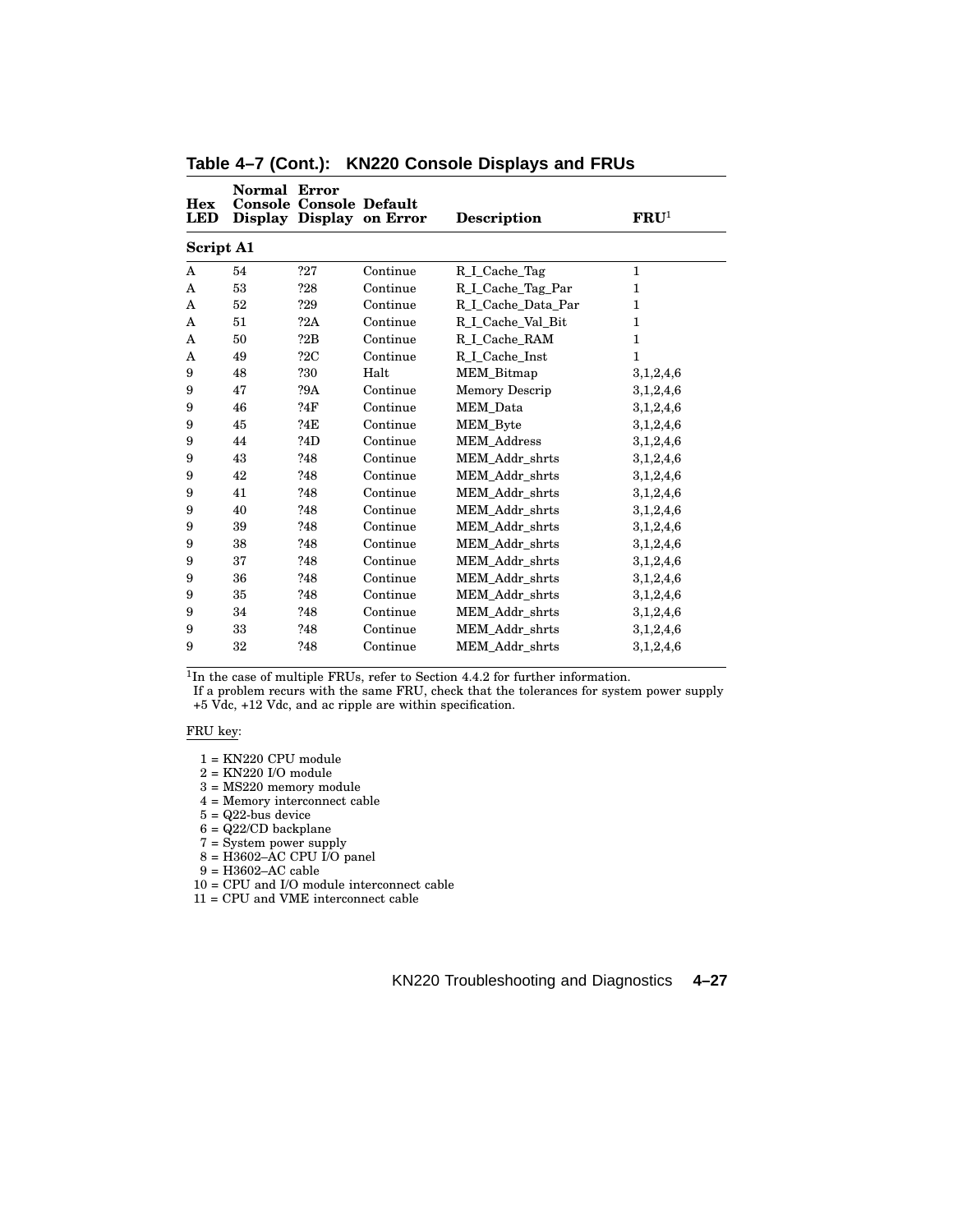| <b>Hex</b><br><b>LED</b> | Normal | Error<br><b>Console Console Default</b> | Display Display on Error | <b>Description</b>           | $\mathbf{FRU}^1$ |
|--------------------------|--------|-----------------------------------------|--------------------------|------------------------------|------------------|
| <b>Script A1</b>         |        |                                         |                          |                              |                  |
| A                        | 54     | ?27                                     | Continue                 | R_I_Cache_Tag                | 1                |
| A                        | 53     | ?28                                     | Continue                 | R <sub>I</sub> Cache Tag Par | $\mathbf{1}$     |
| A                        | 52     | ?29                                     | Continue                 | R I Cache Data Par           | $\mathbf{1}$     |
| A                        | 51     | ?2A                                     | Continue                 | R <sub>I</sub> Cache_Val_Bit | 1                |
| A                        | 50     | ?2B                                     | Continue                 | R I Cache RAM                | 1                |
| A                        | 49     | 22C                                     | Continue                 | R_I_Cache_Inst               | $\mathbf{1}$     |
| 9                        | 48     | ?30                                     | Halt                     | MEM_Bitmap                   | 3,1,2,4,6        |
| 9                        | 47     | ?9A                                     | Continue                 | Memory Descrip               | 3,1,2,4,6        |
| 9                        | 46     | ?4F                                     | Continue                 | MEM Data                     | 3,1,2,4,6        |
| 9                        | 45     | ?4E                                     | Continue                 | <b>MEM_Byte</b>              | 3,1,2,4,6        |
| 9                        | 44     | ?4D                                     | Continue                 | <b>MEM</b> Address           | 3,1,2,4,6        |
| 9                        | 43     | ?48                                     | Continue                 | MEM Addr shrts               | 3,1,2,4,6        |
| 9                        | 42     | ?48                                     | Continue                 | MEM Addr shrts               | 3,1,2,4,6        |
| 9                        | 41     | ?48                                     | Continue                 | MEM Addr shrts               | 3,1,2,4,6        |
| 9                        | 40     | ?48                                     | Continue                 | MEM Addr shrts               | 3,1,2,4,6        |
| 9                        | 39     | ?48                                     | Continue                 | MEM Addr shrts               | 3,1,2,4,6        |
| 9                        | 38     | ?48                                     | Continue                 | MEM Addr shrts               | 3,1,2,4,6        |
| 9                        | 37     | ?48                                     | Continue                 | MEM Addr shrts               | 3,1,2,4,6        |
| 9                        | 36     | ?48                                     | Continue                 | MEM_Addr_shrts               | 3,1,2,4,6        |
| 9                        | 35     | ?48                                     | Continue                 | MEM Addr shrts               | 3,1,2,4,6        |
| 9                        | 34     | ?48                                     | Continue                 | MEM Addr shrts               | 3,1,2,4,6        |
| 9                        | 33     | ?48                                     | Continue                 | MEM Addr shrts               | 3,1,2,4,6        |
| 9                        | 32     | ?48                                     | Continue                 | MEM Addr shrts               | 3,1,2,4,6        |

**Table 4–7 (Cont.): KN220 Console Displays and FRUs**

If a problem recurs with the same FRU, check that the tolerances for system power supply +5 Vdc, +12 Vdc, and ac ripple are within specification.

### FRU key:

- 1 = KN220 CPU module
- 2 = KN220 I/O module
- 3 = MS220 memory module
- 4 = Memory interconnect cable
- $5 = Q22$ -bus device
- $6 = \frac{Q22}{CD}$  backplane
- 7 = System power supply
- $8 = H3602 AC CPU I/O panel$
- $9 =$  H3602–AC cable
- 10 = CPU and I/O module interconnect cable
- 11 = CPU and VME interconnect cable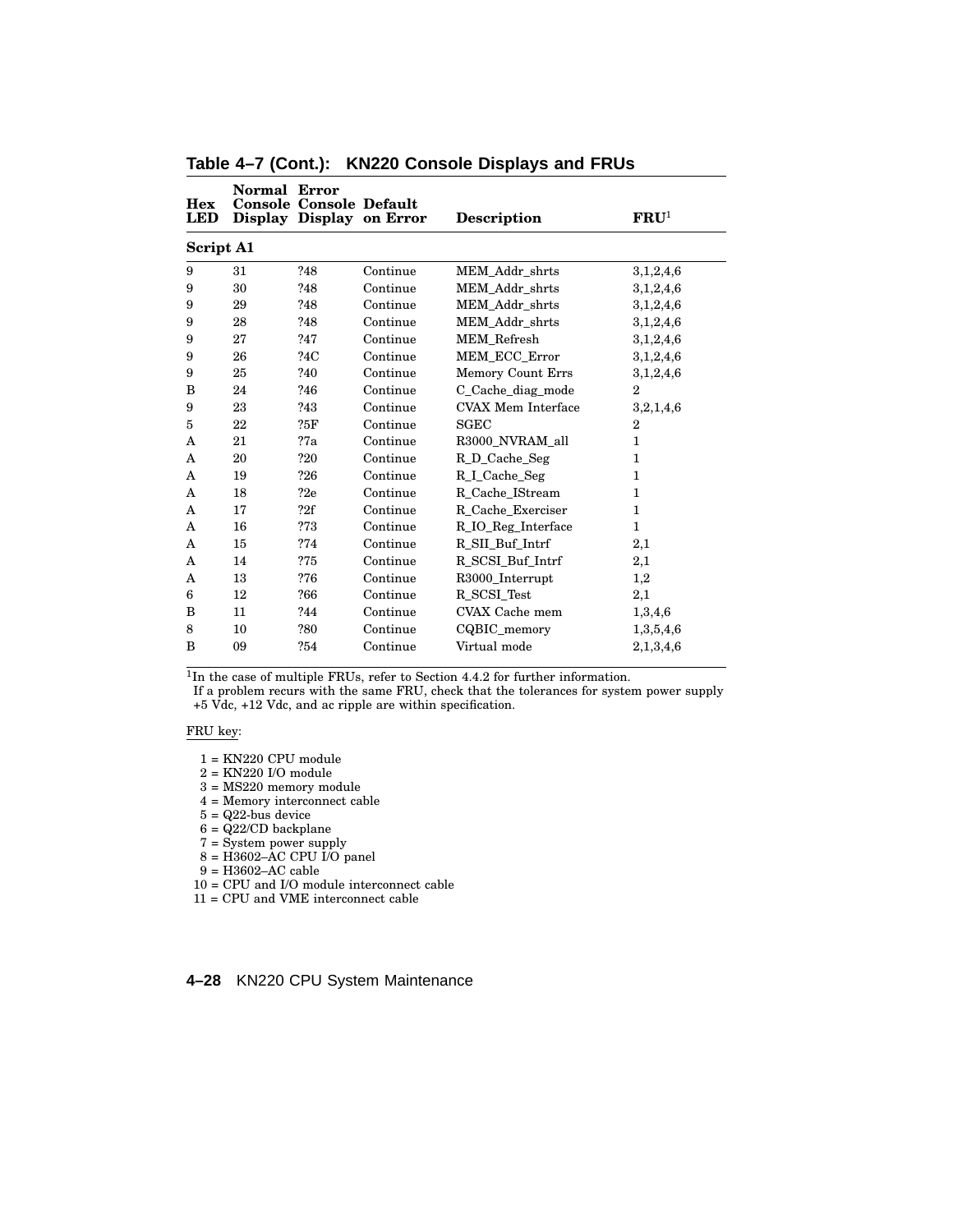| Hex<br><b>LED</b> | Normal | Error<br><b>Console Console Default</b> | Display Display on Error | <b>Description</b>        | $\mathbf{FRU}^1$ |
|-------------------|--------|-----------------------------------------|--------------------------|---------------------------|------------------|
| Script A1         |        |                                         |                          |                           |                  |
| 9                 | 31     | ?48                                     | Continue                 | MEM Addr shrts            | 3,1,2,4,6        |
| 9                 | 30     | ?48                                     | Continue                 | MEM_Addr_shrts            | 3,1,2,4,6        |
| 9                 | 29     | ?48                                     | Continue                 | MEM Addr shrts            | 3,1,2,4,6        |
| 9                 | 28     | ?48                                     | Continue                 | MEM Addr shrts            | 3,1,2,4,6        |
| 9                 | 27     | ?47                                     | Continue                 | <b>MEM</b> Refresh        | 3,1,2,4,6        |
| 9                 | 26     | ?4C                                     | Continue                 | MEM ECC Error             | 3,1,2,4,6        |
| 9                 | 25     | ?40                                     | Continue                 | Memory Count Errs         | 3,1,2,4,6        |
| B                 | 24     | ?46                                     | Continue                 | C Cache diag mode         | $\overline{2}$   |
| 9                 | 23     | ?43                                     | Continue                 | <b>CVAX Mem Interface</b> | 3,2,1,4,6        |
| 5                 | 22     | ?5F                                     | Continue                 | <b>SGEC</b>               | 2                |
| A                 | 21     | 27a                                     | Continue                 | R3000 NVRAM all           | 1                |
| A                 | 20     | ?20                                     | Continue                 | R D Cache Seg             | $\mathbf{1}$     |
| A                 | 19     | ?26                                     | Continue                 | R I Cache Seg             | 1                |
| A                 | 18     | 22e                                     | Continue                 | R_Cache_IStream           | $\mathbf{1}$     |
| A                 | 17     | 22f                                     | Continue                 | R Cache Exerciser         | 1                |
| A                 | 16     | ?73                                     | Continue                 | R_IO_Reg_Interface        | $\mathbf 1$      |
| A                 | 15     | ?74                                     | Continue                 | R_SII_Buf_Intrf           | 2,1              |
| A                 | 14     | ?75                                     | Continue                 | R SCSI Buf Intrf          | $^{2,1}$         |
| A                 | 13     | ?76                                     | Continue                 | R3000_Interrupt           | 1,2              |
| 6                 | 12     | ?66                                     | Continue                 | R SCSI Test               | 2,1              |
| B                 | 11     | ?44                                     | Continue                 | CVAX Cache mem            | 1,3,4,6          |
| 8                 | 10     | ?80                                     | Continue                 | CQBIC memory              | 1,3,5,4,6        |
| B                 | 09     | ?54                                     | Continue                 | Virtual mode              | 2,1,3,4,6        |

**Table 4–7 (Cont.): KN220 Console Displays and FRUs**

If a problem recurs with the same FRU, check that the tolerances for system power supply +5 Vdc, +12 Vdc, and ac ripple are within specification.

### FRU key:

- 1 = KN220 CPU module
- 2 = KN220 I/O module
- 3 = MS220 memory module
- 4 = Memory interconnect cable
- $5 = Q22$ -bus device
- $6 = \frac{Q22}{CD}$  backplane
- 7 = System power supply
- $8 = H3602 AC CPU I/O panel$
- $9 =$  H3602–AC cable
- 10 = CPU and I/O module interconnect cable
- 11 = CPU and VME interconnect cable

### **4–28** KN220 CPU System Maintenance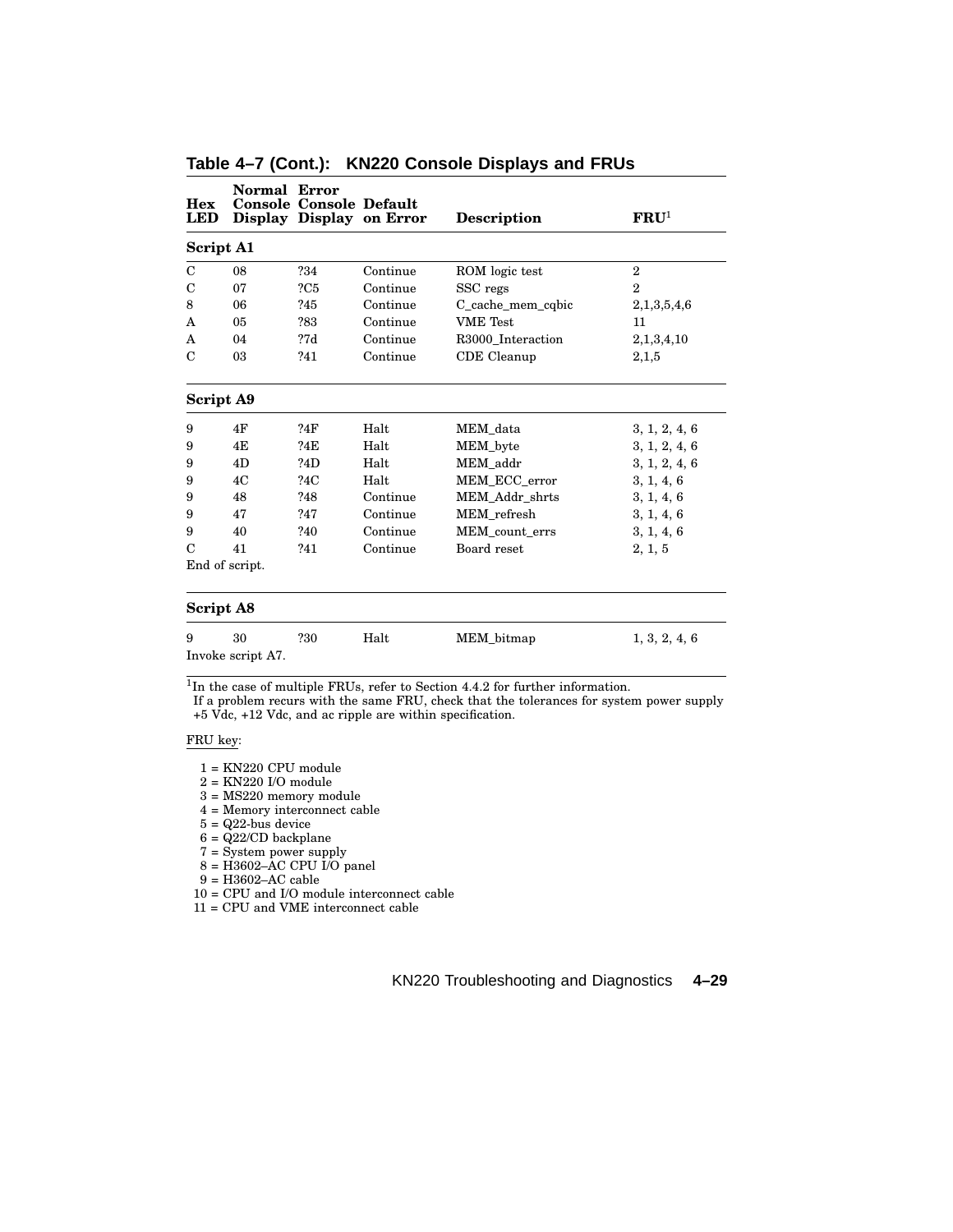| <b>Hex</b><br><b>LED</b> | Normal Error      | <b>Console Console Default</b> | Display Display on Error | <b>Description</b> | $\mathbf{FRU}^1$ |
|--------------------------|-------------------|--------------------------------|--------------------------|--------------------|------------------|
| <b>Script A1</b>         |                   |                                |                          |                    |                  |
| $\mathcal{C}$            | 08                | ?34                            | Continue                 | ROM logic test     | $\mathbf{2}$     |
| C                        | 07                | 2C5                            | Continue                 | SSC regs           | $\overline{2}$   |
| 8                        | 06                | ?45                            | Continue                 | C cache mem cobic  | 2,1,3,5,4,6      |
| A                        | 05                | ?83                            | Continue                 | <b>VME</b> Test    | 11               |
| A                        | 04                | 27d                            | Continue                 | R3000 Interaction  | 2,1,3,4,10       |
| C                        | 03                | ?41                            | Continue                 | CDE Cleanup        | 2,1,5            |
| Script A9                |                   |                                |                          |                    |                  |
| 9                        | 4F                | ?4F                            | Halt                     | MEM data           | 3, 1, 2, 4, 6    |
| 9                        | 4E                | ?4E                            | Halt                     | MEM byte           | 3, 1, 2, 4, 6    |
| 9                        | 4D                | ?4D                            | Halt                     | MEM addr           | 3, 1, 2, 4, 6    |
| 9                        | 4C                | ?4C                            | Halt                     | MEM ECC error      | 3, 1, 4, 6       |
| 9                        | 48                | ?48                            | Continue                 | MEM Addr shrts     | 3, 1, 4, 6       |
| 9                        | 47                | ?47                            | Continue                 | MEM refresh        | 3, 1, 4, 6       |
| 9                        | 40                | ?40                            | Continue                 | MEM count errs     | 3, 1, 4, 6       |
| $\mathcal{C}$            | 41                | ?41                            | Continue                 | Board reset        | 2, 1, 5          |
|                          | End of script.    |                                |                          |                    |                  |
| <b>Script A8</b>         |                   |                                |                          |                    |                  |
| 9                        | 30                | ?30                            | Halt                     | MEM_bitmap         | 1, 3, 2, 4, 6    |
|                          | Invoke script A7. |                                |                          |                    |                  |

**Table 4–7 (Cont.): KN220 Console Displays and FRUs**

If a problem recurs with the same FRU, check that the tolerances for system power supply +5 Vdc, +12 Vdc, and ac ripple are within specification.

# FRU key:

- 1 = KN220 CPU module
- $2 = KN220$  I/O module
- 3 = MS220 memory module
- 4 = Memory interconnect cable
- $5 = Q22$ -bus device
- $6 = \frac{Q22}{CD}$  backplane
- 7 = System power supply
- 8 = H3602–AC CPU I/O panel
- 9 = H3602–AC cable
- 10 = CPU and I/O module interconnect cable

11 = CPU and VME interconnect cable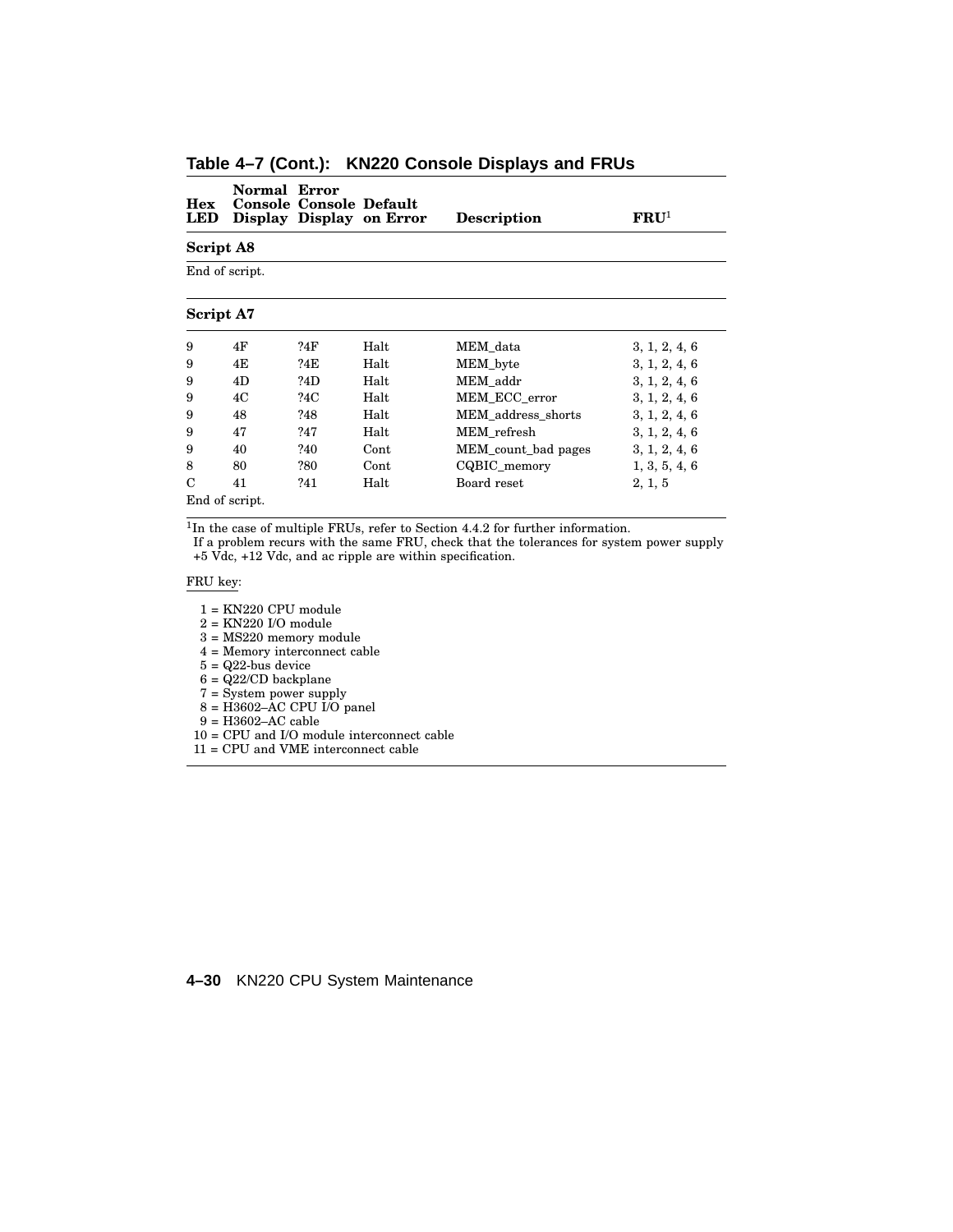| Hex<br><b>LED</b> | Normal Error | <b>Console Console Default</b> | Display Display on Error | <b>Description</b>  | $\mathbf{FRU}^{1}$ |
|-------------------|--------------|--------------------------------|--------------------------|---------------------|--------------------|
| Script A8         |              |                                |                          |                     |                    |
| End of script.    |              |                                |                          |                     |                    |
| Script A7         |              |                                |                          |                     |                    |
| 9                 | 4F           | ?4F                            | Halt                     | MEM data            | 3, 1, 2, 4, 6      |
| 9                 | 4E           | ?4E                            | Halt                     | MEM_byte            | 3, 1, 2, 4, 6      |
| 9                 | 4D           | ?4D                            | Halt                     | MEM addr            | 3, 1, 2, 4, 6      |
| 9                 | 4C           | ?4C                            | Halt                     | MEM ECC error       | 3, 1, 2, 4, 6      |
| 9                 | 48           | ?48                            | Halt                     | MEM address shorts  | 3, 1, 2, 4, 6      |
| 9                 | 47           | ?47                            | Halt                     | MEM refresh         | 3, 1, 2, 4, 6      |
| 9                 | 40           | ?40                            | Cont                     | MEM_count_bad pages | 3, 1, 2, 4, 6      |
| 8                 | 80           | ?80                            | Cont                     | CQBIC_memory        | 1, 3, 5, 4, 6      |
| C                 | 41           | ?41                            | Halt                     | Board reset         | 2, 1, 5            |
| End of script.    |              |                                |                          |                     |                    |

**Table 4–7 (Cont.): KN220 Console Displays and FRUs**

If a problem recurs with the same FRU, check that the tolerances for system power supply +5 Vdc, +12 Vdc, and ac ripple are within specification.

### FRU key:

 $1 = KN220$  CPU module

2 = KN220 I/O module

3 = MS220 memory module

4 = Memory interconnect cable

 $5 = Q22$ -bus device

 $6 = \frac{Q22}{CD}$  backplane

7 = System power supply

 $8 = \text{H}3602 - \text{AC CPU } \overline{1}/\overline{O}$  panel

9 = H3602–AC cable

10 = CPU and I/O module interconnect cable

11 = CPU and VME interconnect cable

### **4–30** KN220 CPU System Maintenance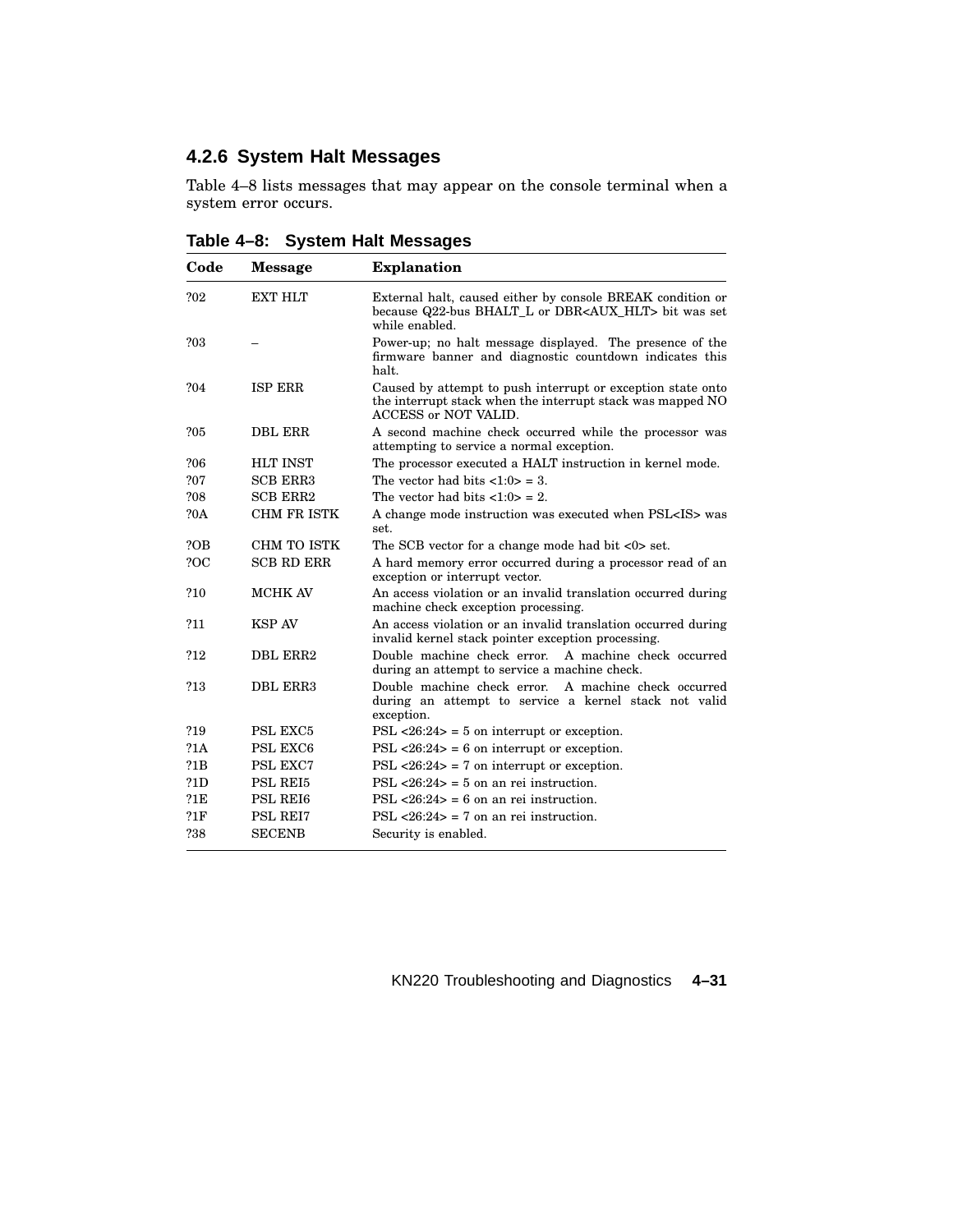# **4.2.6 System Halt Messages**

Table 4–8 lists messages that may appear on the console terminal when a system error occurs.

| Code       | <b>Message</b>     | <b>Explanation</b>                                                                                                                                |
|------------|--------------------|---------------------------------------------------------------------------------------------------------------------------------------------------|
| ?02        | EXT HLT            | External halt, caused either by console BREAK condition or<br>because Q22-bus BHALT_L or DBR <aux_hlt> bit was set<br/>while enabled.</aux_hlt>   |
| ?03        |                    | Power-up; no halt message displayed. The presence of the<br>firmware banner and diagnostic countdown indicates this<br>halt.                      |
| ?04        | <b>ISP ERR</b>     | Caused by attempt to push interrupt or exception state onto<br>the interrupt stack when the interrupt stack was mapped NO<br>ACCESS or NOT VALID. |
| ?05        | <b>DBL ERR</b>     | A second machine check occurred while the processor was<br>attempting to service a normal exception.                                              |
| 206        | <b>HLT INST</b>    | The processor executed a HALT instruction in kernel mode.                                                                                         |
| ?07        | <b>SCB ERR3</b>    | The vector had bits $\langle 1:0 \rangle = 3$ .                                                                                                   |
| 208        | <b>SCB ERR2</b>    | The vector had bits $\langle 1:0 \rangle = 2$ .                                                                                                   |
| <b>?0A</b> | <b>CHM FR ISTK</b> | A change mode instruction was executed when PSL <is> was<br/>set.</is>                                                                            |
| ?OB        | CHM TO ISTK        | The SCB vector for a change mode had bit $\langle 0 \rangle$ set.                                                                                 |
| ?OC        | <b>SCB RD ERR</b>  | A hard memory error occurred during a processor read of an<br>exception or interrupt vector.                                                      |
| ?10        | MCHK AV            | An access violation or an invalid translation occurred during<br>machine check exception processing.                                              |
| ?11        | <b>KSP AV</b>      | An access violation or an invalid translation occurred during<br>invalid kernel stack pointer exception processing.                               |
| ?12        | DBL ERR2           | Double machine check error.<br>A machine check occurred<br>during an attempt to service a machine check.                                          |
| ?13        | DBL ERR3           | Double machine check error.<br>A machine check occurred<br>during an attempt to service a kernel stack not valid<br>exception.                    |
| ?19        | PSL EXC5           | $PSL < 26:24$ = 5 on interrupt or exception.                                                                                                      |
| 21 A       | PSL EXC6           | $PSL < 26:24$ = 6 on interrupt or exception.                                                                                                      |
| 21B        | PSL EXC7           | $PSL < 26:24$ = 7 on interrupt or exception.                                                                                                      |
| 21D        | PSL REI5           | $PSL < 26:24$ = 5 on an rei instruction.                                                                                                          |
| 21E        | PSL REI6           | $PSL < 26:24$ = 6 on an rei instruction.                                                                                                          |
| 21F        | <b>PSL REI7</b>    | $PSL < 26:24$ = 7 on an rei instruction.                                                                                                          |
| ?38        | <b>SECENB</b>      | Security is enabled.                                                                                                                              |

**Table 4–8: System Halt Messages**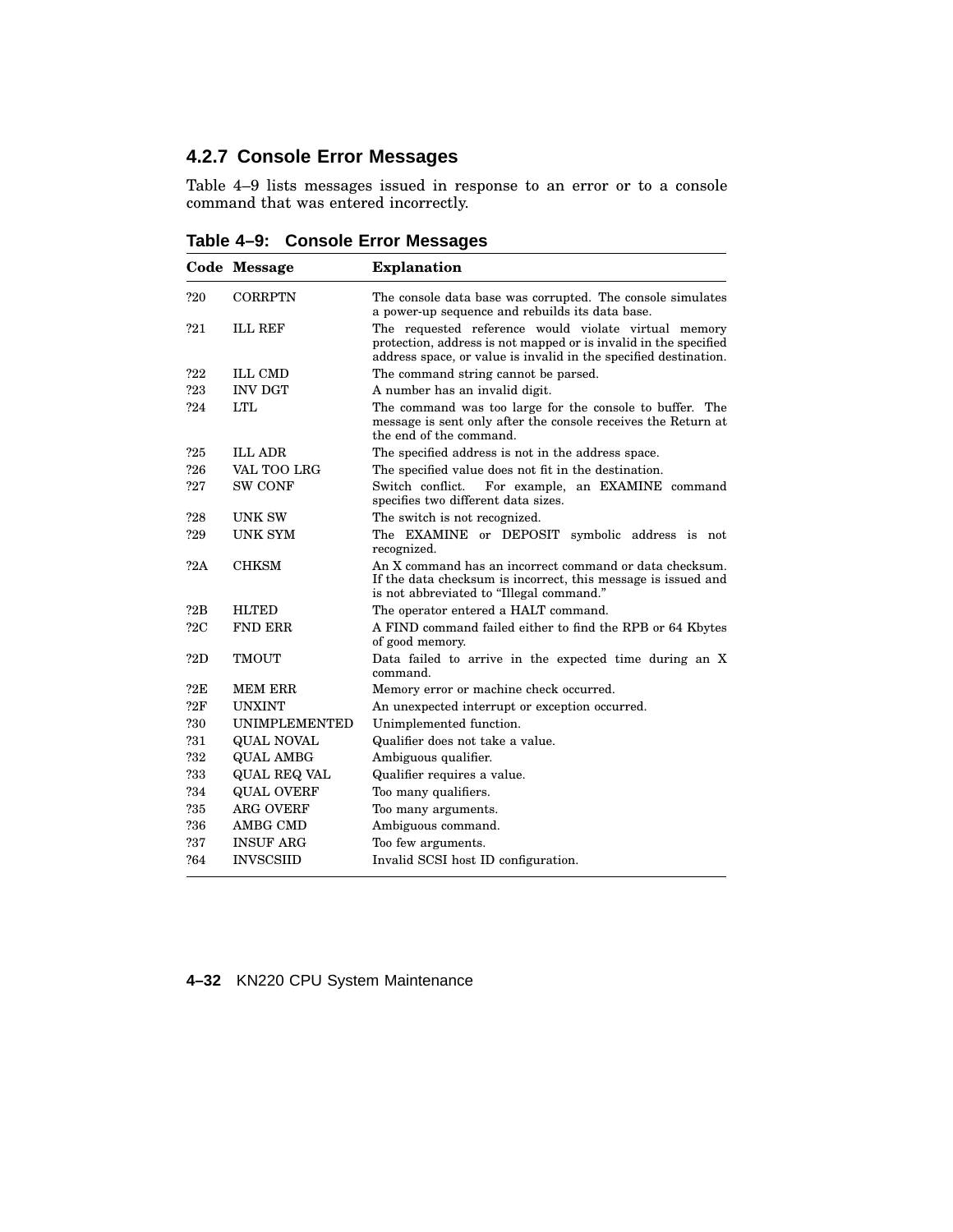# **4.2.7 Console Error Messages**

Table 4–9 lists messages issued in response to an error or to a console command that was entered incorrectly.

**Table 4–9: Console Error Messages**

|                | Code Message         | <b>Explanation</b>                                                                                                                                                                           |
|----------------|----------------------|----------------------------------------------------------------------------------------------------------------------------------------------------------------------------------------------|
| ?20            | CORRPTN              | The console data base was corrupted. The console simulates<br>a power-up sequence and rebuilds its data base.                                                                                |
| ?21            | <b>ILL REF</b>       | The requested reference would violate virtual memory<br>protection, address is not mapped or is invalid in the specified<br>address space, or value is invalid in the specified destination. |
| ?22            | <b>ILL CMD</b>       | The command string cannot be parsed.                                                                                                                                                         |
| ?23            | <b>INV DGT</b>       | A number has an invalid digit.                                                                                                                                                               |
| ?24            | <b>LTL</b>           | The command was too large for the console to buffer. The<br>message is sent only after the console receives the Return at<br>the end of the command.                                         |
| ?25            | <b>ILL ADR</b>       | The specified address is not in the address space.                                                                                                                                           |
| ?26            | VAL TOO LRG          | The specified value does not fit in the destination.                                                                                                                                         |
| ?27            | <b>SW CONF</b>       | Switch conflict.<br>For example, an EXAMINE command<br>specifies two different data sizes.                                                                                                   |
| ?28            | <b>UNK SW</b>        | The switch is not recognized.                                                                                                                                                                |
| ?29            | <b>UNK SYM</b>       | The EXAMINE or DEPOSIT symbolic address is not<br>recognized.                                                                                                                                |
| 22A            | CHKSM                | An X command has an incorrect command or data checksum.<br>If the data checksum is incorrect, this message is issued and<br>is not abbreviated to "Illegal command."                         |
| ?2B            | <b>HLTED</b>         | The operator entered a HALT command.                                                                                                                                                         |
| 22C            | <b>FND ERR</b>       | A FIND command failed either to find the RPB or 64 Kbytes<br>of good memory.                                                                                                                 |
| ?2D            | <b>TMOUT</b>         | Data failed to arrive in the expected time during an X<br>command.                                                                                                                           |
| ?2E            | <b>MEM ERR</b>       | Memory error or machine check occurred.                                                                                                                                                      |
| $22\mathrm{F}$ | <b>UNXINT</b>        | An unexpected interrupt or exception occurred.                                                                                                                                               |
| ?30            | <b>UNIMPLEMENTED</b> | Unimplemented function.                                                                                                                                                                      |
| ?31            | <b>QUAL NOVAL</b>    | Qualifier does not take a value.                                                                                                                                                             |
| ?32            | <b>QUAL AMBG</b>     | Ambiguous qualifier.                                                                                                                                                                         |
| ?33            | QUAL REQ VAL         | Qualifier requires a value.                                                                                                                                                                  |
| ?34            | <b>QUAL OVERF</b>    | Too many qualifiers.                                                                                                                                                                         |
| ?35            | <b>ARG OVERF</b>     | Too many arguments.                                                                                                                                                                          |
| ?36            | <b>AMBG CMD</b>      | Ambiguous command.                                                                                                                                                                           |
| ?37            | <b>INSUF ARG</b>     | Too few arguments.                                                                                                                                                                           |
| ?64            | <b>INVSCSIID</b>     | Invalid SCSI host ID configuration.                                                                                                                                                          |

**4–32** KN220 CPU System Maintenance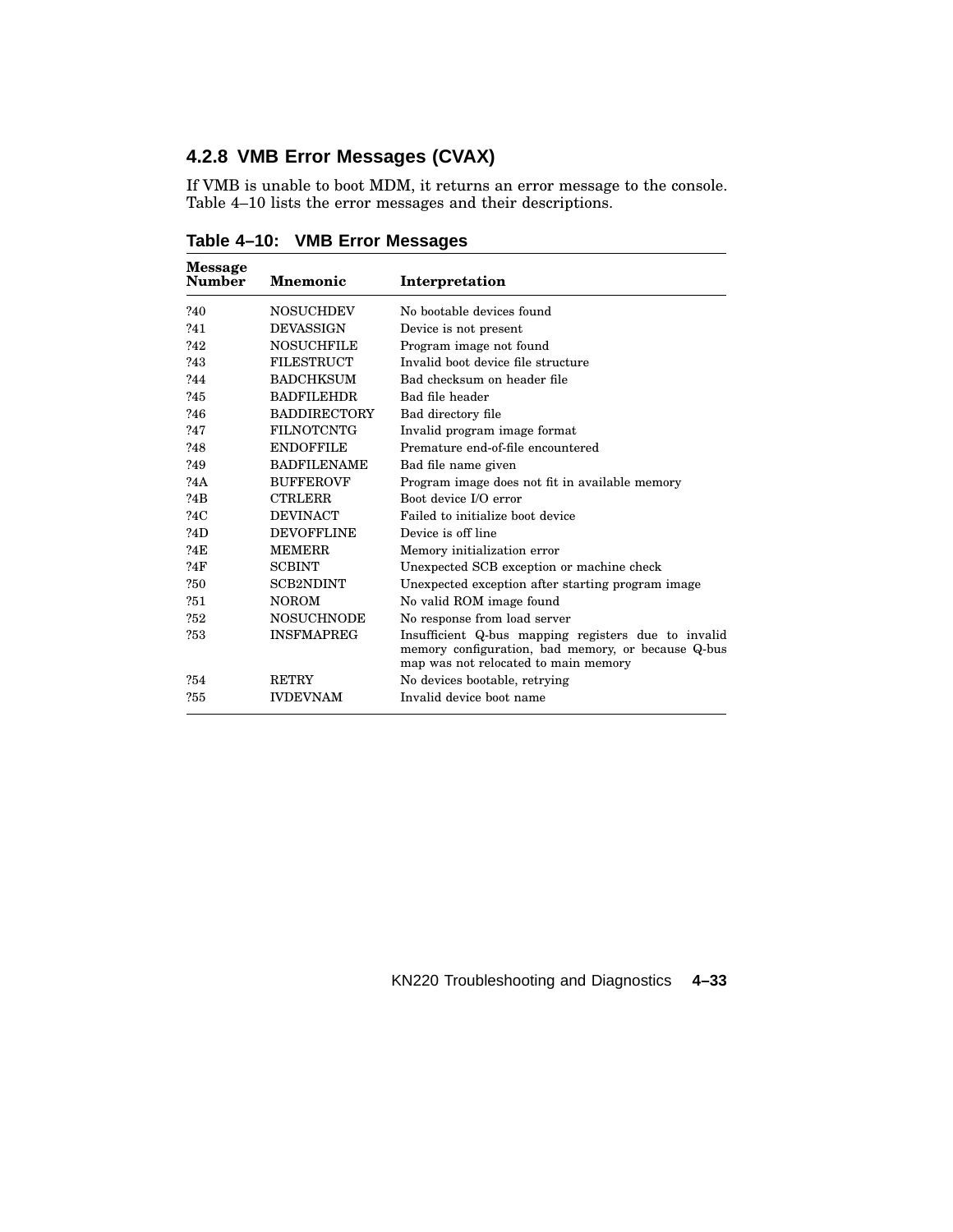# **4.2.8 VMB Error Messages (CVAX)**

If VMB is unable to boot MDM, it returns an error message to the console. Table 4–10 lists the error messages and their descriptions.

| Message<br>Number | <b>Mnemonic</b>     | Interpretation                                                                                                                                    |
|-------------------|---------------------|---------------------------------------------------------------------------------------------------------------------------------------------------|
| ?40               | <b>NOSUCHDEV</b>    | No bootable devices found                                                                                                                         |
| 241               | <b>DEVASSIGN</b>    | Device is not present                                                                                                                             |
| ?42               | <b>NOSUCHFILE</b>   | Program image not found                                                                                                                           |
| ?43               | <b>FILESTRUCT</b>   | Invalid boot device file structure                                                                                                                |
| ?44               | <b>BADCHKSUM</b>    | Bad checksum on header file                                                                                                                       |
| ?45               | <b>BADFILEHDR</b>   | Bad file header                                                                                                                                   |
| ?46               | <b>BADDIRECTORY</b> | Bad directory file                                                                                                                                |
| ?47               | <b>FILNOTCNTG</b>   | Invalid program image format                                                                                                                      |
| ?48               | <b>ENDOFFILE</b>    | Premature end-of-file encountered                                                                                                                 |
| ?49               | <b>BADFILENAME</b>  | Bad file name given                                                                                                                               |
| ?4A               | <b>BUFFEROVF</b>    | Program image does not fit in available memory                                                                                                    |
| ?4B               | <b>CTRLERR</b>      | Boot device I/O error                                                                                                                             |
| ?4C               | <b>DEVINACT</b>     | Failed to initialize boot device                                                                                                                  |
| ?4D               | <b>DEVOFFLINE</b>   | Device is off line                                                                                                                                |
| ?4E               | <b>MEMERR</b>       | Memory initialization error                                                                                                                       |
| ?4F               | <b>SCBINT</b>       | Unexpected SCB exception or machine check                                                                                                         |
| 250               | <b>SCB2NDINT</b>    | Unexpected exception after starting program image                                                                                                 |
| ?51               | <b>NOROM</b>        | No valid ROM image found                                                                                                                          |
| ?52               | <b>NOSUCHNODE</b>   | No response from load server                                                                                                                      |
| ?53               | <b>INSFMAPREG</b>   | Insufficient Q-bus mapping registers due to invalid<br>memory configuration, bad memory, or because Q-bus<br>map was not relocated to main memory |
| ?54               | <b>RETRY</b>        | No devices bootable, retrying                                                                                                                     |
| ?55               | <b>IVDEVNAM</b>     | Invalid device boot name                                                                                                                          |

**Table 4–10: VMB Error Messages**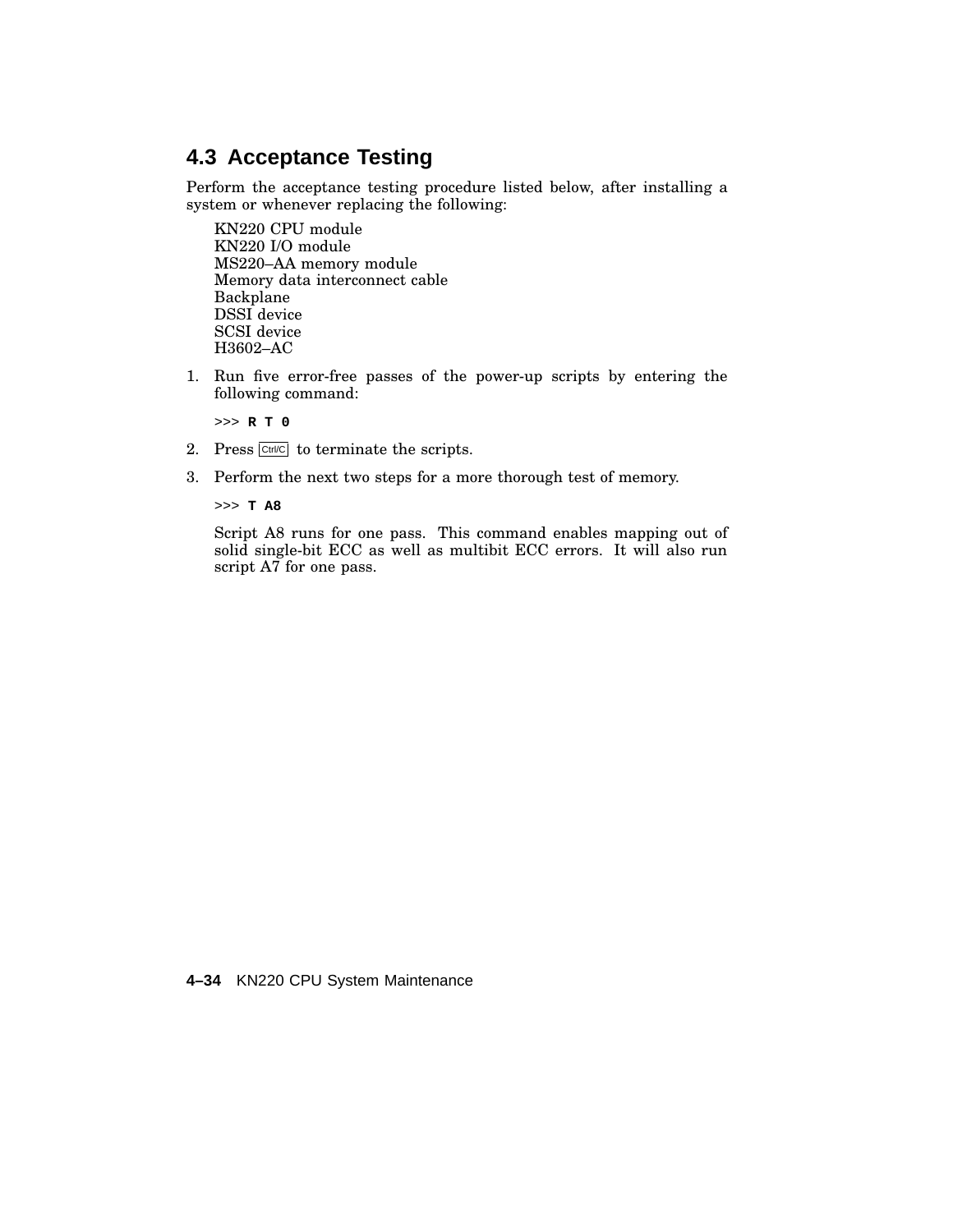# **4.3 Acceptance Testing**

Perform the acceptance testing procedure listed below, after installing a system or whenever replacing the following:

KN220 CPU module KN220 I/O module MS220–AA memory module Memory data interconnect cable Backplane DSSI device SCSI device H3602–AC

1. Run five error-free passes of the power-up scripts by entering the following command:

>>> **R T 0**

- 2. Press  $\boxed{\text{Cut/CC}}$  to terminate the scripts.
- 3. Perform the next two steps for a more thorough test of memory.

>>> **T A8**

Script A8 runs for one pass. This command enables mapping out of solid single-bit ECC as well as multibit ECC errors. It will also run script A7 for one pass.

**4–34** KN220 CPU System Maintenance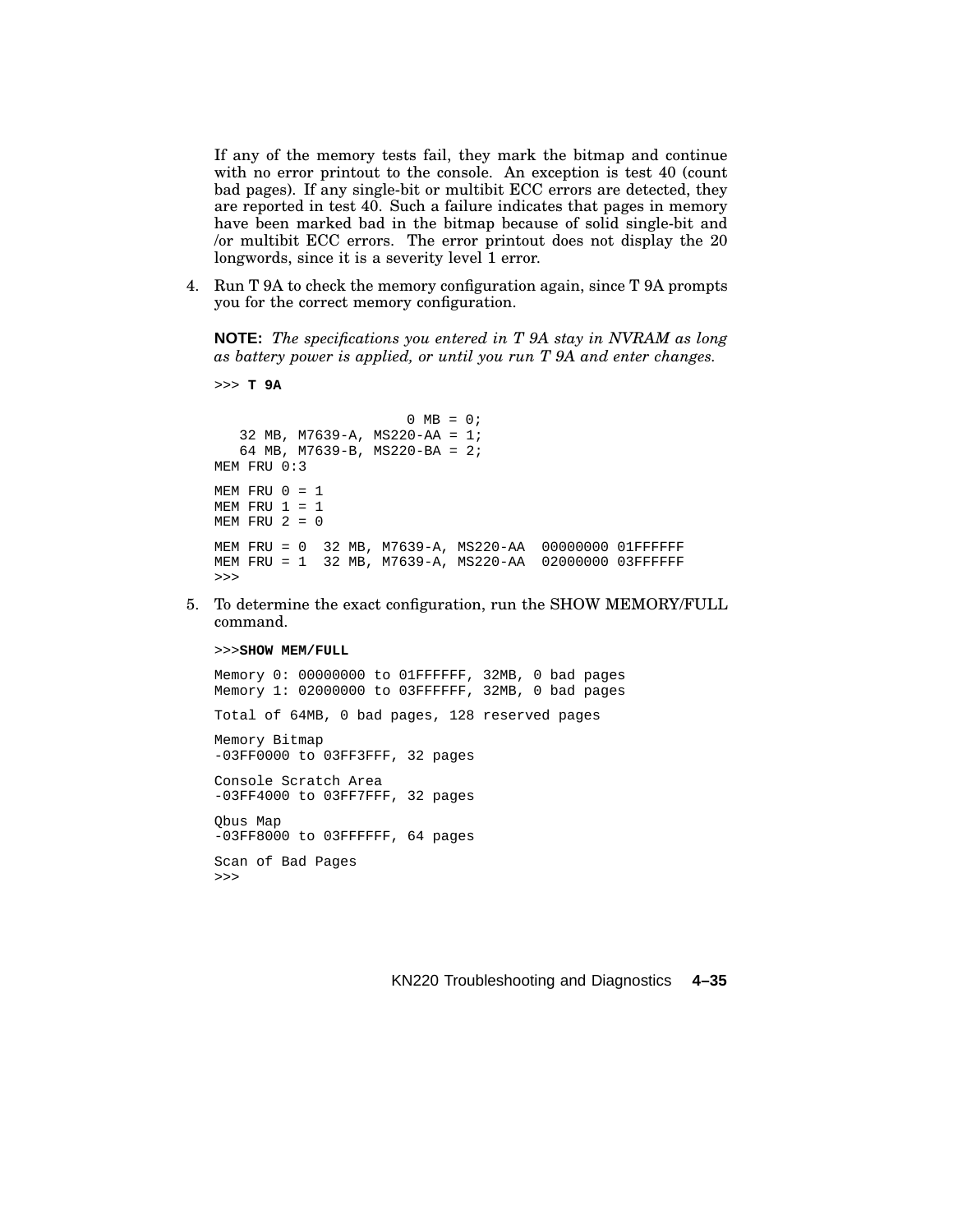If any of the memory tests fail, they mark the bitmap and continue with no error printout to the console. An exception is test 40 (count bad pages). If any single-bit or multibit ECC errors are detected, they are reported in test 40. Such a failure indicates that pages in memory have been marked bad in the bitmap because of solid single-bit and /or multibit ECC errors. The error printout does not display the 20 longwords, since it is a severity level 1 error.

4. Run T 9A to check the memory configuration again, since T 9A prompts you for the correct memory configuration.

**NOTE:** *The specifications you entered in T 9A stay in NVRAM as long as battery power is applied, or until you run T 9A and enter changes.*

```
0 \text{ MB} = 0;32 MB, M7639-A, MS220-AA = 1;
   64 MB, M7639-B, MS220-BA = 2;
MEM FRU 0:3
MEM FRU 0 = 1MEM FRU 1 = 1MEM FRU 2 = 0MEM FRU = 0 32 MB, M7639-A, MS220-AA 00000000 01FFFFFF
MEM FRU = 1 32 MB, M7639-A, MS220-AA 02000000 03FFFFFF
>>>
```
5. To determine the exact configuration, run the SHOW MEMORY/FULL command.

#### >>>**SHOW MEM/FULL**

>>> **T 9A**

Memory 0: 00000000 to 01FFFFFF, 32MB, 0 bad pages Memory 1: 02000000 to 03FFFFFF, 32MB, 0 bad pages Total of 64MB, 0 bad pages, 128 reserved pages Memory Bitmap -03FF0000 to 03FF3FFF, 32 pages Console Scratch Area -03FF4000 to 03FF7FFF, 32 pages Qbus Map -03FF8000 to 03FFFFFF, 64 pages Scan of Bad Pages >>>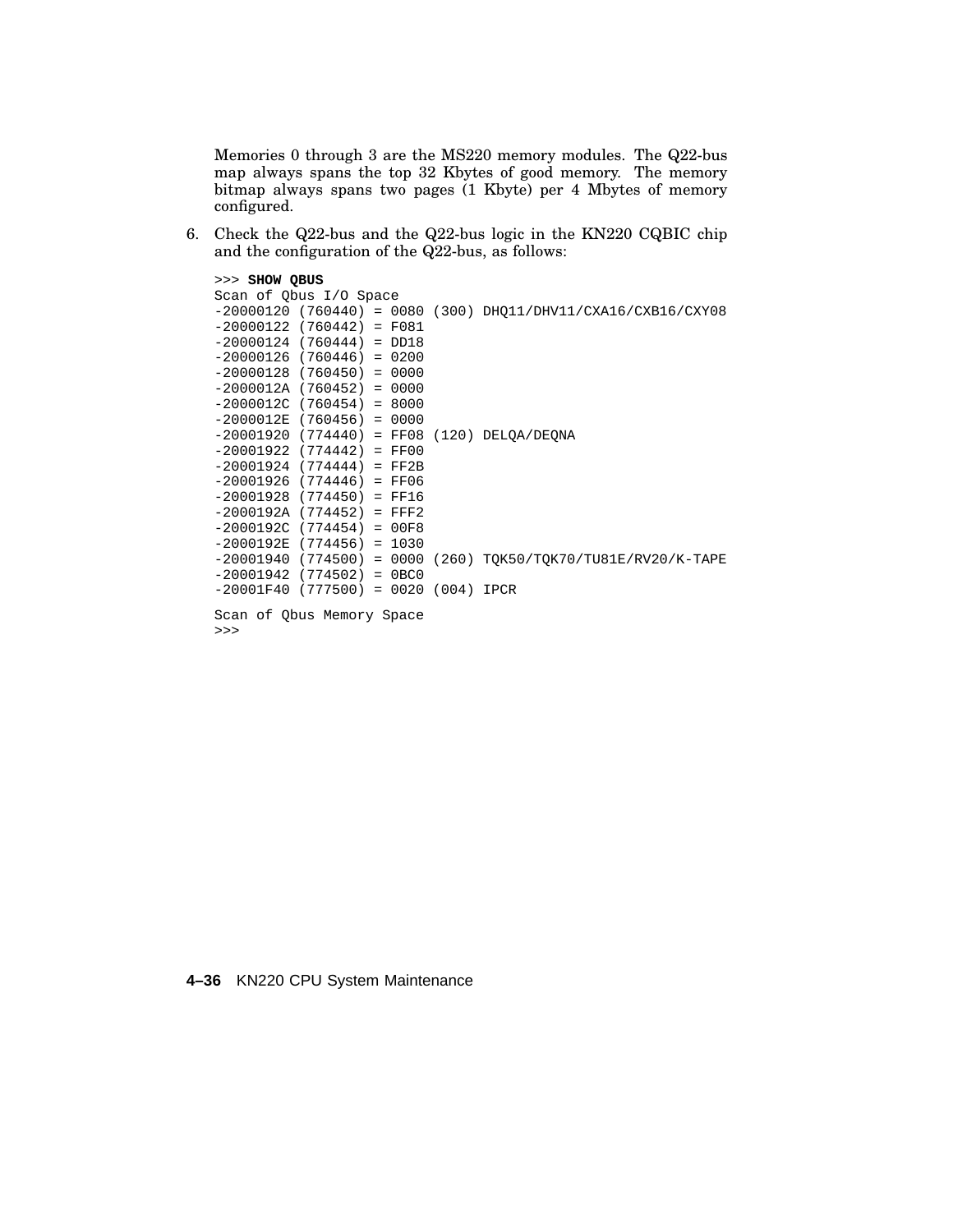Memories 0 through 3 are the MS220 memory modules. The Q22-bus map always spans the top 32 Kbytes of good memory. The memory bitmap always spans two pages (1 Kbyte) per 4 Mbytes of memory configured.

6. Check the Q22-bus and the Q22-bus logic in the KN220 CQBIC chip and the configuration of the Q22-bus, as follows:

```
>>> SHOW QBUS
Scan of Qbus I/O Space
-20000120 (760440) = 0080 (300) DHQ11/DHV11/CXA16/CXB16/CXY08
-20000122 (760442) = F081
-20000124 (760444) = DD18
-20000126 (760446) = 0200
-20000128 (760450) = 0000
-2000012A (760452) = 0000
-2000012C (760454) = 8000
-2000012E (760456) = 0000
-20001920 (774440) = FF08 (120) DELQA/DEQNA
-20001922 (774442) = FF00
-20001924 (774444) = FF2B
-20001926 (774446) = FF06
-20001928 (774450) = FF16
-2000192A (774452) = FFF2
-2000192C (774454) = 00F8
-2000192E (774456) = 1030
-20001940 (774500) = 0000 (260) TQK50/TQK70/TU81E/RV20/K-TAPE
-20001942 (774502) = 0BC0
-20001F40 (777500) = 0020 (004) IPCR
Scan of Qbus Memory Space
>>>
```
### **4–36** KN220 CPU System Maintenance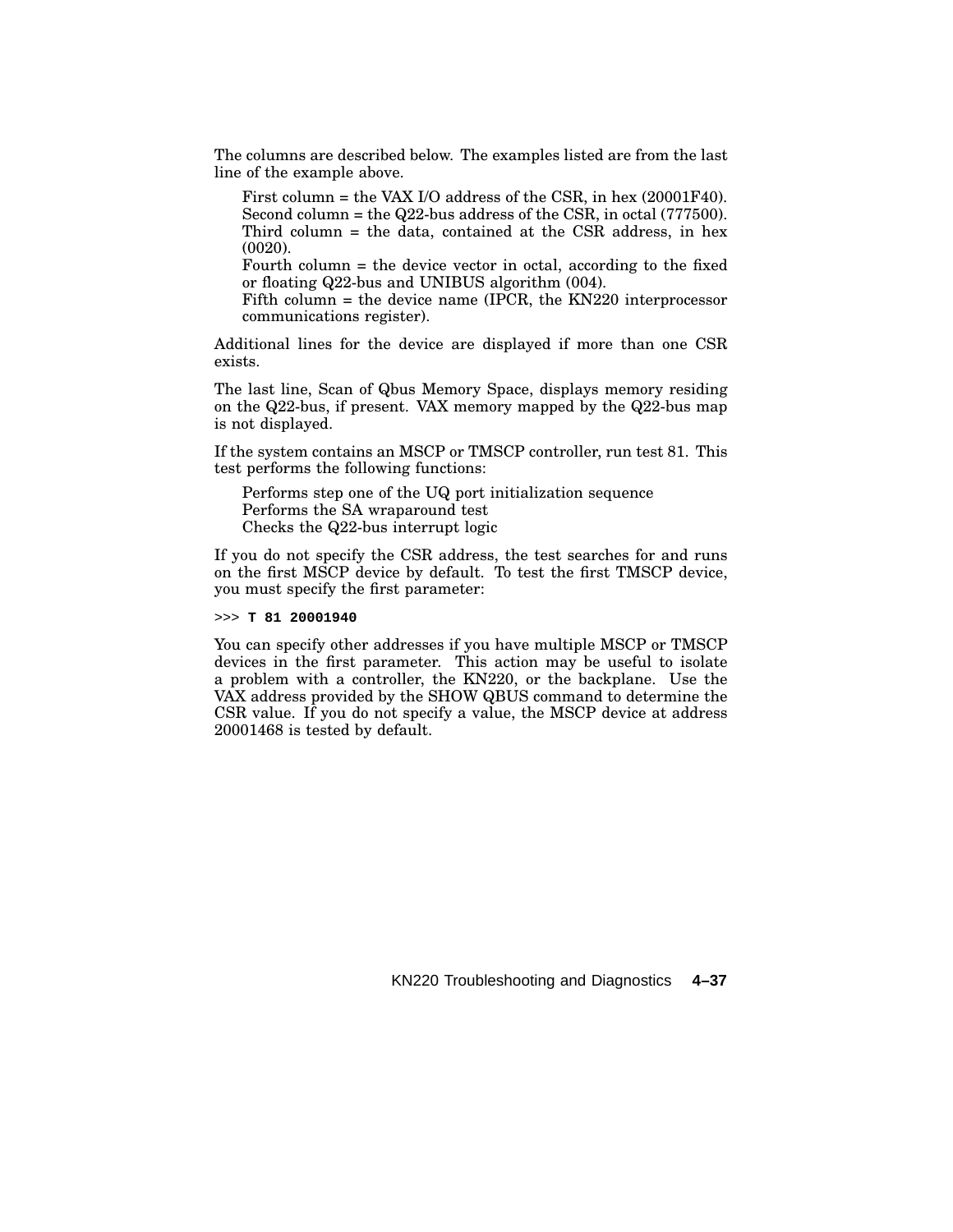The columns are described below. The examples listed are from the last line of the example above.

First column = the VAX I/O address of the CSR, in hex (20001F40). Second column = the Q22-bus address of the CSR, in octal (777500). Third column = the data, contained at the CSR address, in hex (0020).

Fourth column = the device vector in octal, according to the fixed or floating Q22-bus and UNIBUS algorithm (004).

Fifth column = the device name (IPCR, the KN220 interprocessor communications register).

Additional lines for the device are displayed if more than one CSR exists.

The last line, Scan of Qbus Memory Space, displays memory residing on the Q22-bus, if present. VAX memory mapped by the Q22-bus map is not displayed.

If the system contains an MSCP or TMSCP controller, run test 81. This test performs the following functions:

Performs step one of the UQ port initialization sequence Performs the SA wraparound test Checks the Q22-bus interrupt logic

If you do not specify the CSR address, the test searches for and runs on the first MSCP device by default. To test the first TMSCP device, you must specify the first parameter:

>>> **T 81 20001940**

You can specify other addresses if you have multiple MSCP or TMSCP devices in the first parameter. This action may be useful to isolate a problem with a controller, the KN220, or the backplane. Use the VAX address provided by the SHOW QBUS command to determine the CSR value. If you do not specify a value, the MSCP device at address 20001468 is tested by default.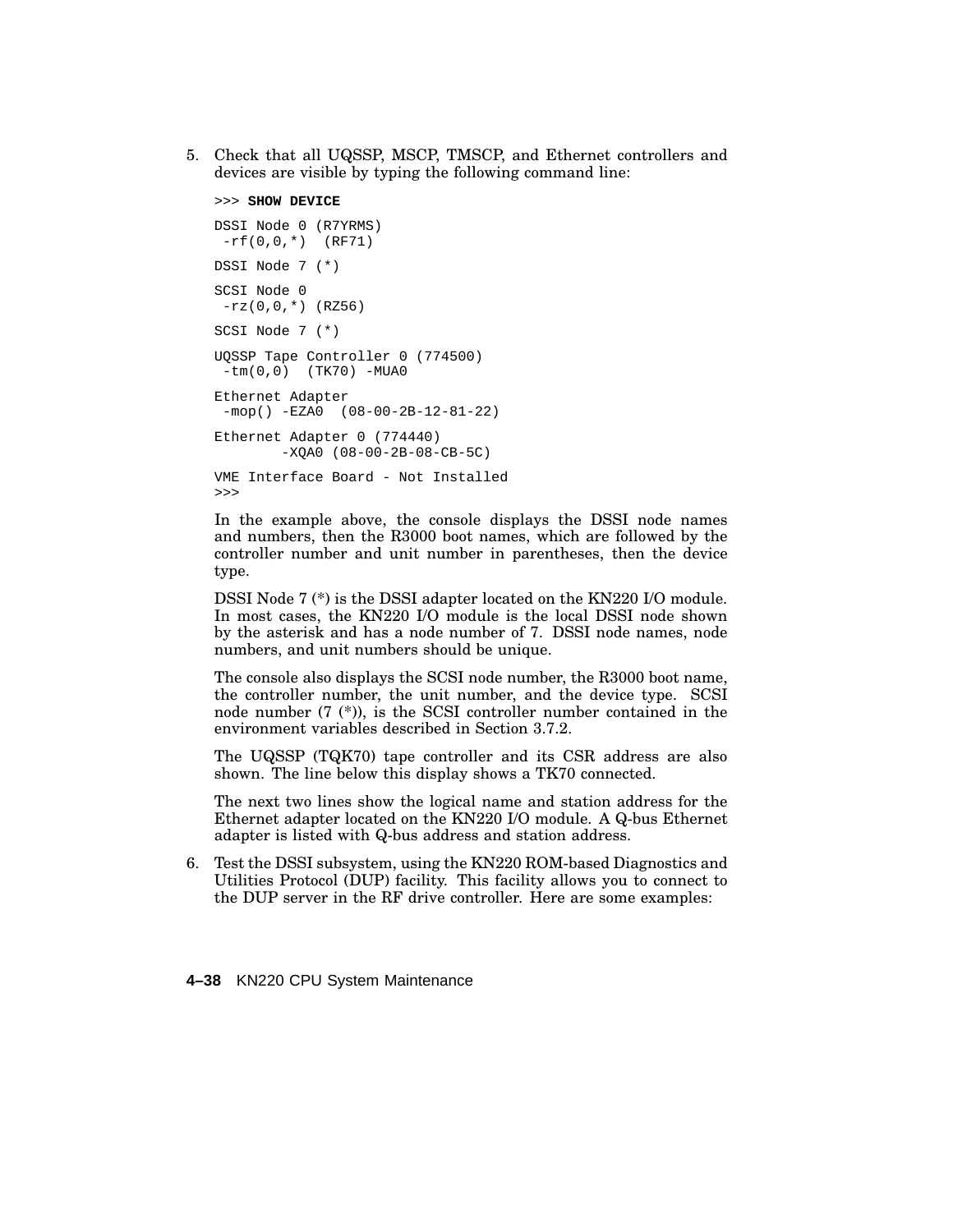5. Check that all UQSSP, MSCP, TMSCP, and Ethernet controllers and devices are visible by typing the following command line:

```
>>> SHOW DEVICE
DSSI Node 0 (R7YRMS)
-rf(0,0,*) (RF71)
DSSI Node 7 (*)
SCSI Node 0
 -rz(0,0,*) (RZ56)
SCSI Node 7 (*)
UQSSP Tape Controller 0 (774500)
 -tm(0,0) (TK70) -MUA0
Ethernet Adapter
 -mop() -EZA0 (08-00-2B-12-81-22)
Ethernet Adapter 0 (774440)
        -XQA0 (08-00-2B-08-CB-5C)
VME Interface Board - Not Installed
>>>
```
In the example above, the console displays the DSSI node names and numbers, then the R3000 boot names, which are followed by the controller number and unit number in parentheses, then the device type.

DSSI Node 7 (\*) is the DSSI adapter located on the KN220 I/O module. In most cases, the KN220 I/O module is the local DSSI node shown by the asterisk and has a node number of 7. DSSI node names, node numbers, and unit numbers should be unique.

The console also displays the SCSI node number, the R3000 boot name, the controller number, the unit number, and the device type. SCSI node number (7 (\*)), is the SCSI controller number contained in the environment variables described in Section 3.7.2.

The UQSSP (TQK70) tape controller and its CSR address are also shown. The line below this display shows a TK70 connected.

The next two lines show the logical name and station address for the Ethernet adapter located on the KN220 I/O module. A Q-bus Ethernet adapter is listed with Q-bus address and station address.

6. Test the DSSI subsystem, using the KN220 ROM-based Diagnostics and Utilities Protocol (DUP) facility. This facility allows you to connect to the DUP server in the RF drive controller. Here are some examples:

**4–38** KN220 CPU System Maintenance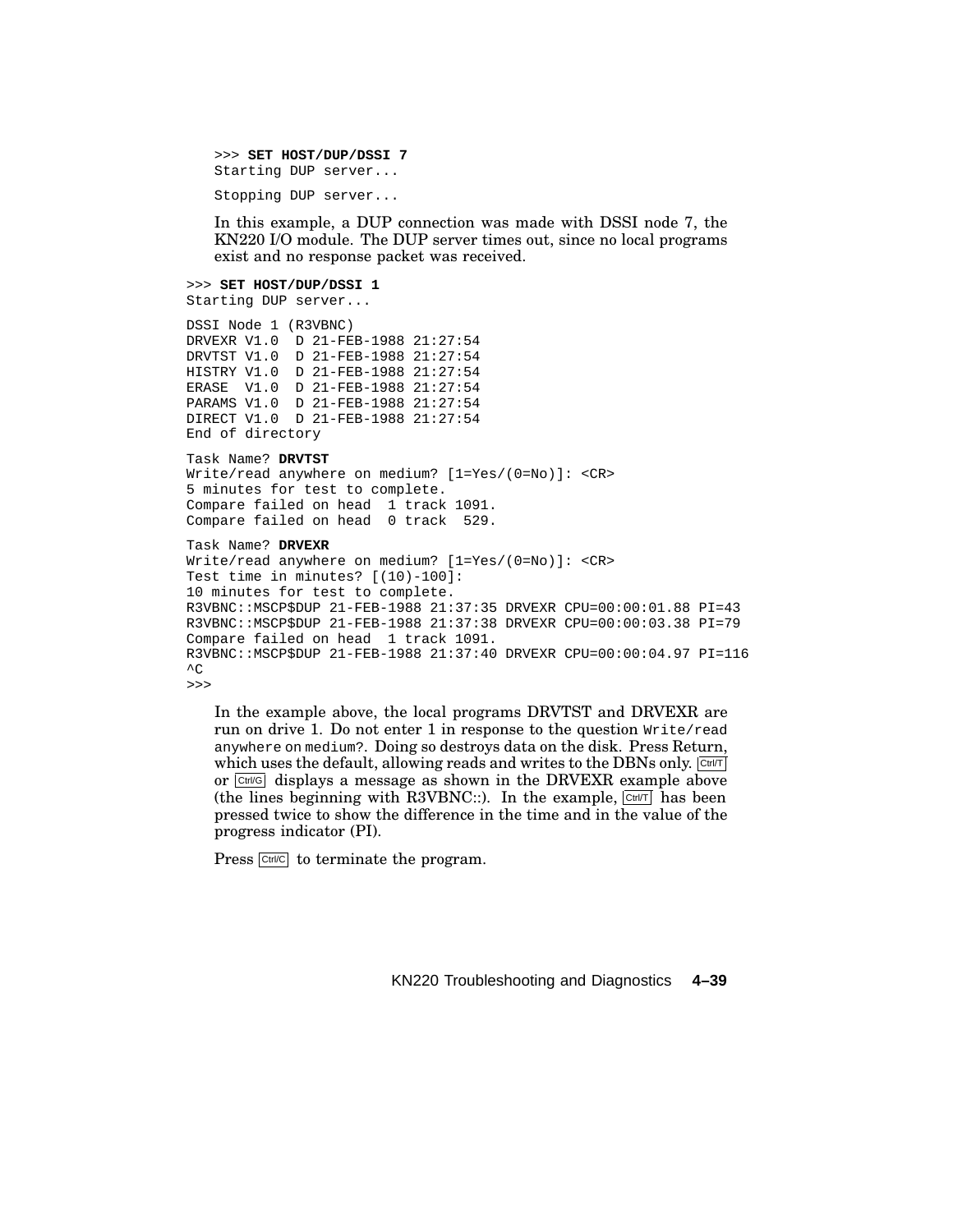>>> **SET HOST/DUP/DSSI 7** Starting DUP server...

Stopping DUP server...

In this example, a DUP connection was made with DSSI node 7, the KN220 I/O module. The DUP server times out, since no local programs exist and no response packet was received.

>>> **SET HOST/DUP/DSSI 1** Starting DUP server...

```
DSSI Node 1 (R3VBNC)
DRVEXR V1.0 D 21-FEB-1988 21:27:54
DRVTST V1.0 D 21-FEB-1988 21:27:54
HISTRY V1.0 D 21-FEB-1988 21:27:54
ERASE V1.0 D 21-FEB-1988 21:27:54
PARAMS V1.0 D 21-FEB-1988 21:27:54
DIRECT V1.0 D 21-FEB-1988 21:27:54
End of directory
```
Task Name? **DRVTST** Write/read anywhere on medium? [1=Yes/(0=No)]: <CR> 5 minutes for test to complete. Compare failed on head 1 track 1091. Compare failed on head 0 track 529.

Task Name? **DRVEXR**

```
Write/read anywhere on medium? [1=Yes/(0=No)]: <CR>
Test time in minutes? [(10)-100]:
10 minutes for test to complete.
R3VBNC::MSCP$DUP 21-FEB-1988 21:37:35 DRVEXR CPU=00:00:01.88 PI=43
R3VBNC::MSCP$DUP 21-FEB-1988 21:37:38 DRVEXR CPU=00:00:03.38 PI=79
Compare failed on head 1 track 1091.
R3VBNC::MSCP$DUP 21-FEB-1988 21:37:40 DRVEXR CPU=00:00:04.97 PI=116
\overline{C}>>>
```
In the example above, the local programs DRVTST and DRVEXR are run on drive 1. Do not enter 1 in response to the question  $Write$  read anywhere on medium?. Doing so destroys data on the disk. Press Return, which uses the default, allowing reads and writes to the DBNs only.  $\boxed{\text{Crit}}$ or  $\overline{C_{\text{tril}}G}$  displays a message as shown in the DRVEXR example above (the lines beginning with R3VBNC::). In the example,  $\boxed{\text{Ctr}$ /T has been pressed twice to show the difference in the time and in the value of the progress indicator (PI).

Press Ctrl/C to terminate the program.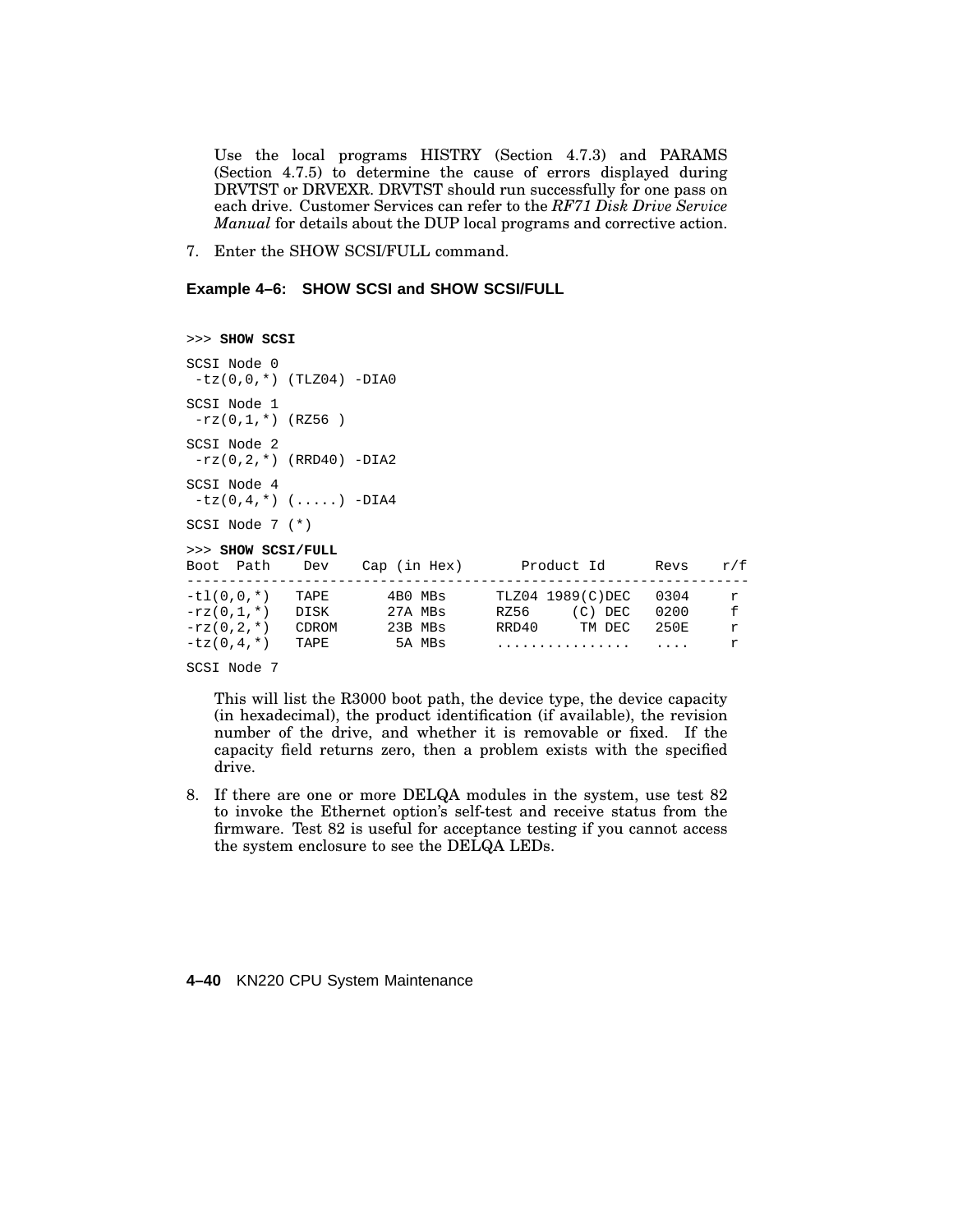Use the local programs HISTRY (Section 4.7.3) and PARAMS (Section 4.7.5) to determine the cause of errors displayed during DRVTST or DRVEXR. DRVTST should run successfully for one pass on each drive. Customer Services can refer to the *RF71 Disk Drive Service Manual* for details about the DUP local programs and corrective action.

7. Enter the SHOW SCSI/FULL command.

**Example 4–6: SHOW SCSI and SHOW SCSI/FULL**

>>> **SHOW SCSI** SCSI Node 0 -tz(0,0,\*) (TLZ04) -DIA0 SCSI Node 1  $-rz(0,1,*)$  (RZ56) SCSI Node 2  $-rz(0,2,*)$  (RRD40) -DIA2 SCSI Node 4  $-tz(0,4,'')$  (.....) -DIA4 SCSI Node 7 (\*) >>> **SHOW SCSI/FULL** Boot Path Dev Cap (in Hex) Product Id Revs r/f ------------------------------------------------------------------- -tl(0,0,\*) TAPE 4B0 MBs TLZ04 1989(C)DEC 0304 r -rz(0,1,\*) DISK 27A MBs RZ56 (C) DEC 0200 f -rz(0,2,\*) CDROM 23B MBs RRD40 TM DEC 250E r -tz(0,4,\*) TAPE 5A MBs ................ .... r

SCSI Node 7

This will list the R3000 boot path, the device type, the device capacity (in hexadecimal), the product identification (if available), the revision number of the drive, and whether it is removable or fixed. If the capacity field returns zero, then a problem exists with the specified drive.

8. If there are one or more DELQA modules in the system, use test 82 to invoke the Ethernet option's self-test and receive status from the firmware. Test 82 is useful for acceptance testing if you cannot access the system enclosure to see the DELQA LEDs.

### **4–40** KN220 CPU System Maintenance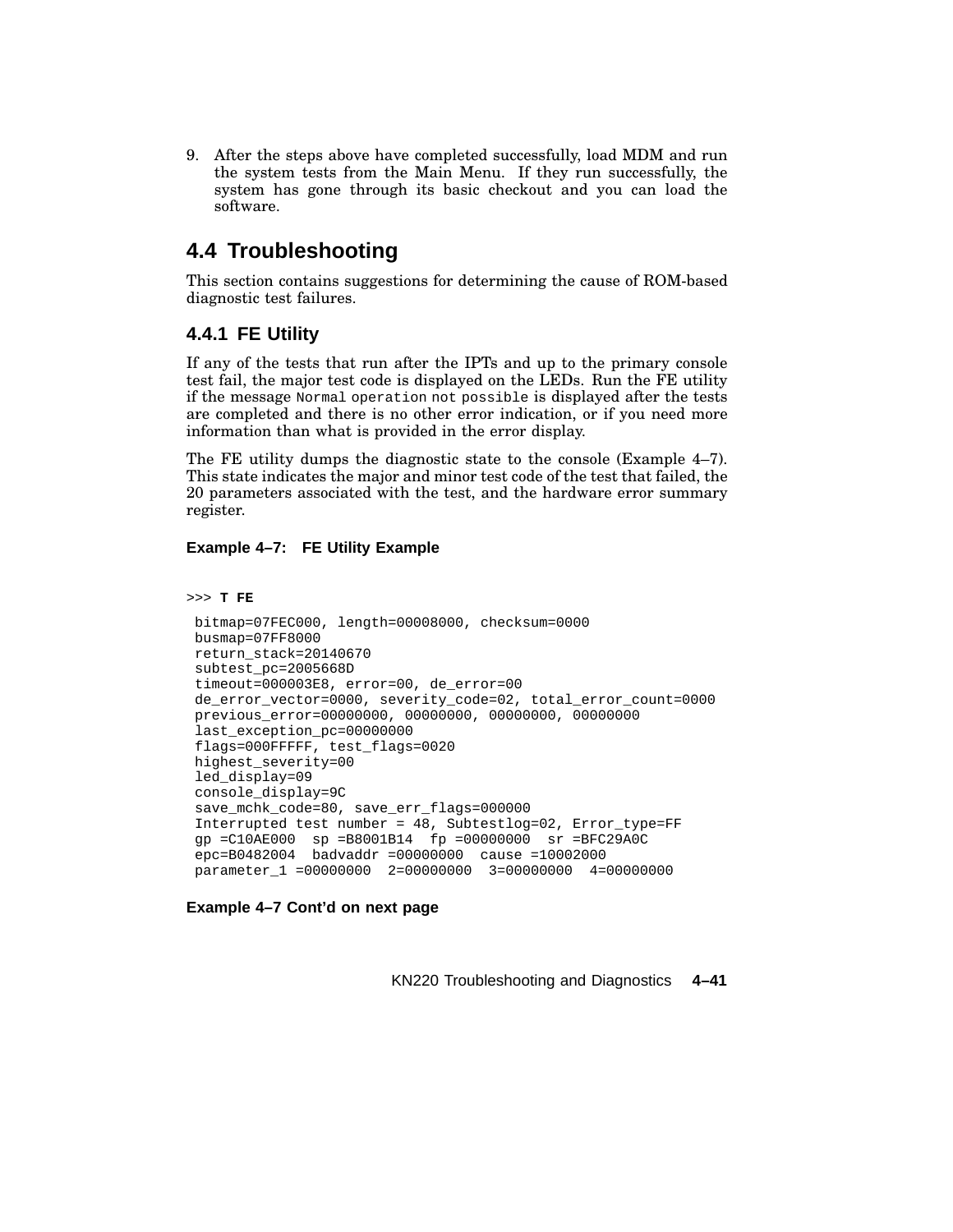9. After the steps above have completed successfully, load MDM and run the system tests from the Main Menu. If they run successfully, the system has gone through its basic checkout and you can load the software.

# **4.4 Troubleshooting**

This section contains suggestions for determining the cause of ROM-based diagnostic test failures.

# **4.4.1 FE Utility**

If any of the tests that run after the IPTs and up to the primary console test fail, the major test code is displayed on the LEDs. Run the FE utility if the message Normal operation not possible is displayed after the tests are completed and there is no other error indication, or if you need more information than what is provided in the error display.

The FE utility dumps the diagnostic state to the console (Example 4–7). This state indicates the major and minor test code of the test that failed, the 20 parameters associated with the test, and the hardware error summary register.

## **Example 4–7: FE Utility Example**

```
>>> T FE
```

```
bitmap=07FEC000, length=00008000, checksum=0000
busmap=07FF8000
return_stack=20140670
subtest_pc=2005668D
timeout=000003E8, error=00, de_error=00
de_error_vector=0000, severity_code=02, total_error_count=0000
previous_error=00000000, 00000000, 00000000, 00000000
last exception pc=00000000
flags=000FFFFF, test_flags=0020
highest_severity=00
led_display=09
console_display=9C
save_mchk_code=80, save_err_flags=000000
Interrupted test number = 48, Subtestlog=02, Error_type=FF
gp =C10AE000 sp =B8001B14 fp =00000000 sr =BFC29A0C
epc=B0482004 badvaddr =00000000 cause =10002000
parameter_1 =00000000 2=00000000 3=00000000 4=00000000
```
**Example 4–7 Cont'd on next page**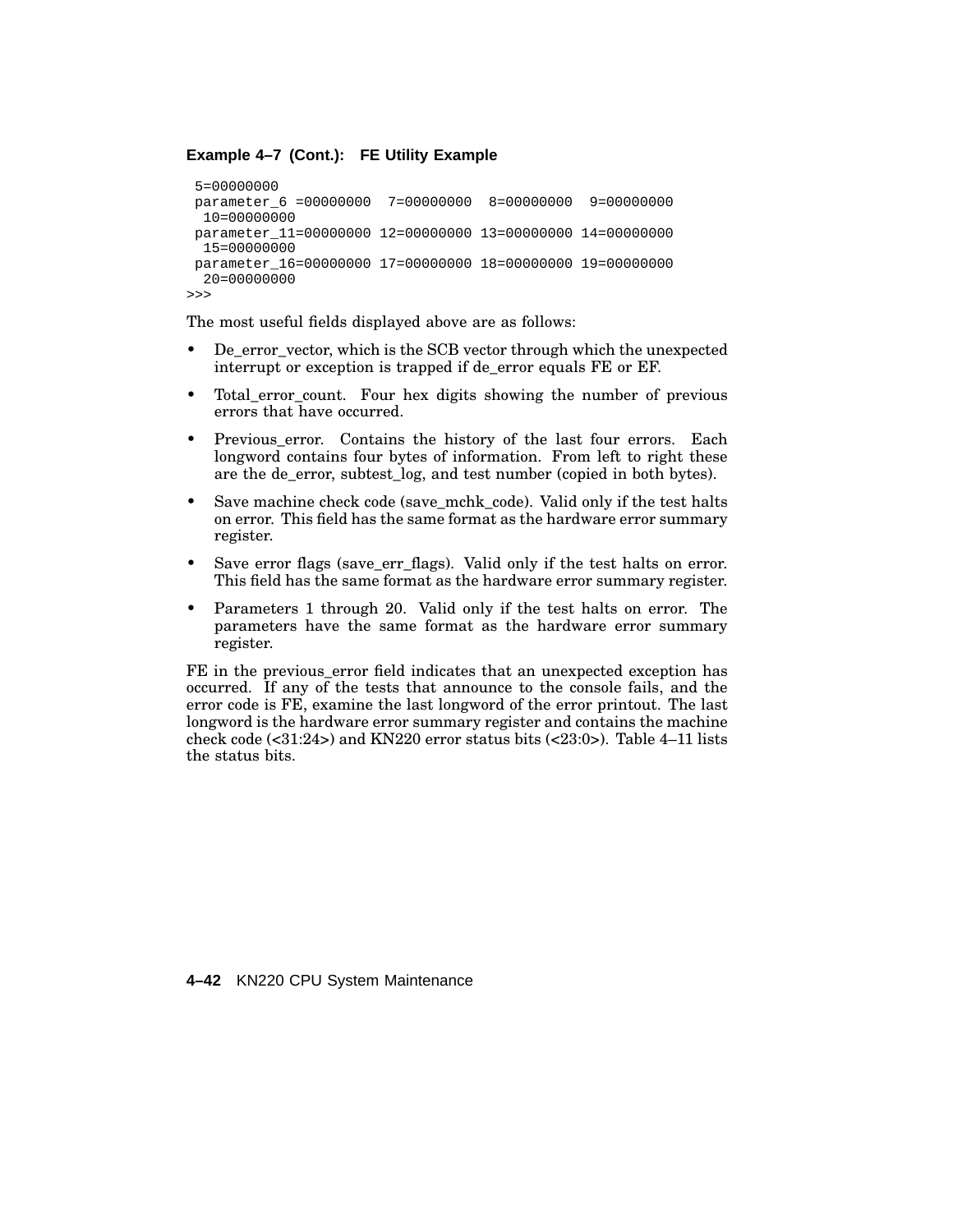### **Example 4–7 (Cont.): FE Utility Example**

```
5=00000000
parameter_6 =00000000 7=00000000 8=00000000 9=00000000
 10=00000000
parameter_11=00000000 12=00000000 13=00000000 14=00000000
 15=00000000
parameter_16=00000000 17=00000000 18=00000000 19=00000000
 20=00000000
>>>
```
The most useful fields displayed above are as follows:

- De error vector, which is the SCB vector through which the unexpected interrupt or exception is trapped if de\_error equals FE or EF.
- Total\_error\_count. Four hex digits showing the number of previous errors that have occurred.
- Previous error. Contains the history of the last four errors. Each longword contains four bytes of information. From left to right these are the de\_error, subtest\_log, and test number (copied in both bytes).
- Save machine check code (save\_mchk\_code). Valid only if the test halts on error. This field has the same format as the hardware error summary register.
- Save error flags (save\_err\_flags). Valid only if the test halts on error. This field has the same format as the hardware error summary register.
- Parameters 1 through 20. Valid only if the test halts on error. The parameters have the same format as the hardware error summary register.

FE in the previous\_error field indicates that an unexpected exception has occurred. If any of the tests that announce to the console fails, and the error code is FE, examine the last longword of the error printout. The last longword is the hardware error summary register and contains the machine check code  $(\text{<}31:24\text{>})$  and KN220 error status bits  $(\text{<}23:0\text{>})$ . Table 4–11 lists the status bits.

**4–42** KN220 CPU System Maintenance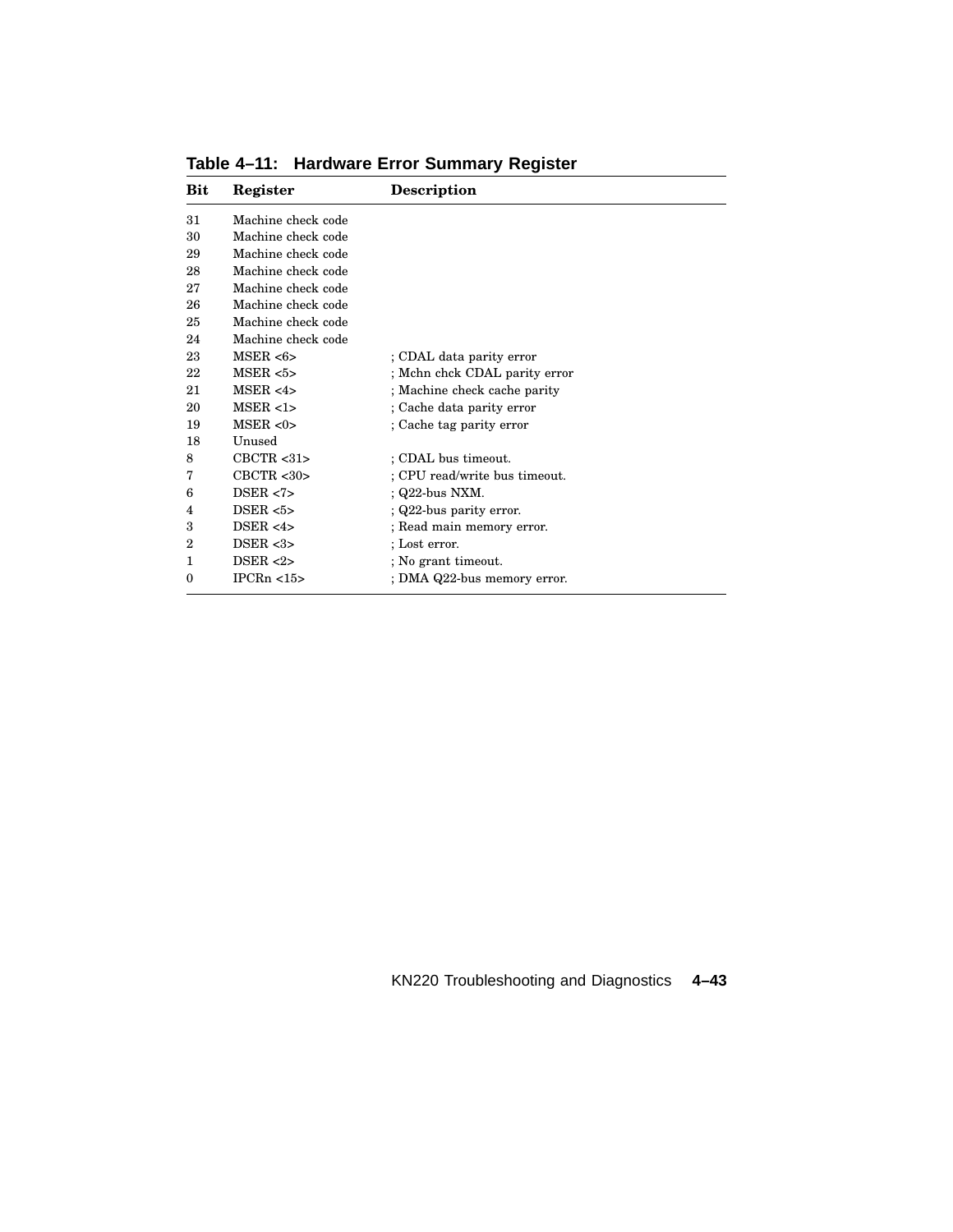| Bit            | Register           | <b>Description</b>            |
|----------------|--------------------|-------------------------------|
| 31             | Machine check code |                               |
| 30             | Machine check code |                               |
| 29             | Machine check code |                               |
| 28             | Machine check code |                               |
| 27             | Machine check code |                               |
| 26             | Machine check code |                               |
| 25             | Machine check code |                               |
| 24             | Machine check code |                               |
| 23             | MSER < 6           | ; CDAL data parity error      |
| 22             | MSER < 5>          | ; Mchn chck CDAL parity error |
| 21             | MSER < 4>          | ; Machine check cache parity  |
| 20             | MSER <1>           | ; Cache data parity error     |
| 19             | MSER < 0>          | ; Cache tag parity error      |
| 18             | Unused             |                               |
| 8              | CBCTR < 31         | ; CDAL bus timeout.           |
| 7              | CBCTR < 30         | : CPU read/write bus timeout. |
| 6              | DSER < 7>          | $Q22$ -bus NXM.               |
| 4              | DSER < 5           | $Q22$ -bus parity error.      |
| 3              | DSER < 4>          | ; Read main memory error.     |
| $\overline{2}$ | DSER $<3>$         | ; Lost error.                 |
| 1              | DSER $<2>$         | ; No grant timeout.           |
| $\theta$       | IPCRn < 15         | ; DMA Q22-bus memory error.   |

**Table 4–11: Hardware Error Summary Register**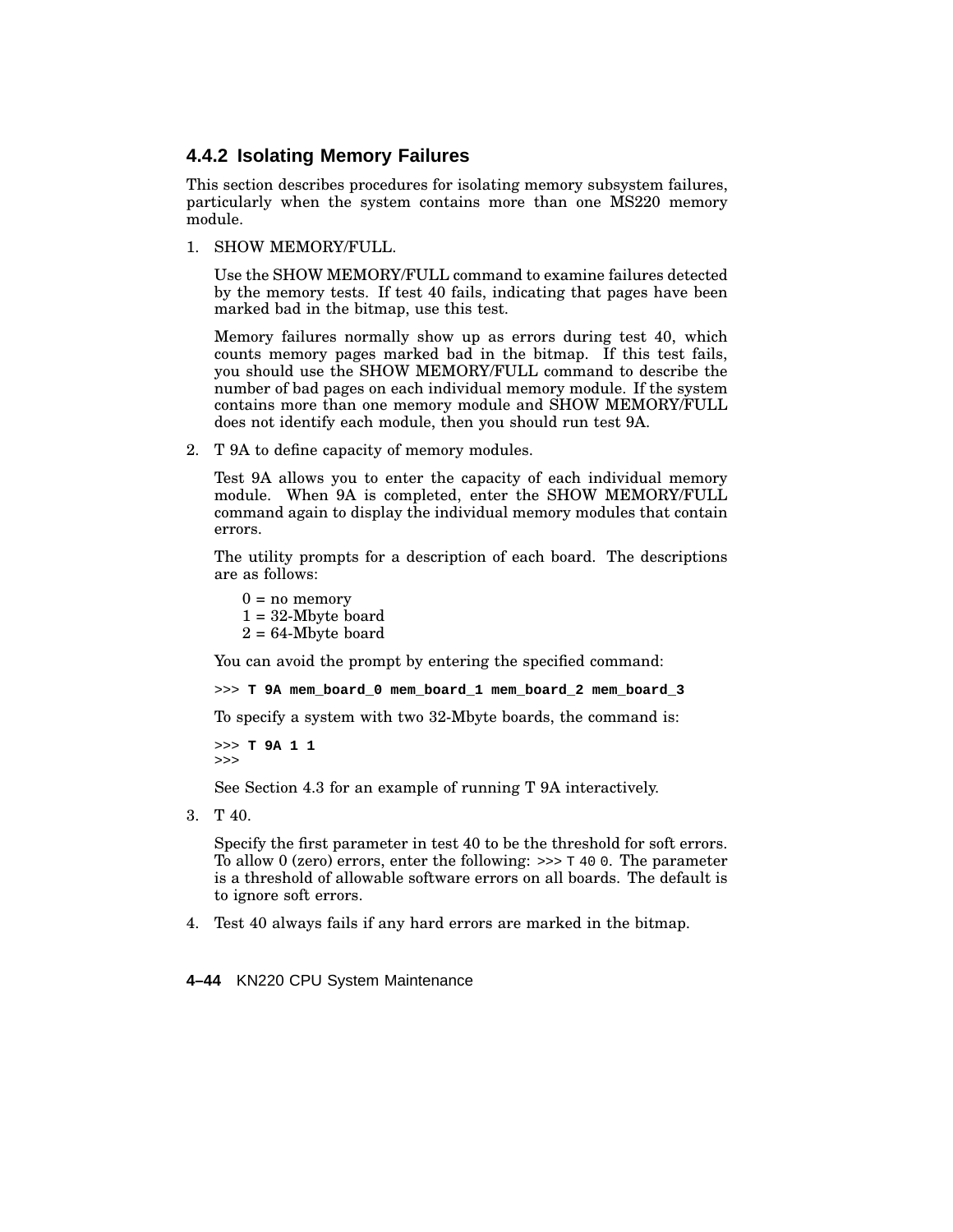# **4.4.2 Isolating Memory Failures**

This section describes procedures for isolating memory subsystem failures, particularly when the system contains more than one MS220 memory module.

1. SHOW MEMORY/FULL.

Use the SHOW MEMORY/FULL command to examine failures detected by the memory tests. If test 40 fails, indicating that pages have been marked bad in the bitmap, use this test.

Memory failures normally show up as errors during test 40, which counts memory pages marked bad in the bitmap. If this test fails, you should use the SHOW MEMORY/FULL command to describe the number of bad pages on each individual memory module. If the system contains more than one memory module and SHOW MEMORY/FULL does not identify each module, then you should run test 9A.

2. T 9A to define capacity of memory modules.

Test 9A allows you to enter the capacity of each individual memory module. When 9A is completed, enter the SHOW MEMORY/FULL command again to display the individual memory modules that contain errors.

The utility prompts for a description of each board. The descriptions are as follows:

 $0 = no memory$  $1 = 32$ -Mbyte board  $2 = 64$ -Mbyte board

You can avoid the prompt by entering the specified command:

>>> **T 9A mem\_board\_0 mem\_board\_1 mem\_board\_2 mem\_board\_3**

To specify a system with two 32-Mbyte boards, the command is:

>>> **T 9A 1 1** >>>

See Section 4.3 for an example of running T 9A interactively.

3. T 40.

Specify the first parameter in test 40 to be the threshold for soft errors. To allow 0 (zero) errors, enter the following:  $\gg$   $\ge$   $\pi$  40 0. The parameter is a threshold of allowable software errors on all boards. The default is to ignore soft errors.

4. Test 40 always fails if any hard errors are marked in the bitmap.

**4–44** KN220 CPU System Maintenance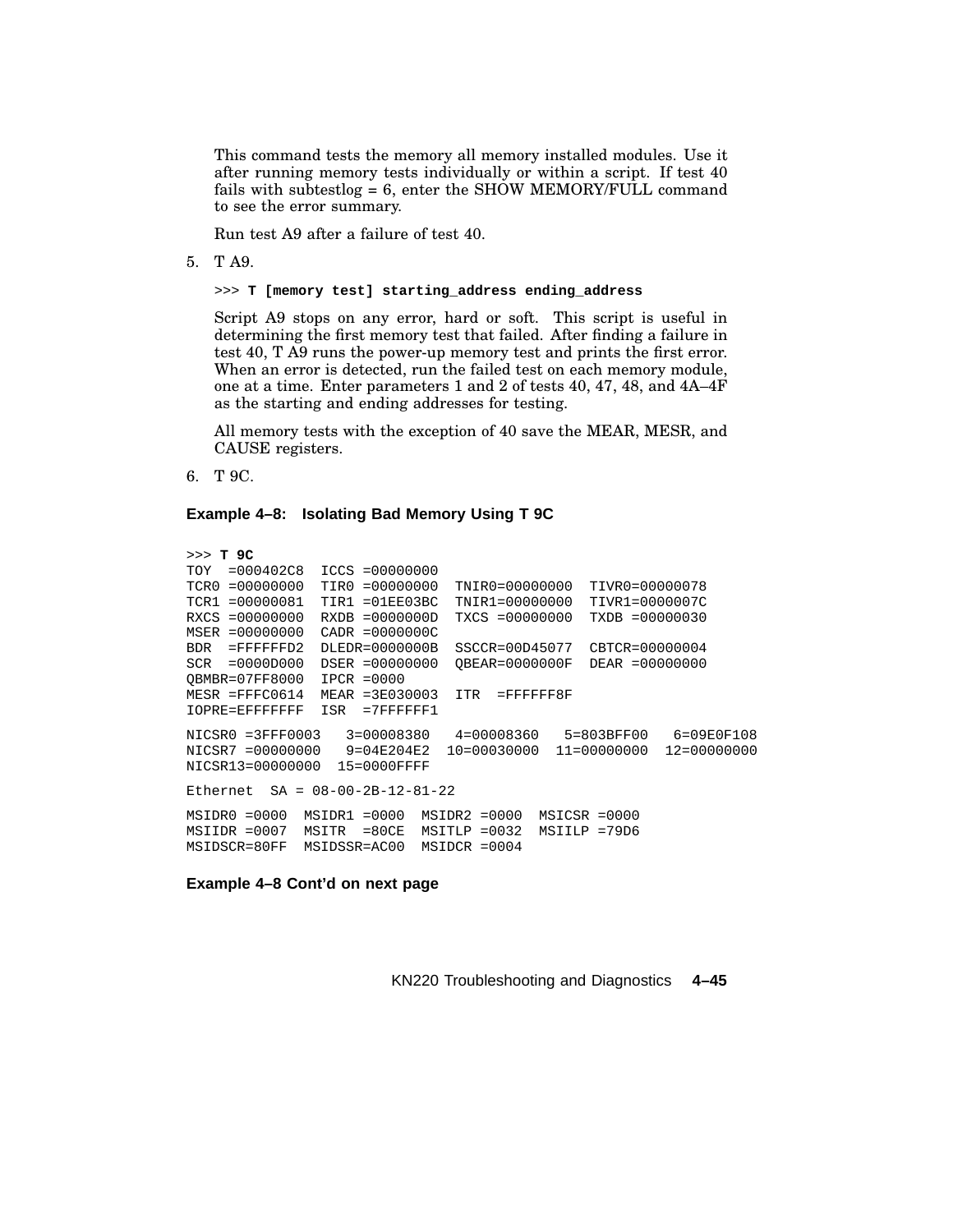This command tests the memory all memory installed modules. Use it after running memory tests individually or within a script. If test 40 fails with subtestlog = 6, enter the SHOW MEMORY/FULL command to see the error summary.

Run test A9 after a failure of test 40.

5. T A9.

>>> **T [memory test] starting\_address ending\_address**

Script A9 stops on any error, hard or soft. This script is useful in determining the first memory test that failed. After finding a failure in test 40, T A9 runs the power-up memory test and prints the first error. When an error is detected, run the failed test on each memory module, one at a time. Enter parameters 1 and 2 of tests 40, 47, 48, and 4A–4F as the starting and ending addresses for testing.

All memory tests with the exception of 40 save the MEAR, MESR, and CAUSE registers.

6. T 9C.

**Example 4–8: Isolating Bad Memory Using T 9C**

```
>>> T 9C
TOY =000402C8 ICCS =00000000
TCR0 =00000000 TIR0 =00000000 TNIR0=00000000 TIVR0=00000078
TCR1 =00000081 TIR1 =01EE03BC TNIR1=00000000 TIVR1=0000007C
RXCS =00000000 RXDB =0000000D TXCS =00000000 TXDB =00000030
MSER =00000000 CADR =0000000C
BDR =FFFFFFD2 DLEDR=0000000B SSCCR=00D45077 CBTCR=00000004
SCR =0000D000 DSER =00000000 QBEAR=0000000F DEAR =00000000
QBMBR=07FF8000 IPCR =0000
MESR =FFFC0614 MEAR =3E030003 ITR =FFFFFF8F
IOPRE=EFFFFFFF ISR =7FFFFFF1
NICSR0 =3FFF0003 3=00008380 4=00008360 5=803BFF00 6=09E0F108
NICSR7 =00000000 9=04E204E2 10=00030000 11=00000000 12=00000000
NICSR13=00000000 15=0000FFFF
Ethernet SA = 08-00-2B-12-81-22
MSIDR0 =0000 MSIDR1 =0000 MSIDR2 =0000 MSICSR =0000
MSIIDR =0007 MSITR =80CE MSITLP =0032 MSIILP =79D6
MSIDSCR=80FF MSIDSSR=AC00 MSIDCR =0004
```
**Example 4–8 Cont'd on next page**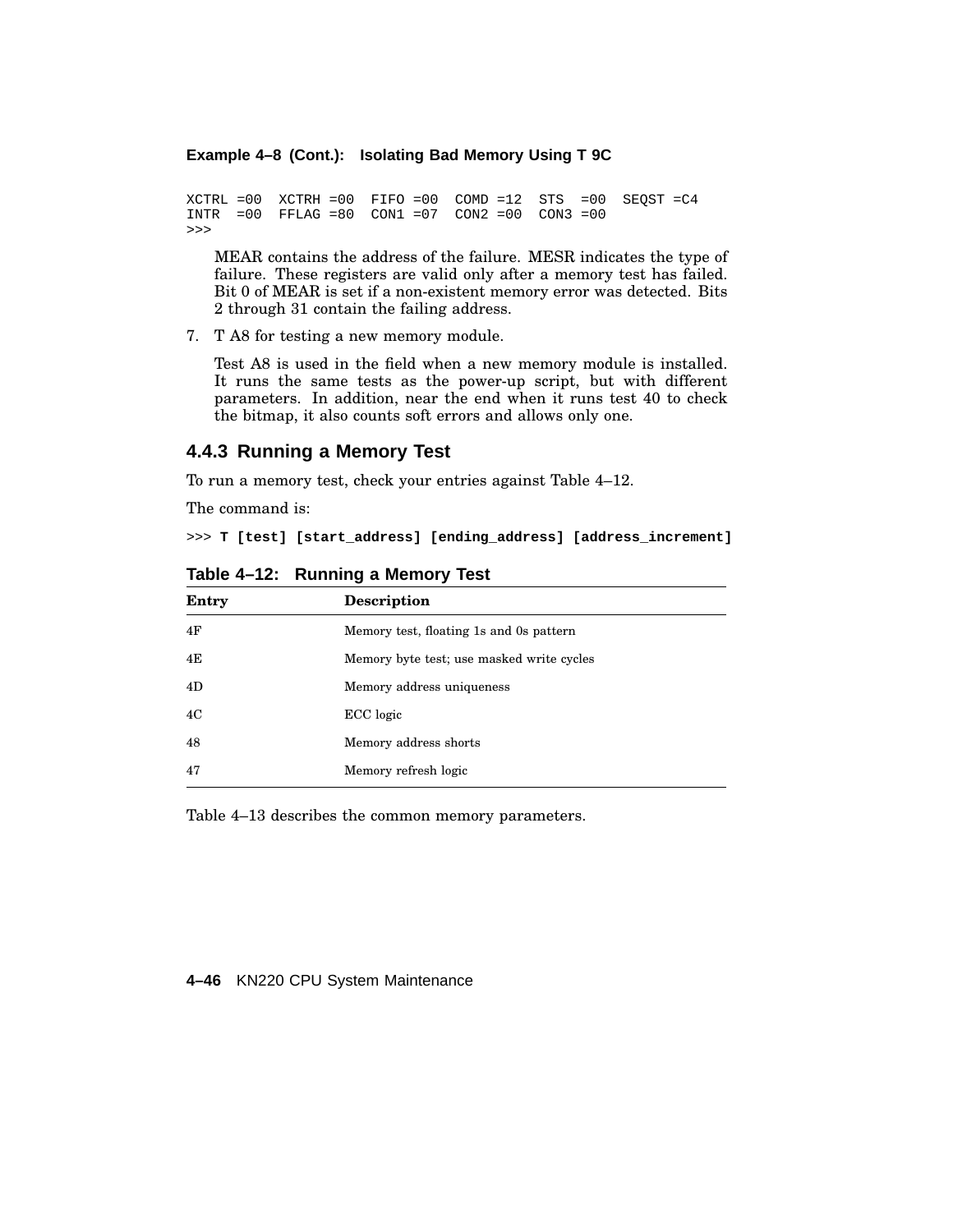## **Example 4–8 (Cont.): Isolating Bad Memory Using T 9C**

```
XCTRL =00 XCTRH =00 FIFO =00 COMD =12 STS =00 SEQST =C4
INTR =00 FFLAG =80 CON1 =07 CON2 =00 CON3 =00
>>>
```
MEAR contains the address of the failure. MESR indicates the type of failure. These registers are valid only after a memory test has failed. Bit 0 of MEAR is set if a non-existent memory error was detected. Bits 2 through 31 contain the failing address.

7. T A8 for testing a new memory module.

Test A8 is used in the field when a new memory module is installed. It runs the same tests as the power-up script, but with different parameters. In addition, near the end when it runs test 40 to check the bitmap, it also counts soft errors and allows only one.

### **4.4.3 Running a Memory Test**

To run a memory test, check your entries against Table 4–12.

The command is:

>>> **T [test] [start\_address] [ending\_address] [address\_increment]**

| Entry | Description                               |
|-------|-------------------------------------------|
| 4F    | Memory test, floating 1s and 0s pattern   |
| 4E    | Memory byte test; use masked write cycles |
| 4D    | Memory address uniqueness                 |
| 4C    | ECC logic                                 |
| 48    | Memory address shorts                     |
| 47    | Memory refresh logic                      |

**Table 4–12: Running a Memory Test**

Table 4–13 describes the common memory parameters.

### **4–46** KN220 CPU System Maintenance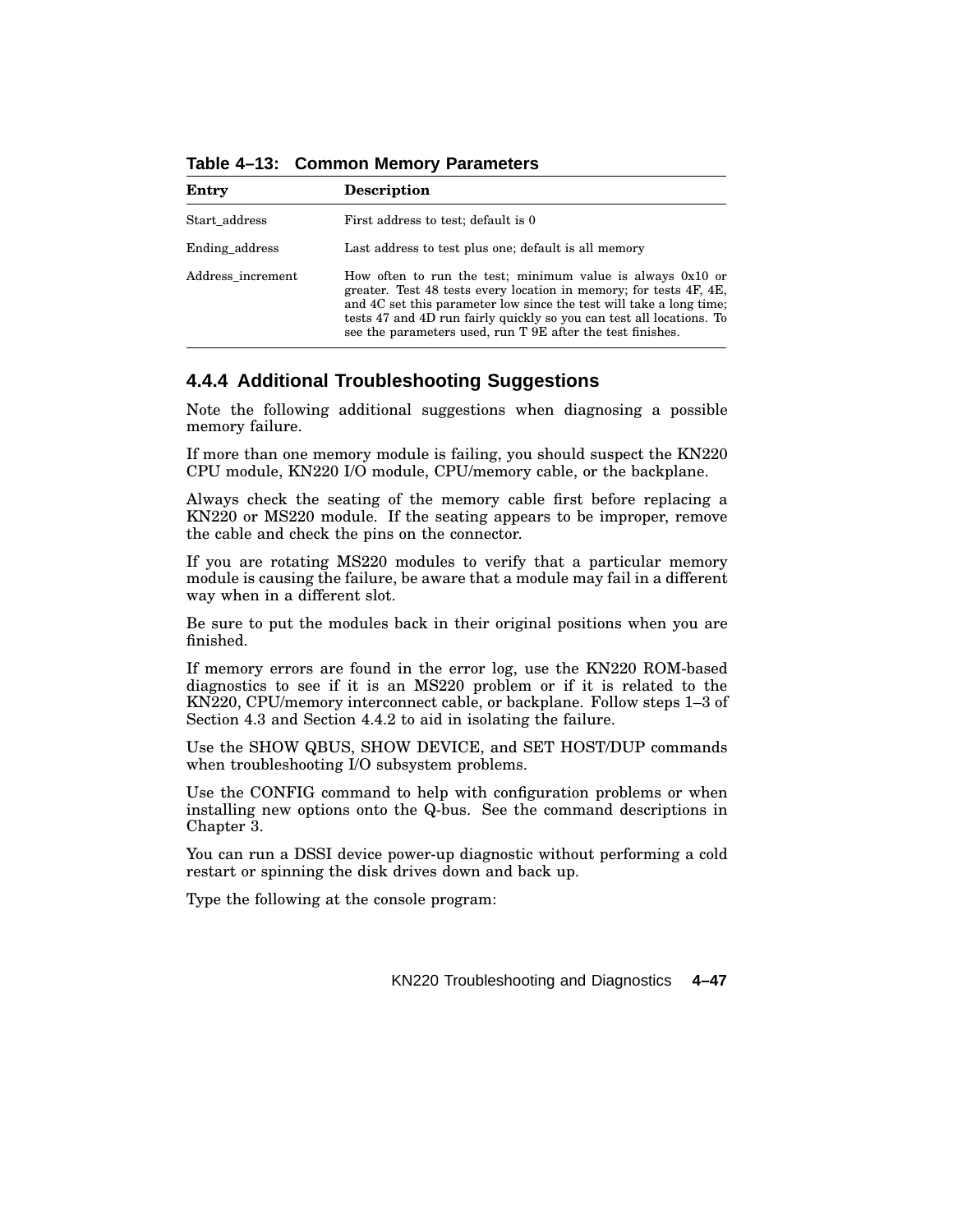**Table 4–13: Common Memory Parameters**

| Entry             | <b>Description</b>                                                                                                                                                                                                                                                                                                                              |
|-------------------|-------------------------------------------------------------------------------------------------------------------------------------------------------------------------------------------------------------------------------------------------------------------------------------------------------------------------------------------------|
| Start_address     | First address to test; default is 0                                                                                                                                                                                                                                                                                                             |
| Ending address    | Last address to test plus one; default is all memory                                                                                                                                                                                                                                                                                            |
| Address increment | How often to run the test; minimum value is always $0x10$ or<br>greater. Test 48 tests every location in memory; for tests 4F, 4E,<br>and 4C set this parameter low since the test will take a long time;<br>tests 47 and 4D run fairly quickly so you can test all locations. To<br>see the parameters used, run T 9E after the test finishes. |

# **4.4.4 Additional Troubleshooting Suggestions**

Note the following additional suggestions when diagnosing a possible memory failure.

If more than one memory module is failing, you should suspect the KN220 CPU module, KN220 I/O module, CPU/memory cable, or the backplane.

Always check the seating of the memory cable first before replacing a KN220 or MS220 module. If the seating appears to be improper, remove the cable and check the pins on the connector.

If you are rotating MS220 modules to verify that a particular memory module is causing the failure, be aware that a module may fail in a different way when in a different slot.

Be sure to put the modules back in their original positions when you are finished.

If memory errors are found in the error log, use the KN220 ROM-based diagnostics to see if it is an MS220 problem or if it is related to the KN220, CPU/memory interconnect cable, or backplane. Follow steps 1–3 of Section 4.3 and Section 4.4.2 to aid in isolating the failure.

Use the SHOW QBUS, SHOW DEVICE, and SET HOST/DUP commands when troubleshooting I/O subsystem problems.

Use the CONFIG command to help with configuration problems or when installing new options onto the Q-bus. See the command descriptions in Chapter 3.

You can run a DSSI device power-up diagnostic without performing a cold restart or spinning the disk drives down and back up.

Type the following at the console program: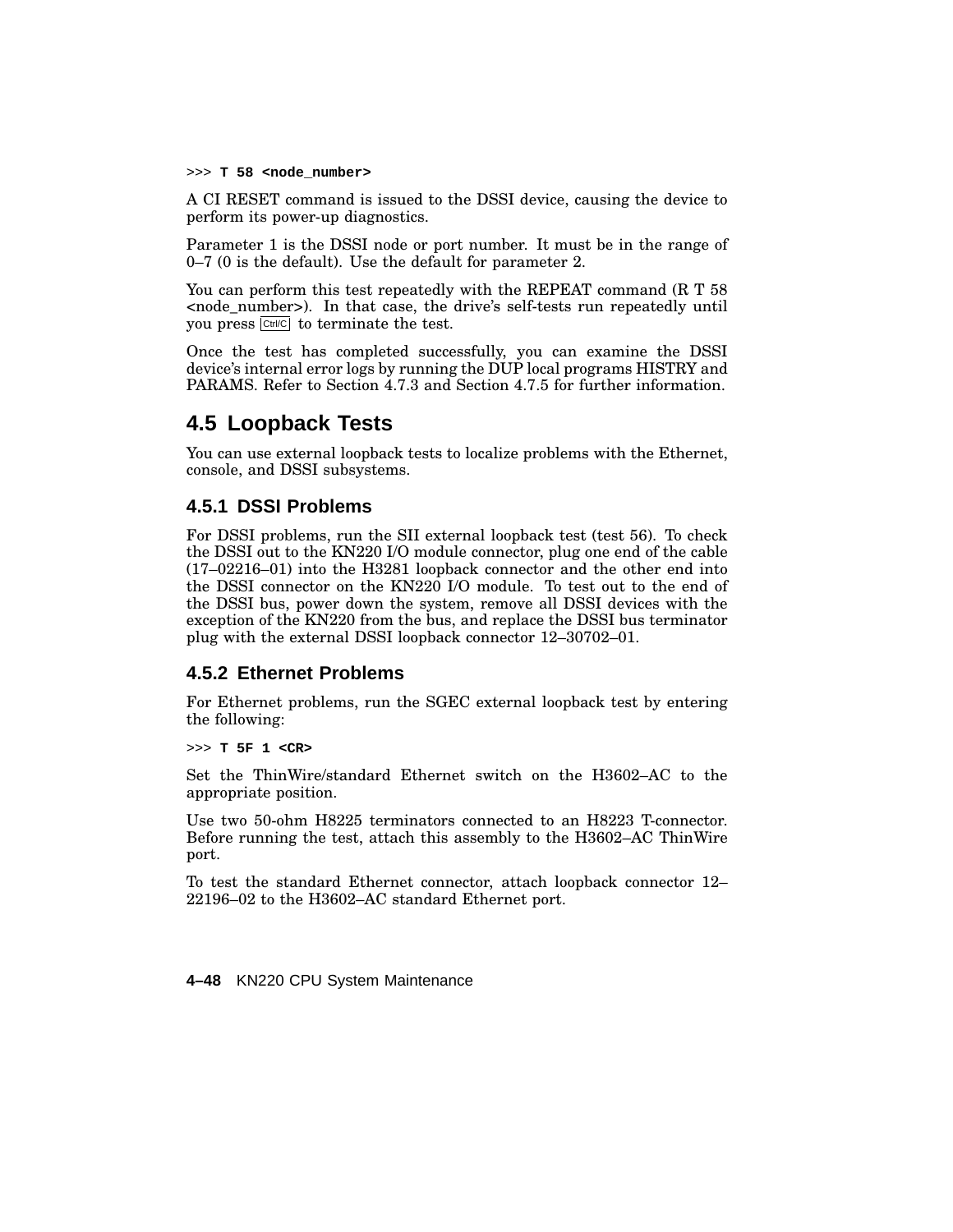>>> **T 58 <node\_number>**

A CI RESET command is issued to the DSSI device, causing the device to perform its power-up diagnostics.

Parameter 1 is the DSSI node or port number. It must be in the range of 0–7 (0 is the default). Use the default for parameter 2.

You can perform this test repeatedly with the REPEAT command (R T 58 <node\_number>). In that case, the drive's self-tests run repeatedly until you press  $\boxed{\text{Ctrl/C}}$  to terminate the test.

Once the test has completed successfully, you can examine the DSSI device's internal error logs by running the DUP local programs HISTRY and PARAMS. Refer to Section 4.7.3 and Section 4.7.5 for further information.

# **4.5 Loopback Tests**

You can use external loopback tests to localize problems with the Ethernet, console, and DSSI subsystems.

# **4.5.1 DSSI Problems**

For DSSI problems, run the SII external loopback test (test 56). To check the DSSI out to the KN220 I/O module connector, plug one end of the cable (17–02216–01) into the H3281 loopback connector and the other end into the DSSI connector on the KN220 I/O module. To test out to the end of the DSSI bus, power down the system, remove all DSSI devices with the exception of the KN220 from the bus, and replace the DSSI bus terminator plug with the external DSSI loopback connector 12–30702–01.

## **4.5.2 Ethernet Problems**

For Ethernet problems, run the SGEC external loopback test by entering the following:

>>> **T 5F 1 <CR>**

Set the ThinWire/standard Ethernet switch on the H3602–AC to the appropriate position.

Use two 50-ohm H8225 terminators connected to an H8223 T-connector. Before running the test, attach this assembly to the H3602–AC ThinWire port.

To test the standard Ethernet connector, attach loopback connector 12– 22196–02 to the H3602–AC standard Ethernet port.

**4–48** KN220 CPU System Maintenance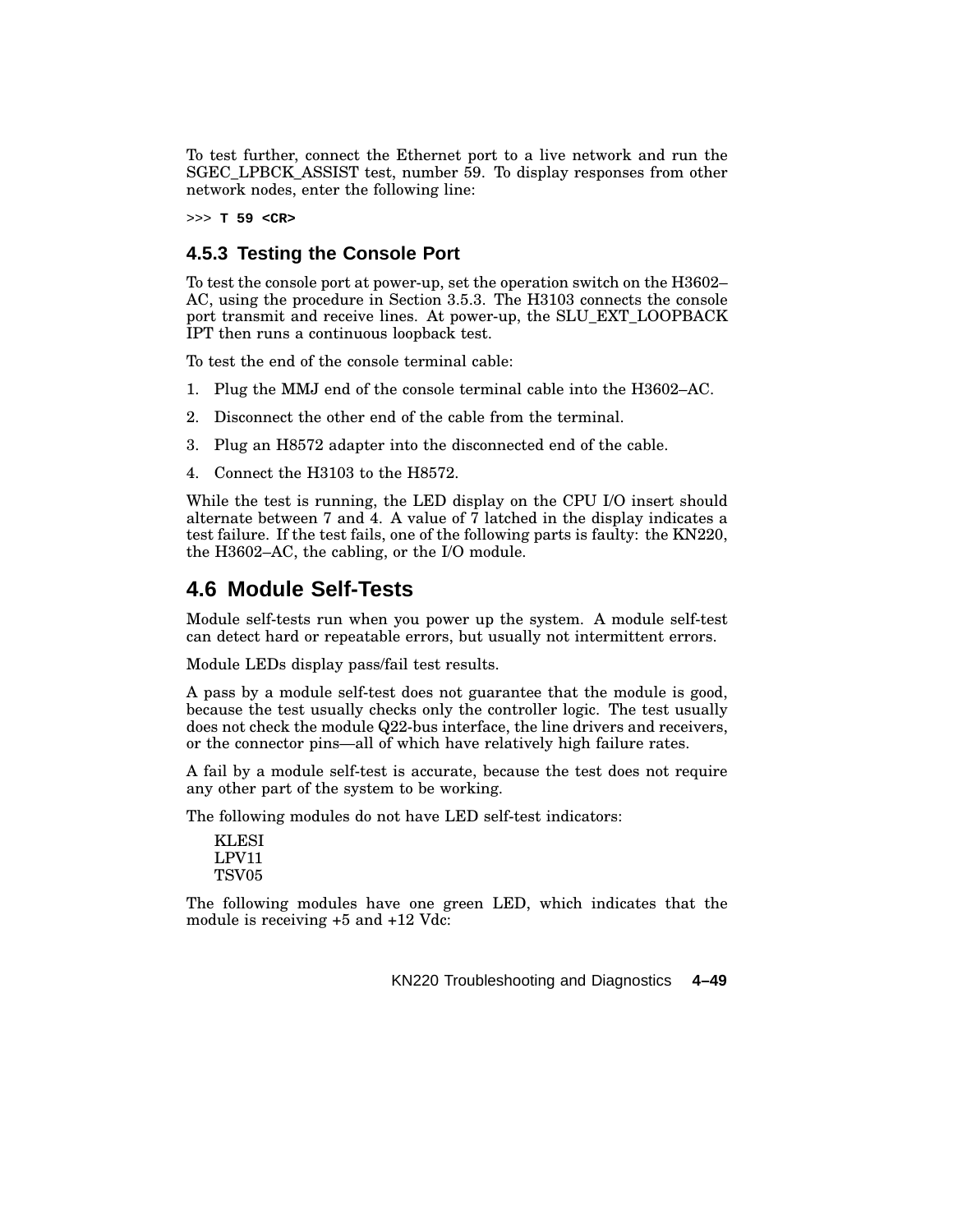To test further, connect the Ethernet port to a live network and run the SGEC\_LPBCK\_ASSIST test, number 59. To display responses from other network nodes, enter the following line:

>>> **T 59 <CR>**

## **4.5.3 Testing the Console Port**

To test the console port at power-up, set the operation switch on the H3602– AC, using the procedure in Section 3.5.3. The H3103 connects the console port transmit and receive lines. At power-up, the SLU\_EXT\_LOOPBACK IPT then runs a continuous loopback test.

To test the end of the console terminal cable:

- 1. Plug the MMJ end of the console terminal cable into the H3602–AC.
- 2. Disconnect the other end of the cable from the terminal.
- 3. Plug an H8572 adapter into the disconnected end of the cable.
- 4. Connect the H3103 to the H8572.

While the test is running, the LED display on the CPU I/O insert should alternate between 7 and 4. A value of 7 latched in the display indicates a test failure. If the test fails, one of the following parts is faulty: the KN220, the H3602–AC, the cabling, or the I/O module.

# **4.6 Module Self-Tests**

Module self-tests run when you power up the system. A module self-test can detect hard or repeatable errors, but usually not intermittent errors.

Module LEDs display pass/fail test results.

A pass by a module self-test does not guarantee that the module is good, because the test usually checks only the controller logic. The test usually does not check the module Q22-bus interface, the line drivers and receivers, or the connector pins—all of which have relatively high failure rates.

A fail by a module self-test is accurate, because the test does not require any other part of the system to be working.

The following modules do not have LED self-test indicators:

| KLESI |
|-------|
| LPV11 |
| TSV05 |

The following modules have one green LED, which indicates that the module is receiving +5 and +12 Vdc: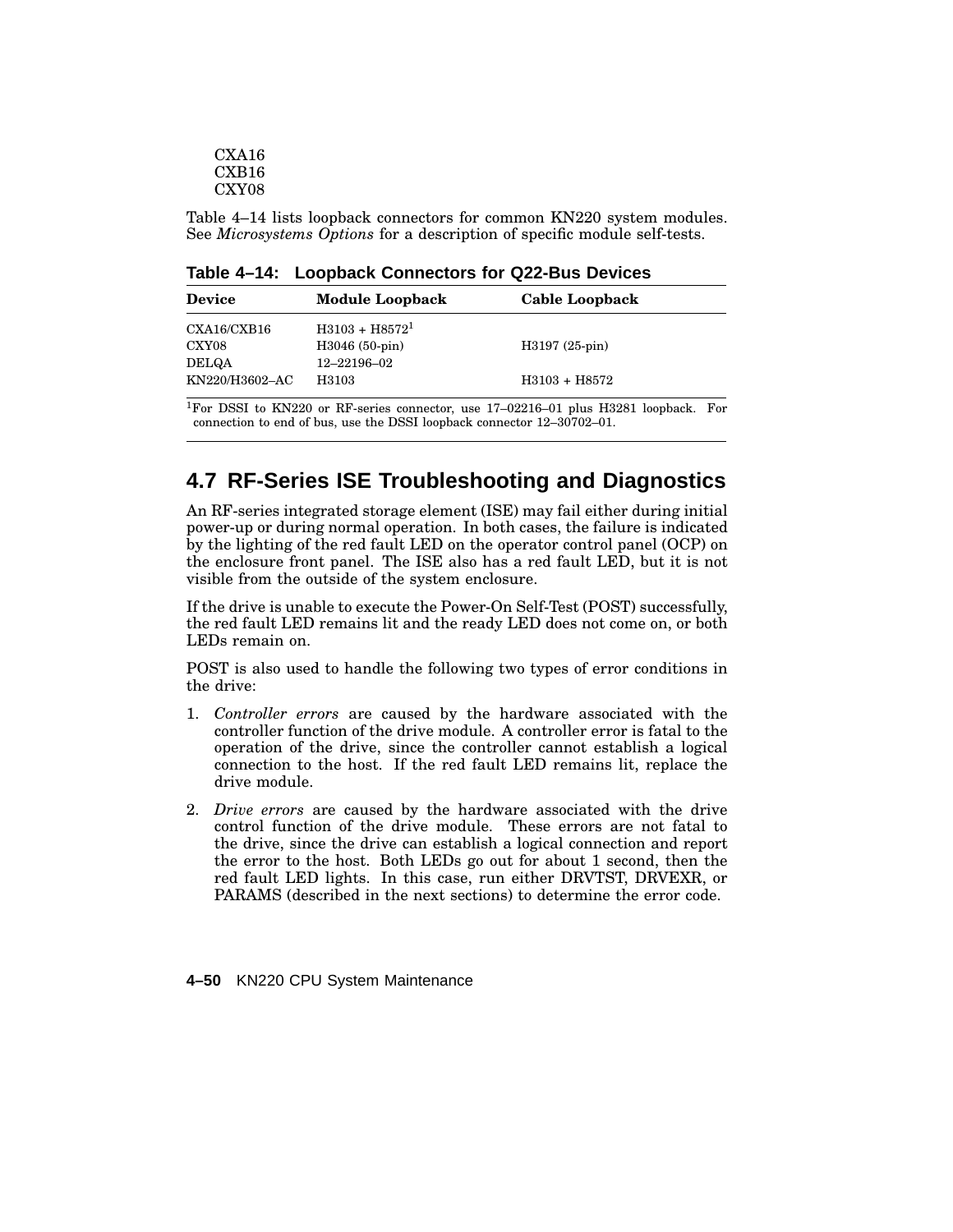| CXA16             |
|-------------------|
| CXB16             |
| CXY <sub>08</sub> |

Table 4–14 lists loopback connectors for common KN220 system modules. See *Microsystems Options* for a description of specific module self-tests.

**Table 4–14: Loopback Connectors for Q22-Bus Devices**

| <b>Device</b>  | <b>Module Loopback</b>        | Cable Loopback  |
|----------------|-------------------------------|-----------------|
| CXA16/CXB16    | $H3103 + H85721$              |                 |
| CXY08<br>DELQA | H3046 (50-pin)<br>12-22196-02 | $H3197(25-pin)$ |
| KN220/H3602–AC | H3103                         | H3103 + H8572   |

<sup>1</sup>For DSSI to KN220 or RF-series connector, use 17–02216–01 plus H3281 loopback. For connection to end of bus, use the DSSI loopback connector 12–30702–01.

# **4.7 RF-Series ISE Troubleshooting and Diagnostics**

An RF-series integrated storage element (ISE) may fail either during initial power-up or during normal operation. In both cases, the failure is indicated by the lighting of the red fault LED on the operator control panel (OCP) on the enclosure front panel. The ISE also has a red fault LED, but it is not visible from the outside of the system enclosure.

If the drive is unable to execute the Power-On Self-Test (POST) successfully, the red fault LED remains lit and the ready LED does not come on, or both LEDs remain on.

POST is also used to handle the following two types of error conditions in the drive:

- 1. *Controller errors* are caused by the hardware associated with the controller function of the drive module. A controller error is fatal to the operation of the drive, since the controller cannot establish a logical connection to the host. If the red fault LED remains lit, replace the drive module.
- 2. *Drive errors* are caused by the hardware associated with the drive control function of the drive module. These errors are not fatal to the drive, since the drive can establish a logical connection and report the error to the host. Both LEDs go out for about 1 second, then the red fault LED lights. In this case, run either DRVTST, DRVEXR, or PARAMS (described in the next sections) to determine the error code.

**4–50** KN220 CPU System Maintenance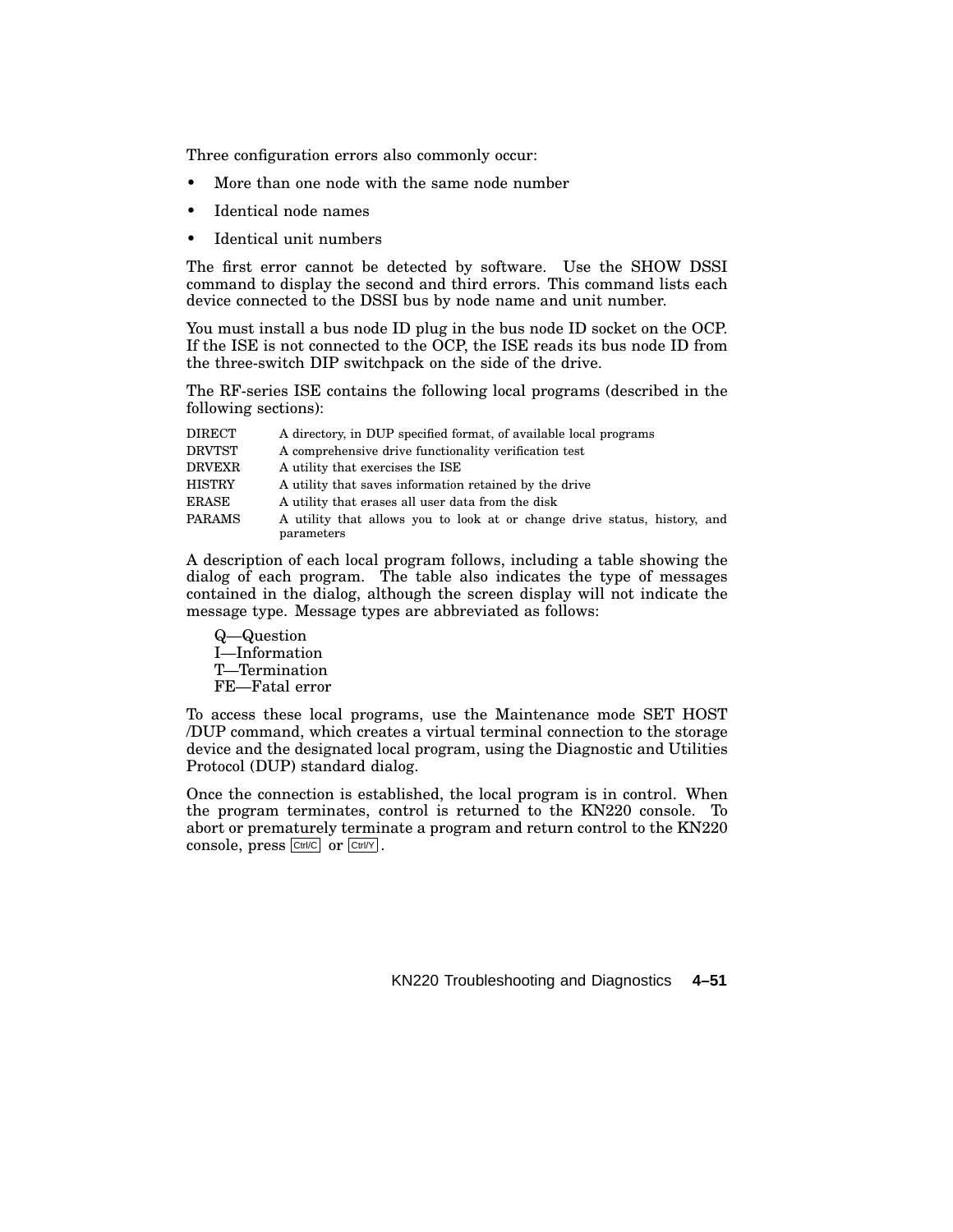Three configuration errors also commonly occur:

- More than one node with the same node number
- Identical node names
- Identical unit numbers

The first error cannot be detected by software. Use the SHOW DSSI command to display the second and third errors. This command lists each device connected to the DSSI bus by node name and unit number.

You must install a bus node ID plug in the bus node ID socket on the OCP. If the ISE is not connected to the OCP, the ISE reads its bus node ID from the three-switch DIP switchpack on the side of the drive.

The RF-series ISE contains the following local programs (described in the following sections):

| A utility that allows you to look at or change drive status, history, and |
|---------------------------------------------------------------------------|
|                                                                           |

A description of each local program follows, including a table showing the dialog of each program. The table also indicates the type of messages contained in the dialog, although the screen display will not indicate the message type. Message types are abbreviated as follows:

Q—Question I—Information T—Termination FE—Fatal error

To access these local programs, use the Maintenance mode SET HOST /DUP command, which creates a virtual terminal connection to the storage device and the designated local program, using the Diagnostic and Utilities Protocol (DUP) standard dialog.

Once the connection is established, the local program is in control. When the program terminates, control is returned to the KN220 console. To abort or prematurely terminate a program and return control to the KN220 console, press  $\boxed{\text{Ctrl/C}}$  or  $\boxed{\text{Ctrl/Y}}$ .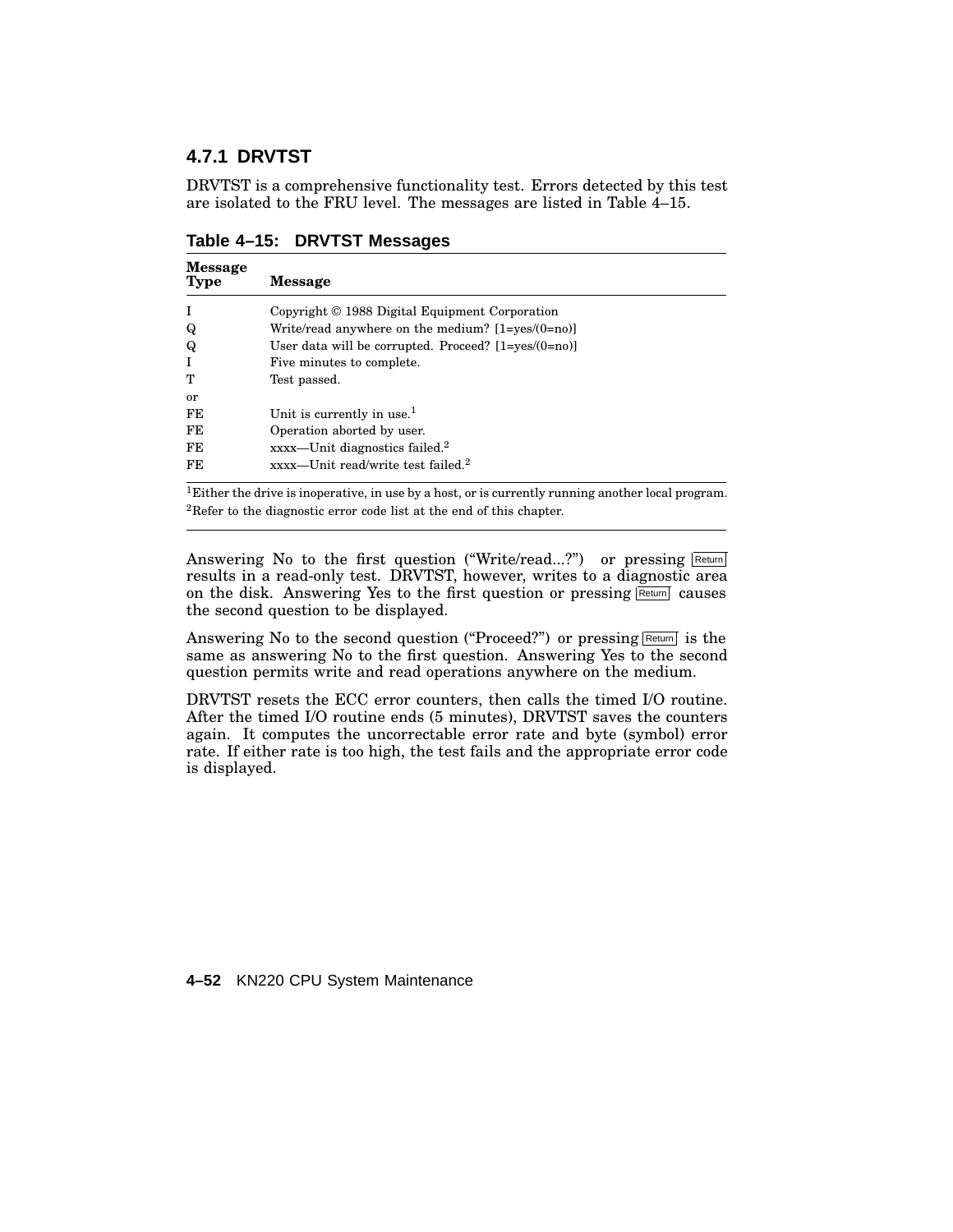# **4.7.1 DRVTST**

DRVTST is a comprehensive functionality test. Errors detected by this test are isolated to the FRU level. The messages are listed in Table 4–15.

| <b>Message</b><br><b>Type</b> | <b>Message</b>                                             |
|-------------------------------|------------------------------------------------------------|
|                               | Copyright © 1988 Digital Equipment Corporation             |
| Q                             | Write/read anywhere on the medium? $[1 = yes/(0 = no)]$    |
| Q                             | User data will be corrupted. Proceed? $[1 = yes/(0 = no)]$ |
|                               | Five minutes to complete.                                  |
| т                             | Test passed.                                               |
| or                            |                                                            |
| FE                            | Unit is currently in use. $1$                              |
| FE                            | Operation aborted by user.                                 |
| FE                            | xxxx-Unit diagnostics failed. <sup>2</sup>                 |
| FE.                           | xxxx-Unit read/write test failed. <sup>2</sup>             |

**Table 4–15: DRVTST Messages**

<sup>1</sup>Either the drive is inoperative, in use by a host, or is currently running another local program. <sup>2</sup>Refer to the diagnostic error code list at the end of this chapter.

Answering No to the first question ("Write/read...?") or pressing Return results in a read-only test. DRVTST, however, writes to a diagnostic area on the disk. Answering Yes to the first question or pressing  $R_{\text{return}}$  causes the second question to be displayed.

Answering No to the second question ("Proceed?") or pressing  $\frac{\text{Return}}{\text{Return}}$  is the same as answering No to the first question. Answering Yes to the second question permits write and read operations anywhere on the medium.

DRVTST resets the ECC error counters, then calls the timed I/O routine. After the timed I/O routine ends (5 minutes), DRVTST saves the counters again. It computes the uncorrectable error rate and byte (symbol) error rate. If either rate is too high, the test fails and the appropriate error code is displayed.

**4–52** KN220 CPU System Maintenance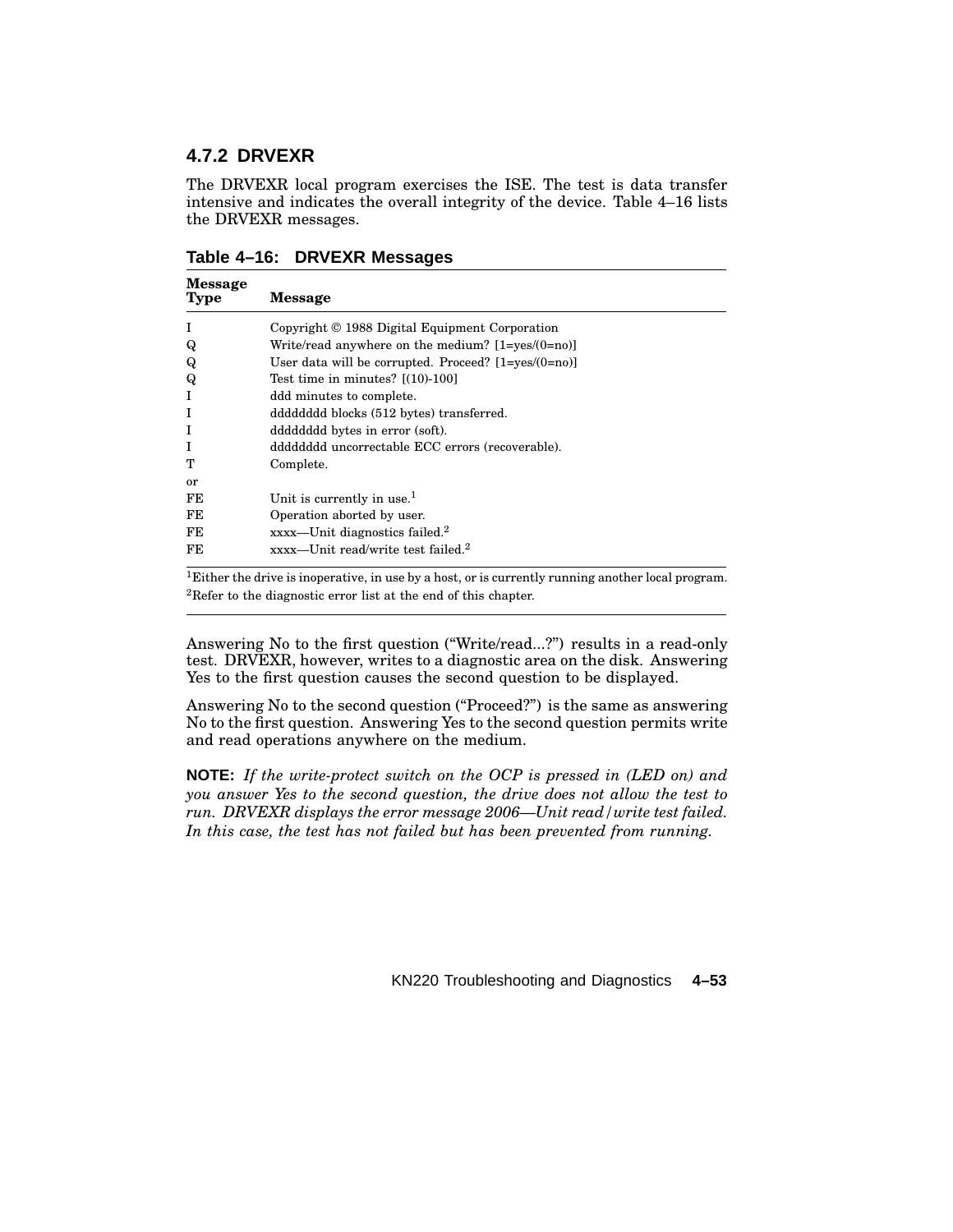# **4.7.2 DRVEXR**

The DRVEXR local program exercises the ISE. The test is data transfer intensive and indicates the overall integrity of the device. Table 4–16 lists the DRVEXR messages.

| Table 4-16: DRVEXR Messages |  |  |
|-----------------------------|--|--|
|-----------------------------|--|--|

| <b>Message</b><br><b>Type</b> | <b>Message</b>                                             |
|-------------------------------|------------------------------------------------------------|
|                               | Copyright © 1988 Digital Equipment Corporation             |
| Q                             | Write/read anywhere on the medium? $[1 = ves/(0 = no)]$    |
| Q                             | User data will be corrupted. Proceed? $[1 = yes/(0 = no)]$ |
| Q                             | Test time in minutes? $[(10)-100]$                         |
|                               | ddd minutes to complete.                                   |
|                               | ddddddd blocks (512 bytes) transferred.                    |
|                               | ddddddd bytes in error (soft).                             |
|                               | ddddddd uncorrectable ECC errors (recoverable).            |
| т                             | Complete.                                                  |
| or                            |                                                            |
| FE                            | Unit is currently in use. $1$                              |
| FE                            | Operation aborted by user.                                 |
| FE                            | $xxxx$ —Unit diagnostics failed. <sup>2</sup>              |
| FE                            | $xxxx$ —Unit read/write test failed. <sup>2</sup>          |

 ${}^{1}$ Either the drive is inoperative, in use by a host, or is currently running another local program. <sup>2</sup>Refer to the diagnostic error list at the end of this chapter.

Answering No to the first question (''Write/read...?'') results in a read-only test. DRVEXR, however, writes to a diagnostic area on the disk. Answering Yes to the first question causes the second question to be displayed.

Answering No to the second question (''Proceed?'') is the same as answering No to the first question. Answering Yes to the second question permits write and read operations anywhere on the medium.

**NOTE:** *If the write-protect switch on the OCP is pressed in (LED on) and you answer Yes to the second question, the drive does not allow the test to run. DRVEXR displays the error message 2006—Unit read/write test failed. In this case, the test has not failed but has been prevented from running.*

KN220 Troubleshooting and Diagnostics **4–53**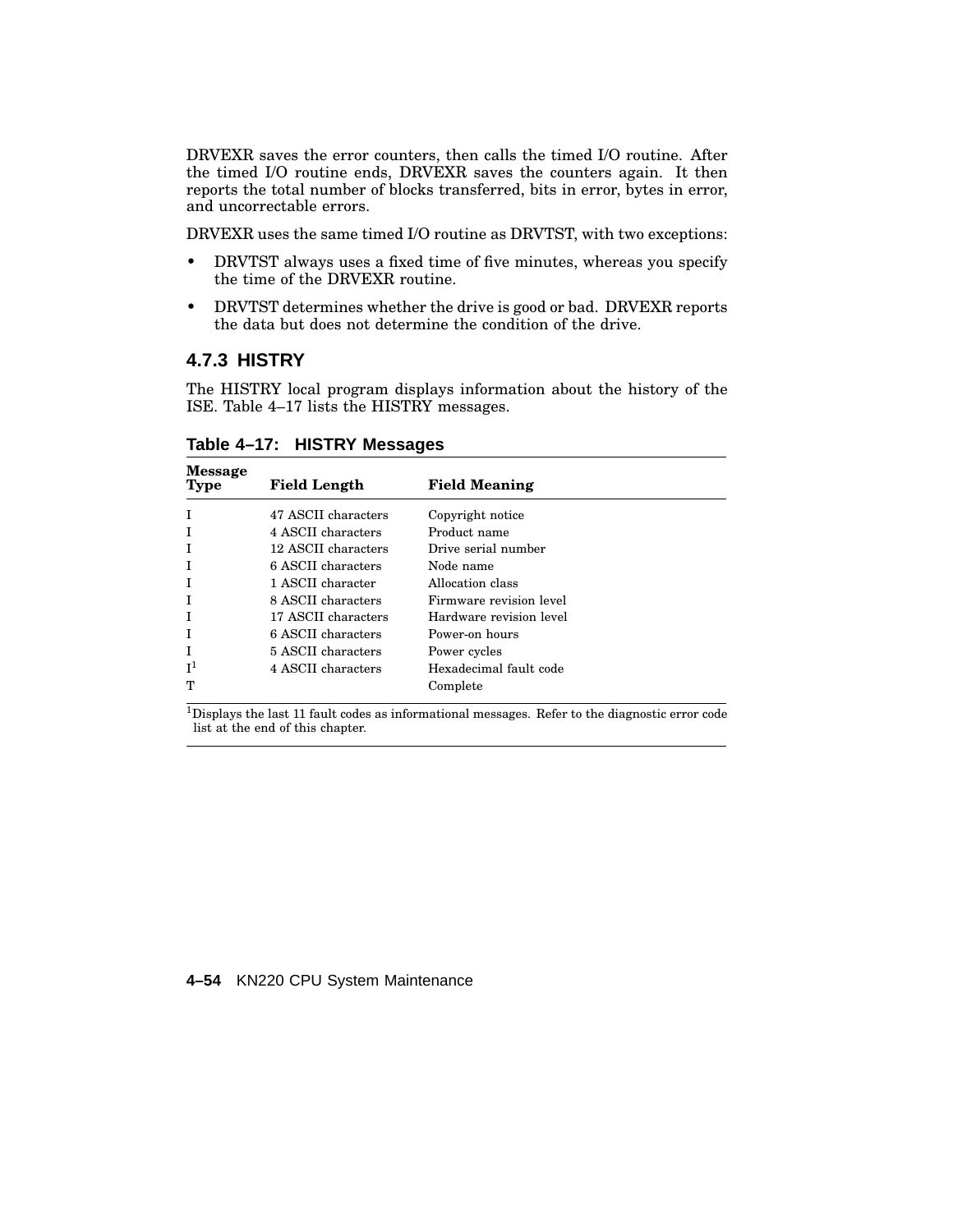DRVEXR saves the error counters, then calls the timed I/O routine. After the timed I/O routine ends, DRVEXR saves the counters again. It then reports the total number of blocks transferred, bits in error, bytes in error, and uncorrectable errors.

DRVEXR uses the same timed I/O routine as DRVTST, with two exceptions:

- DRVTST always uses a fixed time of five minutes, whereas you specify the time of the DRVEXR routine.
- DRVTST determines whether the drive is good or bad. DRVEXR reports the data but does not determine the condition of the drive.

### **4.7.3 HISTRY**

The HISTRY local program displays information about the history of the ISE. Table 4–17 lists the HISTRY messages.

| <b>Message</b><br>Type | <b>Field Length</b> | <b>Field Meaning</b>    |
|------------------------|---------------------|-------------------------|
|                        | 47 ASCII characters | Copyright notice        |
|                        | 4 ASCII characters  | Product name            |
|                        | 12 ASCII characters | Drive serial number     |
|                        | 6 ASCII characters  | Node name               |
|                        | 1 ASCII character   | Allocation class        |
|                        | 8 ASCII characters  | Firmware revision level |
|                        | 17 ASCII characters | Hardware revision level |
|                        | 6 ASCII characters  | Power-on hours          |
|                        | 5 ASCII characters  | Power cycles            |
| $\mathsf{I}^1$         | 4 ASCII characters  | Hexadecimal fault code  |
| m                      |                     | Complete                |

**Table 4–17: HISTRY Messages**

<sup>1</sup>Displays the last 11 fault codes as informational messages. Refer to the diagnostic error code list at the end of this chapter.

#### **4–54** KN220 CPU System Maintenance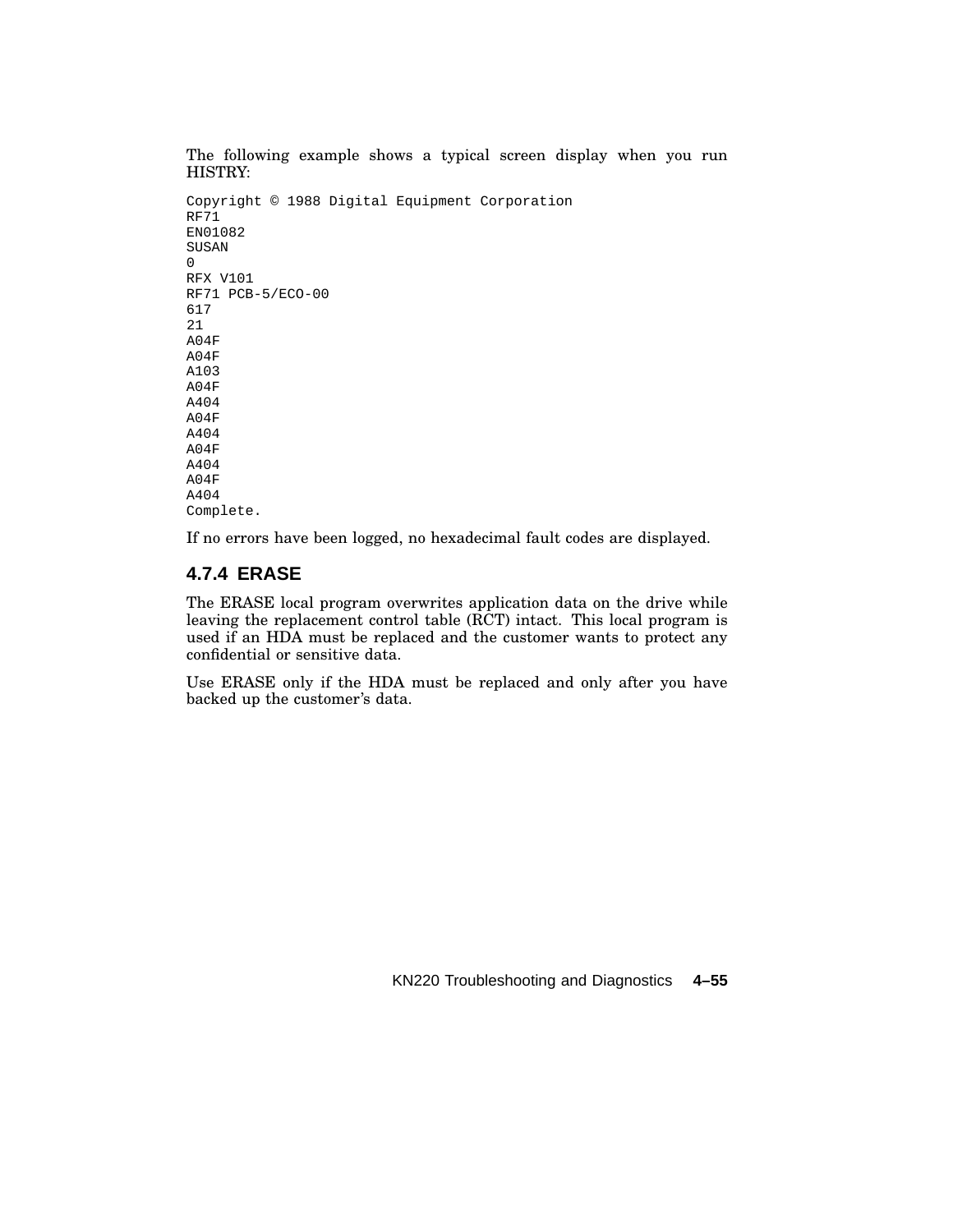The following example shows a typical screen display when you run HISTRY: Copyright © 1988 Digital Equipment Corporation RF71 EN01082 SUSAN 0 RFX V101 RF71 PCB-5/ECO-00 617 21 A04F A04F A103 A04F A404 A04F A404 A04F A404 A04F A404 Complete.

If no errors have been logged, no hexadecimal fault codes are displayed.

# **4.7.4 ERASE**

The ERASE local program overwrites application data on the drive while leaving the replacement control table (RCT) intact. This local program is used if an HDA must be replaced and the customer wants to protect any confidential or sensitive data.

Use ERASE only if the HDA must be replaced and only after you have backed up the customer's data.

KN220 Troubleshooting and Diagnostics **4–55**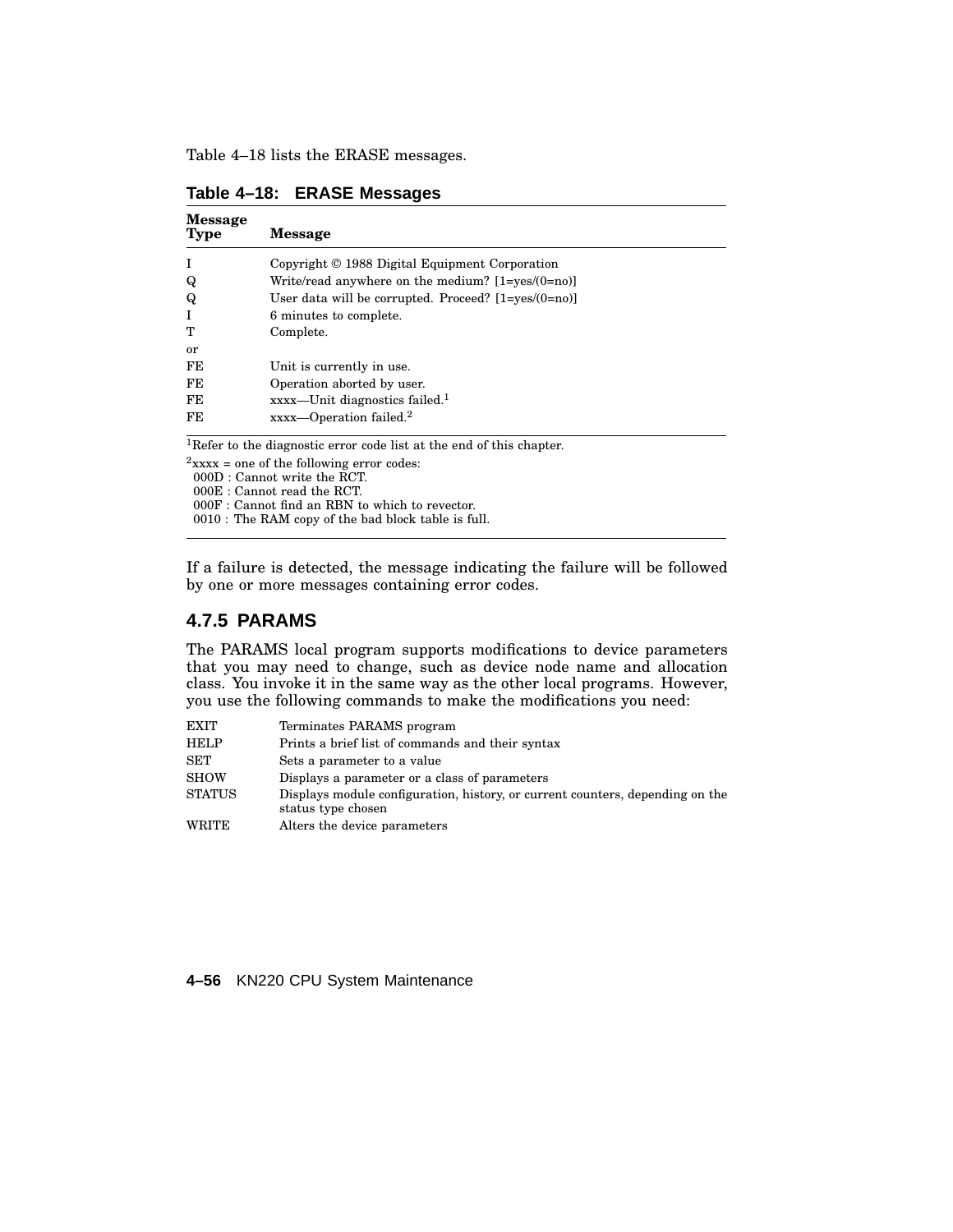Table 4–18 lists the ERASE messages.

| <b>Message</b><br><b>Type</b> | <b>Message</b>                                             |
|-------------------------------|------------------------------------------------------------|
| I                             | Copyright © 1988 Digital Equipment Corporation             |
| Q                             | Write/read anywhere on the medium? $[1 = yes/(0 = no)]$    |
| Q                             | User data will be corrupted. Proceed? $[1 = yes/(0 = no)]$ |
| T                             | 6 minutes to complete.                                     |
| т                             | Complete.                                                  |
| or                            |                                                            |
| FE                            | Unit is currently in use.                                  |
| FE                            | Operation aborted by user.                                 |
| FE                            | $xxxx$ —Unit diagnostics failed. <sup>1</sup>              |
| FE                            | $xxxx$ —Operation failed. <sup>2</sup>                     |
|                               |                                                            |

**Table 4–18: ERASE Messages**

<sup>1</sup>Refer to the diagnostic error code list at the end of this chapter.

 $2$ xxxx = one of the following error codes: 000D : Cannot write the RCT.

000E : Cannot read the RCT.

000F : Cannot find an RBN to which to revector.

0010 : The RAM copy of the bad block table is full.

If a failure is detected, the message indicating the failure will be followed by one or more messages containing error codes.

# **4.7.5 PARAMS**

The PARAMS local program supports modifications to device parameters that you may need to change, such as device node name and allocation class. You invoke it in the same way as the other local programs. However, you use the following commands to make the modifications you need:

| EXIT   | Terminates PARAMS program                                                                           |
|--------|-----------------------------------------------------------------------------------------------------|
| HELP   | Prints a brief list of commands and their syntax                                                    |
| SET    | Sets a parameter to a value                                                                         |
| SHOW   | Displays a parameter or a class of parameters                                                       |
| STATUS | Displays module configuration, history, or current counters, depending on the<br>status type chosen |
| WRITE  | Alters the device parameters                                                                        |

**4–56** KN220 CPU System Maintenance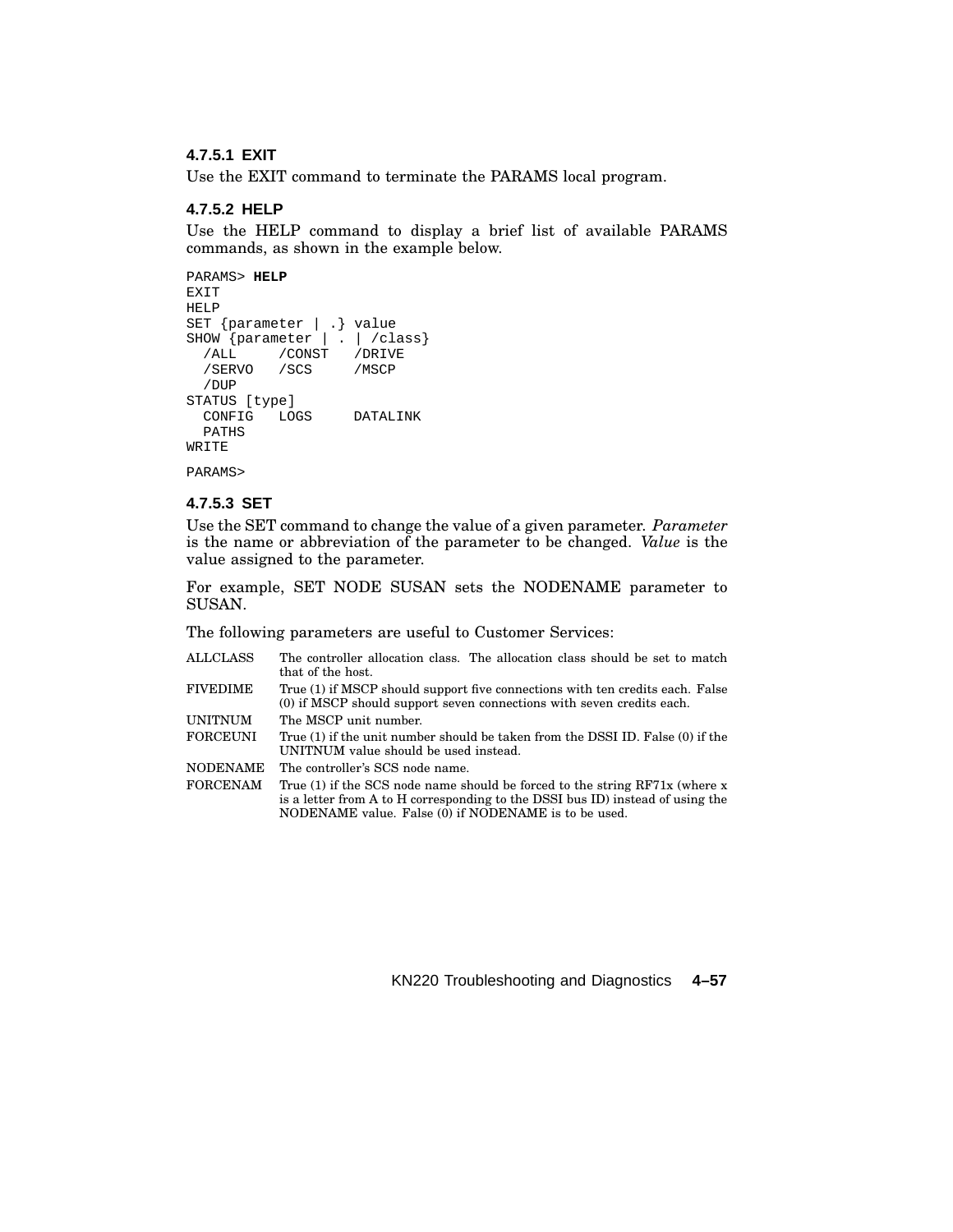#### **4.7.5.1 EXIT**

Use the EXIT command to terminate the PARAMS local program.

#### **4.7.5.2 HELP**

Use the HELP command to display a brief list of available PARAMS commands, as shown in the example below.

```
PARAMS> HELP
EXIT
HELP
SET {parameter | .} value
SHOW {parameter | . | /class}
  /ALL /CONST /DRIVE
 /SERVO /SCS /MSCP
 /DUP
STATUS [type]
 CONFIG LOGS DATALINK
 PATHS
WRITE
PARAMS>
```
#### **4.7.5.3 SET**

Use the SET command to change the value of a given parameter. *Parameter* is the name or abbreviation of the parameter to be changed. *Value* is the value assigned to the parameter.

For example, SET NODE SUSAN sets the NODENAME parameter to SUSAN.

The following parameters are useful to Customer Services:

| ALLCLASS | The controller allocation class. The allocation class should be set to match<br>that of the host.                                                                                                                       |
|----------|-------------------------------------------------------------------------------------------------------------------------------------------------------------------------------------------------------------------------|
| FIVEDIME | True (1) if MSCP should support five connections with ten credits each. False<br>(0) if MSCP should support seven connections with seven credits each.                                                                  |
| UNITNUM  | The MSCP unit number.                                                                                                                                                                                                   |
| FORCEUNI | True (1) if the unit number should be taken from the DSSI ID. False (0) if the<br>UNITNUM value should be used instead.                                                                                                 |
| NODENAME | The controller's SCS node name.                                                                                                                                                                                         |
| FORCENAM | True (1) if the SCS node name should be forced to the string $RF71x$ (where x<br>is a letter from A to H corresponding to the DSSI bus ID) instead of using the<br>NODENAME value. False (0) if NODENAME is to be used. |
|          |                                                                                                                                                                                                                         |

KN220 Troubleshooting and Diagnostics **4–57**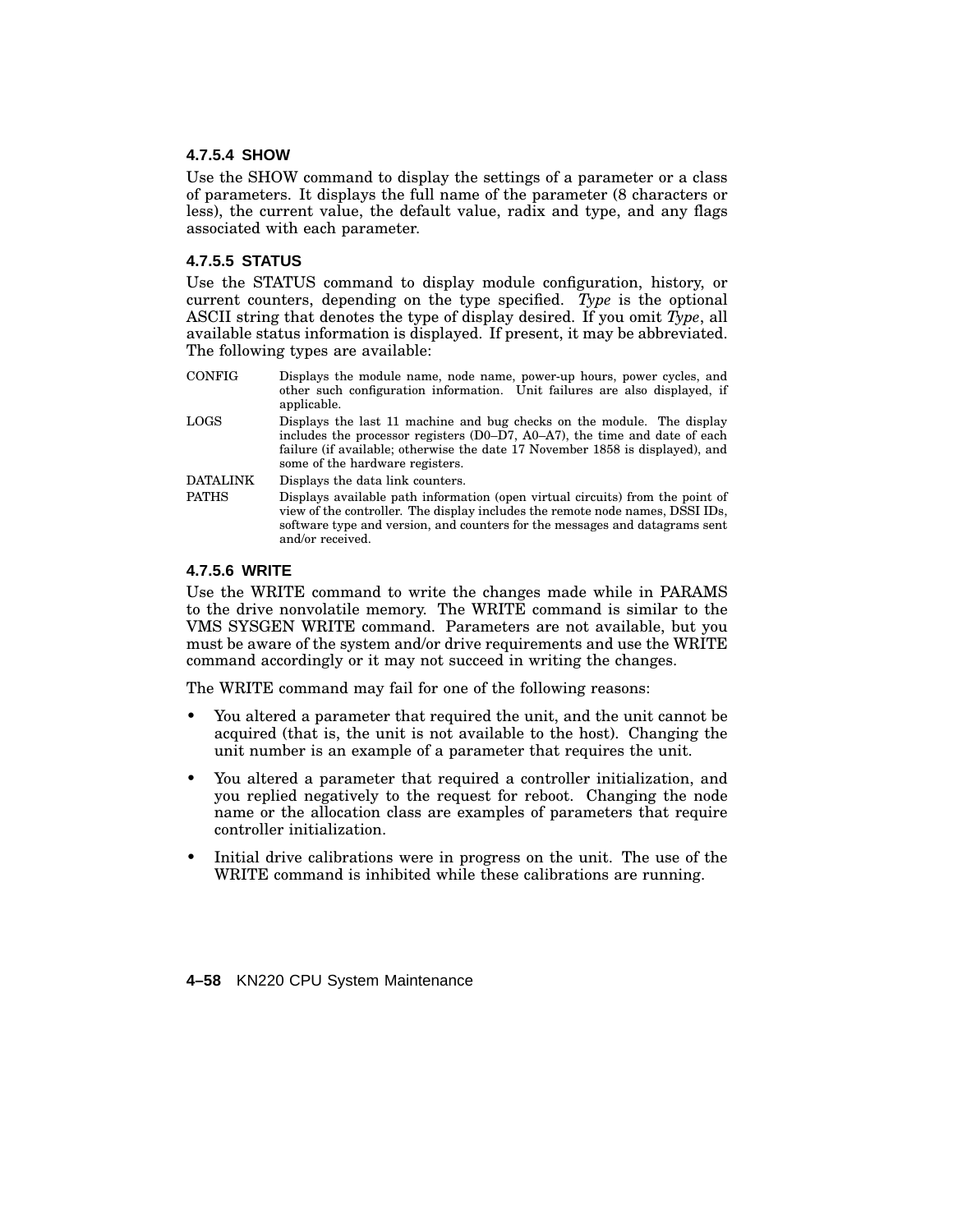#### **4.7.5.4 SHOW**

Use the SHOW command to display the settings of a parameter or a class of parameters. It displays the full name of the parameter (8 characters or less), the current value, the default value, radix and type, and any flags associated with each parameter.

#### **4.7.5.5 STATUS**

Use the STATUS command to display module configuration, history, or current counters, depending on the type specified. *Type* is the optional ASCII string that denotes the type of display desired. If you omit *Type*, all available status information is displayed. If present, it may be abbreviated. The following types are available:

| <b>CONFIG</b>   | Displays the module name, node name, power-up hours, power cycles, and<br>other such configuration information. Unit failures are also displayed, if<br>applicable.                                                                                                         |
|-----------------|-----------------------------------------------------------------------------------------------------------------------------------------------------------------------------------------------------------------------------------------------------------------------------|
| LOGS            | Displays the last 11 machine and bug checks on the module. The display<br>includes the processor registers $(D0-D7, A0-A7)$ , the time and date of each<br>failure (if available; otherwise the date 17 November 1858 is displayed), and<br>some of the hardware registers. |
| <b>DATALINK</b> | Displays the data link counters.                                                                                                                                                                                                                                            |
| <b>PATHS</b>    | Displays available path information (open virtual circuits) from the point of<br>view of the controller. The display includes the remote node names, DSSI IDs,<br>software type and version, and counters for the messages and datagrams sent<br>and/or received.           |

#### **4.7.5.6 WRITE**

Use the WRITE command to write the changes made while in PARAMS to the drive nonvolatile memory. The WRITE command is similar to the VMS SYSGEN WRITE command. Parameters are not available, but you must be aware of the system and/or drive requirements and use the WRITE command accordingly or it may not succeed in writing the changes.

The WRITE command may fail for one of the following reasons:

- You altered a parameter that required the unit, and the unit cannot be acquired (that is, the unit is not available to the host). Changing the unit number is an example of a parameter that requires the unit.
- You altered a parameter that required a controller initialization, and you replied negatively to the request for reboot. Changing the node name or the allocation class are examples of parameters that require controller initialization.
- Initial drive calibrations were in progress on the unit. The use of the WRITE command is inhibited while these calibrations are running.

**4–58** KN220 CPU System Maintenance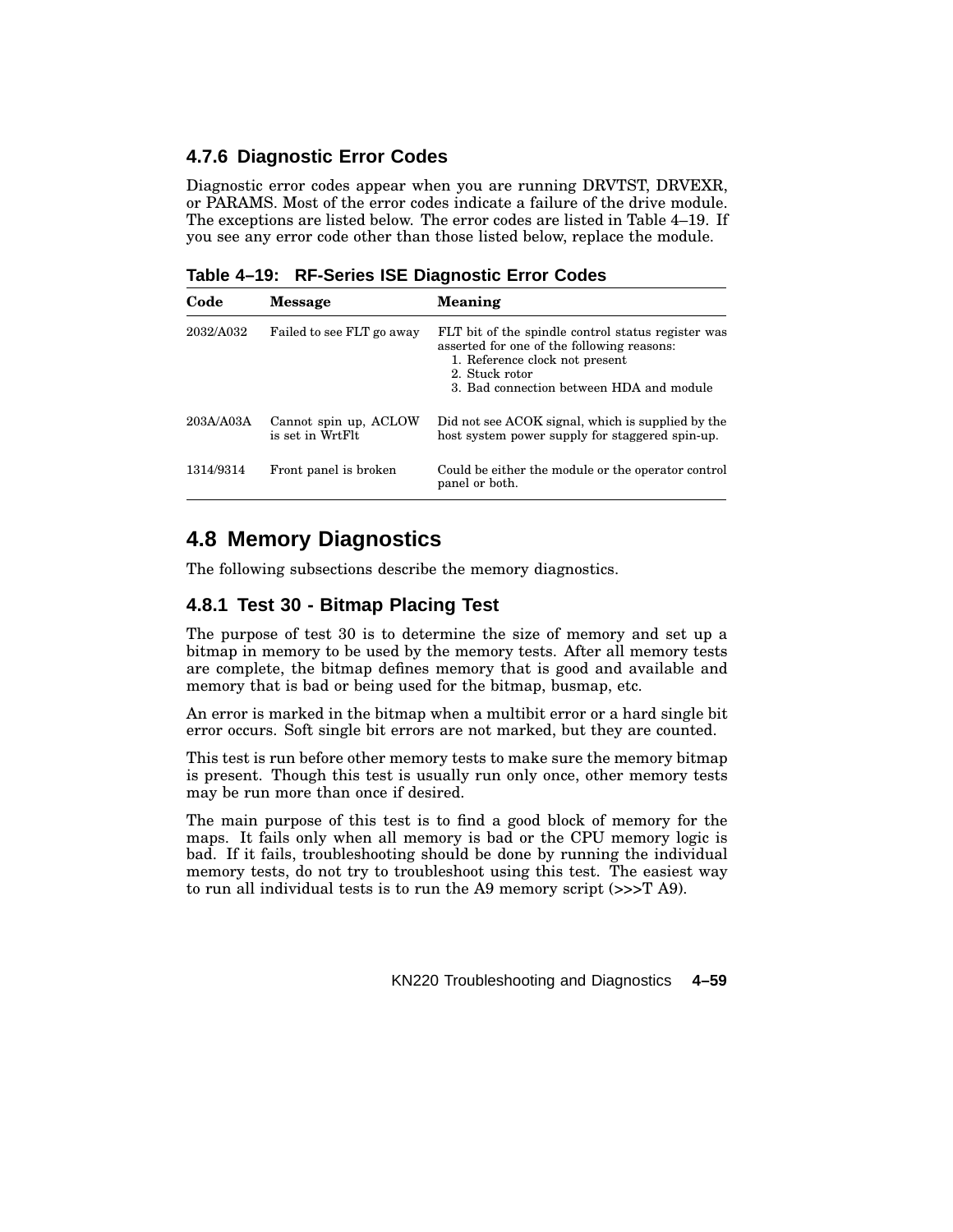# **4.7.6 Diagnostic Error Codes**

Diagnostic error codes appear when you are running DRVTST, DRVEXR, or PARAMS. Most of the error codes indicate a failure of the drive module. The exceptions are listed below. The error codes are listed in Table 4–19. If you see any error code other than those listed below, replace the module.

**Table 4–19: RF-Series ISE Diagnostic Error Codes**

| Code      | Message                                   | <b>Meaning</b>                                                                                                                                                                                   |
|-----------|-------------------------------------------|--------------------------------------------------------------------------------------------------------------------------------------------------------------------------------------------------|
| 2032/A032 | Failed to see FLT go away                 | FLT bit of the spindle control status register was<br>asserted for one of the following reasons:<br>1. Reference clock not present<br>2. Stuck rotor<br>3. Bad connection between HDA and module |
| 203A/A03A | Cannot spin up, ACLOW<br>is set in WrtFlt | Did not see ACOK signal, which is supplied by the<br>host system power supply for staggered spin-up.                                                                                             |
| 1314/9314 | Front panel is broken                     | Could be either the module or the operator control<br>panel or both.                                                                                                                             |

# **4.8 Memory Diagnostics**

The following subsections describe the memory diagnostics.

# **4.8.1 Test 30 - Bitmap Placing Test**

The purpose of test 30 is to determine the size of memory and set up a bitmap in memory to be used by the memory tests. After all memory tests are complete, the bitmap defines memory that is good and available and memory that is bad or being used for the bitmap, busmap, etc.

An error is marked in the bitmap when a multibit error or a hard single bit error occurs. Soft single bit errors are not marked, but they are counted.

This test is run before other memory tests to make sure the memory bitmap is present. Though this test is usually run only once, other memory tests may be run more than once if desired.

The main purpose of this test is to find a good block of memory for the maps. It fails only when all memory is bad or the CPU memory logic is bad. If it fails, troubleshooting should be done by running the individual memory tests, do not try to troubleshoot using this test. The easiest way to run all individual tests is to run the A9 memory script (>>>T A9).

KN220 Troubleshooting and Diagnostics **4–59**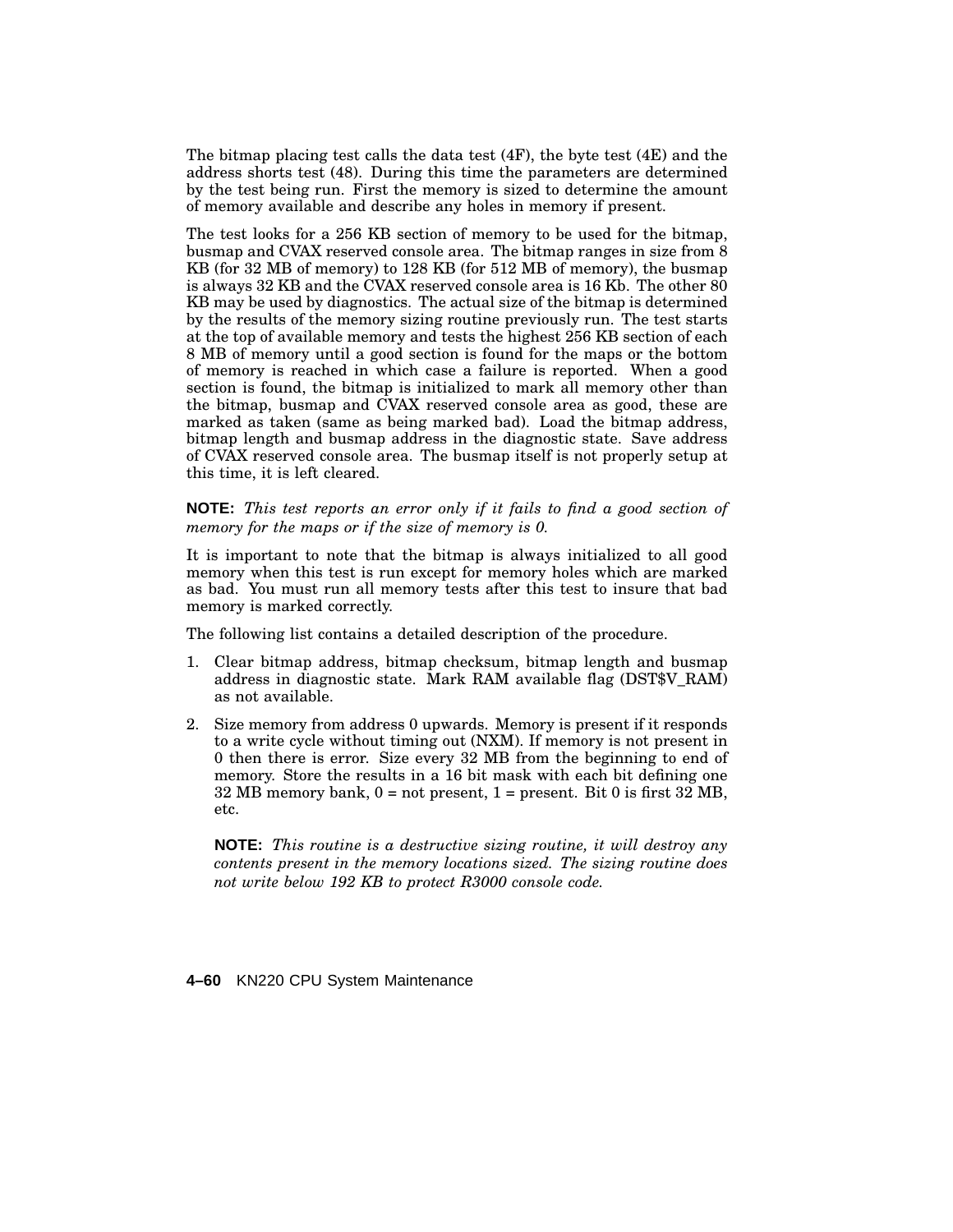The bitmap placing test calls the data test  $(4F)$ , the byte test  $(4E)$  and the address shorts test (48). During this time the parameters are determined by the test being run. First the memory is sized to determine the amount of memory available and describe any holes in memory if present.

The test looks for a 256 KB section of memory to be used for the bitmap, busmap and CVAX reserved console area. The bitmap ranges in size from 8 KB (for 32 MB of memory) to 128 KB (for 512 MB of memory), the busmap is always 32 KB and the CVAX reserved console area is 16 Kb. The other 80 KB may be used by diagnostics. The actual size of the bitmap is determined by the results of the memory sizing routine previously run. The test starts at the top of available memory and tests the highest 256 KB section of each 8 MB of memory until a good section is found for the maps or the bottom of memory is reached in which case a failure is reported. When a good section is found, the bitmap is initialized to mark all memory other than the bitmap, busmap and CVAX reserved console area as good, these are marked as taken (same as being marked bad). Load the bitmap address, bitmap length and busmap address in the diagnostic state. Save address of CVAX reserved console area. The busmap itself is not properly setup at this time, it is left cleared.

**NOTE:** *This test reports an error only if it fails to find a good section of memory for the maps or if the size of memory is 0.*

It is important to note that the bitmap is always initialized to all good memory when this test is run except for memory holes which are marked as bad. You must run all memory tests after this test to insure that bad memory is marked correctly.

The following list contains a detailed description of the procedure.

- 1. Clear bitmap address, bitmap checksum, bitmap length and busmap address in diagnostic state. Mark RAM available flag (DST\$V\_RAM) as not available.
- 2. Size memory from address 0 upwards. Memory is present if it responds to a write cycle without timing out (NXM). If memory is not present in 0 then there is error. Size every 32 MB from the beginning to end of memory. Store the results in a 16 bit mask with each bit defining one  $32 \text{ MB}$  memory bank,  $0 = \text{not present}$ ,  $1 = \text{present}$ . Bit 0 is first  $32 \text{ MB}$ , etc.

**NOTE:** *This routine is a destructive sizing routine, it will destroy any contents present in the memory locations sized. The sizing routine does not write below 192 KB to protect R3000 console code.*

**4–60** KN220 CPU System Maintenance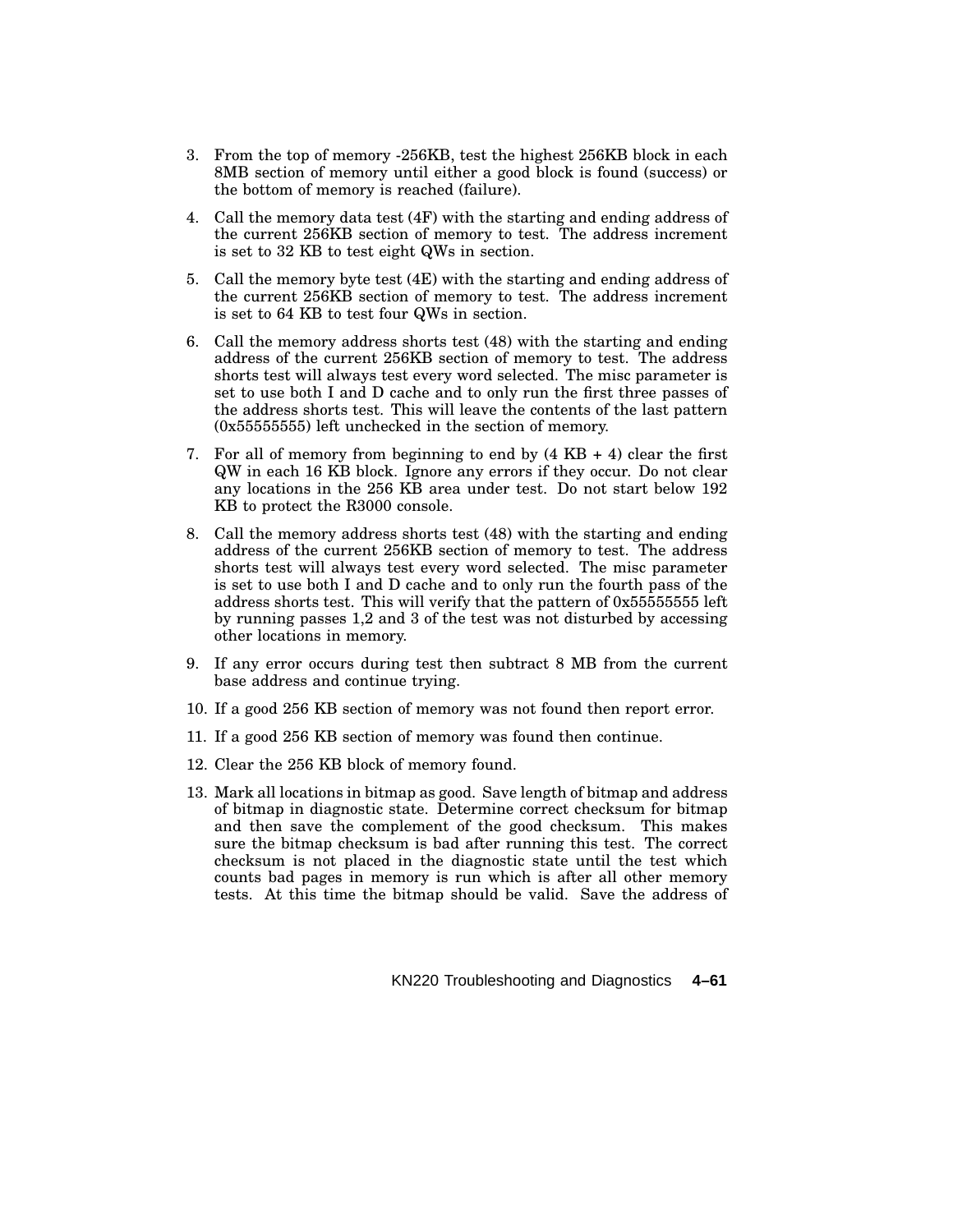- 3. From the top of memory -256KB, test the highest 256KB block in each 8MB section of memory until either a good block is found (success) or the bottom of memory is reached (failure).
- 4. Call the memory data test (4F) with the starting and ending address of the current 256KB section of memory to test. The address increment is set to 32 KB to test eight QWs in section.
- 5. Call the memory byte test (4E) with the starting and ending address of the current 256KB section of memory to test. The address increment is set to 64 KB to test four QWs in section.
- 6. Call the memory address shorts test (48) with the starting and ending address of the current 256KB section of memory to test. The address shorts test will always test every word selected. The misc parameter is set to use both I and D cache and to only run the first three passes of the address shorts test. This will leave the contents of the last pattern (0x55555555) left unchecked in the section of memory.
- 7. For all of memory from beginning to end by  $(4 \text{ KB} + 4)$  clear the first QW in each 16 KB block. Ignore any errors if they occur. Do not clear any locations in the 256 KB area under test. Do not start below 192 KB to protect the R3000 console.
- 8. Call the memory address shorts test (48) with the starting and ending address of the current 256KB section of memory to test. The address shorts test will always test every word selected. The misc parameter is set to use both I and D cache and to only run the fourth pass of the address shorts test. This will verify that the pattern of 0x55555555 left by running passes 1,2 and 3 of the test was not disturbed by accessing other locations in memory.
- 9. If any error occurs during test then subtract 8 MB from the current base address and continue trying.
- 10. If a good 256 KB section of memory was not found then report error.
- 11. If a good 256 KB section of memory was found then continue.
- 12. Clear the 256 KB block of memory found.
- 13. Mark all locations in bitmap as good. Save length of bitmap and address of bitmap in diagnostic state. Determine correct checksum for bitmap and then save the complement of the good checksum. This makes sure the bitmap checksum is bad after running this test. The correct checksum is not placed in the diagnostic state until the test which counts bad pages in memory is run which is after all other memory tests. At this time the bitmap should be valid. Save the address of

KN220 Troubleshooting and Diagnostics **4–61**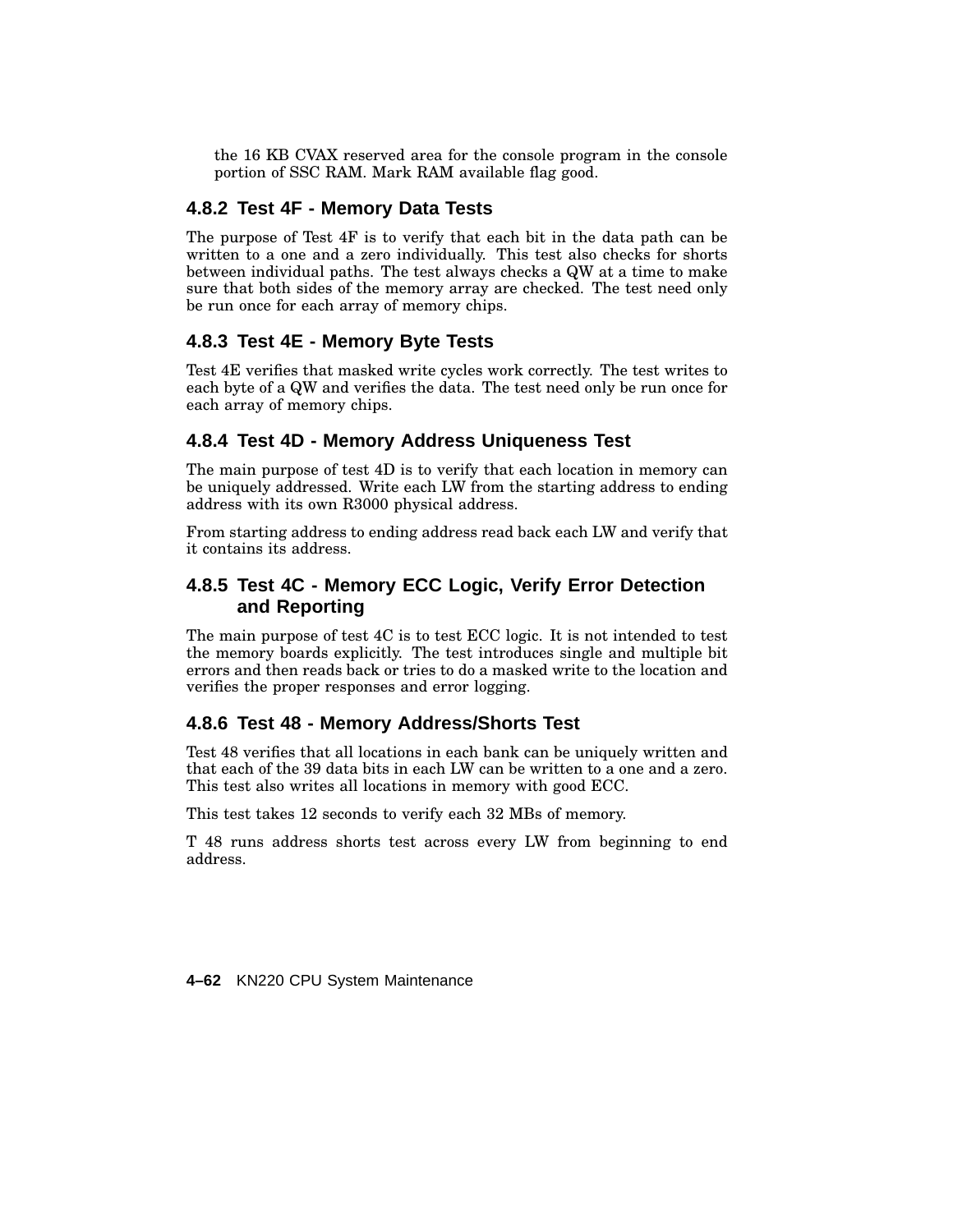the 16 KB CVAX reserved area for the console program in the console portion of SSC RAM. Mark RAM available flag good.

# **4.8.2 Test 4F - Memory Data Tests**

The purpose of Test 4F is to verify that each bit in the data path can be written to a one and a zero individually. This test also checks for shorts between individual paths. The test always checks a QW at a time to make sure that both sides of the memory array are checked. The test need only be run once for each array of memory chips.

#### **4.8.3 Test 4E - Memory Byte Tests**

Test 4E verifies that masked write cycles work correctly. The test writes to each byte of a QW and verifies the data. The test need only be run once for each array of memory chips.

#### **4.8.4 Test 4D - Memory Address Uniqueness Test**

The main purpose of test 4D is to verify that each location in memory can be uniquely addressed. Write each LW from the starting address to ending address with its own R3000 physical address.

From starting address to ending address read back each LW and verify that it contains its address.

# **4.8.5 Test 4C - Memory ECC Logic, Verify Error Detection and Reporting**

The main purpose of test 4C is to test ECC logic. It is not intended to test the memory boards explicitly. The test introduces single and multiple bit errors and then reads back or tries to do a masked write to the location and verifies the proper responses and error logging.

#### **4.8.6 Test 48 - Memory Address/Shorts Test**

Test 48 verifies that all locations in each bank can be uniquely written and that each of the 39 data bits in each LW can be written to a one and a zero. This test also writes all locations in memory with good ECC.

This test takes 12 seconds to verify each 32 MBs of memory.

T 48 runs address shorts test across every LW from beginning to end address.

**4–62** KN220 CPU System Maintenance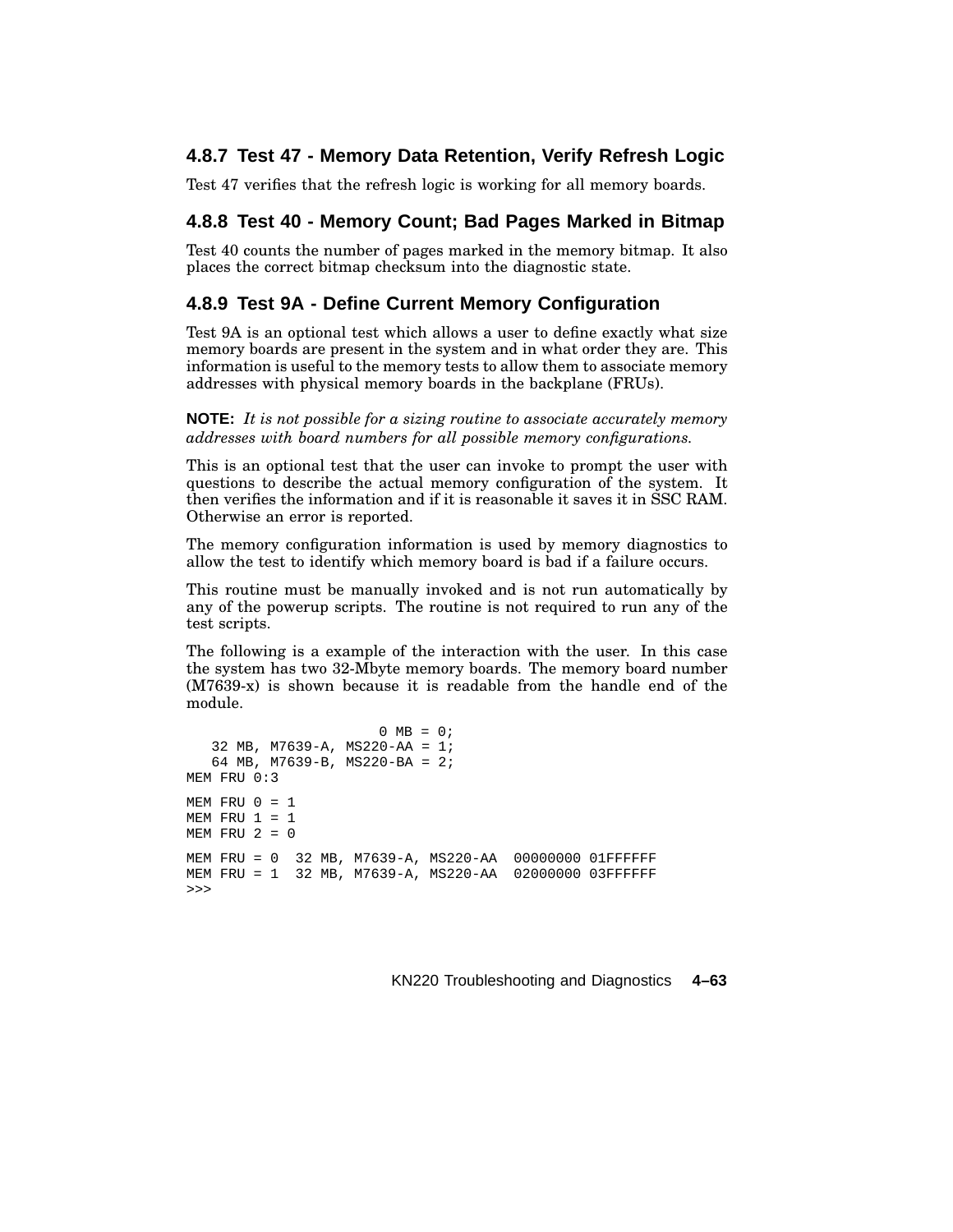### **4.8.7 Test 47 - Memory Data Retention, Verify Refresh Logic**

Test 47 verifies that the refresh logic is working for all memory boards.

#### **4.8.8 Test 40 - Memory Count; Bad Pages Marked in Bitmap**

Test 40 counts the number of pages marked in the memory bitmap. It also places the correct bitmap checksum into the diagnostic state.

#### **4.8.9 Test 9A - Define Current Memory Configuration**

Test 9A is an optional test which allows a user to define exactly what size memory boards are present in the system and in what order they are. This information is useful to the memory tests to allow them to associate memory addresses with physical memory boards in the backplane (FRUs).

**NOTE:** *It is not possible for a sizing routine to associate accurately memory addresses with board numbers for all possible memory configurations.*

This is an optional test that the user can invoke to prompt the user with questions to describe the actual memory configuration of the system. It then verifies the information and if it is reasonable it saves it in SSC RAM. Otherwise an error is reported.

The memory configuration information is used by memory diagnostics to allow the test to identify which memory board is bad if a failure occurs.

This routine must be manually invoked and is not run automatically by any of the powerup scripts. The routine is not required to run any of the test scripts.

The following is a example of the interaction with the user. In this case the system has two 32-Mbyte memory boards. The memory board number (M7639-x) is shown because it is readable from the handle end of the module.

```
0 \text{ MB} = 0;32 MB, M7639-A, MS220-AA = 1;
   64 MB, M7639-B, MS220-BA = 2;
MEM FRU 0:3
MEM FRU 0 = 1MEM FRU 1 = 1MEM FRU 2 = 0MEM FRU = 0 32 MB, M7639-A, MS220-AA 00000000 01FFFFFF
MEM FRU = 1 32 MB, M7639-A, MS220-AA 02000000 03FFFFFF
>>>
```
KN220 Troubleshooting and Diagnostics **4–63**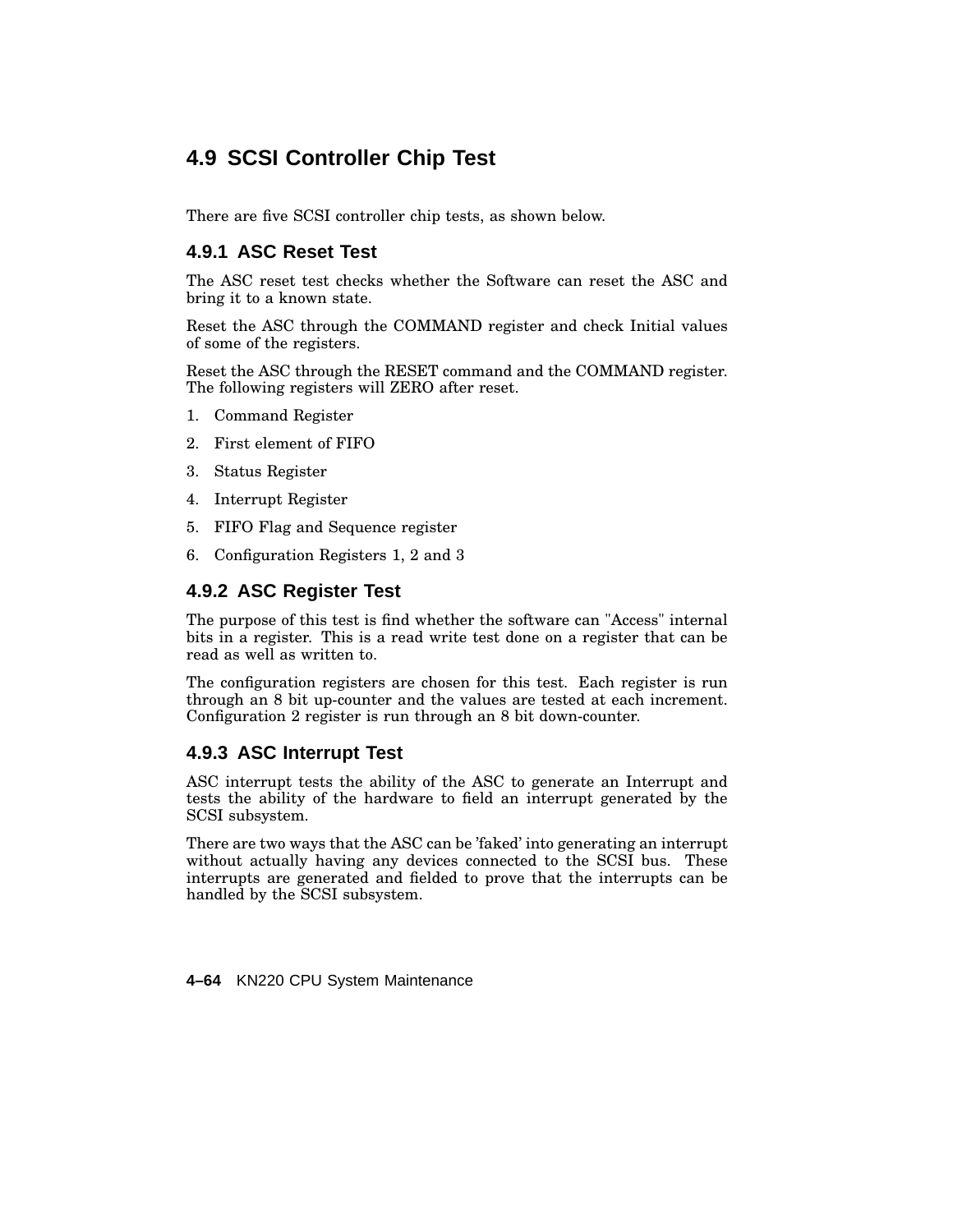# **4.9 SCSI Controller Chip Test**

There are five SCSI controller chip tests, as shown below.

### **4.9.1 ASC Reset Test**

The ASC reset test checks whether the Software can reset the ASC and bring it to a known state.

Reset the ASC through the COMMAND register and check Initial values of some of the registers.

Reset the ASC through the RESET command and the COMMAND register. The following registers will ZERO after reset.

- 1. Command Register
- 2. First element of FIFO
- 3. Status Register
- 4. Interrupt Register
- 5. FIFO Flag and Sequence register
- 6. Configuration Registers 1, 2 and 3

## **4.9.2 ASC Register Test**

The purpose of this test is find whether the software can "Access" internal bits in a register. This is a read write test done on a register that can be read as well as written to.

The configuration registers are chosen for this test. Each register is run through an 8 bit up-counter and the values are tested at each increment. Configuration 2 register is run through an 8 bit down-counter.

### **4.9.3 ASC Interrupt Test**

ASC interrupt tests the ability of the ASC to generate an Interrupt and tests the ability of the hardware to field an interrupt generated by the SCSI subsystem.

There are two ways that the ASC can be 'faked' into generating an interrupt without actually having any devices connected to the SCSI bus. These interrupts are generated and fielded to prove that the interrupts can be handled by the SCSI subsystem.

**4–64** KN220 CPU System Maintenance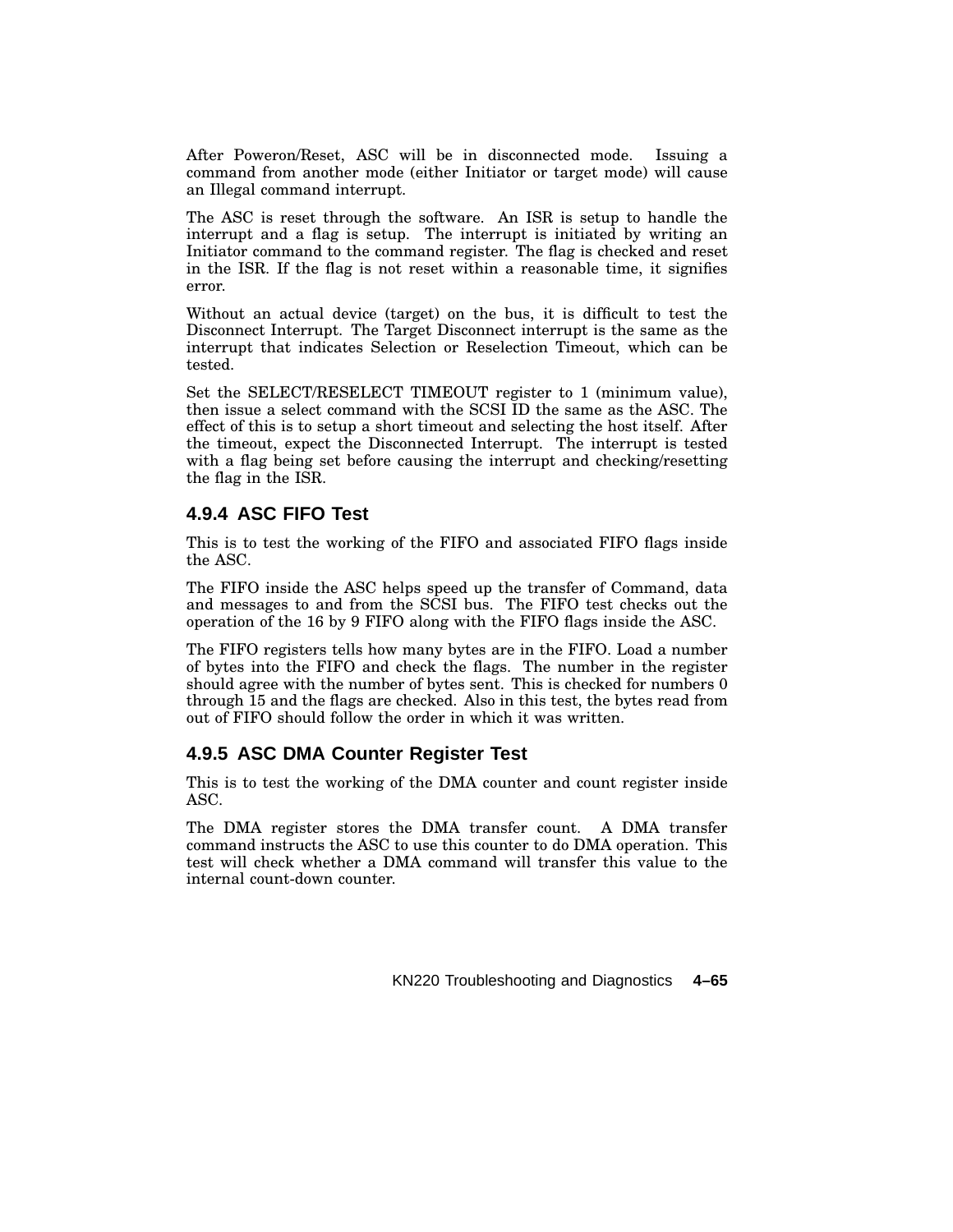After Poweron/Reset, ASC will be in disconnected mode. Issuing a command from another mode (either Initiator or target mode) will cause an Illegal command interrupt.

The ASC is reset through the software. An ISR is setup to handle the interrupt and a flag is setup. The interrupt is initiated by writing an Initiator command to the command register. The flag is checked and reset in the ISR. If the flag is not reset within a reasonable time, it signifies error.

Without an actual device (target) on the bus, it is difficult to test the Disconnect Interrupt. The Target Disconnect interrupt is the same as the interrupt that indicates Selection or Reselection Timeout, which can be tested.

Set the SELECT/RESELECT TIMEOUT register to 1 (minimum value), then issue a select command with the SCSI ID the same as the ASC. The effect of this is to setup a short timeout and selecting the host itself. After the timeout, expect the Disconnected Interrupt. The interrupt is tested with a flag being set before causing the interrupt and checking/resetting the flag in the ISR.

# **4.9.4 ASC FIFO Test**

This is to test the working of the FIFO and associated FIFO flags inside the ASC.

The FIFO inside the ASC helps speed up the transfer of Command, data and messages to and from the SCSI bus. The FIFO test checks out the operation of the 16 by 9 FIFO along with the FIFO flags inside the ASC.

The FIFO registers tells how many bytes are in the FIFO. Load a number of bytes into the FIFO and check the flags. The number in the register should agree with the number of bytes sent. This is checked for numbers 0 through 15 and the flags are checked. Also in this test, the bytes read from out of FIFO should follow the order in which it was written.

# **4.9.5 ASC DMA Counter Register Test**

This is to test the working of the DMA counter and count register inside ASC.

The DMA register stores the DMA transfer count. A DMA transfer command instructs the ASC to use this counter to do DMA operation. This test will check whether a DMA command will transfer this value to the internal count-down counter.

KN220 Troubleshooting and Diagnostics **4–65**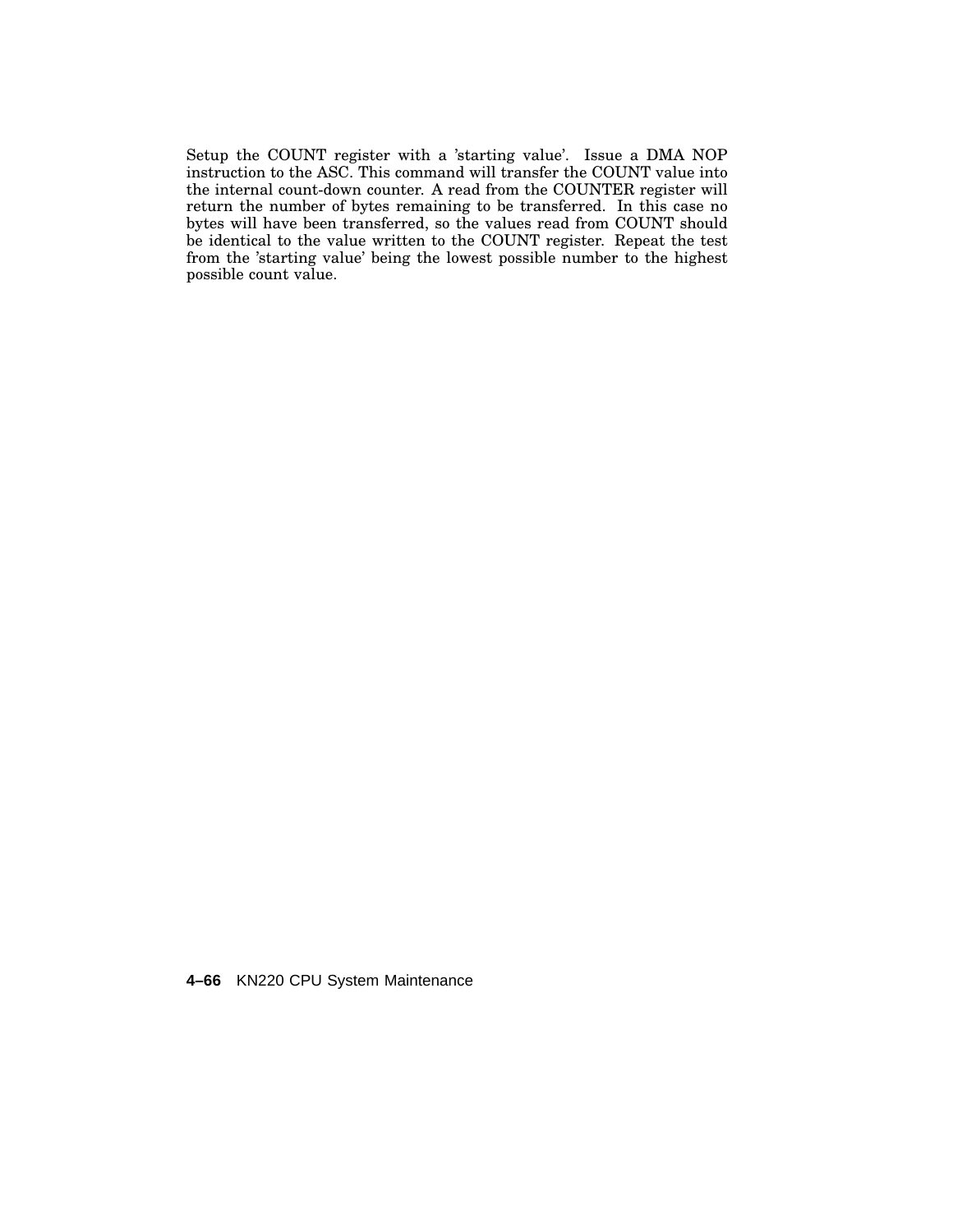Setup the COUNT register with a 'starting value'. Issue a DMA NOP instruction to the ASC. This command will transfer the COUNT value into the internal count-down counter. A read from the COUNTER register will return the number of bytes remaining to be transferred. In this case no bytes will have been transferred, so the values read from COUNT should be identical to the value written to the COUNT register. Repeat the test from the 'starting value' being the lowest possible number to the highest possible count value.

**4–66** KN220 CPU System Maintenance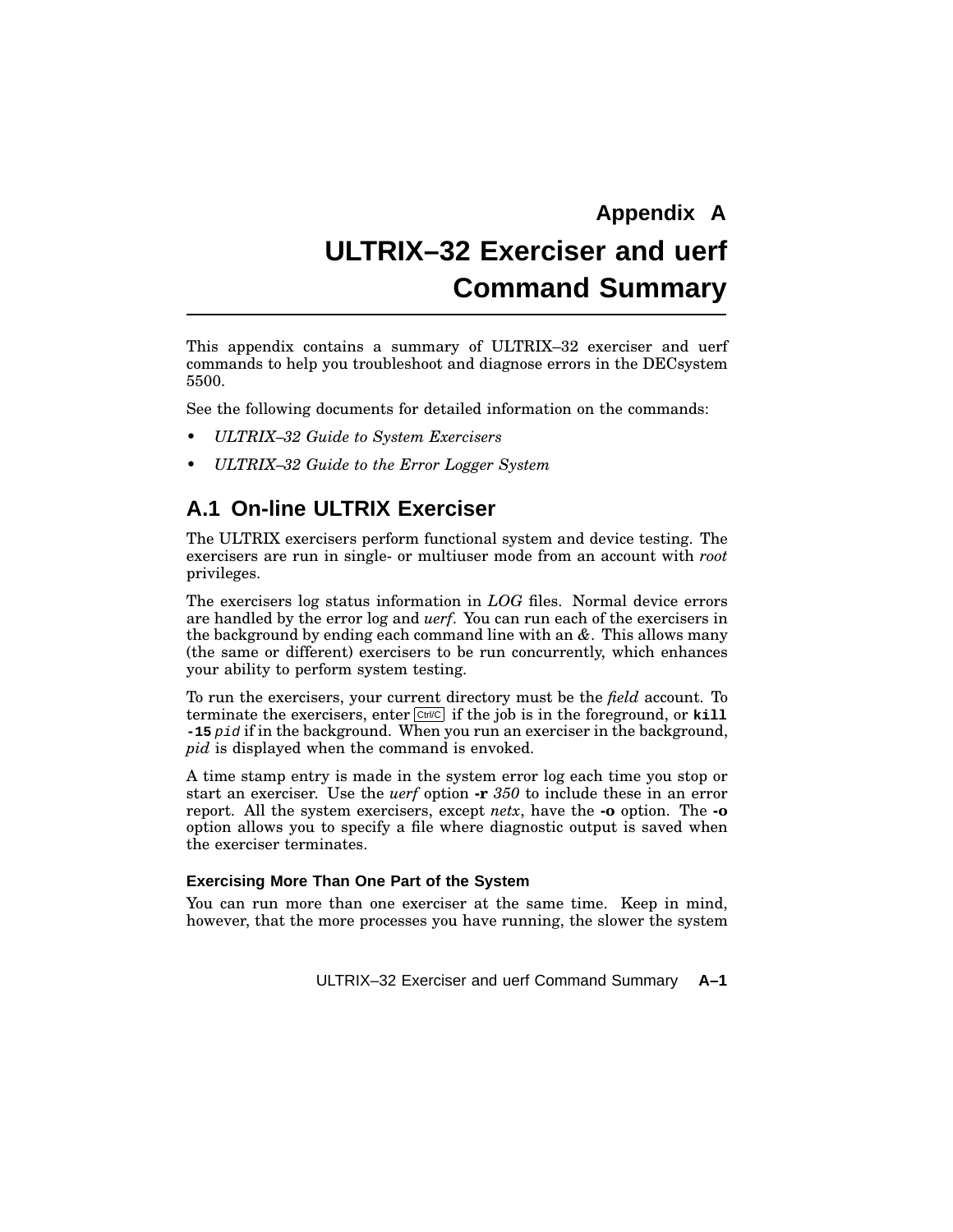# **Appendix A ULTRIX–32 Exerciser and uerf Command Summary**

This appendix contains a summary of ULTRIX–32 exerciser and uerf commands to help you troubleshoot and diagnose errors in the DECsystem 5500.

See the following documents for detailed information on the commands:

- *ULTRIX–32 Guide to System Exercisers*
- *ULTRIX–32 Guide to the Error Logger System*

# **A.1 On-line ULTRIX Exerciser**

The ULTRIX exercisers perform functional system and device testing. The exercisers are run in single- or multiuser mode from an account with *root* privileges.

The exercisers log status information in *LOG* files. Normal device errors are handled by the error log and *uerf*. You can run each of the exercisers in the background by ending each command line with an *&*. This allows many (the same or different) exercisers to be run concurrently, which enhances your ability to perform system testing.

To run the exercisers, your current directory must be the *field* account. To terminate the exercisers, enter  $\boxed{\text{Ctr} \mathcal{C}}$  if the job is in the foreground, or  $\text{kill}$ **-15** pid if in the background. When you run an exerciser in the background, *pid* is displayed when the command is envoked.

A time stamp entry is made in the system error log each time you stop or start an exerciser. Use the *uerf* option **-r** *350* to include these in an error report. All the system exercisers, except *netx*, have the **-o** option. The **-o** option allows you to specify a file where diagnostic output is saved when the exerciser terminates.

#### **Exercising More Than One Part of the System**

You can run more than one exerciser at the same time. Keep in mind, however, that the more processes you have running, the slower the system

ULTRIX–32 Exerciser and uerf Command Summary **A–1**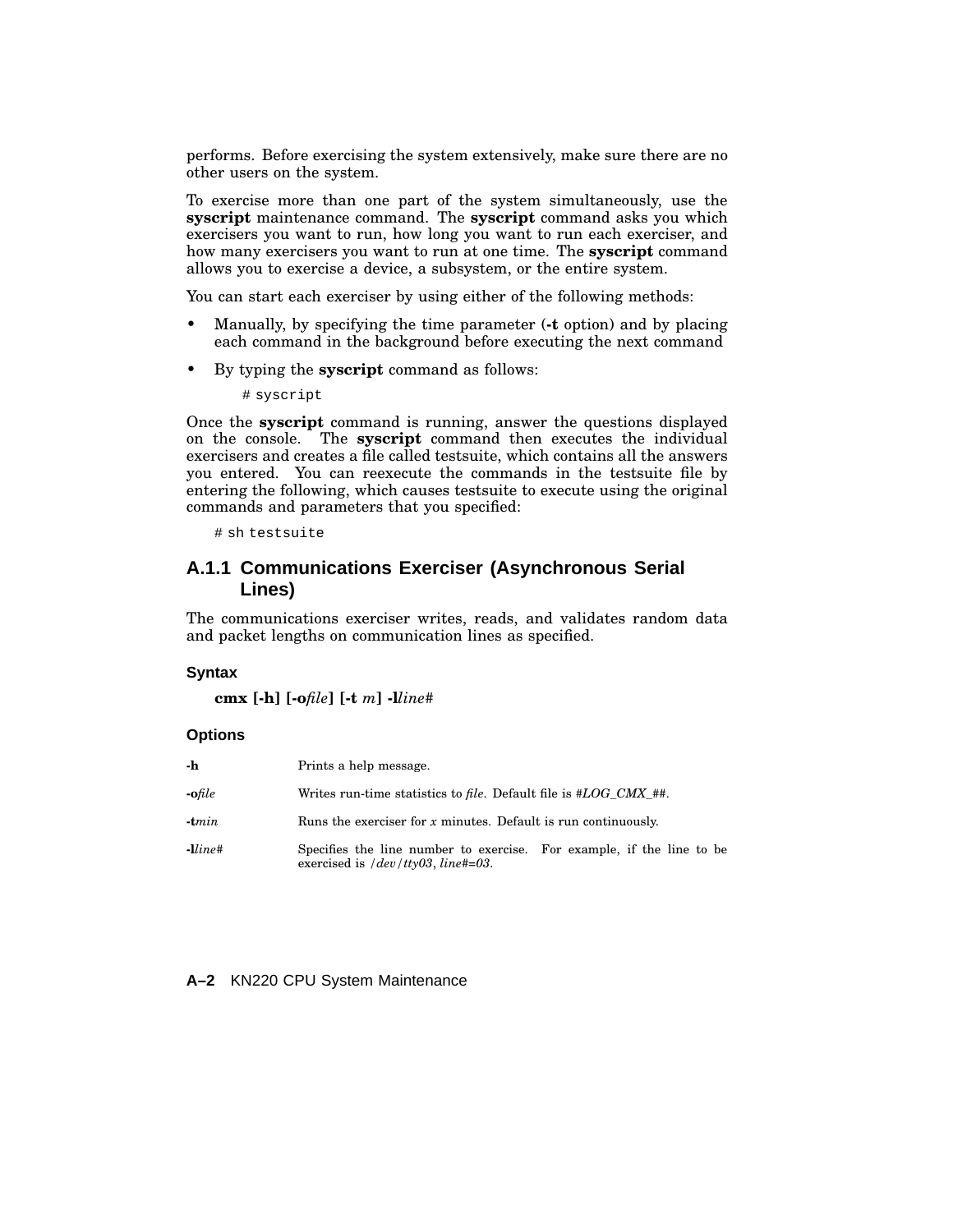performs. Before exercising the system extensively, make sure there are no other users on the system.

To exercise more than one part of the system simultaneously, use the **syscript** maintenance command. The **syscript** command asks you which exercisers you want to run, how long you want to run each exerciser, and how many exercisers you want to run at one time. The **syscript** command allows you to exercise a device, a subsystem, or the entire system.

You can start each exerciser by using either of the following methods:

- Manually, by specifying the time parameter (**-t** option) and by placing each command in the background before executing the next command
- By typing the **syscript** command as follows:

# syscript

Once the **syscript** command is running, answer the questions displayed on the console. The **syscript** command then executes the individual exercisers and creates a file called testsuite, which contains all the answers you entered. You can reexecute the commands in the testsuite file by entering the following, which causes testsuite to execute using the original commands and parameters that you specified:

# sh testsuite

### **A.1.1 Communications Exerciser (Asynchronous Serial Lines)**

The communications exerciser writes, reads, and validates random data and packet lengths on communication lines as specified.

#### **Syntax**

**cmx [-h] [-o***file***] [-t** *m***] -l***line#*

#### **Options**

| -h      | Prints a help message.                                                                                         |
|---------|----------------------------------------------------------------------------------------------------------------|
| -ofile  | Writes run-time statistics to file. Default file is $#LOG\_CMX$ ##.                                            |
| -tmin   | Runs the exerciser for $x$ minutes. Default is run continuously.                                               |
| -lline# | Specifies the line number to exercise. For example, if the line to be<br>exercised is $/dev/tty03$ , line#=03. |

**A–2** KN220 CPU System Maintenance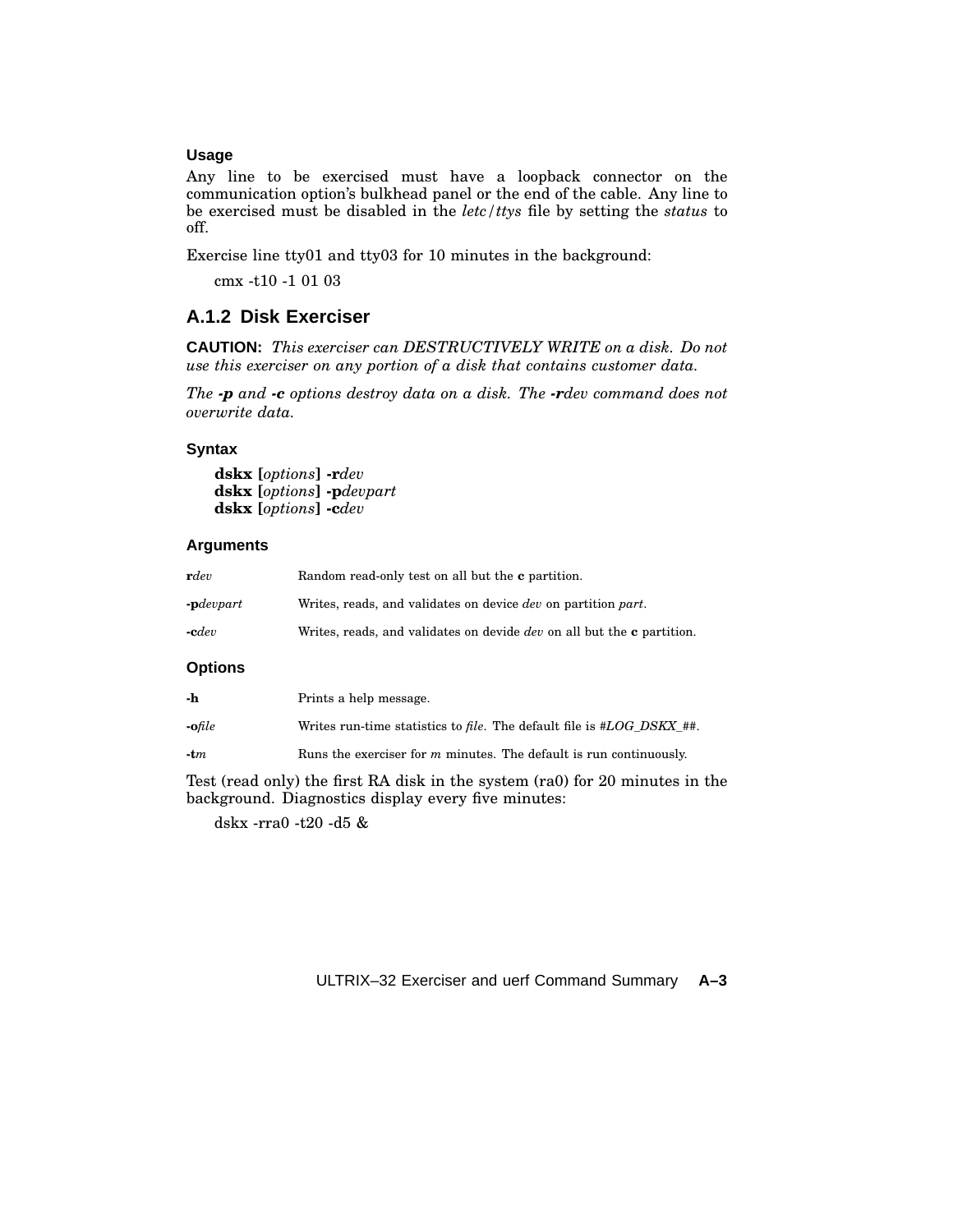#### **Usage**

Any line to be exercised must have a loopback connector on the communication option's bulkhead panel or the end of the cable. Any line to be exercised must be disabled in the *letc/ttys* file by setting the *status* to off.

Exercise line tty01 and tty03 for 10 minutes in the background:

cmx -t10 -1 01 03

## **A.1.2 Disk Exerciser**

**CAUTION:** *This exerciser can DESTRUCTIVELY WRITE on a disk. Do not use this exerciser on any portion of a disk that contains customer data.*

*The -p and -c options destroy data on a disk. The -rdev command does not overwrite data.*

#### **Syntax**

**dskx [***options***] -r***dev* **dskx [***options***] -p***devpart* **dskx [***options***] -c***dev*

#### **Arguments**

| rdev                         | Random read-only test on all but the <b>c</b> partition.                             |
|------------------------------|--------------------------------------------------------------------------------------|
| $\text{-}\mathbf{p}$ devpart | Writes, reads, and validates on device <i>dev</i> on partition <i>part</i> .         |
| $\text{-}\mathbf{c}$ dev     | Writes, reads, and validates on devide <i>dev</i> on all but the <b>c</b> partition. |
| <b>Options</b>               |                                                                                      |
| -h                           | Prints a help message.                                                               |
| $\nofile$                    | Writes run-time statistics to <i>file</i> . The default file is $\#LOG\_DSKX_{+}$ #. |

**-t***m* Runs the exerciser for *m* minutes. The default is run continuously.

Test (read only) the first RA disk in the system (ra0) for 20 minutes in the background. Diagnostics display every five minutes:

dskx -rra0 -t20 -d5 &

ULTRIX–32 Exerciser and uerf Command Summary **A–3**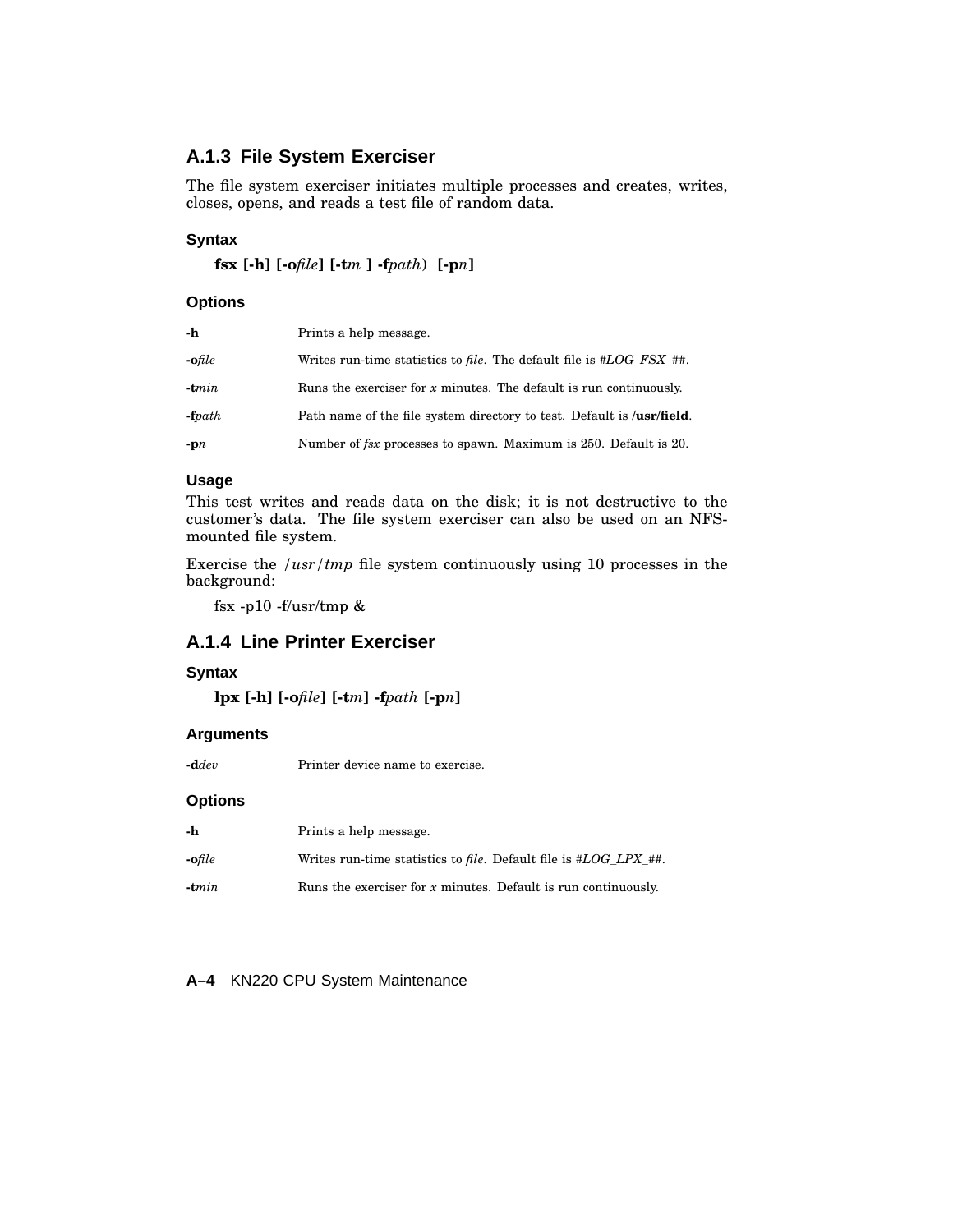# **A.1.3 File System Exerciser**

The file system exerciser initiates multiple processes and creates, writes, closes, opens, and reads a test file of random data.

#### **Syntax**

```
fsx [-h] [-ofile] [-tm ] -fpath) [-pn]
```
### **Options**

| -h            | Prints a help message.                                                             |
|---------------|------------------------------------------------------------------------------------|
| $\cdot$ ofile | Writes run-time statistics to <i>file</i> . The default file is $\#LOG\, FSX\##$ . |
| $-tmin$       | Runs the exerciser for $x$ minutes. The default is run continuously.               |
| $-fpath$      | Path name of the file system directory to test. Default is <b>/usr/field</b> .     |
| $-pn$         | Number of <i>fsx</i> processes to spawn. Maximum is 250. Default is 20.            |

#### **Usage**

This test writes and reads data on the disk; it is not destructive to the customer's data. The file system exerciser can also be used on an NFSmounted file system.

Exercise the */usr/tmp* file system continuously using 10 processes in the background:

fsx -p10 -f/usr/tmp  $\&$ 

### **A.1.4 Line Printer Exerciser**

#### **Syntax**

```
lpx [-h] [-ofile] [-tm] -fpath [-pn]
```
#### **Arguments**

**-d***dev* Printer device name to exercise.

#### **Options**

| -h      | Prints a help message.                                           |
|---------|------------------------------------------------------------------|
| -ofile  | Writes run-time statistics to file. Default file is #LOG LPX ##. |
| $-tmin$ | Runs the exerciser for $x$ minutes. Default is run continuously. |

**A–4** KN220 CPU System Maintenance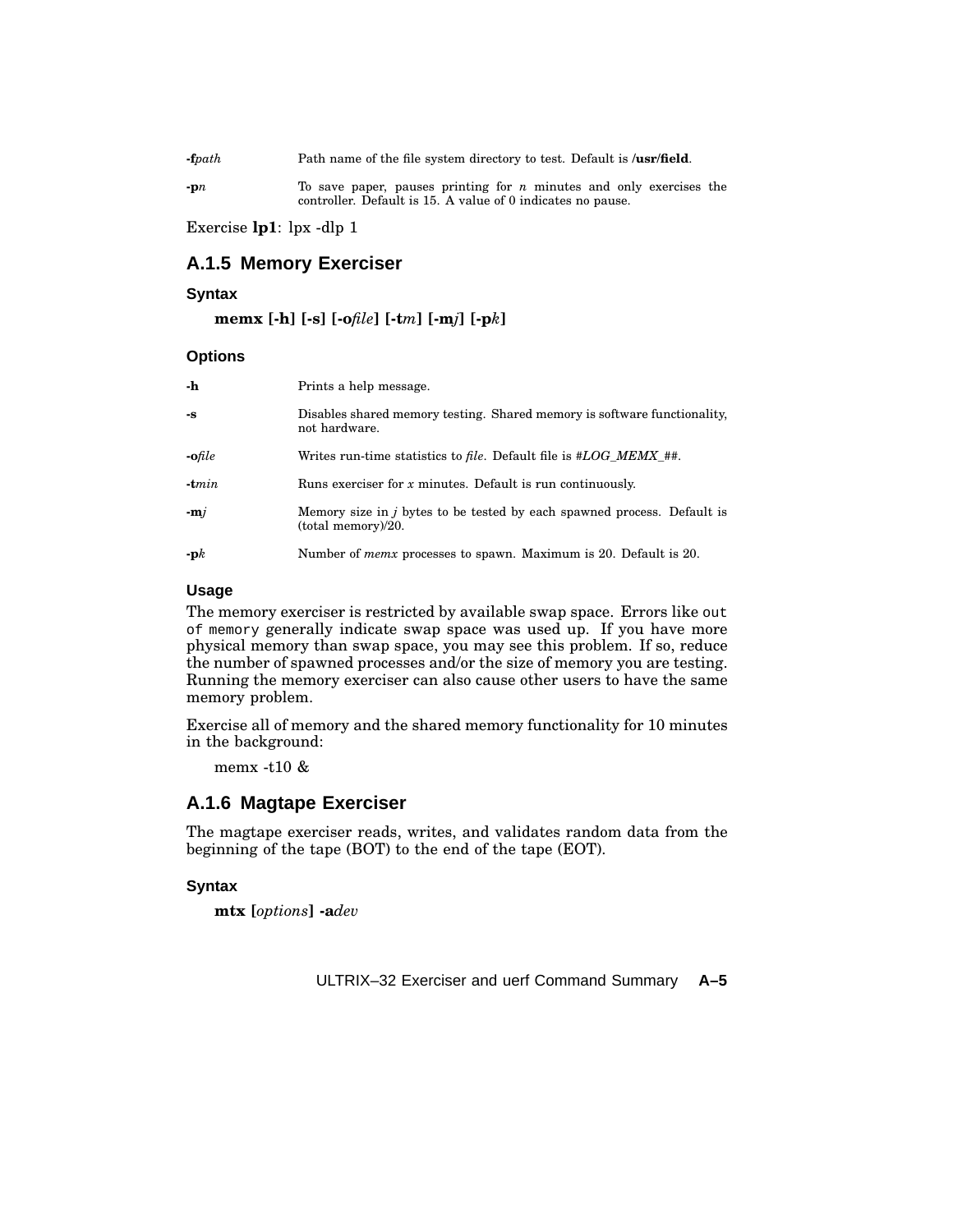**-f***path* Path name of the file system directory to test. Default is **/usr/field**.

**-p***n* To save paper, pauses printing for *n* minutes and only exercises the controller. Default is 15. A value of 0 indicates no pause.

Exercise **lp1**: lpx -dlp 1

# **A.1.5 Memory Exerciser**

#### **Syntax**

**memx [-h] [-s] [-o***file***] [-t***m***] [-m***j***] [-p***k***]**

#### **Options**

| -h            | Prints a help message.                                                                        |
|---------------|-----------------------------------------------------------------------------------------------|
| $-S$          | Disables shared memory testing. Shared memory is software functionality,<br>not hardware.     |
| $\cdot$ ofile | Writes run-time statistics to <i>file</i> . Default file is #LOG MEMX ##.                     |
| $-tmin$       | Runs exerciser for $x$ minutes. Default is run continuously.                                  |
| $-mi$         | Memory size in j bytes to be tested by each spawned process. Default is<br>(total memory)/20. |
| $-pk$         | Number of <i>memx</i> processes to spawn. Maximum is 20. Default is 20.                       |

#### **Usage**

The memory exerciser is restricted by available swap space. Errors like out of memory generally indicate swap space was used up. If you have more physical memory than swap space, you may see this problem. If so, reduce the number of spawned processes and/or the size of memory you are testing. Running the memory exerciser can also cause other users to have the same memory problem.

Exercise all of memory and the shared memory functionality for 10 minutes in the background:

memx -t10 &

# **A.1.6 Magtape Exerciser**

The magtape exerciser reads, writes, and validates random data from the beginning of the tape (BOT) to the end of the tape (EOT).

#### **Syntax**

**mtx [***options***] -a***dev*

ULTRIX–32 Exerciser and uerf Command Summary **A–5**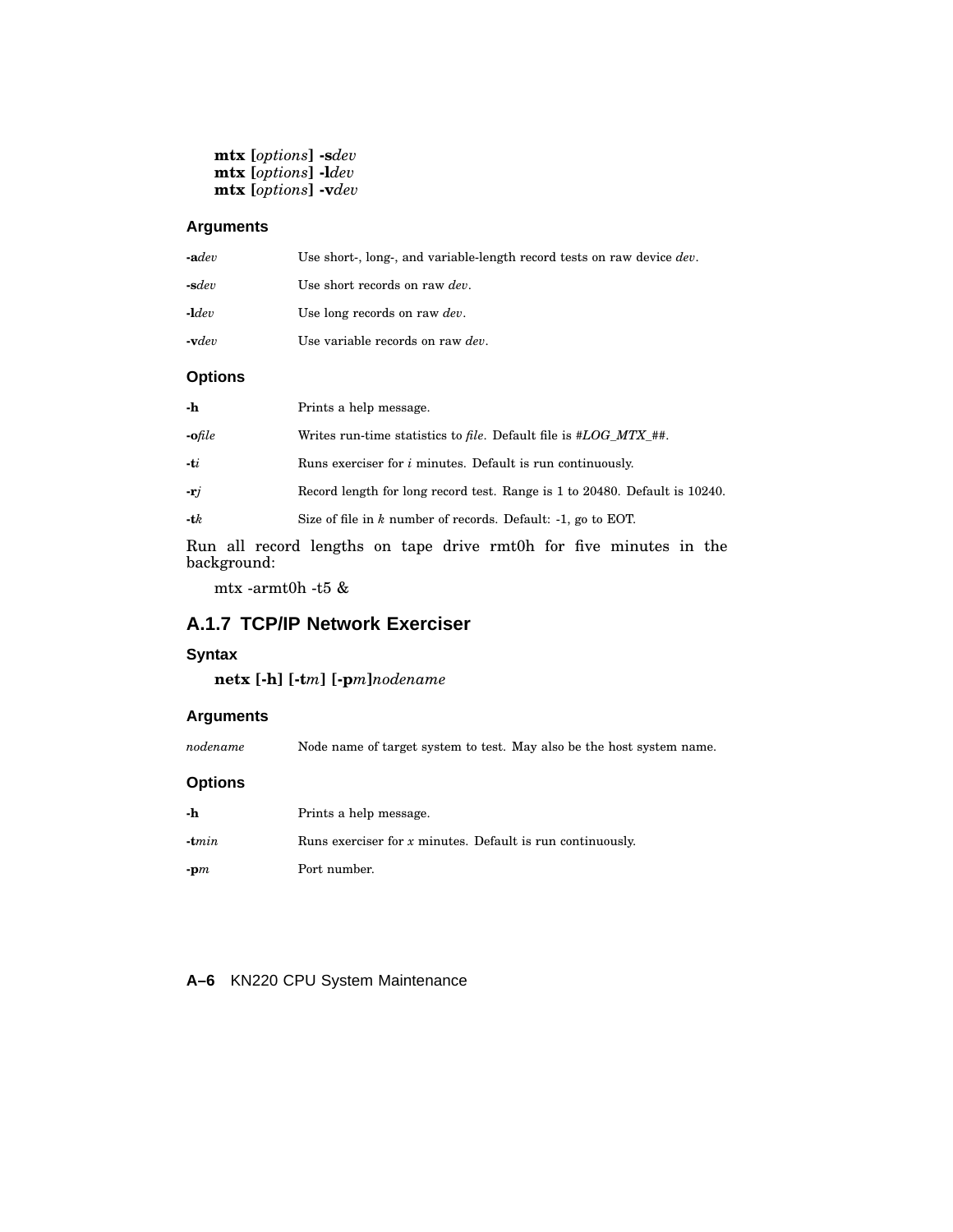**mtx [***options***] -s***dev* **mtx [***options***] -l***dev* **mtx [***options***] -v***dev*

#### **Arguments**

| Use short-, long-, and variable-length record tests on raw device dev.<br>$\text{-} \mathbf{a} dev$ |  |
|-----------------------------------------------------------------------------------------------------|--|
| $-sdev$<br>Use short records on raw <i>dev</i> .                                                    |  |
| $-\mathbf{1}$ dev<br>Use long records on raw <i>dev</i> .                                           |  |
| Use variable records on raw <i>dev</i> .<br>$\boldsymbol{\cdot}$ vdev                               |  |

## **Options**

| -h            | Prints a help message.                                                     |
|---------------|----------------------------------------------------------------------------|
| $\cdot$ ofile | Writes run-time statistics to file. Default file is #LOG MTX ##.           |
| $-ti$         | Runs exerciser for $i$ minutes. Default is run continuously.               |
| $-rj$         | Record length for long record test. Range is 1 to 20480. Default is 10240. |
| $-tk$         | Size of file in $k$ number of records. Default: -1, go to EOT.             |

Run all record lengths on tape drive rmt0h for five minutes in the background:

mtx -armt0h -t5 &

# **A.1.7 TCP/IP Network Exerciser**

#### **Syntax**

**netx [-h] [-t***m***] [-p***m***]***nodename*

#### **Arguments**

*nodename* Node name of target system to test. May also be the host system name.

#### **Options**

| -h                         | Prints a help message.                                       |  |
|----------------------------|--------------------------------------------------------------|--|
| $\textbf{-}\mathbf{t}$ min | Runs exerciser for $x$ minutes. Default is run continuously. |  |
| $-m$                       | Port number.                                                 |  |

#### **A–6** KN220 CPU System Maintenance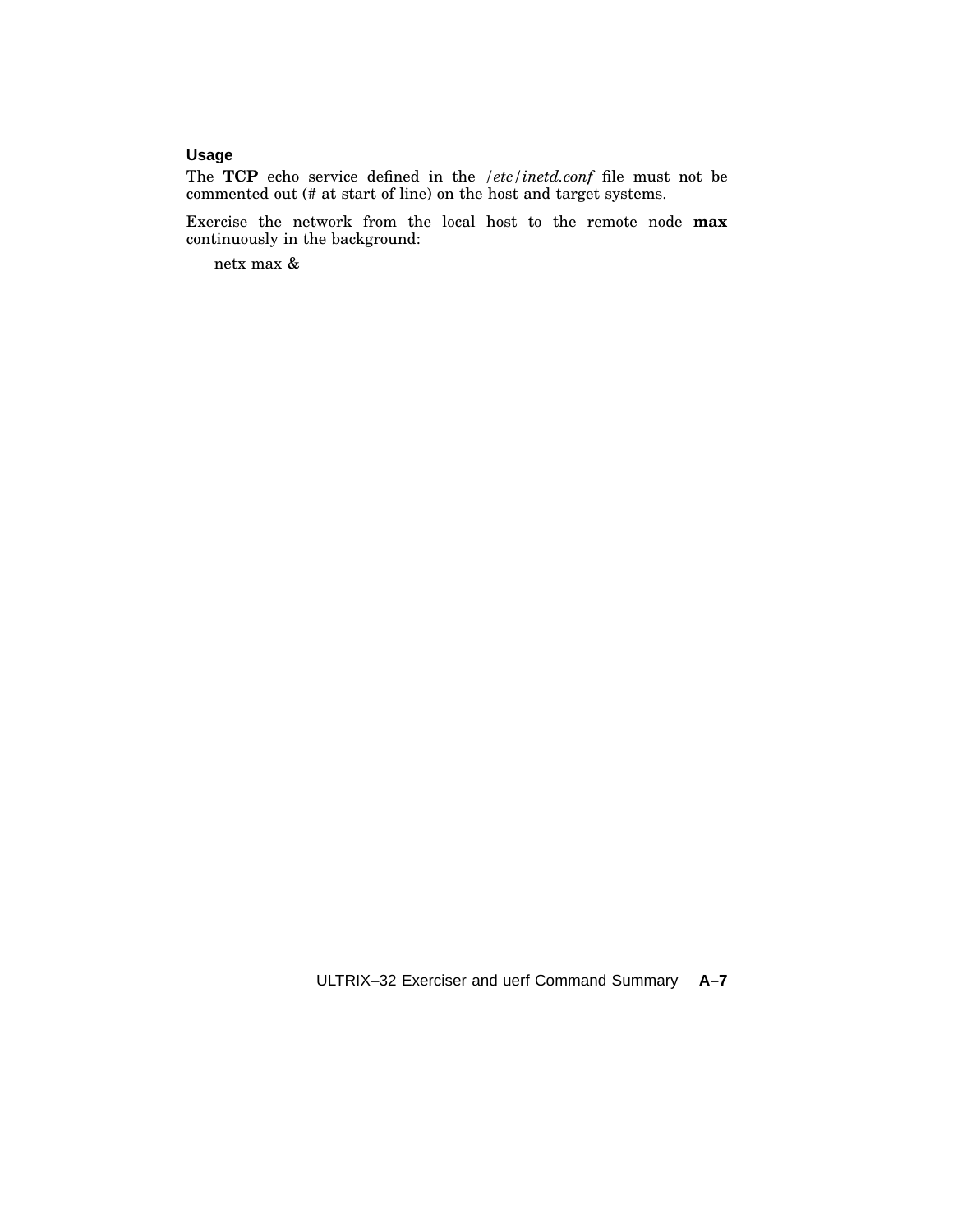# **Usage**

The **TCP** echo service defined in the */etc/inetd.conf* file must not be commented out (# at start of line) on the host and target systems.

Exercise the network from the local host to the remote node **max** continuously in the background:

netx max &

ULTRIX–32 Exerciser and uerf Command Summary **A–7**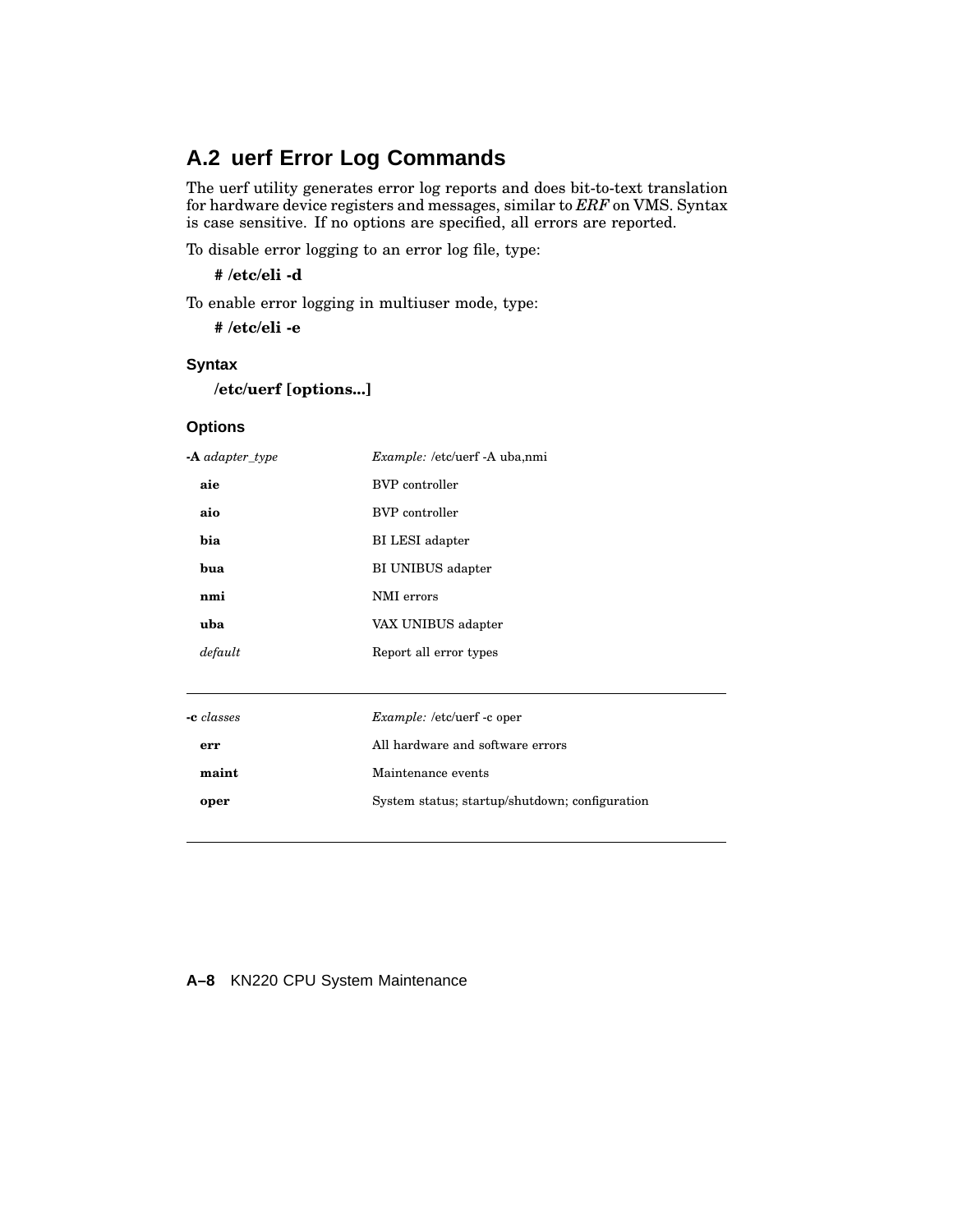# **A.2 uerf Error Log Commands**

The uerf utility generates error log reports and does bit-to-text translation for hardware device registers and messages, similar to *ERF* on VMS. Syntax is case sensitive. If no options are specified, all errors are reported.

To disable error logging to an error log file, type:

**# /etc/eli -d**

To enable error logging in multiuser mode, type:

**# /etc/eli -e**

#### **Syntax**

```
/etc/uerf [options...]
```
#### **Options**

| $-A$ adapter_type | <i>Example:</i> /etc/uerf -A uba.nmi |
|-------------------|--------------------------------------|
| aie               | <b>BVP</b> controller                |
| aio               | <b>BVP</b> controller                |
| bia               | BI LESI adapter                      |
| hua               | BI UNIBUS adapter                    |
| nmi               | NMI errors                           |
| uba               | VAX UNIBUS adapter                   |
| default           | Report all error types               |
|                   |                                      |

| -c classes | <i>Example:</i> /etc/uerf -c oper              |
|------------|------------------------------------------------|
| err        | All hardware and software errors               |
| maint      | Maintenance events                             |
| oper       | System status; startup/shutdown; configuration |
|            |                                                |

#### **A–8** KN220 CPU System Maintenance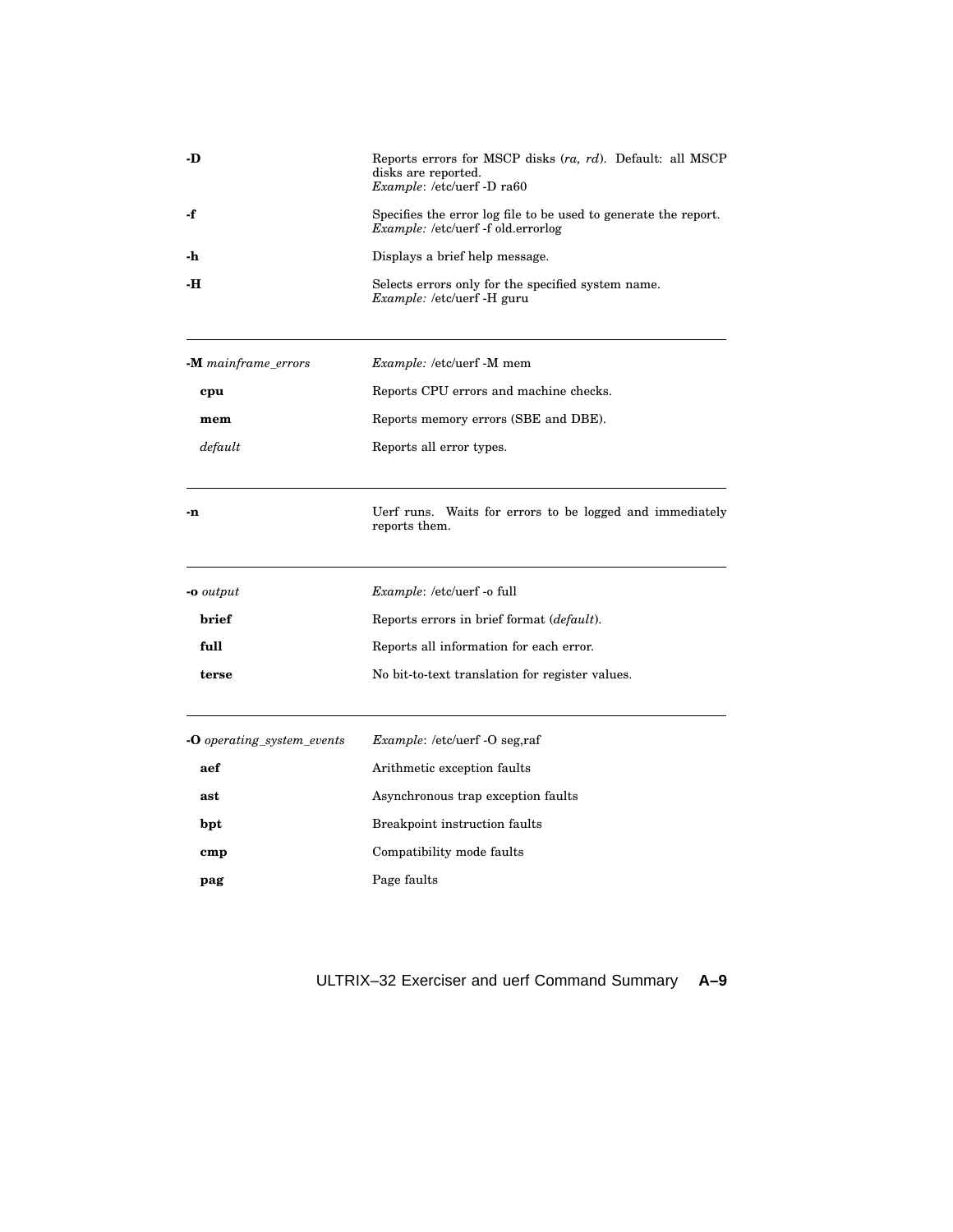| -D                                | Reports errors for MSCP disks (ra, rd). Default: all MSCP<br>disks are reported.<br>Example: /etc/uerf -D ra60 |  |
|-----------------------------------|----------------------------------------------------------------------------------------------------------------|--|
| -f                                | Specifies the error log file to be used to generate the report.<br><i>Example:</i> /etc/uerf -f old.errorlog   |  |
| -h                                | Displays a brief help message.                                                                                 |  |
| -н                                | Selects errors only for the specified system name.<br>Example: /etc/uerf -H guru                               |  |
| -M mainframe_errors               | <i>Example:</i> /etc/uerf -M mem                                                                               |  |
| cpu                               | Reports CPU errors and machine checks.                                                                         |  |
| mem                               | Reports memory errors (SBE and DBE).                                                                           |  |
| default                           | Reports all error types.                                                                                       |  |
| -n                                | Uerf runs. Waits for errors to be logged and immediately<br>reports them.                                      |  |
| -o output                         | <i>Example:</i> /etc/uerf -o full                                                                              |  |
| brief                             | Reports errors in brief format (default).                                                                      |  |
| full                              | Reports all information for each error.                                                                        |  |
| terse                             | No bit-to-text translation for register values.                                                                |  |
| <b>-O</b> operating system events | Example: /etc/uerf -O seg,raf                                                                                  |  |
| aef                               | Arithmetic exception faults                                                                                    |  |
| ast                               | Asynchronous trap exception faults                                                                             |  |
| bpt                               | Breakpoint instruction faults                                                                                  |  |
| $_{\rm{cmp}}$                     | Compatibility mode faults                                                                                      |  |
| pag                               | Page faults                                                                                                    |  |

# ULTRIX–32 Exerciser and uerf Command Summary **A–9**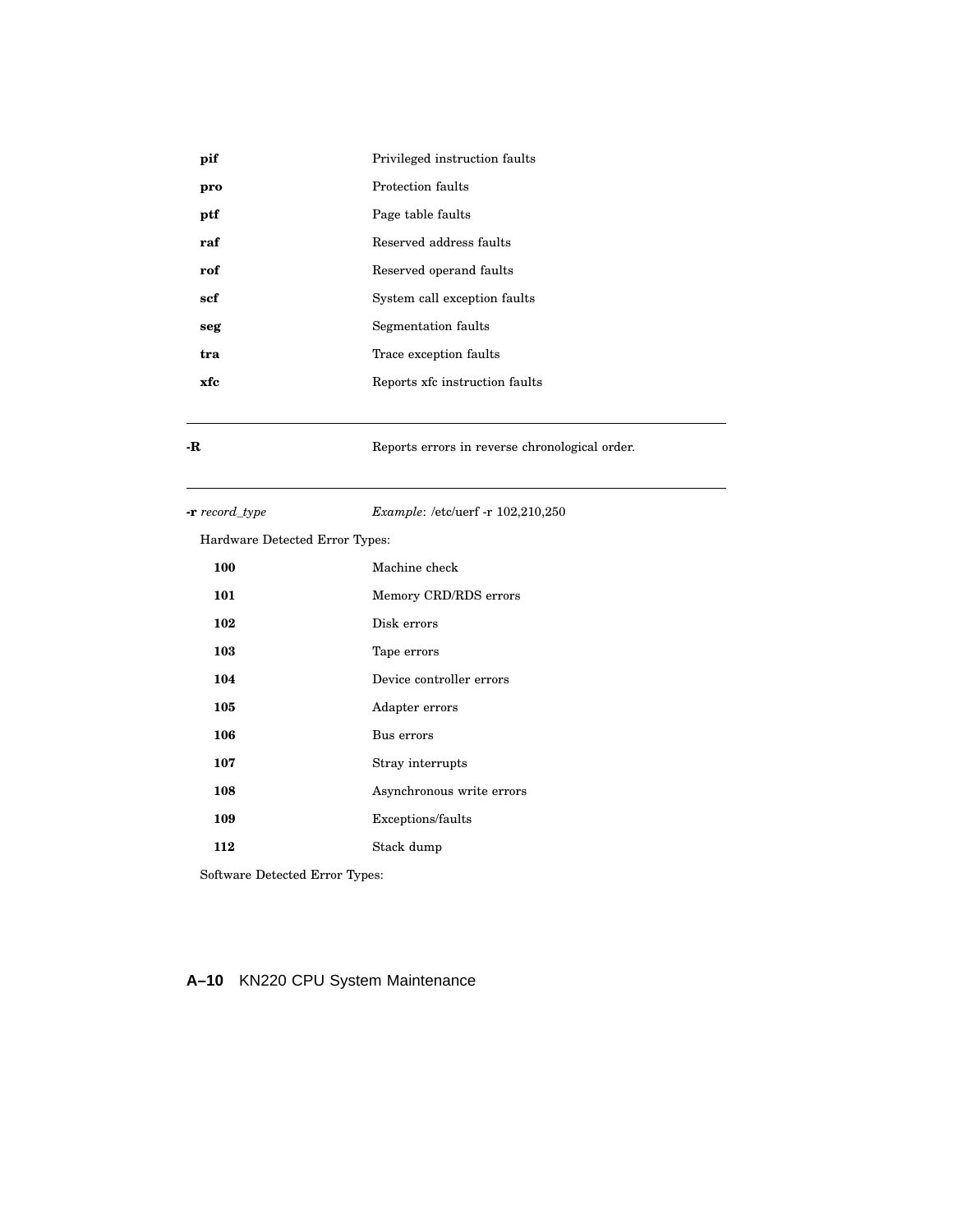| pif | Privileged instruction faults  |
|-----|--------------------------------|
| pro | Protection faults              |
| ptf | Page table faults              |
| raf | Reserved address faults        |
| rof | Reserved operand faults        |
| scf | System call exception faults   |
| seg | Segmentation faults            |
| tra | Trace exception faults         |
| xfc | Reports xfc instruction faults |
|     |                                |

**-R** Reports errors in reverse chronological order.

**-r** *record\_type Example*: /etc/uerf -r 102,210,250

Hardware Detected Error Types:

| 100 | Machine check             |
|-----|---------------------------|
| 101 | Memory CRD/RDS errors     |
| 102 | Disk errors               |
| 103 | Tape errors               |
| 104 | Device controller errors  |
| 105 | Adapter errors            |
| 106 | Bus errors                |
| 107 | Stray interrupts          |
| 108 | Asynchronous write errors |
| 109 | Exceptions/faults         |
| 112 | Stack dump                |

Software Detected Error Types:

# **A–10** KN220 CPU System Maintenance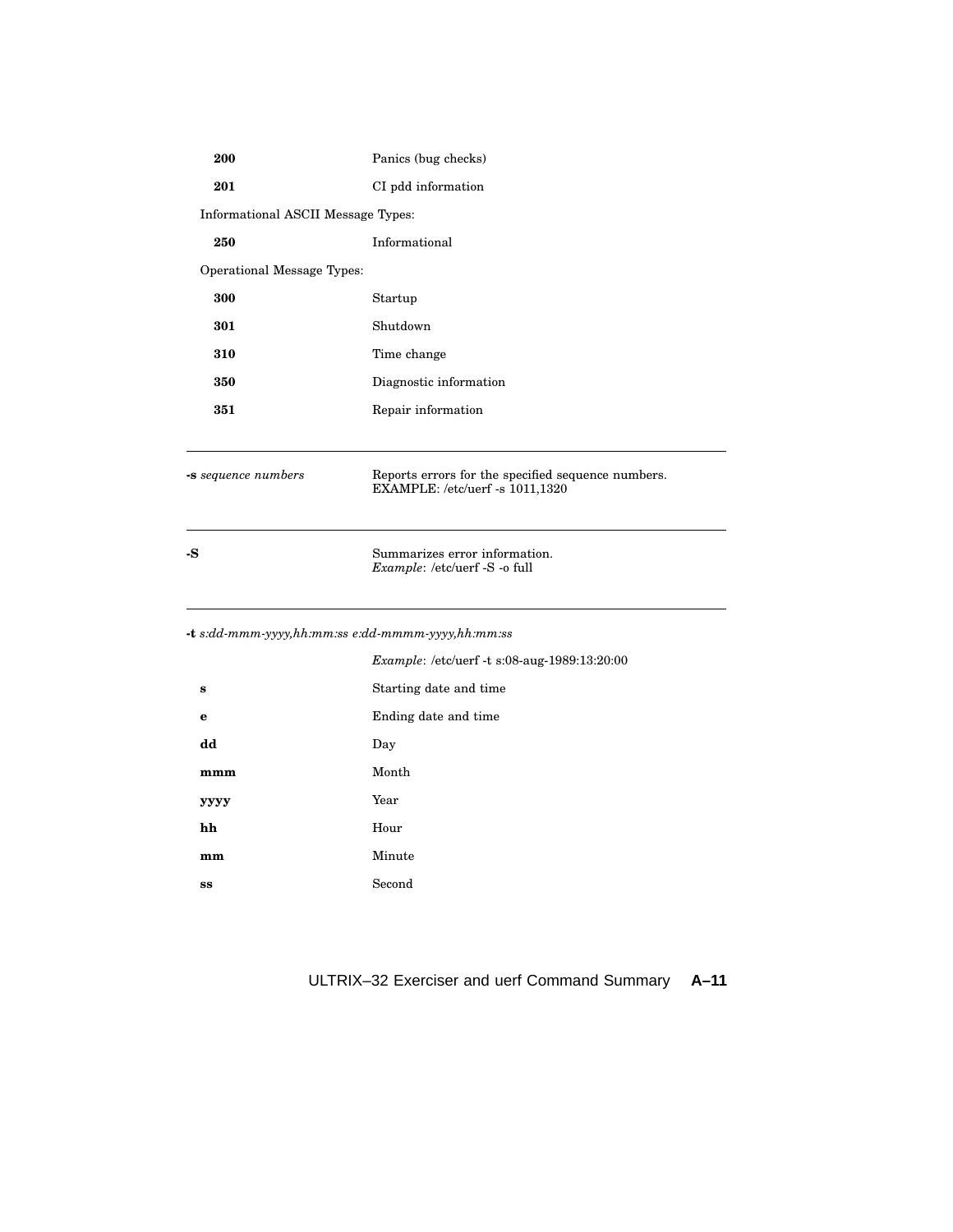| 200                                               | Panics (bug checks)                                                                   |
|---------------------------------------------------|---------------------------------------------------------------------------------------|
| 201                                               | CI pdd information                                                                    |
| Informational ASCII Message Types:                |                                                                                       |
| 250                                               | Informational                                                                         |
| <b>Operational Message Types:</b>                 |                                                                                       |
| 300                                               | Startup                                                                               |
| 301                                               | Shutdown                                                                              |
| 310                                               | Time change                                                                           |
| 350                                               | Diagnostic information                                                                |
| 351                                               | Repair information                                                                    |
|                                                   |                                                                                       |
| -s sequence numbers                               | Reports errors for the specified sequence numbers.<br>EXAMPLE: /etc/uerf -s 1011,1320 |
| -S                                                | Summarizes error information.<br>Example: /etc/uerf -S -o full                        |
| -t s:dd-mmm-yyyy,hh:mm:ss e:dd-mmmm-yyyy,hh:mm:ss |                                                                                       |
|                                                   | Example: /etc/uerf -t s:08-aug-1989:13:20:00                                          |
| $\bf{s}$                                          | Starting date and time                                                                |
| $\mathbf e$                                       | Ending date and time                                                                  |
| dd                                                | Day                                                                                   |
| mmm                                               | Month                                                                                 |
| уууу                                              | Year                                                                                  |
| hh                                                | Hour                                                                                  |
| mm                                                | Minute                                                                                |
|                                                   |                                                                                       |

# ULTRIX–32 Exerciser and uerf Command Summary **A–11**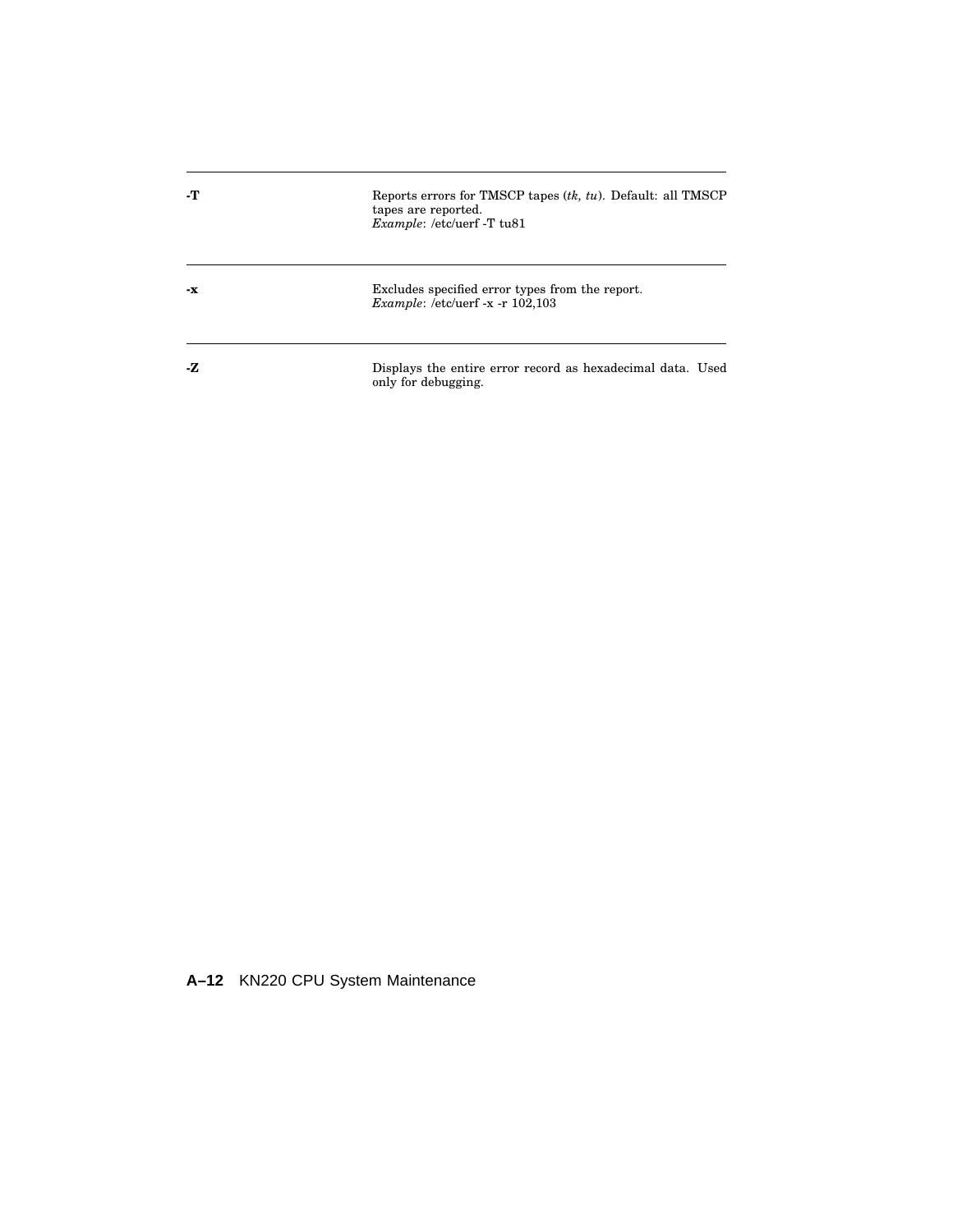| -т  | Reports errors for TMSCP tapes $(tk, tu)$ . Default: all TMSCP<br>tapes are reported.<br><i>Example:</i> /etc/uerf -T tu81 |
|-----|----------------------------------------------------------------------------------------------------------------------------|
| -х  | Excludes specified error types from the report.<br><i>Example:</i> /etc/uerf -x -r $102,103$                               |
| -7. | Displays the entire error record as hexadecimal data. Used<br>only for debugging.                                          |

**A–12** KN220 CPU System Maintenance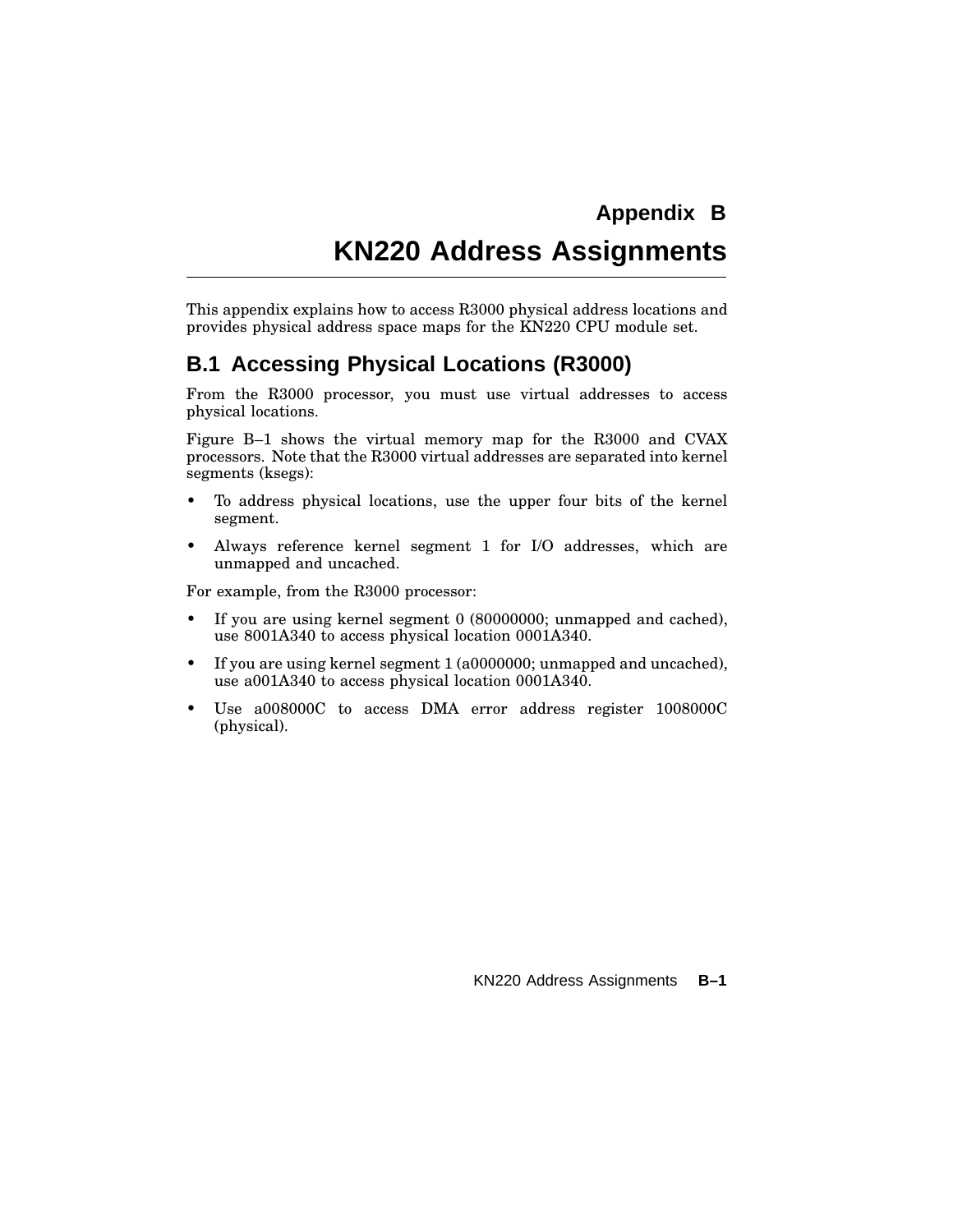# **KN220 Address Assignments**

This appendix explains how to access R3000 physical address locations and provides physical address space maps for the KN220 CPU module set.

# **B.1 Accessing Physical Locations (R3000)**

From the R3000 processor, you must use virtual addresses to access physical locations.

Figure B–1 shows the virtual memory map for the R3000 and CVAX processors. Note that the R3000 virtual addresses are separated into kernel segments (ksegs):

- To address physical locations, use the upper four bits of the kernel segment.
- Always reference kernel segment 1 for I/O addresses, which are unmapped and uncached.

For example, from the R3000 processor:

- If you are using kernel segment 0 (80000000; unmapped and cached), use 8001A340 to access physical location 0001A340.
- If you are using kernel segment 1 (a0000000; unmapped and uncached), use a001A340 to access physical location 0001A340.
- Use a008000C to access DMA error address register 1008000C (physical).

KN220 Address Assignments **B–1**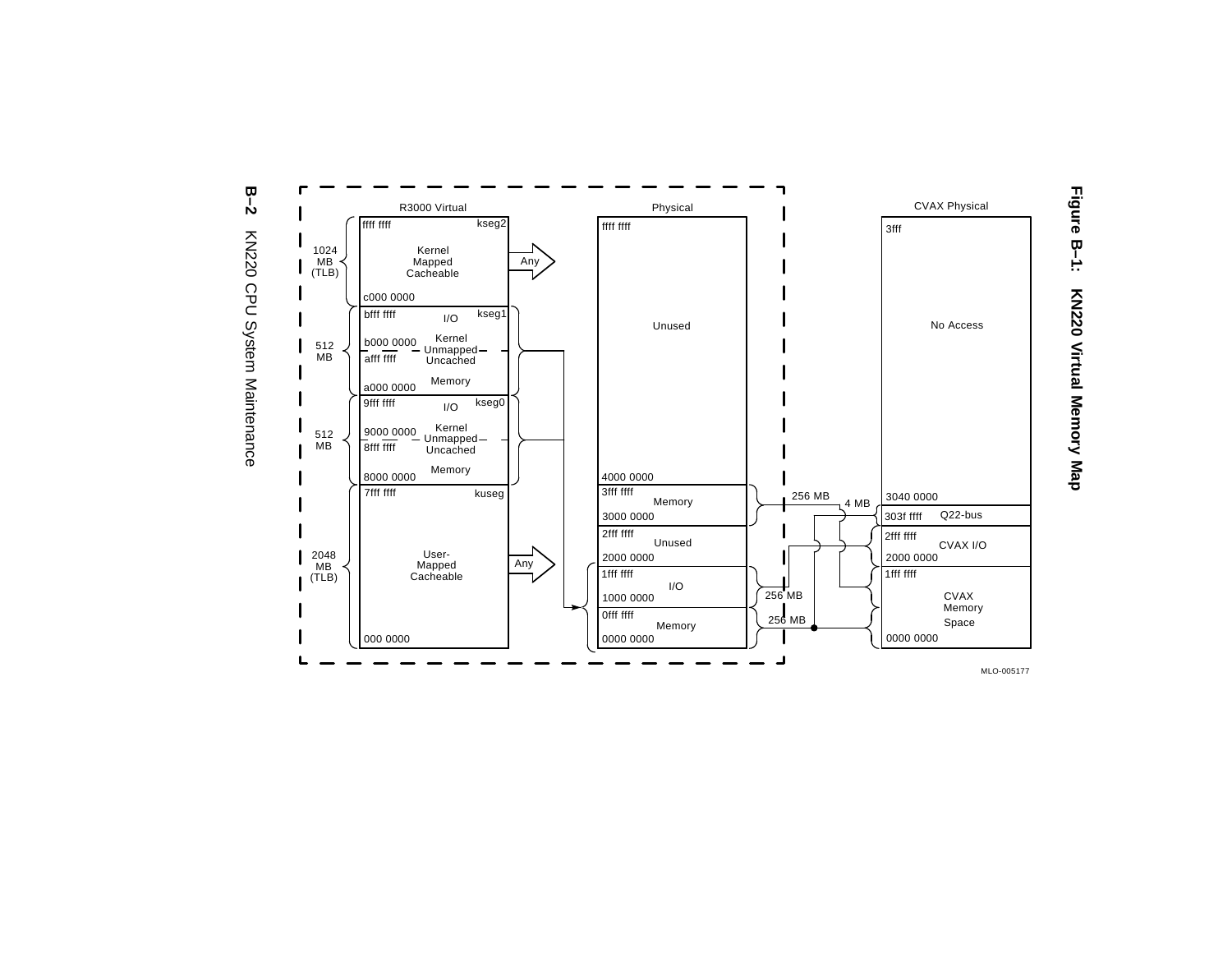



MLO-005177

**Figure**

**B–1:**

**KN220**

**Virtual**

**Memory**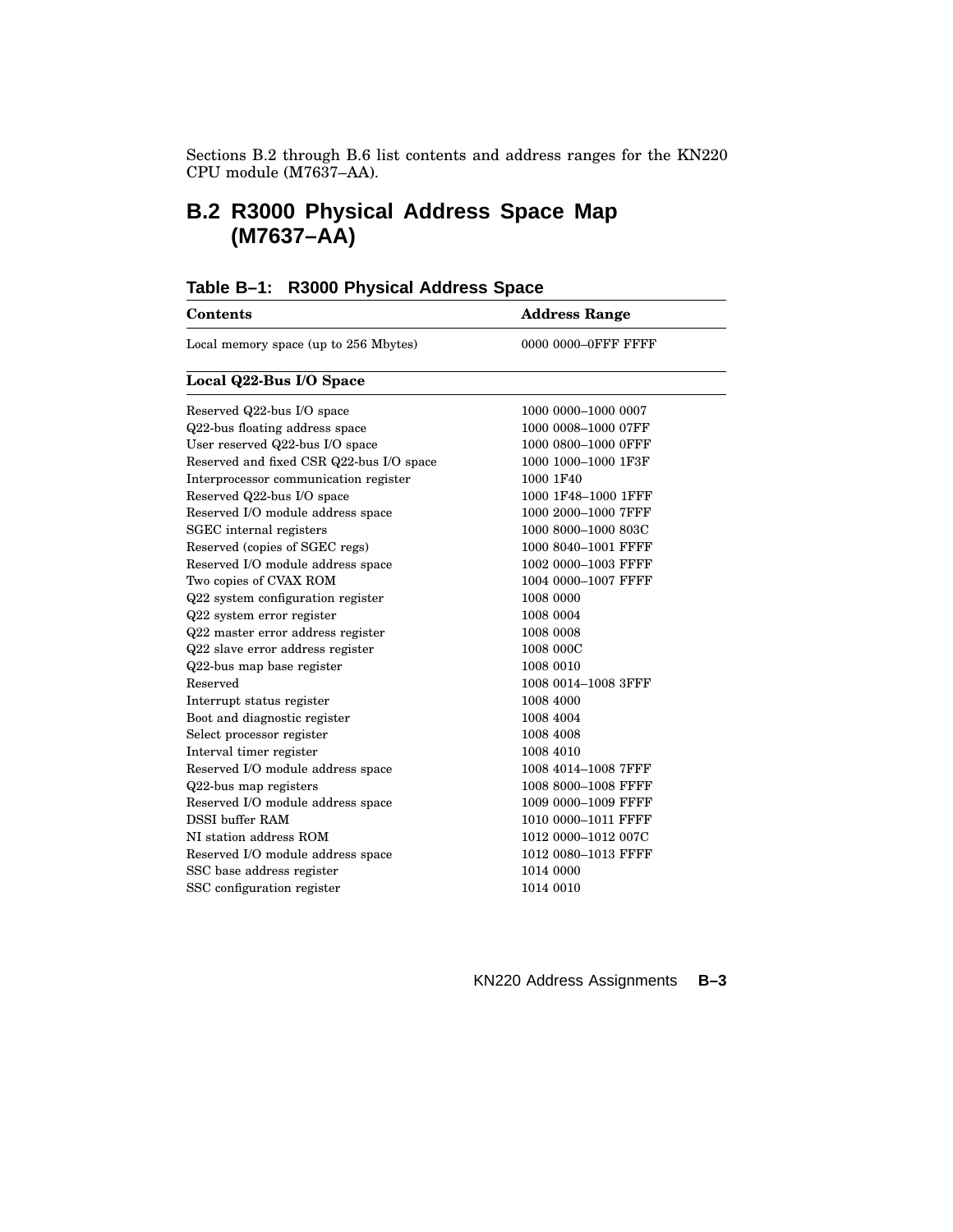Sections B.2 through B.6 list contents and address ranges for the KN220 CPU module (M7637–AA).

# **B.2 R3000 Physical Address Space Map (M7637–AA)**

| <b>Contents</b>                          | <b>Address Range</b> |
|------------------------------------------|----------------------|
| Local memory space (up to 256 Mbytes)    | 0000 0000–0FFF FFFF  |
| Local Q22-Bus I/O Space                  |                      |
| Reserved Q22-bus I/O space               | 1000 0000–1000 0007  |
| Q22-bus floating address space           | 1000 0008-1000 07FF  |
| User reserved Q22-bus I/O space          | 1000 0800-1000 0FFF  |
| Reserved and fixed CSR Q22-bus I/O space | 1000 1000-1000 1F3F  |
| Interprocessor communication register    | 1000 1F40            |
| Reserved Q22-bus I/O space               | 1000 1F48-1000 1FFF  |
| Reserved I/O module address space        | 1000 2000-1000 7FFF  |
| SGEC internal registers                  | 1000 8000-1000 803C  |
| Reserved (copies of SGEC regs)           | 1000 8040-1001 FFFF  |
| Reserved I/O module address space        | 1002 0000-1003 FFFF  |
| Two copies of CVAX ROM                   | 1004 0000-1007 FFFF  |
| Q22 system configuration register        | 1008 0000            |
| Q22 system error register                | 1008 0004            |
| Q22 master error address register        | 1008 0008            |
| Q22 slave error address register         | 1008 000C            |
| Q22-bus map base register                | 1008 0010            |
| Reserved                                 | 1008 0014-1008 3FFF  |
| Interrupt status register                | 1008 4000            |
| Boot and diagnostic register             | 1008 4004            |
| Select processor register                | 1008 4008            |
| Interval timer register                  | 1008 4010            |
| Reserved I/O module address space        | 1008 4014-1008 7FFF  |
| Q22-bus map registers                    | 1008 8000-1008 FFFF  |
| Reserved I/O module address space        | 1009 0000-1009 FFFF  |
| <b>DSSI</b> buffer RAM                   | 1010 0000-1011 FFFF  |
| NI station address ROM                   | 1012 0000-1012 007C  |
| Reserved I/O module address space        | 1012 0080-1013 FFFF  |
| SSC base address register                | 1014 0000            |
| SSC configuration register               | 1014 0010            |

# **Table B–1: R3000 Physical Address Space**

KN220 Address Assignments **B–3**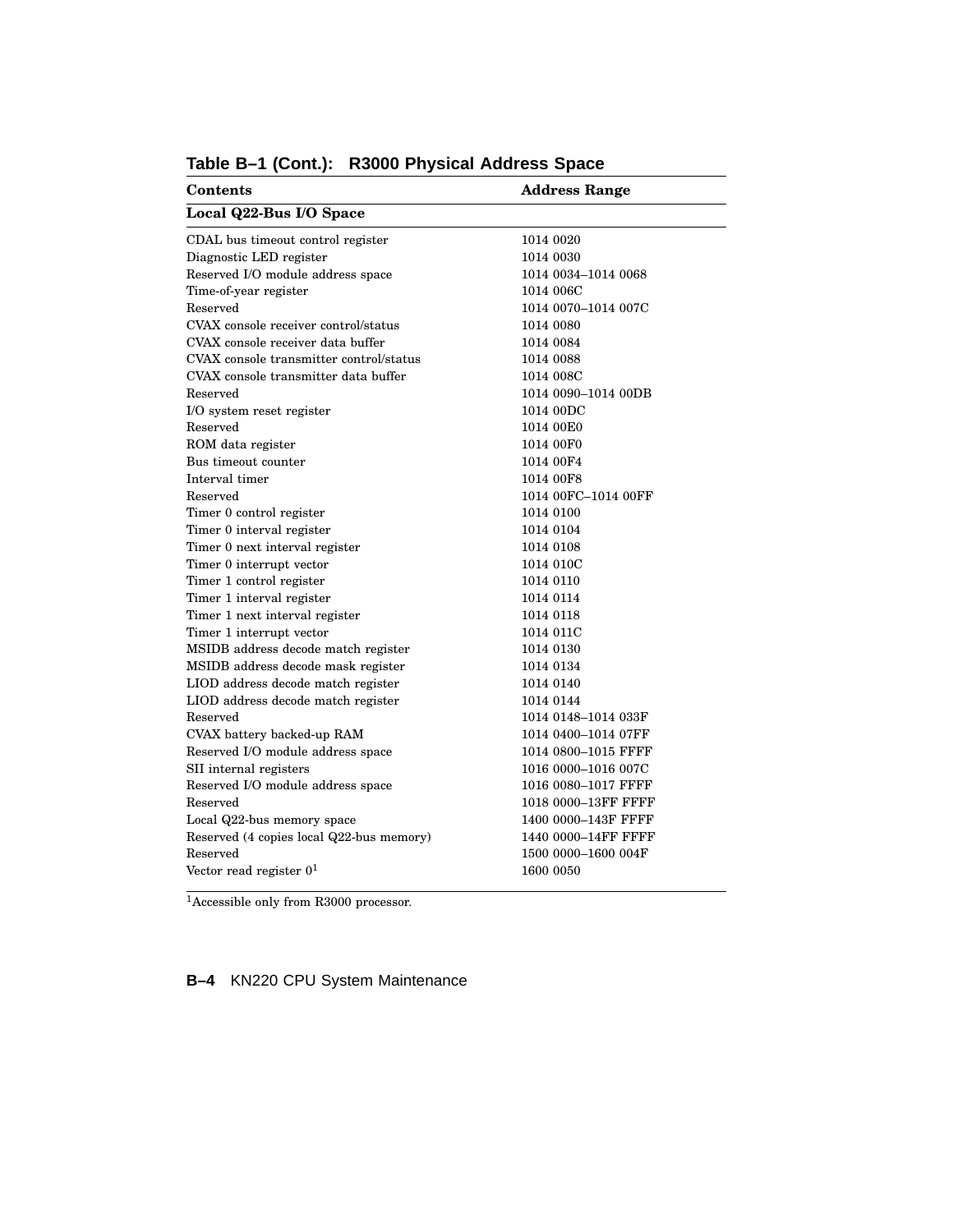| Contents                                 | <b>Address Range</b> |  |
|------------------------------------------|----------------------|--|
| Local Q22-Bus I/O Space                  |                      |  |
| CDAL bus timeout control register        | 1014 0020            |  |
| Diagnostic LED register                  | 1014 0030            |  |
| Reserved I/O module address space        | 1014 0034-1014 0068  |  |
| Time-of-year register                    | 1014 006C            |  |
| Reserved                                 | 1014 0070-1014 007C  |  |
| CVAX console receiver control/status     | 1014 0080            |  |
| CVAX console receiver data buffer        | 1014 0084            |  |
| CVAX console transmitter control/status  | 1014 0088            |  |
| CVAX console transmitter data buffer     | 1014 008C            |  |
| Reserved                                 | 1014 0090-1014 00DB  |  |
| I/O system reset register                | 1014 00DC            |  |
| Reserved                                 | 1014 00E0            |  |
| ROM data register                        | 1014 00F0            |  |
| Bus timeout counter                      | 1014 00F4            |  |
| Interval timer                           | 1014 00F8            |  |
| Reserved                                 | 1014 00FC-1014 00FF  |  |
| Timer 0 control register                 | 1014 0100            |  |
| Timer 0 interval register                | 1014 0104            |  |
| Timer 0 next interval register           | 1014 0108            |  |
| Timer 0 interrupt vector                 | 1014 010C            |  |
| Timer 1 control register                 | 1014 0110            |  |
| Timer 1 interval register                | 1014 0114            |  |
| Timer 1 next interval register           | 1014 0118            |  |
| Timer 1 interrupt vector                 | 1014 011C            |  |
| MSIDB address decode match register      | 1014 0130            |  |
| MSIDB address decode mask register       | 1014 0134            |  |
| LIOD address decode match register       | 1014 0140            |  |
| LIOD address decode match register       | 1014 0144            |  |
| Reserved                                 | 1014 0148-1014 033F  |  |
| CVAX battery backed-up RAM               | 1014 0400-1014 07FF  |  |
| Reserved I/O module address space        | 1014 0800-1015 FFFF  |  |
| SII internal registers                   | 1016 0000-1016 007C  |  |
| Reserved I/O module address space        | 1016 0080-1017 FFFF  |  |
| Reserved                                 | 1018 0000-13FF FFFF  |  |
| Local Q22-bus memory space               | 1400 0000-143F FFFF  |  |
| Reserved (4 copies local Q22-bus memory) | 1440 0000-14FF FFFF  |  |
| Reserved                                 | 1500 0000-1600 004F  |  |
| Vector read register $01$                | 1600 0050            |  |
|                                          |                      |  |

#### **Table B–1 (Cont.): R3000 Physical Address Space**

<sup>1</sup>Accessible only from R3000 processor.

**B–4** KN220 CPU System Maintenance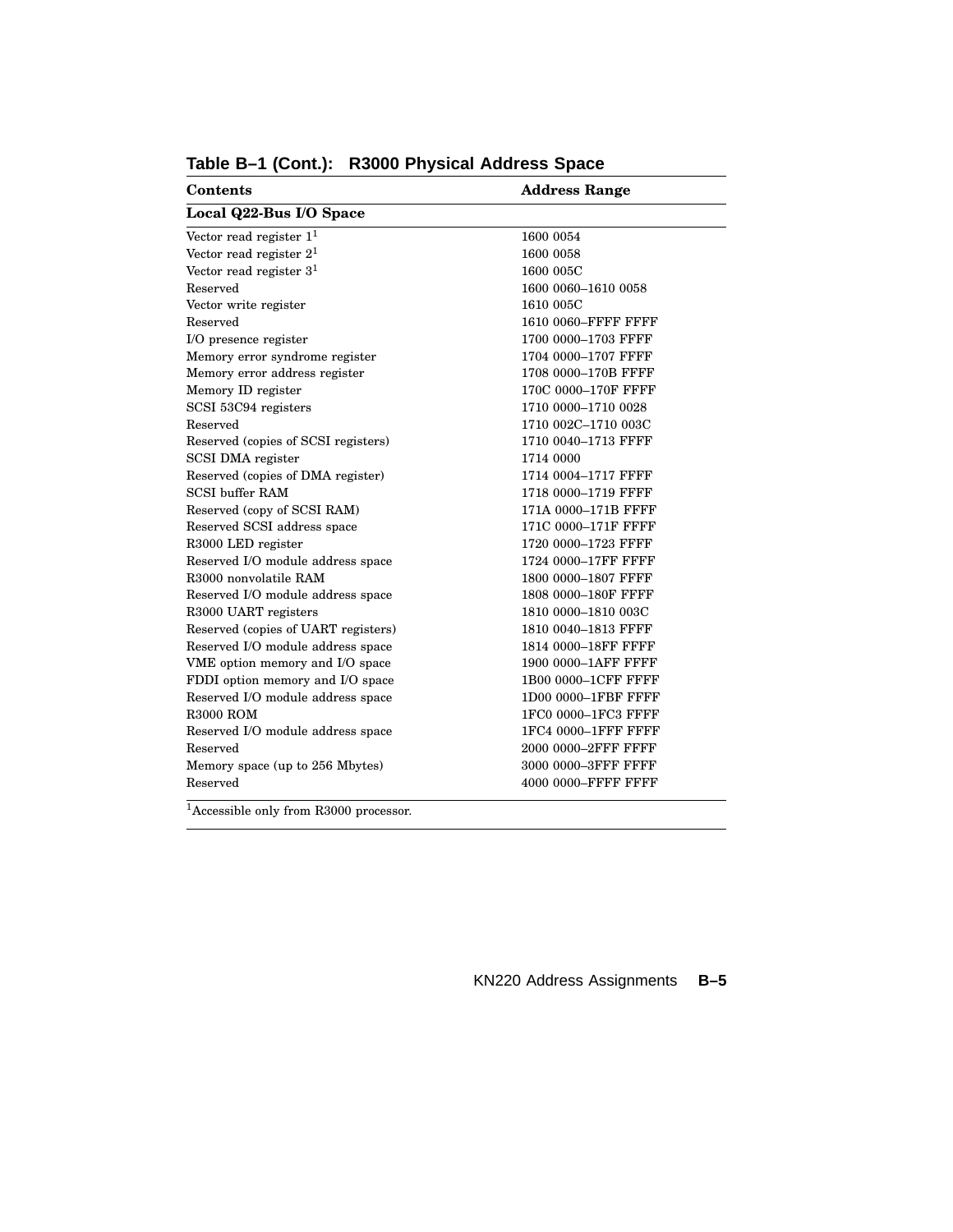| <b>Contents</b>                                | <b>Address Range</b> |  |
|------------------------------------------------|----------------------|--|
| Local Q22-Bus I/O Space                        |                      |  |
| Vector read register $11$                      | 1600 0054            |  |
| Vector read register $21$                      | 1600 0058            |  |
| Vector read register $31$                      | 1600 005C            |  |
| Reserved                                       | 1600 0060-1610 0058  |  |
| Vector write register                          | 1610 005C            |  |
| Reserved                                       | 1610 0060-FFFF FFFF  |  |
| I/O presence register                          | 1700 0000-1703 FFFF  |  |
| Memory error syndrome register                 | 1704 0000-1707 FFFF  |  |
| Memory error address register                  | 1708 0000-170B FFFF  |  |
| Memory ID register                             | 170C 0000-170F FFFF  |  |
| SCSI 53C94 registers                           | 1710 0000-1710 0028  |  |
| Reserved                                       | 1710 002C-1710 003C  |  |
| Reserved (copies of SCSI registers)            | 1710 0040-1713 FFFF  |  |
| SCSI DMA register                              | 1714 0000            |  |
| Reserved (copies of DMA register)              | 1714 0004-1717 FFFF  |  |
| <b>SCSI</b> buffer RAM                         | 1718 0000-1719 FFFF  |  |
| Reserved (copy of SCSI RAM)                    | 171A 0000–171B FFFF  |  |
| Reserved SCSI address space                    | 171C 0000-171F FFFF  |  |
| R3000 LED register                             | 1720 0000-1723 FFFF  |  |
| Reserved I/O module address space              | 1724 0000-17FF FFFF  |  |
| R3000 nonvolatile RAM                          | 1800 0000-1807 FFFF  |  |
| Reserved I/O module address space              | 1808 0000-180F FFFF  |  |
| R3000 UART registers                           | 1810 0000-1810 003C  |  |
| Reserved (copies of UART registers)            | 1810 0040-1813 FFFF  |  |
| Reserved I/O module address space              | 1814 0000-18FF FFFF  |  |
| VME option memory and I/O space                | 1900 0000-1AFF FFFF  |  |
| FDDI option memory and I/O space               | 1B00 0000-1CFF FFFF  |  |
| Reserved I/O module address space              | 1D00 0000-1FBF FFFF  |  |
| <b>R3000 ROM</b>                               | 1FC0 0000-1FC3 FFFF  |  |
| Reserved I/O module address space              | 1FC4 0000-1FFF FFFF  |  |
| Reserved                                       | 2000 0000-2FFF FFFF  |  |
| Memory space (up to 256 Mbytes)                | 3000 0000-3FFF FFFF  |  |
| Reserved                                       | 4000 0000-FFFF FFFF  |  |
| 1 <sub>A</sub><br>21.1<br>$\mathbf{1}$<br>DQQQ |                      |  |

**Table B–1 (Cont.): R3000 Physical Address Space**

<sup>1</sup>Accessible only from R3000 processor.

KN220 Address Assignments **B–5**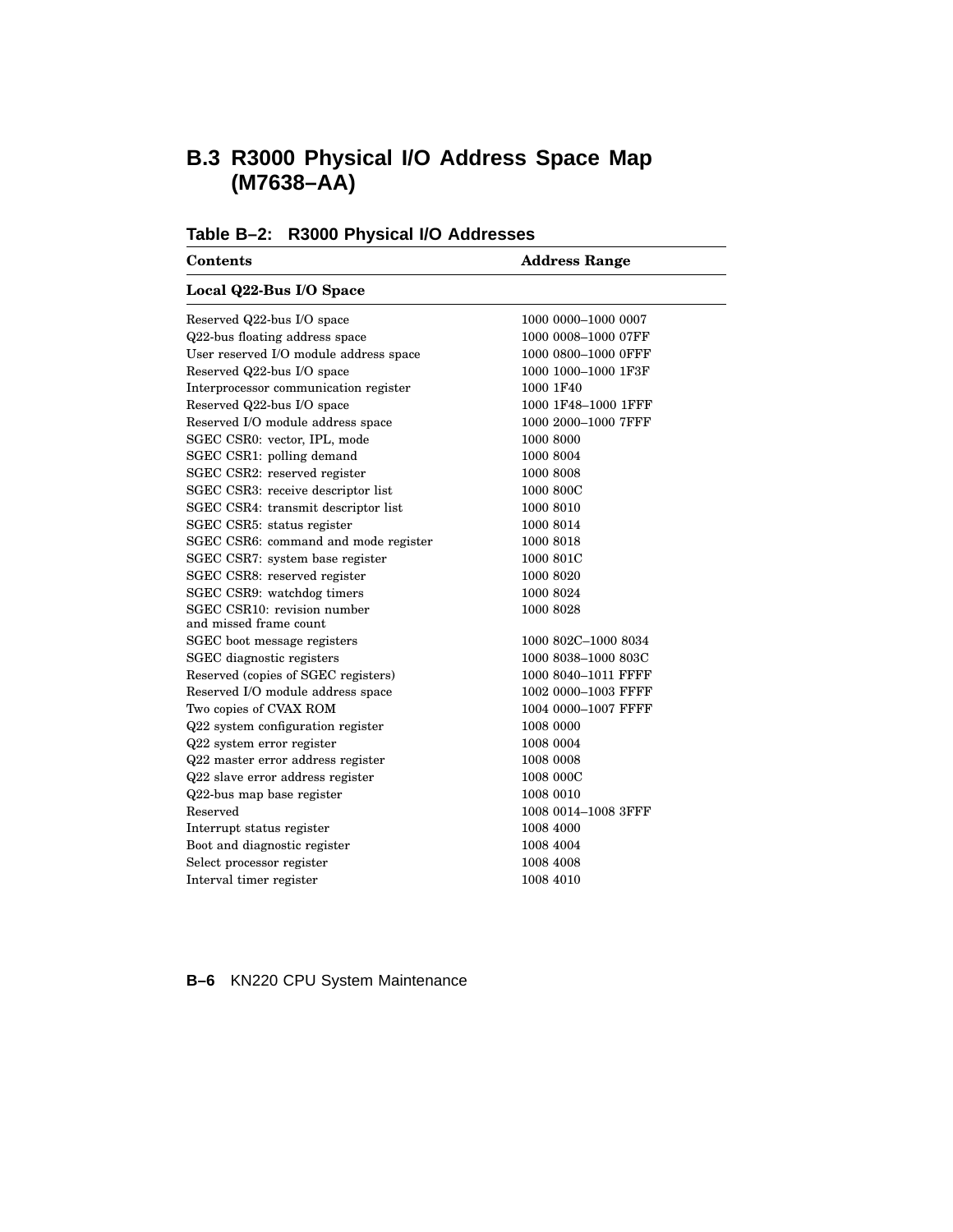# **B.3 R3000 Physical I/O Address Space Map (M7638–AA)**

| Table B-2: R3000 Physical I/O Addresses |  |  |  |  |
|-----------------------------------------|--|--|--|--|
|-----------------------------------------|--|--|--|--|

| <b>Contents</b>                        | <b>Address Range</b> |  |
|----------------------------------------|----------------------|--|
| Local Q22-Bus I/O Space                |                      |  |
| Reserved Q22-bus I/O space             | 1000 0000-1000 0007  |  |
| Q22-bus floating address space         | 1000 0008-1000 07FF  |  |
| User reserved I/O module address space | 1000 0800-1000 OFFF  |  |
| Reserved Q22-bus I/O space             | 1000 1000-1000 1F3F  |  |
| Interprocessor communication register  | 1000 1F40            |  |
| Reserved Q22-bus I/O space             | 1000 1F48-1000 1FFF  |  |
| Reserved I/O module address space      | 1000 2000-1000 7FFF  |  |
| SGEC CSR0: vector, IPL, mode           | 1000 8000            |  |
| SGEC CSR1: polling demand              | 1000 8004            |  |
| SGEC CSR2: reserved register           | 1000 8008            |  |
| SGEC CSR3: receive descriptor list     | 1000 800C            |  |
| SGEC CSR4: transmit descriptor list    | 1000 8010            |  |
| SGEC CSR5: status register             | 1000 8014            |  |
| SGEC CSR6: command and mode register   | 1000 8018            |  |
| SGEC CSR7: system base register        | 1000 801C            |  |
| SGEC CSR8: reserved register           | 1000 8020            |  |
| SGEC CSR9: watchdog timers             | 1000 8024            |  |
| SGEC CSR10: revision number            | 1000 8028            |  |
| and missed frame count                 |                      |  |
| SGEC boot message registers            | 1000 802C-1000 8034  |  |
| SGEC diagnostic registers              | 1000 8038-1000 803C  |  |
| Reserved (copies of SGEC registers)    | 1000 8040-1011 FFFF  |  |
| Reserved I/O module address space      | 1002 0000-1003 FFFF  |  |
| Two copies of CVAX ROM                 | 1004 0000-1007 FFFF  |  |
| Q22 system configuration register      | 1008 0000            |  |
| Q22 system error register              | 1008 0004            |  |
| Q22 master error address register      | 1008 0008            |  |
| Q22 slave error address register       | 1008 000C            |  |
| Q22-bus map base register              | 1008 0010            |  |
| Reserved                               | 1008 0014-1008 3FFF  |  |
| Interrupt status register              | 1008 4000            |  |

**B–6** KN220 CPU System Maintenance

Boot and diagnostic register 1008 4004 Select processor register 1008 4008  $\begin{tabular}{c}\bf Interval timer register \end{tabular} \begin{tabular}{c} \textbf{Output} \end{tabular}$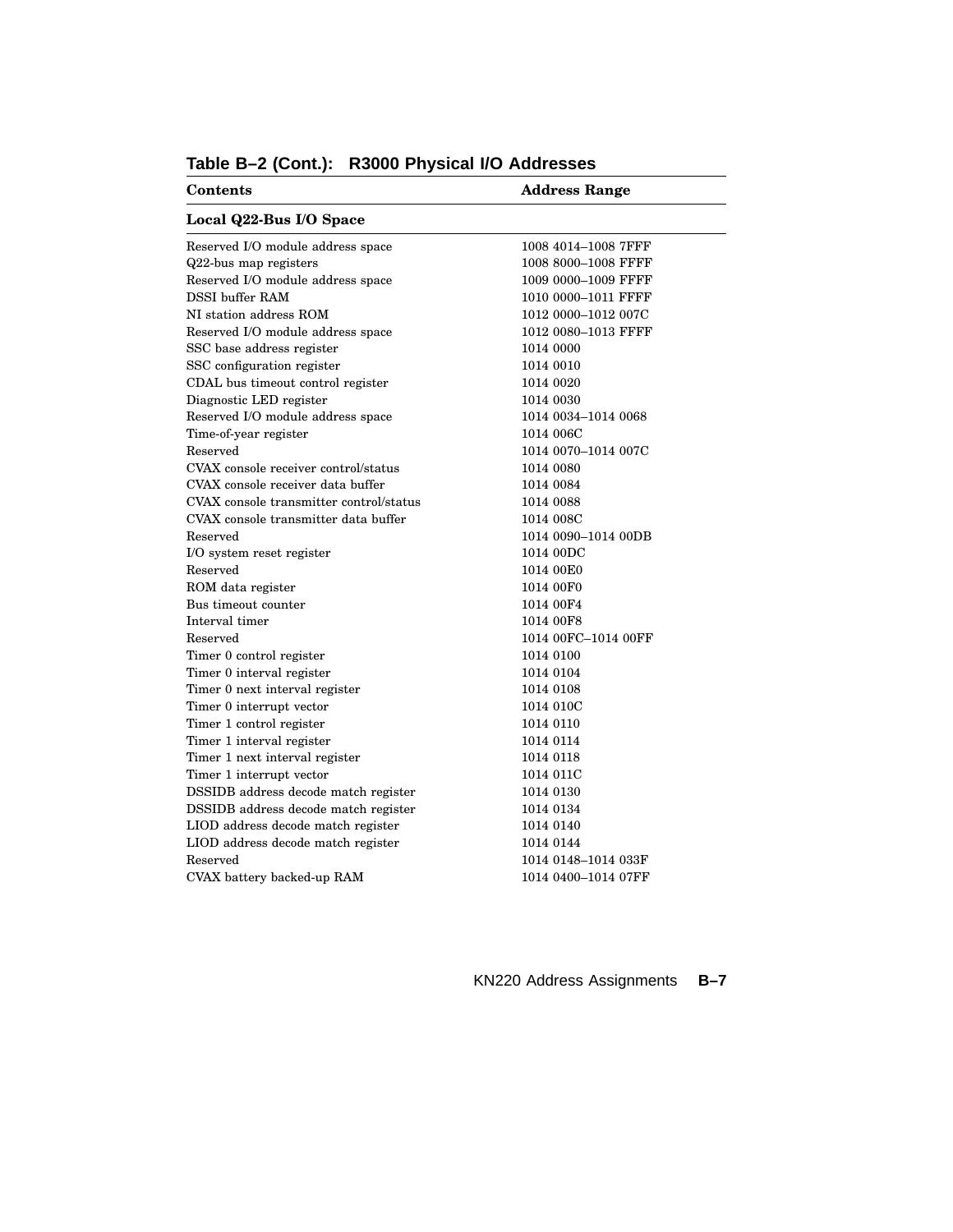| <b>Contents</b>                         | <b>Address Range</b> |  |
|-----------------------------------------|----------------------|--|
| Local Q22-Bus I/O Space                 |                      |  |
| Reserved I/O module address space       | 1008 4014-1008 7FFF  |  |
| Q22-bus map registers                   | 1008 8000-1008 FFFF  |  |
| Reserved I/O module address space       | 1009 0000-1009 FFFF  |  |
| <b>DSSI</b> buffer RAM                  | 1010 0000-1011 FFFF  |  |
| NI station address ROM                  | 1012 0000–1012 007C  |  |
| Reserved I/O module address space       | 1012 0080-1013 FFFF  |  |
| SSC base address register               | 1014 0000            |  |
| SSC configuration register              | 1014 0010            |  |
| CDAL bus timeout control register       | 1014 0020            |  |
| Diagnostic LED register                 | 1014 0030            |  |
| Reserved I/O module address space       | 1014 0034-1014 0068  |  |
| Time-of-year register                   | 1014 006C            |  |
| Reserved                                | 1014 0070-1014 007C  |  |
| CVAX console receiver control/status    | 1014 0080            |  |
| CVAX console receiver data buffer       | 1014 0084            |  |
| CVAX console transmitter control/status | 1014 0088            |  |
| CVAX console transmitter data buffer    | 1014 008C            |  |
| Reserved                                | 1014 0090-1014 00DB  |  |
| I/O system reset register               | 1014 00DC            |  |
| Reserved                                | 1014 00E0            |  |
| ROM data register                       | 1014 00F0            |  |
| Bus timeout counter                     | 1014 00F4            |  |
| Interval timer                          | 1014 00F8            |  |
| Reserved                                | 1014 00FC-1014 00FF  |  |
| Timer 0 control register                | 1014 0100            |  |
| Timer 0 interval register               | 1014 0104            |  |
| Timer 0 next interval register          | 1014 0108            |  |
| Timer 0 interrupt vector                | 1014 010C            |  |
| Timer 1 control register                | 1014 0110            |  |
| Timer 1 interval register               | 1014 0114            |  |
| Timer 1 next interval register          | 1014 0118            |  |
| Timer 1 interrupt vector                | 1014 011C            |  |
| DSSIDB address decode match register    | 1014 0130            |  |
| DSSIDB address decode match register    | 1014 0134            |  |
| LIOD address decode match register      | 1014 0140            |  |
| LIOD address decode match register      | 1014 0144            |  |
| Reserved                                | 1014 0148–1014 033F  |  |
| CVAX battery backed-up RAM              | 1014 0400–1014 07FF  |  |

# **Table B–2 (Cont.): R3000 Physical I/O Addresses**

KN220 Address Assignments **B–7**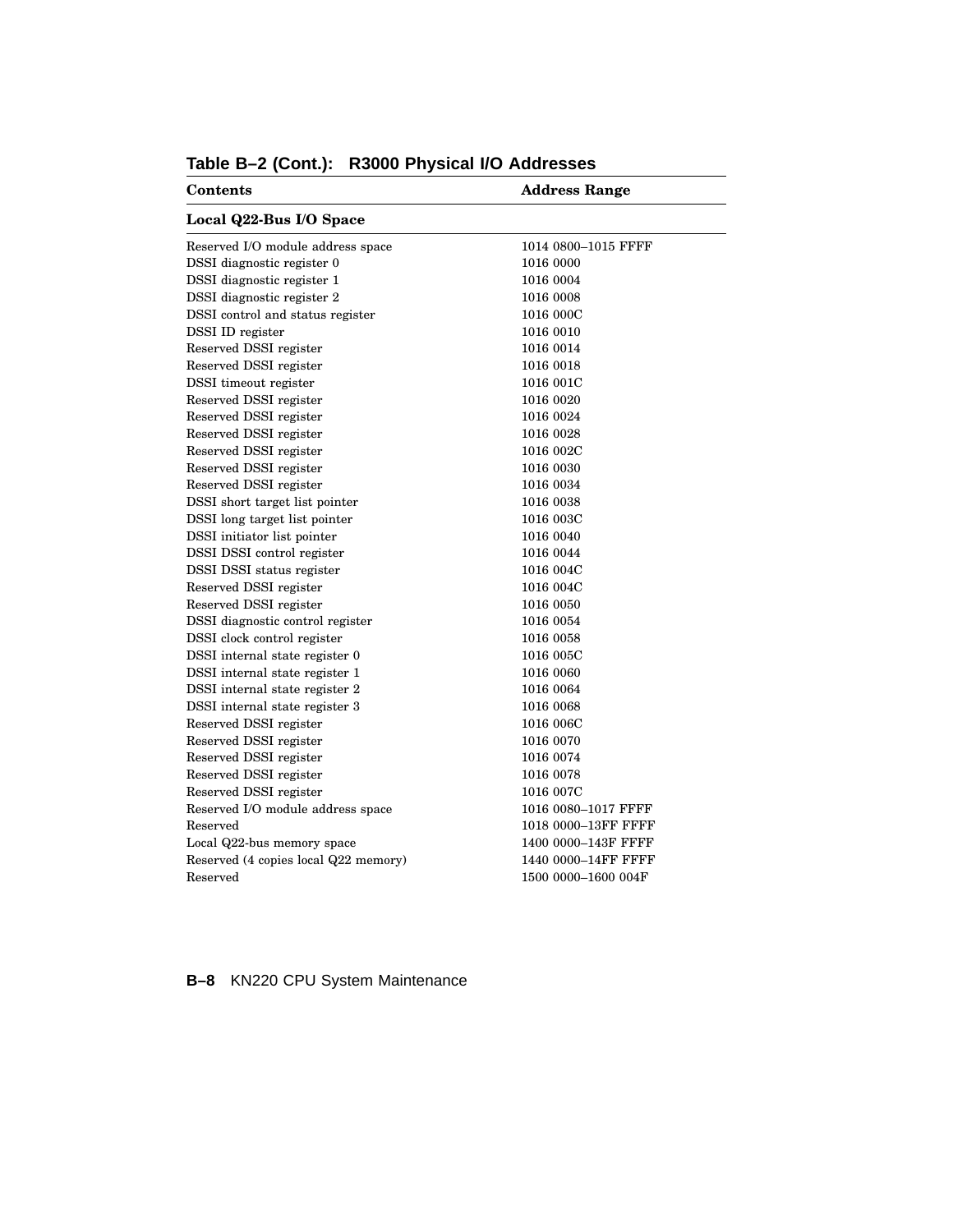| Contents                             | <b>Address Range</b> |  |
|--------------------------------------|----------------------|--|
| Local Q22-Bus I/O Space              |                      |  |
| Reserved I/O module address space    | 1014 0800-1015 FFFF  |  |
| DSSI diagnostic register 0           | 1016 0000            |  |
| DSSI diagnostic register 1           | 1016 0004            |  |
| DSSI diagnostic register 2           | 1016 0008            |  |
| DSSI control and status register     | 1016 000C            |  |
| DSSI ID register                     | 1016 0010            |  |
| Reserved DSSI register               | 1016 0014            |  |
| Reserved DSSI register               | 1016 0018            |  |
| <b>DSSI</b> timeout register         | 1016 001C            |  |
| Reserved DSSI register               | 1016 0020            |  |
| Reserved DSSI register               | 1016 0024            |  |
| Reserved DSSI register               | 1016 0028            |  |
| Reserved DSSI register               | 1016 002C            |  |
| Reserved DSSI register               | 1016 0030            |  |
| Reserved DSSI register               | 1016 0034            |  |
| DSSI short target list pointer       | 1016 0038            |  |
| DSSI long target list pointer        | 1016 003C            |  |
| DSSI initiator list pointer          | 1016 0040            |  |
| DSSI DSSI control register           | 1016 0044            |  |
| DSSI DSSI status register            | 1016 004C            |  |
| Reserved DSSI register               | 1016 004C            |  |
| Reserved DSSI register               | 1016 0050            |  |
| DSSI diagnostic control register     | 1016 0054            |  |
| DSSI clock control register          | 1016 0058            |  |
| DSSI internal state register 0       | 1016 005C            |  |
| DSSI internal state register 1       | 1016 0060            |  |
| DSSI internal state register 2       | 1016 0064            |  |
| DSSI internal state register 3       | 1016 0068            |  |
| Reserved DSSI register               | 1016 006C            |  |
| Reserved DSSI register               | 1016 0070            |  |
| Reserved DSSI register               | 1016 0074            |  |
| Reserved DSSI register               | 1016 0078            |  |
| Reserved DSSI register               | 1016 007C            |  |
| Reserved I/O module address space    | 1016 0080-1017 FFFF  |  |
| Reserved                             | 1018 0000-13FF FFFF  |  |
| Local Q22-bus memory space           | 1400 0000-143F FFFF  |  |
| Reserved (4 copies local Q22 memory) | 1440 0000-14FF FFFF  |  |
| Reserved                             | 1500 0000-1600 004F  |  |

# **Table B–2 (Cont.): R3000 Physical I/O Addresses**

**B–8** KN220 CPU System Maintenance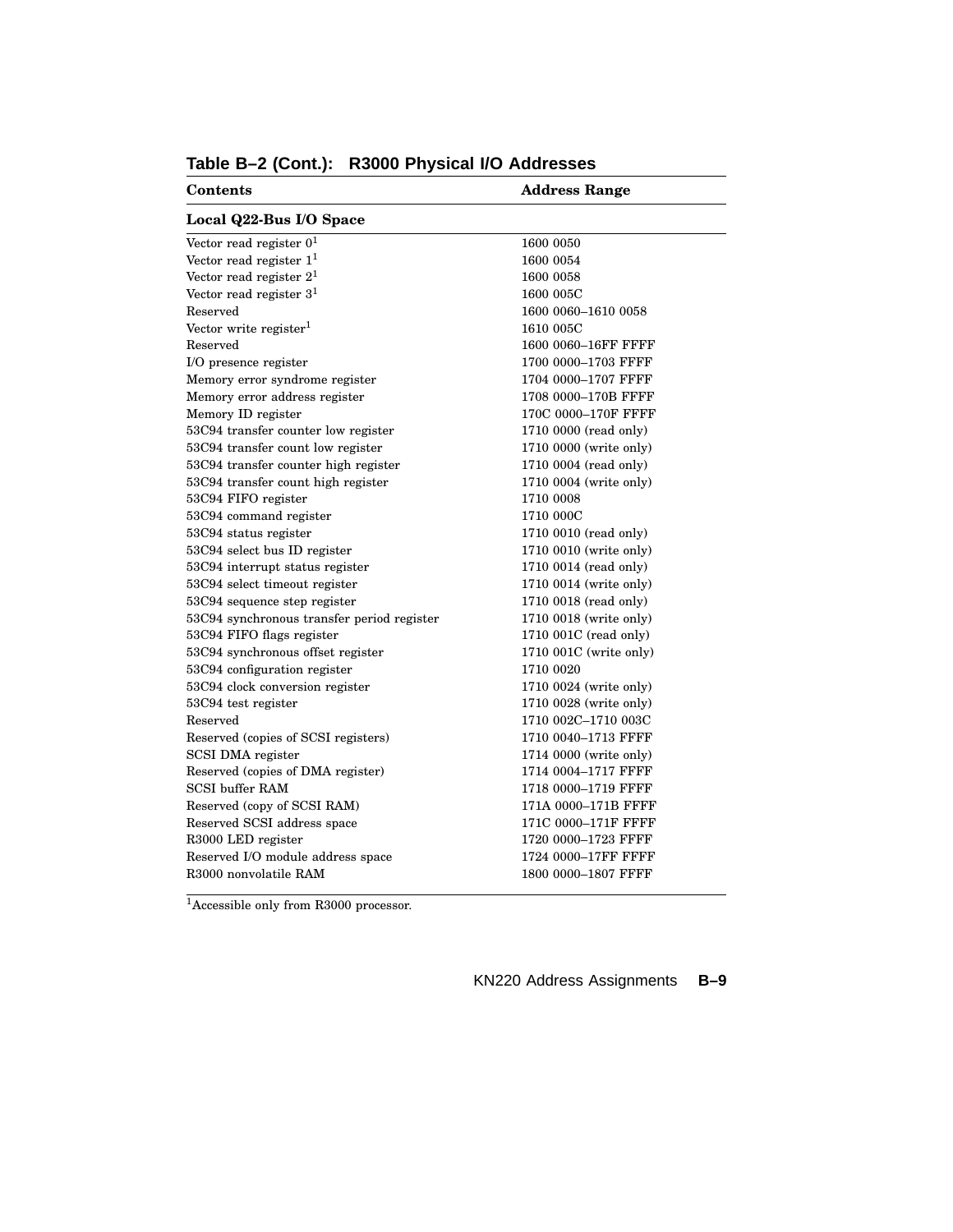| Contents                                   | <b>Address Range</b>   |
|--------------------------------------------|------------------------|
| Local Q22-Bus I/O Space                    |                        |
| Vector read register $0^1$                 | 1600 0050              |
| Vector read register $11$                  | 1600 0054              |
| Vector read register $21$                  | 1600 0058              |
| Vector read register $31$                  | 1600 005C              |
| Reserved                                   | 1600 0060-1610 0058    |
| Vector write register $1$                  | 1610 005C              |
| Reserved                                   | 1600 0060-16FF FFFF    |
| I/O presence register                      | 1700 0000-1703 FFFF    |
| Memory error syndrome register             | 1704 0000-1707 FFFF    |
| Memory error address register              | 1708 0000-170B FFFF    |
| Memory ID register                         | 170C 0000-170F FFFF    |
| 53C94 transfer counter low register        | 1710 0000 (read only)  |
| 53C94 transfer count low register          | 1710 0000 (write only) |
| 53C94 transfer counter high register       | 1710 0004 (read only)  |
| 53C94 transfer count high register         | 1710 0004 (write only) |
| 53C94 FIFO register                        | 1710 0008              |
| 53C94 command register                     | 1710 000C              |
| 53C94 status register                      | 1710 0010 (read only)  |
| 53C94 select bus ID register               | 1710 0010 (write only) |
| 53C94 interrupt status register            | 1710 0014 (read only)  |
| 53C94 select timeout register              | 1710 0014 (write only) |
| 53C94 sequence step register               | 1710 0018 (read only)  |
| 53C94 synchronous transfer period register | 1710 0018 (write only) |
| 53C94 FIFO flags register                  | 1710 001C (read only)  |
| 53C94 synchronous offset register          | 1710 001C (write only) |
| 53C94 configuration register               | 1710 0020              |
| 53C94 clock conversion register            | 1710 0024 (write only) |
| 53C94 test register                        | 1710 0028 (write only) |
| Reserved                                   | 1710 002C-1710 003C    |
| Reserved (copies of SCSI registers)        | 1710 0040-1713 FFFF    |
| SCSI DMA register                          | 1714 0000 (write only) |
| Reserved (copies of DMA register)          | 1714 0004-1717 FFFF    |
| <b>SCSI</b> buffer RAM                     | 1718 0000-1719 FFFF    |
| Reserved (copy of SCSI RAM)                | 171A 0000-171B FFFF    |
| Reserved SCSI address space                | 171C 0000-171F FFFF    |
| R3000 LED register                         | 1720 0000-1723 FFFF    |
| Reserved I/O module address space          | 1724 0000-17FF FFFF    |
| R3000 nonvolatile RAM                      | 1800 0000-1807 FFFF    |

**Table B–2 (Cont.): R3000 Physical I/O Addresses**

<sup>1</sup>Accessible only from R3000 processor.

KN220 Address Assignments **B–9**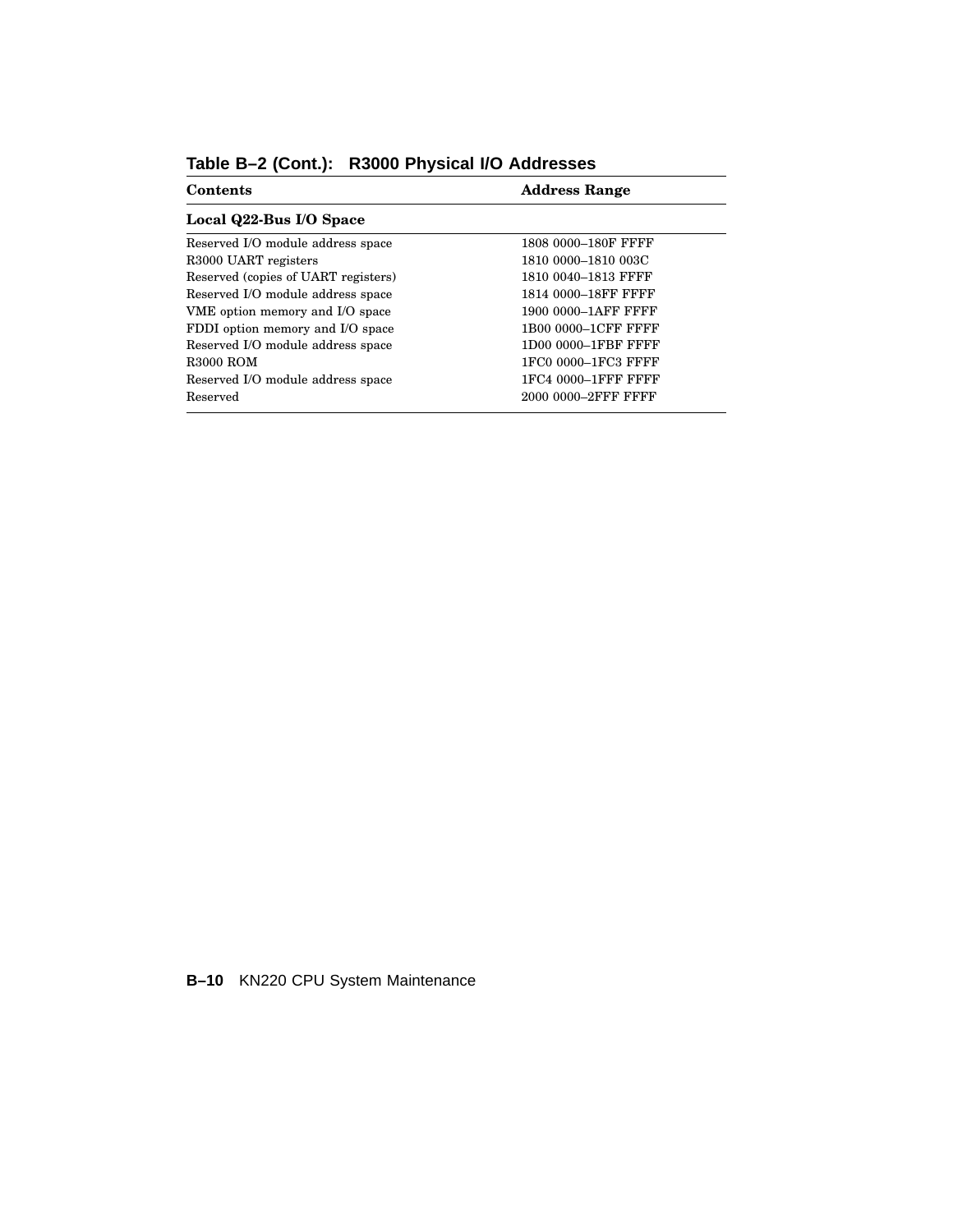| <b>Contents</b>                     | <b>Address Range</b> |
|-------------------------------------|----------------------|
| Local Q22-Bus I/O Space             |                      |
| Reserved I/O module address space   | 1808 0000-180F FFFF  |
| R3000 UART registers                | 1810 0000-1810 003C  |
| Reserved (copies of UART registers) | 1810 0040-1813 FFFF  |
| Reserved I/O module address space   | 1814 0000-18FF FFFF  |
| VME option memory and I/O space     | 1900 0000-1AFF FFFF  |
| FDDI option memory and I/O space    | 1B00 0000-1CFF FFFF  |
| Reserved I/O module address space   | 1D00 0000-1FBF FFFF  |
| <b>R3000 ROM</b>                    | 1FC0 0000-1FC3 FFFF  |
| Reserved I/O module address space   | 1FC4 0000-1FFF FFFF  |
| Reserved                            | 2000 0000-2FFF FFFF  |

**Table B–2 (Cont.): R3000 Physical I/O Addresses**

**B–10** KN220 CPU System Maintenance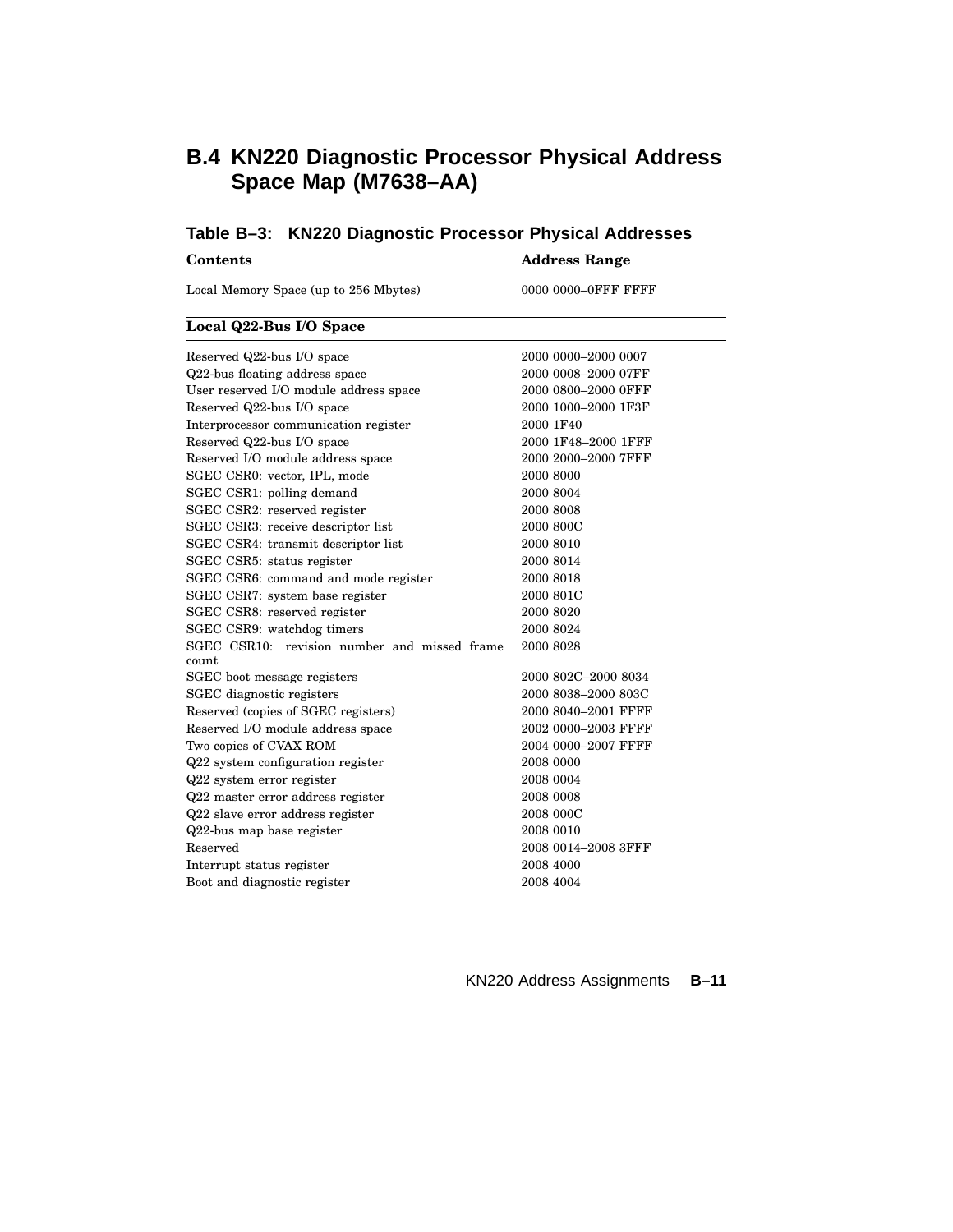### **B.4 KN220 Diagnostic Processor Physical Address Space Map (M7638–AA)**

| <b>Contents</b>                                       | <b>Address Range</b> |
|-------------------------------------------------------|----------------------|
| Local Memory Space (up to 256 Mbytes)                 | 0000 0000-OFFF FFFF  |
| Local Q22-Bus I/O Space                               |                      |
| Reserved Q22-bus I/O space                            | 2000 0000-2000 0007  |
| Q22-bus floating address space                        | 2000 0008-2000 07FF  |
| User reserved I/O module address space                | 2000 0800-2000 OFFF  |
| Reserved Q22-bus I/O space                            | 2000 1000-2000 1F3F  |
| Interprocessor communication register                 | 2000 1F40            |
| Reserved Q22-bus I/O space                            | 2000 1F48-2000 1FFF  |
| Reserved I/O module address space                     | 2000 2000-2000 7FFF  |
| SGEC CSR0: vector, IPL, mode                          | 2000 8000            |
| SGEC CSR1: polling demand                             | 2000 8004            |
| SGEC CSR2: reserved register                          | 2000 8008            |
| SGEC CSR3: receive descriptor list                    | 2000 800C            |
| SGEC CSR4: transmit descriptor list                   | 2000 8010            |
| SGEC CSR5: status register                            | 2000 8014            |
| SGEC CSR6: command and mode register                  | 2000 8018            |
| SGEC CSR7: system base register                       | 2000 801C            |
| SGEC CSR8: reserved register                          | 2000 8020            |
| SGEC CSR9: watchdog timers                            | 2000 8024            |
| SGEC CSR10: revision number and missed frame<br>count | 2000 8028            |
| SGEC boot message registers                           | 2000 802C-2000 8034  |
| SGEC diagnostic registers                             | 2000 8038-2000 803C  |
| Reserved (copies of SGEC registers)                   | 2000 8040-2001 FFFF  |
| Reserved I/O module address space                     | 2002 0000-2003 FFFF  |
| Two copies of CVAX ROM                                | 2004 0000-2007 FFFF  |
| Q22 system configuration register                     | 2008 0000            |
| Q22 system error register                             | 2008 0004            |
| Q22 master error address register                     | 2008 0008            |
| Q22 slave error address register                      | 2008 000C            |
| Q22-bus map base register                             | 2008 0010            |
| Reserved                                              | 2008 0014-2008 3FFF  |
| Interrupt status register                             | 2008 4000            |
| Boot and diagnostic register                          | 2008 4004            |

| Table B-3: KN220 Diagnostic Processor Physical Addresses |  |
|----------------------------------------------------------|--|
|                                                          |  |

KN220 Address Assignments **B–11**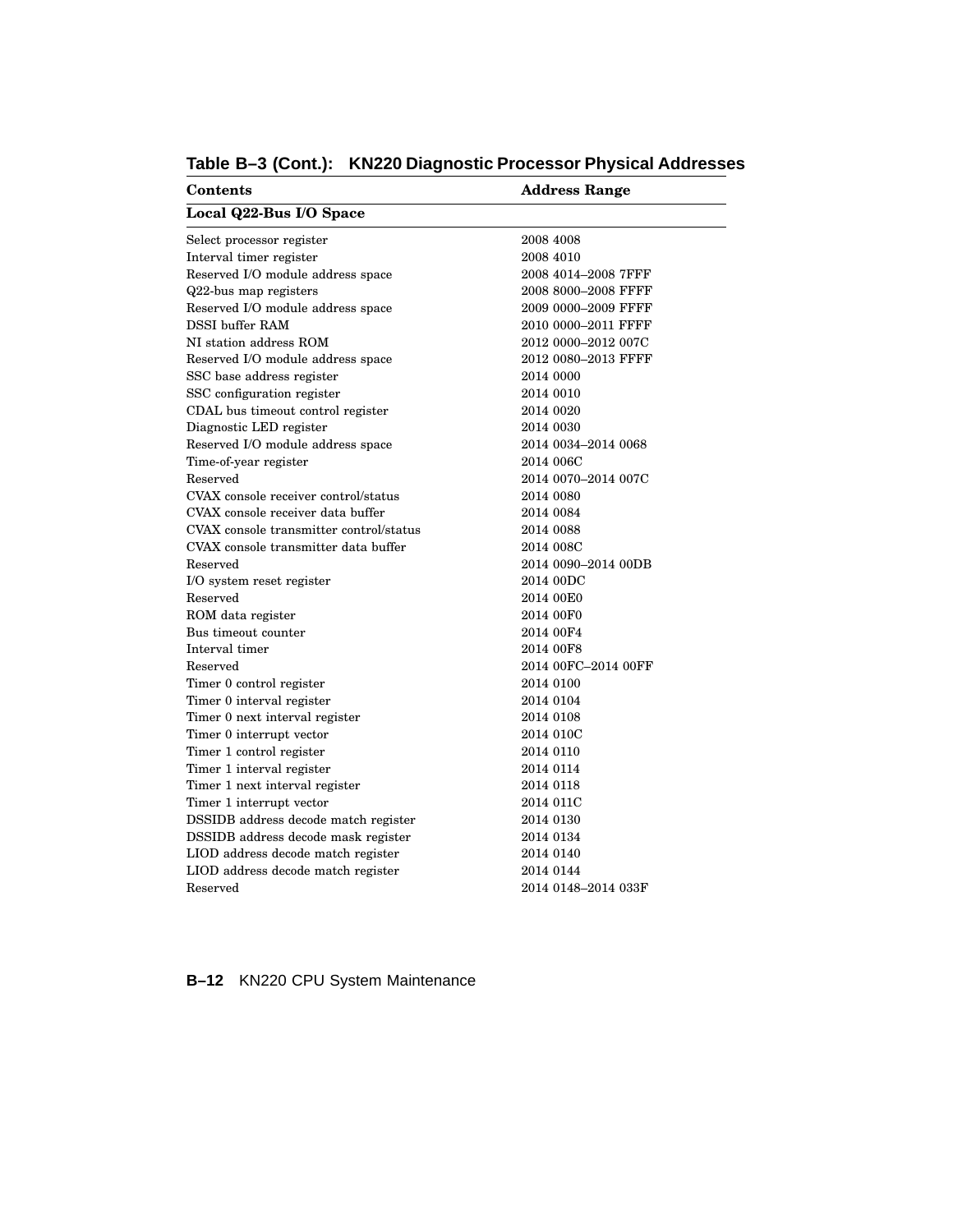| <b>Contents</b>                         | <b>Address Range</b> |  |  |  |
|-----------------------------------------|----------------------|--|--|--|
| Local Q22-Bus I/O Space                 |                      |  |  |  |
| Select processor register               | 2008 4008            |  |  |  |
| Interval timer register                 | 2008 4010            |  |  |  |
| Reserved I/O module address space       | 2008 4014-2008 7FFF  |  |  |  |
| Q22-bus map registers                   | 2008 8000-2008 FFFF  |  |  |  |
| Reserved I/O module address space       | 2009 0000-2009 FFFF  |  |  |  |
| DSSI buffer RAM                         | 2010 0000–2011 FFFF  |  |  |  |
| NI station address ROM                  | 2012 0000-2012 007C  |  |  |  |
| Reserved I/O module address space       | 2012 0080–2013 FFFF  |  |  |  |
| SSC base address register               | 2014 0000            |  |  |  |
| SSC configuration register              | 2014 0010            |  |  |  |
| CDAL bus timeout control register       | 2014 0020            |  |  |  |
| Diagnostic LED register                 | 2014 0030            |  |  |  |
| Reserved I/O module address space       | 2014 0034-2014 0068  |  |  |  |
| Time-of-year register                   | 2014 006C            |  |  |  |
| Reserved                                | 2014 0070-2014 007C  |  |  |  |
| CVAX console receiver control/status    | 2014 0080            |  |  |  |
| CVAX console receiver data buffer       | 2014 0084            |  |  |  |
| CVAX console transmitter control/status | 2014 0088            |  |  |  |
| CVAX console transmitter data buffer    | 2014 008C            |  |  |  |
| Reserved                                | 2014 0090-2014 00DB  |  |  |  |
| I/O system reset register               | 2014 00DC            |  |  |  |
| Reserved                                | 2014 00E0            |  |  |  |
| ROM data register                       | 2014 00F0            |  |  |  |
| Bus timeout counter                     | 2014 00F4            |  |  |  |
| Interval timer                          | 2014 00F8            |  |  |  |
| Reserved                                | 2014 00FC-2014 00FF  |  |  |  |
| Timer 0 control register                | 2014 0100            |  |  |  |
| Timer 0 interval register               | 2014 0104            |  |  |  |
| Timer 0 next interval register          | 2014 0108            |  |  |  |
| Timer 0 interrupt vector                | 2014 010C            |  |  |  |
| Timer 1 control register                | 2014 0110            |  |  |  |
| Timer 1 interval register               | 2014 0114            |  |  |  |
| Timer 1 next interval register          | 2014 0118            |  |  |  |
| Timer 1 interrupt vector                | 2014 011C            |  |  |  |
| DSSIDB address decode match register    | 2014 0130            |  |  |  |
| DSSIDB address decode mask register     | 2014 0134            |  |  |  |
| LIOD address decode match register      | 2014 0140            |  |  |  |
| LIOD address decode match register      | 2014 0144            |  |  |  |
| Reserved                                | 2014 0148-2014 033F  |  |  |  |
|                                         |                      |  |  |  |

### **Table B–3 (Cont.): KN220 Diagnostic Processor Physical Addresses**

### **B–12** KN220 CPU System Maintenance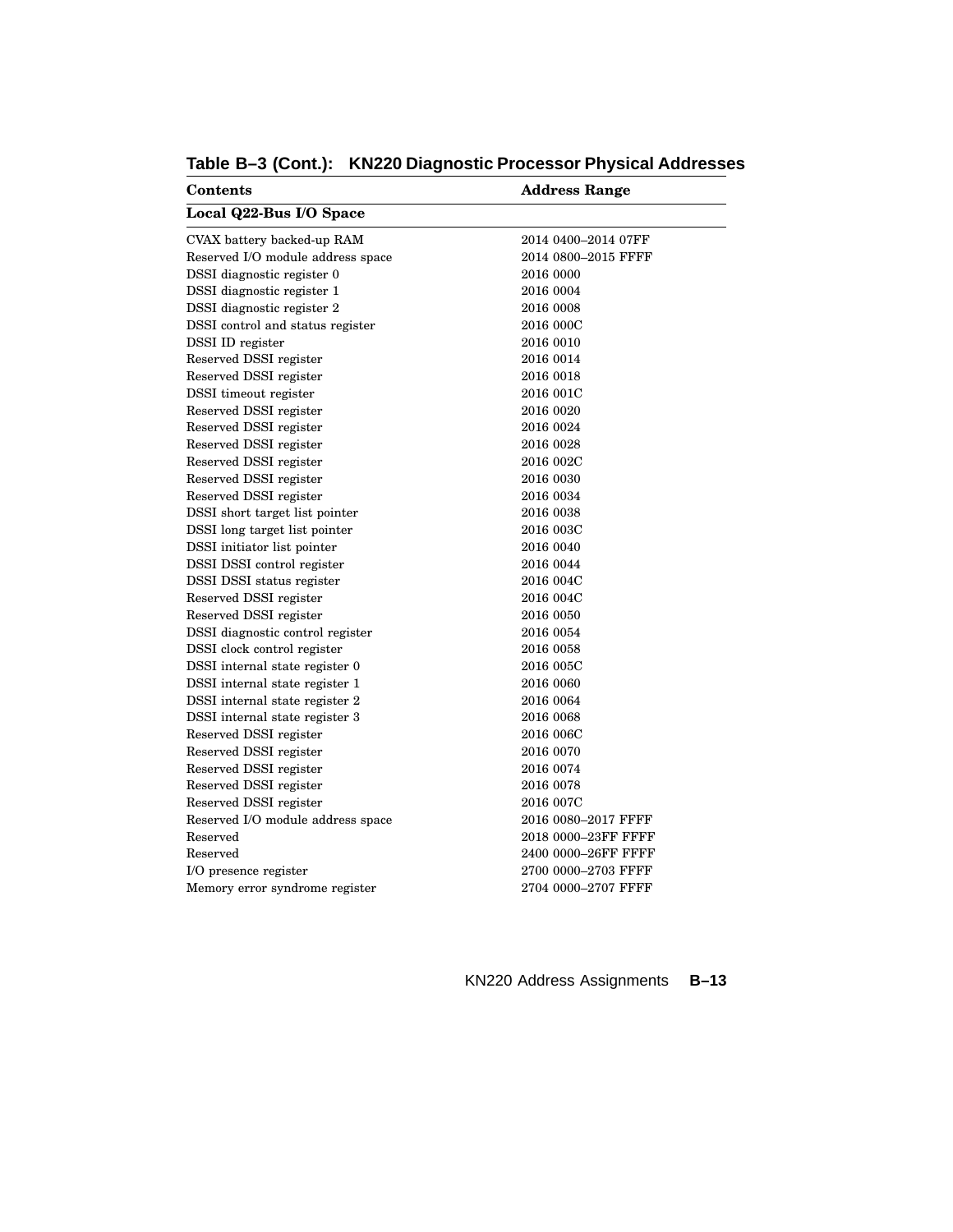| Address Range       |  |  |  |
|---------------------|--|--|--|
|                     |  |  |  |
| 2014 0400-2014 07FF |  |  |  |
| 2014 0800-2015 FFFF |  |  |  |
| 2016 0000           |  |  |  |
| 2016 0004           |  |  |  |
| 2016 0008           |  |  |  |
| 2016 000C           |  |  |  |
| 2016 0010           |  |  |  |
| 2016 0014           |  |  |  |
| 2016 0018           |  |  |  |
| 2016 001C           |  |  |  |
| 2016 0020           |  |  |  |
| 2016 0024           |  |  |  |
| 2016 0028           |  |  |  |
| 2016 002C           |  |  |  |
| 2016 0030           |  |  |  |
| 2016 0034           |  |  |  |
| 2016 0038           |  |  |  |
| 2016 003C           |  |  |  |
| 2016 0040           |  |  |  |
| 2016 0044           |  |  |  |
| 2016 004C           |  |  |  |
| 2016 004C           |  |  |  |
| 2016 0050           |  |  |  |
| 2016 0054           |  |  |  |
| 2016 0058           |  |  |  |
| 2016 005C           |  |  |  |
| 2016 0060           |  |  |  |
| 2016 0064           |  |  |  |
| 2016 0068           |  |  |  |
| 2016 006C           |  |  |  |
| 2016 0070           |  |  |  |
| 2016 0074           |  |  |  |
| 2016 0078           |  |  |  |
| 2016 007C           |  |  |  |
| 2016 0080-2017 FFFF |  |  |  |
| 2018 0000-23FF FFFF |  |  |  |
| 2400 0000-26FF FFFF |  |  |  |
| 2700 0000-2703 FFFF |  |  |  |
| 2704 0000-2707 FFFF |  |  |  |
|                     |  |  |  |

**Table B–3 (Cont.): KN220 Diagnostic Processor Physical Addresses**

KN220 Address Assignments **B–13**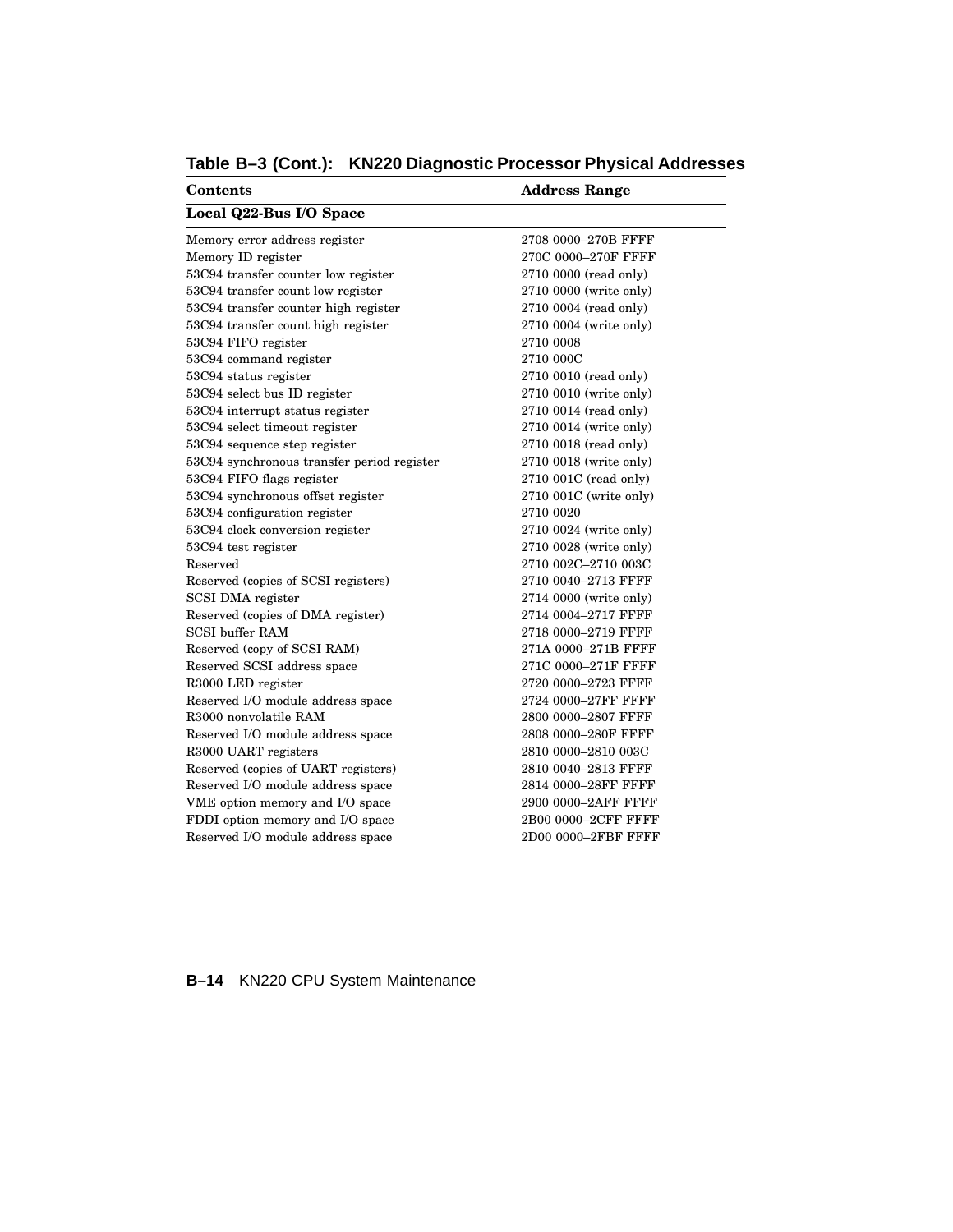| <b>Contents</b>                            | <b>Address Range</b>   |  |  |  |
|--------------------------------------------|------------------------|--|--|--|
| Local Q22-Bus I/O Space                    |                        |  |  |  |
| Memory error address register              | 2708 0000-270B FFFF    |  |  |  |
| Memory ID register                         | 270C 0000-270F FFFF    |  |  |  |
| 53C94 transfer counter low register        | 2710 0000 (read only)  |  |  |  |
| 53C94 transfer count low register          | 2710 0000 (write only) |  |  |  |
| 53C94 transfer counter high register       | 2710 0004 (read only)  |  |  |  |
| 53C94 transfer count high register         | 2710 0004 (write only) |  |  |  |
| 53C94 FIFO register                        | 2710 0008              |  |  |  |
| 53C94 command register                     | 2710 000C              |  |  |  |
| 53C94 status register                      | 2710 0010 (read only)  |  |  |  |
| 53C94 select bus ID register               | 2710 0010 (write only) |  |  |  |
| 53C94 interrupt status register            | 2710 0014 (read only)  |  |  |  |
| 53C94 select timeout register              | 2710 0014 (write only) |  |  |  |
| 53C94 sequence step register               | 2710 0018 (read only)  |  |  |  |
| 53C94 synchronous transfer period register | 2710 0018 (write only) |  |  |  |
| 53C94 FIFO flags register                  | 2710 001C (read only)  |  |  |  |
| 53C94 synchronous offset register          | 2710 001C (write only) |  |  |  |
| 53C94 configuration register               | 2710 0020              |  |  |  |
| 53C94 clock conversion register            | 2710 0024 (write only) |  |  |  |
| 53C94 test register                        | 2710 0028 (write only) |  |  |  |
| Reserved                                   | 2710 002C-2710 003C    |  |  |  |
| Reserved (copies of SCSI registers)        | 2710 0040-2713 FFFF    |  |  |  |
| SCSI DMA register                          | 2714 0000 (write only) |  |  |  |
| Reserved (copies of DMA register)          | 2714 0004-2717 FFFF    |  |  |  |
| <b>SCSI</b> buffer RAM                     | 2718 0000-2719 FFFF    |  |  |  |
| Reserved (copy of SCSI RAM)                | 271A 0000-271B FFFF    |  |  |  |
| Reserved SCSI address space                | 271C 0000-271F FFFF    |  |  |  |
| R3000 LED register                         | 2720 0000-2723 FFFF    |  |  |  |
| Reserved I/O module address space          | 2724 0000-27FF FFFF    |  |  |  |
| R3000 nonvolatile RAM                      | 2800 0000-2807 FFFF    |  |  |  |
| Reserved I/O module address space          | 2808 0000-280F FFFF    |  |  |  |
| R3000 UART registers                       | 2810 0000-2810 003C    |  |  |  |
| Reserved (copies of UART registers)        | 2810 0040-2813 FFFF    |  |  |  |
| Reserved I/O module address space          | 2814 0000-28FF FFFF    |  |  |  |
| VME option memory and I/O space            | 2900 0000-2AFF FFFF    |  |  |  |
| FDDI option memory and I/O space           | 2B00 0000-2CFF FFFF    |  |  |  |
| Reserved I/O module address space          | 2D00 0000-2FBF FFFF    |  |  |  |

**Table B–3 (Cont.): KN220 Diagnostic Processor Physical Addresses**

### **B–14** KN220 CPU System Maintenance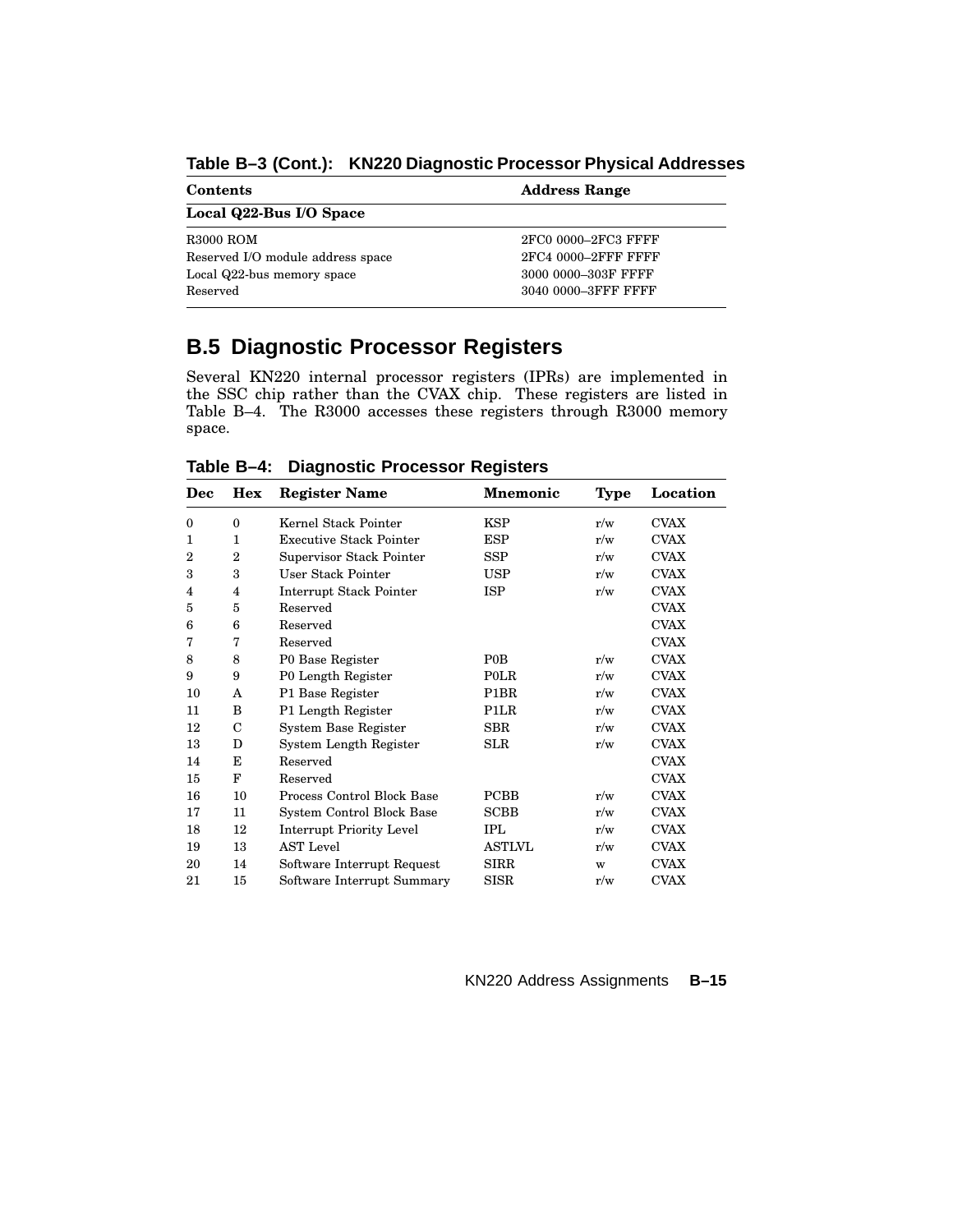| Contents                          | <b>Address Range</b> |  |  |
|-----------------------------------|----------------------|--|--|
| Local Q22-Bus I/O Space           |                      |  |  |
| <b>R3000 ROM</b>                  | 2FC0 0000-2FC3 FFFF  |  |  |
| Reserved I/O module address space | 2FC4 0000-2FFF FFFF  |  |  |
| Local Q22-bus memory space        | 3000 0000-303F FFFF  |  |  |
| Reserved                          | 3040 0000-3FFF FFFF  |  |  |

**Table B–3 (Cont.): KN220 Diagnostic Processor Physical Addresses**

### **B.5 Diagnostic Processor Registers**

Several KN220 internal processor registers (IPRs) are implemented in the SSC chip rather than the CVAX chip. These registers are listed in Table B–4. The R3000 accesses these registers through R3000 memory space.

**Dec Hex Register Name Mnemonic Type Location** 0 0 Kernel Stack Pointer KSP r/w CVAX 1 1 Executive Stack Pointer ESP r/w CVAX 2 2 Supervisor Stack Pointer SSP r/w CVAX 3 3 User Stack Pointer USP r/w CVAX 4 4 Interrupt Stack Pointer ISP r/w CVAX 5 5 Reserved CVAX 6 6 Reserved CVAX 7 7 Reserved CVAX 8 8 P0 Base Register P0B r/w CVAX 9 9 P0 Length Register P0LR r/w CVAX 10 A P1 Base Register P1BR r/w CVAX 11 B P1 Length Register P1LR r/w CVAX 12 C System Base Register SBR r/w CVAX 13 D System Length Register SLR r/w CVAX 14 E Reserved CVAX 15 F Reserved CVAX 16 10 Process Control Block Base PCBB r/w CVAX 17 11 System Control Block Base SCBB r/w CVAX 18 12 Interrupt Priority Level IPL  $r/w$  CVAX 19 13 AST Level ASTLVL r/w CVAX 20 14 Software Interrupt Request SIRR w CVAX 21 15 Software Interrupt Summary SISR r/w CVAX

**Table B–4: Diagnostic Processor Registers**

KN220 Address Assignments **B–15**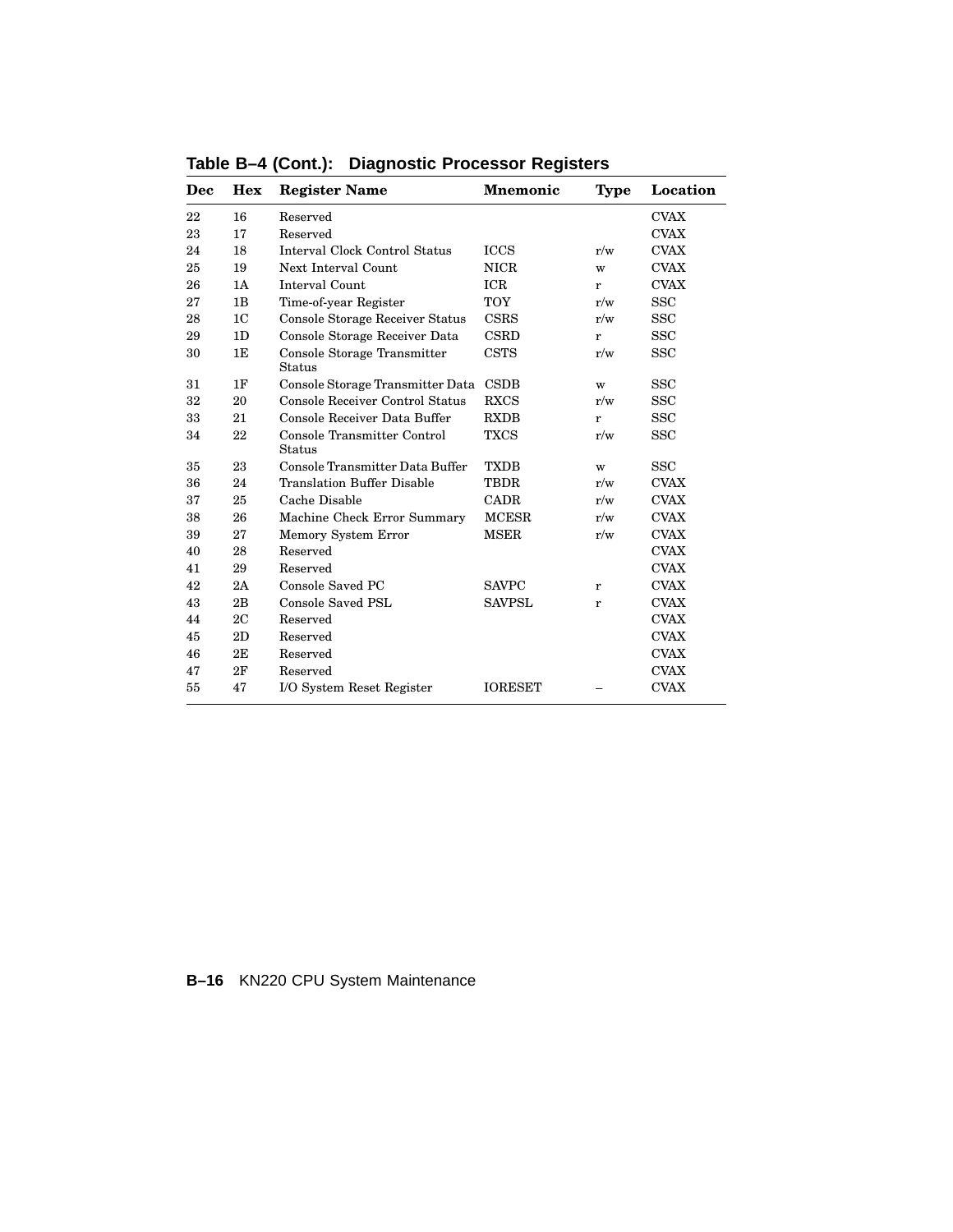| Dec | <b>Hex</b>     | <b>Register Name</b>                         | <b>Mnemonic</b> | <b>Type</b> | Location    |
|-----|----------------|----------------------------------------------|-----------------|-------------|-------------|
| 22  | 16             | Reserved                                     |                 |             | <b>CVAX</b> |
| 23  | 17             | Reserved                                     |                 |             | <b>CVAX</b> |
| 24  | 18             | <b>Interval Clock Control Status</b>         | <b>ICCS</b>     | r/w         | <b>CVAX</b> |
| 25  | 19             | Next Interval Count                          | <b>NICR</b>     | W           | <b>CVAX</b> |
| 26  | 1A             | Interval Count                               | ICR             | r           | <b>CVAX</b> |
| 27  | 1B             | Time-of-year Register                        | <b>TOY</b>      | r/w         | <b>SSC</b>  |
| 28  | 1 <sup>C</sup> | <b>Console Storage Receiver Status</b>       | <b>CSRS</b>     | r/w         | <b>SSC</b>  |
| 29  | 1D             | Console Storage Receiver Data                | <b>CSRD</b>     | r           | <b>SSC</b>  |
| 30  | 1E             | Console Storage Transmitter<br>Status        | <b>CSTS</b>     | r/w         | <b>SSC</b>  |
| 31  | 1F             | Console Storage Transmitter Data             | <b>CSDB</b>     | W           | <b>SSC</b>  |
| 32  | 20             | Console Receiver Control Status              | <b>RXCS</b>     | r/w         | <b>SSC</b>  |
| 33  | 21             | Console Receiver Data Buffer                 | <b>RXDB</b>     | r           | <b>SSC</b>  |
| 34  | 22             | Console Transmitter Control<br><b>Status</b> | <b>TXCS</b>     | r/w         | <b>SSC</b>  |
| 35  | 23             | Console Transmitter Data Buffer              | <b>TXDB</b>     | W           | <b>SSC</b>  |
| 36  | 24             | <b>Translation Buffer Disable</b>            | <b>TBDR</b>     | r/w         | <b>CVAX</b> |
| 37  | 25             | Cache Disable                                | CADR            | r/w         | <b>CVAX</b> |
| 38  | 26             | Machine Check Error Summary                  | <b>MCESR</b>    | r/w         | <b>CVAX</b> |
| 39  | 27             | Memory System Error                          | <b>MSER</b>     | r/w         | <b>CVAX</b> |
| 40  | 28             | Reserved                                     |                 |             | <b>CVAX</b> |
| 41  | 29             | Reserved                                     |                 |             | <b>CVAX</b> |
| 42  | 2A             | Console Saved PC                             | <b>SAVPC</b>    | r           | <b>CVAX</b> |
| 43  | 2B             | Console Saved PSL                            | <b>SAVPSL</b>   | r           | <b>CVAX</b> |
| 44  | 2C             | Reserved                                     |                 |             | <b>CVAX</b> |
| 45  | 2D             | Reserved                                     |                 | <b>CVAX</b> |             |
| 46  | 2E             | <b>CVAX</b><br>Reserved                      |                 |             |             |
| 47  | 2F             | Reserved                                     |                 |             | <b>CVAX</b> |
| 55  | 47             | I/O System Reset Register                    | <b>IORESET</b>  |             | <b>CVAX</b> |

**Table B–4 (Cont.): Diagnostic Processor Registers**

### **B–16** KN220 CPU System Maintenance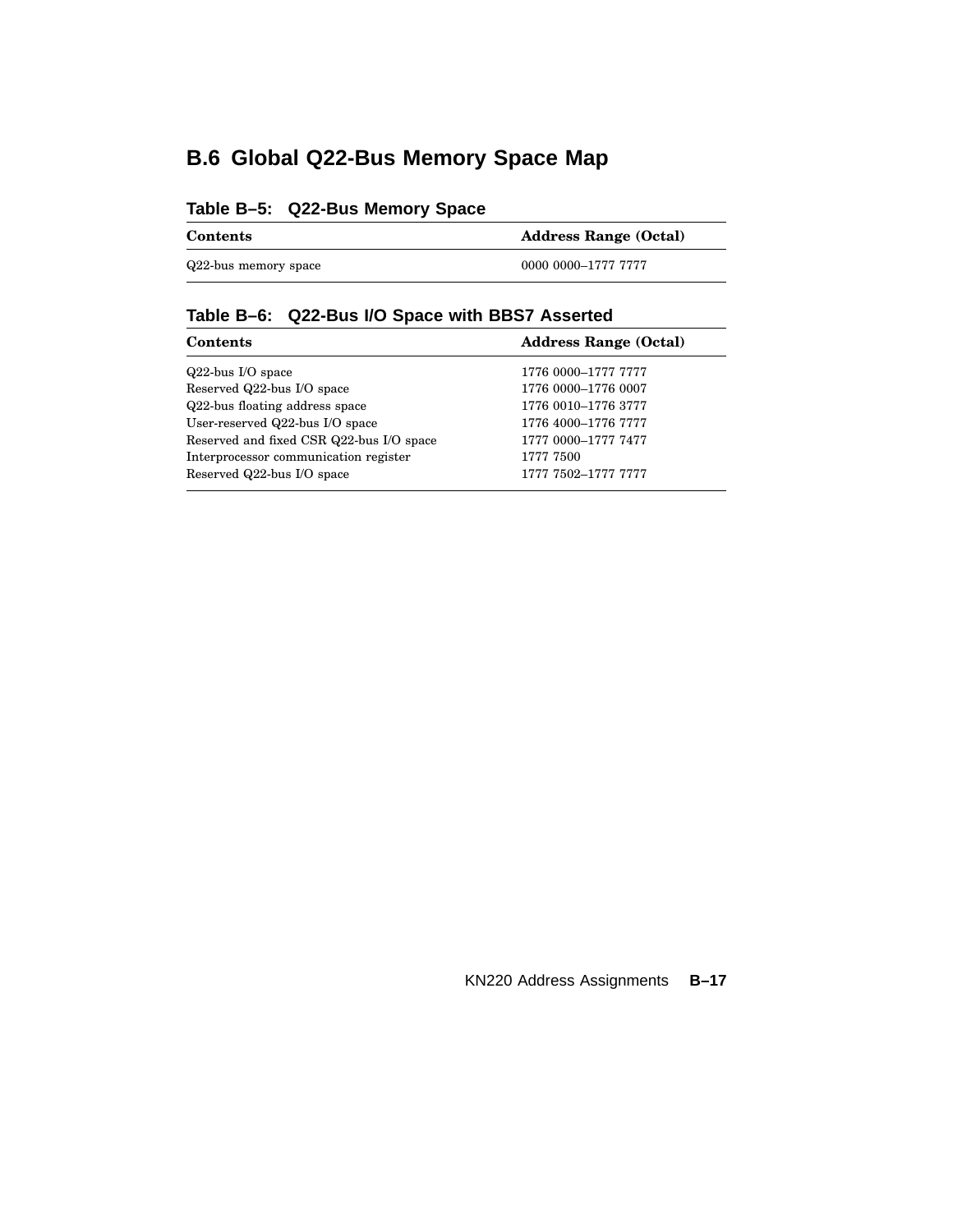## **B.6 Global Q22-Bus Memory Space Map**

### **Table B–5: Q22-Bus Memory Space**

| <b>Contents</b>      | <b>Address Range (Octal)</b> |  |  |
|----------------------|------------------------------|--|--|
| Q22-bus memory space | 0000 0000–1777 7777          |  |  |

### **Table B–6: Q22-Bus I/O Space with BBS7 Asserted**

| <b>Contents</b>                          | <b>Address Range (Octal)</b> |  |  |
|------------------------------------------|------------------------------|--|--|
| $Q22$ -bus I/O space                     | 1776 0000-1777 7777          |  |  |
| Reserved Q22-bus I/O space               | 1776 0000-1776 0007          |  |  |
| Q22-bus floating address space           | 1776 0010-1776 3777          |  |  |
| User-reserved Q22-bus I/O space          | 1776 4000-1776 7777          |  |  |
| Reserved and fixed CSR Q22-bus I/O space | 1777 0000-1777 7477          |  |  |
| Interprocessor communication register    | 1777 7500                    |  |  |
| Reserved Q22-bus I/O space               | 1777 7502-1777 7777          |  |  |
|                                          |                              |  |  |

KN220 Address Assignments **B–17**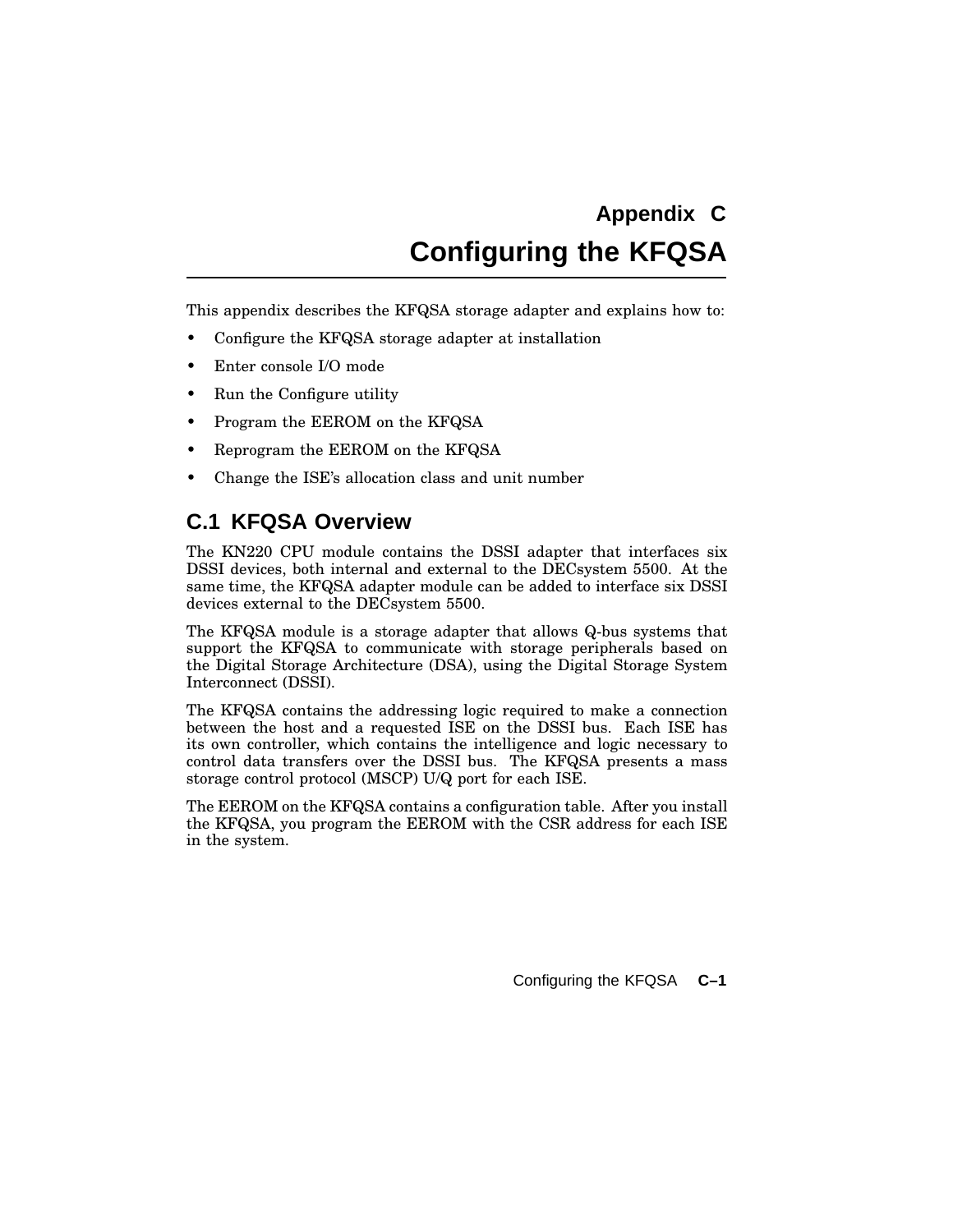## **Appendix C Configuring the KFQSA**

This appendix describes the KFQSA storage adapter and explains how to:

- Configure the KFQSA storage adapter at installation
- Enter console I/O mode
- Run the Configure utility
- Program the EEROM on the KFQSA
- Reprogram the EEROM on the KFQSA
- Change the ISE's allocation class and unit number

### **C.1 KFQSA Overview**

The KN220 CPU module contains the DSSI adapter that interfaces six DSSI devices, both internal and external to the DECsystem 5500. At the same time, the KFQSA adapter module can be added to interface six DSSI devices external to the DECsystem 5500.

The KFQSA module is a storage adapter that allows Q-bus systems that support the KFQSA to communicate with storage peripherals based on the Digital Storage Architecture (DSA), using the Digital Storage System Interconnect (DSSI).

The KFQSA contains the addressing logic required to make a connection between the host and a requested ISE on the DSSI bus. Each ISE has its own controller, which contains the intelligence and logic necessary to control data transfers over the DSSI bus. The KFQSA presents a mass storage control protocol (MSCP) U/Q port for each ISE.

The EEROM on the KFQSA contains a configuration table. After you install the KFQSA, you program the EEROM with the CSR address for each ISE in the system.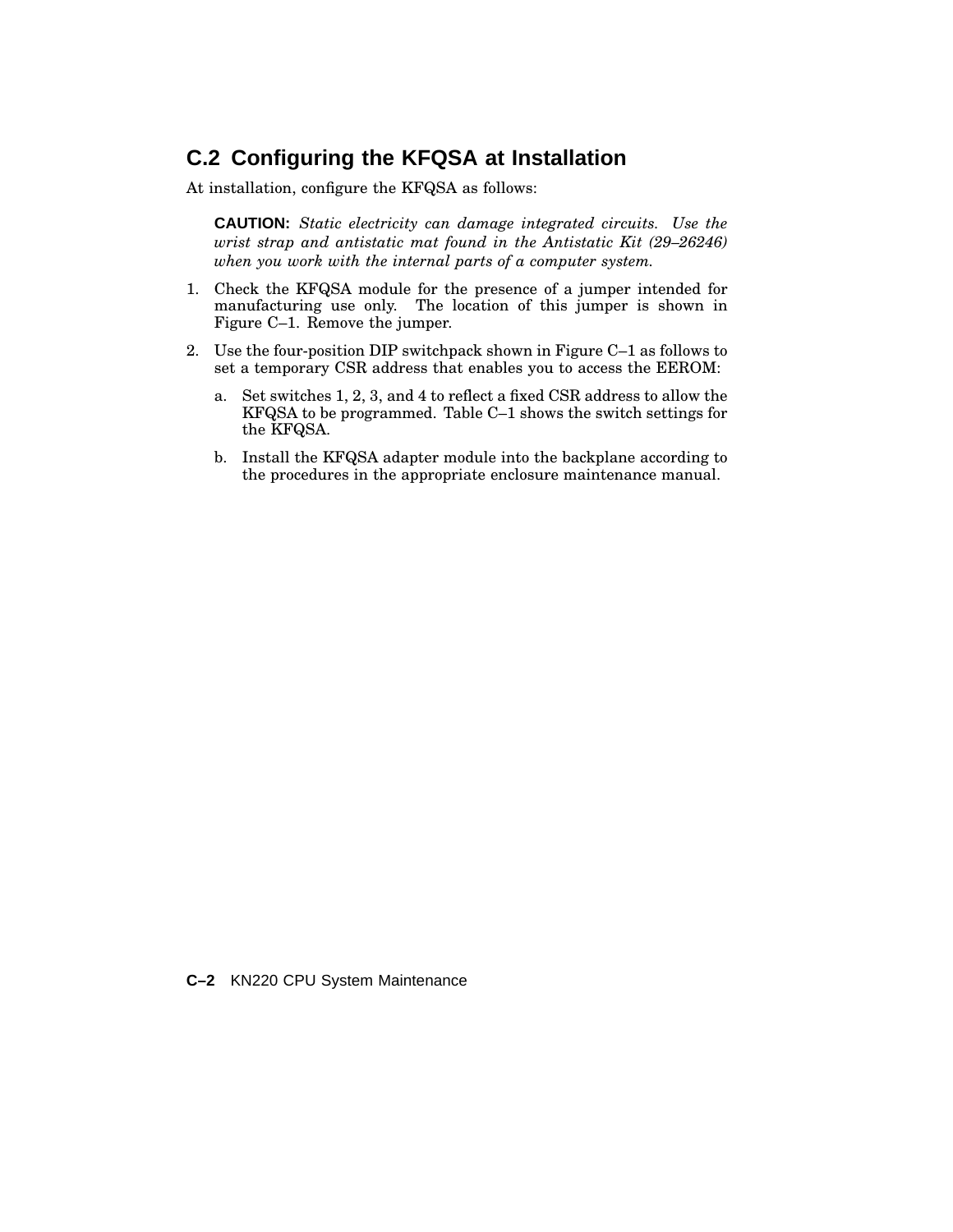### **C.2 Configuring the KFQSA at Installation**

At installation, configure the KFQSA as follows:

**CAUTION:** *Static electricity can damage integrated circuits. Use the wrist strap and antistatic mat found in the Antistatic Kit (29–26246) when you work with the internal parts of a computer system.*

- 1. Check the KFQSA module for the presence of a jumper intended for manufacturing use only. The location of this jumper is shown in Figure C–1. Remove the jumper.
- 2. Use the four-position DIP switchpack shown in Figure C–1 as follows to set a temporary CSR address that enables you to access the EEROM:
	- a. Set switches 1, 2, 3, and 4 to reflect a fixed CSR address to allow the KFQSA to be programmed. Table C–1 shows the switch settings for the KFQSA.
	- b. Install the KFQSA adapter module into the backplane according to the procedures in the appropriate enclosure maintenance manual.

**C–2** KN220 CPU System Maintenance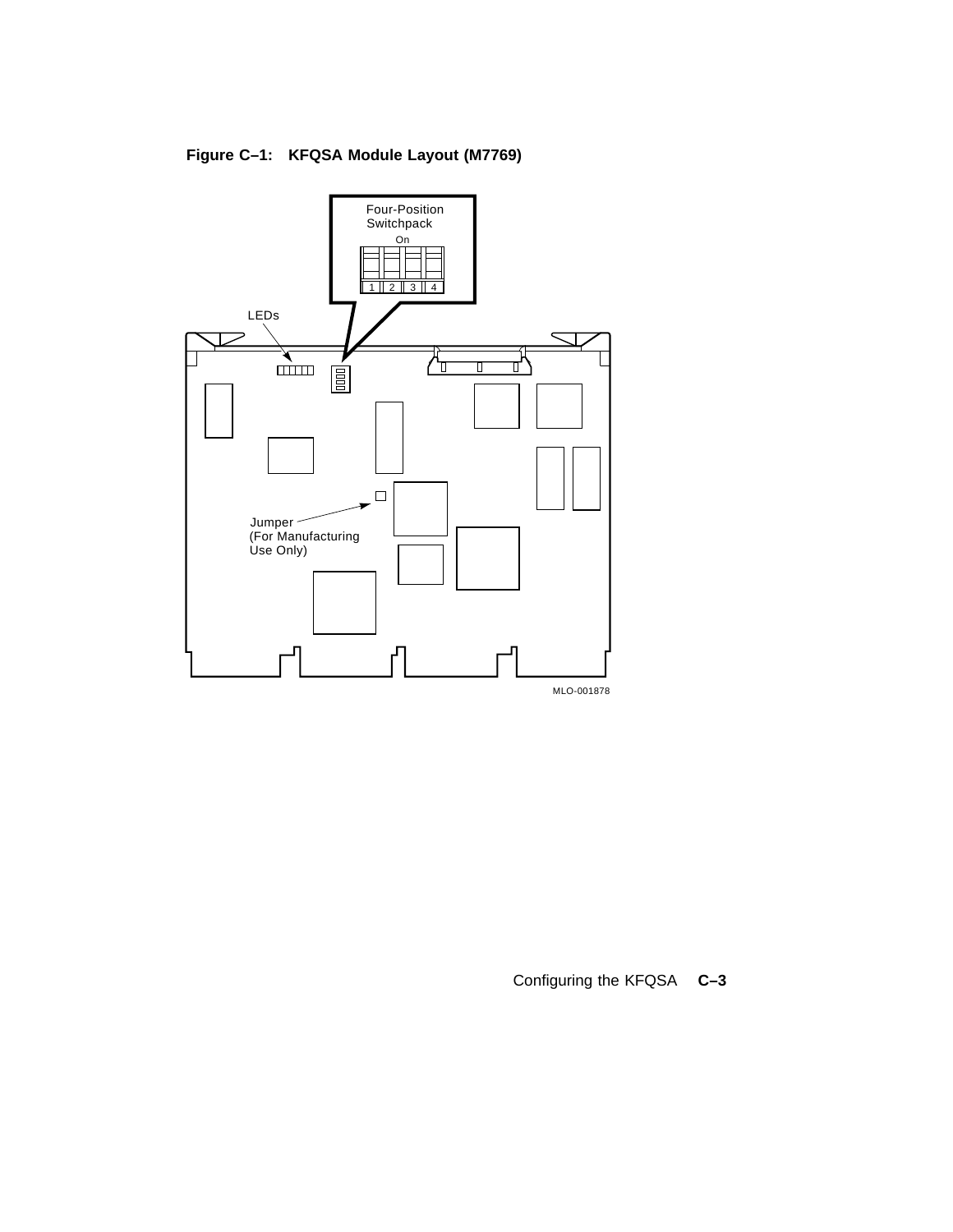

**Figure C–1: KFQSA Module Layout (M7769)**

Configuring the KFQSA **C–3**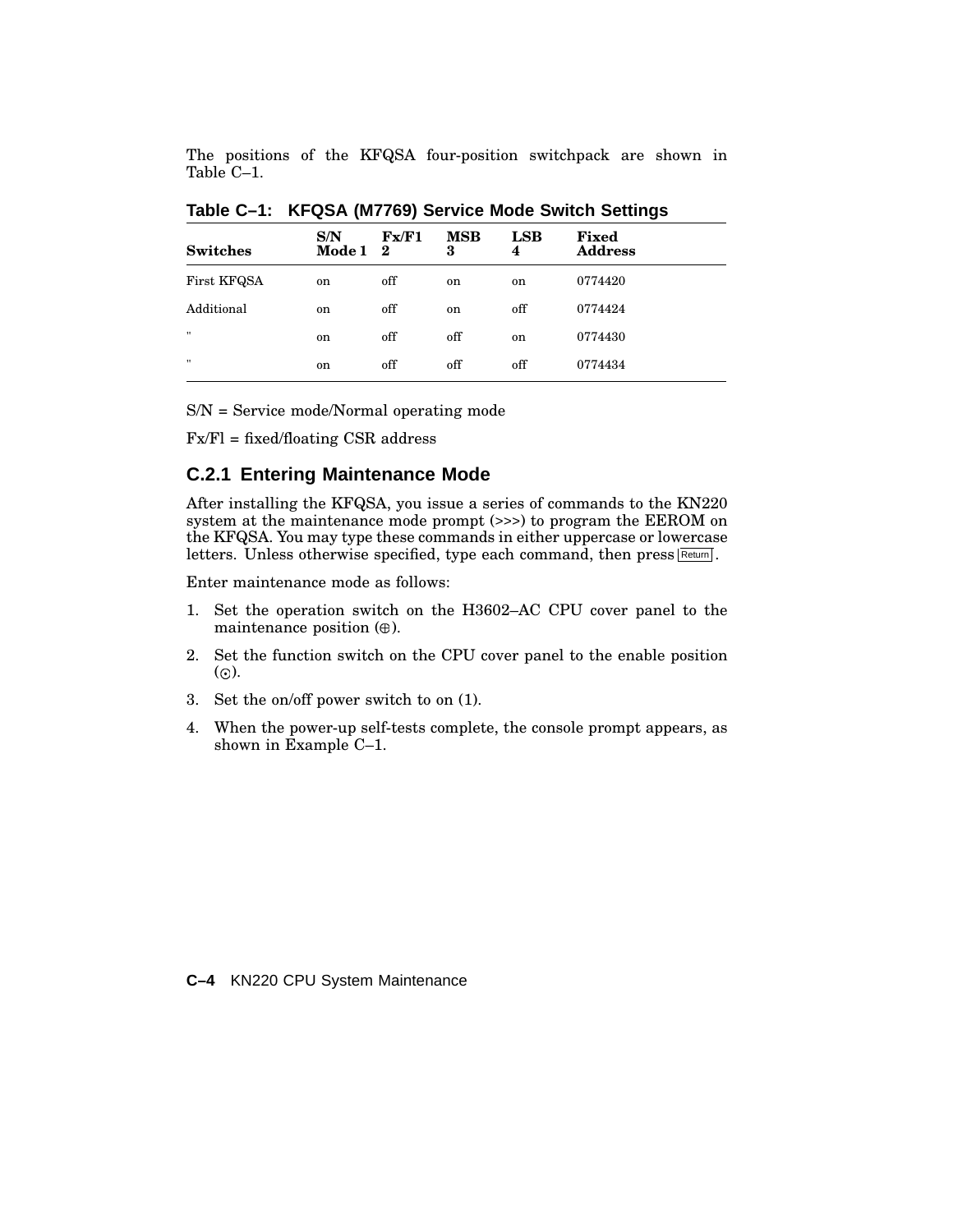The positions of the KFQSA four-position switchpack are shown in Table C–1.

| S/N             | Fx/F1 | <b>MSB</b>    |                    |                         |
|-----------------|-------|---------------|--------------------|-------------------------|
| Mode $1\quad 2$ |       | 3             | $_{\rm{LSB}}$<br>4 | Fixed<br><b>Address</b> |
| on              | off   | on            | on                 | 0774420                 |
| <sub>on</sub>   | off   | <sub>on</sub> | off                | 0774424                 |
| on              | off   | off           | on                 | 0774430                 |
| <sub>on</sub>   | off   | off           | off                | 0774434                 |
|                 |       |               |                    |                         |

**Table C–1: KFQSA (M7769) Service Mode Switch Settings**

S/N = Service mode/Normal operating mode

Fx/Fl = fixed/floating CSR address

### **C.2.1 Entering Maintenance Mode**

After installing the KFQSA, you issue a series of commands to the KN220 system at the maintenance mode prompt (>>>) to program the EEROM on the KFQSA. You may type these commands in either uppercase or lowercase letters. Unless otherwise specified, type each command, then press Return.

Enter maintenance mode as follows:

- 1. Set the operation switch on the H3602–AC CPU cover panel to the maintenance position  $(\oplus)$ .
- 2. Set the function switch on the CPU cover panel to the enable position  $\omega$ .
- 3. Set the on/off power switch to on (1).
- 4. When the power-up self-tests complete, the console prompt appears, as shown in Example C–1.

**C–4** KN220 CPU System Maintenance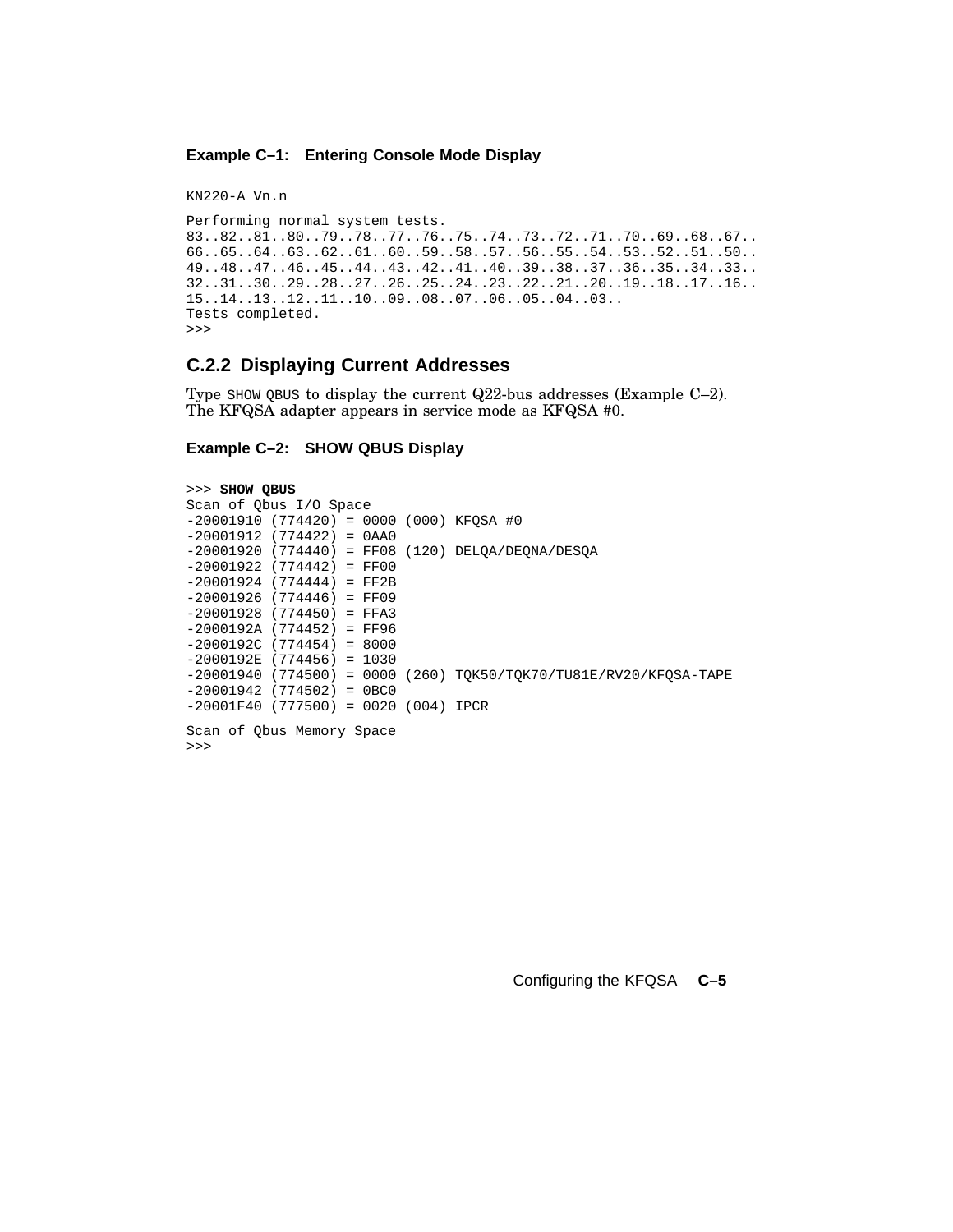#### **Example C–1: Entering Console Mode Display**

KN220-A Vn.n

```
Performing normal system tests.
83..82..81..80..79..78..77..76..75..74..73..72..71..70..69..68..67..
66..65..64..63..62..61..60..59..58..57..56..55..54..53..52..51..50..
49..48..47..46..45..44..43..42..41..40..39..38..37..36..35..34..33..
32..31..30..29..28..27..26..25..24..23..22..21..20..19..18..17..16..
15..14..13..12..11..10..09..08..07..06..05..04..03..
Tests completed.
>>>
```
#### **C.2.2 Displaying Current Addresses**

Type SHOW QBUS to display the current Q22-bus addresses (Example C–2). The KFQSA adapter appears in service mode as KFQSA #0.

#### **Example C–2: SHOW QBUS Display**

```
>>> SHOW QBUS
Scan of Qbus I/O Space
-20001910 (774420) = 0000 (000) KFQSA #0
-20001912 (774422) = 0AA0
-20001920 (774440) = FF08 (120) DELQA/DEQNA/DESQA
-20001922 (774442) = FF00
-20001924 (774444) = FF2B
-20001926 (774446) = FF09
-20001928 (774450) = FFA3
-2000192A (774452) = FF96
-2000192C (774454) = 8000
-2000192E (774456) = 1030
-20001940 (774500) = 0000 (260) TQK50/TQK70/TU81E/RV20/KFQSA-TAPE
-20001942 (774502) = 0BC0
-20001F40 (777500) = 0020 (004) IPCR
Scan of Qbus Memory Space
```
>>>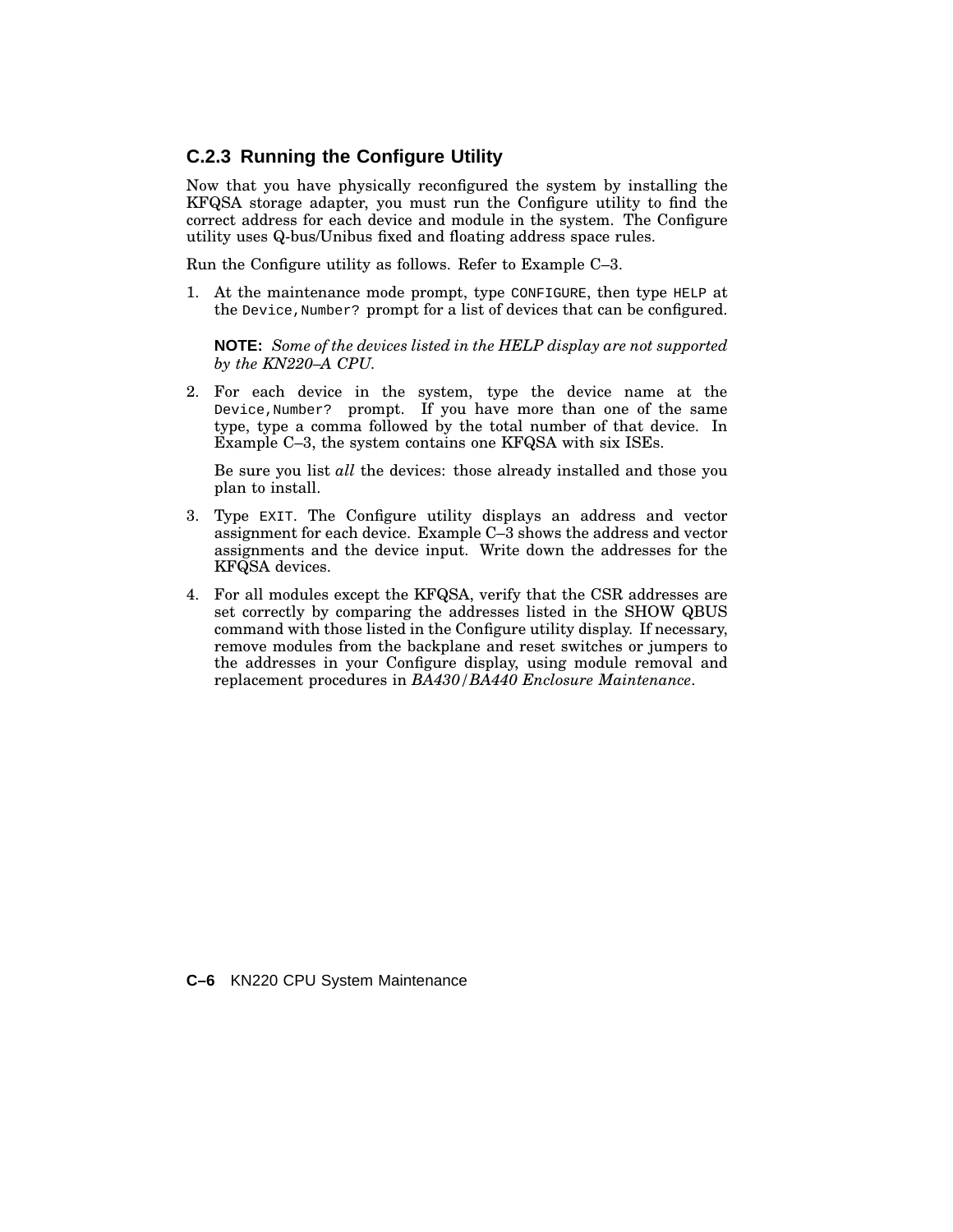### **C.2.3 Running the Configure Utility**

Now that you have physically reconfigured the system by installing the KFQSA storage adapter, you must run the Configure utility to find the correct address for each device and module in the system. The Configure utility uses Q-bus/Unibus fixed and floating address space rules.

Run the Configure utility as follows. Refer to Example C–3.

1. At the maintenance mode prompt, type CONFIGURE, then type HELP at the Device,Number? prompt for a list of devices that can be configured.

**NOTE:** *Some of the devices listed in the HELP display are not supported by the KN220–A CPU.*

2. For each device in the system, type the device name at the Device,Number? prompt. If you have more than one of the same type, type a comma followed by the total number of that device. In Example C–3, the system contains one KFQSA with six ISEs.

Be sure you list *all* the devices: those already installed and those you plan to install.

- 3. Type EXIT. The Configure utility displays an address and vector assignment for each device. Example C–3 shows the address and vector assignments and the device input. Write down the addresses for the KFQSA devices.
- 4. For all modules except the KFQSA, verify that the CSR addresses are set correctly by comparing the addresses listed in the SHOW QBUS command with those listed in the Configure utility display. If necessary, remove modules from the backplane and reset switches or jumpers to the addresses in your Configure display, using module removal and replacement procedures in *BA430/BA440 Enclosure Maintenance*.

#### **C–6** KN220 CPU System Maintenance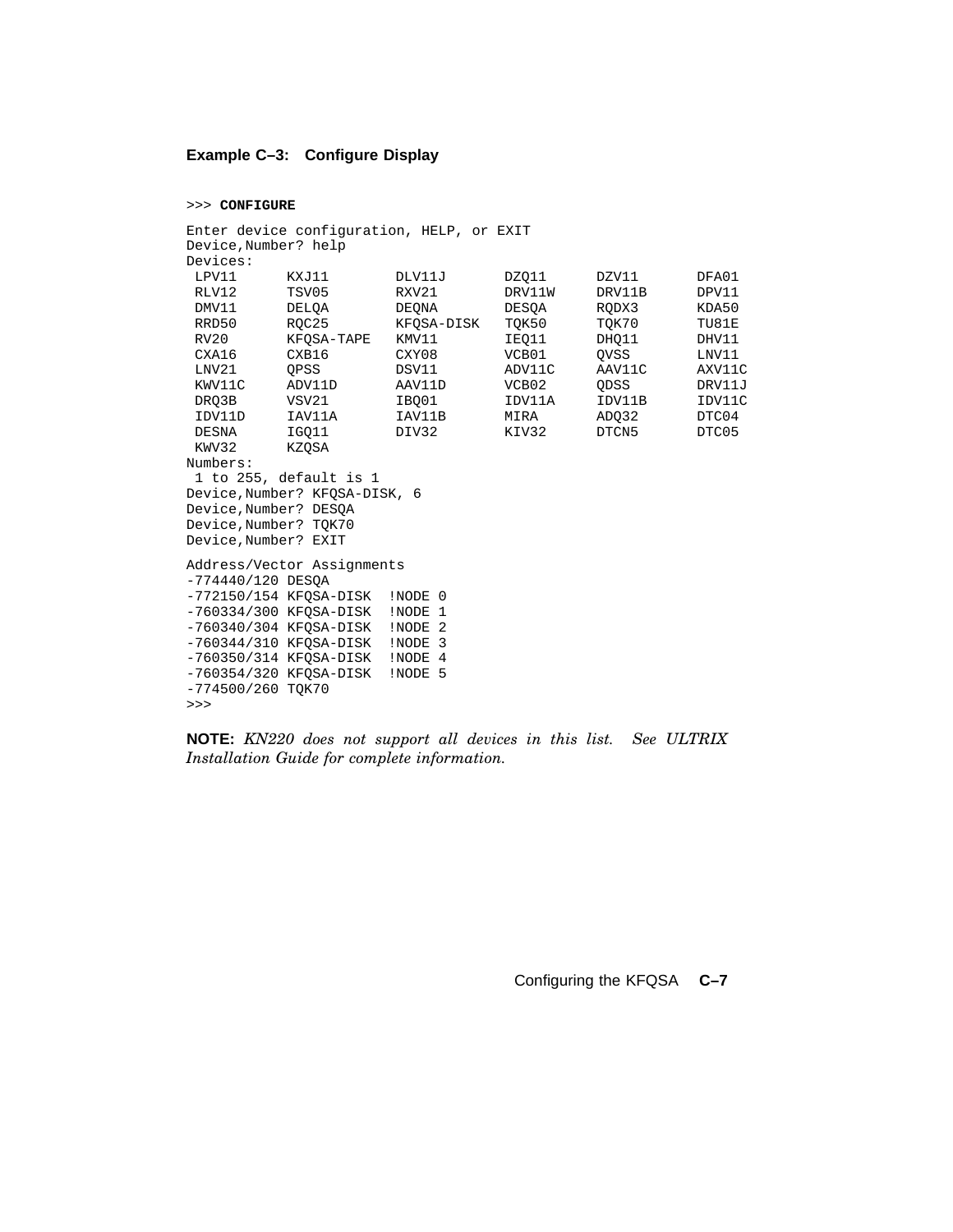#### **Example C–3: Configure Display**

#### >>> **CONFIGURE**

```
Enter device configuration, HELP, or EXIT
Device,Number? help
Devices:
 LPV11 KXJ11 DLV11J DZQ11 DZV11 DFA01
 RLV12 TSV05 RXV21 DRV11W DRV11B DPV11
 DMV11 DELQA DEQNA DESQA RQDX3 KDA50
 RRD50 RQC25 KFQSA-DISK TQK50 TQK70 TU81E
 RV20 KFQSA-TAPE KMV11 IEQ11 DHQ11 DHV11
 CXA16 CXB16 CXY08 VCB01 QVSS LNV11
 LNV21 QPSS DSV11 ADV11C AAV11C AXV11C
 KWV11C ADV11D AAV11D VCB02 QDSS DRV11J
 DRQ3B VSV21 IBQ01 IDV11A IDV11B IDV11C
 IDV11D IAV11A IAV11B MIRA ADQ32 DTC04
 DESNA IGQ11 DIV32 KIV32 DTCN5 DTC05
DESNA IGQ11<br>KWV32 KZOSA
Numbers:
1 to 255, default is 1
Device,Number? KFQSA-DISK, 6
Device,Number? DESQA
Device,Number? TQK70
Device,Number? EXIT
Address/Vector Assignments
-774440/120 DESQA
-772150/154 KFQSA-DISK !NODE 0
-760334/300 KFQSA-DISK !NODE 1
-760340/304 KFQSA-DISK !NODE 2
-760344/310 KFQSA-DISK !NODE 3
-760350/314 KFQSA-DISK !NODE 4
-760354/320 KFQSA-DISK !NODE 5
-774500/260 TQK70
>>>
```
**NOTE:** *KN220 does not support all devices in this list. See ULTRIX Installation Guide for complete information.*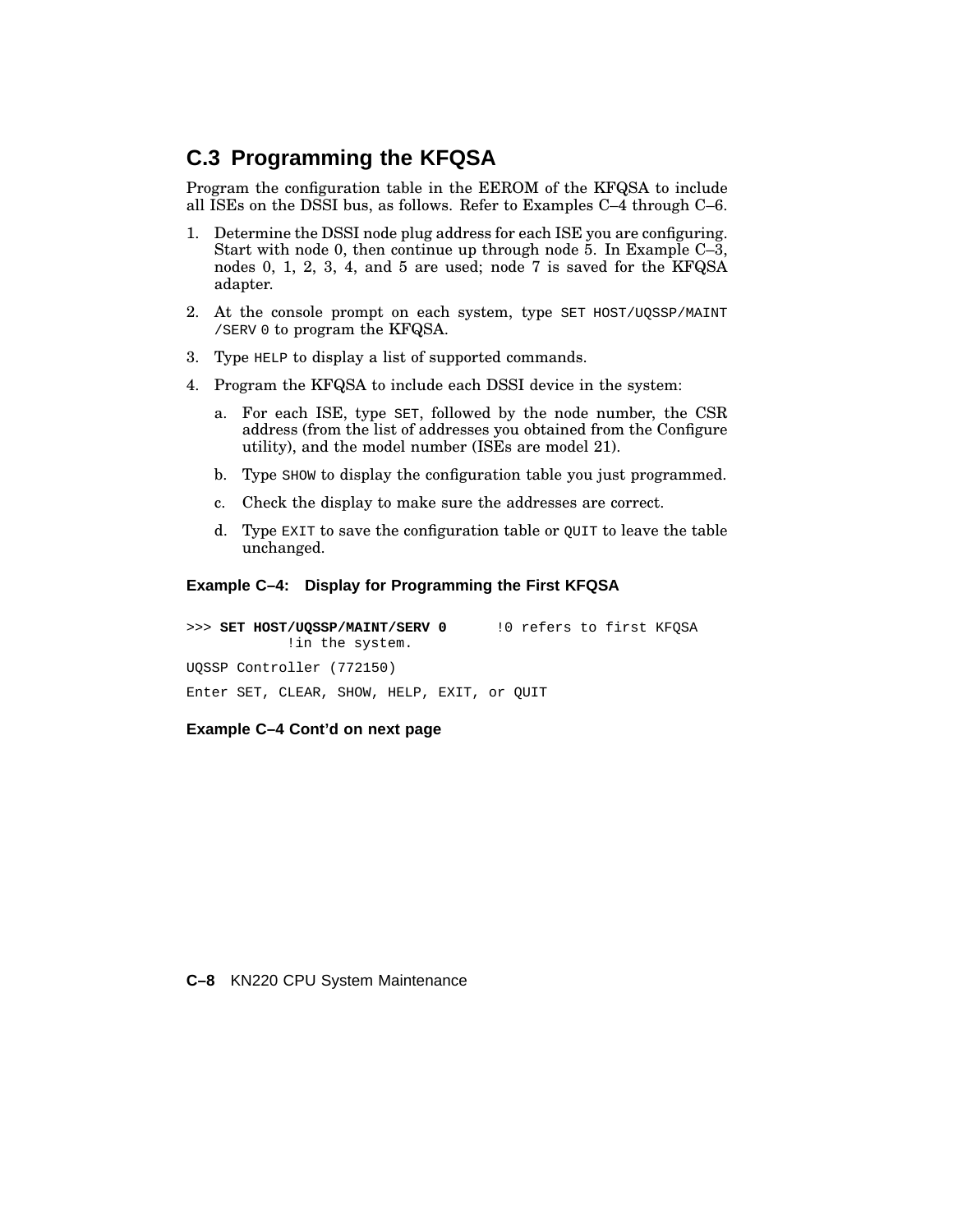### **C.3 Programming the KFQSA**

Program the configuration table in the EEROM of the KFQSA to include all ISEs on the DSSI bus, as follows. Refer to Examples C–4 through C–6.

- 1. Determine the DSSI node plug address for each ISE you are configuring. Start with node 0, then continue up through node 5. In Example C–3, nodes 0, 1, 2, 3, 4, and 5 are used; node 7 is saved for the KFQSA adapter.
- 2. At the console prompt on each system, type SET HOST/UQSSP/MAINT /SERV 0 to program the KFQSA.
- 3. Type HELP to display a list of supported commands.
- 4. Program the KFQSA to include each DSSI device in the system:
	- a. For each ISE, type SET, followed by the node number, the CSR address (from the list of addresses you obtained from the Configure utility), and the model number (ISEs are model 21).
	- b. Type SHOW to display the configuration table you just programmed.
	- c. Check the display to make sure the addresses are correct.
	- d. Type EXIT to save the configuration table or QUIT to leave the table unchanged.

#### **Example C–4: Display for Programming the First KFQSA**

>>> **SET HOST/UQSSP/MAINT/SERV 0** !0 refers to first KFQSA !in the system. UQSSP Controller (772150) Enter SET, CLEAR, SHOW, HELP, EXIT, or QUIT

#### **Example C–4 Cont'd on next page**

#### **C–8** KN220 CPU System Maintenance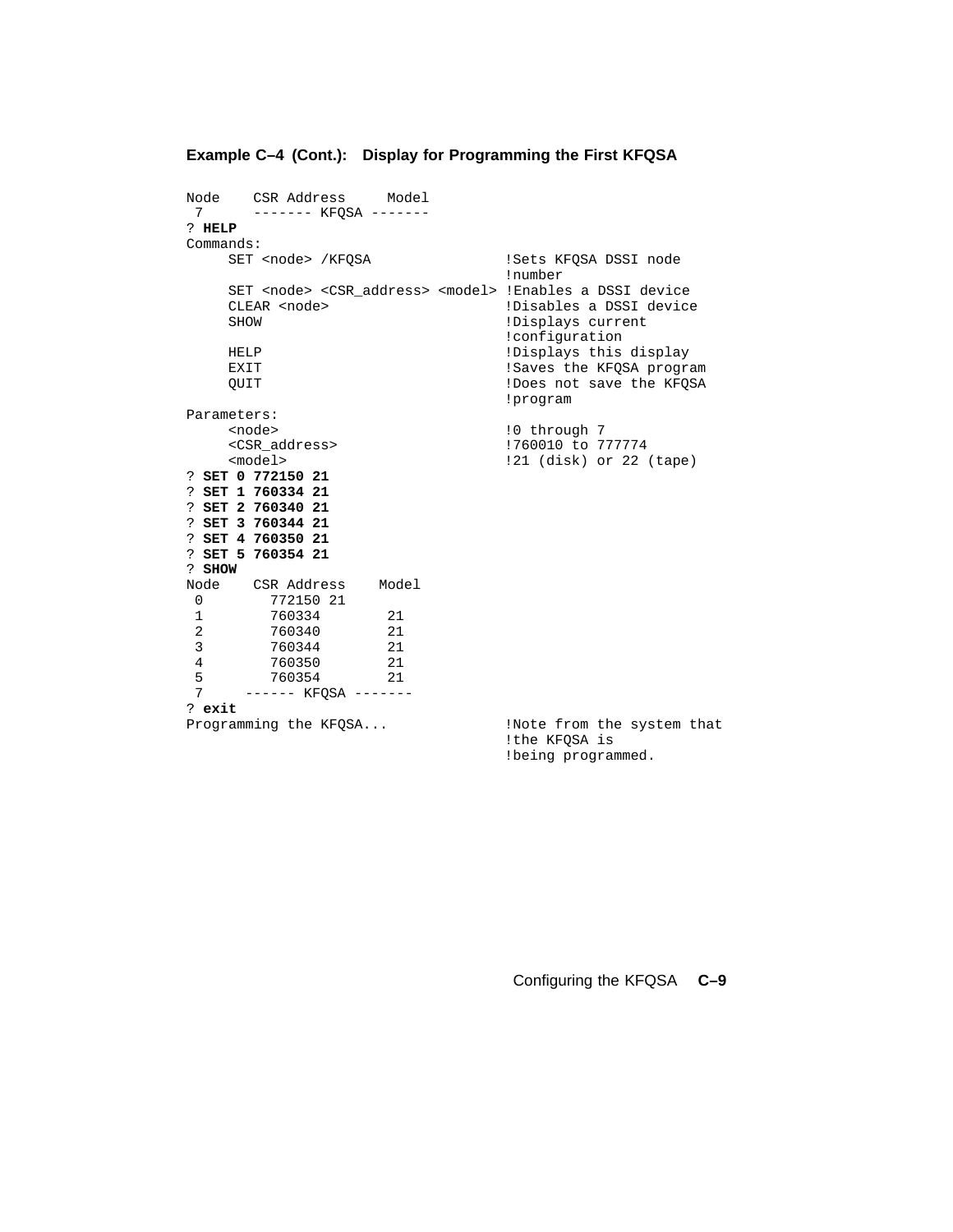|                 | Node CSR Address Model<br>7 ------- KFQSA -------                                                            |      |                                                                |                           |
|-----------------|--------------------------------------------------------------------------------------------------------------|------|----------------------------------------------------------------|---------------------------|
| ? HELP          |                                                                                                              |      |                                                                |                           |
|                 |                                                                                                              |      |                                                                |                           |
| Commands:       |                                                                                                              |      |                                                                |                           |
|                 | SET <node> /KFQSA</node>                                                                                     |      | !Sets KFQSA DSSI node<br>!number                               |                           |
| SHOW            | SET <node> <csr_address> <model> !Enables a DSSI device<br/>CLEAR <node></node></model></csr_address></node> |      | !Disables a DSSI device<br>!Displays current<br>!configuration |                           |
| <b>HELP</b>     |                                                                                                              |      | !Displays this display                                         |                           |
| EXIT            |                                                                                                              |      | !Saves the KFQSA program                                       |                           |
| <b>OUIT</b>     |                                                                                                              |      | !Does not save the KFQSA<br>!program                           |                           |
| Parameters:     |                                                                                                              |      |                                                                |                           |
|                 | <node></node>                                                                                                |      | !0 through 7                                                   |                           |
|                 | <csr_address></csr_address>                                                                                  |      | !760010 to 777774                                              |                           |
|                 | $model$                                                                                                      |      | !21 (disk) or 22 (tape)                                        |                           |
|                 | ? SET 0 772150 21                                                                                            |      |                                                                |                           |
|                 | ? SET 1 760334 21                                                                                            |      |                                                                |                           |
|                 | ? SET 2 760340 21                                                                                            |      |                                                                |                           |
|                 | ? SET 3 760344 21<br>? SET 4 760350 21                                                                       |      |                                                                |                           |
|                 | ? SET 5 760354 21                                                                                            |      |                                                                |                           |
| ? SHOW          |                                                                                                              |      |                                                                |                           |
|                 | Node CSR Address Model                                                                                       |      |                                                                |                           |
| $\overline{0}$  | 772150 21                                                                                                    |      |                                                                |                           |
| 1               | 760334                                                                                                       | 21   |                                                                |                           |
| $\overline{2}$  | 760340                                                                                                       | 21   |                                                                |                           |
| 3 <sup>7</sup>  | 760344                                                                                                       | 21   |                                                                |                           |
| $4\overline{ }$ | 760350                                                                                                       | - 21 |                                                                |                           |
| 5               | 760354                                                                                                       | - 21 |                                                                |                           |
| 7               | ------ KFQSA -------                                                                                         |      |                                                                |                           |
| ? exit          |                                                                                                              |      |                                                                |                           |
|                 | Programming the KFQSA                                                                                        |      | !the KFQSA is                                                  | Note from the system that |
|                 |                                                                                                              |      | !being programmed.                                             |                           |

### **Example C–4 (Cont.): Display for Programming the First KFQSA**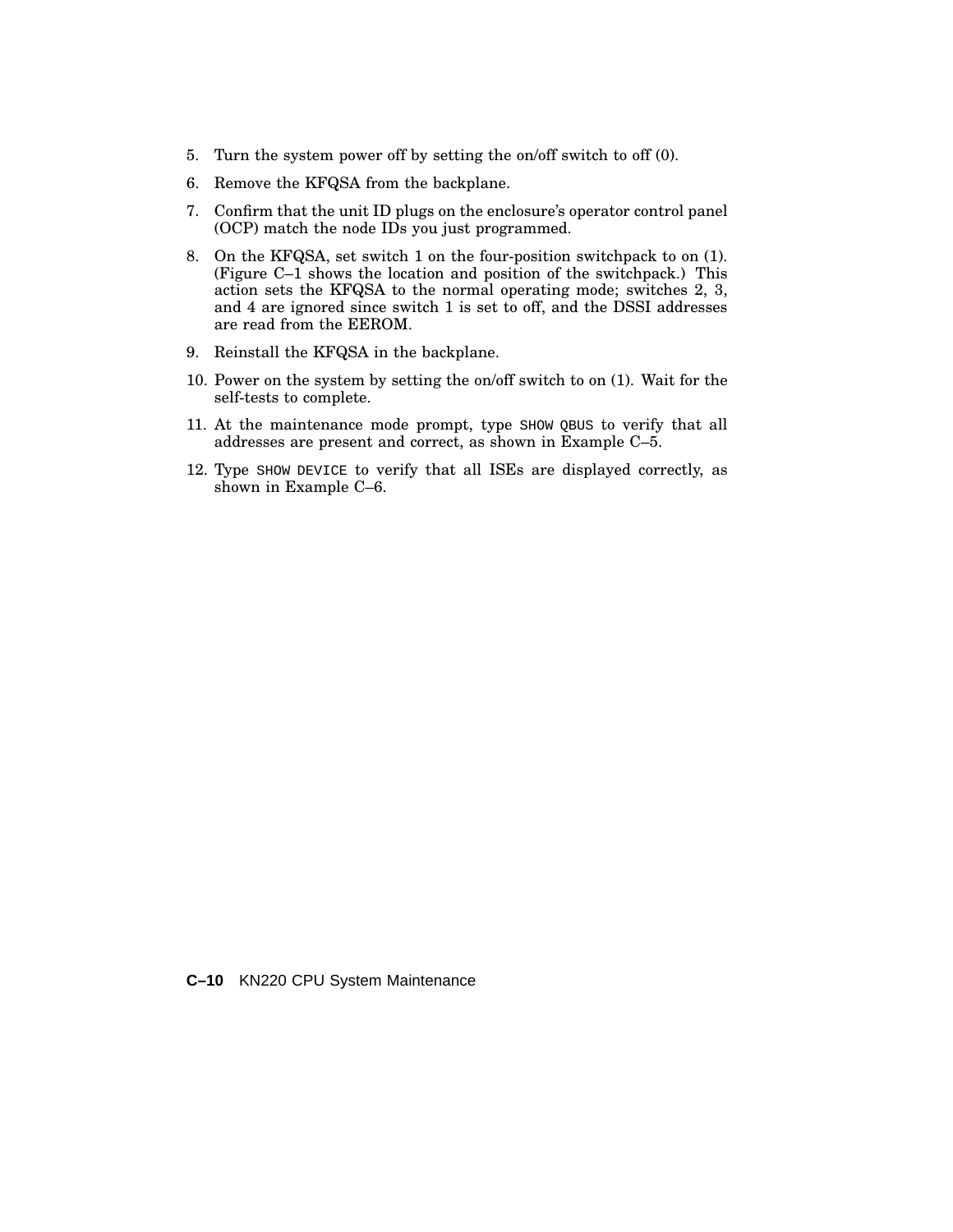- 5. Turn the system power off by setting the on/off switch to off (0).
- 6. Remove the KFQSA from the backplane.
- 7. Confirm that the unit ID plugs on the enclosure's operator control panel (OCP) match the node IDs you just programmed.
- 8. On the KFQSA, set switch 1 on the four-position switchpack to on (1). (Figure C–1 shows the location and position of the switchpack.) This action sets the KFQSA to the normal operating mode; switches 2, 3, and 4 are ignored since switch 1 is set to off, and the DSSI addresses are read from the EEROM.
- 9. Reinstall the KFQSA in the backplane.
- 10. Power on the system by setting the on/off switch to on (1). Wait for the self-tests to complete.
- 11. At the maintenance mode prompt, type SHOW QBUS to verify that all addresses are present and correct, as shown in Example C–5.
- 12. Type SHOW DEVICE to verify that all ISEs are displayed correctly, as shown in Example C–6.

**C–10** KN220 CPU System Maintenance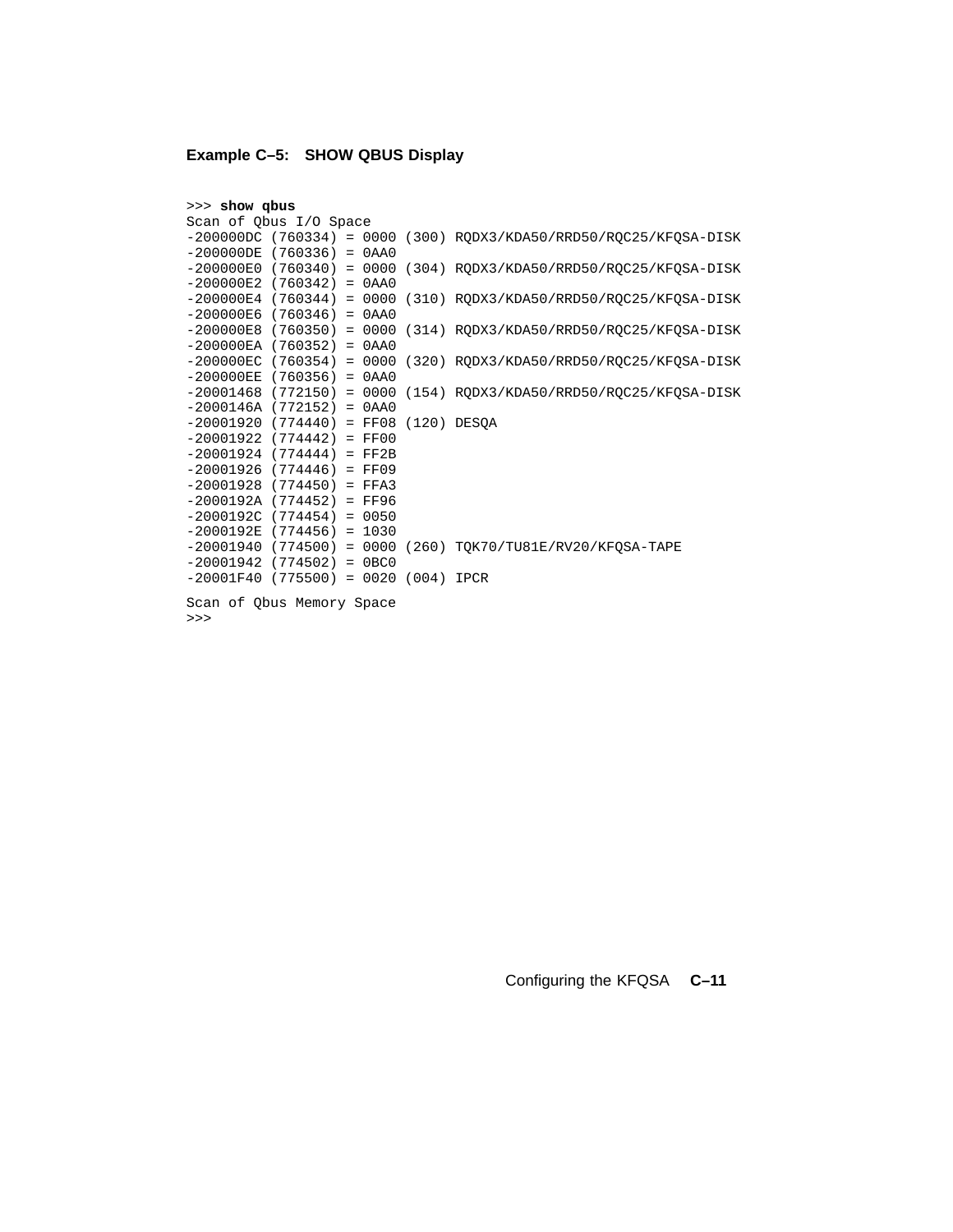### **Example C–5: SHOW QBUS Display**

| >>> show qbus                           |  |  |                                                                       |
|-----------------------------------------|--|--|-----------------------------------------------------------------------|
| Scan of Qbus I/O Space                  |  |  |                                                                       |
|                                         |  |  | $-200000DC$ (760334) = 0000 (300) RQDX3/KDA50/RRD50/RQC25/KFQSA-DISK  |
| $-200000DE$ (760336) = 0AA0             |  |  |                                                                       |
|                                         |  |  | $-200000E0$ (760340) = 0000 (304) RQDX3/KDA50/RRD50/RQC25/KFQSA-DISK  |
| $-200000E2$ (760342) = 0AA0             |  |  |                                                                       |
|                                         |  |  | $-200000E4$ (760344) = 0000 (310) RQDX3/KDA50/RRD50/RQC25/KFQSA-DISK  |
| $-200000E6$ (760346) = 0AA0             |  |  |                                                                       |
|                                         |  |  | $-200000E8$ (760350) = 0000 (314) RQDX3/KDA50/RRD50/RQC25/KFQSA-DISK  |
| $-200000EA$ (760352) = 0AA0             |  |  |                                                                       |
|                                         |  |  | $-200000$ EC (760354) = 0000 (320) RQDX3/KDA50/RRD50/RQC25/KFQSA-DISK |
| $-200000EE$ (760356) = 0AA0             |  |  |                                                                       |
|                                         |  |  | $-20001468$ (772150) = 0000 (154) RQDX3/KDA50/RRD50/RQC25/KFQSA-DISK  |
| $-2000146A (772152) = 0AA0$             |  |  |                                                                       |
| $-20001920$ (774440) = FF08 (120) DESOA |  |  |                                                                       |
| $-20001922$ (774442) = FF00             |  |  |                                                                       |
| $-20001924$ (774444) = FF2B             |  |  |                                                                       |
| $-20001926$ (774446) = FF09             |  |  |                                                                       |
| $-20001928$ (774450) = FFA3             |  |  |                                                                       |
| $-2000192A$ (774452) = FF96             |  |  |                                                                       |
| $-2000192C$ (774454) = 0050             |  |  |                                                                       |
| $-2000192E$ (774456) = 1030             |  |  |                                                                       |
|                                         |  |  | $-20001940$ (774500) = 0000 (260) TQK70/TU81E/RV20/KFQSA-TAPE         |
| $-20001942$ (774502) = 0BC0             |  |  |                                                                       |
| $-20001F40$ (775500) = 0020 (004) IPCR  |  |  |                                                                       |
|                                         |  |  |                                                                       |
| Scan of Qbus Memory Space               |  |  |                                                                       |

>>>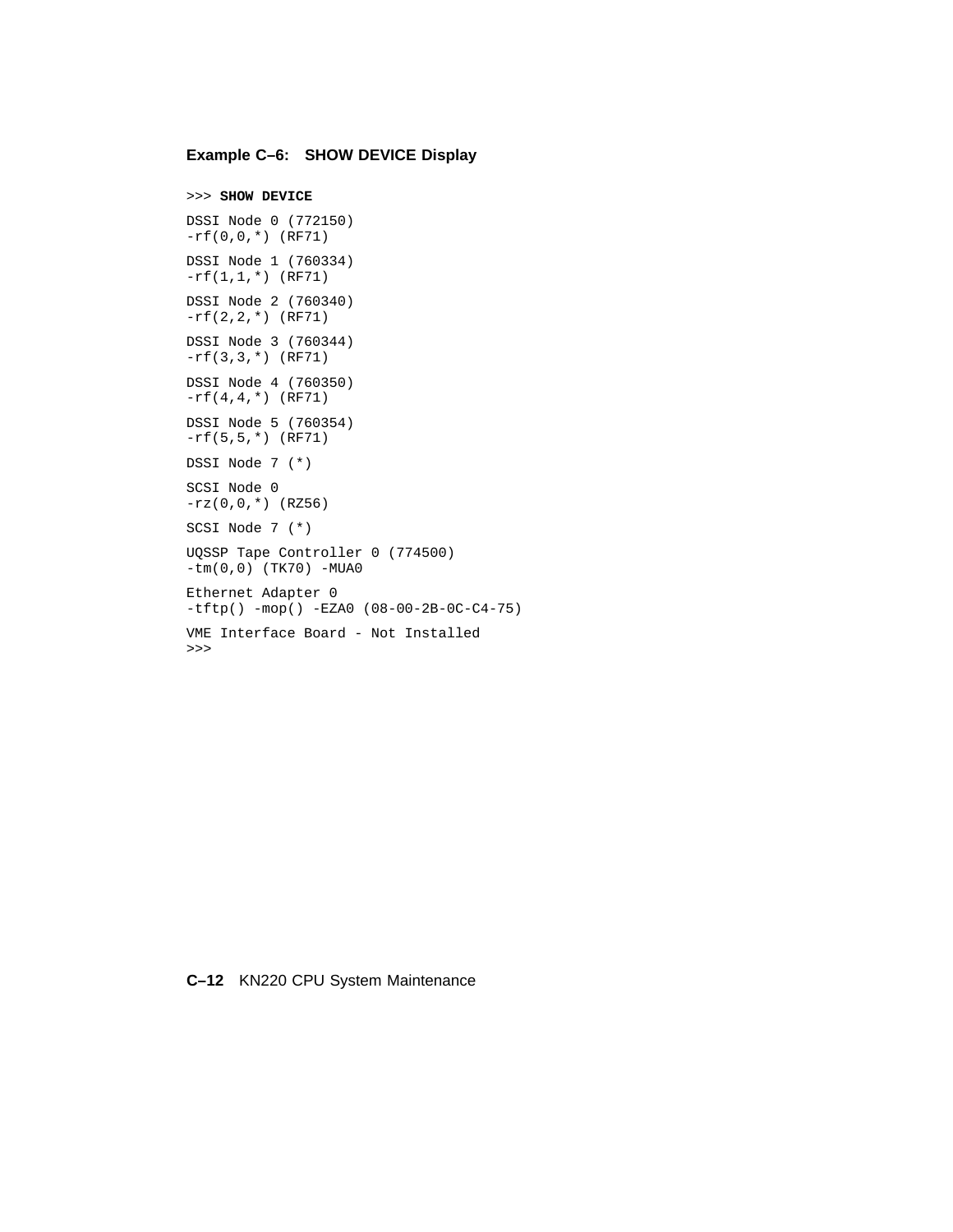#### **Example C–6: SHOW DEVICE Display**

```
>>> SHOW DEVICE
DSSI Node 0 (772150)
-rf(0,0,*) (RF71)
DSSI Node 1 (760334)
-rf(1,1,*) (RF71)
DSSI Node 2 (760340)
-rf(2,2,*) (RF71)
DSSI Node 3 (760344)
-rf(3,3,*) (RF71)
DSSI Node 4 (760350)
-rf(4,4,*) (RF71)
DSSI Node 5 (760354)
-rf(5,5,'') (RF71)
DSSI Node 7 (*)
SCSI Node 0
-rz(0,0,*) (RZ56)
SCSI Node 7 (*)
UQSSP Tape Controller 0 (774500)
-tm(0,0) (TK70) -MUA0
Ethernet Adapter 0
-tftp() -mop() -EZA0 (08-00-2B-0C-C4-75)
VME Interface Board - Not Installed
>>>
```
#### **C–12** KN220 CPU System Maintenance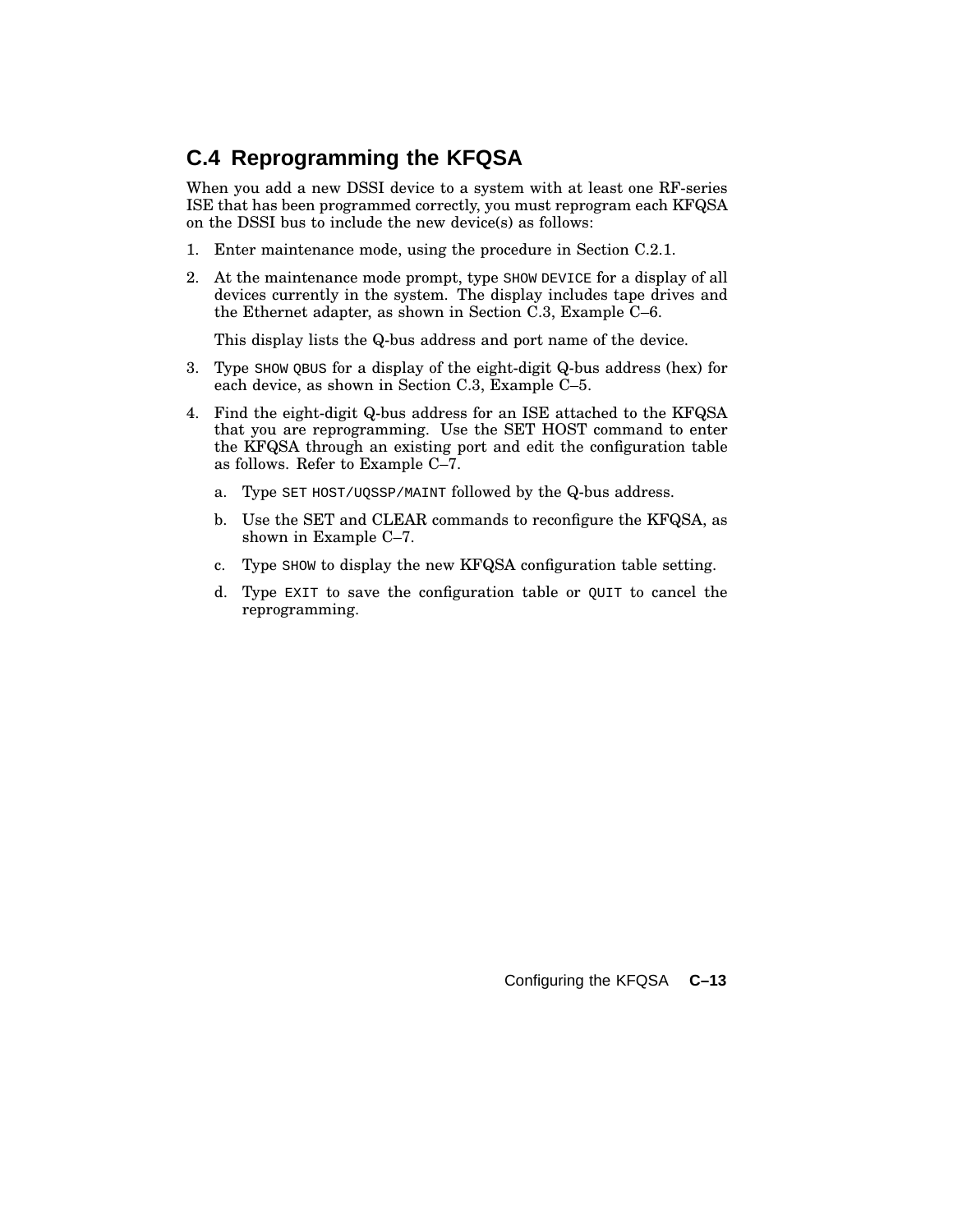### **C.4 Reprogramming the KFQSA**

When you add a new DSSI device to a system with at least one RF-series ISE that has been programmed correctly, you must reprogram each KFQSA on the DSSI bus to include the new device(s) as follows:

- 1. Enter maintenance mode, using the procedure in Section C.2.1.
- 2. At the maintenance mode prompt, type SHOW DEVICE for a display of all devices currently in the system. The display includes tape drives and the Ethernet adapter, as shown in Section C.3, Example C–6.

This display lists the Q-bus address and port name of the device.

- 3. Type SHOW QBUS for a display of the eight-digit Q-bus address (hex) for each device, as shown in Section C.3, Example C–5.
- 4. Find the eight-digit Q-bus address for an ISE attached to the KFQSA that you are reprogramming. Use the SET HOST command to enter the KFQSA through an existing port and edit the configuration table as follows. Refer to Example C–7.
	- a. Type SET HOST/UQSSP/MAINT followed by the Q-bus address.
	- b. Use the SET and CLEAR commands to reconfigure the KFQSA, as shown in Example C–7.
	- c. Type SHOW to display the new KFQSA configuration table setting.
	- d. Type EXIT to save the configuration table or QUIT to cancel the reprogramming.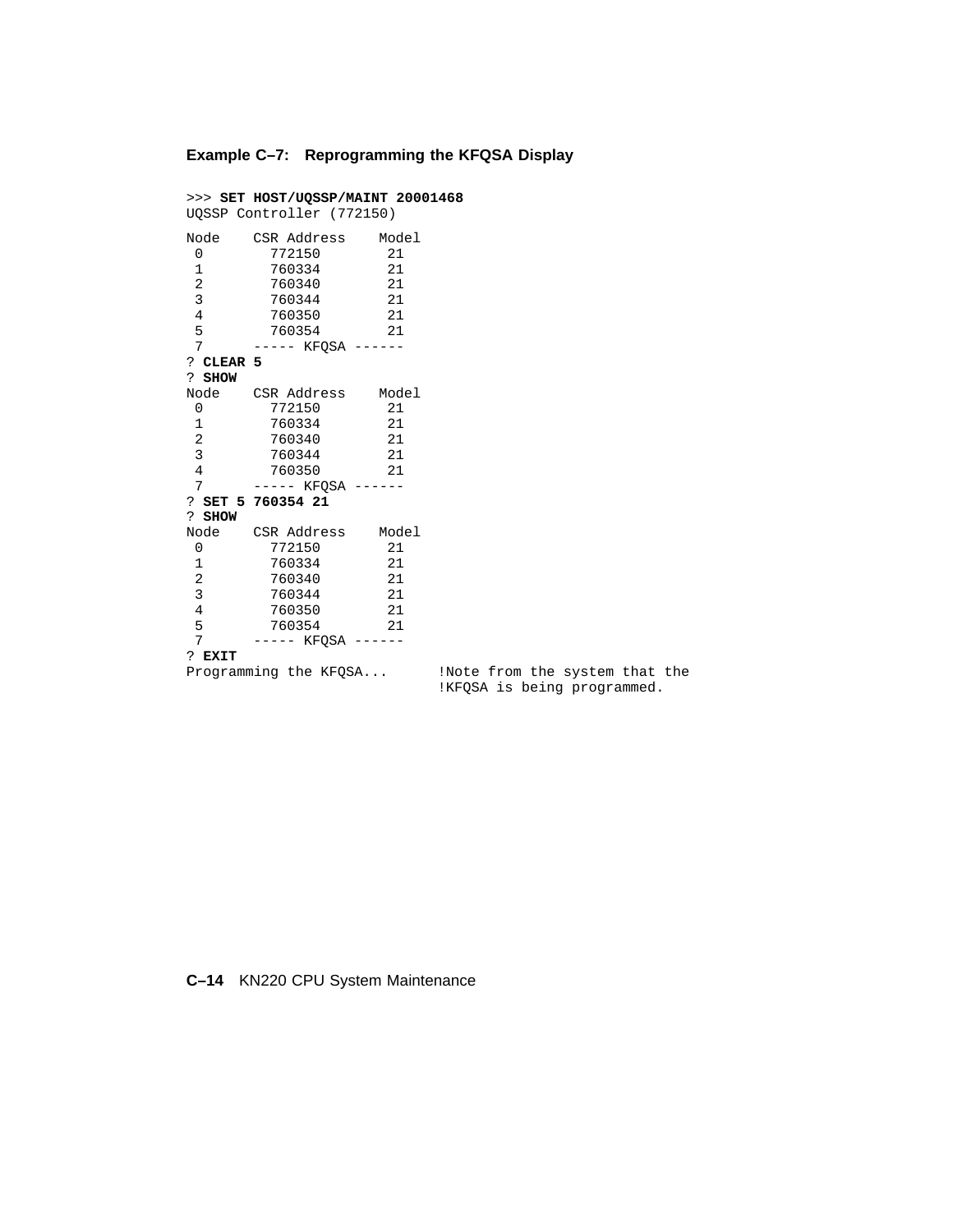#### **Example C–7: Reprogramming the KFQSA Display**

```
>>> SET HOST/UQSSP/MAINT 20001468
UQSSP Controller (772150)
Node CSR Address Model
 0 772150 21
 1 760334 21
\begin{array}{cccc} 1 & 760334 & 21 \\ 2 & 760340 & 21 \\ 3 & 760344 & 21 \\ 4 & 760350 & 21 \end{array}760344<br>760350
 4 760350 21
 5 760354 21
7 ----- KFQSA ------
? CLEAR 5
? SHOW
Node CSR Address Model
0 772150 21<br>1 760334 21
 1 760334 21
 2 760340 21
 3 760344 21
 4 760350 21
7 ----- KFQSA ------
? SET 5 760354 21
? SHOW
Node CSR Address Model
 0 772150 21
 1 760334 21
 2 760340 21
 3 760344 21
 4 760350 21
 5 760354 21
7 ----- KFQSA ------
? EXIT<br>Programming the KFQSA...
```
!Note from the system that the !KFQSA is being programmed.

#### **C–14** KN220 CPU System Maintenance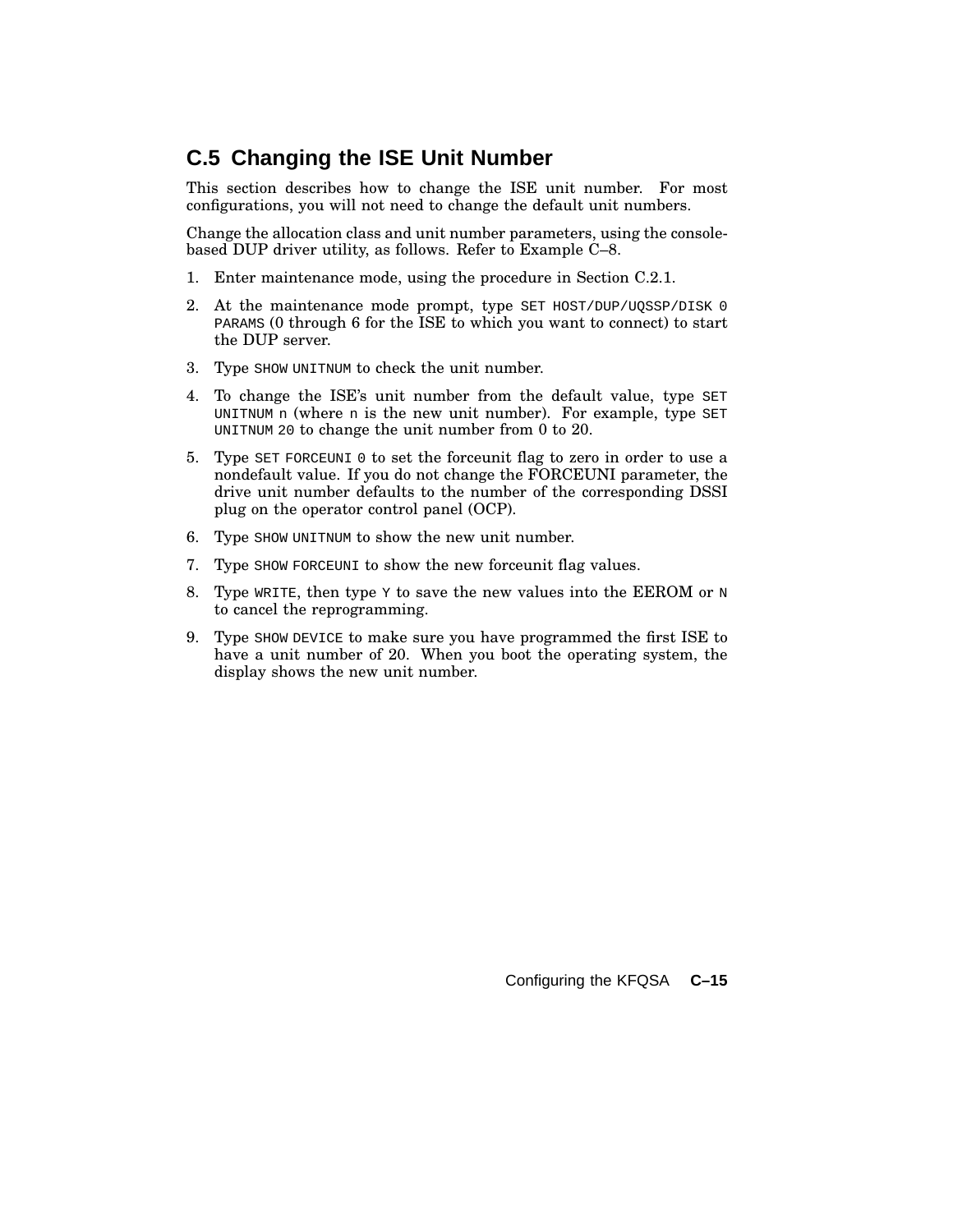### **C.5 Changing the ISE Unit Number**

This section describes how to change the ISE unit number. For most configurations, you will not need to change the default unit numbers.

Change the allocation class and unit number parameters, using the consolebased DUP driver utility, as follows. Refer to Example C–8.

- 1. Enter maintenance mode, using the procedure in Section C.2.1.
- 2. At the maintenance mode prompt, type SET HOST/DUP/UQSSP/DISK 0 PARAMS (0 through 6 for the ISE to which you want to connect) to start the DUP server.
- 3. Type SHOW UNITNUM to check the unit number.
- 4. To change the ISE's unit number from the default value, type SET UNITNUM n (where n is the new unit number). For example, type SET UNITNUM 20 to change the unit number from 0 to 20.
- 5. Type SET FORCEUNI 0 to set the forceunit flag to zero in order to use a nondefault value. If you do not change the FORCEUNI parameter, the drive unit number defaults to the number of the corresponding DSSI plug on the operator control panel (OCP).
- 6. Type SHOW UNITNUM to show the new unit number.
- 7. Type SHOW FORCEUNI to show the new forceunit flag values.
- 8. Type WRITE, then type  $Y$  to save the new values into the EEROM or  $N$ to cancel the reprogramming.
- 9. Type SHOW DEVICE to make sure you have programmed the first ISE to have a unit number of 20. When you boot the operating system, the display shows the new unit number.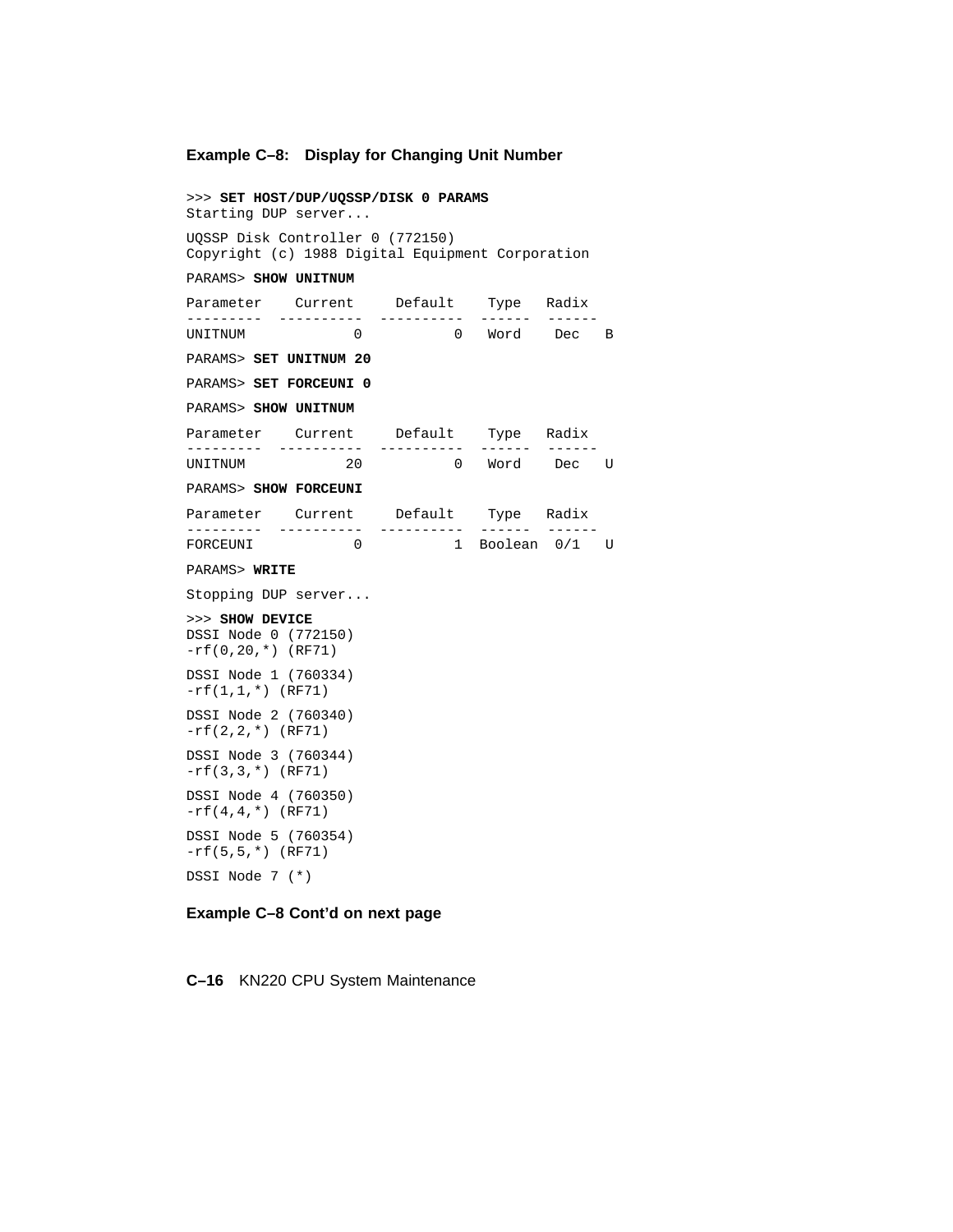#### **Example C–8: Display for Changing Unit Number**

>>> **SET HOST/DUP/UQSSP/DISK 0 PARAMS** Starting DUP server... UQSSP Disk Controller 0 (772150) Copyright (c) 1988 Digital Equipment Corporation PARAMS> **SHOW UNITNUM** Parameter Current Default Type Radix --------- ---------- ---------- ------ ------ UNITNUM 0 0 Word Dec B PARAMS> **SET UNITNUM 20** PARAMS> **SET FORCEUNI 0** PARAMS> **SHOW UNITNUM** Parameter Current Default Type Radix --------- ---------- ---------- ------ ------ UNITNUM 20 0 Word Dec U PARAMS> **SHOW FORCEUNI** Parameter Current Default Type Radix --------- ---------- ---------- ------ ------ FORCEUNI 0 1 Boolean 0/1 U PARAMS> **WRITE** Stopping DUP server... >>> **SHOW DEVICE** DSSI Node 0 (772150) -rf(0,20,\*) (RF71) DSSI Node 1 (760334) -rf(1,1,\*) (RF71) DSSI Node 2 (760340)  $-rf(2,2,*)$  (RF71) DSSI Node 3 (760344) -rf(3,3,\*) (RF71) DSSI Node 4 (760350)  $-rf(4,4,*)$  (RF71) DSSI Node 5 (760354) -rf(5,5,\*) (RF71) DSSI Node 7 (\*)

#### **Example C–8 Cont'd on next page**

**C–16** KN220 CPU System Maintenance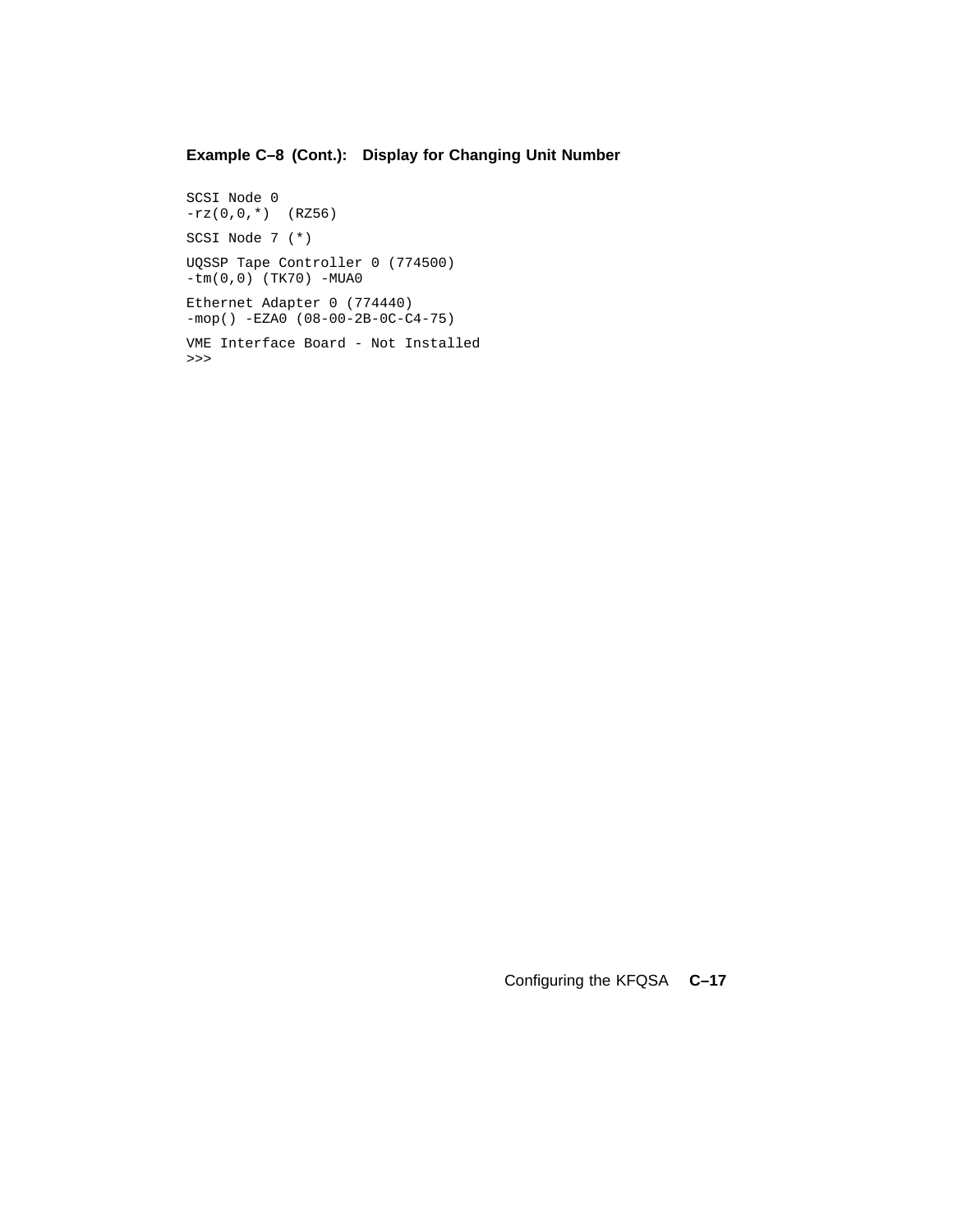### **Example C–8 (Cont.): Display for Changing Unit Number**

SCSI Node 0  $-rz(0,0,*)$  (RZ56) SCSI Node 7 (\*) UQSSP Tape Controller 0 (774500) -tm(0,0) (TK70) -MUA0 Ethernet Adapter 0 (774440)  $-mop()$  -EZA0 (08-00-2B-0C-C4-75) VME Interface Board - Not Installed >>>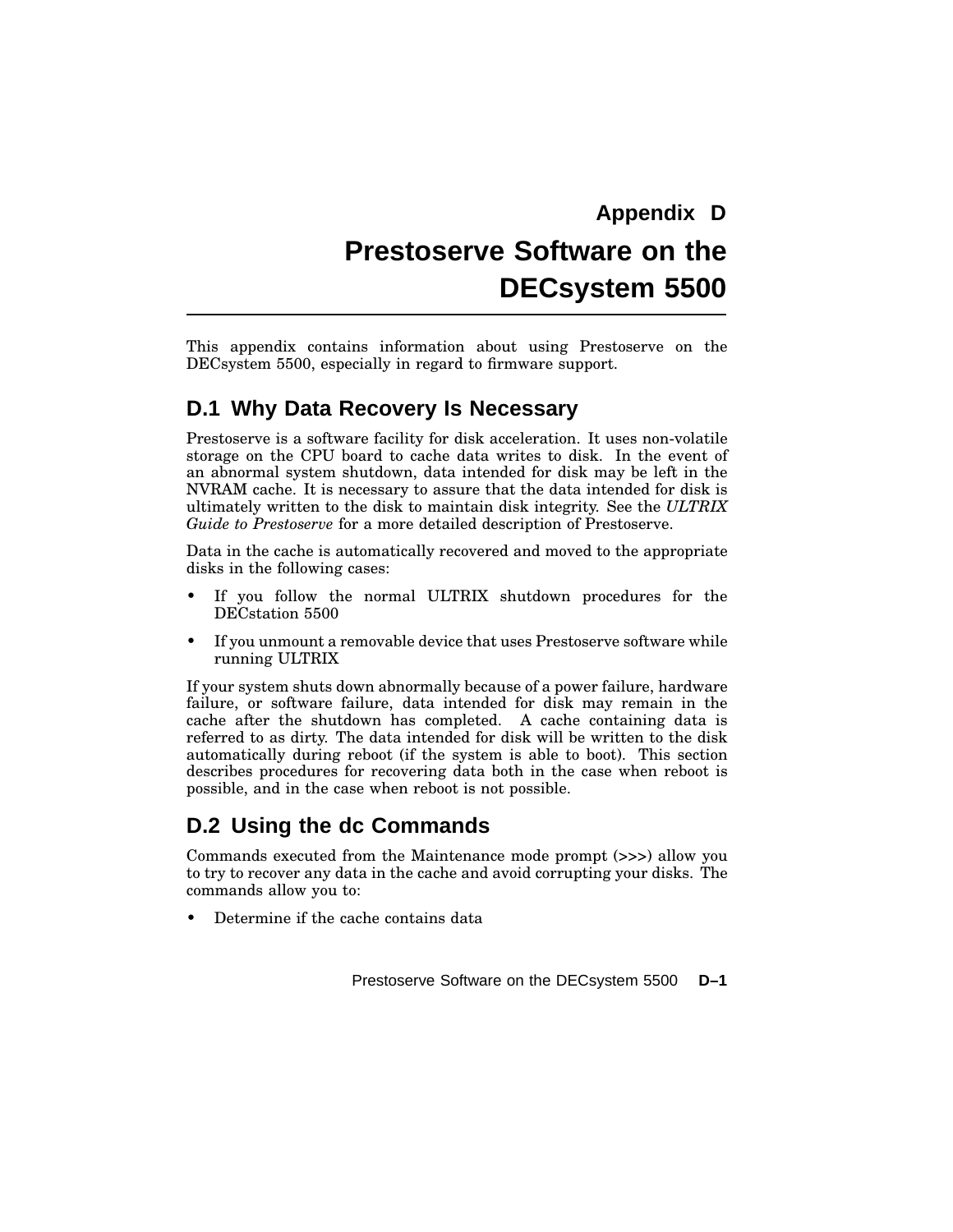# **Prestoserve Software on the DECsystem 5500**

This appendix contains information about using Prestoserve on the DECsystem 5500, especially in regard to firmware support.

### **D.1 Why Data Recovery Is Necessary**

Prestoserve is a software facility for disk acceleration. It uses non-volatile storage on the CPU board to cache data writes to disk. In the event of an abnormal system shutdown, data intended for disk may be left in the NVRAM cache. It is necessary to assure that the data intended for disk is ultimately written to the disk to maintain disk integrity. See the *ULTRIX Guide to Prestoserve* for a more detailed description of Prestoserve.

Data in the cache is automatically recovered and moved to the appropriate disks in the following cases:

- If you follow the normal ULTRIX shutdown procedures for the DECstation 5500
- If you unmount a removable device that uses Prestoserve software while running ULTRIX

If your system shuts down abnormally because of a power failure, hardware failure, or software failure, data intended for disk may remain in the cache after the shutdown has completed. A cache containing data is referred to as dirty. The data intended for disk will be written to the disk automatically during reboot (if the system is able to boot). This section describes procedures for recovering data both in the case when reboot is possible, and in the case when reboot is not possible.

### **D.2 Using the dc Commands**

Commands executed from the Maintenance mode prompt (>>>) allow you to try to recover any data in the cache and avoid corrupting your disks. The commands allow you to:

• Determine if the cache contains data

Prestoserve Software on the DECsystem 5500 **D–1**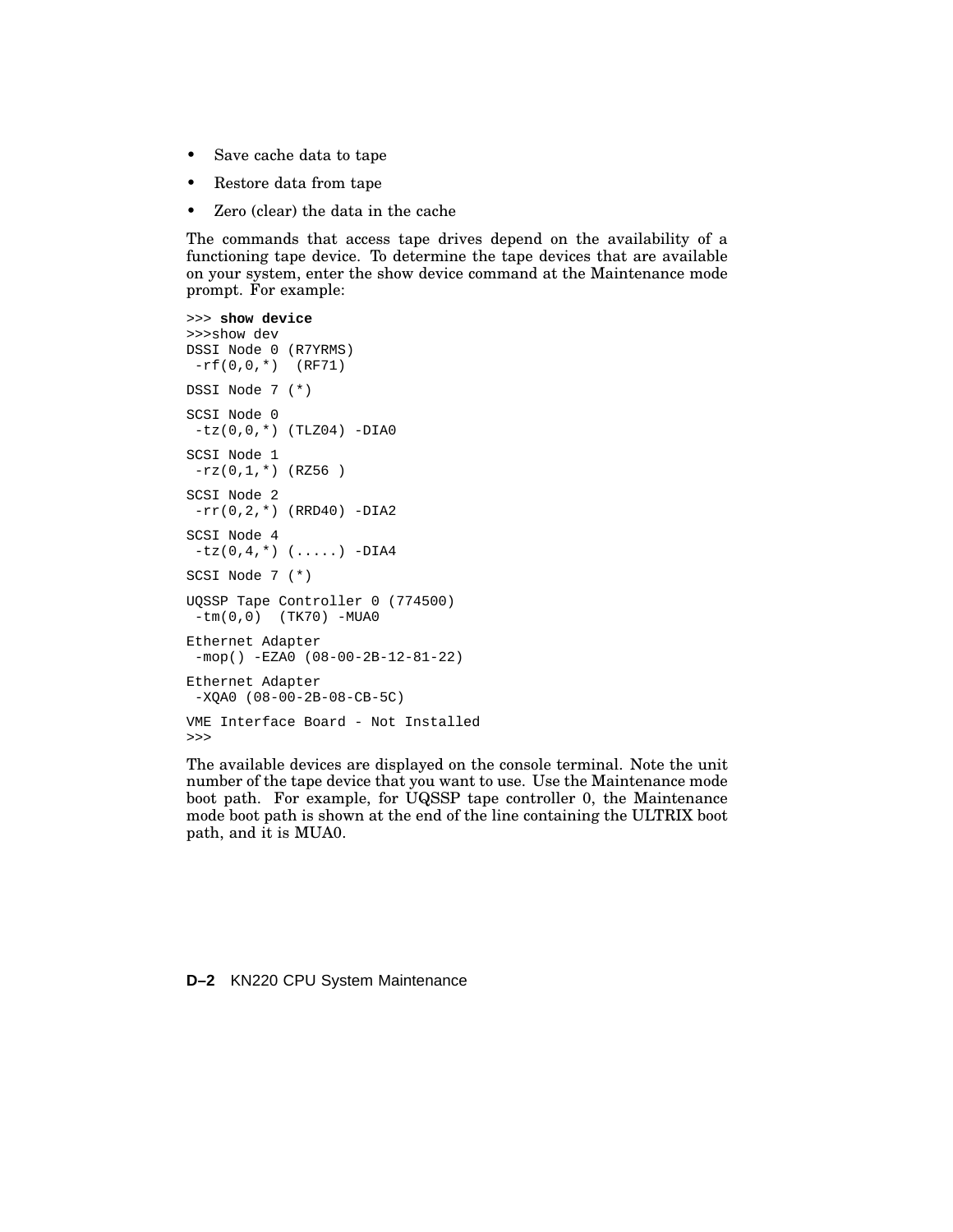- Save cache data to tape
- Restore data from tape
- Zero (clear) the data in the cache

The commands that access tape drives depend on the availability of a functioning tape device. To determine the tape devices that are available on your system, enter the show device command at the Maintenance mode prompt. For example:

```
>>> show device
>>>show dev
DSSI Node 0 (R7YRMS)
 -rf(0,0,*) (RF71)
DSSI Node 7 (*)
SCSI Node 0
 -tz(0,0,*) (TLZ04) -DIA0
SCSI Node 1
-rz(0,1,*) (RZ56)
SCSI Node 2
 -rr(0,2,*) (RRD40) -DIA2
SCSI Node 4
 -tz(0, 4, *) (.....) -DIA4
SCSI Node 7 (*)
UQSSP Tape Controller 0 (774500)
 -tm(0,0) (TK70) -MUA0
Ethernet Adapter
 -mop() -EZA0 (08-00-2B-12-81-22)
Ethernet Adapter
 -XQA0 (08-00-2B-08-CB-5C)
VME Interface Board - Not Installed
>>>
```
The available devices are displayed on the console terminal. Note the unit number of the tape device that you want to use. Use the Maintenance mode boot path. For example, for UQSSP tape controller 0, the Maintenance mode boot path is shown at the end of the line containing the ULTRIX boot path, and it is MUA0.

#### **D–2** KN220 CPU System Maintenance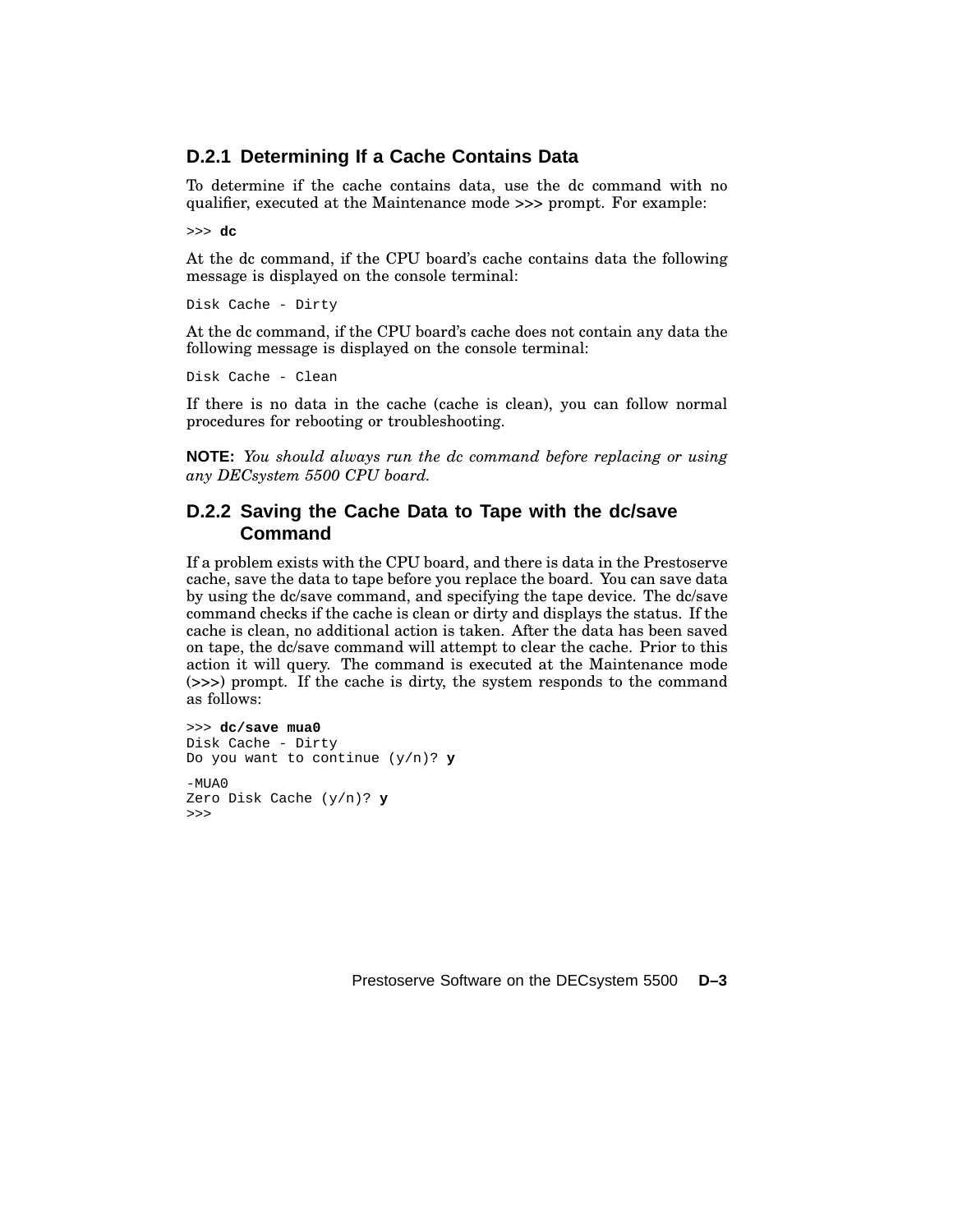#### **D.2.1 Determining If a Cache Contains Data**

To determine if the cache contains data, use the dc command with no qualifier, executed at the Maintenance mode >>> prompt. For example:

>>> **dc**

At the dc command, if the CPU board's cache contains data the following message is displayed on the console terminal:

Disk Cache - Dirty

At the dc command, if the CPU board's cache does not contain any data the following message is displayed on the console terminal:

Disk Cache - Clean

If there is no data in the cache (cache is clean), you can follow normal procedures for rebooting or troubleshooting.

**NOTE:** *You should always run the dc command before replacing or using any DECsystem 5500 CPU board.*

#### **D.2.2 Saving the Cache Data to Tape with the dc/save Command**

If a problem exists with the CPU board, and there is data in the Prestoserve cache, save the data to tape before you replace the board. You can save data by using the dc/save command, and specifying the tape device. The dc/save command checks if the cache is clean or dirty and displays the status. If the cache is clean, no additional action is taken. After the data has been saved on tape, the dc/save command will attempt to clear the cache. Prior to this action it will query. The command is executed at the Maintenance mode (>>>) prompt. If the cache is dirty, the system responds to the command as follows:

>>> **dc/save mua0** Disk Cache - Dirty Do you want to continue (y/n)? **y**  $-MIIA$ <sup>0</sup> Zero Disk Cache (y/n)? **y** >>>

Prestoserve Software on the DECsystem 5500 **D–3**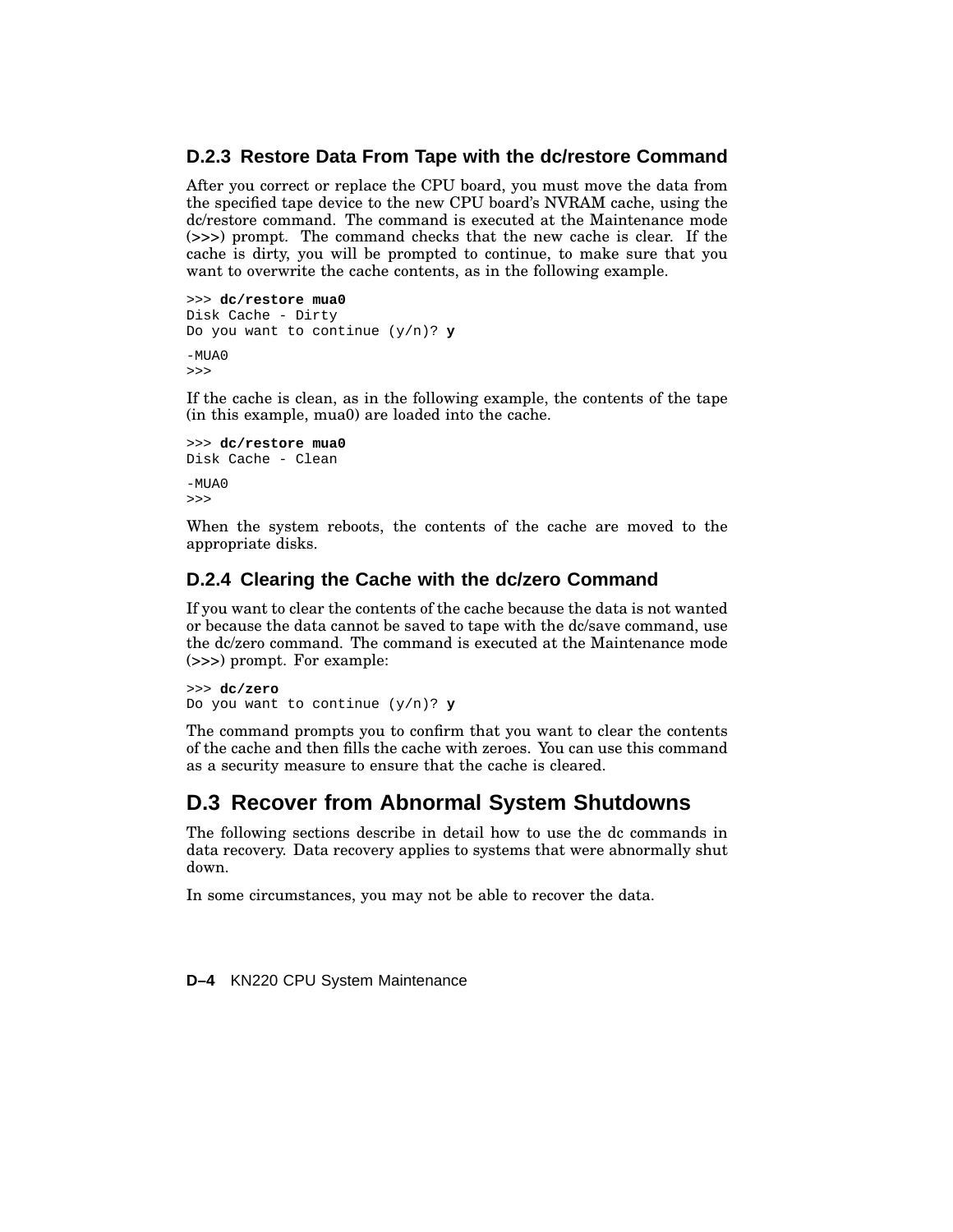#### **D.2.3 Restore Data From Tape with the dc/restore Command**

After you correct or replace the CPU board, you must move the data from the specified tape device to the new CPU board's NVRAM cache, using the dc/restore command. The command is executed at the Maintenance mode (>>>) prompt. The command checks that the new cache is clear. If the cache is dirty, you will be prompted to continue, to make sure that you want to overwrite the cache contents, as in the following example.

```
>>> dc/restore mua0
Disk Cache - Dirty
Do you want to continue (y/n)? y
-MUAO>>>
```
If the cache is clean, as in the following example, the contents of the tape (in this example, mua0) are loaded into the cache.

```
>>> dc/restore mua0
Disk Cache - Clean
-MIIAD>>>
```
When the system reboots, the contents of the cache are moved to the appropriate disks.

#### **D.2.4 Clearing the Cache with the dc/zero Command**

If you want to clear the contents of the cache because the data is not wanted or because the data cannot be saved to tape with the dc/save command, use the dc/zero command. The command is executed at the Maintenance mode (>>>) prompt. For example:

>>> **dc/zero** Do you want to continue (y/n)? **y**

The command prompts you to confirm that you want to clear the contents of the cache and then fills the cache with zeroes. You can use this command as a security measure to ensure that the cache is cleared.

### **D.3 Recover from Abnormal System Shutdowns**

The following sections describe in detail how to use the dc commands in data recovery. Data recovery applies to systems that were abnormally shut down.

In some circumstances, you may not be able to recover the data.

**D–4** KN220 CPU System Maintenance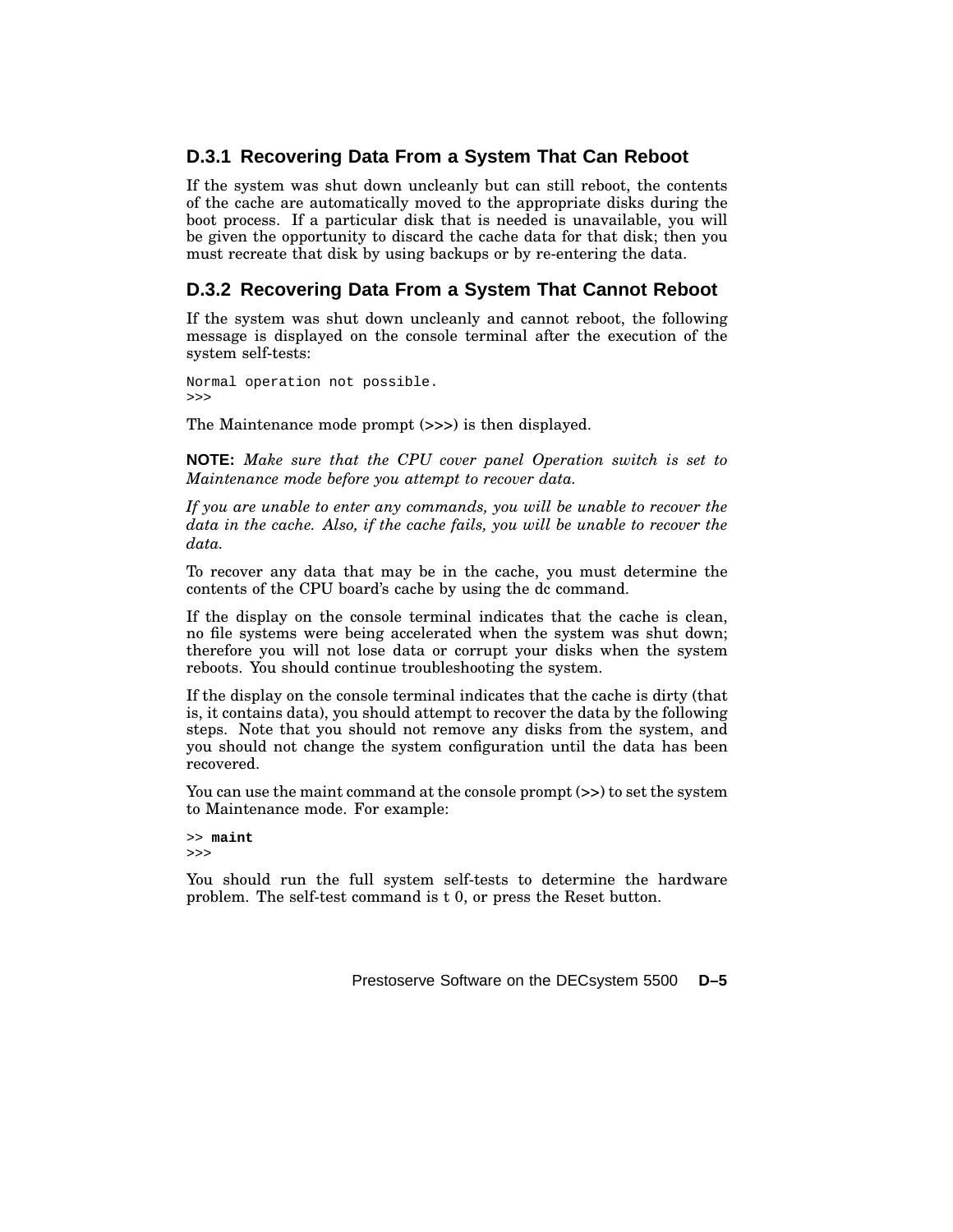### **D.3.1 Recovering Data From a System That Can Reboot**

If the system was shut down uncleanly but can still reboot, the contents of the cache are automatically moved to the appropriate disks during the boot process. If a particular disk that is needed is unavailable, you will be given the opportunity to discard the cache data for that disk; then you must recreate that disk by using backups or by re-entering the data.

### **D.3.2 Recovering Data From a System That Cannot Reboot**

If the system was shut down uncleanly and cannot reboot, the following message is displayed on the console terminal after the execution of the system self-tests:

Normal operation not possible. >>>

The Maintenance mode prompt (>>>) is then displayed.

**NOTE:** *Make sure that the CPU cover panel Operation switch is set to Maintenance mode before you attempt to recover data.*

*If you are unable to enter any commands, you will be unable to recover the data in the cache. Also, if the cache fails, you will be unable to recover the data.*

To recover any data that may be in the cache, you must determine the contents of the CPU board's cache by using the dc command.

If the display on the console terminal indicates that the cache is clean, no file systems were being accelerated when the system was shut down; therefore you will not lose data or corrupt your disks when the system reboots. You should continue troubleshooting the system.

If the display on the console terminal indicates that the cache is dirty (that is, it contains data), you should attempt to recover the data by the following steps. Note that you should not remove any disks from the system, and you should not change the system configuration until the data has been recovered.

You can use the maint command at the console prompt  $(\gg)$  to set the system to Maintenance mode. For example:

```
>> maint
>>>
```
You should run the full system self-tests to determine the hardware problem. The self-test command is t 0, or press the Reset button.

Prestoserve Software on the DECsystem 5500 **D–5**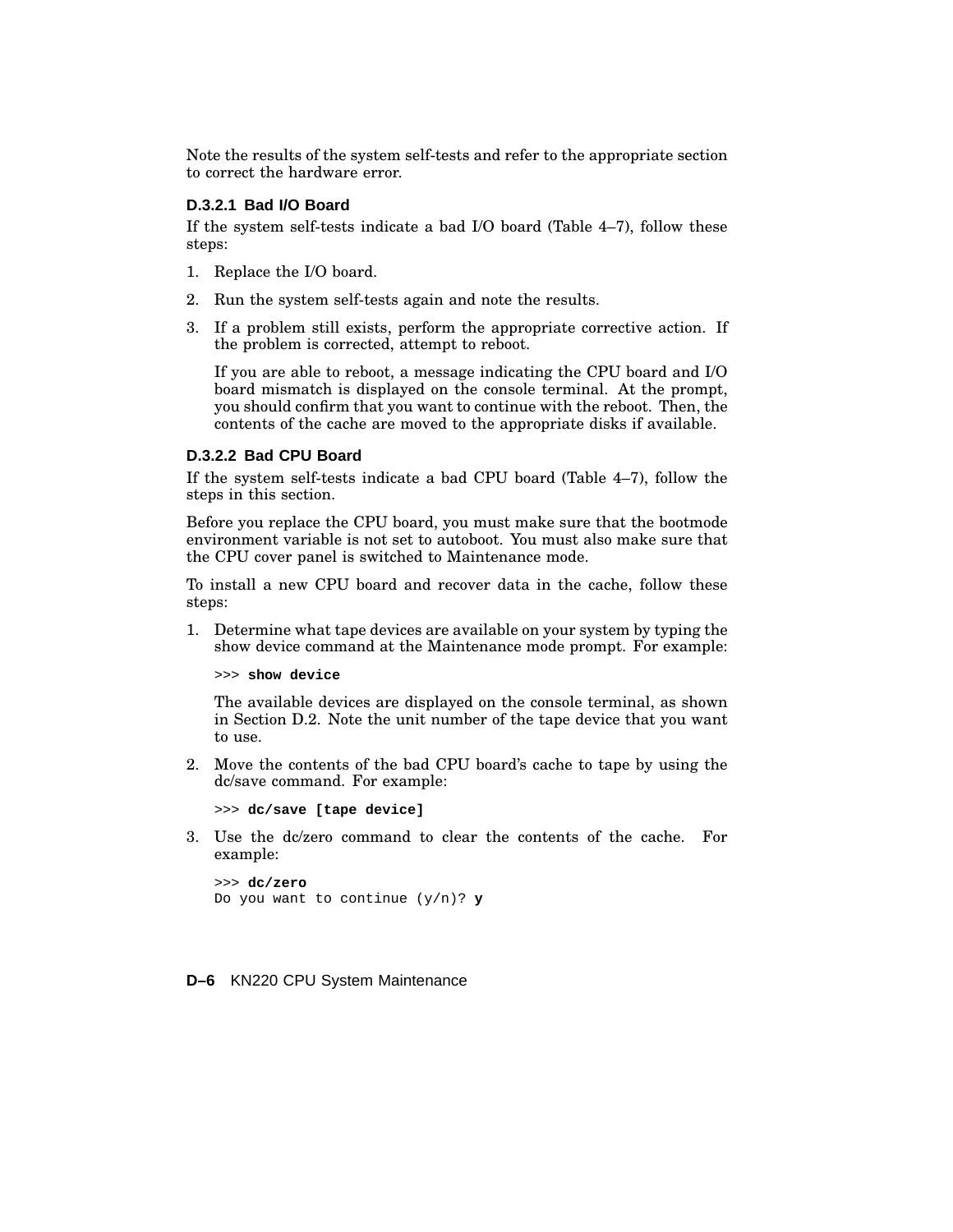Note the results of the system self-tests and refer to the appropriate section to correct the hardware error.

#### **D.3.2.1 Bad I/O Board**

If the system self-tests indicate a bad I/O board (Table 4–7), follow these steps:

- 1. Replace the I/O board.
- 2. Run the system self-tests again and note the results.
- 3. If a problem still exists, perform the appropriate corrective action. If the problem is corrected, attempt to reboot.

If you are able to reboot, a message indicating the CPU board and I/O board mismatch is displayed on the console terminal. At the prompt, you should confirm that you want to continue with the reboot. Then, the contents of the cache are moved to the appropriate disks if available.

#### **D.3.2.2 Bad CPU Board**

If the system self-tests indicate a bad CPU board (Table 4–7), follow the steps in this section.

Before you replace the CPU board, you must make sure that the bootmode environment variable is not set to autoboot. You must also make sure that the CPU cover panel is switched to Maintenance mode.

To install a new CPU board and recover data in the cache, follow these steps:

1. Determine what tape devices are available on your system by typing the show device command at the Maintenance mode prompt. For example:

>>> **show device**

The available devices are displayed on the console terminal, as shown in Section D.2. Note the unit number of the tape device that you want to use.

2. Move the contents of the bad CPU board's cache to tape by using the dc/save command. For example:

>>> **dc/save [tape device]**

3. Use the dc/zero command to clear the contents of the cache. For example:

```
>>> dc/zero
Do you want to continue (y/n)? y
```
**D–6** KN220 CPU System Maintenance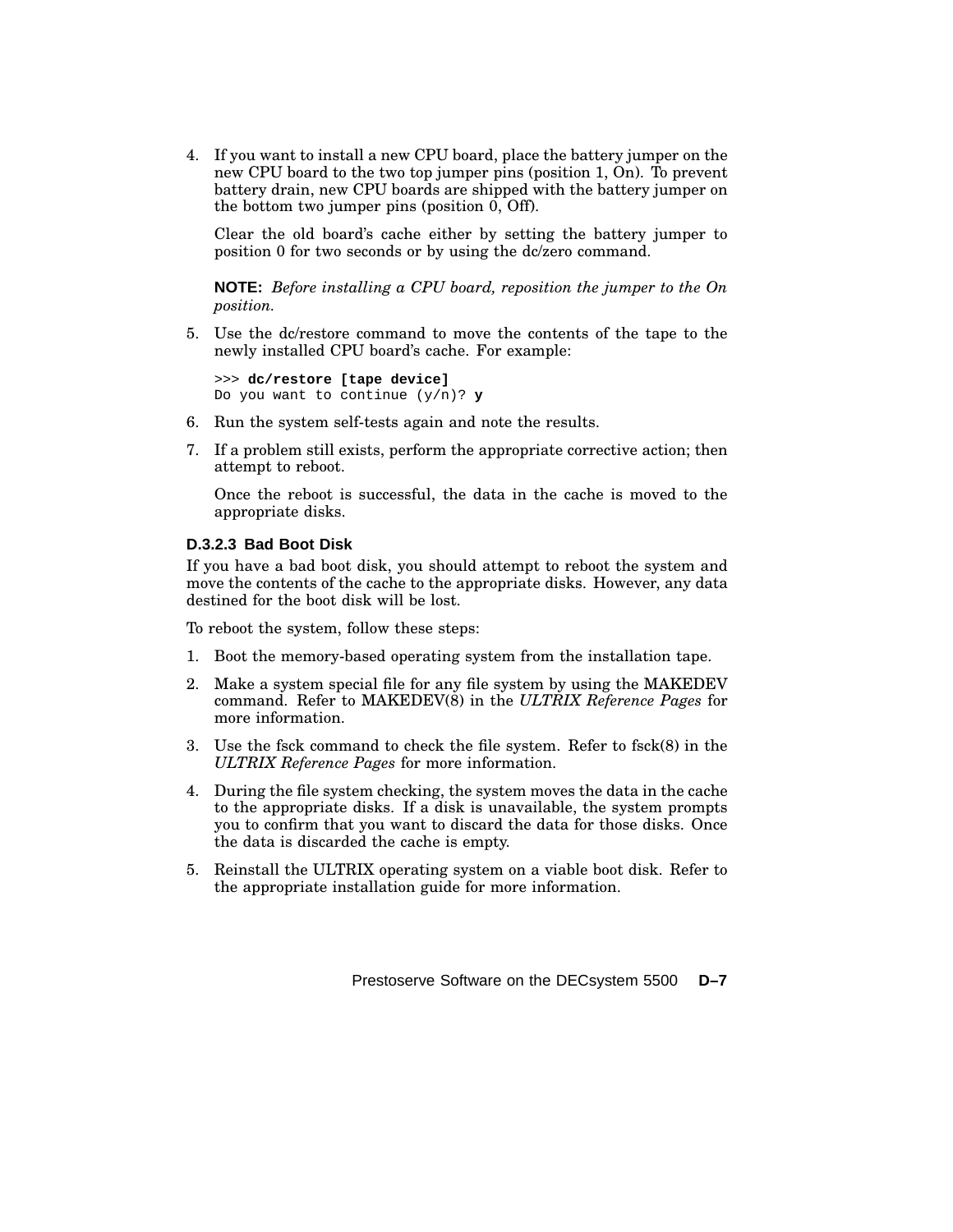4. If you want to install a new CPU board, place the battery jumper on the new CPU board to the two top jumper pins (position 1, On). To prevent battery drain, new CPU boards are shipped with the battery jumper on the bottom two jumper pins (position 0, Off).

Clear the old board's cache either by setting the battery jumper to position 0 for two seconds or by using the dc/zero command.

**NOTE:** *Before installing a CPU board, reposition the jumper to the On position.*

5. Use the dc/restore command to move the contents of the tape to the newly installed CPU board's cache. For example:

```
>>> dc/restore [tape device]
Do you want to continue (y/n)? y
```
- 6. Run the system self-tests again and note the results.
- 7. If a problem still exists, perform the appropriate corrective action; then attempt to reboot.

Once the reboot is successful, the data in the cache is moved to the appropriate disks.

#### **D.3.2.3 Bad Boot Disk**

If you have a bad boot disk, you should attempt to reboot the system and move the contents of the cache to the appropriate disks. However, any data destined for the boot disk will be lost.

To reboot the system, follow these steps:

- 1. Boot the memory-based operating system from the installation tape.
- 2. Make a system special file for any file system by using the MAKEDEV command. Refer to MAKEDEV(8) in the *ULTRIX Reference Pages* for more information.
- 3. Use the fsck command to check the file system. Refer to fsck(8) in the *ULTRIX Reference Pages* for more information.
- 4. During the file system checking, the system moves the data in the cache to the appropriate disks. If a disk is unavailable, the system prompts you to confirm that you want to discard the data for those disks. Once the data is discarded the cache is empty.
- 5. Reinstall the ULTRIX operating system on a viable boot disk. Refer to the appropriate installation guide for more information.

Prestoserve Software on the DECsystem 5500 **D–7**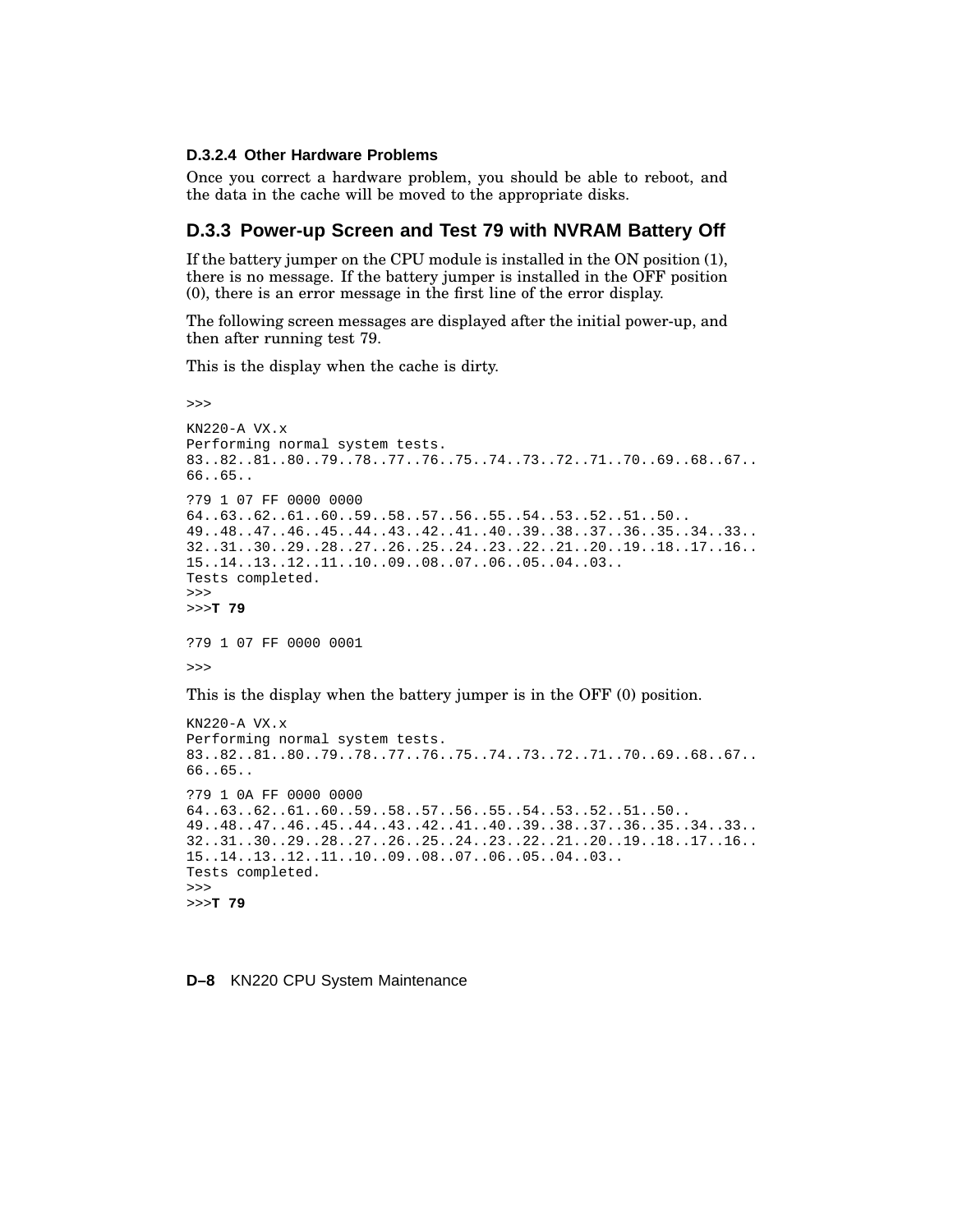#### **D.3.2.4 Other Hardware Problems**

Once you correct a hardware problem, you should be able to reboot, and the data in the cache will be moved to the appropriate disks.

#### **D.3.3 Power-up Screen and Test 79 with NVRAM Battery Off**

If the battery jumper on the CPU module is installed in the ON position (1), there is no message. If the battery jumper is installed in the OFF position (0), there is an error message in the first line of the error display.

The following screen messages are displayed after the initial power-up, and then after running test 79.

This is the display when the cache is dirty.

```
>>>
KN220-A VX.x
Performing normal system tests.
83..82..81..80..79..78..77..76..75..74..73..72..71..70..69..68..67..
66..65..
?79 1 07 FF 0000 0000
64..63..62..61..60..59..58..57..56..55..54..53..52..51..50..
49..48..47..46..45..44..43..42..41..40..39..38..37..36..35..34..33..
32..31..30..29..28..27..26..25..24..23..22..21..20..19..18..17..16..
15..14..13..12..11..10..09..08..07..06..05..04..03..
Tests completed.
>>>
>>>T 79
?79 1 07 FF 0000 0001
\rightarrowThis is the display when the battery jumper is in the OFF (0) position.
KN220-A VX.x
Performing normal system tests.
83..82..81..80..79..78..77..76..75..74..73..72..71..70..69..68..67..
66..65..
?79 1 0A FF 0000 0000
64..63..62..61..60..59..58..57..56..55..54..53..52..51..50..
49..48..47..46..45..44..43..42..41..40..39..38..37..36..35..34..33..
32..31..30..29..28..27..26..25..24..23..22..21..20..19..18..17..16..
15..14..13..12..11..10..09..08..07..06..05..04..03..
Tests completed.
```
>>> >>>**T 79**

**D–8** KN220 CPU System Maintenance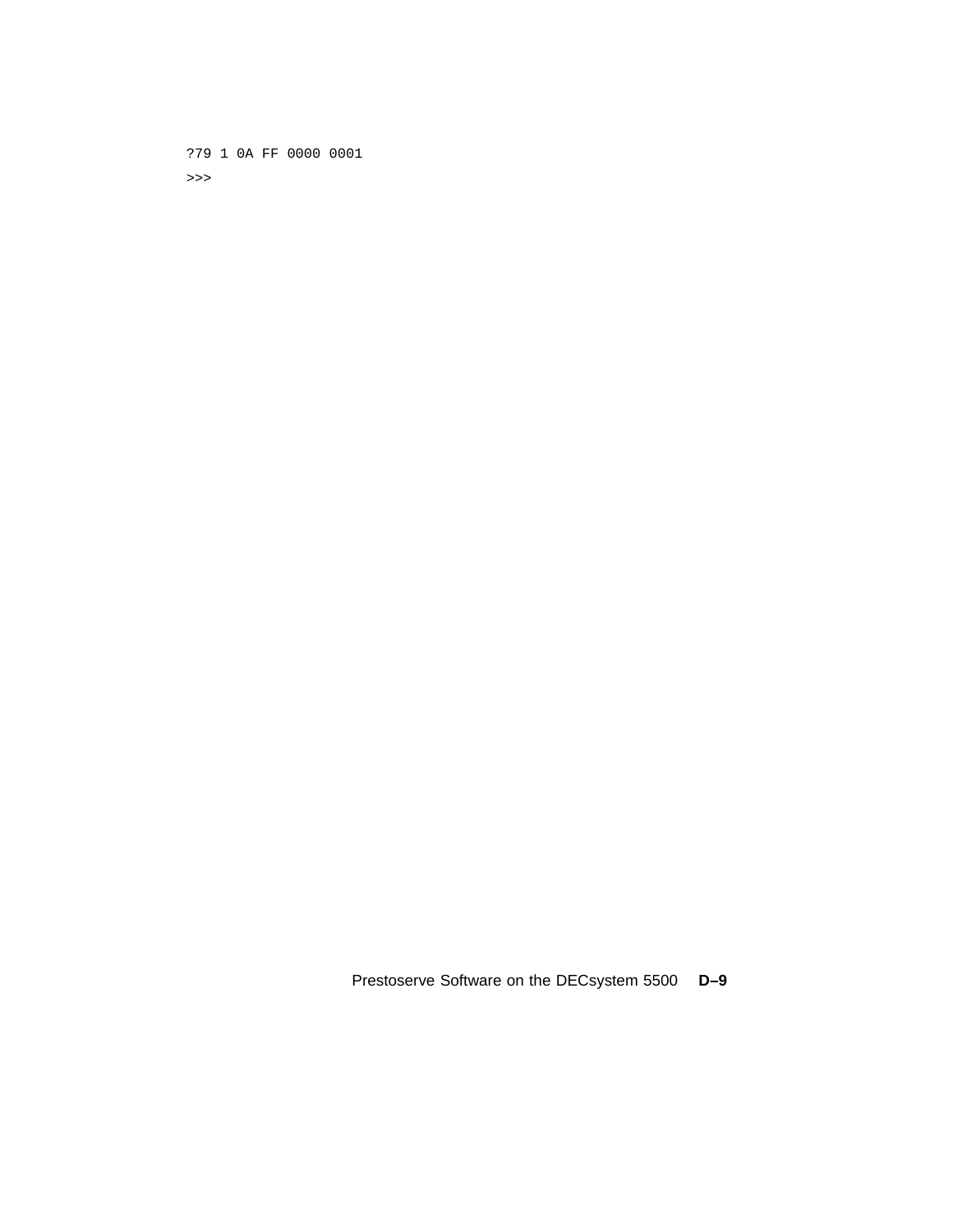?79 1 0A FF 0000 0001 >>>

Prestoserve Software on the DECsystem 5500 **D–9**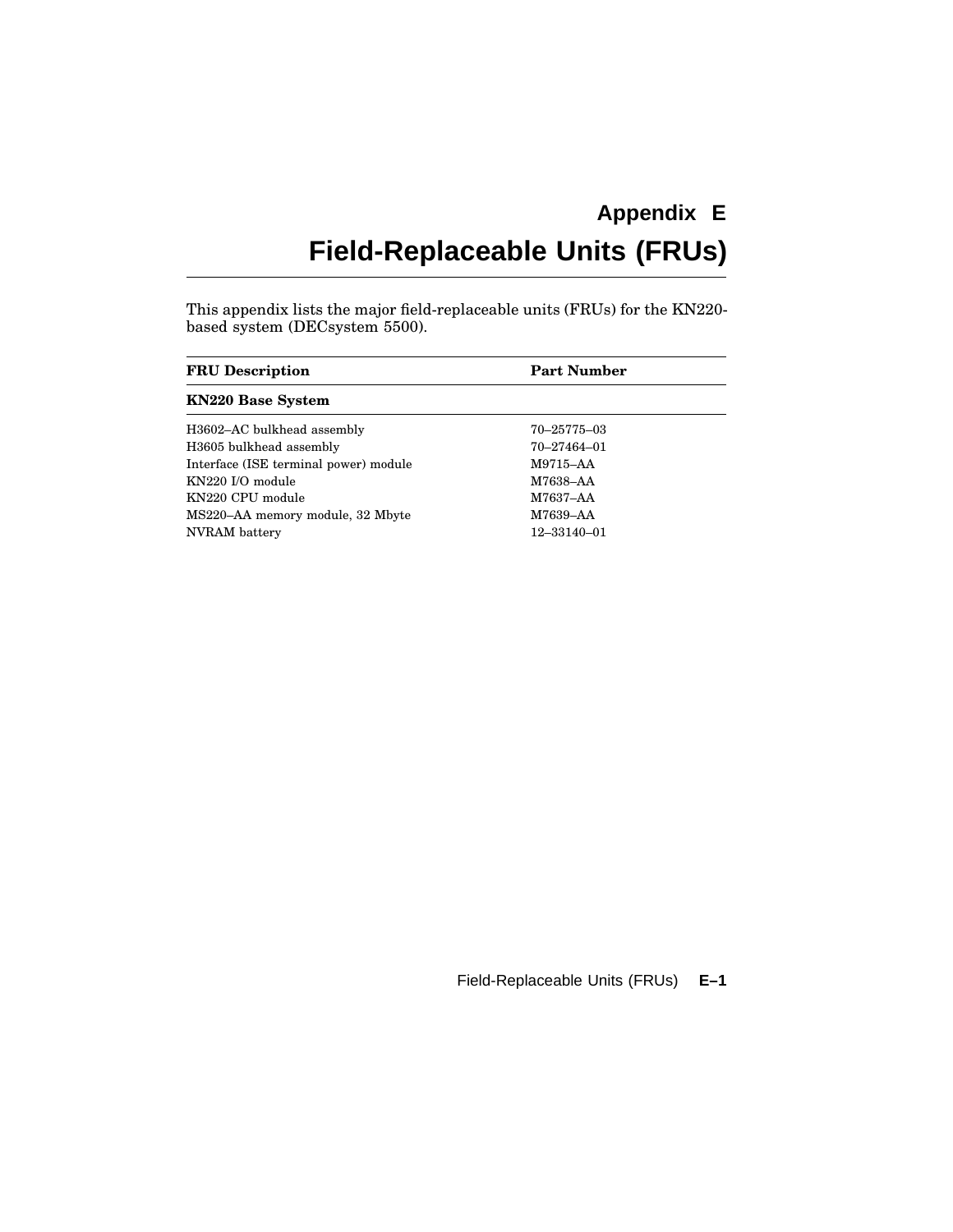## **Appendix E Field-Replaceable Units (FRUs)**

This appendix lists the major field-replaceable units (FRUs) for the KN220 based system (DECsystem 5500).

| <b>FRU</b> Description                | <b>Part Number</b> |  |
|---------------------------------------|--------------------|--|
| <b>KN220 Base System</b>              |                    |  |
| H3602-AC bulkhead assembly            | 70-25775-03        |  |
| H3605 bulkhead assembly               | 70-27464-01        |  |
| Interface (ISE terminal power) module | M9715-AA           |  |
| KN220 I/O module                      | M7638-AA           |  |
| KN220 CPU module                      | M7637-AA           |  |
| MS220-AA memory module, 32 Mbyte      | M7639-AA           |  |
| NVRAM battery                         | 12-33140-01        |  |

Field-Replaceable Units (FRUs) **E–1**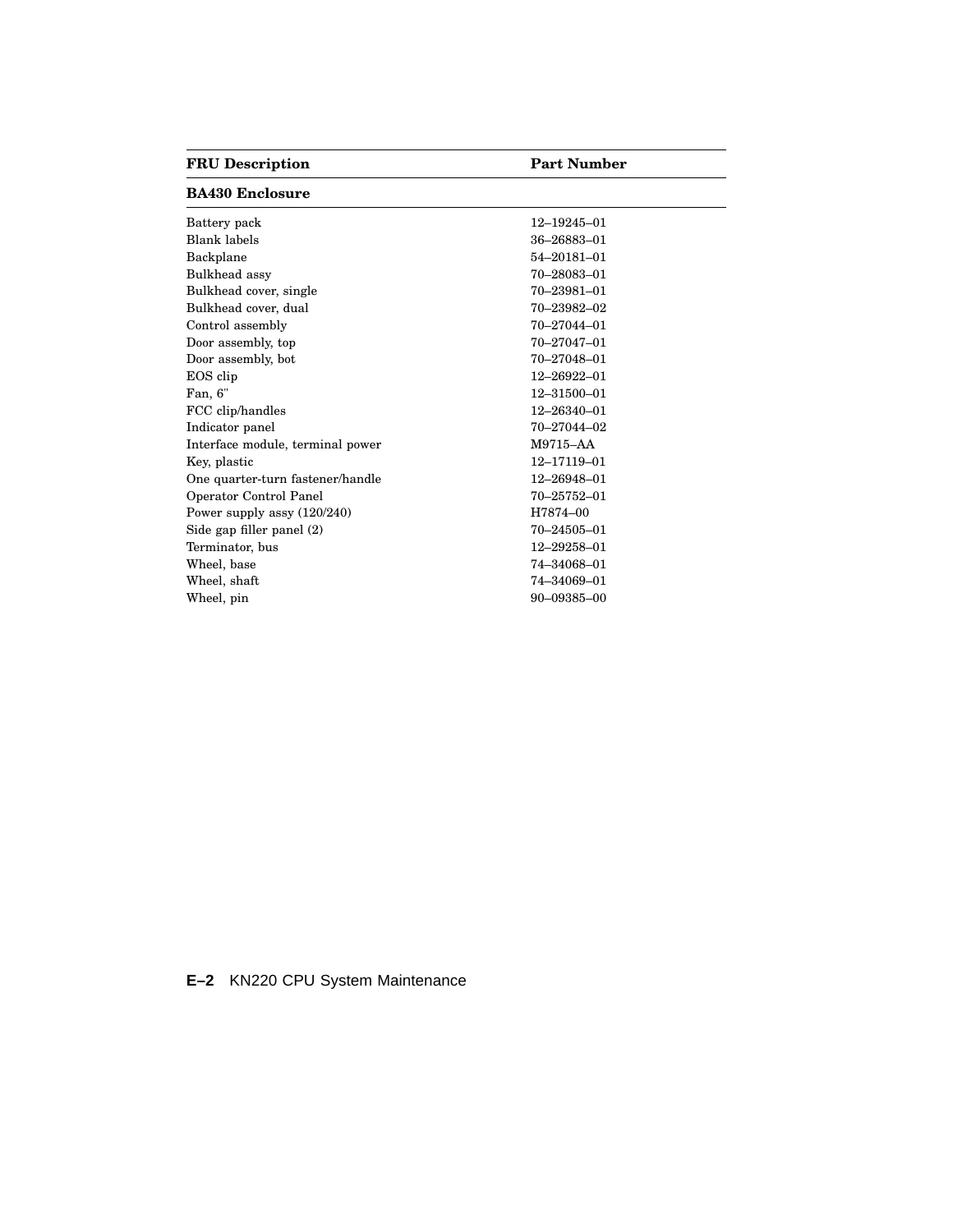### **FRU Description Part Number**

### **BA430 Enclosure**

| Battery pack                     | 12-19245-01       |
|----------------------------------|-------------------|
| <b>Blank labels</b>              | 36-26883-01       |
| Backplane                        | 54-20181-01       |
| Bulkhead assy                    | 70-28083-01       |
| Bulkhead cover, single           | 70-23981-01       |
| Bulkhead cover, dual             | 70-23982-02       |
| Control assembly                 | $70 - 27044 - 01$ |
| Door assembly, top               | $70 - 27047 - 01$ |
| Door assembly, bot               | 70-27048-01       |
| EOS clip                         | 12-26922-01       |
| Fan, 6"                          | $12 - 31500 - 01$ |
| FCC clip/handles                 | $12 - 26340 - 01$ |
| Indicator panel                  | 70-27044-02       |
| Interface module, terminal power | M9715-AA          |
| Key, plastic                     | 12-17119-01       |
| One quarter-turn fastener/handle | 12-26948-01       |
| Operator Control Panel           | 70-25752-01       |
| Power supply assy $(120/240)$    | H7874-00          |
| Side gap filler panel (2)        | $70 - 24505 - 01$ |
| Terminator, bus                  | 12-29258-01       |
| Wheel, base                      | 74-34068-01       |
| Wheel, shaft                     | 74-34069-01       |
| Wheel, pin                       | 90-09385-00       |
|                                  |                   |

### **E–2** KN220 CPU System Maintenance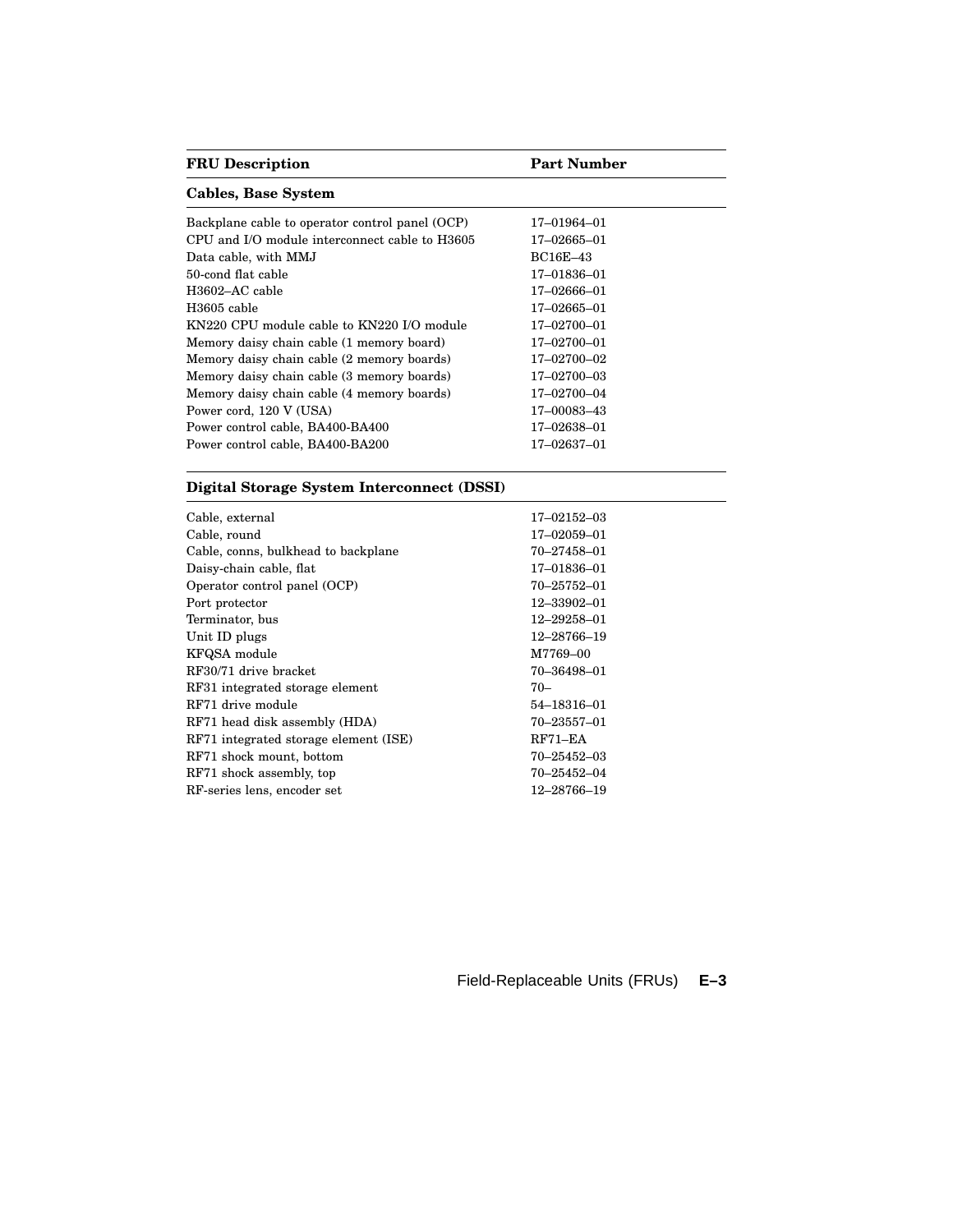| <b>FRU</b> Description                          | <b>Part Number</b> |  |  |
|-------------------------------------------------|--------------------|--|--|
| <b>Cables, Base System</b>                      |                    |  |  |
| Backplane cable to operator control panel (OCP) | 17-01964-01        |  |  |
| CPU and I/O module interconnect cable to H3605  | 17-02665-01        |  |  |
| Data cable, with MMJ                            | <b>BC16E-43</b>    |  |  |
| 50-cond flat cable                              | 17-01836-01        |  |  |
| H <sub>3602</sub> -AC cable                     | 17-02666-01        |  |  |
| H3605 cable                                     | $17 - 02665 - 01$  |  |  |
| KN220 CPU module cable to KN220 I/O module      | $17 - 02700 - 01$  |  |  |
| Memory daisy chain cable (1 memory board)       | $17 - 02700 - 01$  |  |  |
| Memory daisy chain cable (2 memory boards)      | 17-02700-02        |  |  |
| Memory daisy chain cable (3 memory boards)      | 17-02700-03        |  |  |
| Memory daisy chain cable (4 memory boards)      | 17-02700-04        |  |  |
| Power cord, 120 V (USA)                         | 17-00083-43        |  |  |
| Power control cable, BA400-BA400                | 17–02638–01        |  |  |
| Power control cable, BA400-BA200                | 17–02637–01        |  |  |

### **Digital Storage System Interconnect (DSSI)**

| Cable, external                       | 17-02152-03       |
|---------------------------------------|-------------------|
| Cable, round                          | $17 - 02059 - 01$ |
| Cable, conns, bulkhead to backplane   | 70–27458–01       |
| Daisy-chain cable, flat               | 17-01836-01       |
| Operator control panel (OCP)          | 70-25752-01       |
| Port protector                        | 12-33902-01       |
| Terminator, bus                       | 12-29258-01       |
| Unit ID plugs                         | 12–28766–19       |
| KFQSA module                          | M7769-00          |
| RF30/71 drive bracket                 | 70-36498-01       |
| RF31 integrated storage element       | $70-$             |
| RF71 drive module                     | 54–18316–01       |
| RF71 head disk assembly (HDA)         | 70-23557-01       |
| RF71 integrated storage element (ISE) | $RF71 - EA$       |
| RF71 shock mount, bottom              | 70–25452–03       |
| RF71 shock assembly, top              | 70-25452-04       |
| RF-series lens, encoder set           | 12–28766–19       |

Field-Replaceable Units (FRUs) **E–3**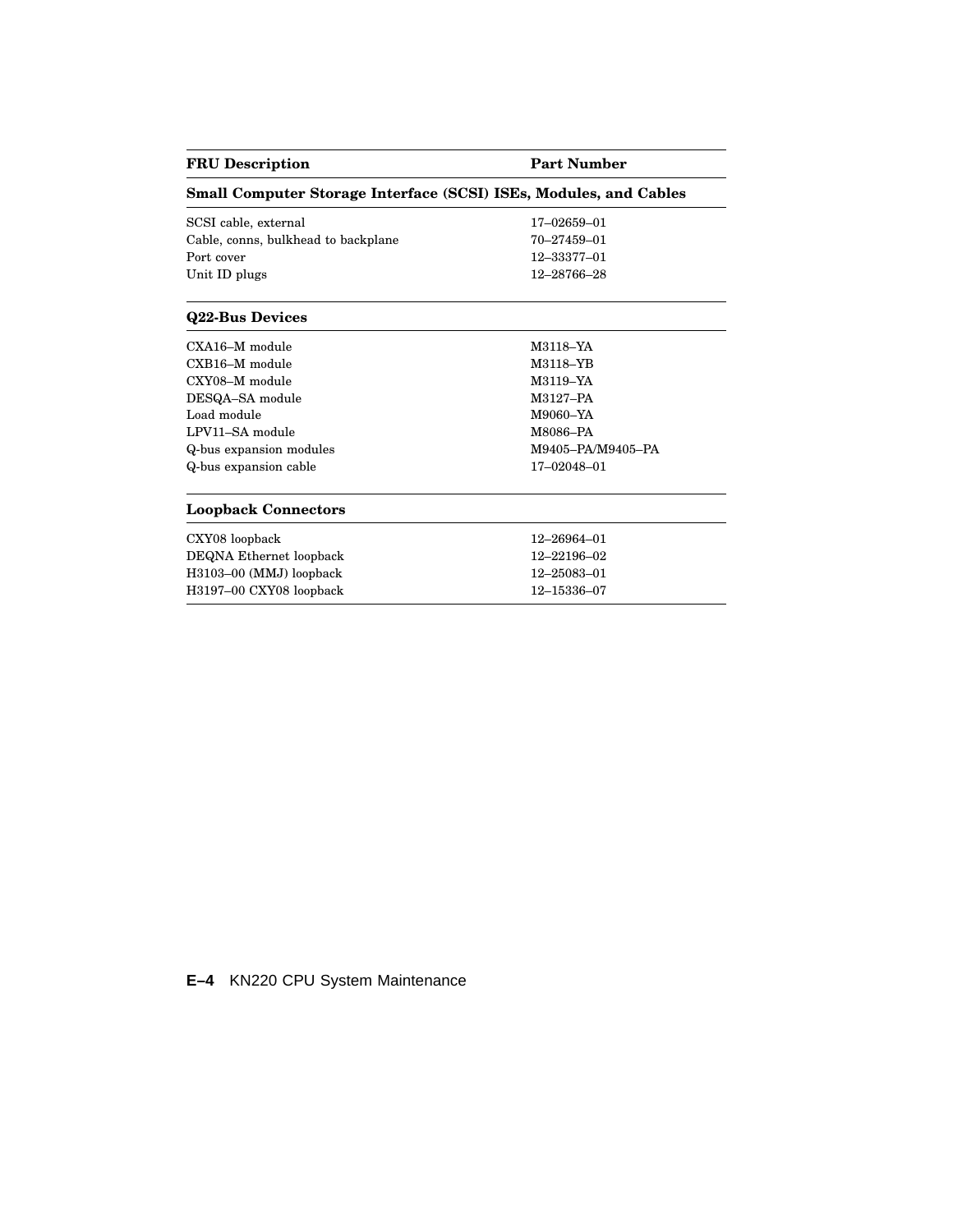| <b>FRU</b> Description                                                   | <b>Part Number</b> |
|--------------------------------------------------------------------------|--------------------|
| <b>Small Computer Storage Interface (SCSI) ISEs, Modules, and Cables</b> |                    |
| SCSI cable, external                                                     | 17-02659-01        |
| Cable, conns, bulkhead to backplane                                      | 70-27459-01        |
| Port cover                                                               | 12-33377-01        |
| Unit ID plugs                                                            | 12-28766-28        |
| <b>Q22-Bus Devices</b>                                                   |                    |
| $\text{CXA}$ 16–M module                                                 | M3118-YA           |
| CXB16-M module                                                           | M3118-YB           |
| CXY08-M module                                                           | M3119-YA           |
| DESQA-SA module                                                          | M3127-PA           |
| Load module                                                              | M9060-YA           |
| LPV11-SA module                                                          | M8086-PA           |
| Q-bus expansion modules                                                  | M9405-PA/M9405-PA  |
| Q-bus expansion cable                                                    | 17-02048-01        |
| <b>Loopback Connectors</b>                                               |                    |
| CXY08 loopback                                                           | 12-26964-01        |
| DEQNA Ethernet loopback                                                  | 12-22196-02        |
| H3103-00 (MMJ) loopback                                                  | 12-25083-01        |
| H3197-00 CXY08 loopback                                                  | 12-15336-07        |
|                                                                          |                    |

 $\overline{\phantom{0}}$ 

 $\overline{\phantom{0}}$ 

**E–4** KN220 CPU System Maintenance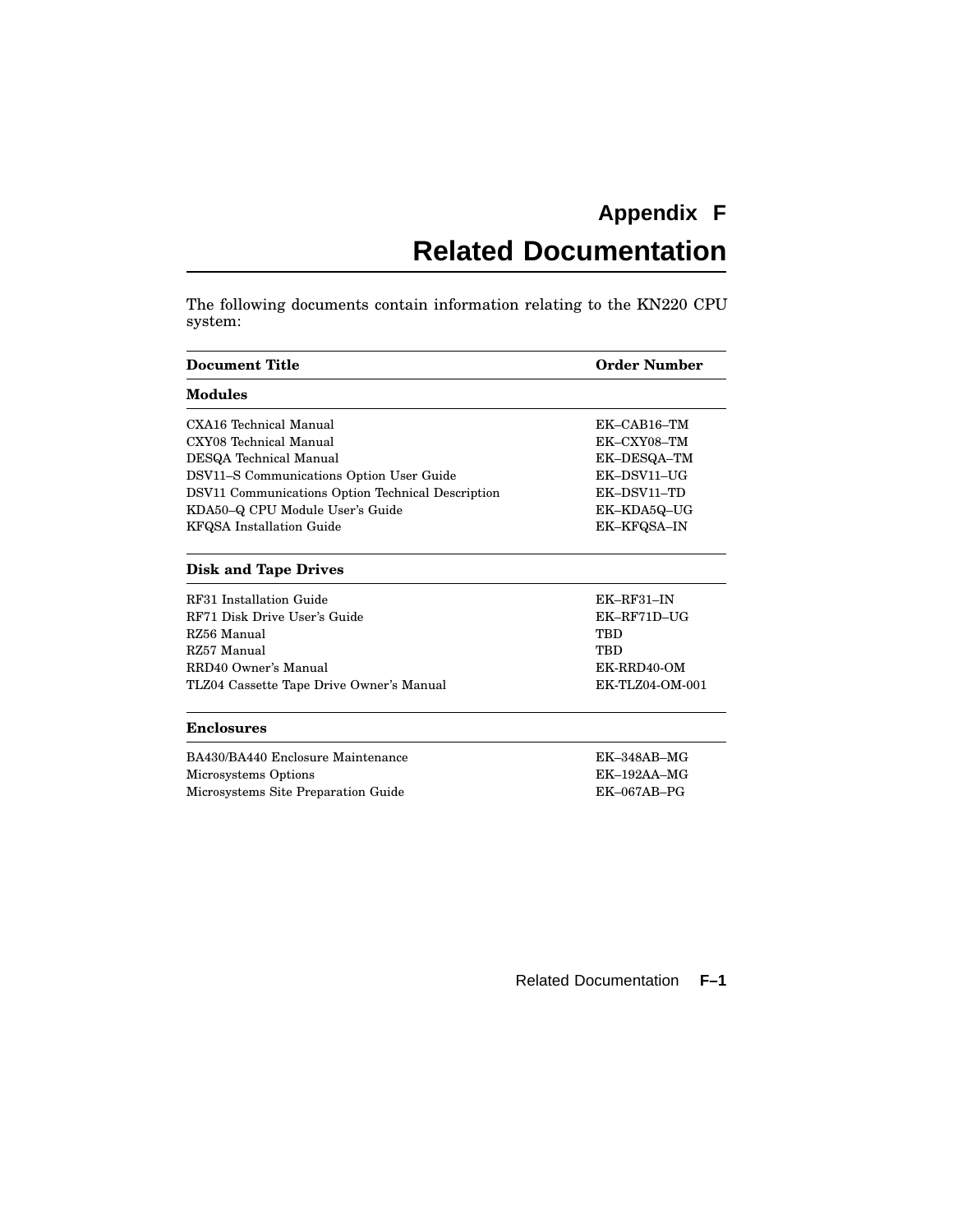## **Appendix F**

# **Related Documentation**

The following documents contain information relating to the KN220 CPU system:

| <b>Document Title</b>                             | <b>Order Number</b> |  |
|---------------------------------------------------|---------------------|--|
| <b>Modules</b>                                    |                     |  |
| CXA16 Technical Manual                            | $EK-CAB16$ -TM      |  |
| CXY08 Technical Manual                            | EK-CXY08-TM         |  |
| DESQA Technical Manual                            | EK-DESQA-TM         |  |
| DSV11-S Communications Option User Guide          | EK-DSV11-UG         |  |
| DSV11 Communications Option Technical Description | EK-DSV11-TD         |  |
| KDA50-Q CPU Module User's Guide                   | EK-KDA5Q-UG         |  |
| <b>KFQSA</b> Installation Guide                   | <b>EK-KFQSA-IN</b>  |  |
| <b>Disk and Tape Drives</b>                       |                     |  |
| RF31 Installation Guide                           | $EK$ -RF31-IN       |  |
| RF71 Disk Drive User's Guide                      | EK-RF71D-UG         |  |
| RZ56 Manual                                       | <b>TBD</b>          |  |
| RZ57 Manual                                       | TBD                 |  |
| RRD40 Owner's Manual                              | EK-RRD40-OM         |  |
| TLZ04 Cassette Tape Drive Owner's Manual          | EK-TLZ04-OM-001     |  |
| <b>Enclosures</b>                                 |                     |  |
| BA430/BA440 Enclosure Maintenance                 | $EK-348AB-MG$       |  |
| Microsystems Options                              | $EK-192AA-MG$       |  |
| Microsystems Site Preparation Guide               | $EK-067AB-PG$       |  |

Related Documentation **F–1**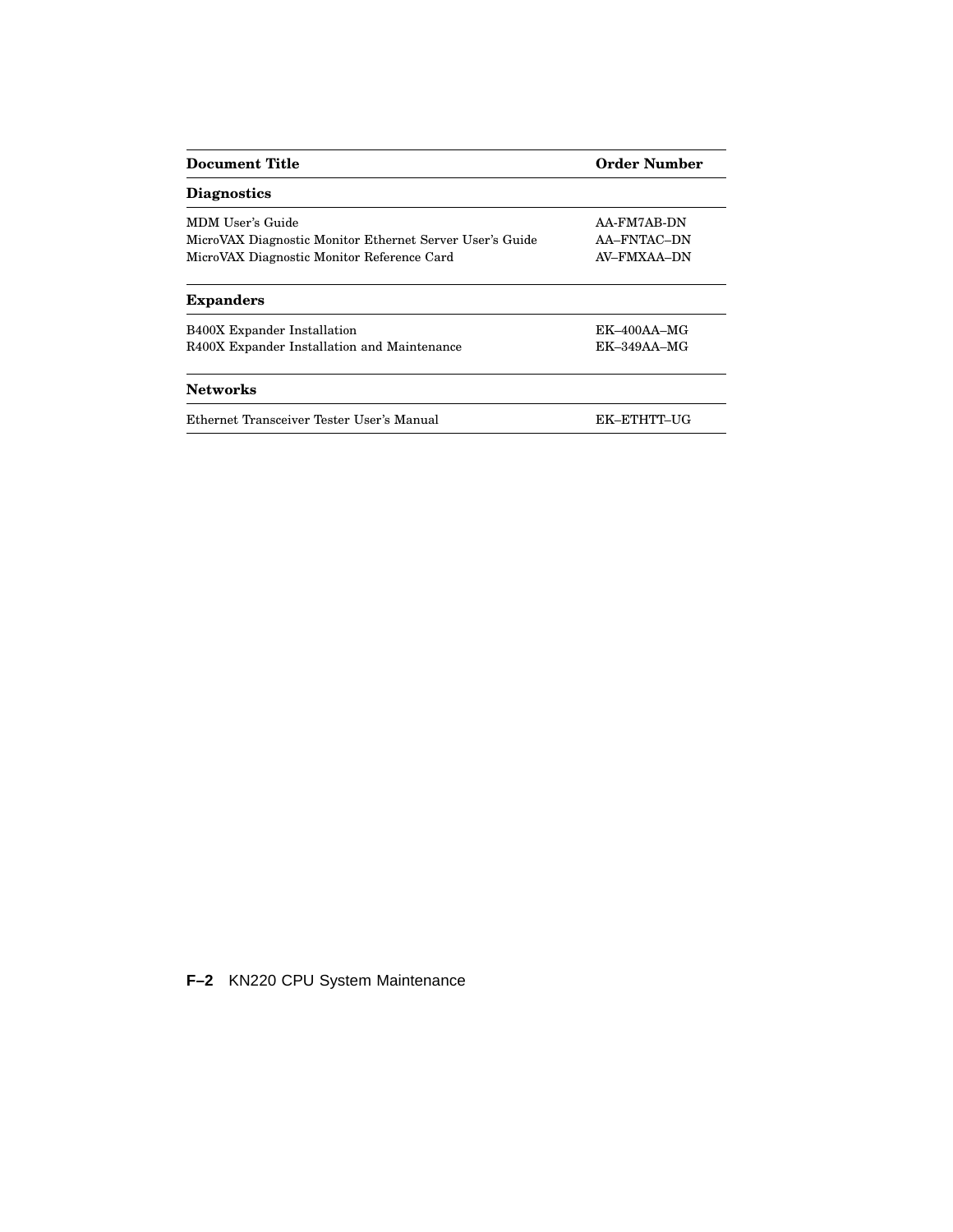| Document Title                                           | <b>Order Number</b> |
|----------------------------------------------------------|---------------------|
| <b>Diagnostics</b>                                       |                     |
| MDM User's Guide                                         | AA-FM7AB-DN         |
| MicroVAX Diagnostic Monitor Ethernet Server User's Guide | AA-FNTAC-DN         |
| MicroVAX Diagnostic Monitor Reference Card               | AV-FMXAA-DN         |
| <b>Expanders</b>                                         |                     |
| <b>B400X</b> Expander Installation                       | $EK-400AA-MG$       |
| R400X Expander Installation and Maintenance              | $EK-349AA-MG$       |
| <b>Networks</b>                                          |                     |
| Ethernet Transceiver Tester User's Manual                | EK-ETHTT-UG         |

**F–2** KN220 CPU System Maintenance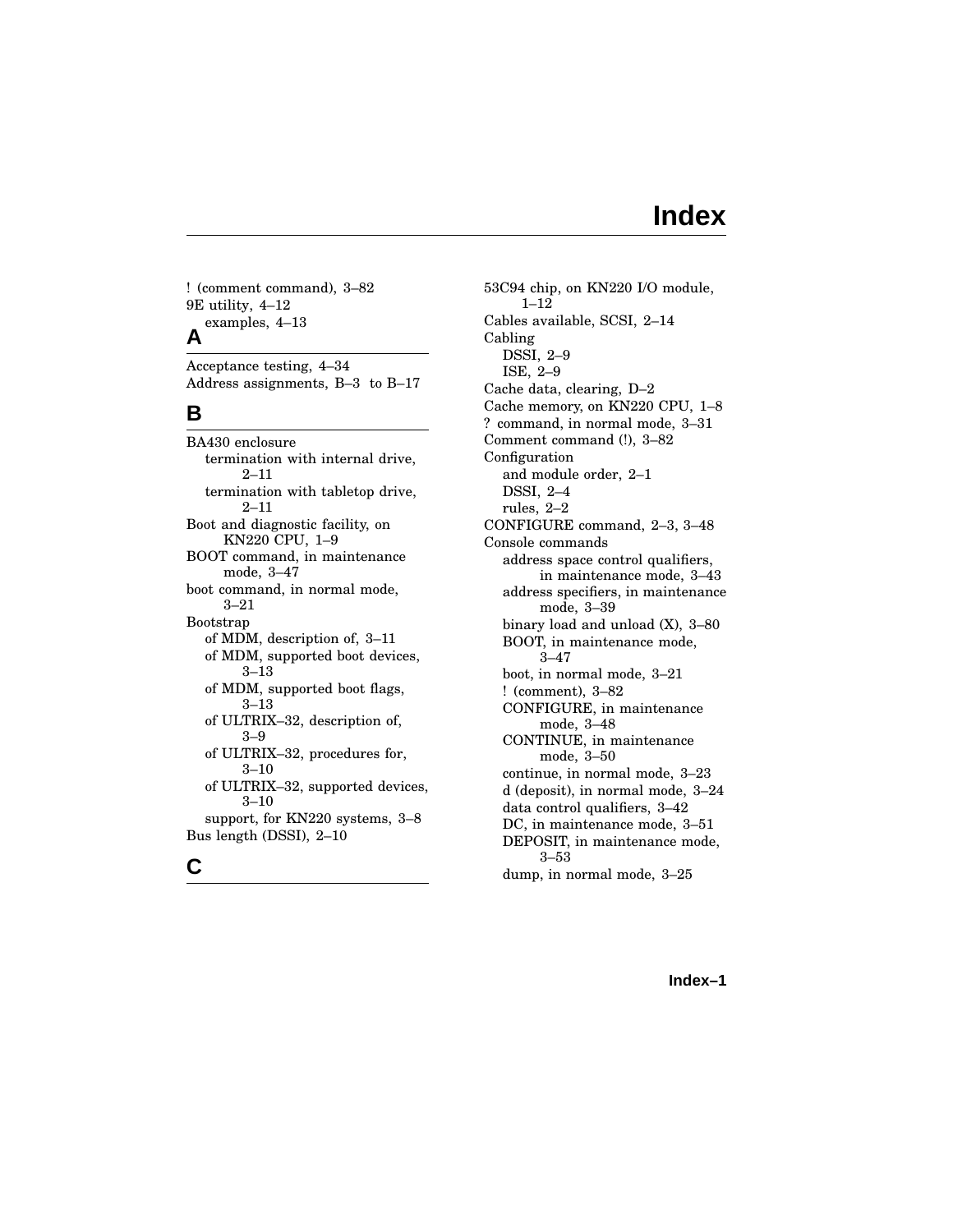## **Index**

! (comment command), 3–82 9E utility, 4–12 examples, 4–13 **A**

Acceptance testing, 4–34 Address assignments, B–3 to B–17

#### **B**

BA430 enclosure termination with internal drive, 2–11 termination with tabletop drive, 2–11 Boot and diagnostic facility, on KN220 CPU, 1–9 BOOT command, in maintenance mode, 3–47 boot command, in normal mode, 3–21 Bootstrap of MDM, description of, 3–11 of MDM, supported boot devices, 3–13 of MDM, supported boot flags, 3–13 of ULTRIX–32, description of, 3–9 of ULTRIX–32, procedures for, 3–10 of ULTRIX–32, supported devices, 3–10 support, for KN220 systems, 3–8 Bus length (DSSI), 2–10 **C**

53C94 chip, on KN220 I/O module, 1–12 Cables available, SCSI, 2–14 Cabling DSSI, 2–9 ISE, 2–9 Cache data, clearing, D–2 Cache memory, on KN220 CPU, 1–8 ? command, in normal mode, 3–31 Comment command (!), 3–82 Configuration and module order, 2–1 DSSI, 2–4 rules, 2–2 CONFIGURE command, 2–3, 3–48 Console commands address space control qualifiers, in maintenance mode, 3–43 address specifiers, in maintenance mode, 3–39 binary load and unload (X), 3–80 BOOT, in maintenance mode, 3–47 boot, in normal mode, 3–21 ! (comment), 3–82 CONFIGURE, in maintenance mode, 3–48 CONTINUE, in maintenance mode, 3–50 continue, in normal mode, 3–23 d (deposit), in normal mode, 3–24 data control qualifiers, 3–42 DC, in maintenance mode, 3–51 DEPOSIT, in maintenance mode, 3–53 dump, in normal mode, 3–25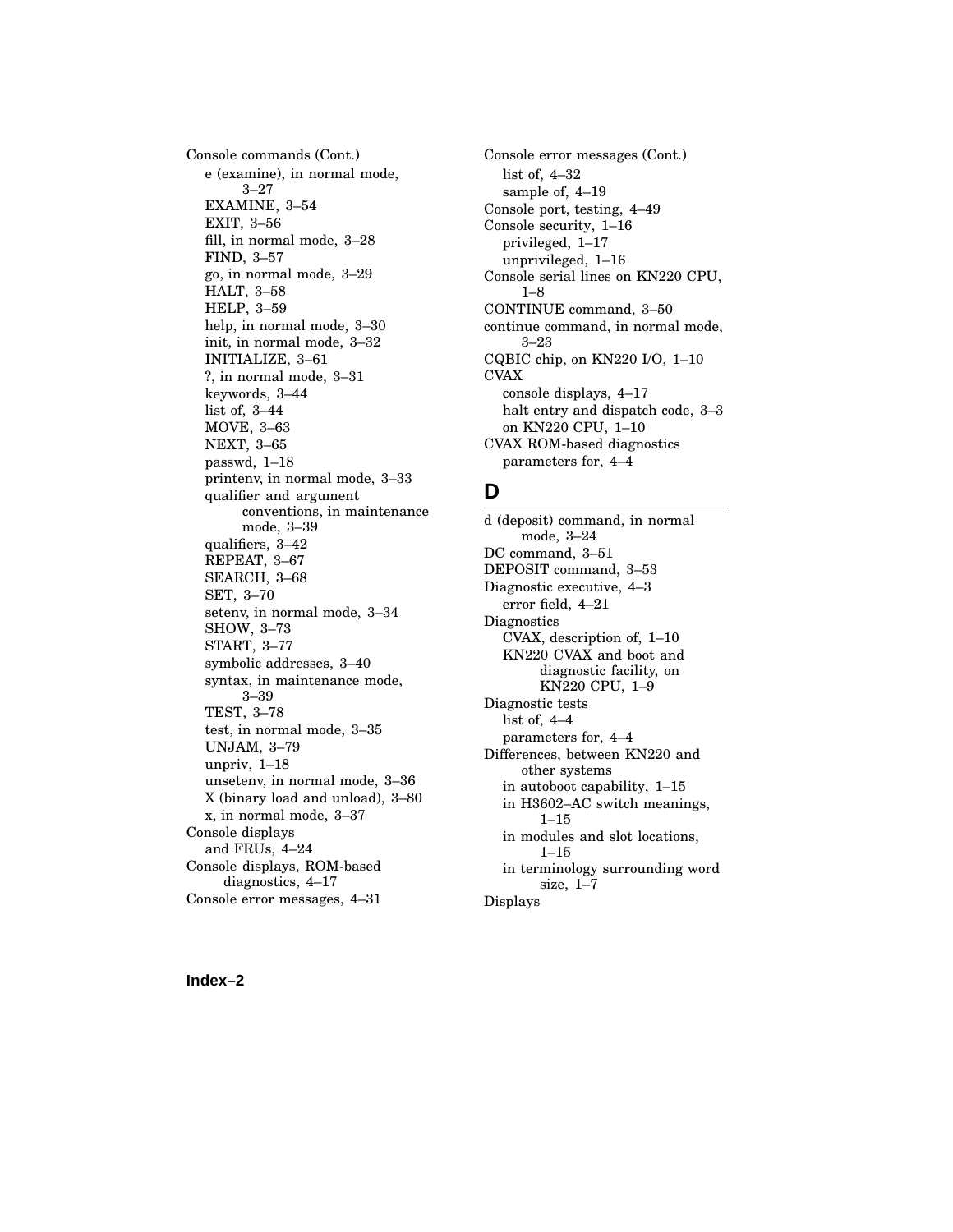Console commands (Cont.) e (examine), in normal mode, 3–27 EXAMINE, 3–54 EXIT, 3–56 fill, in normal mode, 3–28 FIND, 3–57 go, in normal mode, 3–29 HALT, 3–58 HELP, 3–59 help, in normal mode, 3–30 init, in normal mode, 3–32 INITIALIZE, 3–61 ?, in normal mode, 3–31 keywords, 3–44 list of, 3–44 MOVE, 3–63 NEXT, 3–65 passwd, 1–18 printenv, in normal mode, 3–33 qualifier and argument conventions, in maintenance mode, 3–39 qualifiers, 3–42 REPEAT, 3–67 SEARCH, 3–68 SET, 3–70 setenv, in normal mode, 3–34 SHOW, 3–73 START, 3–77 symbolic addresses, 3–40 syntax, in maintenance mode, 3–39 TEST, 3–78 test, in normal mode, 3–35 UNJAM, 3–79 unpriv, 1–18 unsetenv, in normal mode, 3–36 X (binary load and unload), 3–80 x, in normal mode, 3–37 Console displays and FRUs, 4–24 Console displays, ROM-based diagnostics, 4–17 Console error messages, 4–31

Console error messages (Cont.) list of, 4–32 sample of, 4–19 Console port, testing, 4–49 Console security, 1–16 privileged, 1–17 unprivileged, 1–16 Console serial lines on KN220 CPU, 1–8 CONTINUE command, 3–50 continue command, in normal mode, 3–23 CQBIC chip, on KN220 I/O, 1–10 CVAX console displays, 4–17 halt entry and dispatch code, 3–3 on KN220 CPU, 1–10 CVAX ROM-based diagnostics parameters for, 4–4

#### **D**

d (deposit) command, in normal mode, 3–24 DC command, 3–51 DEPOSIT command, 3–53 Diagnostic executive, 4–3 error field, 4–21 **Diagnostics** CVAX, description of, 1–10 KN220 CVAX and boot and diagnostic facility, on KN220 CPU, 1–9 Diagnostic tests list of, 4–4 parameters for, 4–4 Differences, between KN220 and other systems in autoboot capability, 1–15 in H3602–AC switch meanings, 1–15 in modules and slot locations, 1–15 in terminology surrounding word size, 1–7 Displays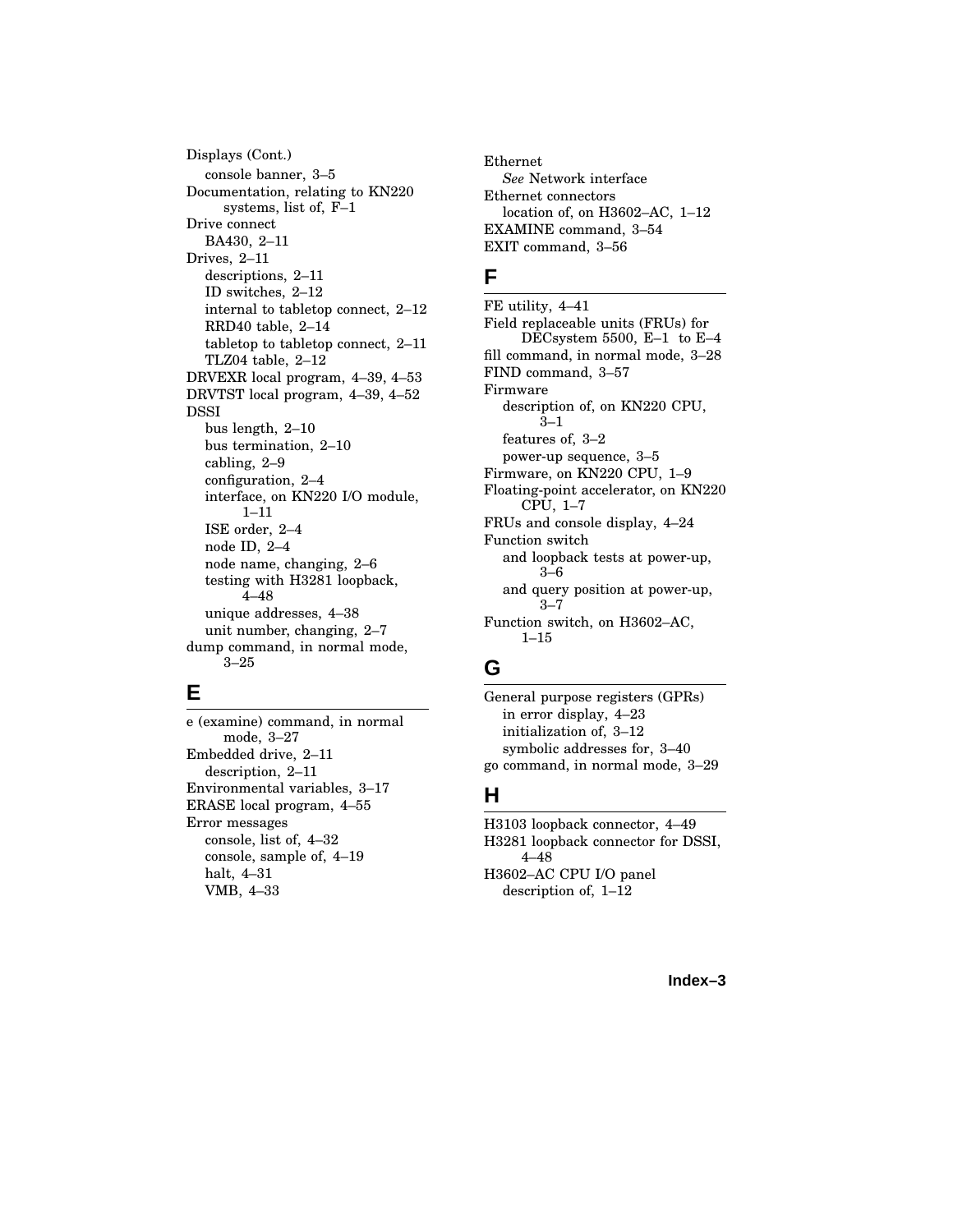Displays (Cont.) console banner, 3–5 Documentation, relating to KN220 systems, list of, F–1 Drive connect BA430, 2–11 Drives, 2–11 descriptions, 2–11 ID switches, 2–12 internal to tabletop connect, 2–12 RRD40 table, 2–14 tabletop to tabletop connect, 2–11 TLZ04 table, 2–12 DRVEXR local program, 4–39, 4–53 DRVTST local program, 4–39, 4–52 DSSI bus length, 2–10 bus termination, 2–10 cabling, 2–9 configuration, 2–4 interface, on KN220 I/O module, 1–11 ISE order, 2–4 node ID, 2–4 node name, changing, 2–6 testing with H3281 loopback, 4–48 unique addresses, 4–38 unit number, changing, 2–7 dump command, in normal mode, 3–25

## **E**

e (examine) command, in normal mode, 3–27 Embedded drive, 2–11 description, 2–11 Environmental variables, 3–17 ERASE local program, 4–55 Error messages console, list of, 4–32 console, sample of, 4–19 halt, 4–31 VMB, 4–33

Ethernet *See* Network interface Ethernet connectors location of, on H3602–AC, 1–12 EXAMINE command, 3–54 EXIT command, 3–56

### **F**

FE utility, 4–41 Field replaceable units (FRUs) for DECsystem 5500, E–1 to E–4 fill command, in normal mode, 3–28 FIND command, 3–57 Firmware description of, on KN220 CPU, 3–1 features of, 3–2 power-up sequence, 3–5 Firmware, on KN220 CPU, 1–9 Floating-point accelerator, on KN220 CPU, 1–7 FRUs and console display, 4–24 Function switch and loopback tests at power-up, 3–6 and query position at power-up, 3–7 Function switch, on H3602–AC,  $1 - 15$ 

## **G**

General purpose registers (GPRs) in error display, 4–23 initialization of, 3–12 symbolic addresses for, 3–40 go command, in normal mode, 3–29

## **H**

H3103 loopback connector, 4–49 H3281 loopback connector for DSSI, 4–48 H3602–AC CPU I/O panel description of, 1–12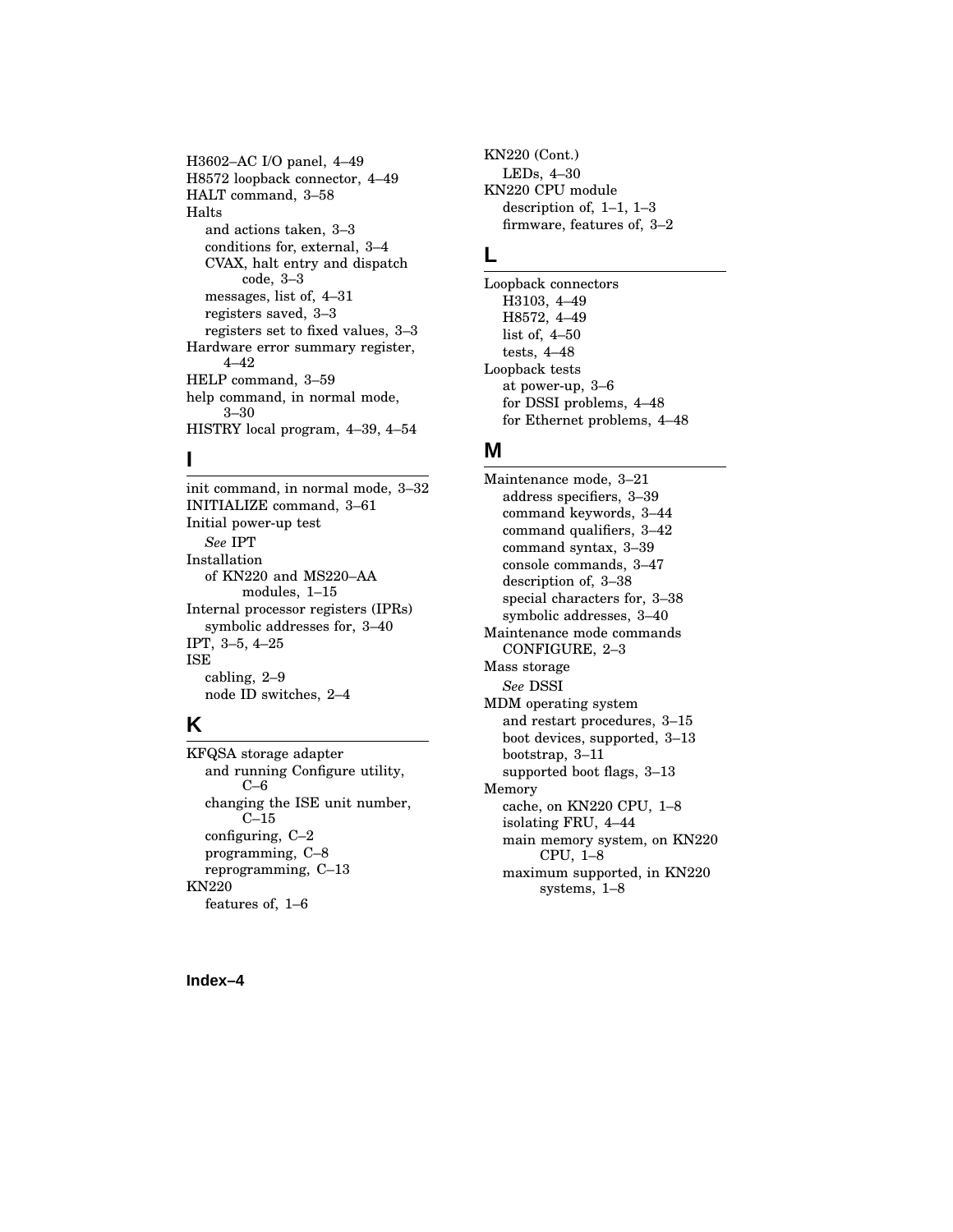H3602–AC I/O panel, 4–49 H8572 loopback connector, 4–49 HALT command, 3–58 Halts and actions taken, 3–3 conditions for, external, 3–4 CVAX, halt entry and dispatch code, 3–3 messages, list of, 4–31 registers saved, 3–3 registers set to fixed values, 3–3 Hardware error summary register, 4–42 HELP command, 3–59 help command, in normal mode, 3–30 HISTRY local program, 4–39, 4–54

### **I**

init command, in normal mode, 3–32 INITIALIZE command, 3–61 Initial power-up test *See* IPT Installation of KN220 and MS220–AA modules, 1–15 Internal processor registers (IPRs) symbolic addresses for, 3–40 IPT, 3–5, 4–25 ISE cabling, 2–9 node ID switches, 2–4

### **K**

KFQSA storage adapter and running Configure utility, C–6 changing the ISE unit number, C–15 configuring, C–2 programming, C–8 reprogramming, C–13 KN220 features of, 1–6

KN220 (Cont.) LEDs, 4–30 KN220 CPU module description of, 1–1, 1–3 firmware, features of, 3–2

#### **L**

Loopback connectors H3103, 4–49 H8572, 4–49 list of, 4–50 tests, 4–48 Loopback tests at power-up, 3–6 for DSSI problems, 4–48 for Ethernet problems, 4–48

#### **M**

Maintenance mode, 3–21 address specifiers, 3–39 command keywords, 3–44 command qualifiers, 3–42 command syntax, 3–39 console commands, 3–47 description of, 3–38 special characters for, 3–38 symbolic addresses, 3–40 Maintenance mode commands CONFIGURE, 2–3 Mass storage *See* DSSI MDM operating system and restart procedures, 3–15 boot devices, supported, 3–13 bootstrap, 3–11 supported boot flags, 3–13 Memory cache, on KN220 CPU, 1–8 isolating FRU, 4–44 main memory system, on KN220 CPU, 1–8 maximum supported, in KN220 systems, 1–8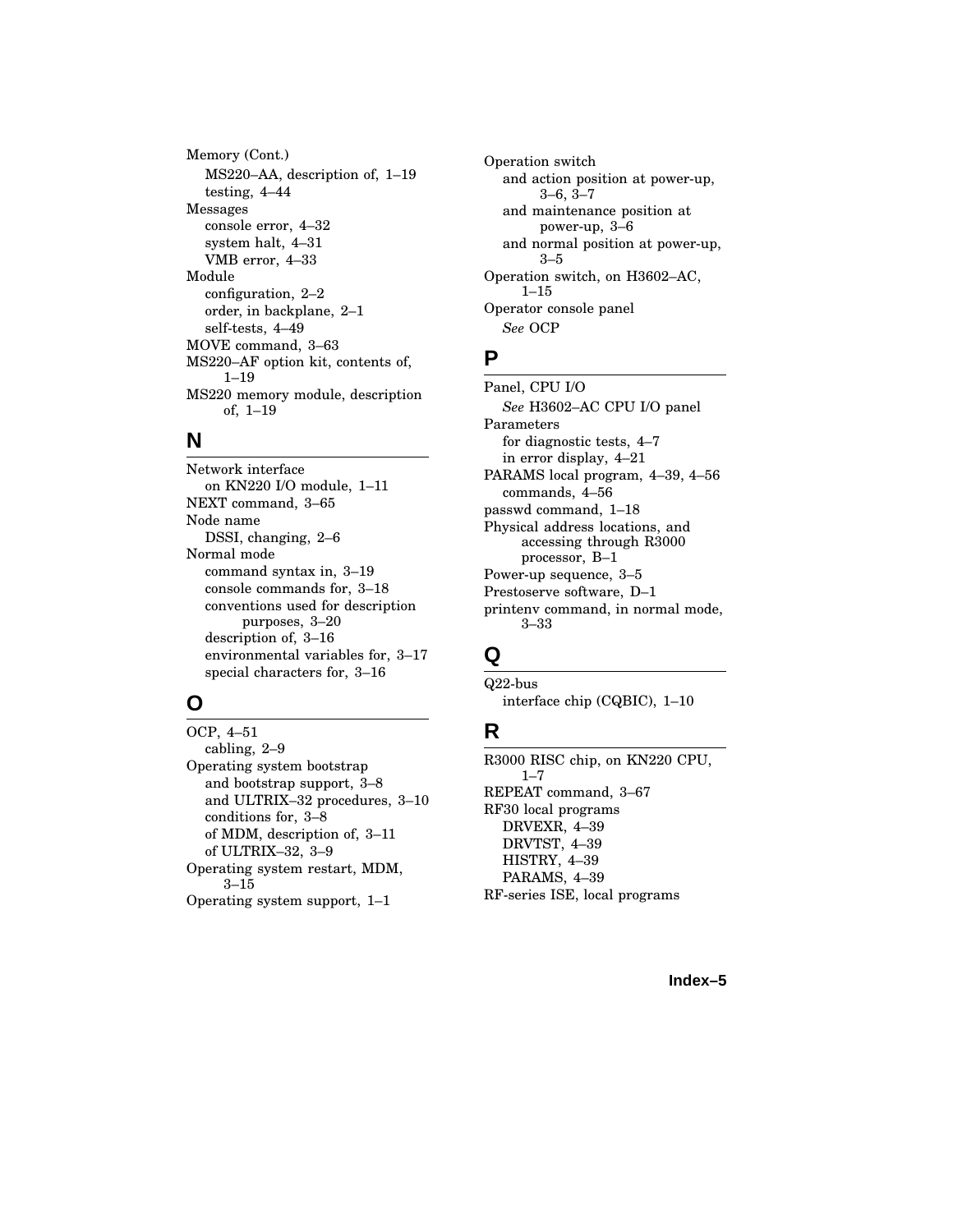Memory (Cont.) MS220–AA, description of, 1–19 testing, 4–44 Messages console error, 4–32 system halt, 4–31 VMB error, 4–33 Module configuration, 2–2 order, in backplane, 2–1 self-tests, 4–49 MOVE command, 3–63 MS220–AF option kit, contents of, 1–19 MS220 memory module, description of, 1–19

#### **N**

Network interface on KN220 I/O module, 1–11 NEXT command, 3–65 Node name DSSI, changing, 2–6 Normal mode command syntax in, 3–19 console commands for, 3–18 conventions used for description purposes, 3–20 description of, 3–16 environmental variables for, 3–17 special characters for, 3–16

## **O**

OCP, 4–51 cabling, 2–9 Operating system bootstrap and bootstrap support, 3–8 and ULTRIX–32 procedures, 3–10 conditions for, 3–8 of MDM, description of, 3–11 of ULTRIX–32, 3–9 Operating system restart, MDM, 3–15 Operating system support, 1–1

Operation switch and action position at power-up, 3–6, 3–7 and maintenance position at power-up, 3–6 and normal position at power-up, 3–5 Operation switch, on H3602–AC, 1–15 Operator console panel *See* OCP

## **P**

Panel, CPU I/O *See* H3602–AC CPU I/O panel Parameters for diagnostic tests, 4–7 in error display, 4–21 PARAMS local program, 4–39, 4–56 commands, 4–56 passwd command, 1–18 Physical address locations, and accessing through R3000 processor, B–1 Power-up sequence, 3–5 Prestoserve software, D–1 printenv command, in normal mode, 3–33

## **Q**

Q22-bus interface chip (CQBIC), 1–10

## **R**

R3000 RISC chip, on KN220 CPU,  $1 - 7$ REPEAT command, 3–67 RF30 local programs DRVEXR, 4–39 DRVTST, 4–39 HISTRY, 4–39 PARAMS, 4–39 RF-series ISE, local programs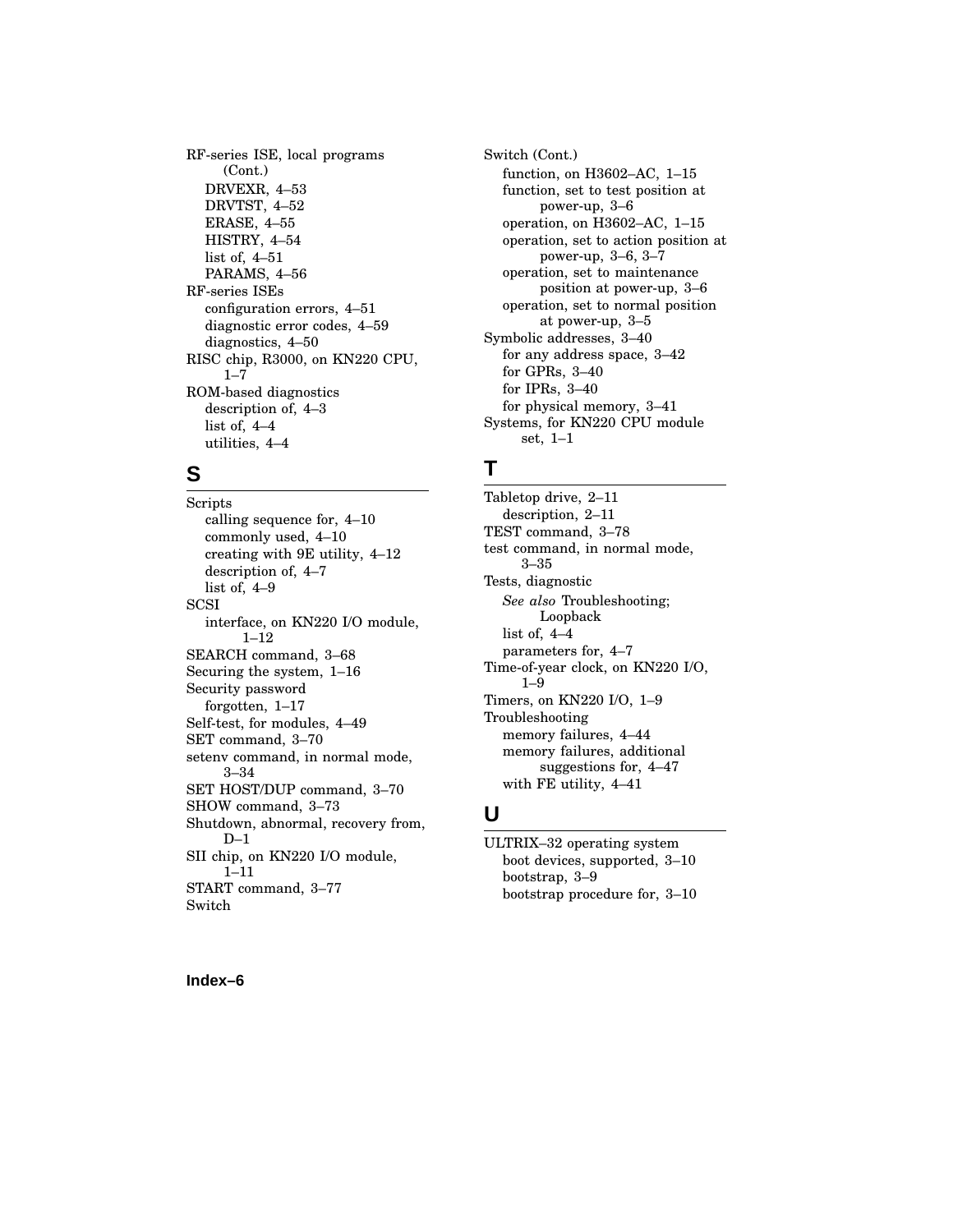RF-series ISE, local programs (Cont.) DRVEXR, 4–53 DRVTST, 4–52 ERASE, 4–55 HISTRY, 4–54 list of, 4–51 PARAMS, 4–56 RF-series ISEs configuration errors, 4–51 diagnostic error codes, 4–59 diagnostics, 4–50 RISC chip, R3000, on KN220 CPU,  $1 - 7$ ROM-based diagnostics description of, 4–3 list of, 4–4 utilities, 4–4

## **S**

Scripts calling sequence for, 4–10 commonly used, 4–10 creating with 9E utility, 4–12 description of, 4–7 list of, 4–9 **SCSI** interface, on KN220 I/O module, 1–12 SEARCH command, 3–68 Securing the system, 1–16 Security password forgotten, 1–17 Self-test, for modules, 4–49 SET command, 3–70 setenv command, in normal mode, 3–34 SET HOST/DUP command, 3–70 SHOW command, 3–73 Shutdown, abnormal, recovery from,  $D-1$ SII chip, on KN220 I/O module, 1–11 START command, 3–77 Switch

Switch (Cont.) function, on H3602–AC, 1–15 function, set to test position at power-up, 3–6 operation, on H3602–AC, 1–15 operation, set to action position at power-up, 3–6, 3–7 operation, set to maintenance position at power-up, 3–6 operation, set to normal position at power-up, 3–5 Symbolic addresses, 3–40 for any address space, 3–42 for GPRs, 3–40 for IPRs, 3–40 for physical memory, 3–41 Systems, for KN220 CPU module set, 1–1

### **T**

Tabletop drive, 2–11 description, 2–11 TEST command, 3–78 test command, in normal mode, 3–35 Tests, diagnostic *See also* Troubleshooting; Loopback list of, 4–4 parameters for, 4–7 Time-of-year clock, on KN220 I/O, 1–9 Timers, on KN220 I/O, 1–9 Troubleshooting memory failures, 4–44 memory failures, additional suggestions for, 4–47 with FE utility, 4–41

#### **U**

ULTRIX–32 operating system boot devices, supported, 3–10 bootstrap, 3–9 bootstrap procedure for, 3–10